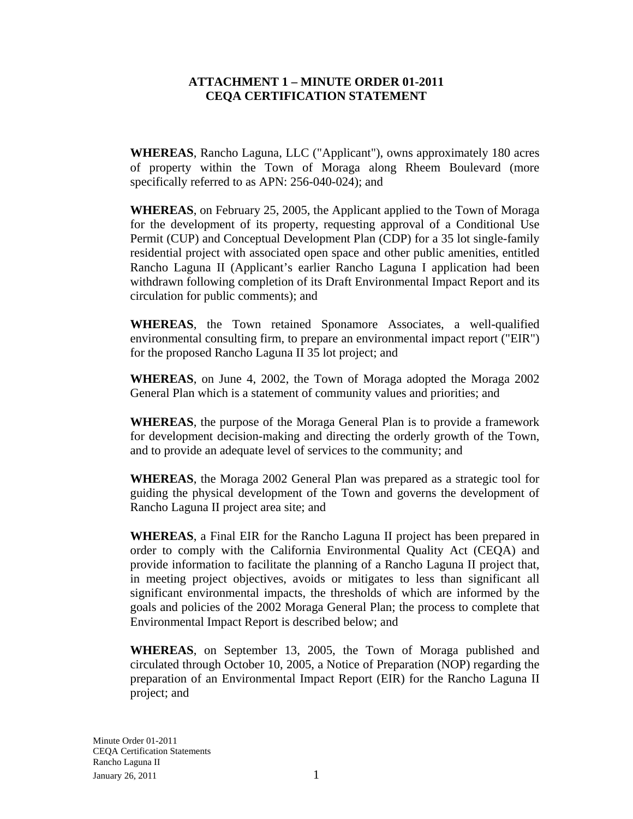## **ATTACHMENT 1 – MINUTE ORDER 01-2011 CEQA CERTIFICATION STATEMENT**

**WHEREAS**, Rancho Laguna, LLC ("Applicant"), owns approximately 180 acres of property within the Town of Moraga along Rheem Boulevard (more specifically referred to as APN: 256-040-024); and

**WHEREAS**, on February 25, 2005, the Applicant applied to the Town of Moraga for the development of its property, requesting approval of a Conditional Use Permit (CUP) and Conceptual Development Plan (CDP) for a 35 lot single-family residential project with associated open space and other public amenities, entitled Rancho Laguna II (Applicant's earlier Rancho Laguna I application had been withdrawn following completion of its Draft Environmental Impact Report and its circulation for public comments); and

**WHEREAS**, the Town retained Sponamore Associates, a well-qualified environmental consulting firm, to prepare an environmental impact report ("EIR") for the proposed Rancho Laguna II 35 lot project; and

**WHEREAS**, on June 4, 2002, the Town of Moraga adopted the Moraga 2002 General Plan which is a statement of community values and priorities; and

**WHEREAS**, the purpose of the Moraga General Plan is to provide a framework for development decision-making and directing the orderly growth of the Town, and to provide an adequate level of services to the community; and

**WHEREAS**, the Moraga 2002 General Plan was prepared as a strategic tool for guiding the physical development of the Town and governs the development of Rancho Laguna II project area site; and

**WHEREAS**, a Final EIR for the Rancho Laguna II project has been prepared in order to comply with the California Environmental Quality Act (CEQA) and provide information to facilitate the planning of a Rancho Laguna II project that, in meeting project objectives, avoids or mitigates to less than significant all significant environmental impacts, the thresholds of which are informed by the goals and policies of the 2002 Moraga General Plan; the process to complete that Environmental Impact Report is described below; and

**WHEREAS**, on September 13, 2005, the Town of Moraga published and circulated through October 10, 2005, a Notice of Preparation (NOP) regarding the preparation of an Environmental Impact Report (EIR) for the Rancho Laguna II project; and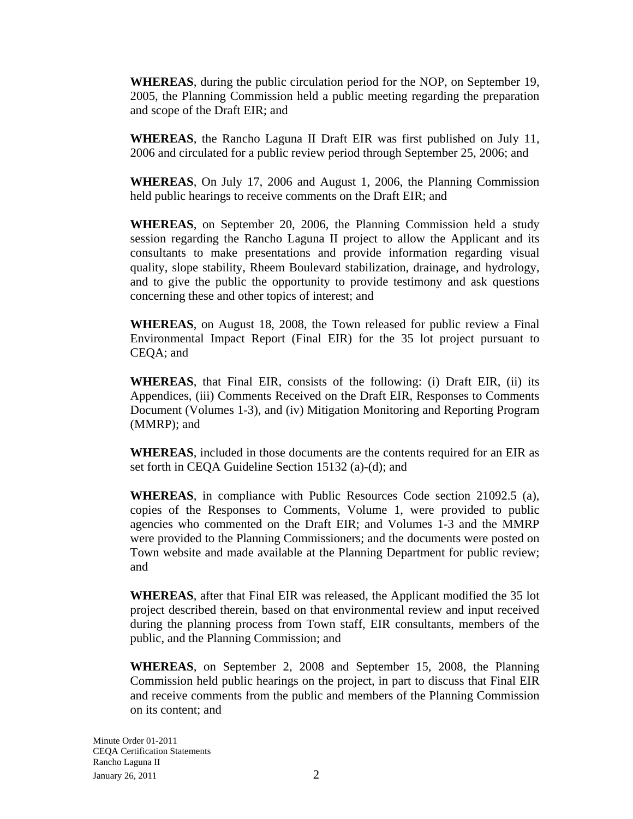**WHEREAS**, during the public circulation period for the NOP, on September 19, 2005, the Planning Commission held a public meeting regarding the preparation and scope of the Draft EIR; and

**WHEREAS**, the Rancho Laguna II Draft EIR was first published on July 11, 2006 and circulated for a public review period through September 25, 2006; and

**WHEREAS**, On July 17, 2006 and August 1, 2006, the Planning Commission held public hearings to receive comments on the Draft EIR; and

**WHEREAS**, on September 20, 2006, the Planning Commission held a study session regarding the Rancho Laguna II project to allow the Applicant and its consultants to make presentations and provide information regarding visual quality, slope stability, Rheem Boulevard stabilization, drainage, and hydrology, and to give the public the opportunity to provide testimony and ask questions concerning these and other topics of interest; and

**WHEREAS**, on August 18, 2008, the Town released for public review a Final Environmental Impact Report (Final EIR) for the 35 lot project pursuant to CEQA; and

**WHEREAS**, that Final EIR, consists of the following: (i) Draft EIR, (ii) its Appendices, (iii) Comments Received on the Draft EIR, Responses to Comments Document (Volumes 1-3), and (iv) Mitigation Monitoring and Reporting Program (MMRP); and

**WHEREAS**, included in those documents are the contents required for an EIR as set forth in CEQA Guideline Section 15132 (a)-(d); and

**WHEREAS**, in compliance with Public Resources Code section 21092.5 (a), copies of the Responses to Comments, Volume 1, were provided to public agencies who commented on the Draft EIR; and Volumes 1-3 and the MMRP were provided to the Planning Commissioners; and the documents were posted on Town website and made available at the Planning Department for public review; and

**WHEREAS**, after that Final EIR was released, the Applicant modified the 35 lot project described therein, based on that environmental review and input received during the planning process from Town staff, EIR consultants, members of the public, and the Planning Commission; and

**WHEREAS**, on September 2, 2008 and September 15, 2008, the Planning Commission held public hearings on the project, in part to discuss that Final EIR and receive comments from the public and members of the Planning Commission on its content; and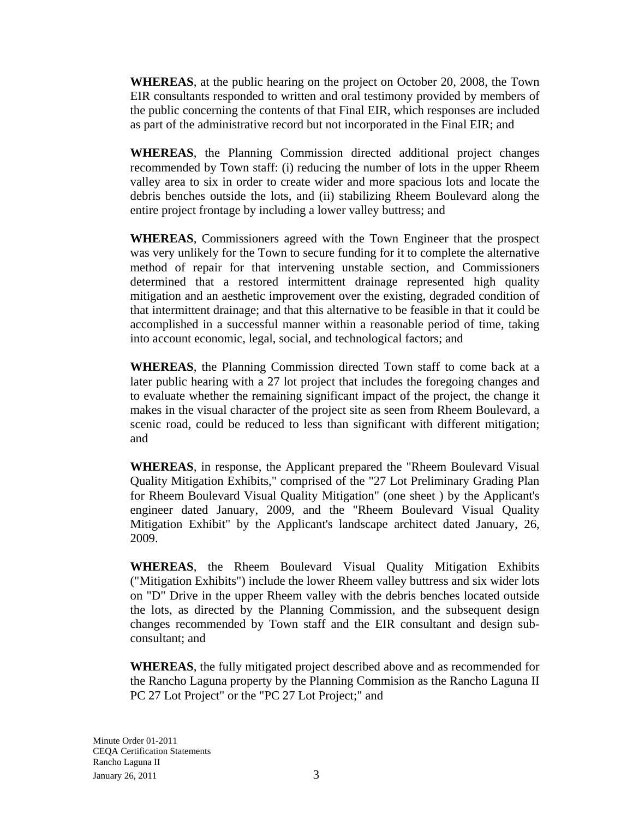**WHEREAS**, at the public hearing on the project on October 20, 2008, the Town EIR consultants responded to written and oral testimony provided by members of the public concerning the contents of that Final EIR, which responses are included as part of the administrative record but not incorporated in the Final EIR; and

**WHEREAS**, the Planning Commission directed additional project changes recommended by Town staff: (i) reducing the number of lots in the upper Rheem valley area to six in order to create wider and more spacious lots and locate the debris benches outside the lots, and (ii) stabilizing Rheem Boulevard along the entire project frontage by including a lower valley buttress; and

**WHEREAS**, Commissioners agreed with the Town Engineer that the prospect was very unlikely for the Town to secure funding for it to complete the alternative method of repair for that intervening unstable section, and Commissioners determined that a restored intermittent drainage represented high quality mitigation and an aesthetic improvement over the existing, degraded condition of that intermittent drainage; and that this alternative to be feasible in that it could be accomplished in a successful manner within a reasonable period of time, taking into account economic, legal, social, and technological factors; and

**WHEREAS**, the Planning Commission directed Town staff to come back at a later public hearing with a 27 lot project that includes the foregoing changes and to evaluate whether the remaining significant impact of the project, the change it makes in the visual character of the project site as seen from Rheem Boulevard, a scenic road, could be reduced to less than significant with different mitigation; and

**WHEREAS**, in response, the Applicant prepared the "Rheem Boulevard Visual Quality Mitigation Exhibits," comprised of the "27 Lot Preliminary Grading Plan for Rheem Boulevard Visual Quality Mitigation" (one sheet ) by the Applicant's engineer dated January, 2009, and the "Rheem Boulevard Visual Quality Mitigation Exhibit" by the Applicant's landscape architect dated January, 26, 2009.

**WHEREAS**, the Rheem Boulevard Visual Quality Mitigation Exhibits ("Mitigation Exhibits") include the lower Rheem valley buttress and six wider lots on "D" Drive in the upper Rheem valley with the debris benches located outside the lots, as directed by the Planning Commission, and the subsequent design changes recommended by Town staff and the EIR consultant and design subconsultant; and

**WHEREAS**, the fully mitigated project described above and as recommended for the Rancho Laguna property by the Planning Commision as the Rancho Laguna II PC 27 Lot Project" or the "PC 27 Lot Project;" and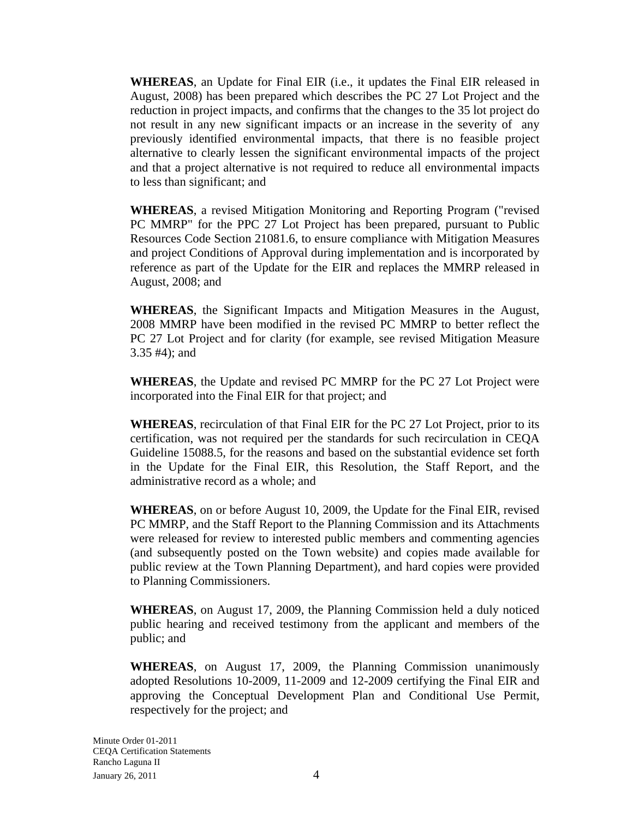**WHEREAS**, an Update for Final EIR (i.e., it updates the Final EIR released in August, 2008) has been prepared which describes the PC 27 Lot Project and the reduction in project impacts, and confirms that the changes to the 35 lot project do not result in any new significant impacts or an increase in the severity of any previously identified environmental impacts, that there is no feasible project alternative to clearly lessen the significant environmental impacts of the project and that a project alternative is not required to reduce all environmental impacts to less than significant; and

**WHEREAS**, a revised Mitigation Monitoring and Reporting Program ("revised PC MMRP" for the PPC 27 Lot Project has been prepared, pursuant to Public Resources Code Section 21081.6, to ensure compliance with Mitigation Measures and project Conditions of Approval during implementation and is incorporated by reference as part of the Update for the EIR and replaces the MMRP released in August, 2008; and

**WHEREAS**, the Significant Impacts and Mitigation Measures in the August, 2008 MMRP have been modified in the revised PC MMRP to better reflect the PC 27 Lot Project and for clarity (for example, see revised Mitigation Measure 3.35 #4); and

**WHEREAS**, the Update and revised PC MMRP for the PC 27 Lot Project were incorporated into the Final EIR for that project; and

**WHEREAS**, recirculation of that Final EIR for the PC 27 Lot Project, prior to its certification, was not required per the standards for such recirculation in CEQA Guideline 15088.5, for the reasons and based on the substantial evidence set forth in the Update for the Final EIR, this Resolution, the Staff Report, and the administrative record as a whole; and

**WHEREAS**, on or before August 10, 2009, the Update for the Final EIR, revised PC MMRP, and the Staff Report to the Planning Commission and its Attachments were released for review to interested public members and commenting agencies (and subsequently posted on the Town website) and copies made available for public review at the Town Planning Department), and hard copies were provided to Planning Commissioners.

**WHEREAS**, on August 17, 2009, the Planning Commission held a duly noticed public hearing and received testimony from the applicant and members of the public; and

**WHEREAS**, on August 17, 2009, the Planning Commission unanimously adopted Resolutions 10-2009, 11-2009 and 12-2009 certifying the Final EIR and approving the Conceptual Development Plan and Conditional Use Permit, respectively for the project; and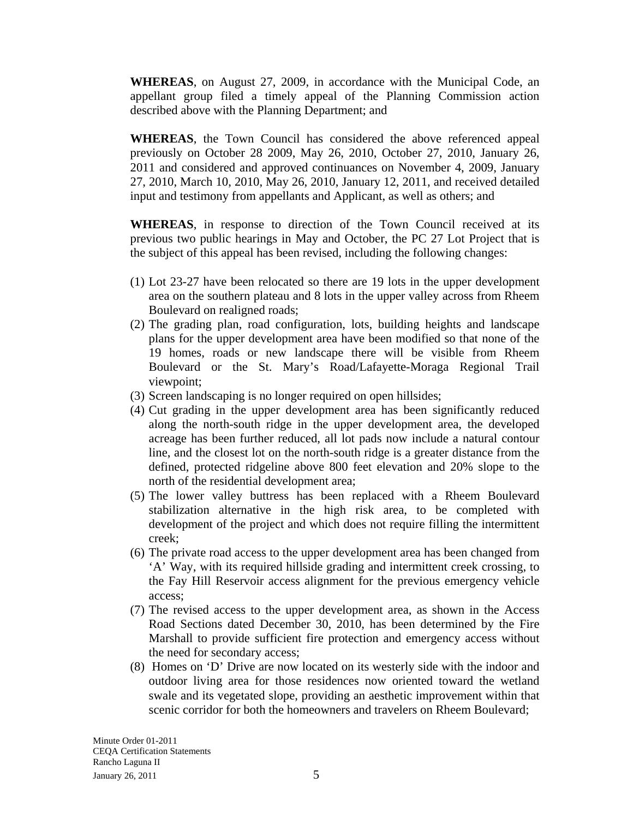**WHEREAS**, on August 27, 2009, in accordance with the Municipal Code, an appellant group filed a timely appeal of the Planning Commission action described above with the Planning Department; and

**WHEREAS**, the Town Council has considered the above referenced appeal previously on October 28 2009, May 26, 2010, October 27, 2010, January 26, 2011 and considered and approved continuances on November 4, 2009, January 27, 2010, March 10, 2010, May 26, 2010, January 12, 2011, and received detailed input and testimony from appellants and Applicant, as well as others; and

**WHEREAS**, in response to direction of the Town Council received at its previous two public hearings in May and October, the PC 27 Lot Project that is the subject of this appeal has been revised, including the following changes:

- (1) Lot 23-27 have been relocated so there are 19 lots in the upper development area on the southern plateau and 8 lots in the upper valley across from Rheem Boulevard on realigned roads;
- (2) The grading plan, road configuration, lots, building heights and landscape plans for the upper development area have been modified so that none of the 19 homes, roads or new landscape there will be visible from Rheem Boulevard or the St. Mary's Road/Lafayette-Moraga Regional Trail viewpoint;
- (3) Screen landscaping is no longer required on open hillsides;
- (4) Cut grading in the upper development area has been significantly reduced along the north-south ridge in the upper development area, the developed acreage has been further reduced, all lot pads now include a natural contour line, and the closest lot on the north-south ridge is a greater distance from the defined, protected ridgeline above 800 feet elevation and 20% slope to the north of the residential development area;
- (5) The lower valley buttress has been replaced with a Rheem Boulevard stabilization alternative in the high risk area, to be completed with development of the project and which does not require filling the intermittent creek;
- (6) The private road access to the upper development area has been changed from 'A' Way, with its required hillside grading and intermittent creek crossing, to the Fay Hill Reservoir access alignment for the previous emergency vehicle access;
- (7) The revised access to the upper development area, as shown in the Access Road Sections dated December 30, 2010, has been determined by the Fire Marshall to provide sufficient fire protection and emergency access without the need for secondary access;
- (8) Homes on 'D' Drive are now located on its westerly side with the indoor and outdoor living area for those residences now oriented toward the wetland swale and its vegetated slope, providing an aesthetic improvement within that scenic corridor for both the homeowners and travelers on Rheem Boulevard;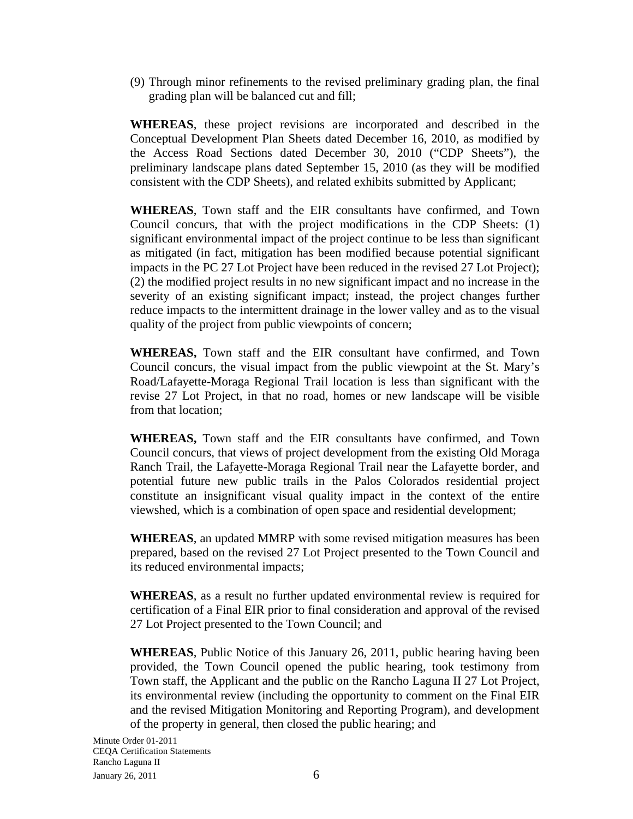(9) Through minor refinements to the revised preliminary grading plan, the final grading plan will be balanced cut and fill;

**WHEREAS**, these project revisions are incorporated and described in the Conceptual Development Plan Sheets dated December 16, 2010, as modified by the Access Road Sections dated December 30, 2010 ("CDP Sheets"), the preliminary landscape plans dated September 15, 2010 (as they will be modified consistent with the CDP Sheets), and related exhibits submitted by Applicant;

**WHEREAS**, Town staff and the EIR consultants have confirmed, and Town Council concurs, that with the project modifications in the CDP Sheets: (1) significant environmental impact of the project continue to be less than significant as mitigated (in fact, mitigation has been modified because potential significant impacts in the PC 27 Lot Project have been reduced in the revised 27 Lot Project); (2) the modified project results in no new significant impact and no increase in the severity of an existing significant impact; instead, the project changes further reduce impacts to the intermittent drainage in the lower valley and as to the visual quality of the project from public viewpoints of concern;

**WHEREAS,** Town staff and the EIR consultant have confirmed, and Town Council concurs, the visual impact from the public viewpoint at the St. Mary's Road/Lafayette-Moraga Regional Trail location is less than significant with the revise 27 Lot Project, in that no road, homes or new landscape will be visible from that location;

**WHEREAS,** Town staff and the EIR consultants have confirmed, and Town Council concurs, that views of project development from the existing Old Moraga Ranch Trail, the Lafayette-Moraga Regional Trail near the Lafayette border, and potential future new public trails in the Palos Colorados residential project constitute an insignificant visual quality impact in the context of the entire viewshed, which is a combination of open space and residential development;

**WHEREAS**, an updated MMRP with some revised mitigation measures has been prepared, based on the revised 27 Lot Project presented to the Town Council and its reduced environmental impacts;

**WHEREAS**, as a result no further updated environmental review is required for certification of a Final EIR prior to final consideration and approval of the revised 27 Lot Project presented to the Town Council; and

**WHEREAS**, Public Notice of this January 26, 2011, public hearing having been provided, the Town Council opened the public hearing, took testimony from Town staff, the Applicant and the public on the Rancho Laguna II 27 Lot Project, its environmental review (including the opportunity to comment on the Final EIR and the revised Mitigation Monitoring and Reporting Program), and development of the property in general, then closed the public hearing; and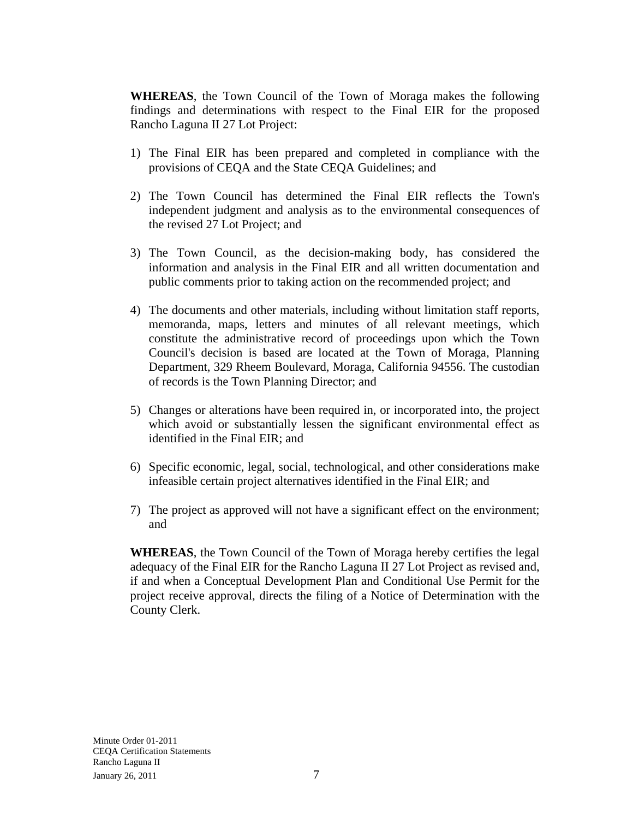**WHEREAS**, the Town Council of the Town of Moraga makes the following findings and determinations with respect to the Final EIR for the proposed Rancho Laguna II 27 Lot Project:

- 1) The Final EIR has been prepared and completed in compliance with the provisions of CEQA and the State CEQA Guidelines; and
- 2) The Town Council has determined the Final EIR reflects the Town's independent judgment and analysis as to the environmental consequences of the revised 27 Lot Project; and
- 3) The Town Council, as the decision-making body, has considered the information and analysis in the Final EIR and all written documentation and public comments prior to taking action on the recommended project; and
- 4) The documents and other materials, including without limitation staff reports, memoranda, maps, letters and minutes of all relevant meetings, which constitute the administrative record of proceedings upon which the Town Council's decision is based are located at the Town of Moraga, Planning Department, 329 Rheem Boulevard, Moraga, California 94556. The custodian of records is the Town Planning Director; and
- 5) Changes or alterations have been required in, or incorporated into, the project which avoid or substantially lessen the significant environmental effect as identified in the Final EIR; and
- 6) Specific economic, legal, social, technological, and other considerations make infeasible certain project alternatives identified in the Final EIR; and
- 7) The project as approved will not have a significant effect on the environment; and

**WHEREAS**, the Town Council of the Town of Moraga hereby certifies the legal adequacy of the Final EIR for the Rancho Laguna II 27 Lot Project as revised and, if and when a Conceptual Development Plan and Conditional Use Permit for the project receive approval, directs the filing of a Notice of Determination with the County Clerk.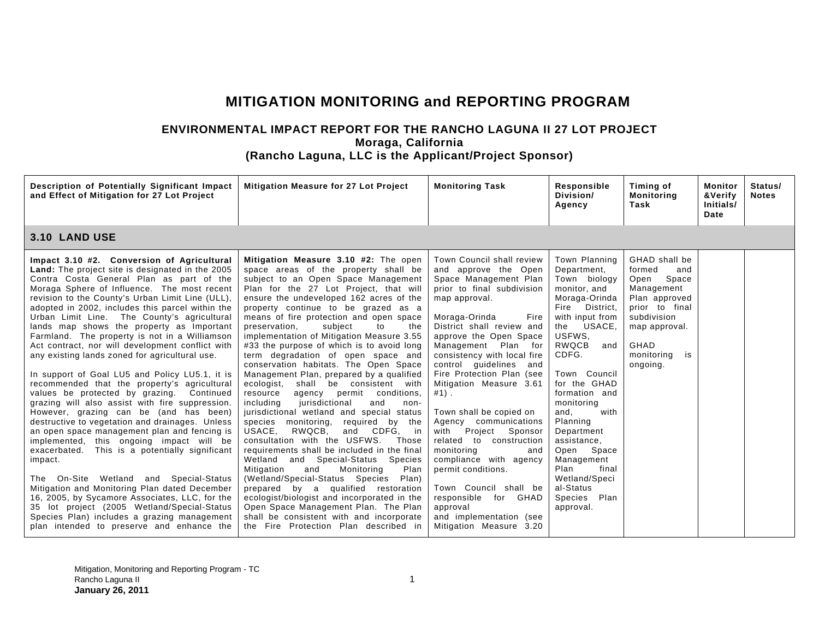## **MITIGATION MONITORING and REPORTING PROGRAM**

## **ENVIRONMENTAL IMPACT REPORT FOR THE RANCHO LAGUNA II 27 LOT PROJECT Moraga, California (Rancho Laguna, LLC is the Applicant/Project Sponsor)**

| Description of Potentially Significant Impact<br>and Effect of Mitigation for 27 Lot Project                                                                                                                                                                                                                                                                                                                                                                                                                                                                                                                                                                                                                                                                                                                                                                                                                                                                                                                                                                                                                                                                                                                                                                                                                   | <b>Mitigation Measure for 27 Lot Project</b>                                                                                                                                                                                                                                                                                                                                                                                                                                                                                                                                                                                                                                                                                                                                                                                                                                                                                                                                                                                                                                                                                                                                                                                                                          | <b>Monitoring Task</b>                                                                                                                                                                                                                                                                                                                                                                                                                                                                                                                                                                                                                                            | Responsible<br>Division/<br>Agency                                                                                                                                                                                                                                                                                                                                                                        | Timing of<br><b>Monitoring</b><br>Task                                                                                                                                   | Monitor<br>&Verify<br>Initials/<br>Date | Status/<br><b>Notes</b> |
|----------------------------------------------------------------------------------------------------------------------------------------------------------------------------------------------------------------------------------------------------------------------------------------------------------------------------------------------------------------------------------------------------------------------------------------------------------------------------------------------------------------------------------------------------------------------------------------------------------------------------------------------------------------------------------------------------------------------------------------------------------------------------------------------------------------------------------------------------------------------------------------------------------------------------------------------------------------------------------------------------------------------------------------------------------------------------------------------------------------------------------------------------------------------------------------------------------------------------------------------------------------------------------------------------------------|-----------------------------------------------------------------------------------------------------------------------------------------------------------------------------------------------------------------------------------------------------------------------------------------------------------------------------------------------------------------------------------------------------------------------------------------------------------------------------------------------------------------------------------------------------------------------------------------------------------------------------------------------------------------------------------------------------------------------------------------------------------------------------------------------------------------------------------------------------------------------------------------------------------------------------------------------------------------------------------------------------------------------------------------------------------------------------------------------------------------------------------------------------------------------------------------------------------------------------------------------------------------------|-------------------------------------------------------------------------------------------------------------------------------------------------------------------------------------------------------------------------------------------------------------------------------------------------------------------------------------------------------------------------------------------------------------------------------------------------------------------------------------------------------------------------------------------------------------------------------------------------------------------------------------------------------------------|-----------------------------------------------------------------------------------------------------------------------------------------------------------------------------------------------------------------------------------------------------------------------------------------------------------------------------------------------------------------------------------------------------------|--------------------------------------------------------------------------------------------------------------------------------------------------------------------------|-----------------------------------------|-------------------------|
| <b>3.10 LAND USE</b>                                                                                                                                                                                                                                                                                                                                                                                                                                                                                                                                                                                                                                                                                                                                                                                                                                                                                                                                                                                                                                                                                                                                                                                                                                                                                           |                                                                                                                                                                                                                                                                                                                                                                                                                                                                                                                                                                                                                                                                                                                                                                                                                                                                                                                                                                                                                                                                                                                                                                                                                                                                       |                                                                                                                                                                                                                                                                                                                                                                                                                                                                                                                                                                                                                                                                   |                                                                                                                                                                                                                                                                                                                                                                                                           |                                                                                                                                                                          |                                         |                         |
| Impact 3.10 #2. Conversion of Agricultural<br><b>Land:</b> The project site is designated in the 2005<br>Contra Costa General Plan as part of the<br>Moraga Sphere of Influence. The most recent<br>revision to the County's Urban Limit Line (ULL),<br>adopted in 2002, includes this parcel within the<br>Urban Limit Line. The County's agricultural<br>lands map shows the property as Important<br>Farmland. The property is not in a Williamson<br>Act contract, nor will development conflict with<br>any existing lands zoned for agricultural use.<br>In support of Goal LU5 and Policy LU5.1, it is<br>recommended that the property's agricultural<br>values be protected by grazing. Continued<br>grazing will also assist with fire suppression.<br>However, grazing can be (and has been)<br>destructive to vegetation and drainages. Unless<br>an open space management plan and fencing is<br>implemented, this ongoing impact will be<br>This is a potentially significant<br>exacerbated.<br>impact.<br>The On-Site Wetland and Special-Status<br>Mitigation and Monitoring Plan dated December<br>16, 2005, by Sycamore Associates, LLC, for the<br>35 lot project (2005 Wetland/Special-Status<br>Species Plan) includes a grazing management<br>plan intended to preserve and enhance the | Mitigation Measure 3.10 #2: The open<br>space areas of the property shall be<br>subject to an Open Space Management<br>Plan for the 27 Lot Project, that will<br>ensure the undeveloped 162 acres of the<br>property continue to be grazed as a<br>means of fire protection and open space<br>preservation,<br>subject<br>to<br>the<br>implementation of Mitigation Measure 3.55<br>#33 the purpose of which is to avoid long<br>term degradation of open space and<br>conservation habitats. The Open Space<br>Management Plan, prepared by a qualified<br>ecologist,<br>shall be consistent with<br>resource<br>agency permit conditions,<br>including<br>jurisdictional<br>and<br>non-<br>jurisdictional wetland and special status<br>species<br>monitoring,<br>required by<br>the<br>USACE,<br>RWQCB,<br>and CDFG.<br>in<br>consultation with the USFWS.<br>Those<br>requirements shall be included in the final<br>Wetland and Special-Status<br>Species<br>Plan<br>Mitigation<br>and<br>Monitoring<br>(Wetland/Special-Status Species Plan)<br>prepared by a qualified restoration<br>ecologist/biologist and incorporated in the<br>Open Space Management Plan. The Plan<br>shall be consistent with and incorporate<br>the Fire Protection Plan described in | Town Council shall review<br>and approve the Open<br>Space Management Plan<br>prior to final subdivision<br>map approval.<br>Moraga-Orinda<br>Fire<br>District shall review and<br>approve the Open Space<br>Management Plan for<br>consistency with local fire<br>control guidelines and<br>Fire Protection Plan (see<br>Mitigation Measure 3.61<br>$#1$ ).<br>Town shall be copied on<br>Agency communications<br>Project<br>Sponsor<br>with<br>related to construction<br>monitoring<br>and<br>compliance with agency<br>permit conditions.<br>Town Council shall be<br>responsible for GHAD<br>approval<br>and implementation (see<br>Mitigation Measure 3.20 | Town Planning<br>Department.<br>Town biology<br>monitor, and<br>Moraga-Orinda<br>Fire<br>District,<br>with input from<br>USACE,<br>the<br>USFWS,<br>RWQCB<br>and<br>CDFG.<br>Town Council<br>for the GHAD<br>formation and<br>monitoring<br>with<br>and.<br>Planning<br>Department<br>assistance,<br>Open Space<br>Management<br>final<br>Plan<br>Wetland/Speci<br>al-Status<br>Species Plan<br>approval. | GHAD shall be<br>formed<br>and<br>Space<br>Open<br>Management<br>Plan approved<br>prior to final<br>subdivision<br>map approval.<br>GHAD<br>monitoring<br>is<br>ongoing. |                                         |                         |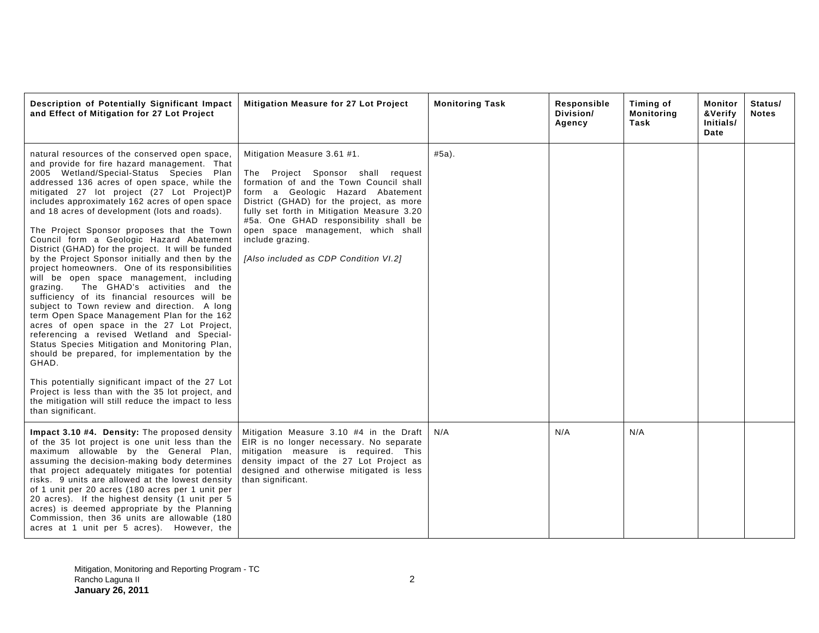| Description of Potentially Significant Impact<br>and Effect of Mitigation for 27 Lot Project                                                                                                                                                                                                                                                                                                                                                                                                                                                                                                                                                                                                                                                                                                                                                                                                                                                                                                                                                                                                                                                                                                                                               | Mitigation Measure for 27 Lot Project                                                                                                                                                                                                                                                                                                                                                 | <b>Monitoring Task</b> | Responsible<br>Division/<br>Agency | Timing of<br><b>Monitoring</b><br>Task | Monitor<br>&Verify<br>Initials/<br>Date | Status/<br><b>Notes</b> |
|--------------------------------------------------------------------------------------------------------------------------------------------------------------------------------------------------------------------------------------------------------------------------------------------------------------------------------------------------------------------------------------------------------------------------------------------------------------------------------------------------------------------------------------------------------------------------------------------------------------------------------------------------------------------------------------------------------------------------------------------------------------------------------------------------------------------------------------------------------------------------------------------------------------------------------------------------------------------------------------------------------------------------------------------------------------------------------------------------------------------------------------------------------------------------------------------------------------------------------------------|---------------------------------------------------------------------------------------------------------------------------------------------------------------------------------------------------------------------------------------------------------------------------------------------------------------------------------------------------------------------------------------|------------------------|------------------------------------|----------------------------------------|-----------------------------------------|-------------------------|
| natural resources of the conserved open space,<br>and provide for fire hazard management. That<br>2005 Wetland/Special-Status Species Plan<br>addressed 136 acres of open space, while the<br>mitigated 27 lot project (27 Lot Project)P<br>includes approximately 162 acres of open space<br>and 18 acres of development (lots and roads).<br>The Project Sponsor proposes that the Town<br>Council form a Geologic Hazard Abatement<br>District (GHAD) for the project. It will be funded<br>by the Project Sponsor initially and then by the<br>project homeowners. One of its responsibilities<br>will be open space management, including<br>The GHAD's activities and the<br>grazing.<br>sufficiency of its financial resources will be<br>subject to Town review and direction. A long<br>term Open Space Management Plan for the 162<br>acres of open space in the 27 Lot Project,<br>referencing a revised Wetland and Special-<br>Status Species Mitigation and Monitoring Plan,<br>should be prepared, for implementation by the<br>GHAD.<br>This potentially significant impact of the 27 Lot<br>Project is less than with the 35 lot project, and<br>the mitigation will still reduce the impact to less<br>than significant. | Mitigation Measure 3.61 #1.<br>The Project Sponsor shall request<br>formation of and the Town Council shall<br>form a Geologic Hazard Abatement<br>District (GHAD) for the project, as more<br>fully set forth in Mitigation Measure 3.20<br>#5a. One GHAD responsibility shall be<br>open space management, which shall<br>include grazing.<br>[Also included as CDP Condition VI.2] | $#5a$ ).               |                                    |                                        |                                         |                         |
| Impact 3.10 #4. Density: The proposed density<br>of the 35 lot project is one unit less than the<br>maximum allowable by the General Plan,<br>assuming the decision-making body determines<br>that project adequately mitigates for potential<br>risks. 9 units are allowed at the lowest density<br>of 1 unit per 20 acres (180 acres per 1 unit per<br>20 acres). If the highest density (1 unit per 5<br>acres) is deemed appropriate by the Planning<br>Commission, then 36 units are allowable (180<br>acres at 1 unit per 5 acres). However, the                                                                                                                                                                                                                                                                                                                                                                                                                                                                                                                                                                                                                                                                                     | Mitigation Measure 3.10 #4 in the Draft<br>EIR is no longer necessary. No separate<br>mitigation measure is required. This<br>density impact of the 27 Lot Project as<br>designed and otherwise mitigated is less<br>than significant.                                                                                                                                                | N/A                    | N/A                                | N/A                                    |                                         |                         |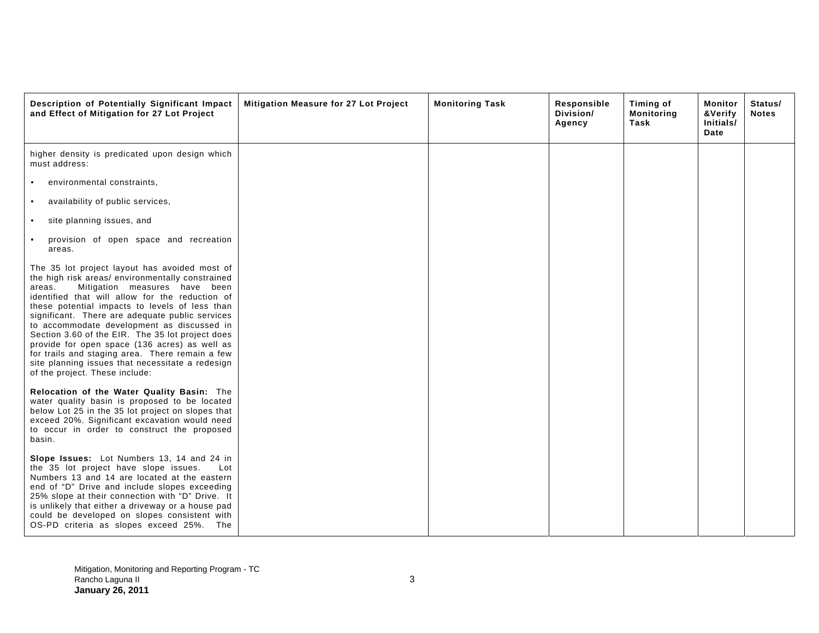| Description of Potentially Significant Impact<br>and Effect of Mitigation for 27 Lot Project                                                                                                                                                                                                                                                                                                                                                                                                                                                                                                    | Mitigation Measure for 27 Lot Project | <b>Monitoring Task</b> | Responsible<br>Division/<br>Agency | Timing of<br><b>Monitoring</b><br>Task | Monitor<br>&Verify<br>Initials/<br>Date | Status/<br><b>Notes</b> |
|-------------------------------------------------------------------------------------------------------------------------------------------------------------------------------------------------------------------------------------------------------------------------------------------------------------------------------------------------------------------------------------------------------------------------------------------------------------------------------------------------------------------------------------------------------------------------------------------------|---------------------------------------|------------------------|------------------------------------|----------------------------------------|-----------------------------------------|-------------------------|
| higher density is predicated upon design which<br>must address:                                                                                                                                                                                                                                                                                                                                                                                                                                                                                                                                 |                                       |                        |                                    |                                        |                                         |                         |
| environmental constraints,<br>$\bullet$                                                                                                                                                                                                                                                                                                                                                                                                                                                                                                                                                         |                                       |                        |                                    |                                        |                                         |                         |
| availability of public services,<br>$\bullet$                                                                                                                                                                                                                                                                                                                                                                                                                                                                                                                                                   |                                       |                        |                                    |                                        |                                         |                         |
| site planning issues, and<br>$\bullet$                                                                                                                                                                                                                                                                                                                                                                                                                                                                                                                                                          |                                       |                        |                                    |                                        |                                         |                         |
| provision of open space and recreation<br>$\bullet$<br>areas.                                                                                                                                                                                                                                                                                                                                                                                                                                                                                                                                   |                                       |                        |                                    |                                        |                                         |                         |
| The 35 lot project layout has avoided most of<br>the high risk areas/environmentally constrained<br>Mitigation measures have been<br>areas.<br>identified that will allow for the reduction of<br>these potential impacts to levels of less than<br>significant. There are adequate public services<br>to accommodate development as discussed in<br>Section 3.60 of the EIR. The 35 lot project does<br>provide for open space (136 acres) as well as<br>for trails and staging area. There remain a few<br>site planning issues that necessitate a redesign<br>of the project. These include: |                                       |                        |                                    |                                        |                                         |                         |
| Relocation of the Water Quality Basin: The<br>water quality basin is proposed to be located<br>below Lot 25 in the 35 lot project on slopes that<br>exceed 20%. Significant excavation would need<br>to occur in order to construct the proposed<br>basin.                                                                                                                                                                                                                                                                                                                                      |                                       |                        |                                    |                                        |                                         |                         |
| Slope Issues: Lot Numbers 13, 14 and 24 in<br>the 35 lot project have slope issues.<br>Lot<br>Numbers 13 and 14 are located at the eastern<br>end of "D" Drive and include slopes exceeding<br>25% slope at their connection with "D" Drive. It<br>is unlikely that either a driveway or a house pad<br>could be developed on slopes consistent with<br>OS-PD criteria as slopes exceed 25%. The                                                                                                                                                                                                |                                       |                        |                                    |                                        |                                         |                         |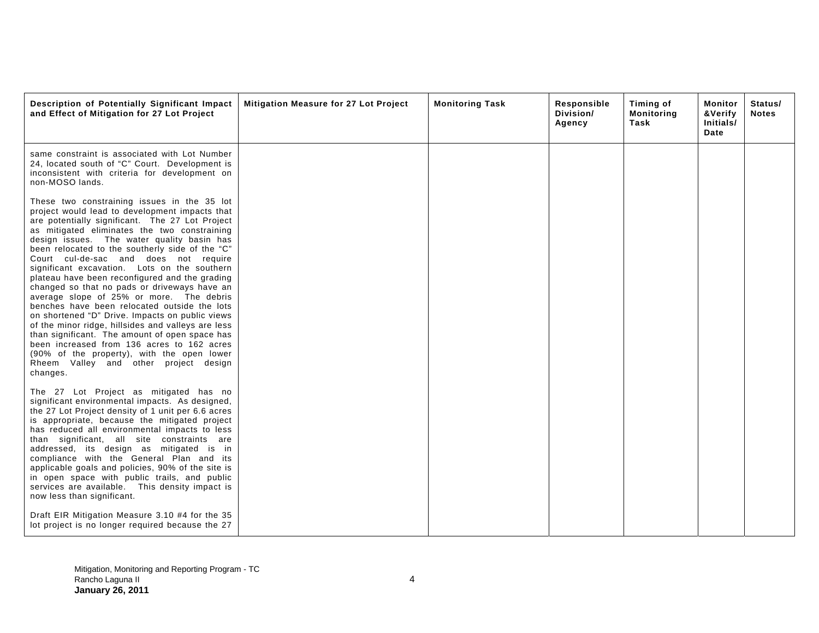| Description of Potentially Significant Impact<br>and Effect of Mitigation for 27 Lot Project                                                                                                                                                                                                                                                                                                                                                                                                                                                                                                                                                                                                                                                                                                                                                                                                         | Mitigation Measure for 27 Lot Project | <b>Monitoring Task</b> | Responsible<br>Division/<br>Agency | Timing of<br><b>Monitoring</b><br>Task | Monitor<br>&Verify<br>Initials/<br>Date | Status/<br><b>Notes</b> |
|------------------------------------------------------------------------------------------------------------------------------------------------------------------------------------------------------------------------------------------------------------------------------------------------------------------------------------------------------------------------------------------------------------------------------------------------------------------------------------------------------------------------------------------------------------------------------------------------------------------------------------------------------------------------------------------------------------------------------------------------------------------------------------------------------------------------------------------------------------------------------------------------------|---------------------------------------|------------------------|------------------------------------|----------------------------------------|-----------------------------------------|-------------------------|
| same constraint is associated with Lot Number<br>24, located south of "C" Court. Development is<br>inconsistent with criteria for development on<br>non-MOSO lands.                                                                                                                                                                                                                                                                                                                                                                                                                                                                                                                                                                                                                                                                                                                                  |                                       |                        |                                    |                                        |                                         |                         |
| These two constraining issues in the 35 lot<br>project would lead to development impacts that<br>are potentially significant. The 27 Lot Project<br>as mitigated eliminates the two constraining<br>design issues. The water quality basin has<br>been relocated to the southerly side of the "C"<br>Court cul-de-sac and does not require<br>significant excavation. Lots on the southern<br>plateau have been reconfigured and the grading<br>changed so that no pads or driveways have an<br>average slope of 25% or more. The debris<br>benches have been relocated outside the lots<br>on shortened "D" Drive. Impacts on public views<br>of the minor ridge, hillsides and valleys are less<br>than significant. The amount of open space has<br>been increased from 136 acres to 162 acres<br>(90% of the property), with the open lower<br>Rheem Valley and other project design<br>changes. |                                       |                        |                                    |                                        |                                         |                         |
| The 27 Lot Project as mitigated has no<br>significant environmental impacts. As designed,<br>the 27 Lot Project density of 1 unit per 6.6 acres<br>is appropriate, because the mitigated project<br>has reduced all environmental impacts to less<br>than significant, all site constraints are<br>addressed, its design as mitigated is in<br>compliance with the General Plan and its<br>applicable goals and policies, 90% of the site is<br>in open space with public trails, and public<br>services are available. This density impact is<br>now less than significant.<br>Draft EIR Mitigation Measure 3.10 #4 for the 35<br>lot project is no longer required because the 27                                                                                                                                                                                                                  |                                       |                        |                                    |                                        |                                         |                         |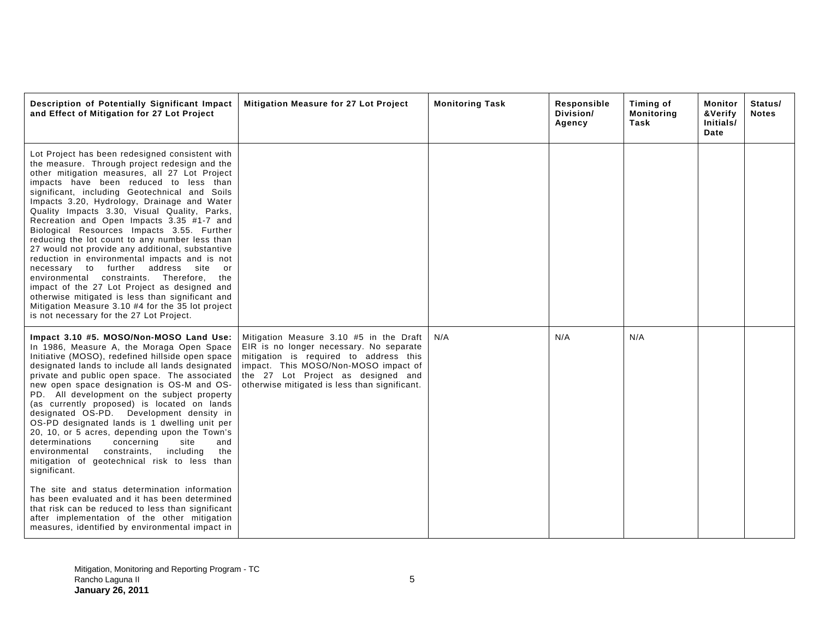| Description of Potentially Significant Impact<br>and Effect of Mitigation for 27 Lot Project                                                                                                                                                                                                                                                                                                                                                                                                                                                                                                                                                                                                                                                                                                                                                                                                                                                                          | Mitigation Measure for 27 Lot Project                                                                                                                                                                                                                       | <b>Monitoring Task</b> | Responsible<br>Division/<br>Agency | Timing of<br><b>Monitoring</b><br>Task | <b>Monitor</b><br>&Verify<br>Initials/<br>Date | Status/<br><b>Notes</b> |
|-----------------------------------------------------------------------------------------------------------------------------------------------------------------------------------------------------------------------------------------------------------------------------------------------------------------------------------------------------------------------------------------------------------------------------------------------------------------------------------------------------------------------------------------------------------------------------------------------------------------------------------------------------------------------------------------------------------------------------------------------------------------------------------------------------------------------------------------------------------------------------------------------------------------------------------------------------------------------|-------------------------------------------------------------------------------------------------------------------------------------------------------------------------------------------------------------------------------------------------------------|------------------------|------------------------------------|----------------------------------------|------------------------------------------------|-------------------------|
| Lot Project has been redesigned consistent with<br>the measure. Through project redesign and the<br>other mitigation measures, all 27 Lot Project<br>impacts have been reduced to less than<br>significant, including Geotechnical and Soils<br>Impacts 3.20, Hydrology, Drainage and Water<br>Quality Impacts 3.30, Visual Quality, Parks,<br>Recreation and Open Impacts 3.35 #1-7 and<br>Biological Resources Impacts 3.55. Further<br>reducing the lot count to any number less than<br>27 would not provide any additional, substantive<br>reduction in environmental impacts and is not<br>necessary to further address site<br>or<br>environmental constraints. Therefore,<br>the<br>impact of the 27 Lot Project as designed and<br>otherwise mitigated is less than significant and<br>Mitigation Measure 3.10 #4 for the 35 lot project<br>is not necessary for the 27 Lot Project.                                                                         |                                                                                                                                                                                                                                                             |                        |                                    |                                        |                                                |                         |
| Impact 3.10 #5. MOSO/Non-MOSO Land Use:<br>In 1986, Measure A, the Moraga Open Space<br>Initiative (MOSO), redefined hillside open space<br>designated lands to include all lands designated<br>private and public open space. The associated<br>new open space designation is OS-M and OS-<br>PD. All development on the subject property<br>(as currently proposed) is located on lands<br>designated OS-PD. Development density in<br>OS-PD designated lands is 1 dwelling unit per<br>20, 10, or 5 acres, depending upon the Town's<br>determinations<br>concerning<br>site<br>and<br>including<br>environmental<br>constraints,<br>the<br>mitigation of geotechnical risk to less than<br>significant.<br>The site and status determination information<br>has been evaluated and it has been determined<br>that risk can be reduced to less than significant<br>after implementation of the other mitigation<br>measures, identified by environmental impact in | Mitigation Measure 3.10 #5 in the Draft<br>EIR is no longer necessary. No separate<br>mitigation is required to address this<br>impact. This MOSO/Non-MOSO impact of<br>the 27 Lot Project as designed and<br>otherwise mitigated is less than significant. | N/A                    | N/A                                | N/A                                    |                                                |                         |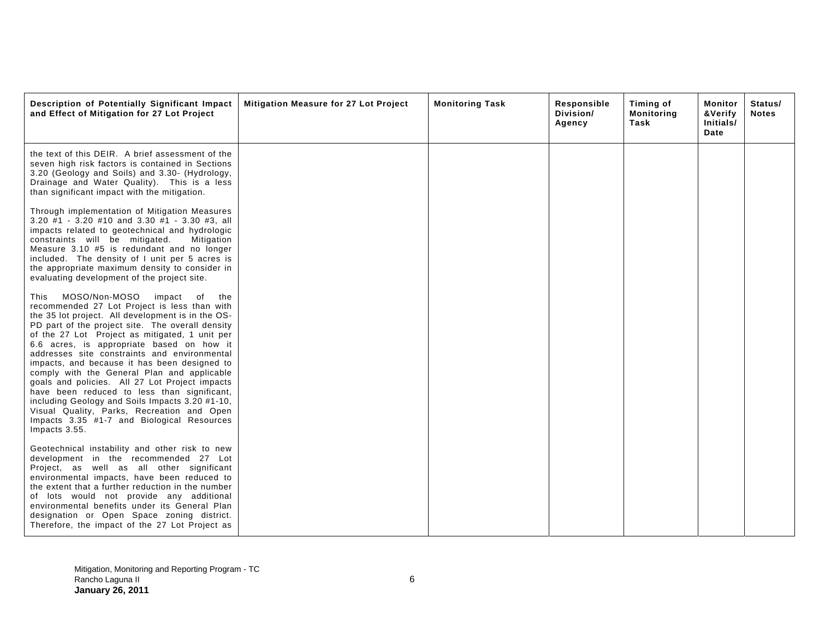| Description of Potentially Significant Impact<br>and Effect of Mitigation for 27 Lot Project                                                                                                                                                                                                                                                                                                                                                                                                                                                                                                                                                                                                                         | <b>Mitigation Measure for 27 Lot Project</b> | <b>Monitoring Task</b> | Responsible<br>Division/<br>Agency | Timing of<br><b>Monitoring</b><br>Task | Monitor<br>&Verify<br>Initials/<br>Date | Status/<br><b>Notes</b> |
|----------------------------------------------------------------------------------------------------------------------------------------------------------------------------------------------------------------------------------------------------------------------------------------------------------------------------------------------------------------------------------------------------------------------------------------------------------------------------------------------------------------------------------------------------------------------------------------------------------------------------------------------------------------------------------------------------------------------|----------------------------------------------|------------------------|------------------------------------|----------------------------------------|-----------------------------------------|-------------------------|
| the text of this DEIR. A brief assessment of the<br>seven high risk factors is contained in Sections<br>3.20 (Geology and Soils) and 3.30- (Hydrology,<br>Drainage and Water Quality). This is a less<br>than significant impact with the mitigation.                                                                                                                                                                                                                                                                                                                                                                                                                                                                |                                              |                        |                                    |                                        |                                         |                         |
| Through implementation of Mitigation Measures<br>$3.20$ #1 - 3.20 #10 and 3.30 #1 - 3.30 #3, all<br>impacts related to geotechnical and hydrologic<br>constraints will be mitigated.<br>Mitigation<br>Measure 3.10 #5 is redundant and no longer<br>included. The density of I unit per 5 acres is<br>the appropriate maximum density to consider in<br>evaluating development of the project site.                                                                                                                                                                                                                                                                                                                  |                                              |                        |                                    |                                        |                                         |                         |
| MOSO/Non-MOSO<br>impact<br>of<br>the<br>This<br>recommended 27 Lot Project is less than with<br>the 35 lot project. All development is in the OS-<br>PD part of the project site. The overall density<br>of the 27 Lot Project as mitigated, 1 unit per<br>6.6 acres, is appropriate based on how it<br>addresses site constraints and environmental<br>impacts, and because it has been designed to<br>comply with the General Plan and applicable<br>goals and policies. All 27 Lot Project impacts<br>have been reduced to less than significant,<br>including Geology and Soils Impacts 3.20 #1-10,<br>Visual Quality, Parks, Recreation and Open<br>Impacts 3.35 #1-7 and Biological Resources<br>Impacts 3.55. |                                              |                        |                                    |                                        |                                         |                         |
| Geotechnical instability and other risk to new<br>development in the recommended 27 Lot<br>Project, as well as all other significant<br>environmental impacts, have been reduced to<br>the extent that a further reduction in the number<br>of lots would not provide any additional<br>environmental benefits under its General Plan<br>designation or Open Space zoning district.<br>Therefore, the impact of the 27 Lot Project as                                                                                                                                                                                                                                                                                |                                              |                        |                                    |                                        |                                         |                         |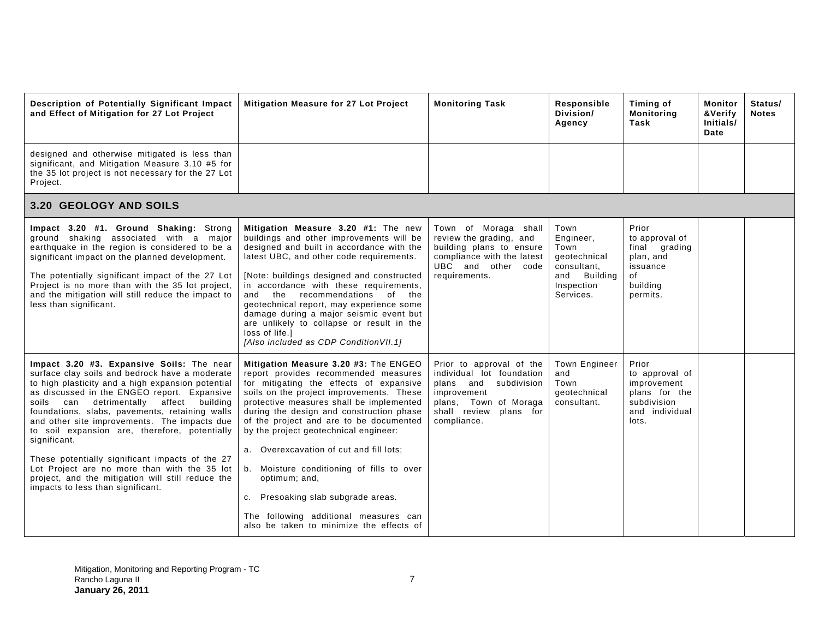| Description of Potentially Significant Impact<br>and Effect of Mitigation for 27 Lot Project                                                                                                                                                                                                                                                                                                                                                                                                                                                                                                                     | Mitigation Measure for 27 Lot Project                                                                                                                                                                                                                                                                                                                                                                                                                                                                                                                                                | <b>Monitoring Task</b>                                                                                                                                          | Responsible<br>Division/<br>Agency                                                                     | Timing of<br><b>Monitoring</b><br>Task                                                            | <b>Monitor</b><br>&Verify<br>Initials/<br>Date | Status/<br><b>Notes</b> |
|------------------------------------------------------------------------------------------------------------------------------------------------------------------------------------------------------------------------------------------------------------------------------------------------------------------------------------------------------------------------------------------------------------------------------------------------------------------------------------------------------------------------------------------------------------------------------------------------------------------|--------------------------------------------------------------------------------------------------------------------------------------------------------------------------------------------------------------------------------------------------------------------------------------------------------------------------------------------------------------------------------------------------------------------------------------------------------------------------------------------------------------------------------------------------------------------------------------|-----------------------------------------------------------------------------------------------------------------------------------------------------------------|--------------------------------------------------------------------------------------------------------|---------------------------------------------------------------------------------------------------|------------------------------------------------|-------------------------|
| designed and otherwise mitigated is less than<br>significant, and Mitigation Measure 3.10 #5 for<br>the 35 lot project is not necessary for the 27 Lot<br>Project.                                                                                                                                                                                                                                                                                                                                                                                                                                               |                                                                                                                                                                                                                                                                                                                                                                                                                                                                                                                                                                                      |                                                                                                                                                                 |                                                                                                        |                                                                                                   |                                                |                         |
| <b>3.20 GEOLOGY AND SOILS</b>                                                                                                                                                                                                                                                                                                                                                                                                                                                                                                                                                                                    |                                                                                                                                                                                                                                                                                                                                                                                                                                                                                                                                                                                      |                                                                                                                                                                 |                                                                                                        |                                                                                                   |                                                |                         |
| Impact 3.20 #1. Ground Shaking: Strong<br>ground shaking associated with a major<br>earthquake in the region is considered to be a<br>significant impact on the planned development.<br>The potentially significant impact of the 27 Lot<br>Project is no more than with the 35 lot project,<br>and the mitigation will still reduce the impact to<br>less than significant.                                                                                                                                                                                                                                     | Mitigation Measure 3.20 #1: The new<br>buildings and other improvements will be<br>designed and built in accordance with the<br>latest UBC, and other code requirements.<br>[Note: buildings designed and constructed<br>in accordance with these requirements,<br>and the recommendations<br>of the<br>geotechnical report, may experience some<br>damage during a major seismic event but<br>are unlikely to collapse or result in the<br>loss of life.1<br>[Also included as CDP Condition VII.1]                                                                                 | Town of Moraga shall<br>review the grading, and<br>building plans to ensure<br>compliance with the latest<br>UBC and other code<br>requirements.                | Town<br>Engineer,<br>Town<br>geotechnical<br>consultant,<br>Building<br>and<br>Inspection<br>Services. | Prior<br>to approval of<br>final grading<br>plan, and<br>issuance<br>of<br>building<br>permits.   |                                                |                         |
| Impact 3.20 #3. Expansive Soils: The near<br>surface clay soils and bedrock have a moderate<br>to high plasticity and a high expansion potential<br>as discussed in the ENGEO report. Expansive<br>detrimentally<br>affect building<br>soils can<br>foundations, slabs, pavements, retaining walls<br>and other site improvements. The impacts due<br>to soil expansion are, therefore, potentially<br>significant.<br>These potentially significant impacts of the 27<br>Lot Project are no more than with the 35 lot<br>project, and the mitigation will still reduce the<br>impacts to less than significant. | Mitigation Measure 3.20 #3: The ENGEO<br>report provides recommended measures<br>for mitigating the effects of expansive<br>soils on the project improvements. These<br>protective measures shall be implemented<br>during the design and construction phase<br>of the project and are to be documented<br>by the project geotechnical engineer:<br>a. Overexcavation of cut and fill lots;<br>b. Moisture conditioning of fills to over<br>optimum; and,<br>c. Presoaking slab subgrade areas.<br>The following additional measures can<br>also be taken to minimize the effects of | Prior to approval of the<br>individual lot foundation<br>plans and subdivision<br>improvement<br>plans, Town of Moraga<br>shall review plans for<br>compliance. | <b>Town Engineer</b><br>and<br>Town<br>deotechnical<br>consultant.                                     | Prior<br>to approval of<br>improvement<br>plans for the<br>subdivision<br>and individual<br>lots. |                                                |                         |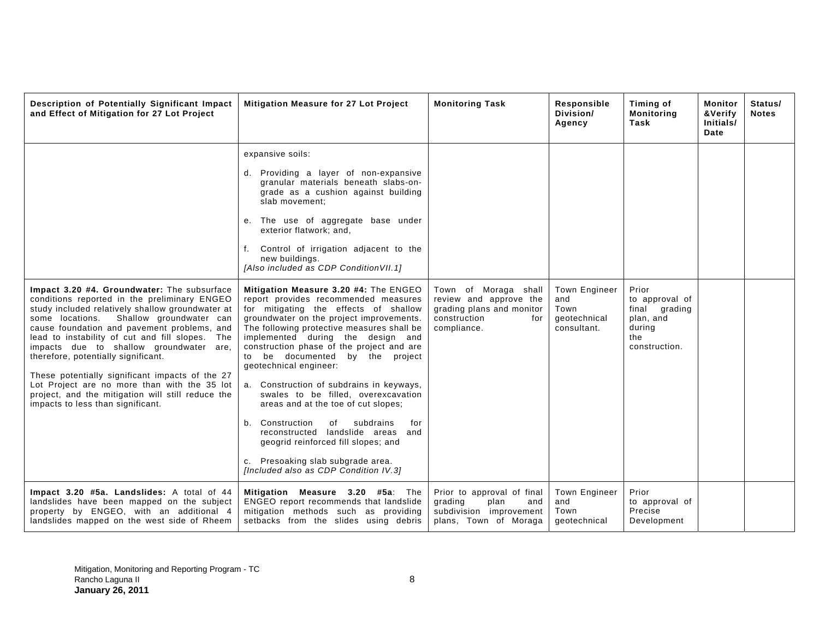| Description of Potentially Significant Impact<br>and Effect of Mitigation for 27 Lot Project                                                                                                                                                                                                                                                                                                                                                                                                                                                                                   | <b>Mitigation Measure for 27 Lot Project</b>                                                                                                                                                                                                                                                                                                                                                                                                                                                                                                                                                                                                                                                                                                                                                                                                                                                                                                                                                                                            | <b>Monitoring Task</b>                                                                                            | Responsible<br>Division/<br>Agency                                 | Timing of<br><b>Monitoring</b><br>Task                                                  | <b>Monitor</b><br>Status/<br>&Verify<br><b>Notes</b><br>Initials/<br>Date |
|--------------------------------------------------------------------------------------------------------------------------------------------------------------------------------------------------------------------------------------------------------------------------------------------------------------------------------------------------------------------------------------------------------------------------------------------------------------------------------------------------------------------------------------------------------------------------------|-----------------------------------------------------------------------------------------------------------------------------------------------------------------------------------------------------------------------------------------------------------------------------------------------------------------------------------------------------------------------------------------------------------------------------------------------------------------------------------------------------------------------------------------------------------------------------------------------------------------------------------------------------------------------------------------------------------------------------------------------------------------------------------------------------------------------------------------------------------------------------------------------------------------------------------------------------------------------------------------------------------------------------------------|-------------------------------------------------------------------------------------------------------------------|--------------------------------------------------------------------|-----------------------------------------------------------------------------------------|---------------------------------------------------------------------------|
| Impact 3.20 #4. Groundwater: The subsurface<br>conditions reported in the preliminary ENGEO<br>study included relatively shallow groundwater at<br>some locations.<br>Shallow groundwater can<br>cause foundation and pavement problems, and<br>lead to instability of cut and fill slopes. The<br>impacts due to shallow groundwater are,<br>therefore, potentially significant.<br>These potentially significant impacts of the 27<br>Lot Project are no more than with the 35 lot<br>project, and the mitigation will still reduce the<br>impacts to less than significant. | expansive soils:<br>d. Providing a layer of non-expansive<br>granular materials beneath slabs-on-<br>grade as a cushion against building<br>slab movement;<br>e. The use of aggregate base under<br>exterior flatwork; and,<br>f. Control of irrigation adjacent to the<br>new buildings.<br>[Also included as CDP Condition VII.1]<br>Mitigation Measure 3.20 #4: The ENGEO<br>report provides recommended measures<br>for mitigating the effects of shallow<br>groundwater on the project improvements.<br>The following protective measures shall be<br>implemented during the design and<br>construction phase of the project and are<br>to be documented by the project<br>geotechnical engineer:<br>a. Construction of subdrains in keyways,<br>swales to be filled, overexcavation<br>areas and at the toe of cut slopes;<br>b. Construction<br>subdrains<br>of<br>for<br>reconstructed landslide areas and<br>geogrid reinforced fill slopes; and<br>c. Presoaking slab subgrade area.<br>[Included also as CDP Condition IV.3] | Town of Moraga shall<br>review and approve the<br>grading plans and monitor<br>construction<br>for<br>compliance. | <b>Town Engineer</b><br>and<br>Town<br>qeotechnical<br>consultant. | Prior<br>to approval of<br>final grading<br>plan, and<br>during<br>the<br>construction. |                                                                           |
| Impact 3.20 #5a. Landslides: A total of 44<br>landslides have been mapped on the subject<br>property by ENGEO, with an additional 4<br>landslides mapped on the west side of Rheem                                                                                                                                                                                                                                                                                                                                                                                             | Mitigation Measure 3.20 #5a: The<br>ENGEO report recommends that landslide<br>mitigation methods such as providing<br>setbacks from the slides using debris                                                                                                                                                                                                                                                                                                                                                                                                                                                                                                                                                                                                                                                                                                                                                                                                                                                                             | Prior to approval of final<br>grading<br>plan<br>and<br>subdivision improvement<br>plans, Town of Moraga          | Town Engineer<br>and<br>Town<br>geotechnical                       | Prior<br>to approval of<br>Precise<br>Development                                       |                                                                           |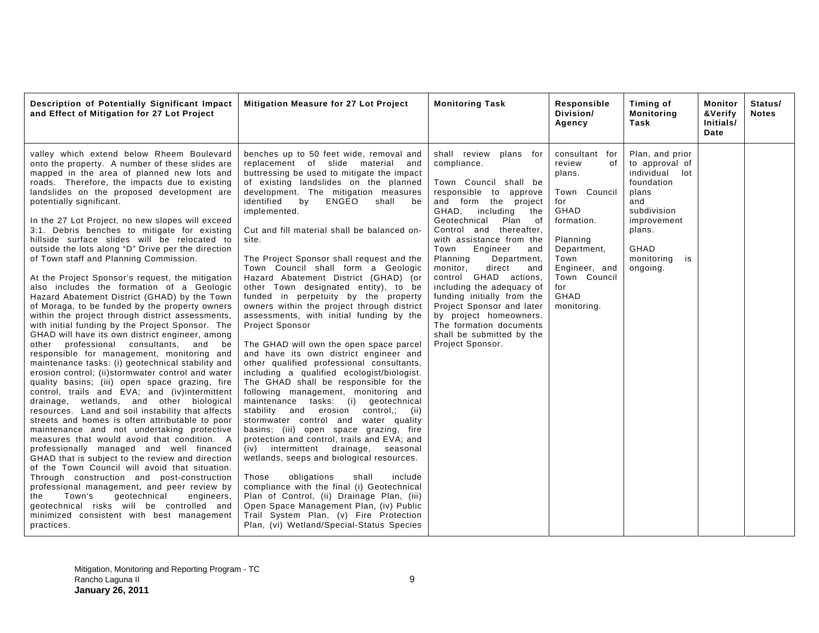| Description of Potentially Significant Impact<br>and Effect of Mitigation for 27 Lot Project                                                                                                                                                                                                                                                                                                                                                                                                                                                                                                                                                                                                                                                                                                                                                                                                                                                                                                                                                                                                                                                                                                                                                                                                                                                                                                                                                                                                                                                                                                                                                                                                                                                                                                                                                           | Mitigation Measure for 27 Lot Project                                                                                                                                                                                                                                                                                                                                                                                                                                                                                                                                                                                                                                                                                                                                                                                                                                                                                                                                                                                                                                                                                                                                                                                                                                                                                                                                                                                                                                                                   | <b>Monitoring Task</b>                                                                                                                                                                                                                                                                                                                                                                                                                                                                                                                    | Responsible<br>Division/<br>Agency                                                                                                                                                      | Timing of<br>Monitoring<br>Task                                                                                                                                   | Monitor<br>&Verify<br>Initials/<br>Date | Status/<br><b>Notes</b> |
|--------------------------------------------------------------------------------------------------------------------------------------------------------------------------------------------------------------------------------------------------------------------------------------------------------------------------------------------------------------------------------------------------------------------------------------------------------------------------------------------------------------------------------------------------------------------------------------------------------------------------------------------------------------------------------------------------------------------------------------------------------------------------------------------------------------------------------------------------------------------------------------------------------------------------------------------------------------------------------------------------------------------------------------------------------------------------------------------------------------------------------------------------------------------------------------------------------------------------------------------------------------------------------------------------------------------------------------------------------------------------------------------------------------------------------------------------------------------------------------------------------------------------------------------------------------------------------------------------------------------------------------------------------------------------------------------------------------------------------------------------------------------------------------------------------------------------------------------------------|---------------------------------------------------------------------------------------------------------------------------------------------------------------------------------------------------------------------------------------------------------------------------------------------------------------------------------------------------------------------------------------------------------------------------------------------------------------------------------------------------------------------------------------------------------------------------------------------------------------------------------------------------------------------------------------------------------------------------------------------------------------------------------------------------------------------------------------------------------------------------------------------------------------------------------------------------------------------------------------------------------------------------------------------------------------------------------------------------------------------------------------------------------------------------------------------------------------------------------------------------------------------------------------------------------------------------------------------------------------------------------------------------------------------------------------------------------------------------------------------------------|-------------------------------------------------------------------------------------------------------------------------------------------------------------------------------------------------------------------------------------------------------------------------------------------------------------------------------------------------------------------------------------------------------------------------------------------------------------------------------------------------------------------------------------------|-----------------------------------------------------------------------------------------------------------------------------------------------------------------------------------------|-------------------------------------------------------------------------------------------------------------------------------------------------------------------|-----------------------------------------|-------------------------|
| valley which extend below Rheem Boulevard<br>onto the property. A number of these slides are<br>mapped in the area of planned new lots and<br>roads. Therefore, the impacts due to existing<br>landslides on the proposed development are<br>potentially significant.<br>In the 27 Lot Project, no new slopes will exceed<br>3:1. Debris benches to mitigate for existing<br>hillside surface slides will be relocated to<br>outside the lots along "D" Drive per the direction<br>of Town staff and Planning Commission.<br>At the Project Sponsor's request, the mitigation<br>also includes the formation of a Geologic<br>Hazard Abatement District (GHAD) by the Town<br>of Moraga, to be funded by the property owners<br>within the project through district assessments,<br>with initial funding by the Project Sponsor. The<br>GHAD will have its own district engineer, among<br>professional consultants, and be<br>other<br>responsible for management, monitoring and<br>maintenance tasks: (i) geotechnical stability and<br>erosion control; (ii)stormwater control and water<br>quality basins; (iii) open space grazing, fire<br>control, trails and EVA; and (iv)intermittent<br>drainage, wetlands, and other biological<br>resources. Land and soil instability that affects<br>streets and homes is often attributable to poor<br>maintenance and not undertaking protective<br>measures that would avoid that condition. A<br>professionally managed and well financed<br>GHAD that is subject to the review and direction<br>of the Town Council will avoid that situation.<br>Through construction and post-construction<br>professional management, and peer review by<br>Town's<br>geotechnical<br>engineers,<br>the<br>geotechnical risks will be controlled and<br>minimized consistent with best management<br>practices. | benches up to 50 feet wide, removal and<br>replacement of slide material and<br>buttressing be used to mitigate the impact<br>of existing landslides on the planned<br>development. The mitigation measures<br>identified<br>by<br>ENGEO<br>shall be<br>implemented.<br>Cut and fill material shall be balanced on-<br>site.<br>The Project Sponsor shall request and the<br>Town Council shall form a Geologic<br>Hazard Abatement District (GHAD) (or<br>other Town designated entity), to be<br>funded in perpetuity by the property<br>owners within the project through district<br>assessments, with initial funding by the<br>Project Sponsor<br>The GHAD will own the open space parcel<br>and have its own district engineer and<br>other qualified professional consultants,<br>including a qualified ecologist/biologist.<br>The GHAD shall be responsible for the<br>following management, monitoring and<br>maintenance tasks: (i) geotechnical<br>stability and erosion control,; (ii)<br>stormwater control and water quality<br>basins; (iii) open space grazing, fire<br>protection and control, trails and EVA; and<br>(iv) intermittent drainage,<br>seasonal<br>wetlands, seeps and biological resources.<br>obligations<br>Those<br>shall<br>include<br>compliance with the final (i) Geotechnical<br>Plan of Control, (ii) Drainage Plan, (iii)<br>Open Space Management Plan, (iv) Public<br>Trail System Plan, (v) Fire Protection<br>Plan, (vi) Wetland/Special-Status Species | shall review<br>plans for<br>compliance.<br>Town Council shall be<br>responsible to approve<br>and form the project<br>GHAD, including<br>the<br>Geotechnical<br>Plan of<br>Control and thereafter.<br>with assistance from the<br>Engineer<br>Town<br>and<br>Department,<br>Planning<br>monitor,<br>direct<br>and<br>control GHAD actions,<br>including the adequacy of<br>funding initially from the<br>Project Sponsor and later<br>by project homeowners.<br>The formation documents<br>shall be submitted by the<br>Project Sponsor. | consultant for<br>of<br>review<br>plans.<br>Town Council<br>for<br>GHAD<br>formation.<br>Planning<br>Department,<br>Town<br>Engineer, and<br>Town Council<br>for<br>GHAD<br>monitoring. | Plan, and prior<br>to approval of<br>individual lot<br>foundation<br>plans<br>and<br>subdivision<br>improvement<br>plans.<br>GHAD<br>monitoring<br>is<br>ongoing. |                                         |                         |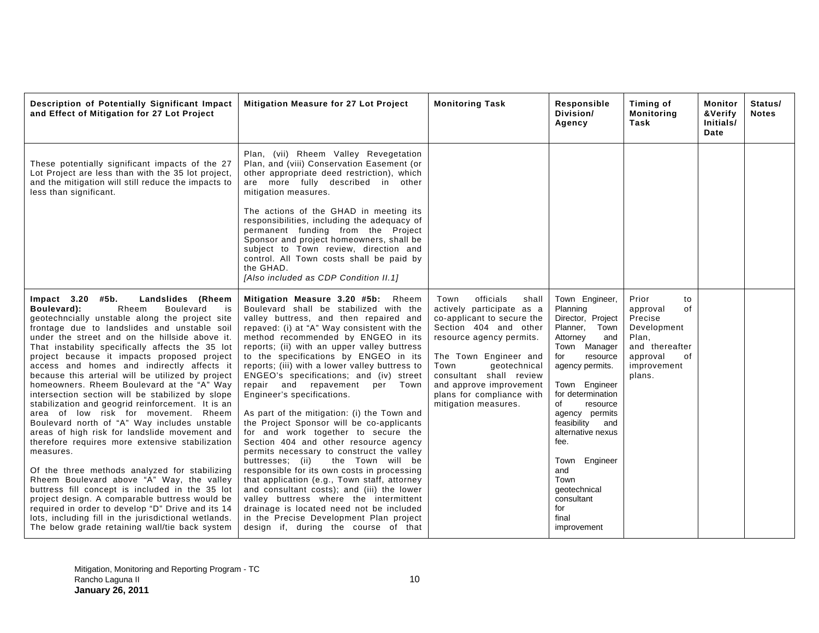| Description of Potentially Significant Impact<br>and Effect of Mitigation for 27 Lot Project                                                                                                                                                                                                                                                                                                                                                                                                                                                                                                                                                                                                                                                                                                                                                                                                                                                                                                                                                                                                                                                                                   | Mitigation Measure for 27 Lot Project                                                                                                                                                                                                                                                                                                                                                                                                                                                                                                                                                                                                                                                                                                                                                                                                                                                                                                                                                                                                                   | <b>Monitoring Task</b>                                                                                                                                                                                                                                                                                 | Responsible<br>Division/<br>Agency                                                                                                                                                                                                                                                                                                                                     | Timing of<br><b>Monitoring</b><br>Task                                                                                        | Monitor<br><b>&amp;Verify</b><br>Initials/<br>Date | Status/<br><b>Notes</b> |
|--------------------------------------------------------------------------------------------------------------------------------------------------------------------------------------------------------------------------------------------------------------------------------------------------------------------------------------------------------------------------------------------------------------------------------------------------------------------------------------------------------------------------------------------------------------------------------------------------------------------------------------------------------------------------------------------------------------------------------------------------------------------------------------------------------------------------------------------------------------------------------------------------------------------------------------------------------------------------------------------------------------------------------------------------------------------------------------------------------------------------------------------------------------------------------|---------------------------------------------------------------------------------------------------------------------------------------------------------------------------------------------------------------------------------------------------------------------------------------------------------------------------------------------------------------------------------------------------------------------------------------------------------------------------------------------------------------------------------------------------------------------------------------------------------------------------------------------------------------------------------------------------------------------------------------------------------------------------------------------------------------------------------------------------------------------------------------------------------------------------------------------------------------------------------------------------------------------------------------------------------|--------------------------------------------------------------------------------------------------------------------------------------------------------------------------------------------------------------------------------------------------------------------------------------------------------|------------------------------------------------------------------------------------------------------------------------------------------------------------------------------------------------------------------------------------------------------------------------------------------------------------------------------------------------------------------------|-------------------------------------------------------------------------------------------------------------------------------|----------------------------------------------------|-------------------------|
| These potentially significant impacts of the 27<br>Lot Project are less than with the 35 lot project,<br>and the mitigation will still reduce the impacts to<br>less than significant.                                                                                                                                                                                                                                                                                                                                                                                                                                                                                                                                                                                                                                                                                                                                                                                                                                                                                                                                                                                         | Plan, (vii) Rheem Valley Revegetation<br>Plan, and (viii) Conservation Easement (or<br>other appropriate deed restriction), which<br>are more fully described in other<br>mitigation measures.                                                                                                                                                                                                                                                                                                                                                                                                                                                                                                                                                                                                                                                                                                                                                                                                                                                          |                                                                                                                                                                                                                                                                                                        |                                                                                                                                                                                                                                                                                                                                                                        |                                                                                                                               |                                                    |                         |
|                                                                                                                                                                                                                                                                                                                                                                                                                                                                                                                                                                                                                                                                                                                                                                                                                                                                                                                                                                                                                                                                                                                                                                                | The actions of the GHAD in meeting its<br>responsibilities, including the adequacy of<br>permanent funding from the Project<br>Sponsor and project homeowners, shall be<br>subject to Town review, direction and<br>control. All Town costs shall be paid by<br>the GHAD.<br>[Also included as CDP Condition II.1]                                                                                                                                                                                                                                                                                                                                                                                                                                                                                                                                                                                                                                                                                                                                      |                                                                                                                                                                                                                                                                                                        |                                                                                                                                                                                                                                                                                                                                                                        |                                                                                                                               |                                                    |                         |
| Impact $3.20$ #5b.<br>Landslides (Rheem<br>Boulevard):<br>Rheem<br>Boulevard<br>is<br>geotechncially unstable along the project site<br>frontage due to landslides and unstable soil<br>under the street and on the hillside above it.<br>That instability specifically affects the 35 lot<br>project because it impacts proposed project<br>access and homes and indirectly affects it<br>because this arterial will be utilized by project<br>homeowners. Rheem Boulevard at the "A" Way<br>intersection section will be stabilized by slope<br>stabilization and geogrid reinforcement. It is an<br>area of low risk for movement. Rheem<br>Boulevard north of "A" Way includes unstable<br>areas of high risk for landslide movement and<br>therefore requires more extensive stabilization<br>measures.<br>Of the three methods analyzed for stabilizing<br>Rheem Boulevard above "A" Way, the valley<br>buttress fill concept is included in the 35 lot<br>project design. A comparable buttress would be<br>required in order to develop "D" Drive and its 14<br>lots, including fill in the jurisdictional wetlands.<br>The below grade retaining wall/tie back system | Mitigation Measure 3.20 #5b: Rheem<br>Boulevard shall be stabilized with the<br>valley buttress, and then repaired and<br>repaved: (i) at "A" Way consistent with the<br>method recommended by ENGEO in its<br>reports; (ii) with an upper valley buttress<br>to the specifications by ENGEO in its<br>reports; (iii) with a lower valley buttress to<br>ENGEO's specifications; and (iv) street<br>repair and repavement per Town<br>Engineer's specifications.<br>As part of the mitigation: (i) the Town and<br>the Project Sponsor will be co-applicants<br>for and work together to secure the<br>Section 404 and other resource agency<br>permits necessary to construct the valley<br>buttresses; (ii)<br>the Town will be<br>responsible for its own costs in processing<br>that application (e.g., Town staff, attorney<br>and consultant costs); and (iii) the lower<br>valley buttress where the intermittent<br>drainage is located need not be included<br>in the Precise Development Plan project<br>design if, during the course of that | officials<br>Town<br>shall<br>actively participate as a<br>co-applicant to secure the<br>Section 404 and other<br>resource agency permits.<br>The Town Engineer and<br>Town<br>geotechnical<br>consultant shall review<br>and approve improvement<br>plans for compliance with<br>mitigation measures. | Town Engineer,<br>Planning<br>Director, Project<br>Planner,<br>Town<br>Attorney<br>and<br>Town Manager<br>for<br>resource<br>agency permits.<br>Town Engineer<br>for determination<br>of<br>resource<br>agency permits<br>feasibility<br>and<br>alternative nexus<br>fee.<br>Town Engineer<br>and<br>Town<br>geotechnical<br>consultant<br>for<br>final<br>improvement | Prior<br>to<br>of<br>approval<br>Precise<br>Development<br>Plan,<br>and thereafter<br>approval<br>οf<br>improvement<br>plans. |                                                    |                         |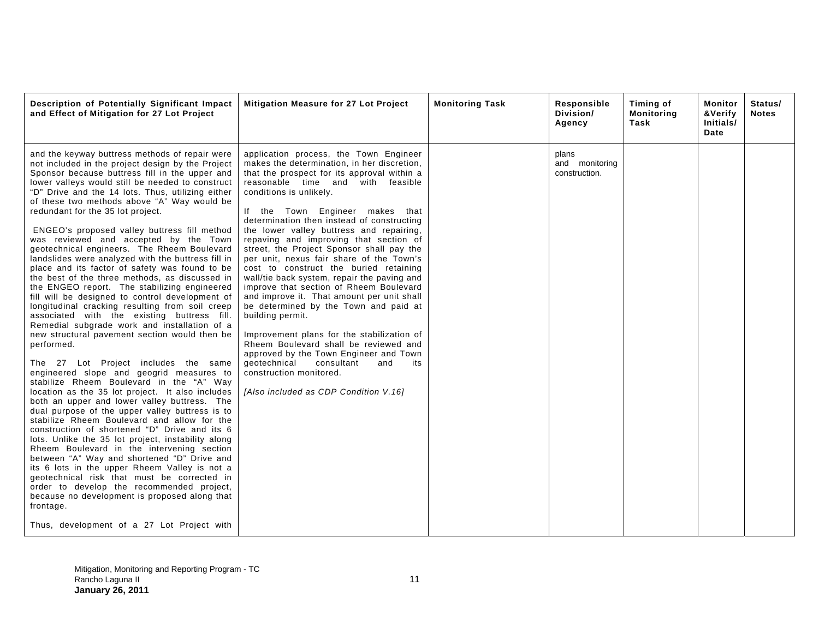| Description of Potentially Significant Impact<br>and Effect of Mitigation for 27 Lot Project                                                                                                                                                                                                                                                                                                                                                                                                                                                                                                                                                                                                                                                                                                                                                                                                                                                                                                                                                                                                                                                                                                                                                                                                                                                                                                                                                                                                                                                                                                                                                                                                                                                                                | <b>Mitigation Measure for 27 Lot Project</b>                                                                                                                                                                                                                                                                                                                                                                                                                                                                                                                                                                                                                                                                                                                                                                                                                                                                                                                         | <b>Monitoring Task</b> | Responsible<br>Division/<br>Agency       | Timing of<br><b>Monitoring</b><br>Task | Monitor<br>&Verify<br>Initials/<br>Date | Status/<br><b>Notes</b> |
|-----------------------------------------------------------------------------------------------------------------------------------------------------------------------------------------------------------------------------------------------------------------------------------------------------------------------------------------------------------------------------------------------------------------------------------------------------------------------------------------------------------------------------------------------------------------------------------------------------------------------------------------------------------------------------------------------------------------------------------------------------------------------------------------------------------------------------------------------------------------------------------------------------------------------------------------------------------------------------------------------------------------------------------------------------------------------------------------------------------------------------------------------------------------------------------------------------------------------------------------------------------------------------------------------------------------------------------------------------------------------------------------------------------------------------------------------------------------------------------------------------------------------------------------------------------------------------------------------------------------------------------------------------------------------------------------------------------------------------------------------------------------------------|----------------------------------------------------------------------------------------------------------------------------------------------------------------------------------------------------------------------------------------------------------------------------------------------------------------------------------------------------------------------------------------------------------------------------------------------------------------------------------------------------------------------------------------------------------------------------------------------------------------------------------------------------------------------------------------------------------------------------------------------------------------------------------------------------------------------------------------------------------------------------------------------------------------------------------------------------------------------|------------------------|------------------------------------------|----------------------------------------|-----------------------------------------|-------------------------|
| and the keyway buttress methods of repair were<br>not included in the project design by the Project<br>Sponsor because buttress fill in the upper and<br>lower valleys would still be needed to construct<br>"D" Drive and the 14 lots. Thus, utilizing either<br>of these two methods above "A" Way would be<br>redundant for the 35 lot project.<br>ENGEO's proposed valley buttress fill method<br>was reviewed and accepted by the Town<br>geotechnical engineers. The Rheem Boulevard<br>landslides were analyzed with the buttress fill in<br>place and its factor of safety was found to be<br>the best of the three methods, as discussed in<br>the ENGEO report. The stabilizing engineered<br>fill will be designed to control development of<br>longitudinal cracking resulting from soil creep<br>associated with the existing buttress fill.<br>Remedial subgrade work and installation of a<br>new structural pavement section would then be<br>performed.<br>The 27 Lot Project includes the same<br>engineered slope and geogrid measures to<br>stabilize Rheem Boulevard in the "A" Way<br>location as the 35 lot project. It also includes<br>both an upper and lower valley buttress. The<br>dual purpose of the upper valley buttress is to<br>stabilize Rheem Boulevard and allow for the<br>construction of shortened "D" Drive and its 6<br>lots. Unlike the 35 lot project, instability along<br>Rheem Boulevard in the intervening section<br>between "A" Way and shortened "D" Drive and<br>its 6 lots in the upper Rheem Valley is not a<br>geotechnical risk that must be corrected in<br>order to develop the recommended project,<br>because no development is proposed along that<br>frontage.<br>Thus, development of a 27 Lot Project with | application process, the Town Engineer<br>makes the determination, in her discretion,<br>that the prospect for its approval within a<br>reasonable time and with feasible<br>conditions is unlikely.<br>If the Town Engineer makes that<br>determination then instead of constructing<br>the lower valley buttress and repairing,<br>repaving and improving that section of<br>street, the Project Sponsor shall pay the<br>per unit, nexus fair share of the Town's<br>cost to construct the buried retaining<br>wall/tie back system, repair the paving and<br>improve that section of Rheem Boulevard<br>and improve it. That amount per unit shall<br>be determined by the Town and paid at<br>building permit.<br>Improvement plans for the stabilization of<br>Rheem Boulevard shall be reviewed and<br>approved by the Town Engineer and Town<br>qeotechnical<br>consultant<br>and<br>its<br>construction monitored.<br>[Also included as CDP Condition V.16] |                        | plans<br>and monitoring<br>construction. |                                        |                                         |                         |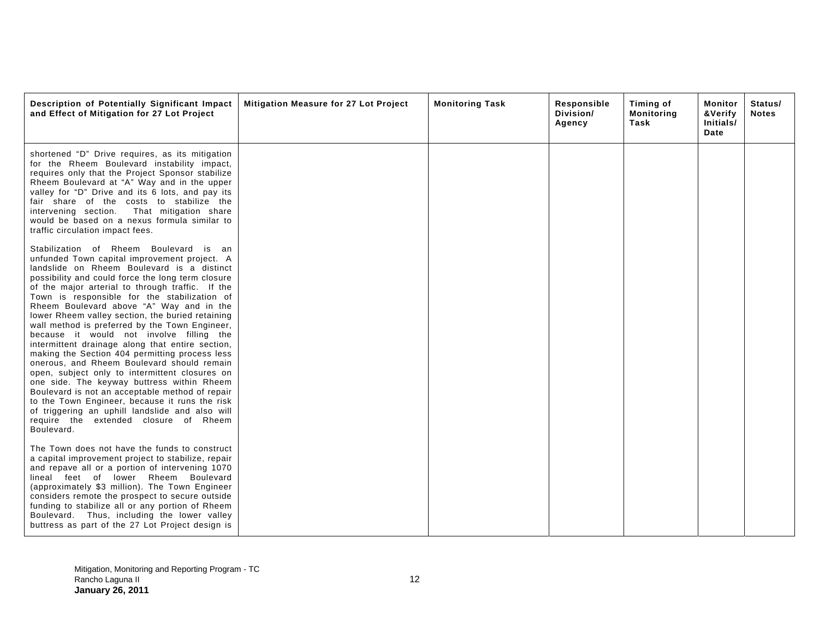| Description of Potentially Significant Impact<br>and Effect of Mitigation for 27 Lot Project                                                                                                                                                                                                                                                                                                                                                                                                                                                                                                                                                                                                                                                                                                                                                                                                                                                                   | Mitigation Measure for 27 Lot Project | <b>Monitoring Task</b> | Responsible<br>Division/<br>Agency | Timing of<br>Monitoring<br>Task | Monitor<br>&Verify<br>Initials/<br>Date | Status/<br><b>Notes</b> |
|----------------------------------------------------------------------------------------------------------------------------------------------------------------------------------------------------------------------------------------------------------------------------------------------------------------------------------------------------------------------------------------------------------------------------------------------------------------------------------------------------------------------------------------------------------------------------------------------------------------------------------------------------------------------------------------------------------------------------------------------------------------------------------------------------------------------------------------------------------------------------------------------------------------------------------------------------------------|---------------------------------------|------------------------|------------------------------------|---------------------------------|-----------------------------------------|-------------------------|
| shortened "D" Drive requires, as its mitigation<br>for the Rheem Boulevard instability impact,<br>requires only that the Project Sponsor stabilize<br>Rheem Boulevard at "A" Way and in the upper<br>valley for "D" Drive and its 6 lots, and pay its<br>fair share of the costs to stabilize the<br>intervening section.<br>That mitigation share<br>would be based on a nexus formula similar to<br>traffic circulation impact fees.                                                                                                                                                                                                                                                                                                                                                                                                                                                                                                                         |                                       |                        |                                    |                                 |                                         |                         |
| Stabilization of Rheem Boulevard is an<br>unfunded Town capital improvement project. A<br>landslide on Rheem Boulevard is a distinct<br>possibility and could force the long term closure<br>of the major arterial to through traffic. If the<br>Town is responsible for the stabilization of<br>Rheem Boulevard above "A" Way and in the<br>lower Rheem valley section, the buried retaining<br>wall method is preferred by the Town Engineer,<br>because it would not involve filling the<br>intermittent drainage along that entire section,<br>making the Section 404 permitting process less<br>onerous, and Rheem Boulevard should remain<br>open, subject only to intermittent closures on<br>one side. The keyway buttress within Rheem<br>Boulevard is not an acceptable method of repair<br>to the Town Engineer, because it runs the risk<br>of triggering an uphill landslide and also will<br>require the extended closure of Rheem<br>Boulevard. |                                       |                        |                                    |                                 |                                         |                         |
| The Town does not have the funds to construct<br>a capital improvement project to stabilize, repair<br>and repave all or a portion of intervening 1070<br>lineal feet of lower Rheem Boulevard<br>(approximately \$3 million). The Town Engineer<br>considers remote the prospect to secure outside<br>funding to stabilize all or any portion of Rheem<br>Boulevard. Thus, including the lower valley<br>buttress as part of the 27 Lot Project design is                                                                                                                                                                                                                                                                                                                                                                                                                                                                                                     |                                       |                        |                                    |                                 |                                         |                         |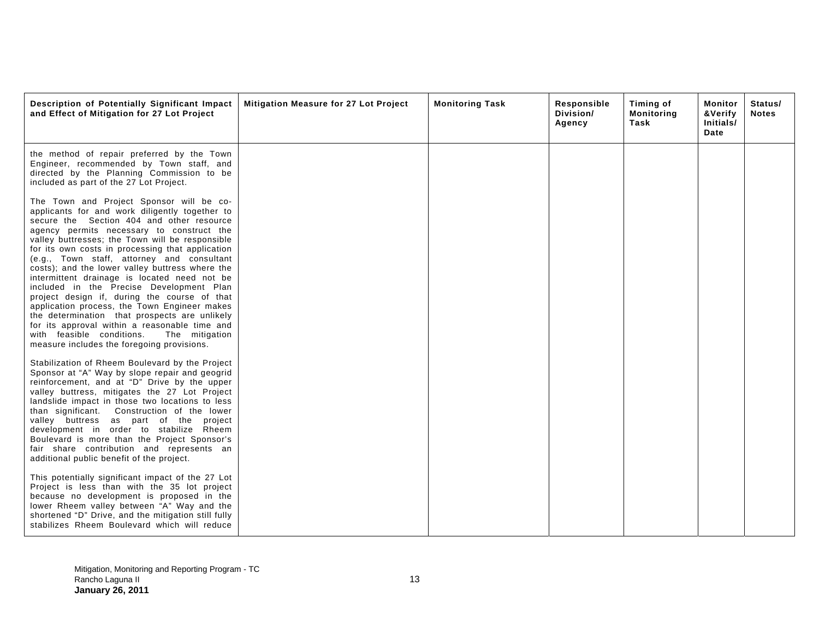| Description of Potentially Significant Impact<br>and Effect of Mitigation for 27 Lot Project                                                                                                                                                                                                                                                                                                                                                                                                                                                                                                                                                                                                                                                                                            | Mitigation Measure for 27 Lot Project | <b>Monitoring Task</b> | Responsible<br>Division/<br>Agency | Timing of<br><b>Monitoring</b><br>Task | Monitor<br>&Verify<br>Initials/<br>Date | Status/<br><b>Notes</b> |
|-----------------------------------------------------------------------------------------------------------------------------------------------------------------------------------------------------------------------------------------------------------------------------------------------------------------------------------------------------------------------------------------------------------------------------------------------------------------------------------------------------------------------------------------------------------------------------------------------------------------------------------------------------------------------------------------------------------------------------------------------------------------------------------------|---------------------------------------|------------------------|------------------------------------|----------------------------------------|-----------------------------------------|-------------------------|
| the method of repair preferred by the Town<br>Engineer, recommended by Town staff, and<br>directed by the Planning Commission to be<br>included as part of the 27 Lot Project.                                                                                                                                                                                                                                                                                                                                                                                                                                                                                                                                                                                                          |                                       |                        |                                    |                                        |                                         |                         |
| The Town and Project Sponsor will be co-<br>applicants for and work diligently together to<br>secure the Section 404 and other resource<br>agency permits necessary to construct the<br>valley buttresses; the Town will be responsible<br>for its own costs in processing that application<br>(e.g., Town staff, attorney and consultant<br>costs); and the lower valley buttress where the<br>intermittent drainage is located need not be<br>included in the Precise Development Plan<br>project design if, during the course of that<br>application process, the Town Engineer makes<br>the determination that prospects are unlikely<br>for its approval within a reasonable time and<br>with feasible conditions.<br>The mitigation<br>measure includes the foregoing provisions. |                                       |                        |                                    |                                        |                                         |                         |
| Stabilization of Rheem Boulevard by the Project<br>Sponsor at "A" Way by slope repair and geogrid<br>reinforcement, and at "D" Drive by the upper<br>valley buttress, mitigates the 27 Lot Project<br>landslide impact in those two locations to less<br>than significant. Construction of the lower<br>valley buttress as part of the project<br>development in order to stabilize Rheem<br>Boulevard is more than the Project Sponsor's<br>fair share contribution and represents an<br>additional public benefit of the project.                                                                                                                                                                                                                                                     |                                       |                        |                                    |                                        |                                         |                         |
| This potentially significant impact of the 27 Lot<br>Project is less than with the 35 lot project<br>because no development is proposed in the<br>lower Rheem valley between "A" Way and the<br>shortened "D" Drive, and the mitigation still fully<br>stabilizes Rheem Boulevard which will reduce                                                                                                                                                                                                                                                                                                                                                                                                                                                                                     |                                       |                        |                                    |                                        |                                         |                         |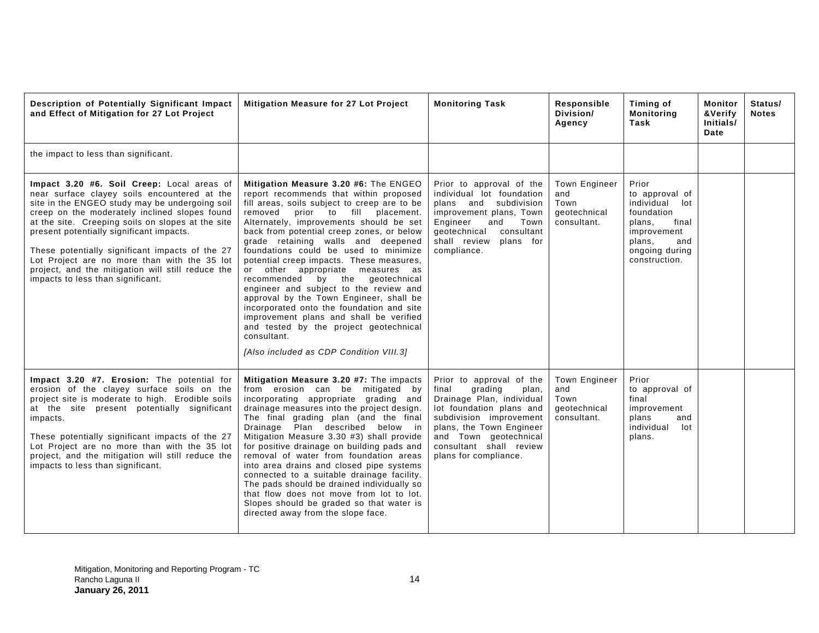| Description of Potentially Significant Impact<br>and Effect of Mitigation for 27 Lot Project                                                                                                                                                                                                                                                                                                                                                                                                | Mitigation Measure for 27 Lot Project                                                                                                                                                                                                                                                                                                                                                                                                                                                                                                                                                                                                                                                                                                                | <b>Monitoring Task</b>                                                                                                                                                                                                                             | Responsible<br>Division/<br>Agency                                 | Timing of<br><b>Monitoring</b><br>Task                                                                                                           | Monitor<br>&Verify<br>Initials/<br>Date | Status/<br><b>Notes</b> |
|---------------------------------------------------------------------------------------------------------------------------------------------------------------------------------------------------------------------------------------------------------------------------------------------------------------------------------------------------------------------------------------------------------------------------------------------------------------------------------------------|------------------------------------------------------------------------------------------------------------------------------------------------------------------------------------------------------------------------------------------------------------------------------------------------------------------------------------------------------------------------------------------------------------------------------------------------------------------------------------------------------------------------------------------------------------------------------------------------------------------------------------------------------------------------------------------------------------------------------------------------------|----------------------------------------------------------------------------------------------------------------------------------------------------------------------------------------------------------------------------------------------------|--------------------------------------------------------------------|--------------------------------------------------------------------------------------------------------------------------------------------------|-----------------------------------------|-------------------------|
| the impact to less than significant.                                                                                                                                                                                                                                                                                                                                                                                                                                                        |                                                                                                                                                                                                                                                                                                                                                                                                                                                                                                                                                                                                                                                                                                                                                      |                                                                                                                                                                                                                                                    |                                                                    |                                                                                                                                                  |                                         |                         |
| Impact 3.20 #6. Soil Creep: Local areas of<br>near surface clayey soils encountered at the<br>site in the ENGEO study may be undergoing soil<br>creep on the moderately inclined slopes found<br>at the site. Creeping soils on slopes at the site<br>present potentially significant impacts.<br>These potentially significant impacts of the 27<br>Lot Project are no more than with the 35 lot<br>project, and the mitigation will still reduce the<br>impacts to less than significant. | Mitigation Measure 3.20 #6: The ENGEO<br>report recommends that within proposed<br>fill areas, soils subject to creep are to be<br>removed<br>prior to fill placement.<br>Alternately, improvements should be set<br>back from potential creep zones, or below<br>grade retaining walls and deepened<br>foundations could be used to minimize<br>potential creep impacts. These measures,<br>or other appropriate measures as<br>by the geotechnical<br>recommended<br>engineer and subject to the review and<br>approval by the Town Engineer, shall be<br>incorporated onto the foundation and site<br>improvement plans and shall be verified<br>and tested by the project geotechnical<br>consultant.<br>[Also included as CDP Condition VIII.3] | Prior to approval of the<br>individual lot foundation<br>plans and subdivision<br>improvement plans, Town<br>Engineer<br>and<br>Town<br>qeotechnical<br>consultant<br>shall review<br>plans for<br>compliance.                                     | <b>Town Engineer</b><br>and<br>Town<br>qeotechnical<br>consultant. | Prior<br>to approval of<br>individual<br>lot<br>foundation<br>plans,<br>final<br>improvement<br>plans,<br>and<br>ongoing during<br>construction. |                                         |                         |
| Impact 3.20 #7. Erosion: The potential for<br>erosion of the clayey surface soils on the<br>project site is moderate to high. Erodible soils<br>at the site present potentially significant<br>impacts.<br>These potentially significant impacts of the 27<br>Lot Project are no more than with the 35 lot<br>project, and the mitigation will still reduce the<br>impacts to less than significant.                                                                                        | Mitigation Measure 3.20 #7: The impacts<br>from erosion can be mitigated by<br>incorporating appropriate grading and<br>drainage measures into the project design.<br>The final grading plan (and the final<br>Drainage Plan described below in<br>Mitigation Measure 3.30 #3) shall provide<br>for positive drainage on building pads and<br>removal of water from foundation areas<br>into area drains and closed pipe systems<br>connected to a suitable drainage facility.<br>The pads should be drained individually so<br>that flow does not move from lot to lot.<br>Slopes should be graded so that water is<br>directed away from the slope face.                                                                                           | Prior to approval of the<br>final<br>grading<br>plan,<br>Drainage Plan, individual<br>lot foundation plans and<br>subdivision improvement<br>plans, the Town Engineer<br>and Town geotechnical<br>consultant shall review<br>plans for compliance. | <b>Town Engineer</b><br>and<br>Town<br>geotechnical<br>consultant. | Prior<br>to approval of<br>final<br>improvement<br>plans<br>and<br>individual<br>lot<br>plans.                                                   |                                         |                         |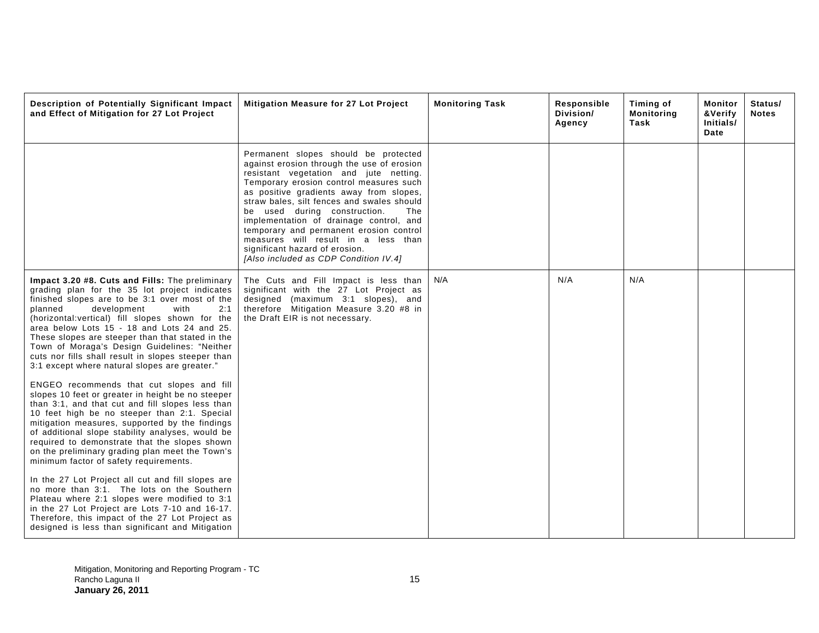| Description of Potentially Significant Impact<br>and Effect of Mitigation for 27 Lot Project                                                                                                                                                                                                                                                                                                                                                                                                              | Mitigation Measure for 27 Lot Project                                                                                                                                                                                                                                                                                                                                                                                                                                                                           | <b>Monitoring Task</b> | Responsible<br>Division/<br>Agency | Timing of<br><b>Monitoring</b><br>Task | Monitor<br>&Verify<br>Initials/<br>Date | Status/<br><b>Notes</b> |
|-----------------------------------------------------------------------------------------------------------------------------------------------------------------------------------------------------------------------------------------------------------------------------------------------------------------------------------------------------------------------------------------------------------------------------------------------------------------------------------------------------------|-----------------------------------------------------------------------------------------------------------------------------------------------------------------------------------------------------------------------------------------------------------------------------------------------------------------------------------------------------------------------------------------------------------------------------------------------------------------------------------------------------------------|------------------------|------------------------------------|----------------------------------------|-----------------------------------------|-------------------------|
|                                                                                                                                                                                                                                                                                                                                                                                                                                                                                                           | Permanent slopes should be protected<br>against erosion through the use of erosion<br>resistant vegetation and jute netting.<br>Temporary erosion control measures such<br>as positive gradients away from slopes,<br>straw bales, silt fences and swales should<br>be used during construction.<br>The<br>implementation of drainage control, and<br>temporary and permanent erosion control<br>measures will result in a less than<br>significant hazard of erosion.<br>[Also included as CDP Condition IV.4] |                        |                                    |                                        |                                         |                         |
| Impact 3.20 #8. Cuts and Fills: The preliminary<br>grading plan for the 35 lot project indicates<br>finished slopes are to be 3:1 over most of the<br>planned<br>development<br>with<br>2:1<br>(horizontal: vertical) fill slopes shown for the<br>area below Lots 15 - 18 and Lots 24 and 25.<br>These slopes are steeper than that stated in the<br>Town of Moraga's Design Guidelines: "Neither<br>cuts nor fills shall result in slopes steeper than<br>3:1 except where natural slopes are greater." | The Cuts and Fill Impact is less than<br>significant with the 27 Lot Project as<br>designed (maximum 3:1 slopes), and<br>therefore Mitigation Measure 3.20 #8 in<br>the Draft EIR is not necessary.                                                                                                                                                                                                                                                                                                             | N/A                    | N/A                                | N/A                                    |                                         |                         |
| ENGEO recommends that cut slopes and fill<br>slopes 10 feet or greater in height be no steeper<br>than 3:1, and that cut and fill slopes less than<br>10 feet high be no steeper than 2:1. Special<br>mitigation measures, supported by the findings<br>of additional slope stability analyses, would be<br>required to demonstrate that the slopes shown<br>on the preliminary grading plan meet the Town's<br>minimum factor of safety requirements.                                                    |                                                                                                                                                                                                                                                                                                                                                                                                                                                                                                                 |                        |                                    |                                        |                                         |                         |
| In the 27 Lot Project all cut and fill slopes are<br>no more than 3:1. The lots on the Southern<br>Plateau where 2:1 slopes were modified to 3:1<br>in the 27 Lot Project are Lots 7-10 and 16-17.<br>Therefore, this impact of the 27 Lot Project as<br>designed is less than significant and Mitigation                                                                                                                                                                                                 |                                                                                                                                                                                                                                                                                                                                                                                                                                                                                                                 |                        |                                    |                                        |                                         |                         |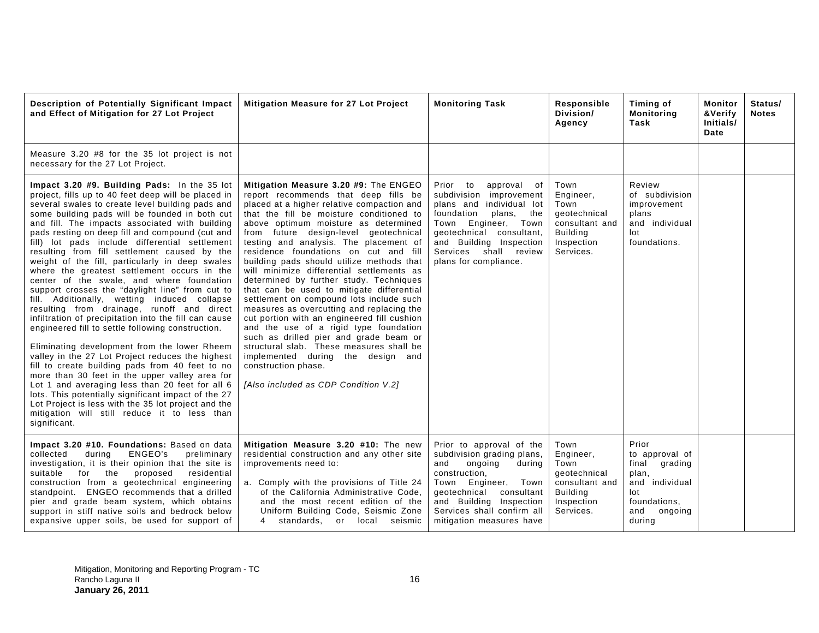| Description of Potentially Significant Impact<br>and Effect of Mitigation for 27 Lot Project                                                                                                                                                                                                                                                                                                                                                                                                                                                                                                                                                                                                                                                                                                                                                                                                                                                                                                                                                                                                                                                                                                                                                                             | Mitigation Measure for 27 Lot Project                                                                                                                                                                                                                                                                                                                                                                                                                                                                                                                                                                                                                                                                                                                                                                                                                                                                     | <b>Monitoring Task</b>                                                                                                                                                                                                                        | Responsible<br>Division/<br>Agency                                                                        | Timing of<br><b>Monitoring</b><br>Task                                                                                    | Monitor<br>&Verify<br>Initials/<br>Date | Status/<br><b>Notes</b> |
|--------------------------------------------------------------------------------------------------------------------------------------------------------------------------------------------------------------------------------------------------------------------------------------------------------------------------------------------------------------------------------------------------------------------------------------------------------------------------------------------------------------------------------------------------------------------------------------------------------------------------------------------------------------------------------------------------------------------------------------------------------------------------------------------------------------------------------------------------------------------------------------------------------------------------------------------------------------------------------------------------------------------------------------------------------------------------------------------------------------------------------------------------------------------------------------------------------------------------------------------------------------------------|-----------------------------------------------------------------------------------------------------------------------------------------------------------------------------------------------------------------------------------------------------------------------------------------------------------------------------------------------------------------------------------------------------------------------------------------------------------------------------------------------------------------------------------------------------------------------------------------------------------------------------------------------------------------------------------------------------------------------------------------------------------------------------------------------------------------------------------------------------------------------------------------------------------|-----------------------------------------------------------------------------------------------------------------------------------------------------------------------------------------------------------------------------------------------|-----------------------------------------------------------------------------------------------------------|---------------------------------------------------------------------------------------------------------------------------|-----------------------------------------|-------------------------|
| Measure 3.20 #8 for the 35 lot project is not<br>necessary for the 27 Lot Project.                                                                                                                                                                                                                                                                                                                                                                                                                                                                                                                                                                                                                                                                                                                                                                                                                                                                                                                                                                                                                                                                                                                                                                                       |                                                                                                                                                                                                                                                                                                                                                                                                                                                                                                                                                                                                                                                                                                                                                                                                                                                                                                           |                                                                                                                                                                                                                                               |                                                                                                           |                                                                                                                           |                                         |                         |
| Impact 3.20 #9. Building Pads: In the 35 lot<br>project, fills up to 40 feet deep will be placed in<br>several swales to create level building pads and<br>some building pads will be founded in both cut<br>and fill. The impacts associated with building<br>pads resting on deep fill and compound (cut and<br>fill) lot pads include differential settlement<br>resulting from fill settlement caused by the<br>weight of the fill, particularly in deep swales<br>where the greatest settlement occurs in the<br>center of the swale, and where foundation<br>support crosses the "daylight line" from cut to<br>fill. Additionally, wetting induced collapse<br>resulting from drainage, runoff and direct<br>infiltration of precipitation into the fill can cause<br>engineered fill to settle following construction.<br>Eliminating development from the lower Rheem<br>valley in the 27 Lot Project reduces the highest<br>fill to create building pads from 40 feet to no<br>more than 30 feet in the upper valley area for<br>Lot 1 and averaging less than 20 feet for all 6<br>lots. This potentially significant impact of the 27<br>Lot Project is less with the 35 lot project and the<br>mitigation will still reduce it to less than<br>significant. | Mitigation Measure 3.20 #9: The ENGEO<br>report recommends that deep fills be<br>placed at a higher relative compaction and<br>that the fill be moisture conditioned to<br>above optimum moisture as determined<br>from future design-level geotechnical<br>testing and analysis. The placement of<br>residence foundations on cut and fill<br>building pads should utilize methods that<br>will minimize differential settlements as<br>determined by further study. Techniques<br>that can be used to mitigate differential<br>settlement on compound lots include such<br>measures as overcutting and replacing the<br>cut portion with an engineered fill cushion<br>and the use of a rigid type foundation<br>such as drilled pier and grade beam or<br>structural slab. These measures shall be<br>implemented during the design and<br>construction phase.<br>[Also included as CDP Condition V.2] | Prior to<br>approval of<br>subdivision improvement<br>plans and individual lot<br>foundation<br>plans, the<br>Town Engineer, Town<br>geotechnical consultant,<br>and Building Inspection<br>Services shall review<br>plans for compliance.    | Town<br>Engineer,<br>Town<br>geotechnical<br>consultant and<br><b>Building</b><br>Inspection<br>Services. | Review<br>of subdivision<br>improvement<br>plans<br>and individual<br>lot<br>foundations.                                 |                                         |                         |
| Impact 3.20 #10. Foundations: Based on data<br>ENGEO's<br>preliminary<br>collected<br>during<br>investigation, it is their opinion that the site is<br>residential<br>suitable<br>for<br>the<br>proposed<br>construction from a geotechnical engineering<br>standpoint. ENGEO recommends that a drilled<br>pier and grade beam system, which obtains<br>support in stiff native soils and bedrock below<br>expansive upper soils, be used for support of                                                                                                                                                                                                                                                                                                                                                                                                                                                                                                                                                                                                                                                                                                                                                                                                                 | Mitigation Measure 3.20 #10: The new<br>residential construction and any other site<br>improvements need to:<br>a. Comply with the provisions of Title 24<br>of the California Administrative Code,<br>and the most recent edition of the<br>Uniform Building Code, Seismic Zone<br>4 standards, or local seismic                                                                                                                                                                                                                                                                                                                                                                                                                                                                                                                                                                                         | Prior to approval of the<br>subdivision grading plans,<br>and<br>ongoing<br>during<br>construction,<br>Town Engineer, Town<br>qeotechnical<br>consultant<br>and Building Inspection<br>Services shall confirm all<br>mitigation measures have | Town<br>Engineer,<br>Town<br>geotechnical<br>consultant and<br><b>Building</b><br>Inspection<br>Services. | Prior<br>to approval of<br>final<br>grading<br>plan,<br>and individual<br>lot<br>foundations,<br>and<br>ongoing<br>during |                                         |                         |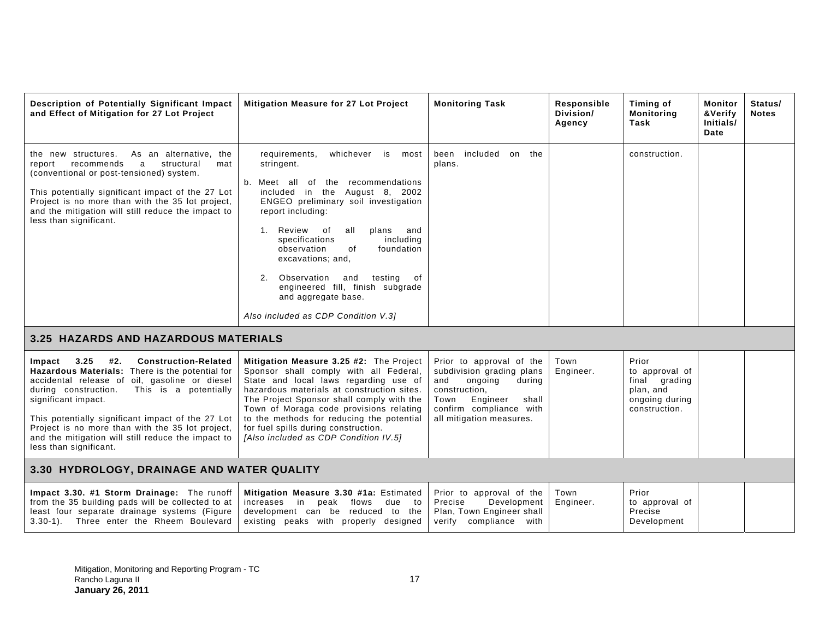| Description of Potentially Significant Impact<br>and Effect of Mitigation for 27 Lot Project                                                                                                                                                                                                                                                                                                                              | <b>Mitigation Measure for 27 Lot Project</b>                                                                                                                                                                                                                                                                                                                                                                                                                                | <b>Monitoring Task</b>                                                                                                                                                                 | Responsible<br>Division/<br>Agency | Timing of<br><b>Monitoring</b><br>Task                                                   | Monitor<br>&Verify<br>Initials/<br>Date | Status/<br><b>Notes</b> |  |
|---------------------------------------------------------------------------------------------------------------------------------------------------------------------------------------------------------------------------------------------------------------------------------------------------------------------------------------------------------------------------------------------------------------------------|-----------------------------------------------------------------------------------------------------------------------------------------------------------------------------------------------------------------------------------------------------------------------------------------------------------------------------------------------------------------------------------------------------------------------------------------------------------------------------|----------------------------------------------------------------------------------------------------------------------------------------------------------------------------------------|------------------------------------|------------------------------------------------------------------------------------------|-----------------------------------------|-------------------------|--|
| As an alternative,<br>the new structures.<br>the<br>recommends<br>a<br>structural<br>report<br>mat<br>(conventional or post-tensioned) system.<br>This potentially significant impact of the 27 Lot<br>Project is no more than with the 35 lot project,<br>and the mitigation will still reduce the impact to<br>less than significant.                                                                                   | whichever<br>requirements,<br>is<br>most<br>stringent.<br>b. Meet all of the recommendations<br>included in the August 8, 2002<br>ENGEO preliminary soil investigation<br>report including:<br>1. Review<br>of<br>all<br>plans<br>and<br>including<br>specifications<br>observation<br>0f<br>foundation<br>excavations; and,<br>Observation<br>2.<br>testing<br>and<br>of<br>engineered fill, finish subgrade<br>and aggregate base.<br>Also included as CDP Condition V.31 | included<br>been<br>on the<br>plans.                                                                                                                                                   |                                    | construction.                                                                            |                                         |                         |  |
| 3.25 HAZARDS AND HAZARDOUS MATERIALS                                                                                                                                                                                                                                                                                                                                                                                      |                                                                                                                                                                                                                                                                                                                                                                                                                                                                             |                                                                                                                                                                                        |                                    |                                                                                          |                                         |                         |  |
| 3.25<br>#2.<br><b>Construction-Related</b><br>Impact<br>Hazardous Materials: There is the potential for<br>accidental release of oil, gasoline or diesel<br>during construction.<br>This is a potentially<br>significant impact.<br>This potentially significant impact of the 27 Lot<br>Project is no more than with the 35 lot project,<br>and the mitigation will still reduce the impact to<br>less than significant. | Mitigation Measure 3.25 #2: The Project<br>Sponsor shall comply with all Federal,<br>State and local laws regarding use of<br>hazardous materials at construction sites.<br>The Project Sponsor shall comply with the<br>Town of Moraga code provisions relating<br>to the methods for reducing the potential<br>for fuel spills during construction.<br>[Also included as CDP Condition IV.5]                                                                              | Prior to approval of the<br>subdivision grading plans<br>and<br>ongoing<br>during<br>construction.<br>Engineer<br>Town<br>shall<br>confirm compliance with<br>all mitigation measures. | Town<br>Engineer.                  | Prior<br>to approval of<br>final grading<br>plan, and<br>ongoing during<br>construction. |                                         |                         |  |
| 3.30 HYDROLOGY, DRAINAGE AND WATER QUALITY                                                                                                                                                                                                                                                                                                                                                                                |                                                                                                                                                                                                                                                                                                                                                                                                                                                                             |                                                                                                                                                                                        |                                    |                                                                                          |                                         |                         |  |
| Impact 3.30. #1 Storm Drainage: The runoff<br>from the 35 building pads will be collected to at<br>least four separate drainage systems (Figure<br>3.30-1). Three enter the Rheem Boulevard                                                                                                                                                                                                                               | Mitigation Measure 3.30 #1a: Estimated<br>increases<br>in<br>peak flows<br>due<br>to<br>development can be reduced to the<br>existing peaks with properly designed                                                                                                                                                                                                                                                                                                          | Prior to approval of the<br>Development<br>Precise<br>Plan, Town Engineer shall<br>verify compliance with                                                                              | Town<br>Engineer.                  | Prior<br>to approval of<br>Precise<br>Development                                        |                                         |                         |  |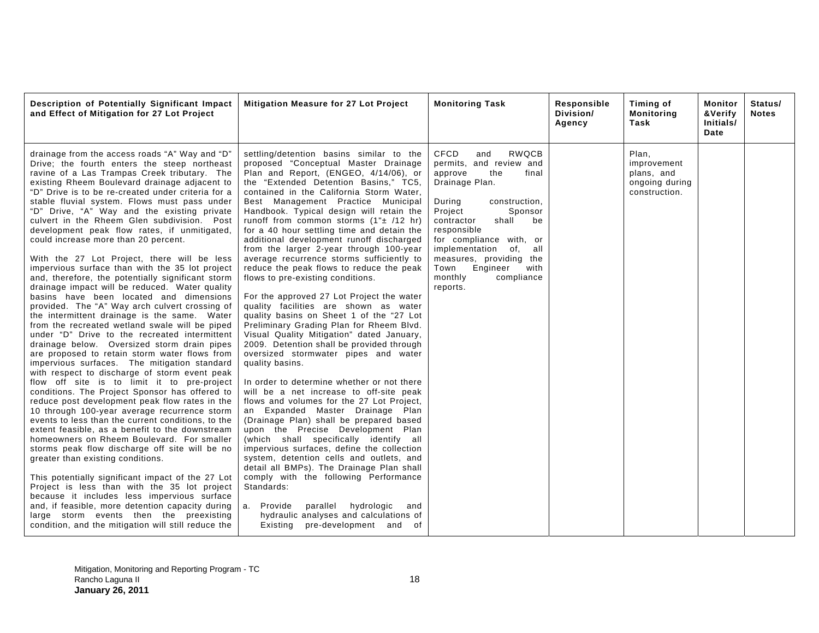| Description of Potentially Significant Impact<br>and Effect of Mitigation for 27 Lot Project                                                                                                                                                                                                                                                                                                                                                                                                                                                                                                                                                                                                                                                                                                                                                                                                                                                                                                                                                                                                                                                                                                                                                                                                                                                                                                                                                                                                                                                                                                                                                                                                                                                                                                                                                                                                                     | Mitigation Measure for 27 Lot Project                                                                                                                                                                                                                                                                                                                                                                                                                                                                                                                                                                                                                                                                                                                                                                                                                                                                                                                                                                                                                                                                                                                                                                                                                                                                                                                                                                                                                                                                                                                                          | <b>Monitoring Task</b>                                                                                                                                                                                                                                                                                                                           | Responsible<br>Division/<br>Agency | Timing of<br><b>Monitoring</b><br>Task                                | Monitor<br>&Verify<br>Initials/<br>Date | Status/<br><b>Notes</b> |
|------------------------------------------------------------------------------------------------------------------------------------------------------------------------------------------------------------------------------------------------------------------------------------------------------------------------------------------------------------------------------------------------------------------------------------------------------------------------------------------------------------------------------------------------------------------------------------------------------------------------------------------------------------------------------------------------------------------------------------------------------------------------------------------------------------------------------------------------------------------------------------------------------------------------------------------------------------------------------------------------------------------------------------------------------------------------------------------------------------------------------------------------------------------------------------------------------------------------------------------------------------------------------------------------------------------------------------------------------------------------------------------------------------------------------------------------------------------------------------------------------------------------------------------------------------------------------------------------------------------------------------------------------------------------------------------------------------------------------------------------------------------------------------------------------------------------------------------------------------------------------------------------------------------|--------------------------------------------------------------------------------------------------------------------------------------------------------------------------------------------------------------------------------------------------------------------------------------------------------------------------------------------------------------------------------------------------------------------------------------------------------------------------------------------------------------------------------------------------------------------------------------------------------------------------------------------------------------------------------------------------------------------------------------------------------------------------------------------------------------------------------------------------------------------------------------------------------------------------------------------------------------------------------------------------------------------------------------------------------------------------------------------------------------------------------------------------------------------------------------------------------------------------------------------------------------------------------------------------------------------------------------------------------------------------------------------------------------------------------------------------------------------------------------------------------------------------------------------------------------------------------|--------------------------------------------------------------------------------------------------------------------------------------------------------------------------------------------------------------------------------------------------------------------------------------------------------------------------------------------------|------------------------------------|-----------------------------------------------------------------------|-----------------------------------------|-------------------------|
| drainage from the access roads "A" Way and "D"<br>Drive; the fourth enters the steep northeast<br>ravine of a Las Trampas Creek tributary. The<br>existing Rheem Boulevard drainage adjacent to<br>"D" Drive is to be re-created under criteria for a<br>stable fluvial system. Flows must pass under<br>"D" Drive, "A" Way and the existing private<br>culvert in the Rheem Glen subdivision. Post<br>development peak flow rates, if unmitigated,<br>could increase more than 20 percent.<br>With the 27 Lot Project, there will be less<br>impervious surface than with the 35 lot project<br>and, therefore, the potentially significant storm<br>drainage impact will be reduced. Water quality<br>basins have been located and dimensions<br>provided. The "A" Way arch culvert crossing of<br>the intermittent drainage is the same. Water<br>from the recreated wetland swale will be piped<br>under "D" Drive to the recreated intermittent<br>drainage below. Oversized storm drain pipes<br>are proposed to retain storm water flows from<br>impervious surfaces. The mitigation standard<br>with respect to discharge of storm event peak<br>flow off site is to limit it to pre-project<br>conditions. The Project Sponsor has offered to<br>reduce post development peak flow rates in the<br>10 through 100-year average recurrence storm<br>events to less than the current conditions, to the<br>extent feasible, as a benefit to the downstream<br>homeowners on Rheem Boulevard. For smaller<br>storms peak flow discharge off site will be no<br>greater than existing conditions.<br>This potentially significant impact of the 27 Lot<br>Project is less than with the 35 lot project<br>because it includes less impervious surface<br>and, if feasible, more detention capacity during<br>large storm events then the preexisting<br>condition, and the mitigation will still reduce the | settling/detention basins similar to the<br>proposed "Conceptual Master Drainage<br>Plan and Report, (ENGEO, 4/14/06), or<br>the "Extended Detention Basins," TC5,<br>contained in the California Storm Water,<br>Best Management Practice Municipal<br>Handbook. Typical design will retain the<br>runoff from common storms (1"± /12 hr)<br>for a 40 hour settling time and detain the<br>additional development runoff discharged<br>from the larger 2-year through 100-year<br>average recurrence storms sufficiently to<br>reduce the peak flows to reduce the peak<br>flows to pre-existing conditions.<br>For the approved 27 Lot Project the water<br>quality facilities are shown as water<br>quality basins on Sheet 1 of the "27 Lot<br>Preliminary Grading Plan for Rheem Blvd.<br>Visual Quality Mitigation" dated January,<br>2009. Detention shall be provided through<br>oversized stormwater pipes and water<br>quality basins.<br>In order to determine whether or not there<br>will be a net increase to off-site peak<br>flows and volumes for the 27 Lot Project,<br>an Expanded Master Drainage Plan<br>(Drainage Plan) shall be prepared based<br>upon the Precise Development Plan<br>(which shall specifically identify all<br>impervious surfaces, define the collection<br>system, detention cells and outlets, and<br>detail all BMPs). The Drainage Plan shall<br>comply with the following Performance<br>Standards:<br>parallel<br>hydrologic<br>a. Provide<br>and<br>hydraulic analyses and calculations of<br>Existing pre-development and of | CFCD<br>RWQCB<br>and<br>permits, and review and<br>approve<br>final<br>the<br>Drainage Plan.<br>During<br>construction,<br>Project<br>Sponsor<br>be<br>contractor<br>shall<br>responsible<br>for compliance with, or<br>implementation<br>of,<br>all<br>measures, providing the<br>Engineer<br>Town<br>with<br>monthly<br>compliance<br>reports. |                                    | Plan,<br>improvement<br>plans, and<br>ongoing during<br>construction. |                                         |                         |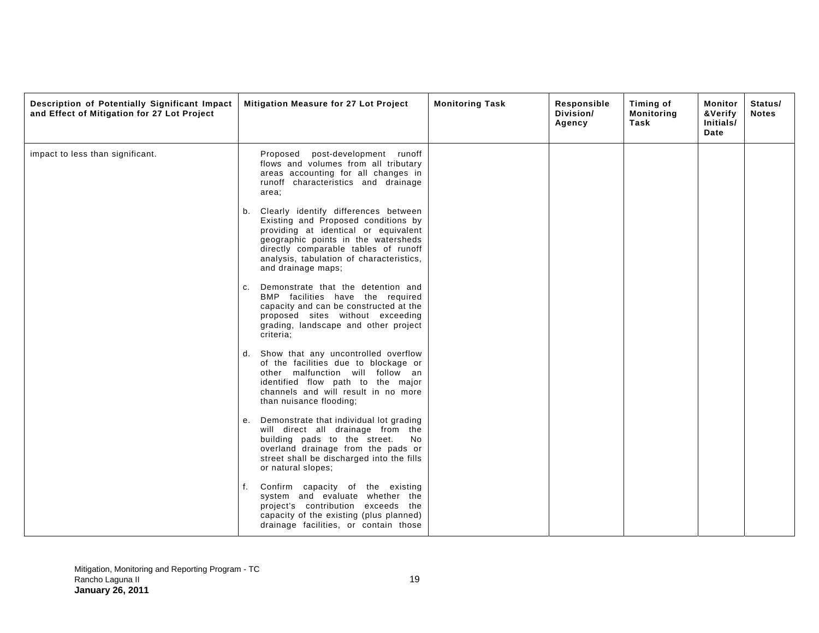| Description of Potentially Significant Impact<br>and Effect of Mitigation for 27 Lot Project | Mitigation Measure for 27 Lot Project                                                                                                                                                                                                                                      | <b>Monitoring Task</b> | Responsible<br>Division/<br>Agency | Timing of<br><b>Monitoring</b><br>Task | Monitor<br>&Verify<br>Initials/<br>Date | Status/<br><b>Notes</b> |
|----------------------------------------------------------------------------------------------|----------------------------------------------------------------------------------------------------------------------------------------------------------------------------------------------------------------------------------------------------------------------------|------------------------|------------------------------------|----------------------------------------|-----------------------------------------|-------------------------|
| impact to less than significant.                                                             | Proposed<br>post-development runoff<br>flows and volumes from all tributary<br>areas accounting for all changes in<br>runoff characteristics and drainage<br>area;                                                                                                         |                        |                                    |                                        |                                         |                         |
|                                                                                              | Clearly identify differences between<br>b.<br>Existing and Proposed conditions by<br>providing at identical or equivalent<br>geographic points in the watersheds<br>directly comparable tables of runoff<br>analysis, tabulation of characteristics,<br>and drainage maps; |                        |                                    |                                        |                                         |                         |
|                                                                                              | Demonstrate that the detention and<br>c.<br>BMP facilities have the required<br>capacity and can be constructed at the<br>proposed sites without exceeding<br>grading, landscape and other project<br>criteria:                                                            |                        |                                    |                                        |                                         |                         |
|                                                                                              | Show that any uncontrolled overflow<br>d.<br>of the facilities due to blockage or<br>other malfunction will follow an<br>identified flow path to the major<br>channels and will result in no more<br>than nuisance flooding;                                               |                        |                                    |                                        |                                         |                         |
|                                                                                              | Demonstrate that individual lot grading<br>е.<br>will direct all drainage from the<br>building pads to the street.<br>No.<br>overland drainage from the pads or<br>street shall be discharged into the fills<br>or natural slopes;                                         |                        |                                    |                                        |                                         |                         |
|                                                                                              | Confirm capacity of the existing<br>f.<br>system and evaluate whether the<br>project's contribution exceeds the<br>capacity of the existing (plus planned)<br>drainage facilities, or contain those                                                                        |                        |                                    |                                        |                                         |                         |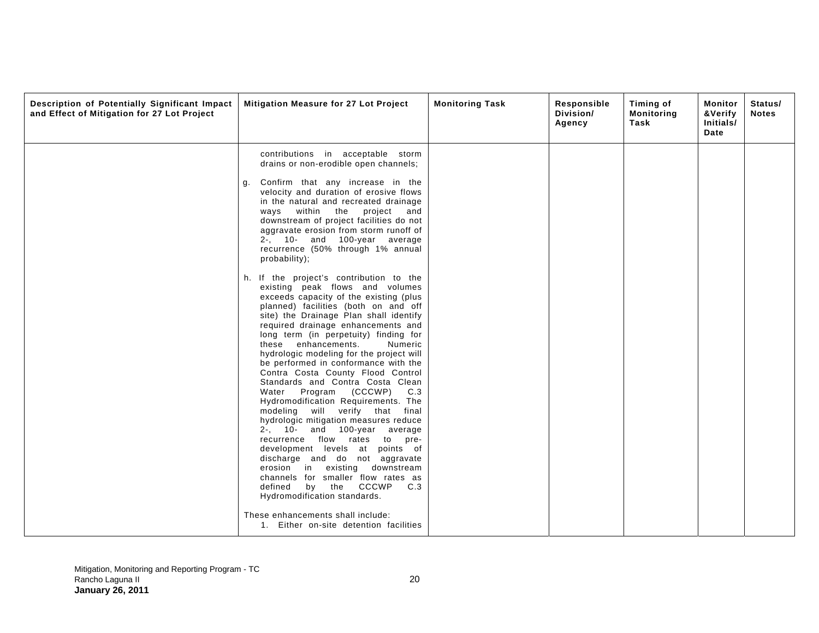| Description of Potentially Significant Impact<br>and Effect of Mitigation for 27 Lot Project | Mitigation Measure for 27 Lot Project                                                                                                                                                                                                                                                                                                                                                                                                                                                                                                                                                                                                                                                                                                                                                                                                                                                                                                                                                                                                                                                                                                                                                                                                                                                                                                                                                      | <b>Monitoring Task</b> | Responsible<br>Division/<br>Agency | Timing of<br><b>Monitoring</b><br>Task | Monitor<br>&Verify<br>Initials/<br>Date | Status/<br><b>Notes</b> |
|----------------------------------------------------------------------------------------------|--------------------------------------------------------------------------------------------------------------------------------------------------------------------------------------------------------------------------------------------------------------------------------------------------------------------------------------------------------------------------------------------------------------------------------------------------------------------------------------------------------------------------------------------------------------------------------------------------------------------------------------------------------------------------------------------------------------------------------------------------------------------------------------------------------------------------------------------------------------------------------------------------------------------------------------------------------------------------------------------------------------------------------------------------------------------------------------------------------------------------------------------------------------------------------------------------------------------------------------------------------------------------------------------------------------------------------------------------------------------------------------------|------------------------|------------------------------------|----------------------------------------|-----------------------------------------|-------------------------|
|                                                                                              | contributions in acceptable storm<br>drains or non-erodible open channels;<br>Confirm that any increase in the<br>g.<br>velocity and duration of erosive flows<br>in the natural and recreated drainage<br>ways within the<br>project<br>and<br>downstream of project facilities do not<br>aggravate erosion from storm runoff of<br>2-, 10- and 100-year average<br>recurrence (50% through 1% annual<br>probability);<br>h. If the project's contribution to the<br>existing peak flows and volumes<br>exceeds capacity of the existing (plus<br>planned) facilities (both on and off<br>site) the Drainage Plan shall identify<br>required drainage enhancements and<br>long term (in perpetuity) finding for<br>these enhancements.<br>Numeric<br>hydrologic modeling for the project will<br>be performed in conformance with the<br>Contra Costa County Flood Control<br>Standards and Contra Costa Clean<br>Water Program (CCCWP)<br>C.3<br>Hydromodification Requirements. The<br>modeling will verify that<br>final<br>hydrologic mitigation measures reduce<br>2-, 10- and 100-year average<br>recurrence flow rates to<br>pre-<br>development levels at points of<br>discharge and do not aggravate<br>erosion in existing downstream<br>channels for smaller flow rates as<br>by the CCCWP C.3<br>defined<br>Hydromodification standards.<br>These enhancements shall include: |                        |                                    |                                        |                                         |                         |
|                                                                                              | 1. Either on-site detention facilities                                                                                                                                                                                                                                                                                                                                                                                                                                                                                                                                                                                                                                                                                                                                                                                                                                                                                                                                                                                                                                                                                                                                                                                                                                                                                                                                                     |                        |                                    |                                        |                                         |                         |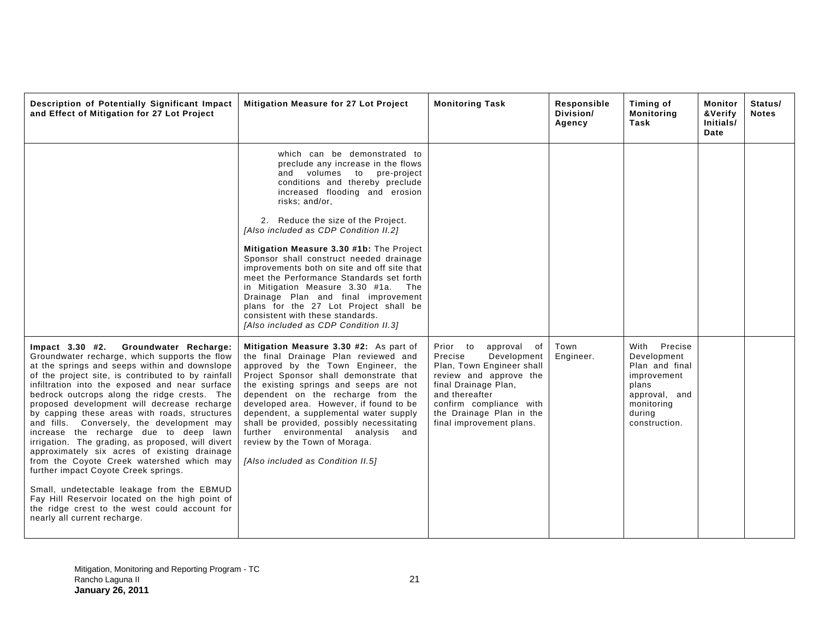| Description of Potentially Significant Impact<br>and Effect of Mitigation for 27 Lot Project                                                                                                                                                                                                                                                                                                                                                                                                                                                                                                                                                                                                                                                                                                                                                                             | Mitigation Measure for 27 Lot Project                                                                                                                                                                                                                                                                                                                                                                                                                                                                                                                                                                                                                        | <b>Monitoring Task</b>                                                                                                                                                                                                                | Responsible<br>Division/<br>Agency | Timing of<br><b>Monitoring</b><br>Task                                                                                          | Monitor<br>&Verify<br>Initials/<br>Date | Status/<br><b>Notes</b> |
|--------------------------------------------------------------------------------------------------------------------------------------------------------------------------------------------------------------------------------------------------------------------------------------------------------------------------------------------------------------------------------------------------------------------------------------------------------------------------------------------------------------------------------------------------------------------------------------------------------------------------------------------------------------------------------------------------------------------------------------------------------------------------------------------------------------------------------------------------------------------------|--------------------------------------------------------------------------------------------------------------------------------------------------------------------------------------------------------------------------------------------------------------------------------------------------------------------------------------------------------------------------------------------------------------------------------------------------------------------------------------------------------------------------------------------------------------------------------------------------------------------------------------------------------------|---------------------------------------------------------------------------------------------------------------------------------------------------------------------------------------------------------------------------------------|------------------------------------|---------------------------------------------------------------------------------------------------------------------------------|-----------------------------------------|-------------------------|
|                                                                                                                                                                                                                                                                                                                                                                                                                                                                                                                                                                                                                                                                                                                                                                                                                                                                          | which can be demonstrated to<br>preclude any increase in the flows<br>and volumes to pre-project<br>conditions and thereby preclude<br>increased flooding and erosion<br>risks; and/or,<br>2. Reduce the size of the Project.<br>[Also included as CDP Condition II.2]<br>Mitigation Measure 3.30 #1b: The Project<br>Sponsor shall construct needed drainage<br>improvements both on site and off site that<br>meet the Performance Standards set forth<br>in Mitigation Measure 3.30 #1a. The<br>Drainage Plan and final improvement<br>plans for the 27 Lot Project shall be<br>consistent with these standards.<br>[Also included as CDP Condition II.3] |                                                                                                                                                                                                                                       |                                    |                                                                                                                                 |                                         |                         |
| Groundwater Recharge:<br>$Impact$ 3.30 #2.<br>Groundwater recharge, which supports the flow<br>at the springs and seeps within and downslope<br>of the project site, is contributed to by rainfall<br>infiltration into the exposed and near surface<br>bedrock outcrops along the ridge crests. The<br>proposed development will decrease recharge<br>by capping these areas with roads, structures<br>and fills. Conversely, the development may<br>increase the recharge due to deep lawn<br>irrigation. The grading, as proposed, will divert<br>approximately six acres of existing drainage<br>from the Coyote Creek watershed which may<br>further impact Coyote Creek springs.<br>Small, undetectable leakage from the EBMUD<br>Fay Hill Reservoir located on the high point of<br>the ridge crest to the west could account for<br>nearly all current recharge. | Mitigation Measure 3.30 #2: As part of<br>the final Drainage Plan reviewed and<br>approved by the Town Engineer, the<br>Project Sponsor shall demonstrate that<br>the existing springs and seeps are not<br>dependent on the recharge from the<br>developed area. However, if found to be<br>dependent, a supplemental water supply<br>shall be provided, possibly necessitating<br>further environmental analysis and<br>review by the Town of Moraga.<br>[Also included as Condition II.5]                                                                                                                                                                 | Prior to<br>approval of<br>Precise<br>Development<br>Plan, Town Engineer shall<br>review and approve the<br>final Drainage Plan,<br>and thereafter<br>confirm compliance with<br>the Drainage Plan in the<br>final improvement plans. | Town<br>Engineer.                  | With Precise<br>Development<br>Plan and final<br>improvement<br>plans<br>approval, and<br>monitoring<br>during<br>construction. |                                         |                         |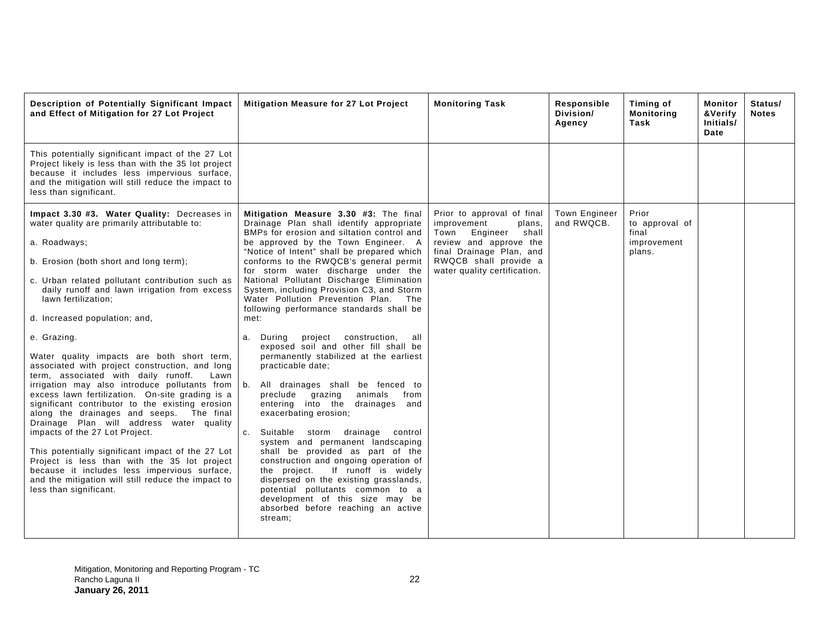| Description of Potentially Significant Impact<br>and Effect of Mitigation for 27 Lot Project                                                                                                                                                                                                                                                                                                                                                                                                                                                                                                                                                                                                                                                                                                                                                                                                                                                                                                         | <b>Mitigation Measure for 27 Lot Project</b>                                                                                                                                                                                                                                                                                                                                                                                                                                                                                                                                                                                                                                                                                                                                                                                                                                                                                                                                                                                                                                                                                                                                     | <b>Monitoring Task</b>                                                                                                                                                                          | Responsible<br>Division/<br>Agency | Timing of<br><b>Monitoring</b><br>Task                    | Monitor<br>&Verify<br>Initials/<br>Date | Status/<br><b>Notes</b> |
|------------------------------------------------------------------------------------------------------------------------------------------------------------------------------------------------------------------------------------------------------------------------------------------------------------------------------------------------------------------------------------------------------------------------------------------------------------------------------------------------------------------------------------------------------------------------------------------------------------------------------------------------------------------------------------------------------------------------------------------------------------------------------------------------------------------------------------------------------------------------------------------------------------------------------------------------------------------------------------------------------|----------------------------------------------------------------------------------------------------------------------------------------------------------------------------------------------------------------------------------------------------------------------------------------------------------------------------------------------------------------------------------------------------------------------------------------------------------------------------------------------------------------------------------------------------------------------------------------------------------------------------------------------------------------------------------------------------------------------------------------------------------------------------------------------------------------------------------------------------------------------------------------------------------------------------------------------------------------------------------------------------------------------------------------------------------------------------------------------------------------------------------------------------------------------------------|-------------------------------------------------------------------------------------------------------------------------------------------------------------------------------------------------|------------------------------------|-----------------------------------------------------------|-----------------------------------------|-------------------------|
| This potentially significant impact of the 27 Lot<br>Project likely is less than with the 35 lot project<br>because it includes less impervious surface,<br>and the mitigation will still reduce the impact to<br>less than significant.                                                                                                                                                                                                                                                                                                                                                                                                                                                                                                                                                                                                                                                                                                                                                             |                                                                                                                                                                                                                                                                                                                                                                                                                                                                                                                                                                                                                                                                                                                                                                                                                                                                                                                                                                                                                                                                                                                                                                                  |                                                                                                                                                                                                 |                                    |                                                           |                                         |                         |
| Impact 3.30 #3. Water Quality: Decreases in<br>water quality are primarily attributable to:<br>a. Roadways;<br>b. Erosion (both short and long term);<br>c. Urban related pollutant contribution such as<br>daily runoff and lawn irrigation from excess<br>lawn fertilization;<br>d. Increased population; and,<br>e. Grazing.<br>Water quality impacts are both short term,<br>associated with project construction, and long<br>term, associated with daily runoff.<br>Lawn<br>irrigation may also introduce pollutants from<br>excess lawn fertilization. On-site grading is a<br>significant contributor to the existing erosion<br>along the drainages and seeps. The final<br>Drainage Plan will address water quality<br>impacts of the 27 Lot Project.<br>This potentially significant impact of the 27 Lot<br>Project is less than with the 35 lot project<br>because it includes less impervious surface,<br>and the mitigation will still reduce the impact to<br>less than significant. | Mitigation Measure 3.30 #3: The final<br>Drainage Plan shall identify appropriate<br>BMPs for erosion and siltation control and<br>be approved by the Town Engineer. A<br>"Notice of Intent" shall be prepared which<br>conforms to the RWQCB's general permit<br>for storm water discharge under the<br>National Pollutant Discharge Elimination<br>System, including Provision C3, and Storm<br>Water Pollution Prevention Plan. The<br>following performance standards shall be<br>met:<br>a. During<br>project<br>all<br>construction,<br>exposed soil and other fill shall be<br>permanently stabilized at the earliest<br>practicable date;<br> b.<br>All drainages shall be fenced to<br>preclude grazing<br>animals<br>from<br>entering into the<br>drainages and<br>exacerbating erosion;<br>Suitable storm drainage control<br>C <sub>1</sub><br>system and permanent landscaping<br>shall be provided as part of the<br>construction and ongoing operation of<br>If runoff is widely<br>the project.<br>dispersed on the existing grasslands,<br>potential pollutants common to a<br>development of this size may be<br>absorbed before reaching an active<br>stream; | Prior to approval of final<br>improvement<br>plans,<br>Town<br>Engineer<br>shall<br>review and approve the<br>final Drainage Plan, and<br>RWQCB shall provide a<br>water quality certification. | Town Engineer<br>and RWQCB.        | Prior<br>to approval of<br>final<br>improvement<br>plans. |                                         |                         |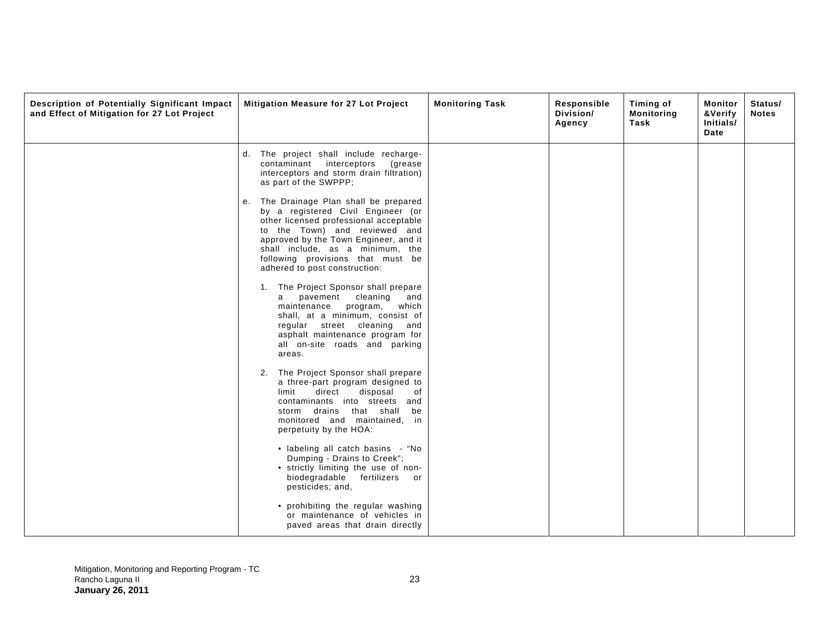| Description of Potentially Significant Impact<br>and Effect of Mitigation for 27 Lot Project | Mitigation Measure for 27 Lot Project                                                                                                                                                                                                                                                                         | <b>Monitoring Task</b> | Responsible<br>Division/<br>Agency | Timing of<br><b>Monitoring</b><br>Task | Monitor<br>&Verify<br>Initials/<br>Date | Status/<br><b>Notes</b> |
|----------------------------------------------------------------------------------------------|---------------------------------------------------------------------------------------------------------------------------------------------------------------------------------------------------------------------------------------------------------------------------------------------------------------|------------------------|------------------------------------|----------------------------------------|-----------------------------------------|-------------------------|
|                                                                                              | d. The project shall include recharge-<br>contaminant<br>interceptors<br>(grease<br>interceptors and storm drain filtration)<br>as part of the SWPPP;                                                                                                                                                         |                        |                                    |                                        |                                         |                         |
|                                                                                              | The Drainage Plan shall be prepared<br>е.<br>by a registered Civil Engineer (or<br>other licensed professional acceptable<br>to the Town) and reviewed and<br>approved by the Town Engineer, and it<br>shall include, as a minimum, the<br>following provisions that must be<br>adhered to post construction: |                        |                                    |                                        |                                         |                         |
|                                                                                              | 1. The Project Sponsor shall prepare<br>cleaning<br>pavement<br>and<br>a<br>maintenance<br>program,<br>which<br>shall, at a minimum, consist of<br>regular street cleaning and<br>asphalt maintenance program for<br>all on-site roads and parking<br>areas.                                                  |                        |                                    |                                        |                                         |                         |
|                                                                                              | 2. The Project Sponsor shall prepare<br>a three-part program designed to<br>limit<br>direct<br>disposal<br>of<br>contaminants into streets and<br>storm drains that shall<br>be<br>monitored and maintained, in<br>perpetuity by the HOA:                                                                     |                        |                                    |                                        |                                         |                         |
|                                                                                              | · labeling all catch basins - "No<br>Dumping - Drains to Creek";<br>• strictly limiting the use of non-<br>biodegradable<br>fertilizers<br>or<br>pesticides; and,                                                                                                                                             |                        |                                    |                                        |                                         |                         |
|                                                                                              | • prohibiting the regular washing<br>or maintenance of vehicles in<br>paved areas that drain directly                                                                                                                                                                                                         |                        |                                    |                                        |                                         |                         |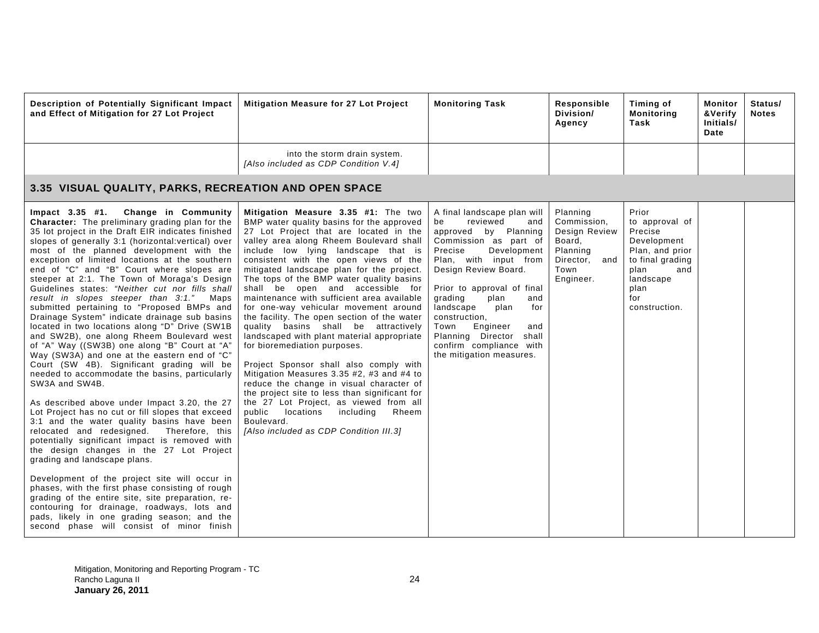| Description of Potentially Significant Impact<br>and Effect of Mitigation for 27 Lot Project                                                                                                                                                                                                                                                                                                                                                                                                                                                                                                                                                                                                                                                                                                                                                                                                                                                                                                                                                                                                                                                                                                                                                                                                                                                                                                                                                                                                                                                                    | Mitigation Measure for 27 Lot Project                                                                                                                                                                                                                                                                                                                                                                                                                                                                                                                                                                                                                                                                                                                                                                                                                                                                                                                                          | <b>Monitoring Task</b>                                                                                                                                                                                                                                                                                                                                                                                   | Responsible<br>Division/<br>Agency                                                                   | Timing of<br><b>Monitoring</b><br>Task                                                                                                               | Monitor<br>&Verify<br>Initials/<br>Date | Status/<br><b>Notes</b> |  |  |  |
|-----------------------------------------------------------------------------------------------------------------------------------------------------------------------------------------------------------------------------------------------------------------------------------------------------------------------------------------------------------------------------------------------------------------------------------------------------------------------------------------------------------------------------------------------------------------------------------------------------------------------------------------------------------------------------------------------------------------------------------------------------------------------------------------------------------------------------------------------------------------------------------------------------------------------------------------------------------------------------------------------------------------------------------------------------------------------------------------------------------------------------------------------------------------------------------------------------------------------------------------------------------------------------------------------------------------------------------------------------------------------------------------------------------------------------------------------------------------------------------------------------------------------------------------------------------------|--------------------------------------------------------------------------------------------------------------------------------------------------------------------------------------------------------------------------------------------------------------------------------------------------------------------------------------------------------------------------------------------------------------------------------------------------------------------------------------------------------------------------------------------------------------------------------------------------------------------------------------------------------------------------------------------------------------------------------------------------------------------------------------------------------------------------------------------------------------------------------------------------------------------------------------------------------------------------------|----------------------------------------------------------------------------------------------------------------------------------------------------------------------------------------------------------------------------------------------------------------------------------------------------------------------------------------------------------------------------------------------------------|------------------------------------------------------------------------------------------------------|------------------------------------------------------------------------------------------------------------------------------------------------------|-----------------------------------------|-------------------------|--|--|--|
|                                                                                                                                                                                                                                                                                                                                                                                                                                                                                                                                                                                                                                                                                                                                                                                                                                                                                                                                                                                                                                                                                                                                                                                                                                                                                                                                                                                                                                                                                                                                                                 | into the storm drain system.<br>[Also included as CDP Condition V.4]                                                                                                                                                                                                                                                                                                                                                                                                                                                                                                                                                                                                                                                                                                                                                                                                                                                                                                           |                                                                                                                                                                                                                                                                                                                                                                                                          |                                                                                                      |                                                                                                                                                      |                                         |                         |  |  |  |
| 3.35 VISUAL QUALITY, PARKS, RECREATION AND OPEN SPACE                                                                                                                                                                                                                                                                                                                                                                                                                                                                                                                                                                                                                                                                                                                                                                                                                                                                                                                                                                                                                                                                                                                                                                                                                                                                                                                                                                                                                                                                                                           |                                                                                                                                                                                                                                                                                                                                                                                                                                                                                                                                                                                                                                                                                                                                                                                                                                                                                                                                                                                |                                                                                                                                                                                                                                                                                                                                                                                                          |                                                                                                      |                                                                                                                                                      |                                         |                         |  |  |  |
| Change in Community<br>$Impact$ 3.35 #1.<br><b>Character:</b> The preliminary grading plan for the<br>35 lot project in the Draft EIR indicates finished<br>slopes of generally 3:1 (horizontal: vertical) over<br>most of the planned development with the<br>exception of limited locations at the southern<br>end of "C" and "B" Court where slopes are<br>steeper at 2:1. The Town of Moraga's Design<br>Guidelines states: "Neither cut nor fills shall<br>result in slopes steeper than 3:1." Maps<br>submitted pertaining to "Proposed BMPs and<br>Drainage System" indicate drainage sub basins<br>located in two locations along "D" Drive (SW1B<br>and SW2B), one along Rheem Boulevard west<br>of "A" Way ((SW3B) one along "B" Court at "A"<br>Way (SW3A) and one at the eastern end of "C"<br>Court (SW 4B). Significant grading will be<br>needed to accommodate the basins, particularly<br>SW3A and SW4B.<br>As described above under Impact 3.20, the 27<br>Lot Project has no cut or fill slopes that exceed<br>3:1 and the water quality basins have been<br>relocated and redesigned.<br>Therefore, this<br>potentially significant impact is removed with<br>the design changes in the 27 Lot Project<br>grading and landscape plans.<br>Development of the project site will occur in<br>phases, with the first phase consisting of rough<br>grading of the entire site, site preparation, re-<br>contouring for drainage, roadways, lots and<br>pads, likely in one grading season; and the<br>second phase will consist of minor finish | Mitigation Measure 3.35 #1: The two<br>BMP water quality basins for the approved<br>27 Lot Project that are located in the<br>valley area along Rheem Boulevard shall<br>include low lying landscape that is<br>consistent with the open views of the<br>mitigated landscape plan for the project.<br>The tops of the BMP water quality basins<br>shall be open and accessible for<br>maintenance with sufficient area available<br>for one-way vehicular movement around<br>the facility. The open section of the water<br>quality basins shall be attractively<br>landscaped with plant material appropriate<br>for bioremediation purposes.<br>Project Sponsor shall also comply with<br>Mitigation Measures 3.35 #2, #3 and #4 to<br>reduce the change in visual character of<br>the project site to less than significant for<br>the 27 Lot Project, as viewed from all<br>public locations<br>including<br>Rheem<br>Boulevard.<br>[Also included as CDP Condition III.3] | A final landscape plan will<br>reviewed<br>be<br>and<br>by Planning<br>approved<br>Commission as part of<br>Precise<br>Development<br>Plan, with input from<br>Design Review Board.<br>Prior to approval of final<br>grading<br>plan<br>and<br>landscape<br>plan<br>for<br>construction,<br>Engineer<br>Town<br>and<br>Planning Director<br>shall<br>confirm compliance with<br>the mitigation measures. | Planning<br>Commission.<br>Design Review<br>Board,<br>Planning<br>Director, and<br>Town<br>Engineer. | Prior<br>to approval of<br>Precise<br>Development<br>Plan, and prior<br>to final grading<br>plan<br>and<br>landscape<br>plan<br>for<br>construction. |                                         |                         |  |  |  |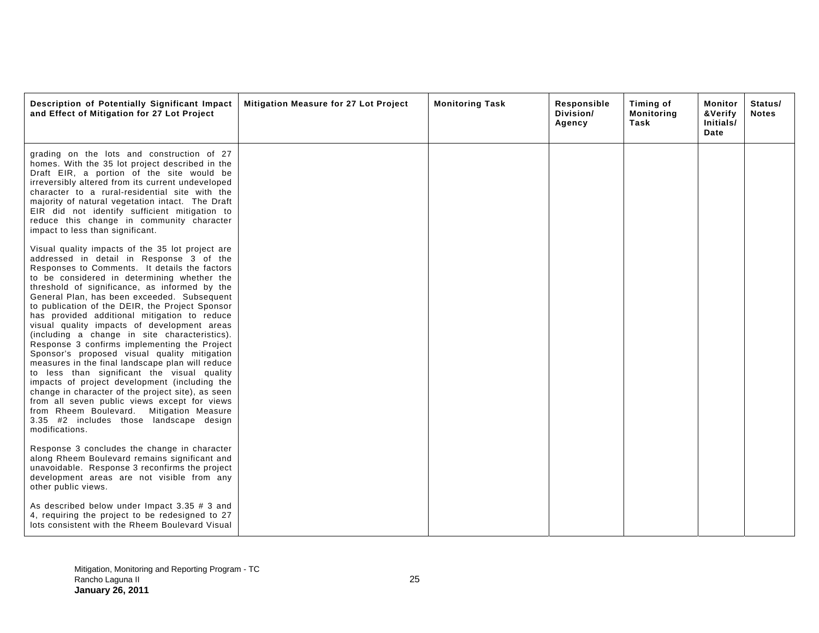| Description of Potentially Significant Impact<br>and Effect of Mitigation for 27 Lot Project                                                                                                                                                                                                                                                                                                                                                                                                                                                                                                                                                                                                                                                                                                                                                                                                                                                                      | Mitigation Measure for 27 Lot Project | <b>Monitoring Task</b> | Responsible<br>Division/<br>Agency | Timing of<br><b>Monitoring</b><br>Task | Monitor<br>&Verify<br>Initials/<br>Date | Status/<br><b>Notes</b> |
|-------------------------------------------------------------------------------------------------------------------------------------------------------------------------------------------------------------------------------------------------------------------------------------------------------------------------------------------------------------------------------------------------------------------------------------------------------------------------------------------------------------------------------------------------------------------------------------------------------------------------------------------------------------------------------------------------------------------------------------------------------------------------------------------------------------------------------------------------------------------------------------------------------------------------------------------------------------------|---------------------------------------|------------------------|------------------------------------|----------------------------------------|-----------------------------------------|-------------------------|
| grading on the lots and construction of 27<br>homes. With the 35 lot project described in the<br>Draft EIR, a portion of the site would be<br>irreversibly altered from its current undeveloped<br>character to a rural-residential site with the<br>majority of natural vegetation intact. The Draft<br>EIR did not identify sufficient mitigation to<br>reduce this change in community character<br>impact to less than significant.                                                                                                                                                                                                                                                                                                                                                                                                                                                                                                                           |                                       |                        |                                    |                                        |                                         |                         |
| Visual quality impacts of the 35 lot project are<br>addressed in detail in Response 3 of the<br>Responses to Comments. It details the factors<br>to be considered in determining whether the<br>threshold of significance, as informed by the<br>General Plan, has been exceeded. Subsequent<br>to publication of the DEIR, the Project Sponsor<br>has provided additional mitigation to reduce<br>visual quality impacts of development areas<br>(including a change in site characteristics).<br>Response 3 confirms implementing the Project<br>Sponsor's proposed visual quality mitigation<br>measures in the final landscape plan will reduce<br>to less than significant the visual quality<br>impacts of project development (including the<br>change in character of the project site), as seen<br>from all seven public views except for views<br>from Rheem Boulevard. Mitigation Measure<br>3.35 #2 includes those landscape design<br>modifications. |                                       |                        |                                    |                                        |                                         |                         |
| Response 3 concludes the change in character<br>along Rheem Boulevard remains significant and<br>unavoidable. Response 3 reconfirms the project<br>development areas are not visible from any<br>other public views.                                                                                                                                                                                                                                                                                                                                                                                                                                                                                                                                                                                                                                                                                                                                              |                                       |                        |                                    |                                        |                                         |                         |
| As described below under Impact 3.35 $#$ 3 and<br>4, requiring the project to be redesigned to 27<br>lots consistent with the Rheem Boulevard Visual                                                                                                                                                                                                                                                                                                                                                                                                                                                                                                                                                                                                                                                                                                                                                                                                              |                                       |                        |                                    |                                        |                                         |                         |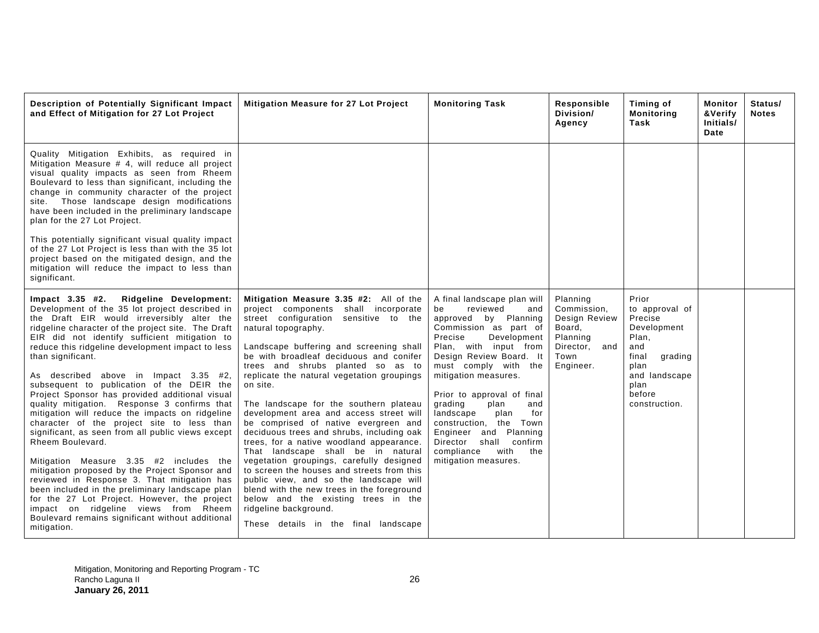| Description of Potentially Significant Impact<br>and Effect of Mitigation for 27 Lot Project                                                                                                                                                                                                                                                                                                                                                                                                                                                                                                                                                                                                                                                                                                                                                                                                                                                                                                                                                               | <b>Mitigation Measure for 27 Lot Project</b>                                                                                                                                                                                                                                                                                                                                                                                                                                                                                                                                                                                                                                                                                                                                                                                                                                              | <b>Monitoring Task</b>                                                                                                                                                                                                                                                                                                                                                                                                                                    | Responsible<br>Division/<br>Agency                                                                   | Timing of<br><b>Monitoring</b><br>Task                                                                                                            | Monitor<br>&Verify<br>Initials/<br>Date | Status/<br><b>Notes</b> |
|------------------------------------------------------------------------------------------------------------------------------------------------------------------------------------------------------------------------------------------------------------------------------------------------------------------------------------------------------------------------------------------------------------------------------------------------------------------------------------------------------------------------------------------------------------------------------------------------------------------------------------------------------------------------------------------------------------------------------------------------------------------------------------------------------------------------------------------------------------------------------------------------------------------------------------------------------------------------------------------------------------------------------------------------------------|-------------------------------------------------------------------------------------------------------------------------------------------------------------------------------------------------------------------------------------------------------------------------------------------------------------------------------------------------------------------------------------------------------------------------------------------------------------------------------------------------------------------------------------------------------------------------------------------------------------------------------------------------------------------------------------------------------------------------------------------------------------------------------------------------------------------------------------------------------------------------------------------|-----------------------------------------------------------------------------------------------------------------------------------------------------------------------------------------------------------------------------------------------------------------------------------------------------------------------------------------------------------------------------------------------------------------------------------------------------------|------------------------------------------------------------------------------------------------------|---------------------------------------------------------------------------------------------------------------------------------------------------|-----------------------------------------|-------------------------|
| Quality Mitigation Exhibits, as required in<br>Mitigation Measure # 4, will reduce all project<br>visual quality impacts as seen from Rheem<br>Boulevard to less than significant, including the<br>change in community character of the project<br>site. Those landscape design modifications<br>have been included in the preliminary landscape<br>plan for the 27 Lot Project.<br>This potentially significant visual quality impact<br>of the 27 Lot Project is less than with the 35 lot<br>project based on the mitigated design, and the<br>mitigation will reduce the impact to less than<br>significant.                                                                                                                                                                                                                                                                                                                                                                                                                                          |                                                                                                                                                                                                                                                                                                                                                                                                                                                                                                                                                                                                                                                                                                                                                                                                                                                                                           |                                                                                                                                                                                                                                                                                                                                                                                                                                                           |                                                                                                      |                                                                                                                                                   |                                         |                         |
| Ridgeline Development:<br>$Im$ pact $3.35$ #2.<br>Development of the 35 lot project described in<br>the Draft EIR would irreversibly alter the<br>ridgeline character of the project site. The Draft<br>EIR did not identify sufficient mitigation to<br>reduce this ridgeline development impact to less<br>than significant.<br>As described above in Impact 3.35 #2,<br>subsequent to publication of the DEIR the<br>Project Sponsor has provided additional visual<br>quality mitigation. Response 3 confirms that<br>mitigation will reduce the impacts on ridgeline<br>character of the project site to less than<br>significant, as seen from all public views except<br>Rheem Boulevard.<br>Mitigation Measure 3.35 #2 includes the<br>mitigation proposed by the Project Sponsor and<br>reviewed in Response 3. That mitigation has<br>been included in the preliminary landscape plan<br>for the 27 Lot Project. However, the project<br>impact on ridgeline views from Rheem<br>Boulevard remains significant without additional<br>mitigation. | Mitigation Measure 3.35 #2: All of the<br>project components shall incorporate<br>street configuration sensitive to the<br>natural topography.<br>Landscape buffering and screening shall<br>be with broadleaf deciduous and conifer<br>trees and shrubs planted so as to<br>replicate the natural vegetation groupings<br>on site.<br>The landscape for the southern plateau<br>development area and access street will<br>be comprised of native evergreen and<br>deciduous trees and shrubs, including oak<br>trees, for a native woodland appearance.<br>That landscape shall be in natural<br>vegetation groupings, carefully designed<br>to screen the houses and streets from this<br>public view, and so the landscape will<br>blend with the new trees in the foreground<br>below and the existing trees in the<br>ridgeline background.<br>These details in the final landscape | A final landscape plan will<br>be<br>reviewed<br>and<br>approved by Planning<br>Commission as part of<br>Precise<br>Development<br>Plan, with input from<br>Design Review Board. It<br>must comply with the<br>mitigation measures.<br>Prior to approval of final<br>grading<br>plan<br>and<br>for<br>landscape<br>plan<br>construction, the Town<br>Engineer and Planning<br>Director shall confirm<br>compliance<br>with<br>the<br>mitigation measures. | Planning<br>Commission.<br>Design Review<br>Board,<br>Planning<br>Director, and<br>Town<br>Engineer. | Prior<br>to approval of<br>Precise<br>Development<br>Plan,<br>and<br>final<br>grading<br>plan<br>and landscape<br>plan<br>before<br>construction. |                                         |                         |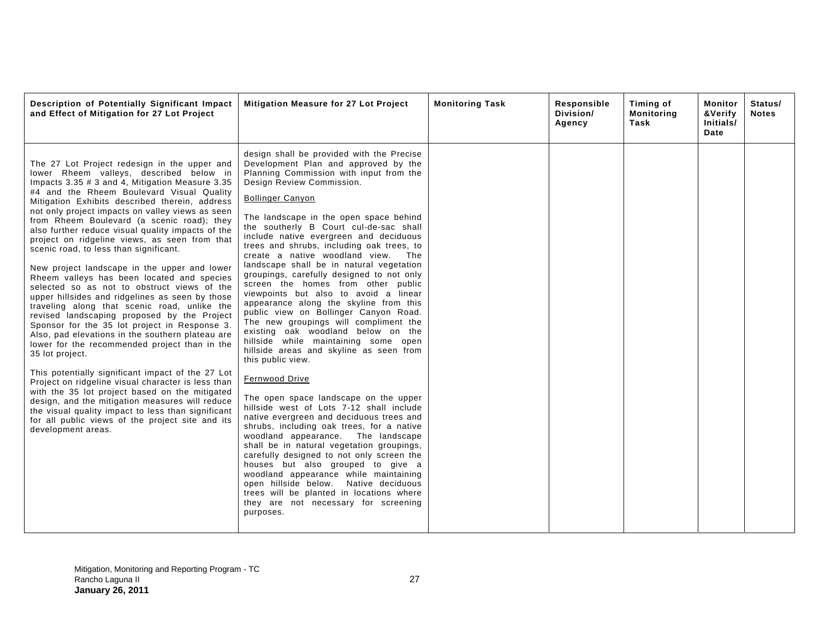| Description of Potentially Significant Impact<br>and Effect of Mitigation for 27 Lot Project                                                                                                                                                                                                                                                                                                                                                                                                                                                                                                                                                                                                                                                                                                                                                                                                                                                                                                                                                                                                                                                                                                                                                                                                                        | Mitigation Measure for 27 Lot Project                                                                                                                                                                                                                                                                                                                                                                                                                                                                                                                                                                                                                                                                                                                                                                                                                                                                                                                                                                                                                                                                                                                                                                                                                                                                                                                                                                                  | <b>Monitoring Task</b> | Responsible<br>Division/<br>Agency | Timing of<br><b>Monitoring</b><br>Task | Monitor<br>&Verify<br>Initials/<br>Date | Status/<br><b>Notes</b> |
|---------------------------------------------------------------------------------------------------------------------------------------------------------------------------------------------------------------------------------------------------------------------------------------------------------------------------------------------------------------------------------------------------------------------------------------------------------------------------------------------------------------------------------------------------------------------------------------------------------------------------------------------------------------------------------------------------------------------------------------------------------------------------------------------------------------------------------------------------------------------------------------------------------------------------------------------------------------------------------------------------------------------------------------------------------------------------------------------------------------------------------------------------------------------------------------------------------------------------------------------------------------------------------------------------------------------|------------------------------------------------------------------------------------------------------------------------------------------------------------------------------------------------------------------------------------------------------------------------------------------------------------------------------------------------------------------------------------------------------------------------------------------------------------------------------------------------------------------------------------------------------------------------------------------------------------------------------------------------------------------------------------------------------------------------------------------------------------------------------------------------------------------------------------------------------------------------------------------------------------------------------------------------------------------------------------------------------------------------------------------------------------------------------------------------------------------------------------------------------------------------------------------------------------------------------------------------------------------------------------------------------------------------------------------------------------------------------------------------------------------------|------------------------|------------------------------------|----------------------------------------|-----------------------------------------|-------------------------|
| The 27 Lot Project redesign in the upper and<br>lower Rheem valleys, described below in<br>Impacts 3.35 # 3 and 4, Mitigation Measure 3.35<br>#4 and the Rheem Boulevard Visual Quality<br>Mitigation Exhibits described therein, address<br>not only project impacts on valley views as seen<br>from Rheem Boulevard (a scenic road); they<br>also further reduce visual quality impacts of the<br>project on ridgeline views, as seen from that<br>scenic road, to less than significant.<br>New project landscape in the upper and lower<br>Rheem valleys has been located and species<br>selected so as not to obstruct views of the<br>upper hillsides and ridgelines as seen by those<br>traveling along that scenic road, unlike the<br>revised landscaping proposed by the Project<br>Sponsor for the 35 lot project in Response 3.<br>Also, pad elevations in the southern plateau are<br>lower for the recommended project than in the<br>35 lot project.<br>This potentially significant impact of the 27 Lot<br>Project on ridgeline visual character is less than<br>with the 35 lot project based on the mitigated<br>design, and the mitigation measures will reduce<br>the visual quality impact to less than significant<br>for all public views of the project site and its<br>development areas. | design shall be provided with the Precise<br>Development Plan and approved by the<br>Planning Commission with input from the<br>Design Review Commission.<br><b>Bollinger Canyon</b><br>The landscape in the open space behind<br>the southerly B Court cul-de-sac shall<br>include native evergreen and deciduous<br>trees and shrubs, including oak trees, to<br>create a native woodland view. The<br>landscape shall be in natural vegetation<br>groupings, carefully designed to not only<br>screen the homes from other public<br>viewpoints but also to avoid a linear<br>appearance along the skyline from this<br>public view on Bollinger Canyon Road.<br>The new groupings will compliment the<br>existing oak woodland below on the<br>hillside while maintaining some open<br>hillside areas and skyline as seen from<br>this public view.<br><b>Fernwood Drive</b><br>The open space landscape on the upper<br>hillside west of Lots 7-12 shall include<br>native evergreen and deciduous trees and<br>shrubs, including oak trees, for a native<br>woodland appearance. The landscape<br>shall be in natural vegetation groupings,<br>carefully designed to not only screen the<br>houses but also grouped to give a<br>woodland appearance while maintaining<br>open hillside below. Native deciduous<br>trees will be planted in locations where<br>they are not necessary for screening<br>purposes. |                        |                                    |                                        |                                         |                         |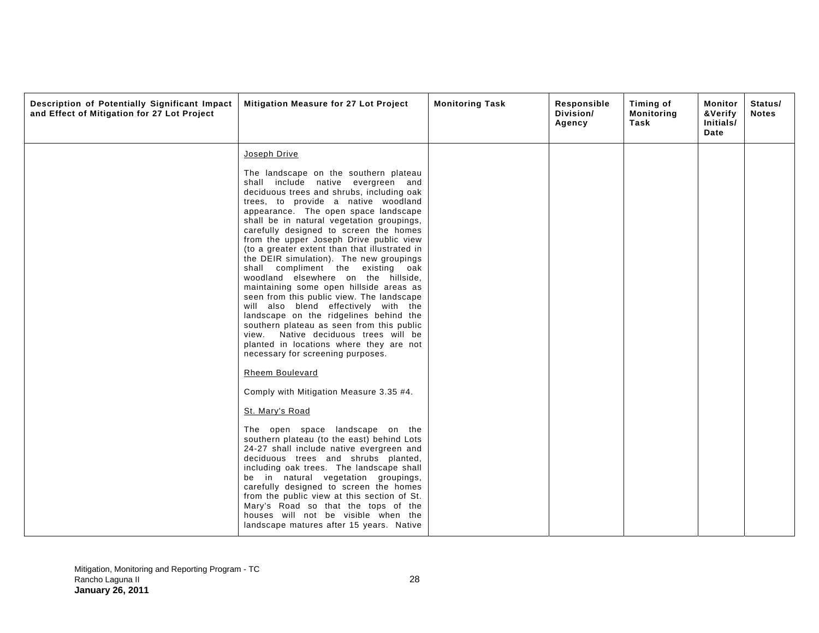| Description of Potentially Significant Impact<br>and Effect of Mitigation for 27 Lot Project | Mitigation Measure for 27 Lot Project                                                                                                                                                                                                                                                                                                                                                                                                                                                                                                                                                                                                                                                                                                                                                                                                                            | <b>Monitoring Task</b> | Responsible<br>Division/<br>Agency | Timing of<br><b>Monitoring</b><br>Task | Monitor<br>&Verify<br>Initials/<br>Date | Status/<br><b>Notes</b> |
|----------------------------------------------------------------------------------------------|------------------------------------------------------------------------------------------------------------------------------------------------------------------------------------------------------------------------------------------------------------------------------------------------------------------------------------------------------------------------------------------------------------------------------------------------------------------------------------------------------------------------------------------------------------------------------------------------------------------------------------------------------------------------------------------------------------------------------------------------------------------------------------------------------------------------------------------------------------------|------------------------|------------------------------------|----------------------------------------|-----------------------------------------|-------------------------|
|                                                                                              | Joseph Drive                                                                                                                                                                                                                                                                                                                                                                                                                                                                                                                                                                                                                                                                                                                                                                                                                                                     |                        |                                    |                                        |                                         |                         |
|                                                                                              | The landscape on the southern plateau<br>shall include native evergreen and<br>deciduous trees and shrubs, including oak<br>trees, to provide a native woodland<br>appearance. The open space landscape<br>shall be in natural vegetation groupings,<br>carefully designed to screen the homes<br>from the upper Joseph Drive public view<br>(to a greater extent than that illustrated in<br>the DEIR simulation). The new groupings<br>shall compliment the existing oak<br>woodland elsewhere on the hillside,<br>maintaining some open hillside areas as<br>seen from this public view. The landscape<br>will also blend effectively with the<br>landscape on the ridgelines behind the<br>southern plateau as seen from this public<br>view. Native deciduous trees will be<br>planted in locations where they are not<br>necessary for screening purposes. |                        |                                    |                                        |                                         |                         |
|                                                                                              | Rheem Boulevard                                                                                                                                                                                                                                                                                                                                                                                                                                                                                                                                                                                                                                                                                                                                                                                                                                                  |                        |                                    |                                        |                                         |                         |
|                                                                                              | Comply with Mitigation Measure 3.35 #4.                                                                                                                                                                                                                                                                                                                                                                                                                                                                                                                                                                                                                                                                                                                                                                                                                          |                        |                                    |                                        |                                         |                         |
|                                                                                              | St. Mary's Road                                                                                                                                                                                                                                                                                                                                                                                                                                                                                                                                                                                                                                                                                                                                                                                                                                                  |                        |                                    |                                        |                                         |                         |
|                                                                                              | The open space landscape on the<br>southern plateau (to the east) behind Lots<br>24-27 shall include native evergreen and<br>deciduous trees and shrubs planted,<br>including oak trees. The landscape shall<br>be in natural vegetation groupings,<br>carefully designed to screen the homes<br>from the public view at this section of St.<br>Mary's Road so that the tops of the<br>houses will not be visible when the<br>landscape matures after 15 years. Native                                                                                                                                                                                                                                                                                                                                                                                           |                        |                                    |                                        |                                         |                         |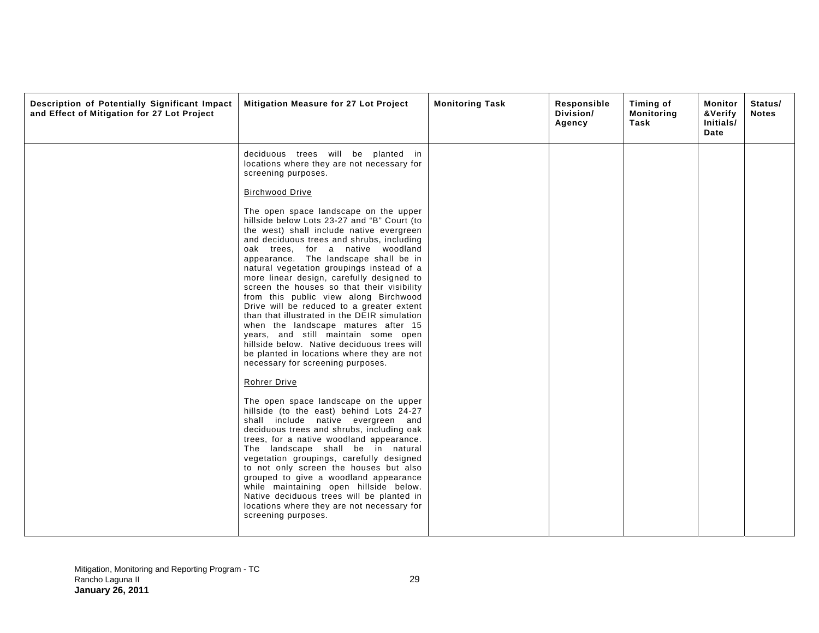| Description of Potentially Significant Impact<br>and Effect of Mitigation for 27 Lot Project | Mitigation Measure for 27 Lot Project                                                                                                                                                                                                                                                                                                                                                                                                                                                                                                                                                                                                                                                                                                                                                                                                                                                                                                                                                                                                                                                                                                                                                                                                                                                                                                                                                                                                                             | <b>Monitoring Task</b> | Responsible<br>Division/<br>Agency | Timing of<br>Monitoring<br>Task | Monitor<br>&Verify<br>Initials/<br>Date | Status/<br><b>Notes</b> |
|----------------------------------------------------------------------------------------------|-------------------------------------------------------------------------------------------------------------------------------------------------------------------------------------------------------------------------------------------------------------------------------------------------------------------------------------------------------------------------------------------------------------------------------------------------------------------------------------------------------------------------------------------------------------------------------------------------------------------------------------------------------------------------------------------------------------------------------------------------------------------------------------------------------------------------------------------------------------------------------------------------------------------------------------------------------------------------------------------------------------------------------------------------------------------------------------------------------------------------------------------------------------------------------------------------------------------------------------------------------------------------------------------------------------------------------------------------------------------------------------------------------------------------------------------------------------------|------------------------|------------------------------------|---------------------------------|-----------------------------------------|-------------------------|
|                                                                                              | deciduous trees will be planted in<br>locations where they are not necessary for<br>screening purposes.<br><b>Birchwood Drive</b><br>The open space landscape on the upper<br>hillside below Lots 23-27 and "B" Court (to<br>the west) shall include native evergreen<br>and deciduous trees and shrubs, including<br>oak trees, for a native woodland<br>appearance. The landscape shall be in<br>natural vegetation groupings instead of a<br>more linear design, carefully designed to<br>screen the houses so that their visibility<br>from this public view along Birchwood<br>Drive will be reduced to a greater extent<br>than that illustrated in the DEIR simulation<br>when the landscape matures after 15<br>years, and still maintain some open<br>hillside below. Native deciduous trees will<br>be planted in locations where they are not<br>necessary for screening purposes.<br>Rohrer Drive<br>The open space landscape on the upper<br>hillside (to the east) behind Lots 24-27<br>shall include native evergreen and<br>deciduous trees and shrubs, including oak<br>trees, for a native woodland appearance.<br>The landscape shall be in natural<br>vegetation groupings, carefully designed<br>to not only screen the houses but also<br>grouped to give a woodland appearance<br>while maintaining open hillside below.<br>Native deciduous trees will be planted in<br>locations where they are not necessary for<br>screening purposes. |                        |                                    |                                 |                                         |                         |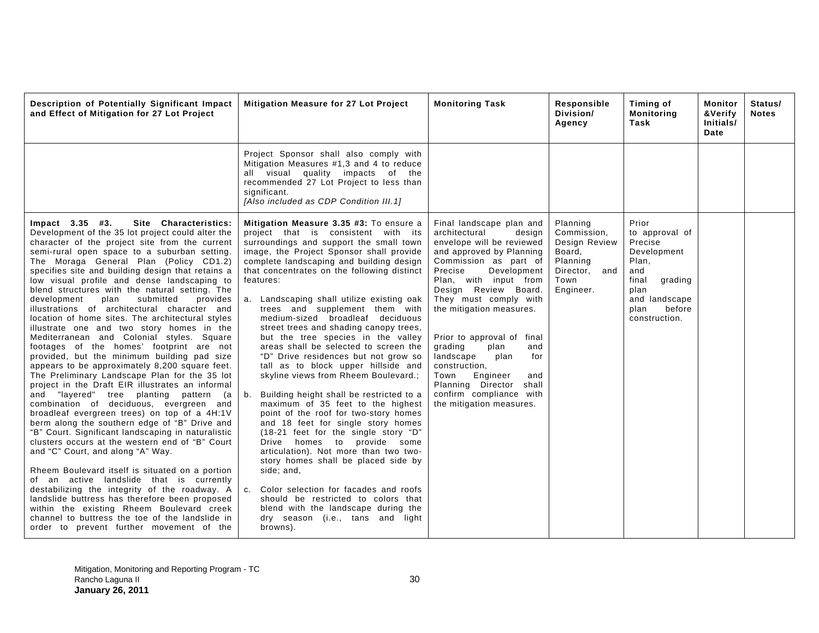| Description of Potentially Significant Impact<br>and Effect of Mitigation for 27 Lot Project                                                                                                                                                                                                                                                                                                                                                                                                                                                                                                                                                                                                                                                                                                                                                                                                                                                                                                                                                                                                                                                                                                                                                                                                                                                                                                                                                                                                                                                                                              | Mitigation Measure for 27 Lot Project                                                                                                                                                                                                                                                                                                                                                                                                                                                                                                                                                                                                                                                                                                                                                                                                                                                                                                                                                                                                                                                                                                                                                | <b>Monitoring Task</b>                                                                                                                                                                                                                                                                                                                                                                                                                                                                  | Responsible<br>Division/<br>Agency                                                                   | Timing of<br><b>Monitoring</b><br>Task                                                                                                            | Monitor<br>&Verify<br>Initials/<br>Date | Status/<br><b>Notes</b> |
|-------------------------------------------------------------------------------------------------------------------------------------------------------------------------------------------------------------------------------------------------------------------------------------------------------------------------------------------------------------------------------------------------------------------------------------------------------------------------------------------------------------------------------------------------------------------------------------------------------------------------------------------------------------------------------------------------------------------------------------------------------------------------------------------------------------------------------------------------------------------------------------------------------------------------------------------------------------------------------------------------------------------------------------------------------------------------------------------------------------------------------------------------------------------------------------------------------------------------------------------------------------------------------------------------------------------------------------------------------------------------------------------------------------------------------------------------------------------------------------------------------------------------------------------------------------------------------------------|--------------------------------------------------------------------------------------------------------------------------------------------------------------------------------------------------------------------------------------------------------------------------------------------------------------------------------------------------------------------------------------------------------------------------------------------------------------------------------------------------------------------------------------------------------------------------------------------------------------------------------------------------------------------------------------------------------------------------------------------------------------------------------------------------------------------------------------------------------------------------------------------------------------------------------------------------------------------------------------------------------------------------------------------------------------------------------------------------------------------------------------------------------------------------------------|-----------------------------------------------------------------------------------------------------------------------------------------------------------------------------------------------------------------------------------------------------------------------------------------------------------------------------------------------------------------------------------------------------------------------------------------------------------------------------------------|------------------------------------------------------------------------------------------------------|---------------------------------------------------------------------------------------------------------------------------------------------------|-----------------------------------------|-------------------------|
|                                                                                                                                                                                                                                                                                                                                                                                                                                                                                                                                                                                                                                                                                                                                                                                                                                                                                                                                                                                                                                                                                                                                                                                                                                                                                                                                                                                                                                                                                                                                                                                           | Project Sponsor shall also comply with<br>Mitigation Measures #1,3 and 4 to reduce<br>all visual quality impacts of the<br>recommended 27 Lot Project to less than<br>significant.<br>[Also included as CDP Condition III.1]                                                                                                                                                                                                                                                                                                                                                                                                                                                                                                                                                                                                                                                                                                                                                                                                                                                                                                                                                         |                                                                                                                                                                                                                                                                                                                                                                                                                                                                                         |                                                                                                      |                                                                                                                                                   |                                         |                         |
| Site Characteristics:<br>$Impact$ 3.35 #3.<br>Development of the 35 lot project could alter the<br>character of the project site from the current<br>semi-rural open space to a suburban setting.<br>The Moraga General Plan (Policy CD1.2)<br>specifies site and building design that retains a<br>low visual profile and dense landscaping to<br>blend structures with the natural setting. The<br>development<br>plan<br>submitted<br>provides<br>illustrations of architectural character and<br>location of home sites. The architectural styles<br>illustrate one and two story homes in the<br>Mediterranean and Colonial styles. Square<br>footages of the homes' footprint are not<br>provided, but the minimum building pad size<br>appears to be approximately 8,200 square feet.<br>The Preliminary Landscape Plan for the 35 lot<br>project in the Draft EIR illustrates an informal<br>and "layered" tree planting<br>pattern<br>(a<br>combination of deciduous, evergreen and<br>broadleaf evergreen trees) on top of a 4H:1V<br>berm along the southern edge of "B" Drive and<br>"B" Court. Significant landscaping in naturalistic<br>clusters occurs at the western end of "B" Court<br>and "C" Court, and along "A" Way.<br>Rheem Boulevard itself is situated on a portion<br>of an active landslide that is currently<br>destabilizing the integrity of the roadway. A<br>landslide buttress has therefore been proposed<br>within the existing Rheem Boulevard creek<br>channel to buttress the toe of the landslide in<br>order to prevent further movement of the | Mitigation Measure 3.35 #3: To ensure a<br>project that is consistent with its<br>surroundings and support the small town<br>image, the Project Sponsor shall provide<br>complete landscaping and building design<br>that concentrates on the following distinct<br>features:<br>a. Landscaping shall utilize existing oak<br>trees and supplement them with<br>medium-sized broadleaf deciduous<br>street trees and shading canopy trees,<br>but the tree species in the valley<br>areas shall be selected to screen the<br>"D" Drive residences but not grow so<br>tall as to block upper hillside and<br>skyline views from Rheem Boulevard.;<br>Building height shall be restricted to a<br>b.<br>maximum of 35 feet to the highest<br>point of the roof for two-story homes<br>and 18 feet for single story homes<br>(18-21 feet for the single story "D"<br>Drive homes to provide some<br>articulation). Not more than two two-<br>story homes shall be placed side by<br>side; and,<br>Color selection for facades and roofs<br>C <sub>1</sub><br>should be restricted to colors that<br>blend with the landscape during the<br>dry season (i.e., tans and light<br>browns). | Final landscape plan and<br>architectural<br>design<br>envelope will be reviewed<br>and approved by Planning<br>Commission as part of<br>Precise<br>Development<br>Plan, with input from<br>Design Review Board.<br>They must comply with<br>the mitigation measures.<br>Prior to approval of final<br>grading<br>and<br>plan<br>landscape<br>plan<br>for<br>construction,<br>Town<br>Engineer<br>and<br>Planning Director shall<br>confirm compliance with<br>the mitigation measures. | Planning<br>Commission,<br>Design Review<br>Board.<br>Planning<br>Director, and<br>Town<br>Engineer. | Prior<br>to approval of<br>Precise<br>Development<br>Plan,<br>and<br>final<br>grading<br>plan<br>and landscape<br>before<br>plan<br>construction. |                                         |                         |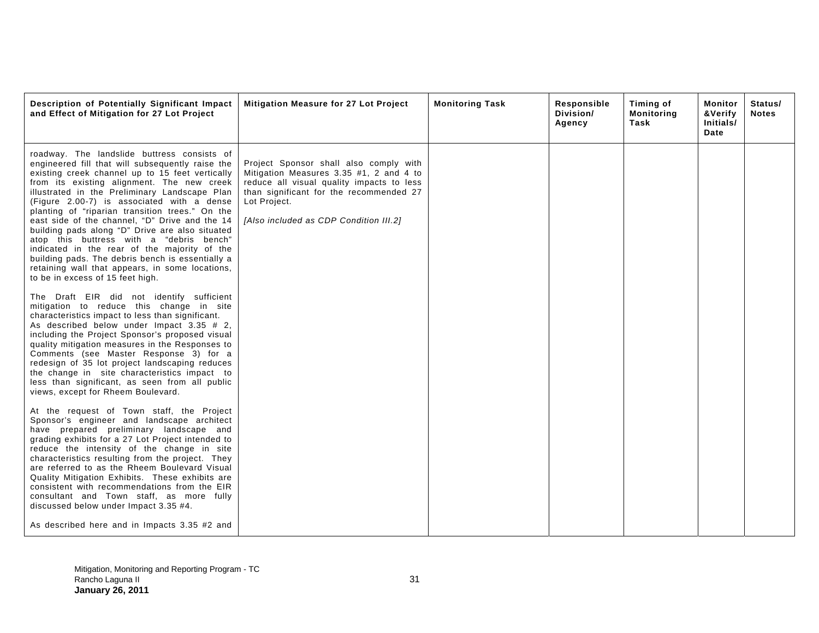| Description of Potentially Significant Impact<br>and Effect of Mitigation for 27 Lot Project                                                                                                                                                                                                                                                                                                                                                                                                                                                                                                                                                                                                   | Mitigation Measure for 27 Lot Project                                                                                                                                                                                               | <b>Monitoring Task</b> | Responsible<br>Division/<br>Agency | Timing of<br>Monitoring<br>Task | Monitor<br>&Verify<br>Initials/<br>Date | Status/<br><b>Notes</b> |
|------------------------------------------------------------------------------------------------------------------------------------------------------------------------------------------------------------------------------------------------------------------------------------------------------------------------------------------------------------------------------------------------------------------------------------------------------------------------------------------------------------------------------------------------------------------------------------------------------------------------------------------------------------------------------------------------|-------------------------------------------------------------------------------------------------------------------------------------------------------------------------------------------------------------------------------------|------------------------|------------------------------------|---------------------------------|-----------------------------------------|-------------------------|
| roadway. The landslide buttress consists of<br>engineered fill that will subsequently raise the<br>existing creek channel up to 15 feet vertically<br>from its existing alignment. The new creek<br>illustrated in the Preliminary Landscape Plan<br>(Figure 2.00-7) is associated with a dense<br>planting of "riparian transition trees." On the<br>east side of the channel, "D" Drive and the 14<br>building pads along "D" Drive are also situated<br>atop this buttress with a "debris bench"<br>indicated in the rear of the majority of the<br>building pads. The debris bench is essentially a<br>retaining wall that appears, in some locations,<br>to be in excess of 15 feet high. | Project Sponsor shall also comply with<br>Mitigation Measures 3.35 #1, 2 and 4 to<br>reduce all visual quality impacts to less<br>than significant for the recommended 27<br>Lot Project.<br>[Also included as CDP Condition III.2] |                        |                                    |                                 |                                         |                         |
| The Draft EIR did not identify sufficient<br>mitigation to reduce this change in site<br>characteristics impact to less than significant.<br>As described below under Impact 3.35 # 2,<br>including the Project Sponsor's proposed visual<br>quality mitigation measures in the Responses to<br>Comments (see Master Response 3) for a<br>redesign of 35 lot project landscaping reduces<br>the change in site characteristics impact to<br>less than significant, as seen from all public<br>views, except for Rheem Boulevard.                                                                                                                                                               |                                                                                                                                                                                                                                     |                        |                                    |                                 |                                         |                         |
| At the request of Town staff, the Project<br>Sponsor's engineer and landscape architect<br>have prepared preliminary landscape and<br>grading exhibits for a 27 Lot Project intended to<br>reduce the intensity of the change in site<br>characteristics resulting from the project. They<br>are referred to as the Rheem Boulevard Visual<br>Quality Mitigation Exhibits. These exhibits are<br>consistent with recommendations from the EIR<br>consultant and Town staff, as more fully<br>discussed below under Impact 3.35 #4.                                                                                                                                                             |                                                                                                                                                                                                                                     |                        |                                    |                                 |                                         |                         |
| As described here and in Impacts 3.35 #2 and                                                                                                                                                                                                                                                                                                                                                                                                                                                                                                                                                                                                                                                   |                                                                                                                                                                                                                                     |                        |                                    |                                 |                                         |                         |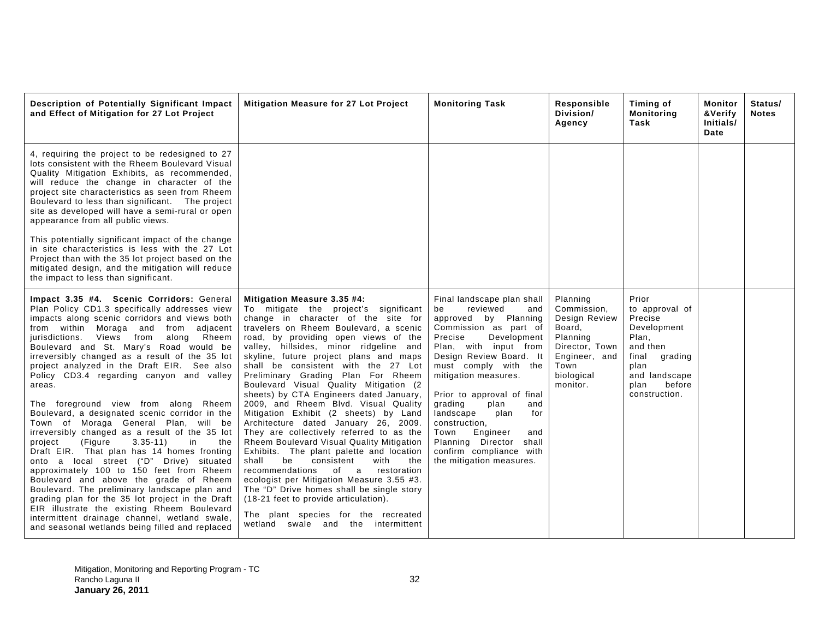| Description of Potentially Significant Impact<br>and Effect of Mitigation for 27 Lot Project                                                                                                                                                                                                                                                                                                                                                                                                                                                                                                                                                                                                                                                                                                                                                                                                                                                                                                                                                                                                                      | <b>Mitigation Measure for 27 Lot Project</b>                                                                                                                                                                                                                                                                                                                                                                                                                                                                                                                                                                                                                                                                                                                                                                                                                                                                                                                                                                            | <b>Monitoring Task</b>                                                                                                                                                                                                                                                                                                                                                                                                                                  | Responsible<br>Division/<br>Agency                                                                                                  | Timing of<br><b>Monitoring</b><br>Task                                                                                                                 | Monitor<br><b>&amp;Verify</b><br>Initials/<br>Date | Status/<br><b>Notes</b> |
|-------------------------------------------------------------------------------------------------------------------------------------------------------------------------------------------------------------------------------------------------------------------------------------------------------------------------------------------------------------------------------------------------------------------------------------------------------------------------------------------------------------------------------------------------------------------------------------------------------------------------------------------------------------------------------------------------------------------------------------------------------------------------------------------------------------------------------------------------------------------------------------------------------------------------------------------------------------------------------------------------------------------------------------------------------------------------------------------------------------------|-------------------------------------------------------------------------------------------------------------------------------------------------------------------------------------------------------------------------------------------------------------------------------------------------------------------------------------------------------------------------------------------------------------------------------------------------------------------------------------------------------------------------------------------------------------------------------------------------------------------------------------------------------------------------------------------------------------------------------------------------------------------------------------------------------------------------------------------------------------------------------------------------------------------------------------------------------------------------------------------------------------------------|---------------------------------------------------------------------------------------------------------------------------------------------------------------------------------------------------------------------------------------------------------------------------------------------------------------------------------------------------------------------------------------------------------------------------------------------------------|-------------------------------------------------------------------------------------------------------------------------------------|--------------------------------------------------------------------------------------------------------------------------------------------------------|----------------------------------------------------|-------------------------|
| 4, requiring the project to be redesigned to 27<br>lots consistent with the Rheem Boulevard Visual<br>Quality Mitigation Exhibits, as recommended,<br>will reduce the change in character of the<br>project site characteristics as seen from Rheem<br>Boulevard to less than significant. The project<br>site as developed will have a semi-rural or open<br>appearance from all public views.<br>This potentially significant impact of the change<br>in site characteristics is less with the 27 Lot<br>Project than with the 35 lot project based on the<br>mitigated design, and the mitigation will reduce<br>the impact to less than significant.                                                                                                                                                                                                                                                                                                                                                                                                                                                          |                                                                                                                                                                                                                                                                                                                                                                                                                                                                                                                                                                                                                                                                                                                                                                                                                                                                                                                                                                                                                         |                                                                                                                                                                                                                                                                                                                                                                                                                                                         |                                                                                                                                     |                                                                                                                                                        |                                                    |                         |
| Impact 3.35 #4. Scenic Corridors: General<br>Plan Policy CD1.3 specifically addresses view<br>impacts along scenic corridors and views both<br>from within Moraga and from adjacent<br>along Rheem<br>jurisdictions.<br>Views from<br>Boulevard and St. Mary's Road would be<br>irreversibly changed as a result of the 35 lot<br>project analyzed in the Draft EIR. See also<br>Policy CD3.4 regarding canyon and valley<br>areas.<br>The foreground view from along Rheem<br>Boulevard, a designated scenic corridor in the<br>Town of Moraga General Plan, will be<br>irreversibly changed as a result of the 35 lot<br>(Figure<br>$3.35 - 11$<br>the<br>project<br>in<br>Draft EIR. That plan has 14 homes fronting<br>onto a local street ("D" Drive) situated<br>approximately 100 to 150 feet from Rheem<br>Boulevard and above the grade of Rheem<br>Boulevard. The preliminary landscape plan and<br>grading plan for the 35 lot project in the Draft<br>EIR illustrate the existing Rheem Boulevard<br>intermittent drainage channel, wetland swale,<br>and seasonal wetlands being filled and replaced | Mitigation Measure 3.35 #4:<br>To mitigate the project's significant<br>change in character of the site for<br>travelers on Rheem Boulevard, a scenic<br>road, by providing open views of the<br>valley, hillsides, minor ridgeline and<br>skyline, future project plans and maps<br>shall be consistent with the 27 Lot<br>Preliminary Grading Plan For Rheem<br>Boulevard Visual Quality Mitigation (2<br>sheets) by CTA Engineers dated January,<br>2009, and Rheem Blvd. Visual Quality<br>Mitigation Exhibit (2 sheets) by Land<br>Architecture dated January 26, 2009.<br>They are collectively referred to as the<br>Rheem Boulevard Visual Quality Mitigation<br>Exhibits. The plant palette and location<br>be<br>shall<br>consistent<br>with<br>the<br>recommendations<br>of a<br>restoration<br>ecologist per Mitigation Measure 3.55 #3.<br>The "D" Drive homes shall be single story<br>(18-21 feet to provide articulation).<br>The plant species for the recreated<br>wetland swale and the intermittent | Final landscape plan shall<br>reviewed<br>be<br>and<br>approved by Planning<br>Commission as part of<br>Precise<br>Development<br>Plan, with input from<br>Design Review Board. It<br>must comply with the<br>mitigation measures.<br>Prior to approval of final<br>grading<br>plan<br>and<br>landscape<br>plan<br>for<br>construction,<br>Town<br>Engineer<br>and<br>Planning Director<br>shall<br>confirm compliance with<br>the mitigation measures. | Planning<br>Commission,<br>Design Review<br>Board,<br>Planning<br>Director, Town<br>Engineer, and<br>Town<br>biological<br>monitor. | Prior<br>to approval of<br>Precise<br>Development<br>Plan,<br>and then<br>final<br>grading<br>plan<br>and landscape<br>plan<br>before<br>construction. |                                                    |                         |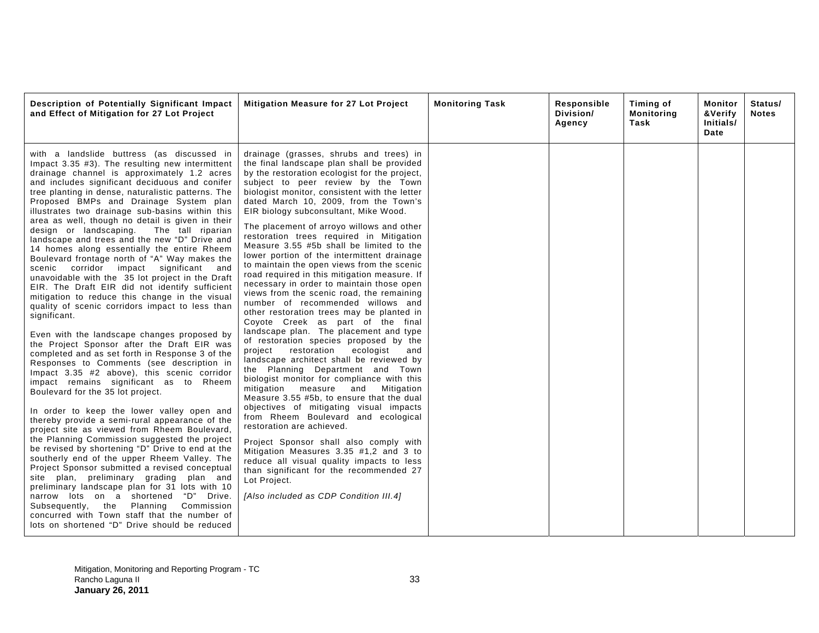| Description of Potentially Significant Impact<br>and Effect of Mitigation for 27 Lot Project                                                                                                                                                                                                                                                                                                                                                                                                                                                                                                                                                                                                                                                                                                                                                                                                                                                                                                                                                                                                                                                                                                                                                                                                                                                                                                                                                                                                                                                                                                                                                                                                                                                                                                                                                           | Mitigation Measure for 27 Lot Project                                                                                                                                                                                                                                                                                                                                                                                                                                                                                                                                                                                                                                                                                                                                                                                                                                                                                                                                                                                                                                                                                                                                                                                                                                                                                                                                                                                                                                                                                          | <b>Monitoring Task</b> | Responsible<br>Division/<br>Agency | Timing of<br><b>Monitoring</b><br>Task | Monitor<br>&Verify<br>Initials/<br>Date | Status/<br><b>Notes</b> |
|--------------------------------------------------------------------------------------------------------------------------------------------------------------------------------------------------------------------------------------------------------------------------------------------------------------------------------------------------------------------------------------------------------------------------------------------------------------------------------------------------------------------------------------------------------------------------------------------------------------------------------------------------------------------------------------------------------------------------------------------------------------------------------------------------------------------------------------------------------------------------------------------------------------------------------------------------------------------------------------------------------------------------------------------------------------------------------------------------------------------------------------------------------------------------------------------------------------------------------------------------------------------------------------------------------------------------------------------------------------------------------------------------------------------------------------------------------------------------------------------------------------------------------------------------------------------------------------------------------------------------------------------------------------------------------------------------------------------------------------------------------------------------------------------------------------------------------------------------------|--------------------------------------------------------------------------------------------------------------------------------------------------------------------------------------------------------------------------------------------------------------------------------------------------------------------------------------------------------------------------------------------------------------------------------------------------------------------------------------------------------------------------------------------------------------------------------------------------------------------------------------------------------------------------------------------------------------------------------------------------------------------------------------------------------------------------------------------------------------------------------------------------------------------------------------------------------------------------------------------------------------------------------------------------------------------------------------------------------------------------------------------------------------------------------------------------------------------------------------------------------------------------------------------------------------------------------------------------------------------------------------------------------------------------------------------------------------------------------------------------------------------------------|------------------------|------------------------------------|----------------------------------------|-----------------------------------------|-------------------------|
| with a landslide buttress (as discussed in<br>Impact 3.35 #3). The resulting new intermittent<br>drainage channel is approximately 1.2 acres<br>and includes significant deciduous and conifer<br>tree planting in dense, naturalistic patterns. The<br>Proposed BMPs and Drainage System plan<br>illustrates two drainage sub-basins within this<br>area as well, though no detail is given in their<br>design or landscaping.<br>The tall riparian<br>landscape and trees and the new "D" Drive and<br>14 homes along essentially the entire Rheem<br>Boulevard frontage north of "A" Way makes the<br>scenic corridor impact significant and<br>unavoidable with the 35 lot project in the Draft<br>EIR. The Draft EIR did not identify sufficient<br>mitigation to reduce this change in the visual<br>quality of scenic corridors impact to less than<br>significant.<br>Even with the landscape changes proposed by<br>the Project Sponsor after the Draft EIR was<br>completed and as set forth in Response 3 of the<br>Responses to Comments (see description in<br>Impact 3.35 #2 above), this scenic corridor<br>impact remains significant as to Rheem<br>Boulevard for the 35 lot project.<br>In order to keep the lower valley open and<br>thereby provide a semi-rural appearance of the<br>project site as viewed from Rheem Boulevard,<br>the Planning Commission suggested the project<br>be revised by shortening "D" Drive to end at the<br>southerly end of the upper Rheem Valley. The<br>Project Sponsor submitted a revised conceptual<br>plan, preliminary grading plan and<br>site<br>preliminary landscape plan for 31 lots with 10<br>narrow lots on a shortened "D" Drive.<br>Planning Commission<br>the<br>Subsequently,<br>concurred with Town staff that the number of<br>lots on shortened "D" Drive should be reduced | drainage (grasses, shrubs and trees) in<br>the final landscape plan shall be provided<br>by the restoration ecologist for the project,<br>subject to peer review by the Town<br>biologist monitor, consistent with the letter<br>dated March 10, 2009, from the Town's<br>EIR biology subconsultant, Mike Wood.<br>The placement of arroyo willows and other<br>restoration trees required in Mitigation<br>Measure 3.55 #5b shall be limited to the<br>lower portion of the intermittent drainage<br>to maintain the open views from the scenic<br>road required in this mitigation measure. If<br>necessary in order to maintain those open<br>views from the scenic road, the remaining<br>number of recommended willows and<br>other restoration trees may be planted in<br>Coyote Creek as part of the final<br>landscape plan. The placement and type<br>of restoration species proposed by the<br>project restoration<br>ecologist<br>and<br>landscape architect shall be reviewed by<br>the Planning Department and Town<br>biologist monitor for compliance with this<br>mitigation<br>measure<br>and<br>Mitigation<br>Measure 3.55 #5b, to ensure that the dual<br>objectives of mitigating visual impacts<br>from Rheem Boulevard and ecological<br>restoration are achieved.<br>Project Sponsor shall also comply with<br>Mitigation Measures 3.35 #1,2 and 3 to<br>reduce all visual quality impacts to less<br>than significant for the recommended 27<br>Lot Project.<br>[Also included as CDP Condition III.4] |                        |                                    |                                        |                                         |                         |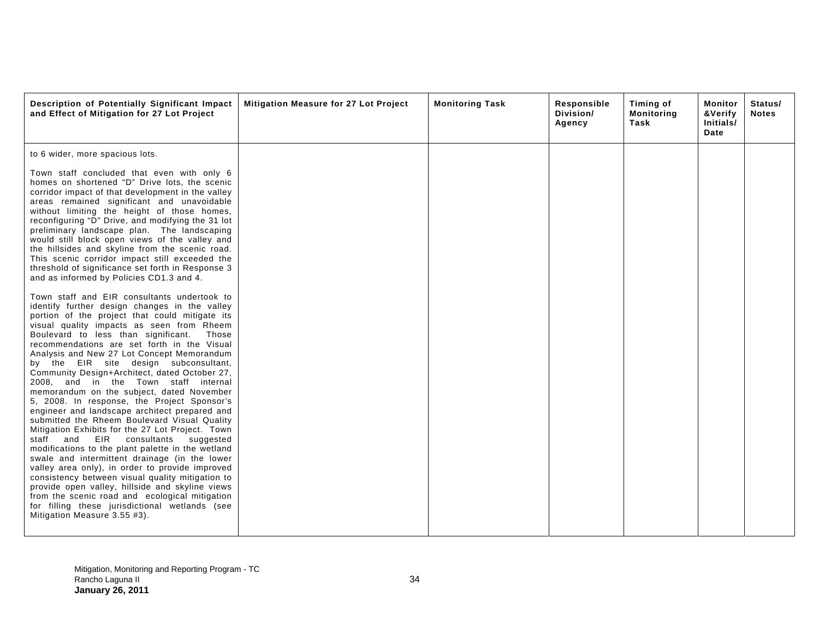| Description of Potentially Significant Impact<br>and Effect of Mitigation for 27 Lot Project                                                                                                                                                                                                                                                                                                                                                                                                                                                                                                                                                                                                                                                                                                                                                                                                                                                                                                                                                                                                                                                                                       | Mitigation Measure for 27 Lot Project | <b>Monitoring Task</b> | Responsible<br>Division/<br>Agency | Timing of<br><b>Monitoring</b><br>Task | Monitor<br>&Verify<br>Initials/<br>Date | Status/<br><b>Notes</b> |
|------------------------------------------------------------------------------------------------------------------------------------------------------------------------------------------------------------------------------------------------------------------------------------------------------------------------------------------------------------------------------------------------------------------------------------------------------------------------------------------------------------------------------------------------------------------------------------------------------------------------------------------------------------------------------------------------------------------------------------------------------------------------------------------------------------------------------------------------------------------------------------------------------------------------------------------------------------------------------------------------------------------------------------------------------------------------------------------------------------------------------------------------------------------------------------|---------------------------------------|------------------------|------------------------------------|----------------------------------------|-----------------------------------------|-------------------------|
| to 6 wider, more spacious lots.                                                                                                                                                                                                                                                                                                                                                                                                                                                                                                                                                                                                                                                                                                                                                                                                                                                                                                                                                                                                                                                                                                                                                    |                                       |                        |                                    |                                        |                                         |                         |
| Town staff concluded that even with only 6<br>homes on shortened "D" Drive lots, the scenic<br>corridor impact of that development in the valley<br>areas remained significant and unavoidable<br>without limiting the height of those homes,<br>reconfiguring "D" Drive, and modifying the 31 lot<br>preliminary landscape plan. The landscaping<br>would still block open views of the valley and<br>the hillsides and skyline from the scenic road.<br>This scenic corridor impact still exceeded the<br>threshold of significance set forth in Response 3<br>and as informed by Policies CD1.3 and 4.                                                                                                                                                                                                                                                                                                                                                                                                                                                                                                                                                                          |                                       |                        |                                    |                                        |                                         |                         |
| Town staff and EIR consultants undertook to<br>identify further design changes in the valley<br>portion of the project that could mitigate its<br>visual quality impacts as seen from Rheem<br>Boulevard to less than significant.<br>Those<br>recommendations are set forth in the Visual<br>Analysis and New 27 Lot Concept Memorandum<br>by the EIR site design subconsultant,<br>Community Design+Architect, dated October 27,<br>2008, and in the Town staff internal<br>memorandum on the subject, dated November<br>5, 2008. In response, the Project Sponsor's<br>engineer and landscape architect prepared and<br>submitted the Rheem Boulevard Visual Quality<br>Mitigation Exhibits for the 27 Lot Project. Town<br>staff<br>and<br>EIR<br>consultants<br>suggested<br>modifications to the plant palette in the wetland<br>swale and intermittent drainage (in the lower<br>valley area only), in order to provide improved<br>consistency between visual quality mitigation to<br>provide open valley, hillside and skyline views<br>from the scenic road and ecological mitigation<br>for filling these jurisdictional wetlands (see<br>Mitigation Measure 3.55 #3). |                                       |                        |                                    |                                        |                                         |                         |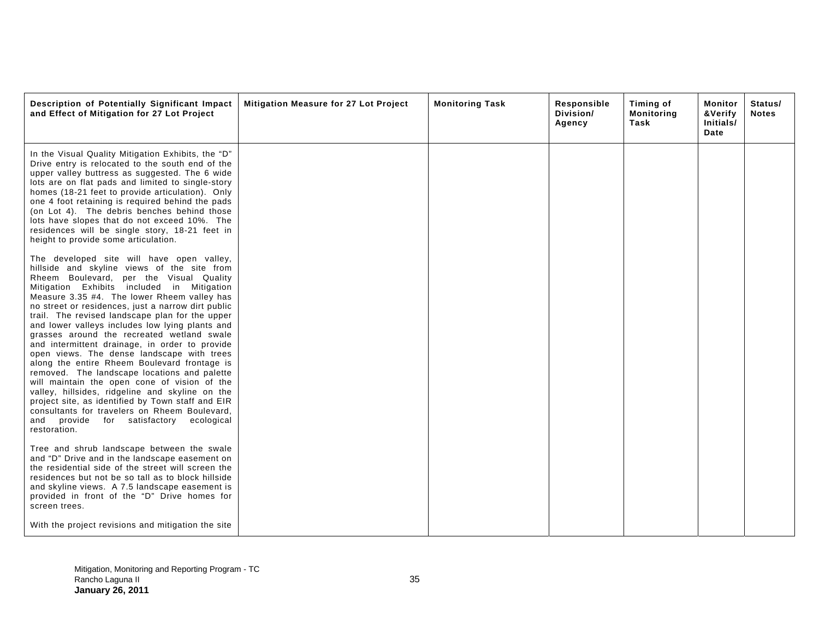| Description of Potentially Significant Impact<br>and Effect of Mitigation for 27 Lot Project                                                                                                                                                                                                                                                                                                                                                                                                                                                                                                                                                                                                                                                                                                                                                                                                                   | Mitigation Measure for 27 Lot Project | <b>Monitoring Task</b> | Responsible<br>Division/<br>Agency | Timing of<br><b>Monitoring</b><br>Task | Monitor<br>&Verify<br>Initials/<br>Date | Status/<br><b>Notes</b> |
|----------------------------------------------------------------------------------------------------------------------------------------------------------------------------------------------------------------------------------------------------------------------------------------------------------------------------------------------------------------------------------------------------------------------------------------------------------------------------------------------------------------------------------------------------------------------------------------------------------------------------------------------------------------------------------------------------------------------------------------------------------------------------------------------------------------------------------------------------------------------------------------------------------------|---------------------------------------|------------------------|------------------------------------|----------------------------------------|-----------------------------------------|-------------------------|
| In the Visual Quality Mitigation Exhibits, the "D"<br>Drive entry is relocated to the south end of the<br>upper valley buttress as suggested. The 6 wide<br>lots are on flat pads and limited to single-story<br>homes (18-21 feet to provide articulation). Only<br>one 4 foot retaining is required behind the pads<br>(on Lot 4). The debris benches behind those<br>lots have slopes that do not exceed 10%. The<br>residences will be single story, 18-21 feet in<br>height to provide some articulation.                                                                                                                                                                                                                                                                                                                                                                                                 |                                       |                        |                                    |                                        |                                         |                         |
| The developed site will have open valley,<br>hillside and skyline views of the site from<br>Rheem Boulevard, per the Visual Quality<br>Mitigation Exhibits included in Mitigation<br>Measure 3.35 #4. The lower Rheem valley has<br>no street or residences, just a narrow dirt public<br>trail. The revised landscape plan for the upper<br>and lower valleys includes low lying plants and<br>grasses around the recreated wetland swale<br>and intermittent drainage, in order to provide<br>open views. The dense landscape with trees<br>along the entire Rheem Boulevard frontage is<br>removed. The landscape locations and palette<br>will maintain the open cone of vision of the<br>valley, hillsides, ridgeline and skyline on the<br>project site, as identified by Town staff and EIR<br>consultants for travelers on Rheem Boulevard,<br>and provide for satisfactory ecological<br>restoration. |                                       |                        |                                    |                                        |                                         |                         |
| Tree and shrub landscape between the swale<br>and "D" Drive and in the landscape easement on<br>the residential side of the street will screen the<br>residences but not be so tall as to block hillside<br>and skyline views. A 7.5 landscape easement is<br>provided in front of the "D" Drive homes for<br>screen trees.                                                                                                                                                                                                                                                                                                                                                                                                                                                                                                                                                                                    |                                       |                        |                                    |                                        |                                         |                         |
| With the project revisions and mitigation the site                                                                                                                                                                                                                                                                                                                                                                                                                                                                                                                                                                                                                                                                                                                                                                                                                                                             |                                       |                        |                                    |                                        |                                         |                         |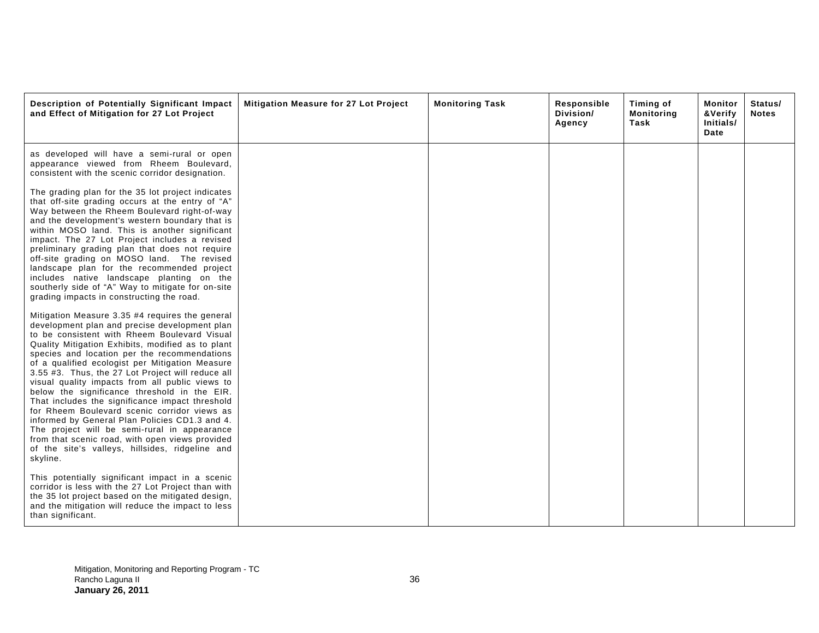| Description of Potentially Significant Impact<br>and Effect of Mitigation for 27 Lot Project                                                                                                                                                                                                                                                                                                                                                                                                                                                                                                                                                                                                                                                                                            | Mitigation Measure for 27 Lot Project | <b>Monitoring Task</b> | Responsible<br>Division/<br>Agency | Timing of<br>Monitoring<br>Task | Monitor<br>&Verify<br>Initials/<br>Date | Status/<br><b>Notes</b> |
|-----------------------------------------------------------------------------------------------------------------------------------------------------------------------------------------------------------------------------------------------------------------------------------------------------------------------------------------------------------------------------------------------------------------------------------------------------------------------------------------------------------------------------------------------------------------------------------------------------------------------------------------------------------------------------------------------------------------------------------------------------------------------------------------|---------------------------------------|------------------------|------------------------------------|---------------------------------|-----------------------------------------|-------------------------|
| as developed will have a semi-rural or open<br>appearance viewed from Rheem Boulevard,<br>consistent with the scenic corridor designation.                                                                                                                                                                                                                                                                                                                                                                                                                                                                                                                                                                                                                                              |                                       |                        |                                    |                                 |                                         |                         |
| The grading plan for the 35 lot project indicates<br>that off-site grading occurs at the entry of "A"<br>Way between the Rheem Boulevard right-of-way<br>and the development's western boundary that is<br>within MOSO land. This is another significant<br>impact. The 27 Lot Project includes a revised<br>preliminary grading plan that does not require<br>off-site grading on MOSO land. The revised<br>landscape plan for the recommended project<br>includes native landscape planting on the<br>southerly side of "A" Way to mitigate for on-site<br>grading impacts in constructing the road.                                                                                                                                                                                  |                                       |                        |                                    |                                 |                                         |                         |
| Mitigation Measure 3.35 #4 requires the general<br>development plan and precise development plan<br>to be consistent with Rheem Boulevard Visual<br>Quality Mitigation Exhibits, modified as to plant<br>species and location per the recommendations<br>of a qualified ecologist per Mitigation Measure<br>3.55 #3. Thus, the 27 Lot Project will reduce all<br>visual quality impacts from all public views to<br>below the significance threshold in the EIR.<br>That includes the significance impact threshold<br>for Rheem Boulevard scenic corridor views as<br>informed by General Plan Policies CD1.3 and 4.<br>The project will be semi-rural in appearance<br>from that scenic road, with open views provided<br>of the site's valleys, hillsides, ridgeline and<br>skyline. |                                       |                        |                                    |                                 |                                         |                         |
| This potentially significant impact in a scenic<br>corridor is less with the 27 Lot Project than with<br>the 35 lot project based on the mitigated design,<br>and the mitigation will reduce the impact to less<br>than significant.                                                                                                                                                                                                                                                                                                                                                                                                                                                                                                                                                    |                                       |                        |                                    |                                 |                                         |                         |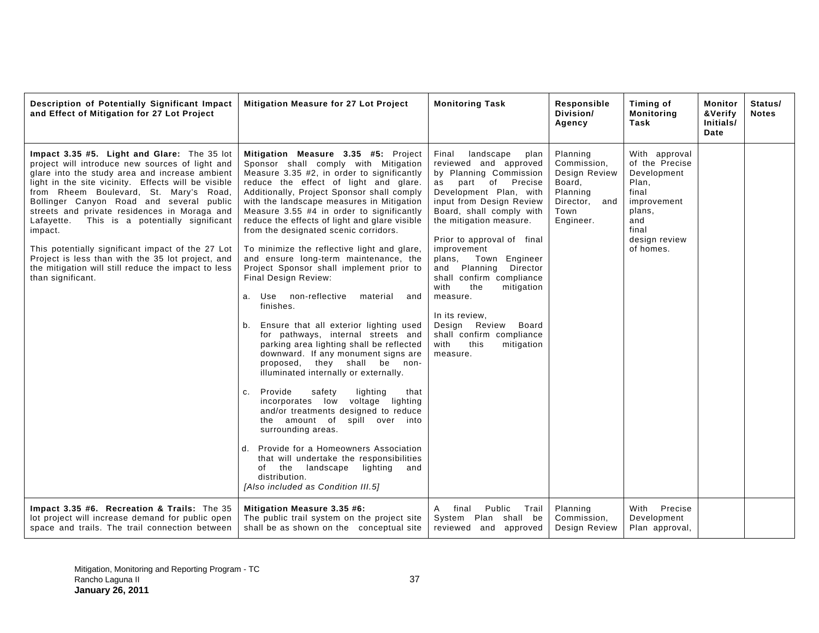| Description of Potentially Significant Impact<br>and Effect of Mitigation for 27 Lot Project                                                                                                                                                                                                                                                                                                                                                                                                                                                                                                   | Mitigation Measure for 27 Lot Project                                                                                                                                                                                                                                                                                                                                                                                                                                                                                                                                                                                                                                                                                                                                                                                                                                                                                                                                                                                                                                                                                                                                                                                                                                          | <b>Monitoring Task</b>                                                                                                                                                                                                                                                                                                                                                                                                                                                                                               | Responsible<br>Division/<br>Agency                                                                   | Timing of<br><b>Monitoring</b><br>Task                                                                                                  | Monitor<br><b>&amp;Verify</b><br>Initials/<br>Date | Status/<br><b>Notes</b> |
|------------------------------------------------------------------------------------------------------------------------------------------------------------------------------------------------------------------------------------------------------------------------------------------------------------------------------------------------------------------------------------------------------------------------------------------------------------------------------------------------------------------------------------------------------------------------------------------------|--------------------------------------------------------------------------------------------------------------------------------------------------------------------------------------------------------------------------------------------------------------------------------------------------------------------------------------------------------------------------------------------------------------------------------------------------------------------------------------------------------------------------------------------------------------------------------------------------------------------------------------------------------------------------------------------------------------------------------------------------------------------------------------------------------------------------------------------------------------------------------------------------------------------------------------------------------------------------------------------------------------------------------------------------------------------------------------------------------------------------------------------------------------------------------------------------------------------------------------------------------------------------------|----------------------------------------------------------------------------------------------------------------------------------------------------------------------------------------------------------------------------------------------------------------------------------------------------------------------------------------------------------------------------------------------------------------------------------------------------------------------------------------------------------------------|------------------------------------------------------------------------------------------------------|-----------------------------------------------------------------------------------------------------------------------------------------|----------------------------------------------------|-------------------------|
| Impact 3.35 #5. Light and Glare: The 35 lot<br>project will introduce new sources of light and<br>glare into the study area and increase ambient<br>light in the site vicinity. Effects will be visible<br>from Rheem Boulevard, St. Mary's Road,<br>Bollinger Canyon Road and several public<br>streets and private residences in Moraga and<br>Lafayette. This is a potentially significant<br>impact.<br>This potentially significant impact of the 27 Lot<br>Project is less than with the 35 lot project, and<br>the mitigation will still reduce the impact to less<br>than significant. | Mitigation Measure 3.35 #5: Project<br>Sponsor shall comply with Mitigation<br>Measure 3.35 #2, in order to significantly<br>reduce the effect of light and glare.<br>Additionally, Project Sponsor shall comply<br>with the landscape measures in Mitigation<br>Measure 3.55 #4 in order to significantly<br>reduce the effects of light and glare visible<br>from the designated scenic corridors.<br>To minimize the reflective light and glare,<br>and ensure long-term maintenance, the<br>Project Sponsor shall implement prior to<br>Final Design Review:<br>non-reflective<br>Use<br>material<br>and<br>a.<br>finishes.<br>Ensure that all exterior lighting used<br>b.<br>for pathways, internal streets and<br>parking area lighting shall be reflected<br>downward. If any monument signs are<br>they shall be non-<br>proposed,<br>illuminated internally or externally.<br>Provide<br>safety<br>lighting<br>that<br>C <sub>1</sub><br>incorporates low voltage lighting<br>and/or treatments designed to reduce<br>the amount of spill over into<br>surrounding areas.<br>Provide for a Homeowners Association<br>d.<br>that will undertake the responsibilities<br>lighting<br>of the<br>landscape<br>and<br>distribution.<br>[Also included as Condition III.5] | landscape<br>Final<br>plan<br>reviewed and approved<br>by Planning Commission<br>part of<br>Precise<br>as<br>Development Plan, with<br>input from Design Review<br>Board, shall comply with<br>the mitigation measure.<br>Prior to approval of final<br>improvement<br>Town Engineer<br>plans,<br>Planning<br>Director<br>and<br>shall confirm compliance<br>with<br>the<br>mitigation<br>measure.<br>In its review,<br>Design Review<br>Board<br>shall confirm compliance<br>with<br>this<br>mitigation<br>measure. | Planning<br>Commission,<br>Design Review<br>Board,<br>Planning<br>Director, and<br>Town<br>Engineer. | With approval<br>of the Precise<br>Development<br>Plan,<br>final<br>improvement<br>plans,<br>and<br>final<br>design review<br>of homes. |                                                    |                         |
| Impact 3.35 #6. Recreation & Trails: The 35<br>lot project will increase demand for public open<br>space and trails. The trail connection between                                                                                                                                                                                                                                                                                                                                                                                                                                              | Mitigation Measure 3.35 #6:<br>The public trail system on the project site<br>shall be as shown on the conceptual site                                                                                                                                                                                                                                                                                                                                                                                                                                                                                                                                                                                                                                                                                                                                                                                                                                                                                                                                                                                                                                                                                                                                                         | A final<br>Public<br>Trail<br>System Plan shall be<br>reviewed and approved                                                                                                                                                                                                                                                                                                                                                                                                                                          | Planning<br>Commission,<br>Design Review                                                             | Precise<br>With<br>Development<br>Plan approval,                                                                                        |                                                    |                         |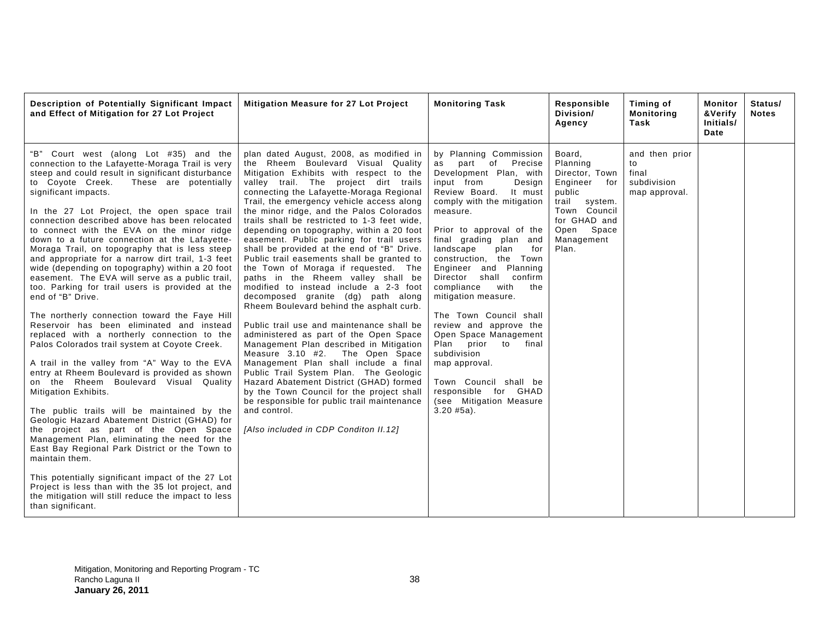| Description of Potentially Significant Impact<br>and Effect of Mitigation for 27 Lot Project                                                                                                                                                                                                                                                                                                                                                                                                                                                                                                                                                                                                                                                                                                                                                                                                                                                                                                                                                                                                                                                                                                                                                                                                                                                                                                                                                                                                                                  | Mitigation Measure for 27 Lot Project                                                                                                                                                                                                                                                                                                                                                                                                                                                                                                                                                                                                                                                                                                                                                                                                                                                                                                                                                                                                                                                                                                                                                                         | <b>Monitoring Task</b>                                                                                                                                                                                                                                                                                                                                                                                                                                                                                                                                                                                               | Responsible<br>Division/<br>Agency                                                                                                                         | Timing of<br><b>Monitoring</b><br>Task                        | Monitor<br>&Verify<br>Initials/<br>Date | Status/<br><b>Notes</b> |
|-------------------------------------------------------------------------------------------------------------------------------------------------------------------------------------------------------------------------------------------------------------------------------------------------------------------------------------------------------------------------------------------------------------------------------------------------------------------------------------------------------------------------------------------------------------------------------------------------------------------------------------------------------------------------------------------------------------------------------------------------------------------------------------------------------------------------------------------------------------------------------------------------------------------------------------------------------------------------------------------------------------------------------------------------------------------------------------------------------------------------------------------------------------------------------------------------------------------------------------------------------------------------------------------------------------------------------------------------------------------------------------------------------------------------------------------------------------------------------------------------------------------------------|---------------------------------------------------------------------------------------------------------------------------------------------------------------------------------------------------------------------------------------------------------------------------------------------------------------------------------------------------------------------------------------------------------------------------------------------------------------------------------------------------------------------------------------------------------------------------------------------------------------------------------------------------------------------------------------------------------------------------------------------------------------------------------------------------------------------------------------------------------------------------------------------------------------------------------------------------------------------------------------------------------------------------------------------------------------------------------------------------------------------------------------------------------------------------------------------------------------|----------------------------------------------------------------------------------------------------------------------------------------------------------------------------------------------------------------------------------------------------------------------------------------------------------------------------------------------------------------------------------------------------------------------------------------------------------------------------------------------------------------------------------------------------------------------------------------------------------------------|------------------------------------------------------------------------------------------------------------------------------------------------------------|---------------------------------------------------------------|-----------------------------------------|-------------------------|
| "B" Court west (along Lot #35) and the<br>connection to the Lafayette-Moraga Trail is very<br>steep and could result in significant disturbance<br>to Coyote Creek.<br>These are potentially<br>significant impacts.<br>In the 27 Lot Project, the open space trail<br>connection described above has been relocated<br>to connect with the EVA on the minor ridge<br>down to a future connection at the Lafayette-<br>Moraga Trail, on topography that is less steep<br>and appropriate for a narrow dirt trail, 1-3 feet<br>wide (depending on topography) within a 20 foot<br>easement. The EVA will serve as a public trail,<br>too. Parking for trail users is provided at the<br>end of "B" Drive.<br>The northerly connection toward the Faye Hill<br>Reservoir has been eliminated and instead<br>replaced with a northerly connection to the<br>Palos Colorados trail system at Coyote Creek.<br>A trail in the valley from "A" Way to the EVA<br>entry at Rheem Boulevard is provided as shown<br>on the Rheem Boulevard Visual Quality<br>Mitigation Exhibits.<br>The public trails will be maintained by the<br>Geologic Hazard Abatement District (GHAD) for<br>the project as part of the Open Space<br>Management Plan, eliminating the need for the<br>East Bay Regional Park District or the Town to<br>maintain them.<br>This potentially significant impact of the 27 Lot<br>Project is less than with the 35 lot project, and<br>the mitigation will still reduce the impact to less<br>than significant. | plan dated August, 2008, as modified in<br>the Rheem Boulevard Visual Quality<br>Mitigation Exhibits with respect to the<br>valley trail. The project dirt trails<br>connecting the Lafayette-Moraga Regional<br>Trail, the emergency vehicle access along<br>the minor ridge, and the Palos Colorados<br>trails shall be restricted to 1-3 feet wide,<br>depending on topography, within a 20 foot<br>easement. Public parking for trail users<br>shall be provided at the end of "B" Drive.<br>Public trail easements shall be granted to<br>the Town of Moraga if requested. The<br>paths in the Rheem valley shall be<br>modified to instead include a 2-3 foot<br>decomposed granite (dg) path along<br>Rheem Boulevard behind the asphalt curb.<br>Public trail use and maintenance shall be<br>administered as part of the Open Space<br>Management Plan described in Mitigation<br>Measure 3.10 #2. The Open Space<br>Management Plan shall include a final<br>Public Trail System Plan. The Geologic<br>Hazard Abatement District (GHAD) formed<br>by the Town Council for the project shall<br>be responsible for public trail maintenance<br>and control.<br>[Also included in CDP Conditon II.12] | by Planning Commission<br>as part of Precise<br>Development Plan, with<br>input from<br>Design<br>Review Board. It must<br>comply with the mitigation<br>measure.<br>Prior to approval of the<br>final grading plan and<br>landscape<br>plan<br>for<br>construction, the Town<br>Engineer and Planning<br>Director shall confirm<br>compliance<br>with<br>the<br>mitigation measure.<br>The Town Council shall<br>review and approve the<br>Open Space Management<br>Plan prior to final<br>subdivision<br>map approval.<br>Town Council shall be<br>responsible for GHAD<br>(see Mitigation Measure<br>$3.20$ #5a). | Board,<br>Planning<br>Director, Town<br>Engineer<br>for<br>public<br>trail<br>system.<br>Town Council<br>for GHAD and<br>Open Space<br>Management<br>Plan. | and then prior<br>to<br>final<br>subdivision<br>map approval. |                                         |                         |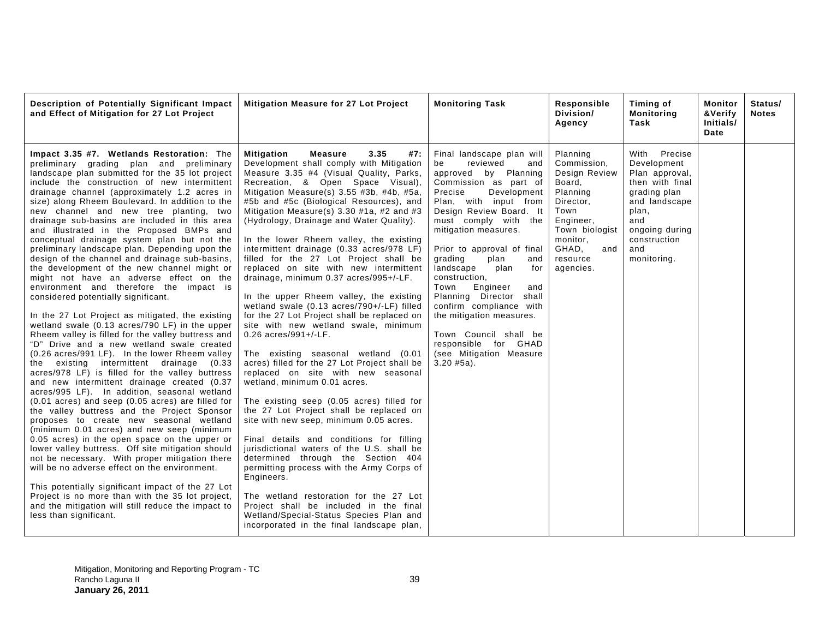| Description of Potentially Significant Impact<br>and Effect of Mitigation for 27 Lot Project                                                                                                                                                                                                                                                                                                                                                                                                                                                                                                                                                                                                                                                                                                                                                                                                                                                                                                                                                                                                                                                                                                                                                                                                                                                                                                                                                                                                                                                                                                                                                                                                                                                                                                                              | Mitigation Measure for 27 Lot Project                                                                                                                                                                                                                                                                                                                                                                                                                                                                                                                                                                                                                                                                                                                                                                                                                                                                                                                                                                                                                                                                                                                                                                                                                                                                                                                                                                                                                                   | <b>Monitoring Task</b>                                                                                                                                                                                                                                                                                                                                                                                                                                                                                                                          | Responsible<br>Division/<br>Agency                                                                                                                                      | Timing of<br><b>Monitoring</b><br>Task                                                                                                                                    | Monitor<br>&Verify<br>Initials/<br>Date | Status/<br><b>Notes</b> |
|---------------------------------------------------------------------------------------------------------------------------------------------------------------------------------------------------------------------------------------------------------------------------------------------------------------------------------------------------------------------------------------------------------------------------------------------------------------------------------------------------------------------------------------------------------------------------------------------------------------------------------------------------------------------------------------------------------------------------------------------------------------------------------------------------------------------------------------------------------------------------------------------------------------------------------------------------------------------------------------------------------------------------------------------------------------------------------------------------------------------------------------------------------------------------------------------------------------------------------------------------------------------------------------------------------------------------------------------------------------------------------------------------------------------------------------------------------------------------------------------------------------------------------------------------------------------------------------------------------------------------------------------------------------------------------------------------------------------------------------------------------------------------------------------------------------------------|-------------------------------------------------------------------------------------------------------------------------------------------------------------------------------------------------------------------------------------------------------------------------------------------------------------------------------------------------------------------------------------------------------------------------------------------------------------------------------------------------------------------------------------------------------------------------------------------------------------------------------------------------------------------------------------------------------------------------------------------------------------------------------------------------------------------------------------------------------------------------------------------------------------------------------------------------------------------------------------------------------------------------------------------------------------------------------------------------------------------------------------------------------------------------------------------------------------------------------------------------------------------------------------------------------------------------------------------------------------------------------------------------------------------------------------------------------------------------|-------------------------------------------------------------------------------------------------------------------------------------------------------------------------------------------------------------------------------------------------------------------------------------------------------------------------------------------------------------------------------------------------------------------------------------------------------------------------------------------------------------------------------------------------|-------------------------------------------------------------------------------------------------------------------------------------------------------------------------|---------------------------------------------------------------------------------------------------------------------------------------------------------------------------|-----------------------------------------|-------------------------|
| Impact 3.35 #7. Wetlands Restoration: The<br>preliminary grading plan and preliminary<br>landscape plan submitted for the 35 lot project<br>include the construction of new intermittent<br>drainage channel (approximately 1.2 acres in<br>size) along Rheem Boulevard. In addition to the<br>new channel and new tree planting, two<br>drainage sub-basins are included in this area<br>and illustrated in the Proposed BMPs and<br>conceptual drainage system plan but not the<br>preliminary landscape plan. Depending upon the<br>design of the channel and drainage sub-basins,<br>the development of the new channel might or<br>might not have an adverse effect on the<br>environment and therefore the impact is<br>considered potentially significant.<br>In the 27 Lot Project as mitigated, the existing<br>wetland swale (0.13 acres/790 LF) in the upper<br>Rheem valley is filled for the valley buttress and<br>"D" Drive and a new wetland swale created<br>(0.26 acres/991 LF). In the lower Rheem valley<br>the existing intermittent drainage (0.33<br>acres/978 LF) is filled for the valley buttress<br>and new intermittent drainage created (0.37<br>acres/995 LF). In addition, seasonal wetland<br>(0.01 acres) and seep (0.05 acres) are filled for<br>the valley buttress and the Project Sponsor<br>proposes to create new seasonal wetland<br>(minimum 0.01 acres) and new seep (minimum<br>0.05 acres) in the open space on the upper or<br>lower valley buttress. Off site mitigation should<br>not be necessary. With proper mitigation there<br>will be no adverse effect on the environment.<br>This potentially significant impact of the 27 Lot<br>Project is no more than with the 35 lot project,<br>and the mitigation will still reduce the impact to<br>less than significant. | <b>Mitigation</b><br><b>Measure</b><br>3.35<br>#7:<br>Development shall comply with Mitigation<br>Measure 3.35 #4 (Visual Quality, Parks,<br>Recreation, & Open Space Visual),<br>Mitigation Measure(s) 3.55 #3b, #4b, #5a,<br>#5b and #5c (Biological Resources), and<br>Mitigation Measure(s) $3.30$ #1a, #2 and #3<br>(Hydrology, Drainage and Water Quality).<br>In the lower Rheem valley, the existing<br>intermittent drainage (0.33 acres/978 LF)<br>filled for the 27 Lot Project shall be<br>replaced on site with new intermittent<br>drainage, minimum 0.37 acres/995+/-LF.<br>In the upper Rheem valley, the existing<br>wetland swale (0.13 acres/790+/-LF) filled<br>for the 27 Lot Project shall be replaced on<br>site with new wetland swale, minimum<br>0.26 acres/991+/-LF.<br>The existing seasonal wetland (0.01<br>acres) filled for the 27 Lot Project shall be<br>replaced on site with new seasonal<br>wetland, minimum 0.01 acres.<br>The existing seep (0.05 acres) filled for<br>the 27 Lot Project shall be replaced on<br>site with new seep, minimum 0.05 acres.<br>Final details and conditions for filling<br>jurisdictional waters of the U.S. shall be<br>determined through the Section 404<br>permitting process with the Army Corps of<br>Engineers.<br>The wetland restoration for the 27 Lot<br>Project shall be included in the final<br>Wetland/Special-Status Species Plan and<br>incorporated in the final landscape plan, | Final landscape plan will<br>reviewed<br>be<br>and<br>approved by Planning<br>Commission as part of<br>Precise<br>Development<br>Plan, with input from<br>Design Review Board. It<br>must comply with the<br>mitigation measures.<br>Prior to approval of final<br>grading<br>plan<br>and<br>landscape<br>plan<br>for<br>construction,<br>Town<br>Engineer<br>and<br>Planning Director shall<br>confirm compliance with<br>the mitigation measures.<br>Town Council shall be<br>responsible for GHAD<br>(see Mitigation Measure<br>$3.20$ #5a). | Planning<br>Commission,<br>Design Review<br>Board,<br>Planning<br>Director,<br>Town<br>Engineer,<br>Town biologist<br>monitor,<br>GHAD,<br>and<br>resource<br>agencies. | With Precise<br>Development<br>Plan approval,<br>then with final<br>grading plan<br>and landscape<br>plan,<br>and<br>ongoing during<br>construction<br>and<br>monitoring. |                                         |                         |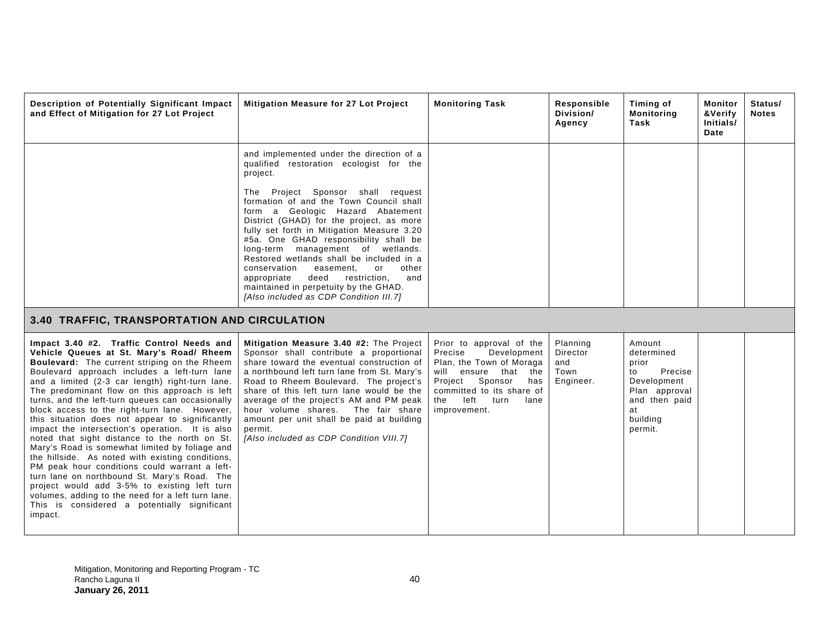| Description of Potentially Significant Impact<br>and Effect of Mitigation for 27 Lot Project                                                                                                                                                                                                                                                                                                                                                                                                                                                                                                                                                                                                                                                                                                                                                                                                                                 | <b>Mitigation Measure for 27 Lot Project</b>                                                                                                                                                                                                                                                                                                                                                                                                                                                                                                                                                                         | <b>Monitoring Task</b>                                                                                                                                                                                          | Responsible<br>Division/<br>Agency               | Timing of<br><b>Monitoring</b><br>Task                                                                                       | Monitor<br>&Verify<br>Initials/<br>Date | Status/<br><b>Notes</b> |
|------------------------------------------------------------------------------------------------------------------------------------------------------------------------------------------------------------------------------------------------------------------------------------------------------------------------------------------------------------------------------------------------------------------------------------------------------------------------------------------------------------------------------------------------------------------------------------------------------------------------------------------------------------------------------------------------------------------------------------------------------------------------------------------------------------------------------------------------------------------------------------------------------------------------------|----------------------------------------------------------------------------------------------------------------------------------------------------------------------------------------------------------------------------------------------------------------------------------------------------------------------------------------------------------------------------------------------------------------------------------------------------------------------------------------------------------------------------------------------------------------------------------------------------------------------|-----------------------------------------------------------------------------------------------------------------------------------------------------------------------------------------------------------------|--------------------------------------------------|------------------------------------------------------------------------------------------------------------------------------|-----------------------------------------|-------------------------|
|                                                                                                                                                                                                                                                                                                                                                                                                                                                                                                                                                                                                                                                                                                                                                                                                                                                                                                                              | and implemented under the direction of a<br>qualified restoration ecologist for the<br>project.<br>The Project Sponsor shall request<br>formation of and the Town Council shall<br>form a Geologic Hazard Abatement<br>District (GHAD) for the project, as more<br>fully set forth in Mitigation Measure 3.20<br>#5a. One GHAD responsibility shall be<br>long-term management of wetlands.<br>Restored wetlands shall be included in a<br>conservation<br>easement,<br>or<br>other<br>appropriate<br>deed<br>restriction,<br>and<br>maintained in perpetuity by the GHAD.<br>[Also included as CDP Condition III.7] |                                                                                                                                                                                                                 |                                                  |                                                                                                                              |                                         |                         |
| 3.40 TRAFFIC, TRANSPORTATION AND CIRCULATION                                                                                                                                                                                                                                                                                                                                                                                                                                                                                                                                                                                                                                                                                                                                                                                                                                                                                 |                                                                                                                                                                                                                                                                                                                                                                                                                                                                                                                                                                                                                      |                                                                                                                                                                                                                 |                                                  |                                                                                                                              |                                         |                         |
| Impact 3.40 #2. Traffic Control Needs and<br>Vehicle Queues at St. Mary's Road/ Rheem<br>Boulevard: The current striping on the Rheem<br>Boulevard approach includes a left-turn lane<br>and a limited (2-3 car length) right-turn lane.<br>The predominant flow on this approach is left<br>turns, and the left-turn queues can occasionally<br>block access to the right-turn lane. However,<br>this situation does not appear to significantly<br>impact the intersection's operation. It is also<br>noted that sight distance to the north on St.<br>Mary's Road is somewhat limited by foliage and<br>the hillside. As noted with existing conditions,<br>PM peak hour conditions could warrant a left-<br>turn lane on northbound St. Mary's Road. The<br>project would add 3-5% to existing left turn<br>volumes, adding to the need for a left turn lane.<br>This is considered a potentially significant<br>impact. | Mitigation Measure 3.40 #2: The Project<br>Sponsor shall contribute a proportional<br>share toward the eventual construction of<br>a northbound left turn lane from St. Mary's<br>Road to Rheem Boulevard. The project's<br>share of this left turn lane would be the<br>average of the project's AM and PM peak<br>hour volume shares. The fair share<br>amount per unit shall be paid at building<br>permit.<br>[Also included as CDP Condition VIII.7]                                                                                                                                                            | Prior to approval of the<br>Development<br>Precise<br>Plan, the Town of Moraga<br>will ensure that the<br>Sponsor<br>Project<br>has<br>committed to its share of<br>left<br>the<br>turn<br>lane<br>improvement. | Planning<br>Director<br>and<br>Town<br>Engineer. | Amount<br>determined<br>prior<br>Precise<br>to<br>Development<br>Plan approval<br>and then paid<br>at<br>building<br>permit. |                                         |                         |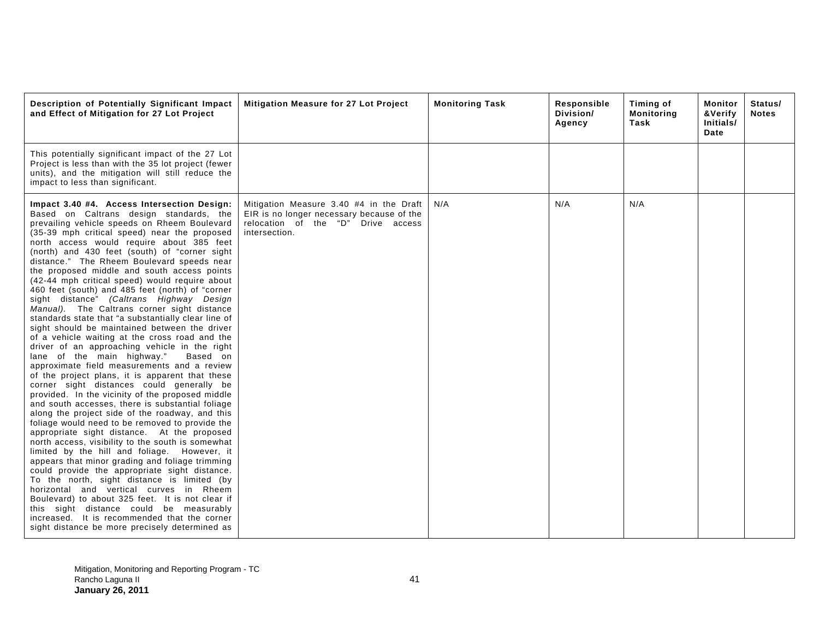| Description of Potentially Significant Impact<br>and Effect of Mitigation for 27 Lot Project                                                                                                                                                                                                                                                                                                                                                                                                                                                                                                                                                                                                                                                                                                                                                                                                                                                                                                                                                                                                                                                                                                                                                                                                                                                                                                                                                                                                                                                                                                                                                                                                                                                            | Mitigation Measure for 27 Lot Project                                                                                                       | <b>Monitoring Task</b> | Responsible<br>Division/<br>Agency | Timing of<br><b>Monitoring</b><br>Task | Monitor<br><b>&amp;Verify</b><br>Initials/<br>Date | Status/<br><b>Notes</b> |
|---------------------------------------------------------------------------------------------------------------------------------------------------------------------------------------------------------------------------------------------------------------------------------------------------------------------------------------------------------------------------------------------------------------------------------------------------------------------------------------------------------------------------------------------------------------------------------------------------------------------------------------------------------------------------------------------------------------------------------------------------------------------------------------------------------------------------------------------------------------------------------------------------------------------------------------------------------------------------------------------------------------------------------------------------------------------------------------------------------------------------------------------------------------------------------------------------------------------------------------------------------------------------------------------------------------------------------------------------------------------------------------------------------------------------------------------------------------------------------------------------------------------------------------------------------------------------------------------------------------------------------------------------------------------------------------------------------------------------------------------------------|---------------------------------------------------------------------------------------------------------------------------------------------|------------------------|------------------------------------|----------------------------------------|----------------------------------------------------|-------------------------|
| This potentially significant impact of the 27 Lot<br>Project is less than with the 35 lot project (fewer<br>units), and the mitigation will still reduce the<br>impact to less than significant.                                                                                                                                                                                                                                                                                                                                                                                                                                                                                                                                                                                                                                                                                                                                                                                                                                                                                                                                                                                                                                                                                                                                                                                                                                                                                                                                                                                                                                                                                                                                                        |                                                                                                                                             |                        |                                    |                                        |                                                    |                         |
| Impact 3.40 #4. Access Intersection Design:<br>Based on Caltrans design standards, the<br>prevailing vehicle speeds on Rheem Boulevard<br>(35-39 mph critical speed) near the proposed<br>north access would require about 385 feet<br>(north) and 430 feet (south) of "corner sight<br>distance." The Rheem Boulevard speeds near<br>the proposed middle and south access points<br>(42-44 mph critical speed) would require about<br>460 feet (south) and 485 feet (north) of "corner<br>sight distance" (Caltrans Highway Design<br>Manual). The Caltrans corner sight distance<br>standards state that "a substantially clear line of<br>sight should be maintained between the driver<br>of a vehicle waiting at the cross road and the<br>driver of an approaching vehicle in the right<br>lane of the main highway."<br>Based on<br>approximate field measurements and a review<br>of the project plans, it is apparent that these<br>corner sight distances could generally be<br>provided. In the vicinity of the proposed middle<br>and south accesses, there is substantial foliage<br>along the project side of the roadway, and this<br>foliage would need to be removed to provide the<br>appropriate sight distance. At the proposed<br>north access, visibility to the south is somewhat<br>limited by the hill and foliage. However, it<br>appears that minor grading and foliage trimming<br>could provide the appropriate sight distance.<br>To the north, sight distance is limited (by<br>horizontal and vertical curves in Rheem<br>Boulevard) to about 325 feet. It is not clear if<br>this sight distance could be measurably<br>increased. It is recommended that the corner<br>sight distance be more precisely determined as | Mitigation Measure 3.40 #4 in the Draft<br>EIR is no longer necessary because of the<br>relocation of the "D" Drive access<br>intersection. | N/A                    | N/A                                | N/A                                    |                                                    |                         |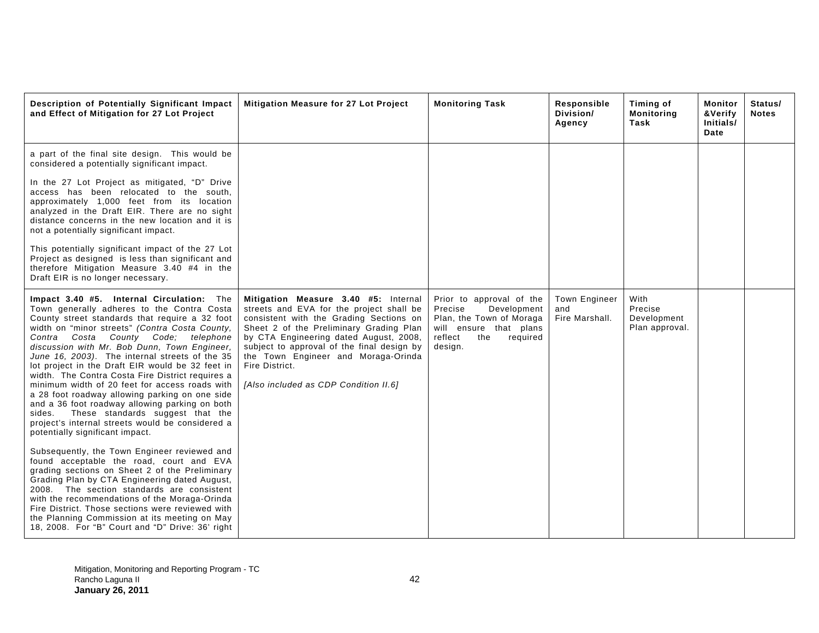| Description of Potentially Significant Impact<br>and Effect of Mitigation for 27 Lot Project                                                                                                                                                                                                                                                                                                                                                                                                                                                                                                                                                                                                                                               | Mitigation Measure for 27 Lot Project                                                                                                                                                                                                                                                                                                                            | <b>Monitoring Task</b>                                                                                                                            | Responsible<br>Division/<br>Agency            | Timing of<br><b>Monitoring</b><br>Task           | Monitor<br>&Verify<br>Initials/<br>Date | Status/<br><b>Notes</b> |
|--------------------------------------------------------------------------------------------------------------------------------------------------------------------------------------------------------------------------------------------------------------------------------------------------------------------------------------------------------------------------------------------------------------------------------------------------------------------------------------------------------------------------------------------------------------------------------------------------------------------------------------------------------------------------------------------------------------------------------------------|------------------------------------------------------------------------------------------------------------------------------------------------------------------------------------------------------------------------------------------------------------------------------------------------------------------------------------------------------------------|---------------------------------------------------------------------------------------------------------------------------------------------------|-----------------------------------------------|--------------------------------------------------|-----------------------------------------|-------------------------|
| a part of the final site design. This would be<br>considered a potentially significant impact.<br>In the 27 Lot Project as mitigated, "D" Drive<br>access has been relocated to the south,<br>approximately 1,000 feet from its location<br>analyzed in the Draft EIR. There are no sight<br>distance concerns in the new location and it is<br>not a potentially significant impact.<br>This potentially significant impact of the 27 Lot<br>Project as designed is less than significant and<br>therefore Mitigation Measure 3.40 #4 in the<br>Draft EIR is no longer necessary.                                                                                                                                                         |                                                                                                                                                                                                                                                                                                                                                                  |                                                                                                                                                   |                                               |                                                  |                                         |                         |
| Impact 3.40 #5. Internal Circulation: The<br>Town generally adheres to the Contra Costa<br>County street standards that require a 32 foot<br>width on "minor streets" (Contra Costa County,<br>Contra Costa<br>County Code; telephone<br>discussion with Mr. Bob Dunn, Town Engineer,<br>June 16, 2003). The internal streets of the 35<br>lot project in the Draft EIR would be 32 feet in<br>width. The Contra Costa Fire District requires a<br>minimum width of 20 feet for access roads with<br>a 28 foot roadway allowing parking on one side<br>and a 36 foot roadway allowing parking on both<br>These standards suggest that the<br>sides.<br>project's internal streets would be considered a<br>potentially significant impact. | Mitigation Measure 3.40 #5: Internal<br>streets and EVA for the project shall be<br>consistent with the Grading Sections on<br>Sheet 2 of the Preliminary Grading Plan<br>by CTA Engineering dated August, 2008,<br>subject to approval of the final design by<br>the Town Engineer and Moraga-Orinda<br>Fire District.<br>[Also included as CDP Condition II.6] | Prior to approval of the<br>Development<br>Precise<br>Plan, the Town of Moraga<br>will ensure that plans<br>reflect<br>the<br>required<br>design. | <b>Town Engineer</b><br>and<br>Fire Marshall. | With<br>Precise<br>Development<br>Plan approval. |                                         |                         |
| Subsequently, the Town Engineer reviewed and<br>found acceptable the road, court and EVA<br>grading sections on Sheet 2 of the Preliminary<br>Grading Plan by CTA Engineering dated August,<br>2008. The section standards are consistent<br>with the recommendations of the Moraga-Orinda<br>Fire District. Those sections were reviewed with<br>the Planning Commission at its meeting on May<br>18, 2008. For "B" Court and "D" Drive: 36' right                                                                                                                                                                                                                                                                                        |                                                                                                                                                                                                                                                                                                                                                                  |                                                                                                                                                   |                                               |                                                  |                                         |                         |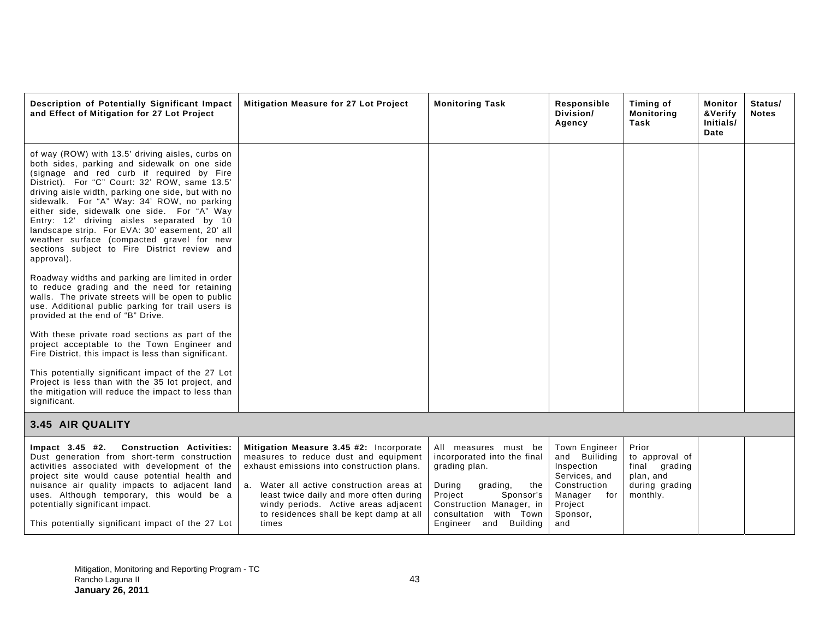| Description of Potentially Significant Impact<br>and Effect of Mitigation for 27 Lot Project                                                                                                                                                                                                                                                                                                                                                                                                                                                                 | <b>Mitigation Measure for 27 Lot Project</b>                                                                                                                                                                                                                                                                       | <b>Monitoring Task</b>                                                                                                                                                                                   | Responsible<br>Division/<br>Agency                                                                                                   | Timing of<br><b>Monitoring</b><br>Task                                              | Monitor<br>&Verify<br>Initials/<br>Date | Status/<br><b>Notes</b> |
|--------------------------------------------------------------------------------------------------------------------------------------------------------------------------------------------------------------------------------------------------------------------------------------------------------------------------------------------------------------------------------------------------------------------------------------------------------------------------------------------------------------------------------------------------------------|--------------------------------------------------------------------------------------------------------------------------------------------------------------------------------------------------------------------------------------------------------------------------------------------------------------------|----------------------------------------------------------------------------------------------------------------------------------------------------------------------------------------------------------|--------------------------------------------------------------------------------------------------------------------------------------|-------------------------------------------------------------------------------------|-----------------------------------------|-------------------------|
| of way (ROW) with 13.5' driving aisles, curbs on<br>both sides, parking and sidewalk on one side<br>(signage and red curb if required by Fire<br>District). For "C" Court: 32' ROW, same 13.5'<br>driving aisle width, parking one side, but with no<br>sidewalk. For "A" Way: 34' ROW, no parking<br>either side, sidewalk one side. For "A" Way<br>Entry: 12' driving aisles separated by 10<br>landscape strip. For EVA: 30' easement, 20' all<br>weather surface (compacted gravel for new<br>sections subject to Fire District review and<br>approval). |                                                                                                                                                                                                                                                                                                                    |                                                                                                                                                                                                          |                                                                                                                                      |                                                                                     |                                         |                         |
| Roadway widths and parking are limited in order<br>to reduce grading and the need for retaining<br>walls. The private streets will be open to public<br>use. Additional public parking for trail users is<br>provided at the end of "B" Drive.                                                                                                                                                                                                                                                                                                               |                                                                                                                                                                                                                                                                                                                    |                                                                                                                                                                                                          |                                                                                                                                      |                                                                                     |                                         |                         |
| With these private road sections as part of the<br>project acceptable to the Town Engineer and<br>Fire District, this impact is less than significant.                                                                                                                                                                                                                                                                                                                                                                                                       |                                                                                                                                                                                                                                                                                                                    |                                                                                                                                                                                                          |                                                                                                                                      |                                                                                     |                                         |                         |
| This potentially significant impact of the 27 Lot<br>Project is less than with the 35 lot project, and<br>the mitigation will reduce the impact to less than<br>significant.                                                                                                                                                                                                                                                                                                                                                                                 |                                                                                                                                                                                                                                                                                                                    |                                                                                                                                                                                                          |                                                                                                                                      |                                                                                     |                                         |                         |
| 3.45 AIR QUALITY                                                                                                                                                                                                                                                                                                                                                                                                                                                                                                                                             |                                                                                                                                                                                                                                                                                                                    |                                                                                                                                                                                                          |                                                                                                                                      |                                                                                     |                                         |                         |
| $Im$ pact 3.45 #2.<br><b>Construction Activities:</b><br>Dust generation from short-term construction<br>activities associated with development of the<br>project site would cause potential health and<br>nuisance air quality impacts to adjacent land<br>uses. Although temporary, this would be a<br>potentially significant impact.<br>This potentially significant impact of the 27 Lot                                                                                                                                                                | Mitigation Measure 3.45 #2: Incorporate<br>measures to reduce dust and equipment<br>exhaust emissions into construction plans.<br>a. Water all active construction areas at<br>least twice daily and more often during<br>windy periods. Active areas adjacent<br>to residences shall be kept damp at all<br>times | All measures must be<br>incorporated into the final<br>grading plan.<br>During<br>grading,<br>the<br>Project<br>Sponsor's<br>Construction Manager, in<br>consultation with Town<br>Engineer and Building | <b>Town Engineer</b><br>and Builiding<br>Inspection<br>Services, and<br>Construction<br>Manager<br>for<br>Project<br>Sponsor,<br>and | Prior<br>to approval of<br>final grading<br>plan, and<br>during grading<br>monthly. |                                         |                         |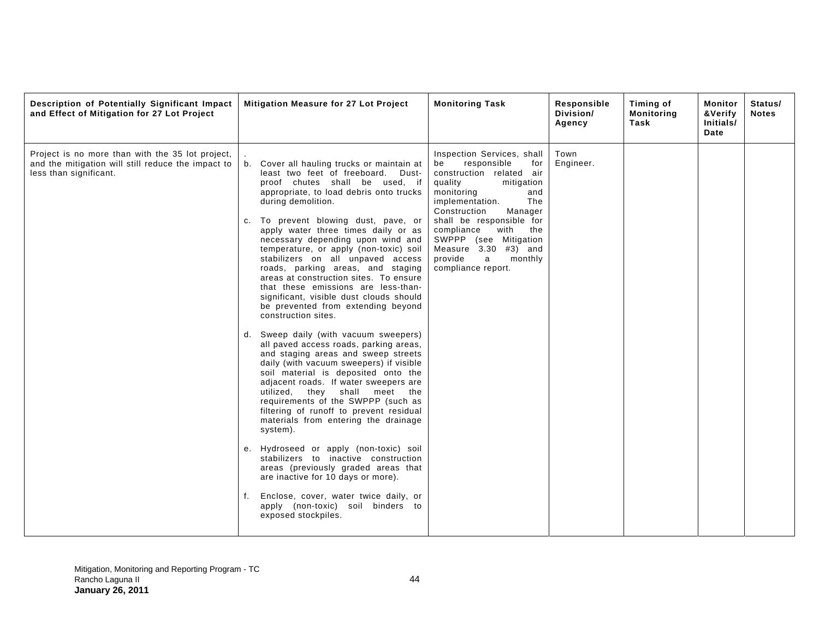| Description of Potentially Significant Impact<br>and Effect of Mitigation for 27 Lot Project                                     | Mitigation Measure for 27 Lot Project                                                                                                                                                                                                                                                                                                                                                                                                                                                                                                                                                                                                                                                                                                                                                                                                                                                                                                                                                                                                                                                                                                                                                                                                                                                                         | <b>Monitoring Task</b>                                                                                                                                                                                                                                                                                                                             | Responsible<br>Division/<br>Agency | Timing of<br><b>Monitoring</b><br>Task | Monitor<br>&Verify<br>Initials/<br>Date | Status/<br><b>Notes</b> |
|----------------------------------------------------------------------------------------------------------------------------------|---------------------------------------------------------------------------------------------------------------------------------------------------------------------------------------------------------------------------------------------------------------------------------------------------------------------------------------------------------------------------------------------------------------------------------------------------------------------------------------------------------------------------------------------------------------------------------------------------------------------------------------------------------------------------------------------------------------------------------------------------------------------------------------------------------------------------------------------------------------------------------------------------------------------------------------------------------------------------------------------------------------------------------------------------------------------------------------------------------------------------------------------------------------------------------------------------------------------------------------------------------------------------------------------------------------|----------------------------------------------------------------------------------------------------------------------------------------------------------------------------------------------------------------------------------------------------------------------------------------------------------------------------------------------------|------------------------------------|----------------------------------------|-----------------------------------------|-------------------------|
| Project is no more than with the 35 lot project,<br>and the mitigation will still reduce the impact to<br>less than significant. | Cover all hauling trucks or maintain at<br>least two feet of freeboard. Dust-<br>proof chutes shall be used, if<br>appropriate, to load debris onto trucks<br>during demolition.<br>To prevent blowing dust, pave, or<br>apply water three times daily or as<br>necessary depending upon wind and<br>temperature, or apply (non-toxic) soil<br>stabilizers on all unpaved access<br>roads, parking areas, and staging<br>areas at construction sites. To ensure<br>that these emissions are less-than-<br>significant, visible dust clouds should<br>be prevented from extending beyond<br>construction sites.<br>d. Sweep daily (with vacuum sweepers)<br>all paved access roads, parking areas,<br>and staging areas and sweep streets<br>daily (with vacuum sweepers) if visible<br>soil material is deposited onto the<br>adjacent roads. If water sweepers are<br>utilized, they shall meet the<br>requirements of the SWPPP (such as<br>filtering of runoff to prevent residual<br>materials from entering the drainage<br>system).<br>e. Hydroseed or apply (non-toxic) soil<br>stabilizers to inactive construction<br>areas (previously graded areas that<br>are inactive for 10 days or more).<br>Enclose, cover, water twice daily, or<br>apply (non-toxic) soil binders to<br>exposed stockpiles. | Inspection Services, shall<br>responsible<br>for<br>be<br>construction related air<br>quality<br>mitigation<br>monitoring<br>and<br>implementation.<br>The<br>Construction<br>Manager<br>shall be responsible for<br>compliance<br>with<br>the<br>SWPPP (see Mitigation<br>Measure $3.30$ #3) and<br>provide<br>a<br>monthly<br>compliance report. | Town<br>Engineer.                  |                                        |                                         |                         |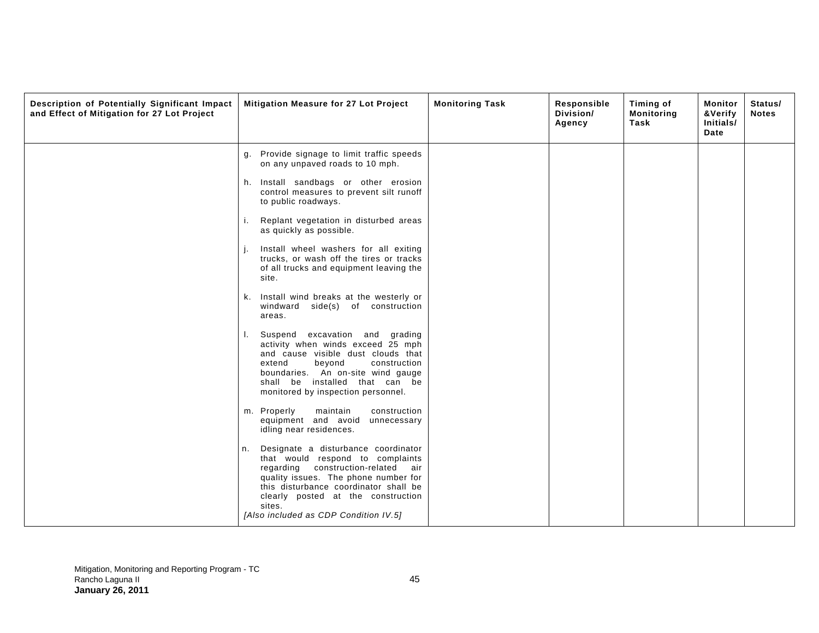| Description of Potentially Significant Impact<br>and Effect of Mitigation for 27 Lot Project | Mitigation Measure for 27 Lot Project                                                                                                                                                                                                                                                         | <b>Monitoring Task</b><br>Responsible<br>Division/<br>Agency | Timing of<br><b>Monitoring</b><br>Task | Monitor<br>&Verify<br>Initials/<br>Date | Status/<br><b>Notes</b> |
|----------------------------------------------------------------------------------------------|-----------------------------------------------------------------------------------------------------------------------------------------------------------------------------------------------------------------------------------------------------------------------------------------------|--------------------------------------------------------------|----------------------------------------|-----------------------------------------|-------------------------|
|                                                                                              | Provide signage to limit traffic speeds<br>g.<br>on any unpaved roads to 10 mph.                                                                                                                                                                                                              |                                                              |                                        |                                         |                         |
|                                                                                              | Install sandbags or other erosion<br>h.<br>control measures to prevent silt runoff<br>to public roadways.                                                                                                                                                                                     |                                                              |                                        |                                         |                         |
|                                                                                              | Replant vegetation in disturbed areas<br>i.<br>as quickly as possible.                                                                                                                                                                                                                        |                                                              |                                        |                                         |                         |
|                                                                                              | Install wheel washers for all exiting<br>trucks, or wash off the tires or tracks<br>of all trucks and equipment leaving the<br>site.                                                                                                                                                          |                                                              |                                        |                                         |                         |
|                                                                                              | k. Install wind breaks at the westerly or<br>windward side(s) of construction<br>areas.                                                                                                                                                                                                       |                                                              |                                        |                                         |                         |
|                                                                                              | Suspend excavation and grading<br>L.<br>activity when winds exceed 25 mph<br>and cause visible dust clouds that<br>extend<br>beyond<br>construction<br>boundaries. An on-site wind gauge<br>shall be installed that can be<br>monitored by inspection personnel.                              |                                                              |                                        |                                         |                         |
|                                                                                              | m. Properly<br>maintain<br>construction<br>equipment and avoid unnecessary<br>idling near residences.                                                                                                                                                                                         |                                                              |                                        |                                         |                         |
|                                                                                              | Designate a disturbance coordinator<br>n.<br>that would respond to complaints<br>regarding construction-related air<br>quality issues. The phone number for<br>this disturbance coordinator shall be<br>clearly posted at the construction<br>sites.<br>[Also included as CDP Condition IV.5] |                                                              |                                        |                                         |                         |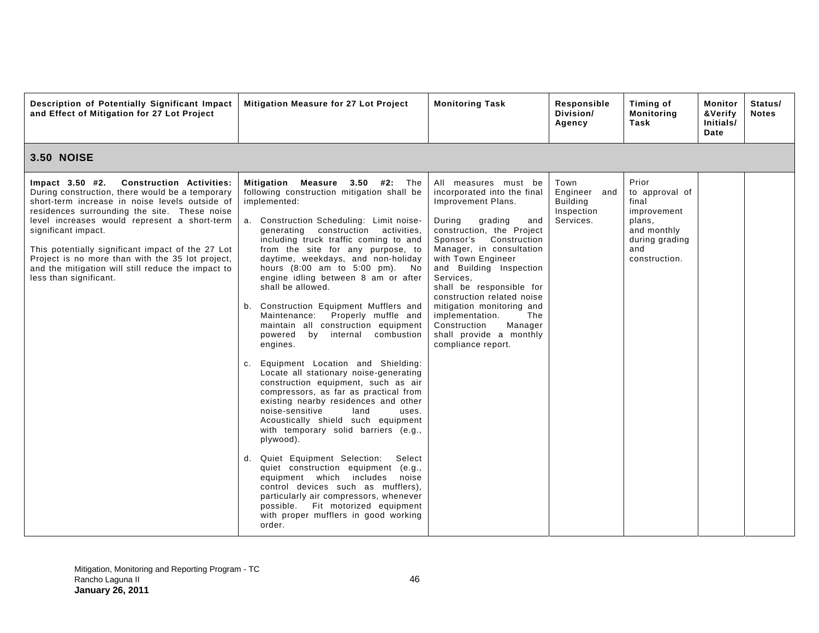| Description of Potentially Significant Impact<br>and Effect of Mitigation for 27 Lot Project                                                                                                                                                                                                                                                                                                                                                                                 | Mitigation Measure for 27 Lot Project                                                                                                                                                                                                                                                                                                                                                                                                                                                                                                                                                                                                                                                                                                                                                                                                                                                                                                                                                                                                                                                                                                                                                                                        | <b>Monitoring Task</b>                                                                                                                                                                                                                                                                                                                                                                                                                                 | Responsible<br>Division/<br>Agency                                 | Timing of<br><b>Monitoring</b><br>Task                                                                             | <b>Monitor</b><br>&Verify<br>Initials/<br>Date | Status/<br><b>Notes</b> |
|------------------------------------------------------------------------------------------------------------------------------------------------------------------------------------------------------------------------------------------------------------------------------------------------------------------------------------------------------------------------------------------------------------------------------------------------------------------------------|------------------------------------------------------------------------------------------------------------------------------------------------------------------------------------------------------------------------------------------------------------------------------------------------------------------------------------------------------------------------------------------------------------------------------------------------------------------------------------------------------------------------------------------------------------------------------------------------------------------------------------------------------------------------------------------------------------------------------------------------------------------------------------------------------------------------------------------------------------------------------------------------------------------------------------------------------------------------------------------------------------------------------------------------------------------------------------------------------------------------------------------------------------------------------------------------------------------------------|--------------------------------------------------------------------------------------------------------------------------------------------------------------------------------------------------------------------------------------------------------------------------------------------------------------------------------------------------------------------------------------------------------------------------------------------------------|--------------------------------------------------------------------|--------------------------------------------------------------------------------------------------------------------|------------------------------------------------|-------------------------|
| <b>3.50 NOISE</b>                                                                                                                                                                                                                                                                                                                                                                                                                                                            |                                                                                                                                                                                                                                                                                                                                                                                                                                                                                                                                                                                                                                                                                                                                                                                                                                                                                                                                                                                                                                                                                                                                                                                                                              |                                                                                                                                                                                                                                                                                                                                                                                                                                                        |                                                                    |                                                                                                                    |                                                |                         |
| $Im$ pact $3.50$ #2.<br><b>Construction Activities:</b><br>During construction, there would be a temporary<br>short-term increase in noise levels outside of<br>residences surrounding the site. These noise<br>level increases would represent a short-term<br>significant impact.<br>This potentially significant impact of the 27 Lot<br>Project is no more than with the 35 lot project,<br>and the mitigation will still reduce the impact to<br>less than significant. | <b>Measure 3.50 #2: The</b><br>Mitigation<br>following construction mitigation shall be<br>implemented:<br>a. Construction Scheduling: Limit noise-<br>generating construction activities,<br>including truck traffic coming to and<br>from the site for any purpose, to<br>daytime, weekdays, and non-holiday<br>hours (8:00 am to 5:00 pm). No<br>engine idling between 8 am or after<br>shall be allowed.<br>b. Construction Equipment Mufflers and<br>Maintenance: Properly muffle and<br>maintain all construction equipment<br>by internal combustion<br>powered<br>engines.<br>Equipment Location and Shielding:<br>C.<br>Locate all stationary noise-generating<br>construction equipment, such as air<br>compressors, as far as practical from<br>existing nearby residences and other<br>noise-sensitive<br>land<br>uses.<br>Acoustically shield such equipment<br>with temporary solid barriers (e.g.,<br>plywood).<br>Quiet Equipment Selection:<br>Select<br>d.<br>quiet construction equipment (e.g.,<br>equipment which includes noise<br>control devices such as mufflers).<br>particularly air compressors, whenever<br>possible. Fit motorized equipment<br>with proper mufflers in good working<br>order. | All measures must be<br>incorporated into the final<br>Improvement Plans.<br>During<br>grading<br>and<br>construction, the Project<br>Sponsor's<br>Construction<br>Manager, in consultation<br>with Town Engineer<br>and Building Inspection<br>Services,<br>shall be responsible for<br>construction related noise<br>mitigation monitoring and<br>implementation.<br>The<br>Construction<br>Manager<br>shall provide a monthly<br>compliance report. | Town<br>Engineer and<br><b>Building</b><br>Inspection<br>Services. | Prior<br>to approval of<br>final<br>improvement<br>plans,<br>and monthly<br>during grading<br>and<br>construction. |                                                |                         |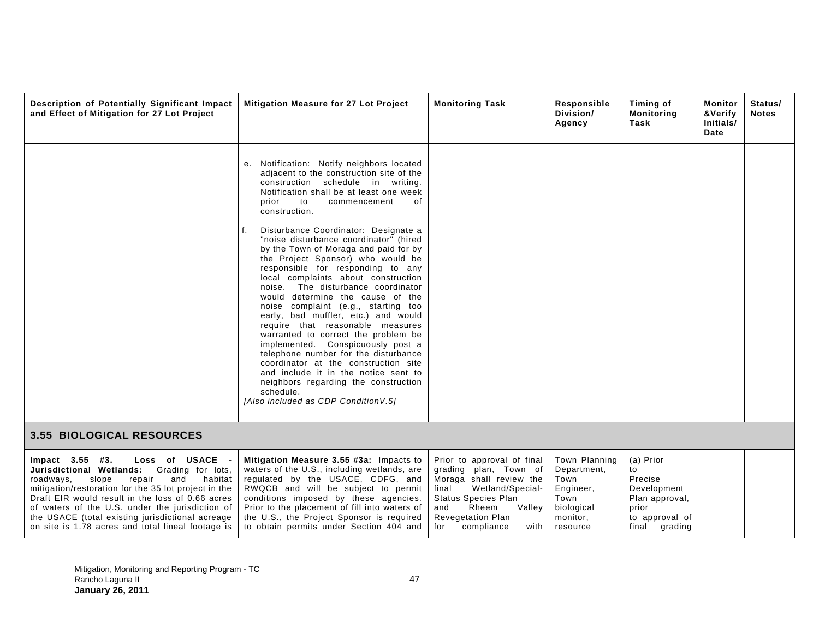| Description of Potentially Significant Impact<br>and Effect of Mitigation for 27 Lot Project                                                                                                                                                                                                                                                                                                                    | <b>Mitigation Measure for 27 Lot Project</b>                                                                                                                                                                                                                                                                                                                                                                                                                                                                                                                                                                                                                                                                                                                                                                                                                                                                                                                         | <b>Monitoring Task</b>                                                                                                                                                                                                       | Responsible<br>Division/<br>Agency                                                              | Timing of<br><b>Monitoring</b><br>Task                                                                  | Monitor<br>&Verify<br>Initials/<br>Date | Status/<br><b>Notes</b> |
|-----------------------------------------------------------------------------------------------------------------------------------------------------------------------------------------------------------------------------------------------------------------------------------------------------------------------------------------------------------------------------------------------------------------|----------------------------------------------------------------------------------------------------------------------------------------------------------------------------------------------------------------------------------------------------------------------------------------------------------------------------------------------------------------------------------------------------------------------------------------------------------------------------------------------------------------------------------------------------------------------------------------------------------------------------------------------------------------------------------------------------------------------------------------------------------------------------------------------------------------------------------------------------------------------------------------------------------------------------------------------------------------------|------------------------------------------------------------------------------------------------------------------------------------------------------------------------------------------------------------------------------|-------------------------------------------------------------------------------------------------|---------------------------------------------------------------------------------------------------------|-----------------------------------------|-------------------------|
|                                                                                                                                                                                                                                                                                                                                                                                                                 | e. Notification: Notify neighbors located<br>adjacent to the construction site of the<br>construction schedule in writing.<br>Notification shall be at least one week<br>to<br>prior<br>commencement<br>οf<br>construction.<br>Disturbance Coordinator: Designate a<br>"noise disturbance coordinator" (hired<br>by the Town of Moraga and paid for by<br>the Project Sponsor) who would be<br>responsible for responding to any<br>local complaints about construction<br>noise. The disturbance coordinator<br>would determine the cause of the<br>noise complaint (e.g., starting too<br>early, bad muffler, etc.) and would<br>require that reasonable measures<br>warranted to correct the problem be<br>implemented. Conspicuously post a<br>telephone number for the disturbance<br>coordinator at the construction site<br>and include it in the notice sent to<br>neighbors regarding the construction<br>schedule.<br>[Also included as CDP Condition V.5] |                                                                                                                                                                                                                              |                                                                                                 |                                                                                                         |                                         |                         |
| 3.55 BIOLOGICAL RESOURCES                                                                                                                                                                                                                                                                                                                                                                                       |                                                                                                                                                                                                                                                                                                                                                                                                                                                                                                                                                                                                                                                                                                                                                                                                                                                                                                                                                                      |                                                                                                                                                                                                                              |                                                                                                 |                                                                                                         |                                         |                         |
| Loss of USACE -<br>$Impact$ 3.55 #3.<br>Jurisdictional Wetlands:<br>Grading for lots,<br>roadways,<br>slope<br>repair<br>and<br>habitat<br>mitigation/restoration for the 35 lot project in the<br>Draft EIR would result in the loss of 0.66 acres<br>of waters of the U.S. under the jurisdiction of<br>the USACE (total existing jurisdictional acreage<br>on site is 1.78 acres and total lineal footage is | Mitigation Measure 3.55 #3a: Impacts to<br>waters of the U.S., including wetlands, are<br>regulated by the USACE, CDFG, and<br>RWQCB and will be subject to permit<br>conditions imposed by these agencies.<br>Prior to the placement of fill into waters of<br>the U.S., the Project Sponsor is required<br>to obtain permits under Section 404 and                                                                                                                                                                                                                                                                                                                                                                                                                                                                                                                                                                                                                 | Prior to approval of final<br>grading plan, Town of<br>Moraga shall review the<br>Wetland/Special-<br>final<br><b>Status Species Plan</b><br>Rheem<br>Vallev<br>and<br><b>Revegetation Plan</b><br>for<br>compliance<br>with | Town Planning<br>Department,<br>Town<br>Engineer,<br>Town<br>biological<br>monitor,<br>resource | (a) Prior<br>to<br>Precise<br>Development<br>Plan approval,<br>prior<br>to approval of<br>final grading |                                         |                         |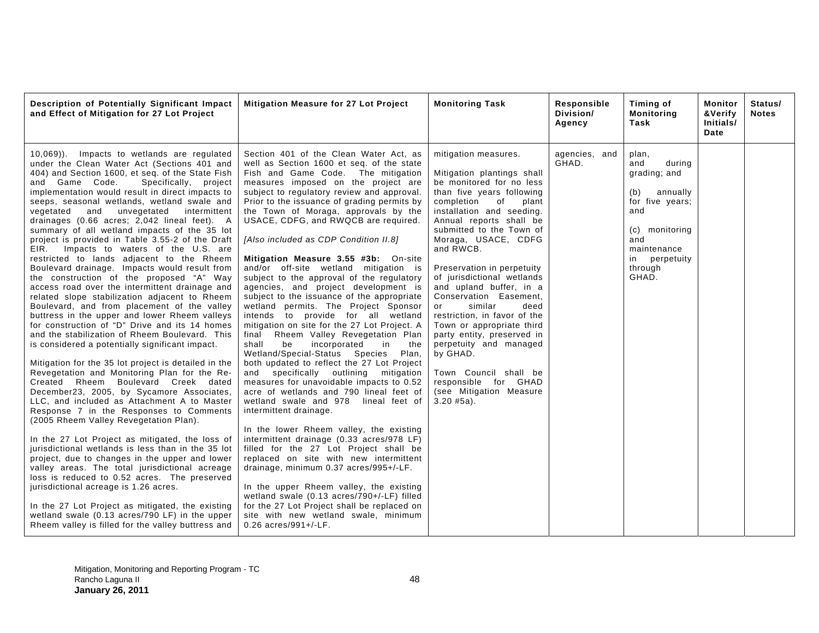| Description of Potentially Significant Impact<br>and Effect of Mitigation for 27 Lot Project                                                                                                                                                                                                                                                                                                                                                                                                                                                                                                                                                                                                                                                                                                                                                                                                                                                                                                                                                                                                                                                                                                                                                                                                                                                                                                                                                                                                                                                                                                                                                                                                                                                                                                                                                               | Mitigation Measure for 27 Lot Project                                                                                                                                                                                                                                                                                                                                                                                                                                                                                                                                                                                                                                                                                                                                                                                                                                                                                                                                                                                                                                                                                                                                                                                                                                                                                                                                                                                                                                                                                                                      | <b>Monitoring Task</b>                                                                                                                                                                                                                                                                                                                                                                                                                                                                                                                                                                                                                  | Responsible<br>Division/<br>Agency | Timing of<br><b>Monitoring</b><br>Task                                                                                                                              | Monitor<br>&Verify<br>Initials/<br>Date | Status/<br><b>Notes</b> |
|------------------------------------------------------------------------------------------------------------------------------------------------------------------------------------------------------------------------------------------------------------------------------------------------------------------------------------------------------------------------------------------------------------------------------------------------------------------------------------------------------------------------------------------------------------------------------------------------------------------------------------------------------------------------------------------------------------------------------------------------------------------------------------------------------------------------------------------------------------------------------------------------------------------------------------------------------------------------------------------------------------------------------------------------------------------------------------------------------------------------------------------------------------------------------------------------------------------------------------------------------------------------------------------------------------------------------------------------------------------------------------------------------------------------------------------------------------------------------------------------------------------------------------------------------------------------------------------------------------------------------------------------------------------------------------------------------------------------------------------------------------------------------------------------------------------------------------------------------------|------------------------------------------------------------------------------------------------------------------------------------------------------------------------------------------------------------------------------------------------------------------------------------------------------------------------------------------------------------------------------------------------------------------------------------------------------------------------------------------------------------------------------------------------------------------------------------------------------------------------------------------------------------------------------------------------------------------------------------------------------------------------------------------------------------------------------------------------------------------------------------------------------------------------------------------------------------------------------------------------------------------------------------------------------------------------------------------------------------------------------------------------------------------------------------------------------------------------------------------------------------------------------------------------------------------------------------------------------------------------------------------------------------------------------------------------------------------------------------------------------------------------------------------------------------|-----------------------------------------------------------------------------------------------------------------------------------------------------------------------------------------------------------------------------------------------------------------------------------------------------------------------------------------------------------------------------------------------------------------------------------------------------------------------------------------------------------------------------------------------------------------------------------------------------------------------------------------|------------------------------------|---------------------------------------------------------------------------------------------------------------------------------------------------------------------|-----------------------------------------|-------------------------|
| Impacts to wetlands are regulated<br>$(10, 069)$ .<br>under the Clean Water Act (Sections 401 and<br>404) and Section 1600, et seq. of the State Fish<br>and Game Code.<br>Specifically, project<br>implementation would result in direct impacts to<br>seeps, seasonal wetlands, wetland swale and<br>and<br>unvegetated<br>intermittent<br>vegetated<br>drainages (0.66 acres; 2,042 lineal feet). A<br>summary of all wetland impacts of the 35 lot<br>project is provided in Table 3.55-2 of the Draft<br>EIR. Impacts to waters of the U.S. are<br>restricted to lands adjacent to the Rheem<br>Boulevard drainage. Impacts would result from<br>the construction of the proposed "A" Way<br>access road over the intermittent drainage and<br>related slope stabilization adjacent to Rheem<br>Boulevard, and from placement of the valley<br>buttress in the upper and lower Rheem valleys<br>for construction of "D" Drive and its 14 homes<br>and the stabilization of Rheem Boulevard. This<br>is considered a potentially significant impact.<br>Mitigation for the 35 lot project is detailed in the<br>Revegetation and Monitoring Plan for the Re-<br>Created Rheem Boulevard Creek dated<br>December23, 2005, by Sycamore Associates,<br>LLC, and included as Attachment A to Master<br>Response 7 in the Responses to Comments<br>(2005 Rheem Valley Revegetation Plan).<br>In the 27 Lot Project as mitigated, the loss of<br>jurisdictional wetlands is less than in the 35 lot<br>project, due to changes in the upper and lower<br>valley areas. The total jurisdictional acreage<br>loss is reduced to 0.52 acres. The preserved<br>jurisdictional acreage is 1.26 acres.<br>In the 27 Lot Project as mitigated, the existing<br>wetland swale (0.13 acres/790 LF) in the upper<br>Rheem valley is filled for the valley buttress and | Section 401 of the Clean Water Act, as<br>well as Section 1600 et seq. of the state<br>Fish and Game Code. The mitigation<br>measures imposed on the project are<br>subject to regulatory review and approval.<br>Prior to the issuance of grading permits by<br>the Town of Moraga, approvals by the<br>USACE, CDFG, and RWQCB are required.<br>[Also included as CDP Condition II.8]<br>Mitigation Measure 3.55 #3b: On-site<br>and/or off-site wetland mitigation is<br>subject to the approval of the regulatory<br>agencies, and project development is<br>subject to the issuance of the appropriate<br>wetland permits. The Project Sponsor<br>intends to provide for all wetland<br>mitigation on site for the 27 Lot Project. A<br>Rheem Valley Revegetation Plan<br>final<br>shall<br>be<br>incorporated<br>in<br>the<br>Wetland/Special-Status Species<br>Plan,<br>both updated to reflect the 27 Lot Project<br>and specifically outlining mitigation<br>measures for unavoidable impacts to 0.52<br>acre of wetlands and 790 lineal feet of<br>wetland swale and 978 lineal feet of<br>intermittent drainage.<br>In the lower Rheem valley, the existing<br>intermittent drainage (0.33 acres/978 LF)<br>filled for the 27 Lot Project shall be<br>replaced on site with new intermittent<br>drainage, minimum 0.37 acres/995+/-LF.<br>In the upper Rheem valley, the existing<br>wetland swale (0.13 acres/790+/-LF) filled<br>for the 27 Lot Project shall be replaced on<br>site with new wetland swale, minimum<br>$0.26$ acres/991+/-LF. | mitigation measures.<br>Mitigation plantings shall<br>be monitored for no less<br>than five years following<br>completion<br>of<br>plant<br>installation and seeding.<br>Annual reports shall be<br>submitted to the Town of<br>Moraga, USACE, CDFG<br>and RWCB.<br>Preservation in perpetuity<br>of jurisdictional wetlands<br>and upland buffer, in a<br>Conservation Easement,<br>similar<br>deed<br>or<br>restriction, in favor of the<br>Town or appropriate third<br>party entity, preserved in<br>perpetuity and managed<br>by GHAD.<br>Town Council shall be<br>responsible for GHAD<br>(see Mitigation Measure<br>$3.20$ #5a). | agencies, and<br>GHAD.             | plan,<br>and<br>during<br>grading; and<br>annually<br>(b)<br>for five years;<br>and<br>(c) monitoring<br>and<br>maintenance<br>in<br>perpetuity<br>through<br>GHAD. |                                         |                         |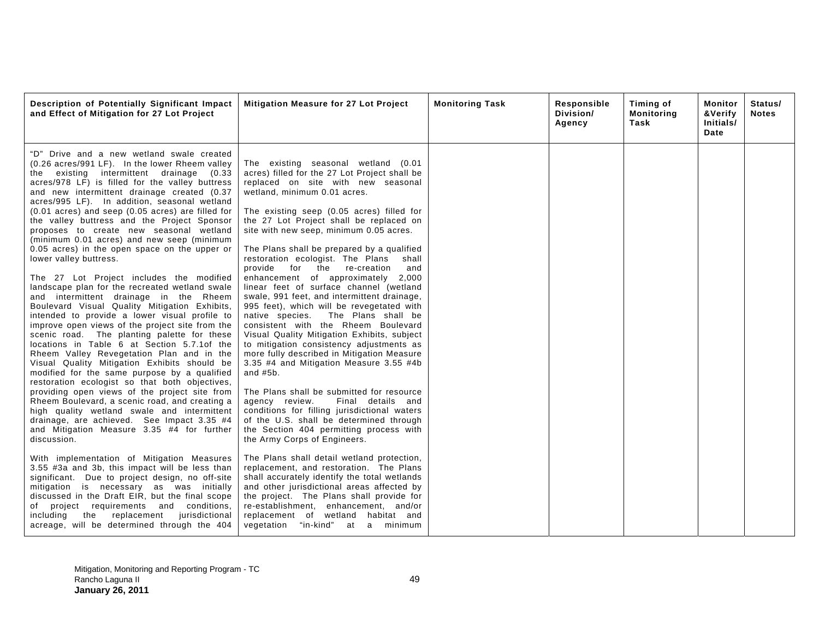| Description of Potentially Significant Impact<br>and Effect of Mitigation for 27 Lot Project                                                                                                                                                                                                                                                                                                                                                                                                                                                                                                                                                                                                                                                                                                                                                                                                                                                                                                                                                                                                                                                                                                                                                                                                                                                                                                                                 | Mitigation Measure for 27 Lot Project                                                                                                                                                                                                                                                                                                                                                                                                                                                                                                                                                                                                                                                                                                                                                                                                                                                                                                                                                                                                                                                                                                                    | <b>Monitoring Task</b> | Responsible<br>Division/<br>Agency | Timing of<br><b>Monitoring</b><br>Task | Monitor<br>&Verify<br>Initials/<br>Date | Status/<br><b>Notes</b> |
|------------------------------------------------------------------------------------------------------------------------------------------------------------------------------------------------------------------------------------------------------------------------------------------------------------------------------------------------------------------------------------------------------------------------------------------------------------------------------------------------------------------------------------------------------------------------------------------------------------------------------------------------------------------------------------------------------------------------------------------------------------------------------------------------------------------------------------------------------------------------------------------------------------------------------------------------------------------------------------------------------------------------------------------------------------------------------------------------------------------------------------------------------------------------------------------------------------------------------------------------------------------------------------------------------------------------------------------------------------------------------------------------------------------------------|----------------------------------------------------------------------------------------------------------------------------------------------------------------------------------------------------------------------------------------------------------------------------------------------------------------------------------------------------------------------------------------------------------------------------------------------------------------------------------------------------------------------------------------------------------------------------------------------------------------------------------------------------------------------------------------------------------------------------------------------------------------------------------------------------------------------------------------------------------------------------------------------------------------------------------------------------------------------------------------------------------------------------------------------------------------------------------------------------------------------------------------------------------|------------------------|------------------------------------|----------------------------------------|-----------------------------------------|-------------------------|
| "D" Drive and a new wetland swale created<br>(0.26 acres/991 LF). In the lower Rheem valley<br>existing intermittent drainage (0.33<br>the<br>acres/978 LF) is filled for the valley buttress<br>and new intermittent drainage created (0.37<br>acres/995 LF). In addition, seasonal wetland<br>(0.01 acres) and seep (0.05 acres) are filled for<br>the valley buttress and the Project Sponsor<br>proposes to create new seasonal wetland<br>(minimum 0.01 acres) and new seep (minimum<br>0.05 acres) in the open space on the upper or<br>lower valley buttress.<br>The 27 Lot Project includes the modified<br>landscape plan for the recreated wetland swale<br>and intermittent drainage in the Rheem<br>Boulevard Visual Quality Mitigation Exhibits,<br>intended to provide a lower visual profile to<br>improve open views of the project site from the<br>scenic road. The planting palette for these<br>locations in Table 6 at Section 5.7.1 of the<br>Rheem Valley Revegetation Plan and in the<br>Visual Quality Mitigation Exhibits should be<br>modified for the same purpose by a qualified<br>restoration ecologist so that both objectives,<br>providing open views of the project site from<br>Rheem Boulevard, a scenic road, and creating a<br>high quality wetland swale and intermittent<br>drainage, are achieved. See Impact 3.35 #4<br>and Mitigation Measure 3.35 #4 for further<br>discussion. | The existing seasonal wetland (0.01<br>acres) filled for the 27 Lot Project shall be<br>replaced on site with new seasonal<br>wetland, minimum 0.01 acres.<br>The existing seep (0.05 acres) filled for<br>the 27 Lot Project shall be replaced on<br>site with new seep, minimum 0.05 acres.<br>The Plans shall be prepared by a qualified<br>restoration ecologist. The Plans<br>shall<br>provide for the re-creation<br>and<br>enhancement of approximately<br>2,000<br>linear feet of surface channel (wetland<br>swale, 991 feet, and intermittent drainage,<br>995 feet), which will be revegetated with<br>native species. The Plans shall be<br>consistent with the Rheem Boulevard<br>Visual Quality Mitigation Exhibits, subject<br>to mitigation consistency adjustments as<br>more fully described in Mitigation Measure<br>3.35 #4 and Mitigation Measure 3.55 #4b<br>and $#5b$ .<br>The Plans shall be submitted for resource<br>agency review.<br>Final details and<br>conditions for filling jurisdictional waters<br>of the U.S. shall be determined through<br>the Section 404 permitting process with<br>the Army Corps of Engineers. |                        |                                    |                                        |                                         |                         |
| With implementation of Mitigation Measures<br>3.55 #3a and 3b, this impact will be less than<br>significant. Due to project design, no off-site<br>mitigation is necessary as was initially<br>discussed in the Draft EIR, but the final scope<br>of project requirements and conditions,<br>replacement<br>jurisdictional<br>including<br>the<br>acreage, will be determined through the 404                                                                                                                                                                                                                                                                                                                                                                                                                                                                                                                                                                                                                                                                                                                                                                                                                                                                                                                                                                                                                                | The Plans shall detail wetland protection,<br>replacement, and restoration. The Plans<br>shall accurately identify the total wetlands<br>and other jurisdictional areas affected by<br>the project. The Plans shall provide for<br>re-establishment, enhancement, and/or<br>replacement of wetland habitat and<br>vegetation "in-kind" at a minimum                                                                                                                                                                                                                                                                                                                                                                                                                                                                                                                                                                                                                                                                                                                                                                                                      |                        |                                    |                                        |                                         |                         |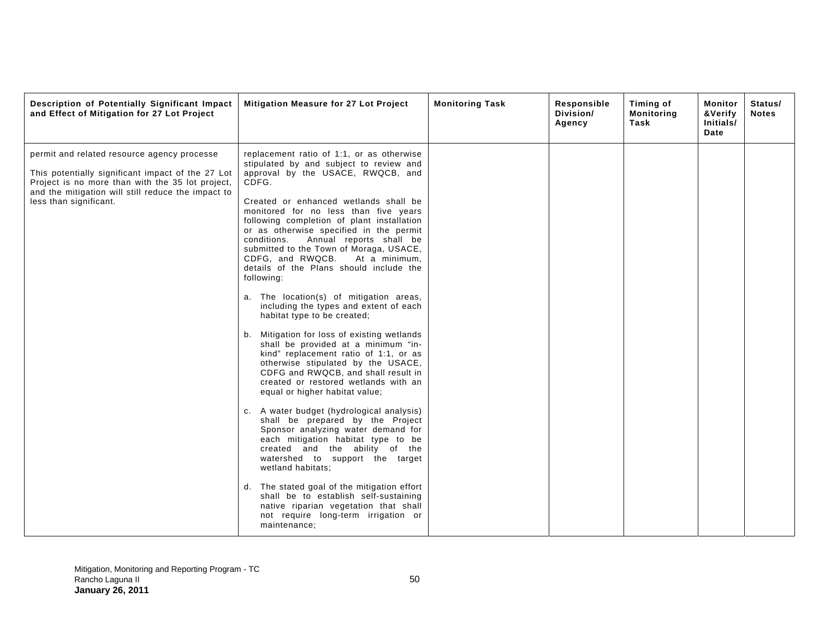| Description of Potentially Significant Impact<br>and Effect of Mitigation for 27 Lot Project                                                                                                                                         | Mitigation Measure for 27 Lot Project                                                                                                                                                                                                                                                                                                                                                                                                                                                                                                                                                                                                                                                                                                                                                                                                                                                                                                                                                                                                                                                                                                                                                                                                                                                                                                                  | <b>Monitoring Task</b> | Responsible<br>Division/<br>Agency | Timing of<br><b>Monitoring</b><br>Task | Monitor<br>&Verify<br>Initials/<br>Date | Status/<br><b>Notes</b> |
|--------------------------------------------------------------------------------------------------------------------------------------------------------------------------------------------------------------------------------------|--------------------------------------------------------------------------------------------------------------------------------------------------------------------------------------------------------------------------------------------------------------------------------------------------------------------------------------------------------------------------------------------------------------------------------------------------------------------------------------------------------------------------------------------------------------------------------------------------------------------------------------------------------------------------------------------------------------------------------------------------------------------------------------------------------------------------------------------------------------------------------------------------------------------------------------------------------------------------------------------------------------------------------------------------------------------------------------------------------------------------------------------------------------------------------------------------------------------------------------------------------------------------------------------------------------------------------------------------------|------------------------|------------------------------------|----------------------------------------|-----------------------------------------|-------------------------|
| permit and related resource agency processe<br>This potentially significant impact of the 27 Lot<br>Project is no more than with the 35 lot project,<br>and the mitigation will still reduce the impact to<br>less than significant. | replacement ratio of 1:1, or as otherwise<br>stipulated by and subject to review and<br>approval by the USACE, RWQCB, and<br>CDFG.<br>Created or enhanced wetlands shall be<br>monitored for no less than five years<br>following completion of plant installation<br>or as otherwise specified in the permit<br>conditions. Annual reports shall be<br>submitted to the Town of Moraga, USACE,<br>CDFG, and RWQCB.<br>At a minimum.<br>details of the Plans should include the<br>following:<br>a. The location(s) of mitigation areas,<br>including the types and extent of each<br>habitat type to be created;<br>b. Mitigation for loss of existing wetlands<br>shall be provided at a minimum "in-<br>kind" replacement ratio of 1:1, or as<br>otherwise stipulated by the USACE,<br>CDFG and RWQCB, and shall result in<br>created or restored wetlands with an<br>equal or higher habitat value;<br>c. A water budget (hydrological analysis)<br>shall be prepared by the Project<br>Sponsor analyzing water demand for<br>each mitigation habitat type to be<br>created and the ability of the<br>watershed to support the target<br>wetland habitats;<br>d. The stated goal of the mitigation effort<br>shall be to establish self-sustaining<br>native riparian vegetation that shall<br>not require long-term irrigation or<br>maintenance; |                        |                                    |                                        |                                         |                         |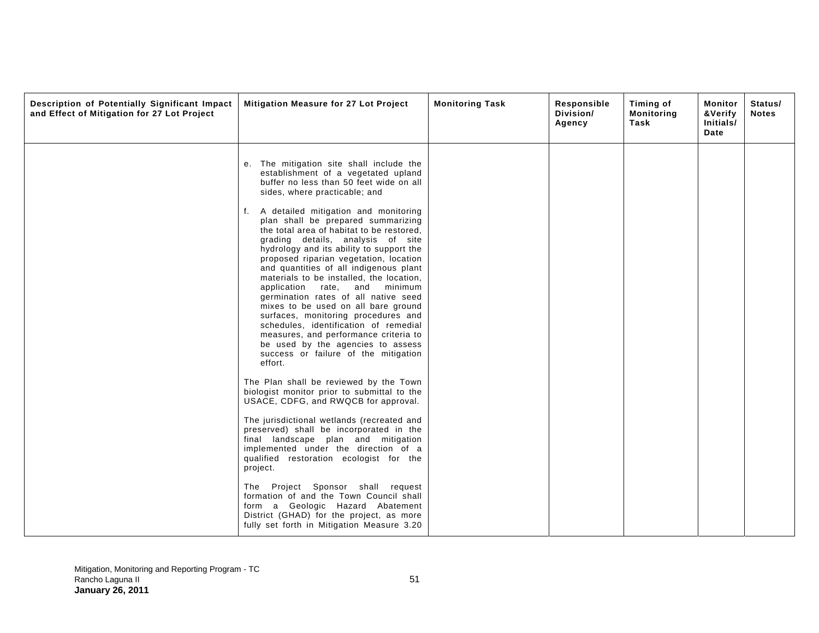| Description of Potentially Significant Impact<br>and Effect of Mitigation for 27 Lot Project | Mitigation Measure for 27 Lot Project                                                                                                                                                                                                                                                                                                                                                                                                                                                                                                                                                                                                                                           | <b>Monitoring Task</b> | Responsible<br>Division/<br>Agency | Timing of<br><b>Monitoring</b><br>Task | Monitor<br>&Verify<br>Initials/<br>Date | Status/<br><b>Notes</b> |
|----------------------------------------------------------------------------------------------|---------------------------------------------------------------------------------------------------------------------------------------------------------------------------------------------------------------------------------------------------------------------------------------------------------------------------------------------------------------------------------------------------------------------------------------------------------------------------------------------------------------------------------------------------------------------------------------------------------------------------------------------------------------------------------|------------------------|------------------------------------|----------------------------------------|-----------------------------------------|-------------------------|
|                                                                                              | e. The mitigation site shall include the<br>establishment of a vegetated upland<br>buffer no less than 50 feet wide on all<br>sides, where practicable; and                                                                                                                                                                                                                                                                                                                                                                                                                                                                                                                     |                        |                                    |                                        |                                         |                         |
|                                                                                              | A detailed mitigation and monitoring<br>f.<br>plan shall be prepared summarizing<br>the total area of habitat to be restored,<br>grading details, analysis of site<br>hydrology and its ability to support the<br>proposed riparian vegetation, location<br>and quantities of all indigenous plant<br>materials to be installed, the location,<br>application rate, and minimum<br>germination rates of all native seed<br>mixes to be used on all bare ground<br>surfaces, monitoring procedures and<br>schedules, identification of remedial<br>measures, and performance criteria to<br>be used by the agencies to assess<br>success or failure of the mitigation<br>effort. |                        |                                    |                                        |                                         |                         |
|                                                                                              | The Plan shall be reviewed by the Town<br>biologist monitor prior to submittal to the<br>USACE, CDFG, and RWQCB for approval.                                                                                                                                                                                                                                                                                                                                                                                                                                                                                                                                                   |                        |                                    |                                        |                                         |                         |
|                                                                                              | The jurisdictional wetlands (recreated and<br>preserved) shall be incorporated in the<br>final landscape plan and mitigation<br>implemented under the direction of a<br>qualified restoration ecologist for the<br>project.                                                                                                                                                                                                                                                                                                                                                                                                                                                     |                        |                                    |                                        |                                         |                         |
|                                                                                              | The Project Sponsor shall request<br>formation of and the Town Council shall<br>form a Geologic Hazard Abatement<br>District (GHAD) for the project, as more<br>fully set forth in Mitigation Measure 3.20                                                                                                                                                                                                                                                                                                                                                                                                                                                                      |                        |                                    |                                        |                                         |                         |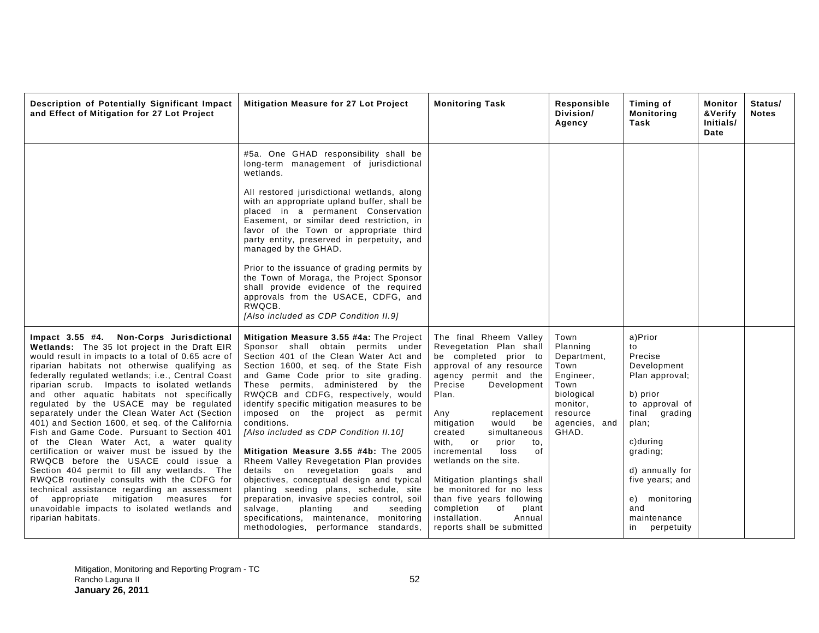| Description of Potentially Significant Impact<br>and Effect of Mitigation for 27 Lot Project                                                                                                                                                                                                                                                                                                                                                                                                                                                                                                                                                                                                                                                                                                                                                                                                                                                             | <b>Mitigation Measure for 27 Lot Project</b>                                                                                                                                                                                                                                                                                                                                                                                                                                                                                                                                                                                                                                                                                                                                                                                      | <b>Monitoring Task</b>                                                                                                                                                                                                                                                                                                                                                                                                                                                                                             | Responsible<br>Division/<br>Agency                                                                                           | Timing of<br><b>Monitoring</b><br>Task                                                                                                                                                                                                     | Monitor<br>&Verify<br>Initials/<br>Date | Status/<br><b>Notes</b> |
|----------------------------------------------------------------------------------------------------------------------------------------------------------------------------------------------------------------------------------------------------------------------------------------------------------------------------------------------------------------------------------------------------------------------------------------------------------------------------------------------------------------------------------------------------------------------------------------------------------------------------------------------------------------------------------------------------------------------------------------------------------------------------------------------------------------------------------------------------------------------------------------------------------------------------------------------------------|-----------------------------------------------------------------------------------------------------------------------------------------------------------------------------------------------------------------------------------------------------------------------------------------------------------------------------------------------------------------------------------------------------------------------------------------------------------------------------------------------------------------------------------------------------------------------------------------------------------------------------------------------------------------------------------------------------------------------------------------------------------------------------------------------------------------------------------|--------------------------------------------------------------------------------------------------------------------------------------------------------------------------------------------------------------------------------------------------------------------------------------------------------------------------------------------------------------------------------------------------------------------------------------------------------------------------------------------------------------------|------------------------------------------------------------------------------------------------------------------------------|--------------------------------------------------------------------------------------------------------------------------------------------------------------------------------------------------------------------------------------------|-----------------------------------------|-------------------------|
|                                                                                                                                                                                                                                                                                                                                                                                                                                                                                                                                                                                                                                                                                                                                                                                                                                                                                                                                                          | #5a. One GHAD responsibility shall be<br>long-term management of jurisdictional<br>wetlands.<br>All restored jurisdictional wetlands, along<br>with an appropriate upland buffer, shall be<br>placed in a permanent Conservation<br>Easement, or similar deed restriction, in<br>favor of the Town or appropriate third<br>party entity, preserved in perpetuity, and<br>managed by the GHAD.<br>Prior to the issuance of grading permits by<br>the Town of Moraga, the Project Sponsor<br>shall provide evidence of the required<br>approvals from the USACE, CDFG, and<br>RWQCB.<br>[Also included as CDP Condition II.9]                                                                                                                                                                                                       |                                                                                                                                                                                                                                                                                                                                                                                                                                                                                                                    |                                                                                                                              |                                                                                                                                                                                                                                            |                                         |                         |
| Impact 3.55 #4. Non-Corps Jurisdictional<br>Wetlands: The 35 lot project in the Draft EIR<br>would result in impacts to a total of 0.65 acre of<br>riparian habitats not otherwise qualifying as<br>federally regulated wetlands; i.e., Central Coast<br>riparian scrub. Impacts to isolated wetlands<br>and other aquatic habitats not specifically<br>regulated by the USACE may be regulated<br>separately under the Clean Water Act (Section<br>401) and Section 1600, et seq. of the California<br>Fish and Game Code. Pursuant to Section 401<br>of the Clean Water Act, a water quality<br>certification or waiver must be issued by the<br>RWQCB before the USACE could issue a<br>Section 404 permit to fill any wetlands. The<br>RWQCB routinely consults with the CDFG for<br>technical assistance regarding an assessment<br>appropriate mitigation measures for<br>of<br>unavoidable impacts to isolated wetlands and<br>riparian habitats. | Mitigation Measure 3.55 #4a: The Project<br>Sponsor shall obtain permits under<br>Section 401 of the Clean Water Act and<br>Section 1600, et seq. of the State Fish<br>and Game Code prior to site grading.<br>These permits, administered by the<br>RWQCB and CDFG, respectively, would<br>identify specific mitigation measures to be<br>imposed on the project as permit<br>conditions.<br>[Also included as CDP Condition II.10]<br>Mitigation Measure 3.55 #4b: The 2005<br>Rheem Valley Revegetation Plan provides<br>details on revegetation goals and<br>objectives, conceptual design and typical<br>planting seeding plans, schedule, site<br>preparation, invasive species control, soil<br>salvage,<br>planting<br>and<br>seeding<br>specifications, maintenance, monitoring<br>methodologies, performance standards, | The final Rheem Valley<br>Revegetation Plan shall<br>be completed prior to<br>approval of any resource<br>agency permit and the<br>Precise<br>Development<br>Plan.<br>Any<br>replacement<br>mitigation<br>would<br>be<br>created<br>simultaneous<br>with,<br>prior<br>or<br>to.<br>incremental<br>loss<br>of<br>wetlands on the site.<br>Mitigation plantings shall<br>be monitored for no less<br>than five years following<br>completion<br>of<br>plant<br>installation.<br>Annual<br>reports shall be submitted | Town<br>Planning<br>Department,<br>Town<br>Engineer,<br>Town<br>biological<br>monitor,<br>resource<br>agencies, and<br>GHAD. | a)Prior<br>to<br>Precise<br>Development<br>Plan approval;<br>b) prior<br>to approval of<br>final grading<br>plan;<br>c)during<br>grading;<br>d) annually for<br>five years; and<br>e) monitoring<br>and<br>maintenance<br>perpetuity<br>in |                                         |                         |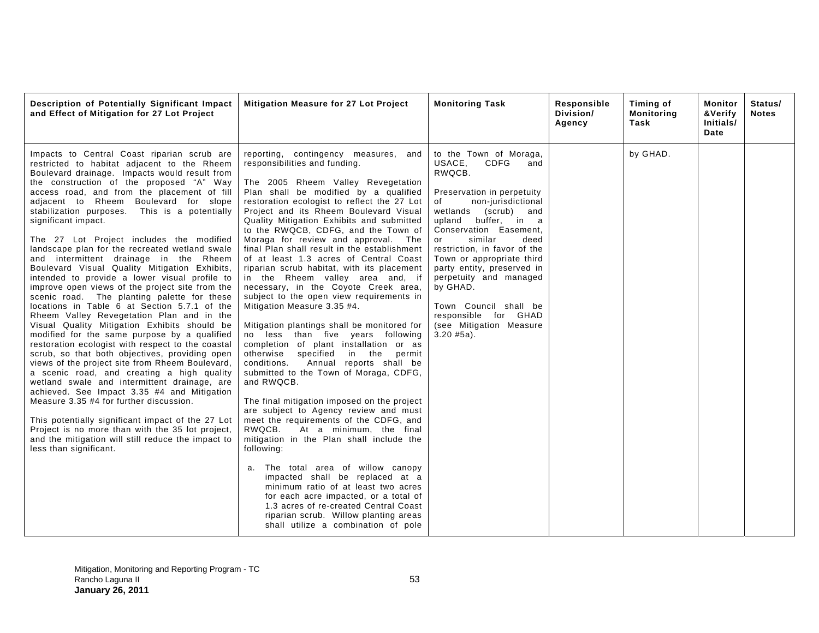| Description of Potentially Significant Impact<br>and Effect of Mitigation for 27 Lot Project                                                                                                                                                                                                                                                                                                                                                                                                                                                                                                                                                                                                                                                                                                                                                                                                                                                                                                                                                                                                                                                                                                                                                                                                                                                                                                                                                | Mitigation Measure for 27 Lot Project                                                                                                                                                                                                                                                                                                                                                                                                                                                                                                                                                                                                                                                                                                                                                                                                                                                                                                                                                                                                                                                                                                                                                                                                                                                                                                                                                                                                                                    | <b>Monitoring Task</b>                                                                                                                                                                                                                                                                                                                                                                                                                                | Responsible<br>Division/<br>Agency | Timing of<br><b>Monitoring</b><br>Task | Monitor<br>&Verify<br>Initials/<br>Date | Status/<br><b>Notes</b> |
|---------------------------------------------------------------------------------------------------------------------------------------------------------------------------------------------------------------------------------------------------------------------------------------------------------------------------------------------------------------------------------------------------------------------------------------------------------------------------------------------------------------------------------------------------------------------------------------------------------------------------------------------------------------------------------------------------------------------------------------------------------------------------------------------------------------------------------------------------------------------------------------------------------------------------------------------------------------------------------------------------------------------------------------------------------------------------------------------------------------------------------------------------------------------------------------------------------------------------------------------------------------------------------------------------------------------------------------------------------------------------------------------------------------------------------------------|--------------------------------------------------------------------------------------------------------------------------------------------------------------------------------------------------------------------------------------------------------------------------------------------------------------------------------------------------------------------------------------------------------------------------------------------------------------------------------------------------------------------------------------------------------------------------------------------------------------------------------------------------------------------------------------------------------------------------------------------------------------------------------------------------------------------------------------------------------------------------------------------------------------------------------------------------------------------------------------------------------------------------------------------------------------------------------------------------------------------------------------------------------------------------------------------------------------------------------------------------------------------------------------------------------------------------------------------------------------------------------------------------------------------------------------------------------------------------|-------------------------------------------------------------------------------------------------------------------------------------------------------------------------------------------------------------------------------------------------------------------------------------------------------------------------------------------------------------------------------------------------------------------------------------------------------|------------------------------------|----------------------------------------|-----------------------------------------|-------------------------|
| Impacts to Central Coast riparian scrub are<br>restricted to habitat adjacent to the Rheem<br>Boulevard drainage. Impacts would result from<br>the construction of the proposed "A" Way<br>access road, and from the placement of fill<br>adjacent to Rheem Boulevard for slope<br>stabilization purposes. This is a potentially<br>significant impact.<br>The 27 Lot Project includes the modified<br>landscape plan for the recreated wetland swale<br>and intermittent drainage in the Rheem<br>Boulevard Visual Quality Mitigation Exhibits,<br>intended to provide a lower visual profile to<br>improve open views of the project site from the<br>scenic road. The planting palette for these<br>locations in Table 6 at Section 5.7.1 of the<br>Rheem Valley Revegetation Plan and in the<br>Visual Quality Mitigation Exhibits should be<br>modified for the same purpose by a qualified<br>restoration ecologist with respect to the coastal<br>scrub, so that both objectives, providing open<br>views of the project site from Rheem Boulevard,<br>a scenic road, and creating a high quality<br>wetland swale and intermittent drainage, are<br>achieved. See Impact 3.35 #4 and Mitigation<br>Measure 3.35 #4 for further discussion.<br>This potentially significant impact of the 27 Lot<br>Project is no more than with the 35 lot project,<br>and the mitigation will still reduce the impact to<br>less than significant. | reporting, contingency measures, and<br>responsibilities and funding.<br>The 2005 Rheem Valley Revegetation<br>Plan shall be modified by a qualified<br>restoration ecologist to reflect the 27 Lot<br>Project and its Rheem Boulevard Visual<br>Quality Mitigation Exhibits and submitted<br>to the RWQCB, CDFG, and the Town of<br>Moraga for review and approval. The<br>final Plan shall result in the establishment<br>of at least 1.3 acres of Central Coast<br>riparian scrub habitat, with its placement<br>in the Rheem valley area and, if<br>necessary, in the Coyote Creek area,<br>subject to the open view requirements in<br>Mitigation Measure 3.35 #4.<br>Mitigation plantings shall be monitored for<br>no less than five years following<br>completion of plant installation or as<br>otherwise<br>specified<br>in the<br>permit<br>conditions.<br>Annual reports shall be<br>submitted to the Town of Moraga, CDFG,<br>and RWQCB.<br>The final mitigation imposed on the project<br>are subject to Agency review and must<br>meet the requirements of the CDFG, and<br>RWQCB.<br>At a minimum, the final<br>mitigation in the Plan shall include the<br>following:<br>a. The total area of willow canopy<br>impacted shall be replaced at a<br>minimum ratio of at least two acres<br>for each acre impacted, or a total of<br>1.3 acres of re-created Central Coast<br>riparian scrub. Willow planting areas<br>shall utilize a combination of pole | to the Town of Moraga,<br>CDFG<br>USACE,<br>and<br>RWQCB.<br>Preservation in perpetuity<br>non-jurisdictional<br>of<br>(scrub) and<br>wetlands<br>upland buffer, in a<br>Conservation Easement,<br>similar<br>deed<br>or<br>restriction, in favor of the<br>Town or appropriate third<br>party entity, preserved in<br>perpetuity and managed<br>by GHAD.<br>Town Council shall be<br>responsible for GHAD<br>(see Mitigation Measure<br>$3.20$ #5a). |                                    | by GHAD.                               |                                         |                         |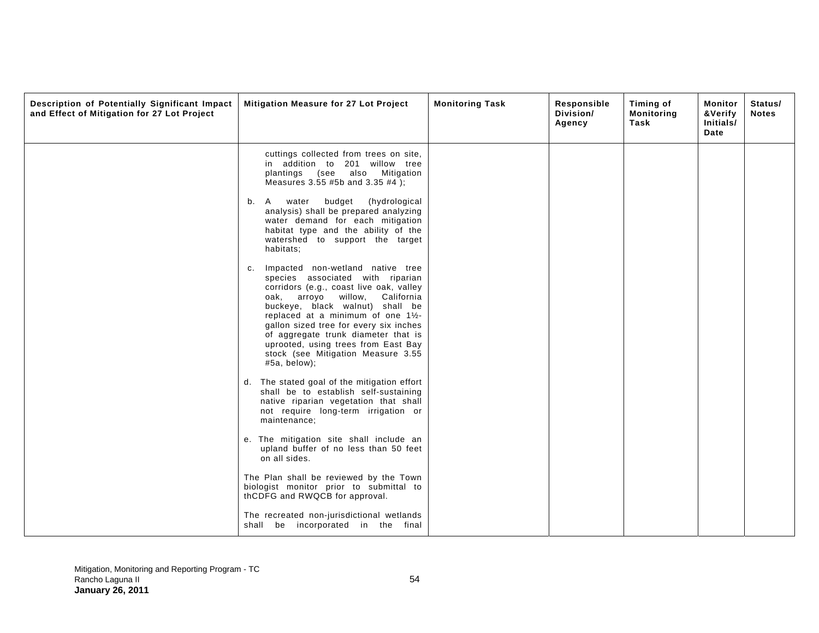| Description of Potentially Significant Impact<br>and Effect of Mitigation for 27 Lot Project | Mitigation Measure for 27 Lot Project                                                                                                                                                                                                                                                                                                                                                                          | <b>Monitoring Task</b> | Responsible<br>Division/<br>Agency | Timing of<br><b>Monitoring</b><br>Task | Monitor<br>&Verify<br>Initials/<br>Date | Status/<br><b>Notes</b> |
|----------------------------------------------------------------------------------------------|----------------------------------------------------------------------------------------------------------------------------------------------------------------------------------------------------------------------------------------------------------------------------------------------------------------------------------------------------------------------------------------------------------------|------------------------|------------------------------------|----------------------------------------|-----------------------------------------|-------------------------|
|                                                                                              | cuttings collected from trees on site,<br>in addition to 201 willow tree<br>plantings (see also Mitigation<br>Measures 3.55 #5b and 3.35 #4);<br>water<br>budget<br>(hydrological<br>A<br>b.                                                                                                                                                                                                                   |                        |                                    |                                        |                                         |                         |
|                                                                                              | analysis) shall be prepared analyzing<br>water demand for each mitigation<br>habitat type and the ability of the<br>watershed to support the target<br>habitats;                                                                                                                                                                                                                                               |                        |                                    |                                        |                                         |                         |
|                                                                                              | Impacted non-wetland native tree<br>c.<br>species associated with riparian<br>corridors (e.g., coast live oak, valley<br>oak, arroyo willow, California<br>buckeye, black walnut) shall be<br>replaced at a minimum of one 11/2-<br>gallon sized tree for every six inches<br>of aggregate trunk diameter that is<br>uprooted, using trees from East Bay<br>stock (see Mitigation Measure 3.55<br>#5a, below); |                        |                                    |                                        |                                         |                         |
|                                                                                              | The stated goal of the mitigation effort<br>d.<br>shall be to establish self-sustaining<br>native riparian vegetation that shall<br>not require long-term irrigation or<br>maintenance;                                                                                                                                                                                                                        |                        |                                    |                                        |                                         |                         |
|                                                                                              | e. The mitigation site shall include an<br>upland buffer of no less than 50 feet<br>on all sides.                                                                                                                                                                                                                                                                                                              |                        |                                    |                                        |                                         |                         |
|                                                                                              | The Plan shall be reviewed by the Town<br>biologist monitor prior to submittal to<br>thCDFG and RWQCB for approval.                                                                                                                                                                                                                                                                                            |                        |                                    |                                        |                                         |                         |
|                                                                                              | The recreated non-jurisdictional wetlands<br>shall be incorporated in the final                                                                                                                                                                                                                                                                                                                                |                        |                                    |                                        |                                         |                         |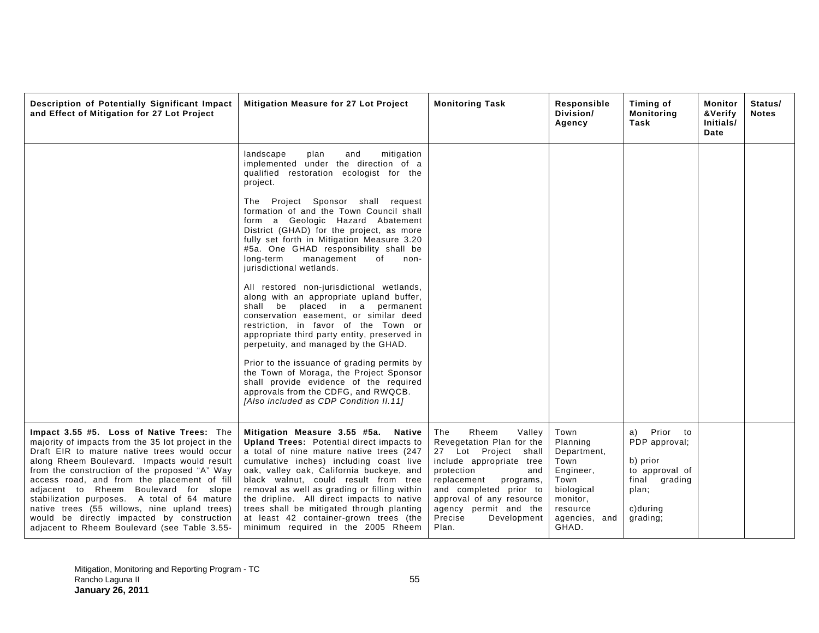| Description of Potentially Significant Impact<br>and Effect of Mitigation for 27 Lot Project                                                                                                                                                                                                                                                                                                                                                                                                                                          | Mitigation Measure for 27 Lot Project                                                                                                                                                                                                                                                                                                                                                                                                                                                         | <b>Monitoring Task</b>                                                                                                                                                                                                                                                     | Responsible<br>Division/<br>Agency                                                                                           | Timing of<br><b>Monitoring</b><br>Task                                                                          | Monitor<br>&Verify<br>Initials/<br>Date | Status/<br><b>Notes</b> |
|---------------------------------------------------------------------------------------------------------------------------------------------------------------------------------------------------------------------------------------------------------------------------------------------------------------------------------------------------------------------------------------------------------------------------------------------------------------------------------------------------------------------------------------|-----------------------------------------------------------------------------------------------------------------------------------------------------------------------------------------------------------------------------------------------------------------------------------------------------------------------------------------------------------------------------------------------------------------------------------------------------------------------------------------------|----------------------------------------------------------------------------------------------------------------------------------------------------------------------------------------------------------------------------------------------------------------------------|------------------------------------------------------------------------------------------------------------------------------|-----------------------------------------------------------------------------------------------------------------|-----------------------------------------|-------------------------|
|                                                                                                                                                                                                                                                                                                                                                                                                                                                                                                                                       | landscape<br>mitigation<br>plan<br>and<br>implemented under the direction of a<br>qualified restoration ecologist for the<br>project.                                                                                                                                                                                                                                                                                                                                                         |                                                                                                                                                                                                                                                                            |                                                                                                                              |                                                                                                                 |                                         |                         |
|                                                                                                                                                                                                                                                                                                                                                                                                                                                                                                                                       | The Project Sponsor shall request<br>formation of and the Town Council shall<br>form a Geologic Hazard Abatement<br>District (GHAD) for the project, as more<br>fully set forth in Mitigation Measure 3.20<br>#5a. One GHAD responsibility shall be<br>long-term<br>management<br>of<br>non-<br>jurisdictional wetlands.                                                                                                                                                                      |                                                                                                                                                                                                                                                                            |                                                                                                                              |                                                                                                                 |                                         |                         |
|                                                                                                                                                                                                                                                                                                                                                                                                                                                                                                                                       | All restored non-jurisdictional wetlands,<br>along with an appropriate upland buffer,<br>shall be placed in a permanent<br>conservation easement, or similar deed<br>restriction, in favor of the Town or<br>appropriate third party entity, preserved in<br>perpetuity, and managed by the GHAD.                                                                                                                                                                                             |                                                                                                                                                                                                                                                                            |                                                                                                                              |                                                                                                                 |                                         |                         |
|                                                                                                                                                                                                                                                                                                                                                                                                                                                                                                                                       | Prior to the issuance of grading permits by<br>the Town of Moraga, the Project Sponsor<br>shall provide evidence of the required<br>approvals from the CDFG, and RWQCB.<br>[Also included as CDP Condition II.11]                                                                                                                                                                                                                                                                             |                                                                                                                                                                                                                                                                            |                                                                                                                              |                                                                                                                 |                                         |                         |
| Impact 3.55 #5. Loss of Native Trees: The<br>majority of impacts from the 35 lot project in the<br>Draft EIR to mature native trees would occur<br>along Rheem Boulevard. Impacts would result<br>from the construction of the proposed "A" Way<br>access road, and from the placement of fill<br>adjacent to Rheem Boulevard for slope<br>stabilization purposes. A total of 64 mature<br>native trees (55 willows, nine upland trees)<br>would be directly impacted by construction<br>adjacent to Rheem Boulevard (see Table 3.55- | Mitigation Measure 3.55 #5a. Native<br><b>Upland Trees:</b> Potential direct impacts to<br>a total of nine mature native trees (247<br>cumulative inches) including coast live<br>oak, valley oak, California buckeye, and<br>black walnut, could result from tree<br>removal as well as grading or filling within<br>the dripline. All direct impacts to native<br>trees shall be mitigated through planting<br>at least 42 container-grown trees (the<br>minimum required in the 2005 Rheem | Rheem<br>The<br>Valley<br>Revegetation Plan for the<br>27 Lot Project shall<br>include appropriate tree<br>protection<br>and<br>replacement<br>programs,<br>and completed prior to<br>approval of any resource<br>agency permit and the<br>Precise<br>Development<br>Plan. | Town<br>Planning<br>Department,<br>Town<br>Engineer,<br>Town<br>biological<br>monitor,<br>resource<br>agencies, and<br>GHAD. | Prior to<br>a)<br>PDP approval;<br>b) prior<br>to approval of<br>final grading<br>plan;<br>c)during<br>grading; |                                         |                         |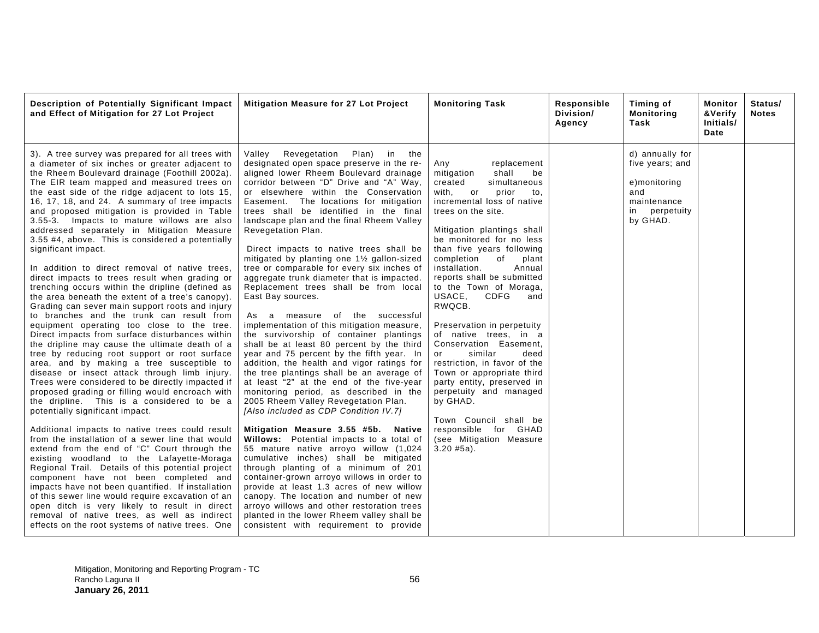| Description of Potentially Significant Impact<br>and Effect of Mitigation for 27 Lot Project                                                                                                                                                                                                                                                                                                                                                                                                                                                                                                                                                                                                                                                                                                                                                                                                                                                                                                                                                                                                                                                                                                                                                                                                                                                                                                                                                                                                                                                                                                                                                                                                                                                                                                                                                                                                          | Mitigation Measure for 27 Lot Project                                                                                                                                                                                                                                                                                                                                                                                                                                                                                                                                                                                                                                                                                                                                                                                                                                                                                                                                                                                                                                                                                                                                                                                                                                                                                                                                                                                                                                                                                                                                                                                 | <b>Monitoring Task</b>                                                                                                                                                                                                                                                                                                                                                                                                                                                                                                                                                                                                                                                                                                                                          | Responsible<br>Division/<br>Agency | Timing of<br>Monitoring<br>Task                                                                          | Monitor<br>&Verify<br>Initials/<br>Date | Status/<br><b>Notes</b> |
|-------------------------------------------------------------------------------------------------------------------------------------------------------------------------------------------------------------------------------------------------------------------------------------------------------------------------------------------------------------------------------------------------------------------------------------------------------------------------------------------------------------------------------------------------------------------------------------------------------------------------------------------------------------------------------------------------------------------------------------------------------------------------------------------------------------------------------------------------------------------------------------------------------------------------------------------------------------------------------------------------------------------------------------------------------------------------------------------------------------------------------------------------------------------------------------------------------------------------------------------------------------------------------------------------------------------------------------------------------------------------------------------------------------------------------------------------------------------------------------------------------------------------------------------------------------------------------------------------------------------------------------------------------------------------------------------------------------------------------------------------------------------------------------------------------------------------------------------------------------------------------------------------------|-----------------------------------------------------------------------------------------------------------------------------------------------------------------------------------------------------------------------------------------------------------------------------------------------------------------------------------------------------------------------------------------------------------------------------------------------------------------------------------------------------------------------------------------------------------------------------------------------------------------------------------------------------------------------------------------------------------------------------------------------------------------------------------------------------------------------------------------------------------------------------------------------------------------------------------------------------------------------------------------------------------------------------------------------------------------------------------------------------------------------------------------------------------------------------------------------------------------------------------------------------------------------------------------------------------------------------------------------------------------------------------------------------------------------------------------------------------------------------------------------------------------------------------------------------------------------------------------------------------------------|-----------------------------------------------------------------------------------------------------------------------------------------------------------------------------------------------------------------------------------------------------------------------------------------------------------------------------------------------------------------------------------------------------------------------------------------------------------------------------------------------------------------------------------------------------------------------------------------------------------------------------------------------------------------------------------------------------------------------------------------------------------------|------------------------------------|----------------------------------------------------------------------------------------------------------|-----------------------------------------|-------------------------|
| 3). A tree survey was prepared for all trees with<br>a diameter of six inches or greater adjacent to<br>the Rheem Boulevard drainage (Foothill 2002a).<br>The EIR team mapped and measured trees on<br>the east side of the ridge adjacent to lots 15,<br>16, 17, 18, and 24. A summary of tree impacts<br>and proposed mitigation is provided in Table<br>3.55-3. Impacts to mature willows are also<br>addressed separately in Mitigation Measure<br>3.55 #4, above. This is considered a potentially<br>significant impact.<br>In addition to direct removal of native trees,<br>direct impacts to trees result when grading or<br>trenching occurs within the dripline (defined as<br>the area beneath the extent of a tree's canopy).<br>Grading can sever main support roots and injury<br>to branches and the trunk can result from<br>equipment operating too close to the tree.<br>Direct impacts from surface disturbances within<br>the dripline may cause the ultimate death of a<br>tree by reducing root support or root surface<br>area, and by making a tree susceptible to<br>disease or insect attack through limb injury.<br>Trees were considered to be directly impacted if<br>proposed grading or filling would encroach with<br>the dripline. This is a considered to be a<br>potentially significant impact.<br>Additional impacts to native trees could result<br>from the installation of a sewer line that would<br>extend from the end of "C" Court through the<br>existing woodland to the Lafayette-Moraga<br>Regional Trail. Details of this potential project<br>component have not been completed and<br>impacts have not been quantified. If installation<br>of this sewer line would require excavation of an<br>open ditch is very likely to result in direct<br>removal of native trees, as well as indirect<br>effects on the root systems of native trees. One | Revegetation<br>Valley<br>Plan) in the<br>designated open space preserve in the re-<br>aligned lower Rheem Boulevard drainage<br>corridor between "D" Drive and "A" Way,<br>or elsewhere within the Conservation<br>Easement. The locations for mitigation<br>trees shall be identified in the final<br>landscape plan and the final Rheem Valley<br>Revegetation Plan.<br>Direct impacts to native trees shall be<br>mitigated by planting one 1 <sup>1/2</sup> gallon-sized<br>tree or comparable for every six inches of<br>aggregate trunk diameter that is impacted.<br>Replacement trees shall be from local<br>East Bay sources.<br>As a measure of the successful<br>implementation of this mitigation measure,<br>the survivorship of container plantings<br>shall be at least 80 percent by the third<br>year and 75 percent by the fifth year. In<br>addition, the health and vigor ratings for<br>the tree plantings shall be an average of<br>at least "2" at the end of the five-year<br>monitoring period, as described in the<br>2005 Rheem Valley Revegetation Plan.<br>[Also included as CDP Condition IV.7]<br>Mitigation Measure 3.55 #5b. Native<br>Willows: Potential impacts to a total of<br>55 mature native arroyo willow (1,024<br>cumulative inches) shall be mitigated<br>through planting of a minimum of 201<br>container-grown arroyo willows in order to<br>provide at least 1.3 acres of new willow<br>canopy. The location and number of new<br>arroyo willows and other restoration trees<br>planted in the lower Rheem valley shall be<br>consistent with requirement to provide | replacement<br>Any<br>shall<br>mitigation<br>be<br>created<br>simultaneous<br>with.<br>$\circ$ or<br>prior<br>to.<br>incremental loss of native<br>trees on the site.<br>Mitigation plantings shall<br>be monitored for no less<br>than five years following<br>of<br>completion<br>plant<br>installation.<br>Annual<br>reports shall be submitted<br>to the Town of Moraga,<br>USACE,<br><b>CDFG</b><br>and<br>RWQCB.<br>Preservation in perpetuity<br>of native trees, in a<br>Conservation Easement,<br>similar<br>deed<br>or<br>restriction, in favor of the<br>Town or appropriate third<br>party entity, preserved in<br>perpetuity and managed<br>by GHAD.<br>Town Council shall be<br>responsible for GHAD<br>(see Mitigation Measure<br>$3.20 \#5a$ ). |                                    | d) annually for<br>five years; and<br>e)monitoring<br>and<br>maintenance<br>perpetuity<br>in<br>by GHAD. |                                         |                         |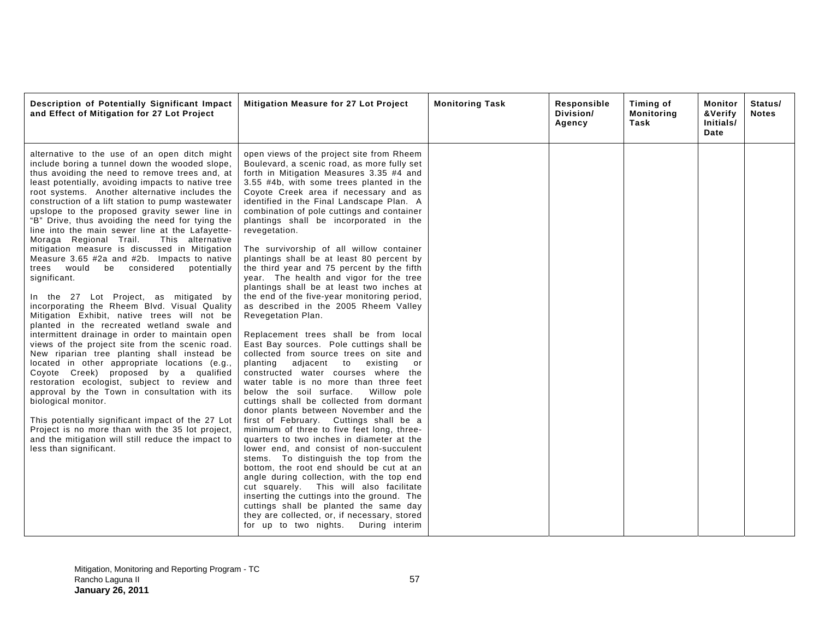| Description of Potentially Significant Impact<br>and Effect of Mitigation for 27 Lot Project                                                                                                                                                                                                                                                                                                                                                                                                                                                                                                                                                                                                                                                                                                                                                                                                                                                                                                                                                                                                                                                                                                                                                                                                                                                                                                                                         | <b>Mitigation Measure for 27 Lot Project</b>                                                                                                                                                                                                                                                                                                                                                                                                                                                                                                                                                                                                                                                                                                                                                                                                                                                                                                                                                                                                                                                                                                                                                                                                                                                                                                                                                                                                                                                                                                                                                                                                                          | <b>Monitoring Task</b> | Responsible<br>Division/<br>Agency | Timing of<br><b>Monitoring</b><br>Task | Monitor<br>&Verify<br>Initials/<br>Date | Status/<br><b>Notes</b> |
|--------------------------------------------------------------------------------------------------------------------------------------------------------------------------------------------------------------------------------------------------------------------------------------------------------------------------------------------------------------------------------------------------------------------------------------------------------------------------------------------------------------------------------------------------------------------------------------------------------------------------------------------------------------------------------------------------------------------------------------------------------------------------------------------------------------------------------------------------------------------------------------------------------------------------------------------------------------------------------------------------------------------------------------------------------------------------------------------------------------------------------------------------------------------------------------------------------------------------------------------------------------------------------------------------------------------------------------------------------------------------------------------------------------------------------------|-----------------------------------------------------------------------------------------------------------------------------------------------------------------------------------------------------------------------------------------------------------------------------------------------------------------------------------------------------------------------------------------------------------------------------------------------------------------------------------------------------------------------------------------------------------------------------------------------------------------------------------------------------------------------------------------------------------------------------------------------------------------------------------------------------------------------------------------------------------------------------------------------------------------------------------------------------------------------------------------------------------------------------------------------------------------------------------------------------------------------------------------------------------------------------------------------------------------------------------------------------------------------------------------------------------------------------------------------------------------------------------------------------------------------------------------------------------------------------------------------------------------------------------------------------------------------------------------------------------------------------------------------------------------------|------------------------|------------------------------------|----------------------------------------|-----------------------------------------|-------------------------|
| alternative to the use of an open ditch might<br>include boring a tunnel down the wooded slope,<br>thus avoiding the need to remove trees and, at<br>least potentially, avoiding impacts to native tree<br>root systems. Another alternative includes the<br>construction of a lift station to pump wastewater<br>upslope to the proposed gravity sewer line in<br>"B" Drive, thus avoiding the need for tying the<br>line into the main sewer line at the Lafayette-<br>Moraga Regional Trail.<br>This alternative<br>mitigation measure is discussed in Mitigation<br>Measure 3.65 #2a and #2b. Impacts to native<br>trees would be considered potentially<br>significant.<br>In the 27 Lot Project, as mitigated by<br>incorporating the Rheem Blvd. Visual Quality<br>Mitigation Exhibit, native trees will not be<br>planted in the recreated wetland swale and<br>intermittent drainage in order to maintain open<br>views of the project site from the scenic road.<br>New riparian tree planting shall instead be<br>located in other appropriate locations (e.g.,<br>Coyote Creek) proposed by a qualified<br>restoration ecologist, subject to review and<br>approval by the Town in consultation with its<br>biological monitor.<br>This potentially significant impact of the 27 Lot<br>Project is no more than with the 35 lot project,<br>and the mitigation will still reduce the impact to<br>less than significant. | open views of the project site from Rheem<br>Boulevard, a scenic road, as more fully set<br>forth in Mitigation Measures 3.35 #4 and<br>3.55 #4b, with some trees planted in the<br>Coyote Creek area if necessary and as<br>identified in the Final Landscape Plan. A<br>combination of pole cuttings and container<br>plantings shall be incorporated in the<br>revegetation.<br>The survivorship of all willow container<br>plantings shall be at least 80 percent by<br>the third year and 75 percent by the fifth<br>year. The health and vigor for the tree<br>plantings shall be at least two inches at<br>the end of the five-year monitoring period,<br>as described in the 2005 Rheem Valley<br>Revegetation Plan.<br>Replacement trees shall be from local<br>East Bay sources. Pole cuttings shall be<br>collected from source trees on site and<br>planting adjacent to<br>existing<br>or<br>constructed water courses where the<br>water table is no more than three feet<br>below the soil surface.<br>Willow pole<br>cuttings shall be collected from dormant<br>donor plants between November and the<br>first of February. Cuttings shall be a<br>minimum of three to five feet long, three-<br>quarters to two inches in diameter at the<br>lower end, and consist of non-succulent<br>stems. To distinguish the top from the<br>bottom, the root end should be cut at an<br>angle during collection, with the top end<br>cut squarely. This will also facilitate<br>inserting the cuttings into the ground. The<br>cuttings shall be planted the same day<br>they are collected, or, if necessary, stored<br>for up to two nights. During interim |                        |                                    |                                        |                                         |                         |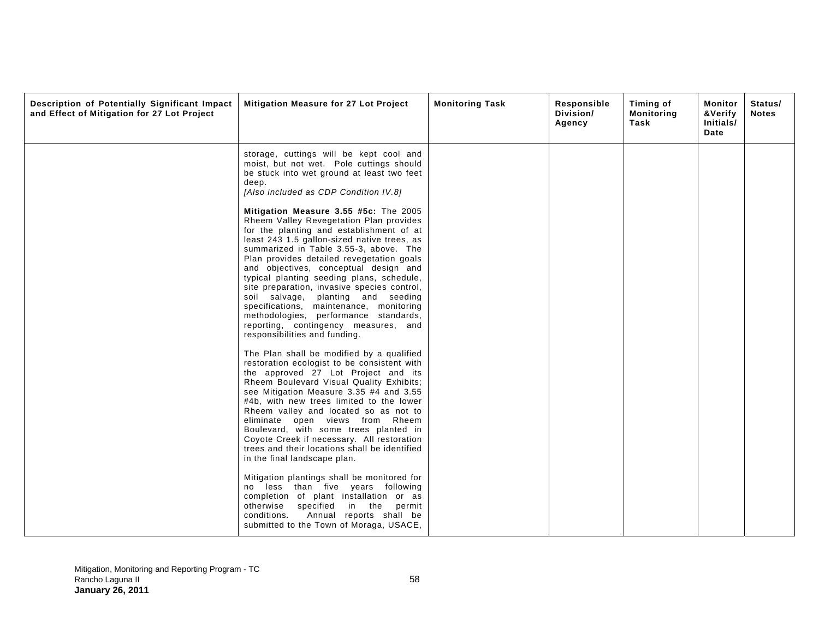| Description of Potentially Significant Impact<br>and Effect of Mitigation for 27 Lot Project | Mitigation Measure for 27 Lot Project                                                                                                                                                                                                                                                                                                                                                                                                                                                                                                                                                                                                                                                                                                                                          | <b>Monitoring Task</b> | Responsible<br>Division/<br>Agency | Timing of<br>Monitoring<br>Task | Monitor<br>&Verify<br>Initials/<br>Date | Status/<br><b>Notes</b> |
|----------------------------------------------------------------------------------------------|--------------------------------------------------------------------------------------------------------------------------------------------------------------------------------------------------------------------------------------------------------------------------------------------------------------------------------------------------------------------------------------------------------------------------------------------------------------------------------------------------------------------------------------------------------------------------------------------------------------------------------------------------------------------------------------------------------------------------------------------------------------------------------|------------------------|------------------------------------|---------------------------------|-----------------------------------------|-------------------------|
|                                                                                              | storage, cuttings will be kept cool and<br>moist, but not wet. Pole cuttings should<br>be stuck into wet ground at least two feet<br>deep.<br>[Also included as CDP Condition IV.8]                                                                                                                                                                                                                                                                                                                                                                                                                                                                                                                                                                                            |                        |                                    |                                 |                                         |                         |
|                                                                                              | Mitigation Measure 3.55 #5c: The 2005<br>Rheem Valley Revegetation Plan provides<br>for the planting and establishment of at<br>least 243 1.5 gallon-sized native trees, as<br>summarized in Table 3.55-3, above. The<br>Plan provides detailed revegetation goals<br>and objectives, conceptual design and<br>typical planting seeding plans, schedule,<br>site preparation, invasive species control,<br>soil salvage, planting and seeding<br>specifications, maintenance, monitoring<br>methodologies, performance standards,<br>reporting, contingency measures, and<br>responsibilities and funding.                                                                                                                                                                     |                        |                                    |                                 |                                         |                         |
|                                                                                              | The Plan shall be modified by a qualified<br>restoration ecologist to be consistent with<br>the approved 27 Lot Project and its<br>Rheem Boulevard Visual Quality Exhibits;<br>see Mitigation Measure 3.35 #4 and 3.55<br>#4b, with new trees limited to the lower<br>Rheem valley and located so as not to<br>eliminate open views from Rheem<br>Boulevard, with some trees planted in<br>Coyote Creek if necessary. All restoration<br>trees and their locations shall be identified<br>in the final landscape plan.<br>Mitigation plantings shall be monitored for<br>no less than five years following<br>completion of plant installation or as<br>otherwise specified in the permit<br>conditions.<br>Annual reports shall be<br>submitted to the Town of Moraga, USACE, |                        |                                    |                                 |                                         |                         |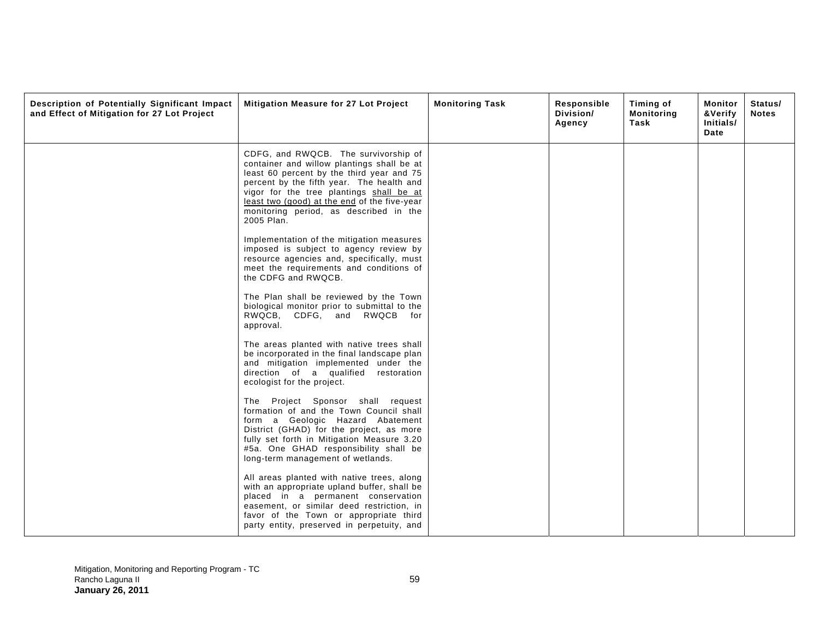| Description of Potentially Significant Impact<br>and Effect of Mitigation for 27 Lot Project | Mitigation Measure for 27 Lot Project                                                                                                                                                                                                                                                                                            | <b>Monitoring Task</b> | Responsible<br>Division/<br>Agency | <b>Timing of</b><br><b>Monitoring</b><br>Task | Monitor<br>&Verify<br>Initials/<br>Date | Status/<br><b>Notes</b> |
|----------------------------------------------------------------------------------------------|----------------------------------------------------------------------------------------------------------------------------------------------------------------------------------------------------------------------------------------------------------------------------------------------------------------------------------|------------------------|------------------------------------|-----------------------------------------------|-----------------------------------------|-------------------------|
|                                                                                              | CDFG, and RWQCB. The survivorship of<br>container and willow plantings shall be at<br>least 60 percent by the third year and 75<br>percent by the fifth year. The health and<br>vigor for the tree plantings shall be at<br>least two (good) at the end of the five-year<br>monitoring period, as described in the<br>2005 Plan. |                        |                                    |                                               |                                         |                         |
|                                                                                              | Implementation of the mitigation measures<br>imposed is subject to agency review by<br>resource agencies and, specifically, must<br>meet the requirements and conditions of<br>the CDFG and RWQCB.                                                                                                                               |                        |                                    |                                               |                                         |                         |
|                                                                                              | The Plan shall be reviewed by the Town<br>biological monitor prior to submittal to the<br>RWQCB, CDFG, and RWQCB for<br>approval.                                                                                                                                                                                                |                        |                                    |                                               |                                         |                         |
|                                                                                              | The areas planted with native trees shall<br>be incorporated in the final landscape plan<br>and mitigation implemented under the<br>direction of a qualified restoration<br>ecologist for the project.                                                                                                                           |                        |                                    |                                               |                                         |                         |
|                                                                                              | The Project Sponsor shall request<br>formation of and the Town Council shall<br>form a Geologic Hazard Abatement<br>District (GHAD) for the project, as more<br>fully set forth in Mitigation Measure 3.20<br>#5a. One GHAD responsibility shall be<br>long-term management of wetlands.                                         |                        |                                    |                                               |                                         |                         |
|                                                                                              | All areas planted with native trees, along<br>with an appropriate upland buffer, shall be<br>placed in a permanent conservation<br>easement, or similar deed restriction, in<br>favor of the Town or appropriate third<br>party entity, preserved in perpetuity, and                                                             |                        |                                    |                                               |                                         |                         |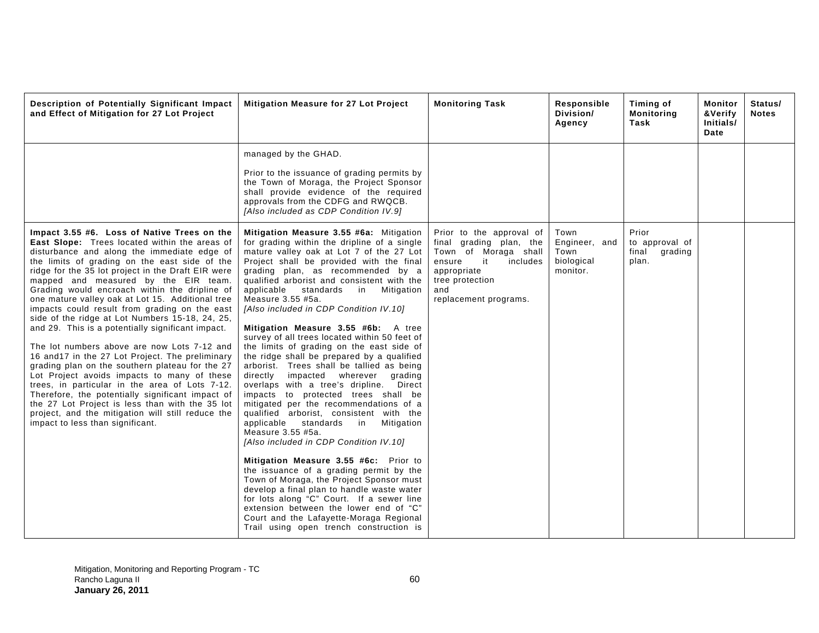| Description of Potentially Significant Impact<br>and Effect of Mitigation for 27 Lot Project                                                                                                                                                                                                                                                                                                                                                                                                                                                                                                                                                                                                                                                                                                                                                                                                                                                                                                                    | Mitigation Measure for 27 Lot Project                                                                                                                                                                                                                                                                                                                                                                                                                                                                                                                                                                                                                                                                                                                                                                                                                                                                                                                                                                                                                                                                                                                                                                                                                                                              | <b>Monitoring Task</b>                                                                                                                                                    | Responsible<br>Division/<br>Agency                      | Timing of<br><b>Monitoring</b><br>Task               | Monitor<br>&Verify<br>Initials/<br>Date | Status/<br><b>Notes</b> |
|-----------------------------------------------------------------------------------------------------------------------------------------------------------------------------------------------------------------------------------------------------------------------------------------------------------------------------------------------------------------------------------------------------------------------------------------------------------------------------------------------------------------------------------------------------------------------------------------------------------------------------------------------------------------------------------------------------------------------------------------------------------------------------------------------------------------------------------------------------------------------------------------------------------------------------------------------------------------------------------------------------------------|----------------------------------------------------------------------------------------------------------------------------------------------------------------------------------------------------------------------------------------------------------------------------------------------------------------------------------------------------------------------------------------------------------------------------------------------------------------------------------------------------------------------------------------------------------------------------------------------------------------------------------------------------------------------------------------------------------------------------------------------------------------------------------------------------------------------------------------------------------------------------------------------------------------------------------------------------------------------------------------------------------------------------------------------------------------------------------------------------------------------------------------------------------------------------------------------------------------------------------------------------------------------------------------------------|---------------------------------------------------------------------------------------------------------------------------------------------------------------------------|---------------------------------------------------------|------------------------------------------------------|-----------------------------------------|-------------------------|
|                                                                                                                                                                                                                                                                                                                                                                                                                                                                                                                                                                                                                                                                                                                                                                                                                                                                                                                                                                                                                 | managed by the GHAD.<br>Prior to the issuance of grading permits by<br>the Town of Moraga, the Project Sponsor<br>shall provide evidence of the required<br>approvals from the CDFG and RWQCB.<br>[Also included as CDP Condition IV.9]                                                                                                                                                                                                                                                                                                                                                                                                                                                                                                                                                                                                                                                                                                                                                                                                                                                                                                                                                                                                                                                            |                                                                                                                                                                           |                                                         |                                                      |                                         |                         |
| Impact 3.55 #6. Loss of Native Trees on the<br>East Slope: Trees located within the areas of<br>disturbance and along the immediate edge of<br>the limits of grading on the east side of the<br>ridge for the 35 lot project in the Draft EIR were<br>mapped and measured by the EIR team.<br>Grading would encroach within the dripline of<br>one mature valley oak at Lot 15. Additional tree<br>impacts could result from grading on the east<br>side of the ridge at Lot Numbers 15-18, 24, 25,<br>and 29. This is a potentially significant impact.<br>The lot numbers above are now Lots 7-12 and<br>16 and 17 in the 27 Lot Project. The preliminary<br>grading plan on the southern plateau for the 27<br>Lot Project avoids impacts to many of these<br>trees, in particular in the area of Lots 7-12.<br>Therefore, the potentially significant impact of<br>the 27 Lot Project is less than with the 35 lot<br>project, and the mitigation will still reduce the<br>impact to less than significant. | Mitigation Measure 3.55 #6a: Mitigation<br>for grading within the dripline of a single<br>mature valley oak at Lot 7 of the 27 Lot<br>Project shall be provided with the final<br>grading plan, as recommended by a<br>qualified arborist and consistent with the<br>standards in<br>Mitigation<br>applicable<br>Measure 3.55 #5a.<br>[Also included in CDP Condition IV.10]<br>Mitigation Measure 3.55 #6b: A tree<br>survey of all trees located within 50 feet of<br>the limits of grading on the east side of<br>the ridge shall be prepared by a qualified<br>arborist. Trees shall be tallied as being<br>directly impacted wherever<br>grading<br>overlaps with a tree's dripline.<br>Direct<br>impacts to protected trees shall be<br>mitigated per the recommendations of a<br>qualified arborist, consistent with the<br>applicable standards in<br>Mitigation<br>Measure 3.55 #5a.<br>[Also included in CDP Condition IV.10]<br>Mitigation Measure 3.55 #6c: Prior to<br>the issuance of a grading permit by the<br>Town of Moraga, the Project Sponsor must<br>develop a final plan to handle waste water<br>for lots along "C" Court. If a sewer line<br>extension between the lower end of "C"<br>Court and the Lafayette-Moraga Regional<br>Trail using open trench construction is | Prior to the approval of<br>final grading plan, the<br>Town of Moraga shall<br>ensure<br>it<br>includes<br>appropriate<br>tree protection<br>and<br>replacement programs. | Town<br>Engineer, and<br>Town<br>biological<br>monitor. | Prior<br>to approval of<br>final<br>grading<br>plan. |                                         |                         |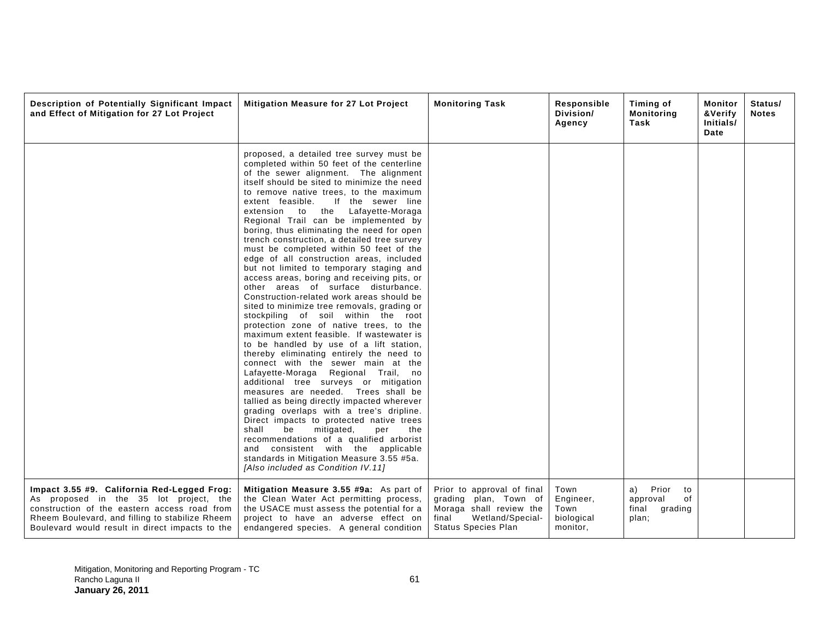| Description of Potentially Significant Impact<br>and Effect of Mitigation for 27 Lot Project                                                                                                                                                | Mitigation Measure for 27 Lot Project                                                                                                                                                                                                                                                                                                                                                                                                                                                                                                                                                                                                                                                                                                                                                                                                                                                                                                                                                                                                                                                                                                                                                                                                                                                                                                                                                                                                                                                                           | <b>Monitoring Task</b>                                                                                                                    | Responsible<br>Division/<br>Agency                  | Timing of<br><b>Monitoring</b><br>Task                           | Monitor<br>Status/<br>&Verify<br><b>Notes</b><br>Initials/<br>Date |
|---------------------------------------------------------------------------------------------------------------------------------------------------------------------------------------------------------------------------------------------|-----------------------------------------------------------------------------------------------------------------------------------------------------------------------------------------------------------------------------------------------------------------------------------------------------------------------------------------------------------------------------------------------------------------------------------------------------------------------------------------------------------------------------------------------------------------------------------------------------------------------------------------------------------------------------------------------------------------------------------------------------------------------------------------------------------------------------------------------------------------------------------------------------------------------------------------------------------------------------------------------------------------------------------------------------------------------------------------------------------------------------------------------------------------------------------------------------------------------------------------------------------------------------------------------------------------------------------------------------------------------------------------------------------------------------------------------------------------------------------------------------------------|-------------------------------------------------------------------------------------------------------------------------------------------|-----------------------------------------------------|------------------------------------------------------------------|--------------------------------------------------------------------|
|                                                                                                                                                                                                                                             | proposed, a detailed tree survey must be<br>completed within 50 feet of the centerline<br>of the sewer alignment. The alignment<br>itself should be sited to minimize the need<br>to remove native trees, to the maximum<br>If the sewer line<br>extent feasible.<br>the Lafayette-Moraga<br>extension<br>to<br>Regional Trail can be implemented by<br>boring, thus eliminating the need for open<br>trench construction, a detailed tree survey<br>must be completed within 50 feet of the<br>edge of all construction areas, included<br>but not limited to temporary staging and<br>access areas, boring and receiving pits, or<br>other areas of surface disturbance.<br>Construction-related work areas should be<br>sited to minimize tree removals, grading or<br>stockpiling of soil within the root<br>protection zone of native trees, to the<br>maximum extent feasible. If wastewater is<br>to be handled by use of a lift station,<br>thereby eliminating entirely the need to<br>connect with the sewer main at the<br>Lafayette-Moraga Regional Trail, no<br>additional tree surveys or mitigation<br>measures are needed. Trees shall be<br>tallied as being directly impacted wherever<br>grading overlaps with a tree's dripline.<br>Direct impacts to protected native trees<br>shall<br>be<br>mitigated,<br>the<br>per<br>recommendations of a qualified arborist<br>and consistent with the applicable<br>standards in Mitigation Measure 3.55 #5a.<br>[Also included as Condition IV.11] |                                                                                                                                           |                                                     |                                                                  |                                                                    |
| Impact 3.55 #9. California Red-Legged Frog:<br>As proposed in the 35 lot project, the<br>construction of the eastern access road from<br>Rheem Boulevard, and filling to stabilize Rheem<br>Boulevard would result in direct impacts to the | Mitigation Measure 3.55 #9a: As part of<br>the Clean Water Act permitting process,<br>the USACE must assess the potential for a<br>project to have an adverse effect on<br>endangered species. A general condition                                                                                                                                                                                                                                                                                                                                                                                                                                                                                                                                                                                                                                                                                                                                                                                                                                                                                                                                                                                                                                                                                                                                                                                                                                                                                              | Prior to approval of final<br>grading plan, Town of<br>Moraga shall review the<br>Wetland/Special-<br>final<br><b>Status Species Plan</b> | Town<br>Engineer,<br>Town<br>biological<br>monitor, | Prior<br>a)<br>to<br>approval<br>of<br>final<br>grading<br>plan; |                                                                    |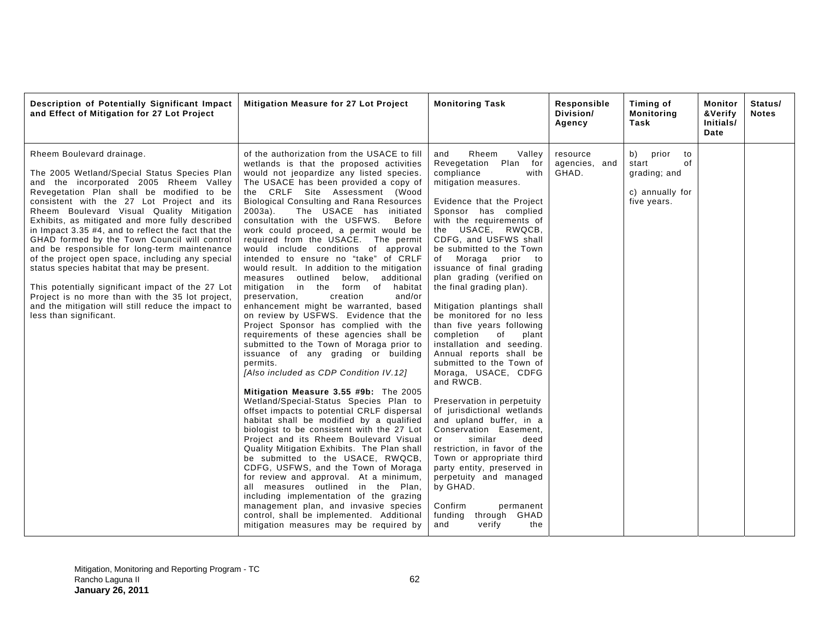| Description of Potentially Significant Impact<br>and Effect of Mitigation for 27 Lot Project                                                                                                                                                                                                                                                                                                                                                                                                                                                                                                                                                                                                                                                                      | Mitigation Measure for 27 Lot Project                                                                                                                                                                                                                                                                                                                                                                                                                                                                                                                                                                                                                                                                                                                                                                                                                                                                                                                                                                                                                                                                                                                                                                                                                                                                                                                                                                                                                                                                                                                                                                                                                               | <b>Monitoring Task</b>                                                                                                                                                                                                                                                                                                                                                                                                                                                                                                                                                                                                                                                                                                                                                                                                                                                                                                                                                          | Responsible<br>Division/<br>Agency | Timing of<br><b>Monitoring</b><br>Task                                             | Monitor<br>&Verify<br>Initials/<br>Date | Status/<br><b>Notes</b> |
|-------------------------------------------------------------------------------------------------------------------------------------------------------------------------------------------------------------------------------------------------------------------------------------------------------------------------------------------------------------------------------------------------------------------------------------------------------------------------------------------------------------------------------------------------------------------------------------------------------------------------------------------------------------------------------------------------------------------------------------------------------------------|---------------------------------------------------------------------------------------------------------------------------------------------------------------------------------------------------------------------------------------------------------------------------------------------------------------------------------------------------------------------------------------------------------------------------------------------------------------------------------------------------------------------------------------------------------------------------------------------------------------------------------------------------------------------------------------------------------------------------------------------------------------------------------------------------------------------------------------------------------------------------------------------------------------------------------------------------------------------------------------------------------------------------------------------------------------------------------------------------------------------------------------------------------------------------------------------------------------------------------------------------------------------------------------------------------------------------------------------------------------------------------------------------------------------------------------------------------------------------------------------------------------------------------------------------------------------------------------------------------------------------------------------------------------------|---------------------------------------------------------------------------------------------------------------------------------------------------------------------------------------------------------------------------------------------------------------------------------------------------------------------------------------------------------------------------------------------------------------------------------------------------------------------------------------------------------------------------------------------------------------------------------------------------------------------------------------------------------------------------------------------------------------------------------------------------------------------------------------------------------------------------------------------------------------------------------------------------------------------------------------------------------------------------------|------------------------------------|------------------------------------------------------------------------------------|-----------------------------------------|-------------------------|
| Rheem Boulevard drainage.<br>The 2005 Wetland/Special Status Species Plan<br>and the incorporated 2005 Rheem Valley<br>Revegetation Plan shall be modified to be<br>consistent with the 27 Lot Project and its<br>Rheem Boulevard Visual Quality Mitigation<br>Exhibits, as mitigated and more fully described<br>in Impact 3.35 #4, and to reflect the fact that the<br>GHAD formed by the Town Council will control<br>and be responsible for long-term maintenance<br>of the project open space, including any special<br>status species habitat that may be present.<br>This potentially significant impact of the 27 Lot<br>Project is no more than with the 35 lot project,<br>and the mitigation will still reduce the impact to<br>less than significant. | of the authorization from the USACE to fill<br>wetlands is that the proposed activities<br>would not jeopardize any listed species.<br>The USACE has been provided a copy of<br>the CRLF Site Assessment (Wood<br><b>Biological Consulting and Rana Resources</b><br>The USACE has initiated<br>$2003a$ ).<br>consultation with the USFWS.<br>Before<br>work could proceed, a permit would be<br>required from the USACE. The permit<br>would include conditions of approval<br>intended to ensure no "take" of CRLF<br>would result. In addition to the mitigation<br>measures outlined<br>below, additional<br>mitigation in the form of habitat<br>preservation,<br>creation<br>and/or<br>enhancement might be warranted, based<br>on review by USFWS. Evidence that the<br>Project Sponsor has complied with the<br>requirements of these agencies shall be<br>submitted to the Town of Moraga prior to<br>issuance of any grading or building<br>permits.<br>[Also included as CDP Condition IV.12]<br>Mitigation Measure 3.55 #9b: The 2005<br>Wetland/Special-Status Species Plan to<br>offset impacts to potential CRLF dispersal<br>habitat shall be modified by a qualified<br>biologist to be consistent with the 27 Lot<br>Project and its Rheem Boulevard Visual<br>Quality Mitigation Exhibits. The Plan shall<br>be submitted to the USACE, RWQCB,<br>CDFG, USFWS, and the Town of Moraga<br>for review and approval. At a minimum,<br>all measures outlined in the Plan,<br>including implementation of the grazing<br>management plan, and invasive species<br>control, shall be implemented. Additional<br>mitigation measures may be required by | Rheem<br>and<br>Valley<br>Revegetation<br>Plan<br>for<br>compliance<br>with<br>mitigation measures.<br>Evidence that the Project<br>Sponsor has complied<br>with the requirements of<br>the USACE, RWQCB,<br>CDFG, and USFWS shall<br>be submitted to the Town<br>of Moraga<br>prior to<br>issuance of final grading<br>plan grading (verified on<br>the final grading plan).<br>Mitigation plantings shall<br>be monitored for no less<br>than five years following<br>completion<br>of<br>plant<br>installation and seeding.<br>Annual reports shall be<br>submitted to the Town of<br>Moraga, USACE, CDFG<br>and RWCB.<br>Preservation in perpetuity<br>of jurisdictional wetlands<br>and upland buffer, in a<br>Conservation Easement,<br>similar<br>deed<br>or<br>restriction, in favor of the<br>Town or appropriate third<br>party entity, preserved in<br>perpetuity and managed<br>by GHAD.<br>Confirm<br>permanent<br>funding<br>through GHAD<br>and<br>verify<br>the | resource<br>agencies, and<br>GHAD. | prior<br>b)<br>to<br>start<br>of<br>grading; and<br>c) annually for<br>five years. |                                         |                         |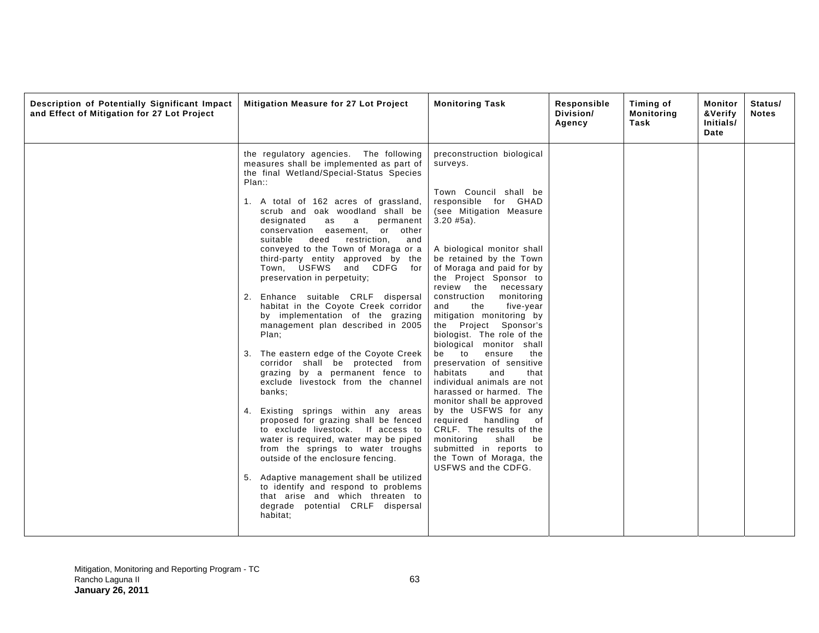| Description of Potentially Significant Impact<br>and Effect of Mitigation for 27 Lot Project | Mitigation Measure for 27 Lot Project                                                                                                                                                                                                                                                                                                                                                                                                                                                                                                                                                                                                                                                                                                                                                                                                                                                                                                                                                                                                                                                                                                                                                                                             | <b>Monitoring Task</b>                                                                                                                                                                                                                                                                                                                                                                                                                                                                                                                                                                                                                                                                                                                                                                                                 | Responsible<br>Division/<br>Agency | <b>Timing of</b><br><b>Monitoring</b><br>Task | Monitor<br>&Verify<br>Initials/<br>Date | Status/<br><b>Notes</b> |
|----------------------------------------------------------------------------------------------|-----------------------------------------------------------------------------------------------------------------------------------------------------------------------------------------------------------------------------------------------------------------------------------------------------------------------------------------------------------------------------------------------------------------------------------------------------------------------------------------------------------------------------------------------------------------------------------------------------------------------------------------------------------------------------------------------------------------------------------------------------------------------------------------------------------------------------------------------------------------------------------------------------------------------------------------------------------------------------------------------------------------------------------------------------------------------------------------------------------------------------------------------------------------------------------------------------------------------------------|------------------------------------------------------------------------------------------------------------------------------------------------------------------------------------------------------------------------------------------------------------------------------------------------------------------------------------------------------------------------------------------------------------------------------------------------------------------------------------------------------------------------------------------------------------------------------------------------------------------------------------------------------------------------------------------------------------------------------------------------------------------------------------------------------------------------|------------------------------------|-----------------------------------------------|-----------------------------------------|-------------------------|
|                                                                                              | the regulatory agencies. The following<br>measures shall be implemented as part of<br>the final Wetland/Special-Status Species<br>Plan:<br>1. A total of 162 acres of grassland,<br>scrub and oak woodland shall be<br>designated<br>a<br>as<br>permanent<br>conservation easement, or other<br>suitable<br>deed<br>restriction,<br>and<br>conveyed to the Town of Moraga or a<br>third-party entity approved by the<br>Town, USFWS and CDFG for<br>preservation in perpetuity;<br>2. Enhance suitable CRLF dispersal<br>habitat in the Coyote Creek corridor<br>by implementation of the grazing<br>management plan described in 2005<br>Plan;<br>3. The eastern edge of the Coyote Creek<br>corridor shall be protected from<br>grazing by a permanent fence to<br>exclude livestock from the channel<br>banks;<br>4. Existing springs within any areas<br>proposed for grazing shall be fenced<br>to exclude livestock. If access to<br>water is required, water may be piped<br>from the springs to water troughs<br>outside of the enclosure fencing.<br>5. Adaptive management shall be utilized<br>to identify and respond to problems<br>that arise and which threaten to<br>degrade potential CRLF dispersal<br>habitat; | preconstruction biological<br>surveys.<br>Town Council shall be<br>responsible for GHAD<br>(see Mitigation Measure<br>$3.20$ #5a).<br>A biological monitor shall<br>be retained by the Town<br>of Moraga and paid for by<br>the Project Sponsor to<br>review the<br>necessary<br>construction<br>monitoring<br>and<br>the<br>five-year<br>mitigation monitoring by<br>the Project Sponsor's<br>biologist. The role of the<br>biological monitor shall<br>be to<br>ensure<br>the<br>preservation of sensitive<br>habitats<br>and<br>that<br>individual animals are not<br>harassed or harmed. The<br>monitor shall be approved<br>by the USFWS for any<br>required handling<br>of<br>CRLF. The results of the<br>monitoring<br>shall<br>be<br>submitted in reports to<br>the Town of Moraga, the<br>USFWS and the CDFG. |                                    |                                               |                                         |                         |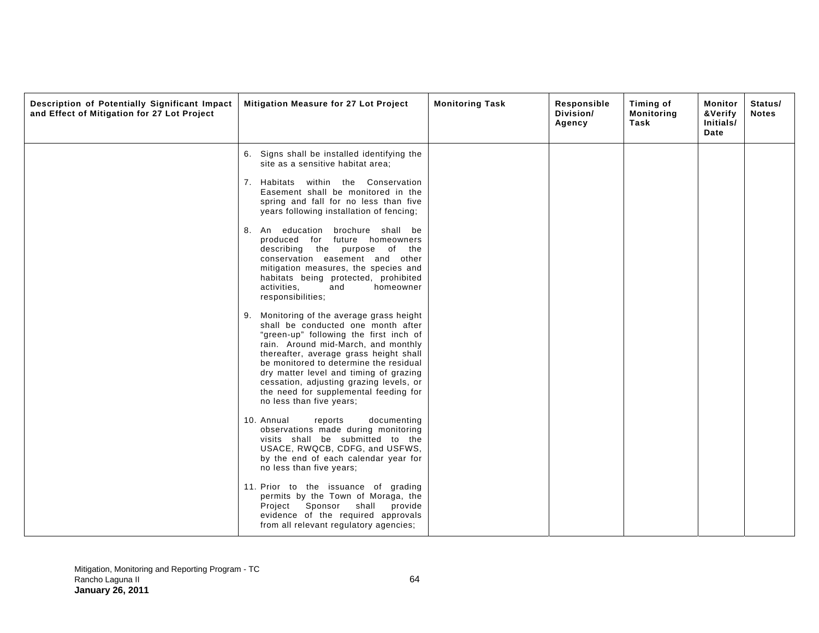| Description of Potentially Significant Impact<br>and Effect of Mitigation for 27 Lot Project | Mitigation Measure for 27 Lot Project                                                                                                                                                                                                                                                                                                                                                                                                                                                                                                                                                                                    | <b>Monitoring Task</b> | Responsible<br>Division/<br>Agency | Timing of<br><b>Monitoring</b><br>Task | Monitor<br>&Verify<br>Initials/<br>Date | Status/<br><b>Notes</b> |
|----------------------------------------------------------------------------------------------|--------------------------------------------------------------------------------------------------------------------------------------------------------------------------------------------------------------------------------------------------------------------------------------------------------------------------------------------------------------------------------------------------------------------------------------------------------------------------------------------------------------------------------------------------------------------------------------------------------------------------|------------------------|------------------------------------|----------------------------------------|-----------------------------------------|-------------------------|
|                                                                                              | 6. Signs shall be installed identifying the<br>site as a sensitive habitat area;<br>7. Habitats within the Conservation<br>Easement shall be monitored in the<br>spring and fall for no less than five<br>years following installation of fencing;<br>8. An education brochure shall be<br>produced for future homeowners<br>describing the purpose of the<br>conservation easement and other<br>mitigation measures, the species and<br>habitats being protected, prohibited<br>activities.<br>homeowner<br>and<br>responsibilities;<br>9. Monitoring of the average grass height<br>shall be conducted one month after |                        |                                    |                                        |                                         |                         |
|                                                                                              | "green-up" following the first inch of<br>rain. Around mid-March, and monthly<br>thereafter, average grass height shall<br>be monitored to determine the residual<br>dry matter level and timing of grazing<br>cessation, adjusting grazing levels, or<br>the need for supplemental feeding for<br>no less than five years;<br>documenting<br>10. Annual<br>reports                                                                                                                                                                                                                                                      |                        |                                    |                                        |                                         |                         |
|                                                                                              | observations made during monitoring<br>visits shall be submitted to the<br>USACE, RWQCB, CDFG, and USFWS,<br>by the end of each calendar year for<br>no less than five years;<br>11. Prior to the issuance of grading<br>permits by the Town of Moraga, the                                                                                                                                                                                                                                                                                                                                                              |                        |                                    |                                        |                                         |                         |
|                                                                                              | Project Sponsor shall<br>provide<br>evidence of the required approvals<br>from all relevant regulatory agencies;                                                                                                                                                                                                                                                                                                                                                                                                                                                                                                         |                        |                                    |                                        |                                         |                         |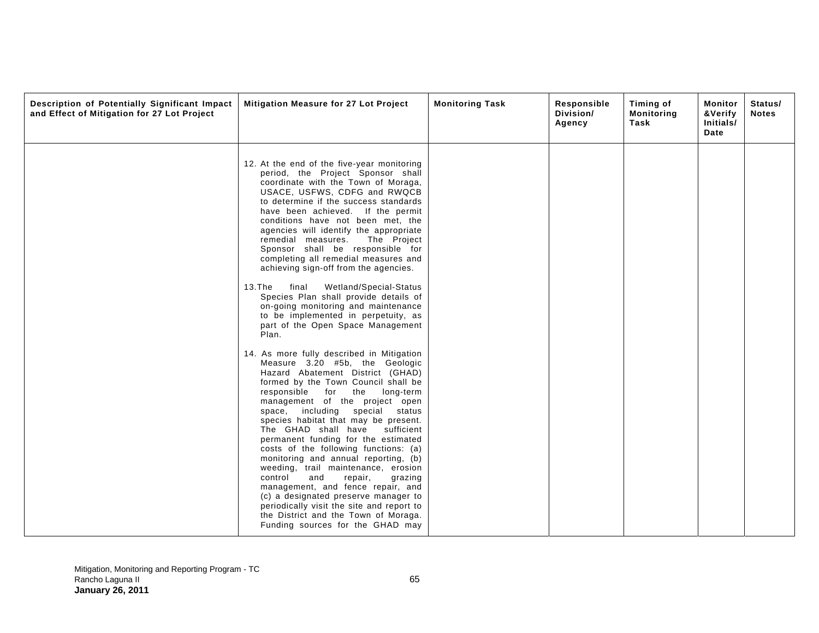| Description of Potentially Significant Impact<br>and Effect of Mitigation for 27 Lot Project | Mitigation Measure for 27 Lot Project                                                                                                                                                                                                                                                                                                                                                                                                                                                                                                                                                                                                                                                                                                                                                                                                                                                                                                                                                                                                                                                                                                                                                                                                                                                                                                                                                                                       | <b>Monitoring Task</b> | Responsible<br>Division/<br>Agency | Timing of<br><b>Monitoring</b><br>Task | Monitor<br>&Verify<br>Initials/<br>Date | Status/<br><b>Notes</b> |
|----------------------------------------------------------------------------------------------|-----------------------------------------------------------------------------------------------------------------------------------------------------------------------------------------------------------------------------------------------------------------------------------------------------------------------------------------------------------------------------------------------------------------------------------------------------------------------------------------------------------------------------------------------------------------------------------------------------------------------------------------------------------------------------------------------------------------------------------------------------------------------------------------------------------------------------------------------------------------------------------------------------------------------------------------------------------------------------------------------------------------------------------------------------------------------------------------------------------------------------------------------------------------------------------------------------------------------------------------------------------------------------------------------------------------------------------------------------------------------------------------------------------------------------|------------------------|------------------------------------|----------------------------------------|-----------------------------------------|-------------------------|
|                                                                                              | 12. At the end of the five-year monitoring<br>period, the Project Sponsor shall<br>coordinate with the Town of Moraga,<br>USACE, USFWS, CDFG and RWQCB<br>to determine if the success standards<br>have been achieved. If the permit<br>conditions have not been met, the<br>agencies will identify the appropriate<br>remedial measures. The Project<br>Sponsor shall be responsible for<br>completing all remedial measures and<br>achieving sign-off from the agencies.<br>$13.$ The<br>final<br>Wetland/Special-Status<br>Species Plan shall provide details of<br>on-going monitoring and maintenance<br>to be implemented in perpetuity, as<br>part of the Open Space Management<br>Plan.<br>14. As more fully described in Mitigation<br>Measure 3.20 #5b, the Geologic<br>Hazard Abatement District (GHAD)<br>formed by the Town Council shall be<br>responsible for<br>the<br>long-term<br>management of the project open<br>space, including special status<br>species habitat that may be present.<br>The GHAD shall have<br>sufficient<br>permanent funding for the estimated<br>costs of the following functions: (a)<br>monitoring and annual reporting, (b)<br>weeding, trail maintenance, erosion<br>control<br>and<br>repair,<br>grazing<br>management, and fence repair, and<br>(c) a designated preserve manager to<br>periodically visit the site and report to<br>the District and the Town of Moraga. |                        |                                    |                                        |                                         |                         |
|                                                                                              | Funding sources for the GHAD may                                                                                                                                                                                                                                                                                                                                                                                                                                                                                                                                                                                                                                                                                                                                                                                                                                                                                                                                                                                                                                                                                                                                                                                                                                                                                                                                                                                            |                        |                                    |                                        |                                         |                         |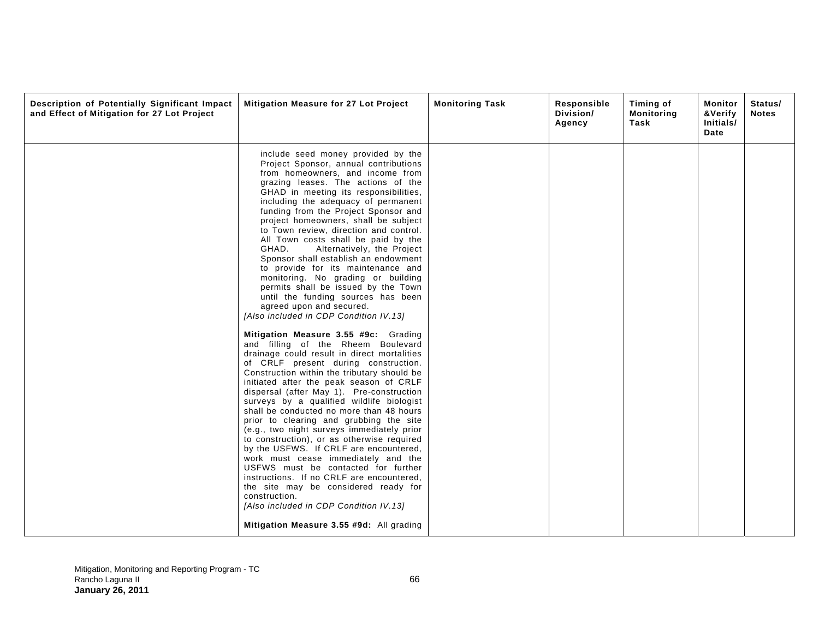| Description of Potentially Significant Impact<br>and Effect of Mitigation for 27 Lot Project | Mitigation Measure for 27 Lot Project                                                                                                                                                                                                                                                                                                                                                                                                                                                                                                                                                                                                                                                                                                                                                                                                                                                                                                                                                                                                                                                                                                                                                                                                                                                                                                                                                                                                                                                                                                                                                | <b>Monitoring Task</b> | Responsible<br>Division/<br>Agency | Timing of<br><b>Monitoring</b><br>Task | Monitor<br>&Verify<br>Initials/<br>Date | Status/<br><b>Notes</b> |
|----------------------------------------------------------------------------------------------|--------------------------------------------------------------------------------------------------------------------------------------------------------------------------------------------------------------------------------------------------------------------------------------------------------------------------------------------------------------------------------------------------------------------------------------------------------------------------------------------------------------------------------------------------------------------------------------------------------------------------------------------------------------------------------------------------------------------------------------------------------------------------------------------------------------------------------------------------------------------------------------------------------------------------------------------------------------------------------------------------------------------------------------------------------------------------------------------------------------------------------------------------------------------------------------------------------------------------------------------------------------------------------------------------------------------------------------------------------------------------------------------------------------------------------------------------------------------------------------------------------------------------------------------------------------------------------------|------------------------|------------------------------------|----------------------------------------|-----------------------------------------|-------------------------|
|                                                                                              | include seed money provided by the<br>Project Sponsor, annual contributions<br>from homeowners, and income from<br>grazing leases. The actions of the<br>GHAD in meeting its responsibilities,<br>including the adequacy of permanent<br>funding from the Project Sponsor and<br>project homeowners, shall be subject<br>to Town review, direction and control.<br>All Town costs shall be paid by the<br>GHAD.<br>Alternatively, the Project<br>Sponsor shall establish an endowment<br>to provide for its maintenance and<br>monitoring. No grading or building<br>permits shall be issued by the Town<br>until the funding sources has been<br>agreed upon and secured.<br>[Also included in CDP Condition IV.13]<br>Mitigation Measure 3.55 #9c: Grading<br>and filling of the Rheem Boulevard<br>drainage could result in direct mortalities<br>of CRLF present during construction.<br>Construction within the tributary should be<br>initiated after the peak season of CRLF<br>dispersal (after May 1). Pre-construction<br>surveys by a qualified wildlife biologist<br>shall be conducted no more than 48 hours<br>prior to clearing and grubbing the site<br>(e.g., two night surveys immediately prior<br>to construction), or as otherwise required<br>by the USFWS. If CRLF are encountered,<br>work must cease immediately and the<br>USFWS must be contacted for further<br>instructions. If no CRLF are encountered,<br>the site may be considered ready for<br>construction.<br>[Also included in CDP Condition IV.13]<br>Mitigation Measure 3.55 #9d: All grading |                        |                                    |                                        |                                         |                         |
|                                                                                              |                                                                                                                                                                                                                                                                                                                                                                                                                                                                                                                                                                                                                                                                                                                                                                                                                                                                                                                                                                                                                                                                                                                                                                                                                                                                                                                                                                                                                                                                                                                                                                                      |                        |                                    |                                        |                                         |                         |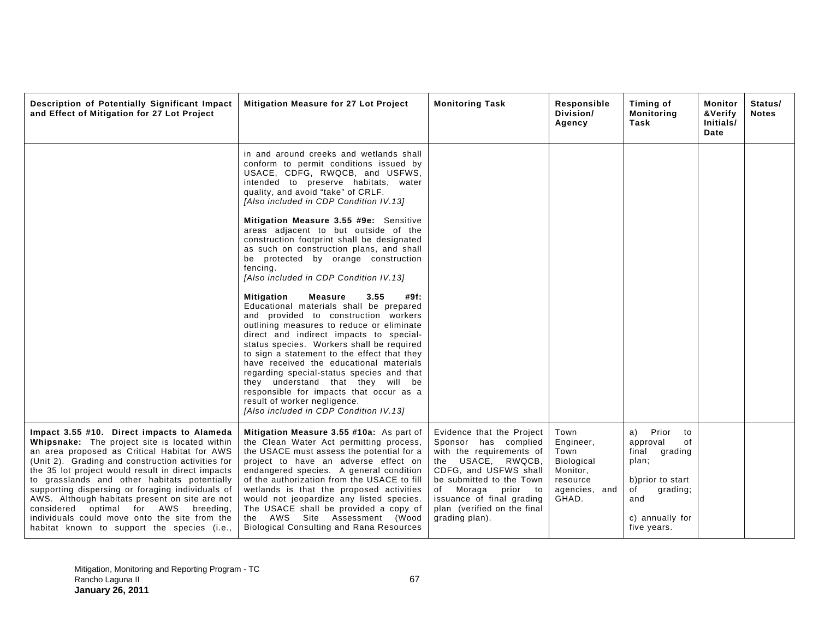| Description of Potentially Significant Impact<br>and Effect of Mitigation for 27 Lot Project                                                                                                                                                                                                                                                                                                                                                                                                                                                        | Mitigation Measure for 27 Lot Project                                                                                                                                                                                                                                                                                                                                                                                                                                                                                                                                        | <b>Monitoring Task</b>                                                                                                                                                                                                                                            | Responsible<br>Division/<br>Agency                                                               | Timing of<br><b>Monitoring</b><br>Task                                                                                                        | Monitor<br>&Verify<br>Initials/<br>Date | Status/<br><b>Notes</b> |
|-----------------------------------------------------------------------------------------------------------------------------------------------------------------------------------------------------------------------------------------------------------------------------------------------------------------------------------------------------------------------------------------------------------------------------------------------------------------------------------------------------------------------------------------------------|------------------------------------------------------------------------------------------------------------------------------------------------------------------------------------------------------------------------------------------------------------------------------------------------------------------------------------------------------------------------------------------------------------------------------------------------------------------------------------------------------------------------------------------------------------------------------|-------------------------------------------------------------------------------------------------------------------------------------------------------------------------------------------------------------------------------------------------------------------|--------------------------------------------------------------------------------------------------|-----------------------------------------------------------------------------------------------------------------------------------------------|-----------------------------------------|-------------------------|
|                                                                                                                                                                                                                                                                                                                                                                                                                                                                                                                                                     | in and around creeks and wetlands shall<br>conform to permit conditions issued by<br>USACE, CDFG, RWQCB, and USFWS,<br>intended to preserve habitats, water<br>quality, and avoid "take" of CRLF.<br>[Also included in CDP Condition IV.13]                                                                                                                                                                                                                                                                                                                                  |                                                                                                                                                                                                                                                                   |                                                                                                  |                                                                                                                                               |                                         |                         |
|                                                                                                                                                                                                                                                                                                                                                                                                                                                                                                                                                     | Mitigation Measure 3.55 #9e: Sensitive<br>areas adjacent to but outside of the<br>construction footprint shall be designated<br>as such on construction plans, and shall<br>be protected by orange construction<br>fencing.<br>[Also included in CDP Condition IV.13]                                                                                                                                                                                                                                                                                                        |                                                                                                                                                                                                                                                                   |                                                                                                  |                                                                                                                                               |                                         |                         |
|                                                                                                                                                                                                                                                                                                                                                                                                                                                                                                                                                     | <b>Mitigation</b><br><b>Measure</b><br>3.55<br>#9f:<br>Educational materials shall be prepared<br>and provided to construction workers<br>outlining measures to reduce or eliminate<br>direct and indirect impacts to special-<br>status species. Workers shall be required<br>to sign a statement to the effect that they<br>have received the educational materials<br>regarding special-status species and that<br>they understand that they will be<br>responsible for impacts that occur as a<br>result of worker negligence.<br>[Also included in CDP Condition IV.13] |                                                                                                                                                                                                                                                                   |                                                                                                  |                                                                                                                                               |                                         |                         |
| Impact 3.55 #10. Direct impacts to Alameda<br>Whipsnake: The project site is located within<br>an area proposed as Critical Habitat for AWS<br>(Unit 2). Grading and construction activities for<br>the 35 lot project would result in direct impacts<br>to grasslands and other habitats potentially<br>supporting dispersing or foraging individuals of<br>AWS. Although habitats present on site are not<br>considered optimal for AWS breeding,<br>individuals could move onto the site from the<br>habitat known to support the species (i.e., | Mitigation Measure 3.55 #10a: As part of<br>the Clean Water Act permitting process,<br>the USACE must assess the potential for a<br>project to have an adverse effect on<br>endangered species. A general condition<br>of the authorization from the USACE to fill<br>wetlands is that the proposed activities<br>would not jeopardize any listed species.<br>The USACE shall be provided a copy of<br>the AWS Site Assessment (Wood<br><b>Biological Consulting and Rana Resources</b>                                                                                      | Evidence that the Project<br>Sponsor has complied<br>with the requirements of<br>the USACE, RWQCB,<br>CDFG, and USFWS shall<br>be submitted to the Town<br>Moraga<br>of<br>prior to<br>issuance of final grading<br>plan (verified on the final<br>grading plan). | Town<br>Engineer,<br>Town<br><b>Biological</b><br>Monitor,<br>resource<br>agencies, and<br>GHAD. | Prior<br>a)<br>to<br>approval<br>of<br>final grading<br>plan;<br>b) prior to start<br>of<br>grading;<br>and<br>c) annually for<br>five years. |                                         |                         |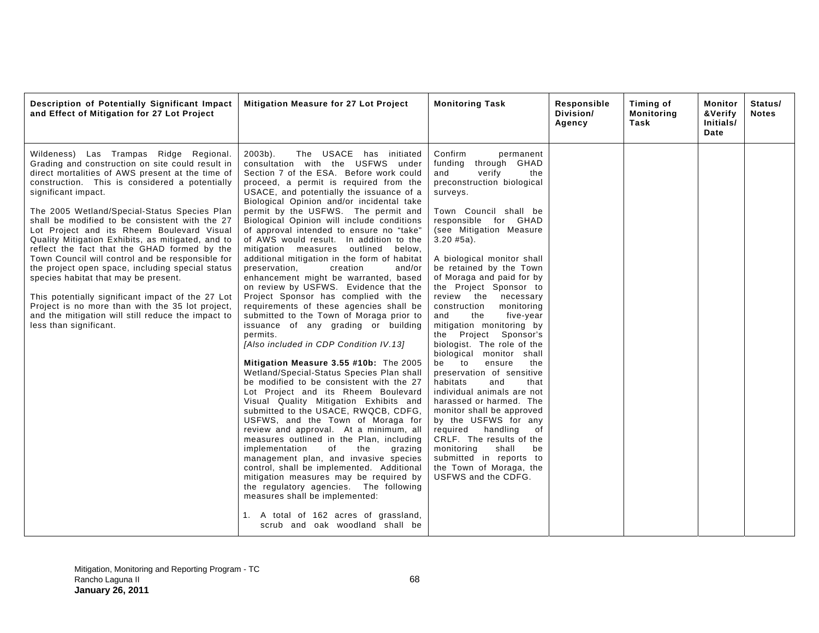| Description of Potentially Significant Impact<br>and Effect of Mitigation for 27 Lot Project                                                                                                                                                                                                                                                                                                                                                                                                                                                                                                                                                                                                                                                                                                                          | Mitigation Measure for 27 Lot Project                                                                                                                                                                                                                                                                                                                                                                                                                                                                                                                                                                                                                                                                                                                                                                                                                                                                                                                                                                                                                                                                                                                                                                                                                                                                                                                                                                                                                                                                                                                                                                      | <b>Monitoring Task</b>                                                                                                                                                                                                                                                                                                                                                                                                                                                                                                                                                                                                                                                                                                                                                                                                                                                                               | Responsible<br>Division/<br>Agency | Timing of<br><b>Monitoring</b><br>Task | Monitor<br>&Verify<br>Initials/<br>Date | Status/<br><b>Notes</b> |
|-----------------------------------------------------------------------------------------------------------------------------------------------------------------------------------------------------------------------------------------------------------------------------------------------------------------------------------------------------------------------------------------------------------------------------------------------------------------------------------------------------------------------------------------------------------------------------------------------------------------------------------------------------------------------------------------------------------------------------------------------------------------------------------------------------------------------|------------------------------------------------------------------------------------------------------------------------------------------------------------------------------------------------------------------------------------------------------------------------------------------------------------------------------------------------------------------------------------------------------------------------------------------------------------------------------------------------------------------------------------------------------------------------------------------------------------------------------------------------------------------------------------------------------------------------------------------------------------------------------------------------------------------------------------------------------------------------------------------------------------------------------------------------------------------------------------------------------------------------------------------------------------------------------------------------------------------------------------------------------------------------------------------------------------------------------------------------------------------------------------------------------------------------------------------------------------------------------------------------------------------------------------------------------------------------------------------------------------------------------------------------------------------------------------------------------------|------------------------------------------------------------------------------------------------------------------------------------------------------------------------------------------------------------------------------------------------------------------------------------------------------------------------------------------------------------------------------------------------------------------------------------------------------------------------------------------------------------------------------------------------------------------------------------------------------------------------------------------------------------------------------------------------------------------------------------------------------------------------------------------------------------------------------------------------------------------------------------------------------|------------------------------------|----------------------------------------|-----------------------------------------|-------------------------|
| Wildeness) Las Trampas Ridge Regional.<br>Grading and construction on site could result in<br>direct mortalities of AWS present at the time of<br>construction. This is considered a potentially<br>significant impact.<br>The 2005 Wetland/Special-Status Species Plan<br>shall be modified to be consistent with the 27<br>Lot Project and its Rheem Boulevard Visual<br>Quality Mitigation Exhibits, as mitigated, and to<br>reflect the fact that the GHAD formed by the<br>Town Council will control and be responsible for<br>the project open space, including special status<br>species habitat that may be present.<br>This potentially significant impact of the 27 Lot<br>Project is no more than with the 35 lot project,<br>and the mitigation will still reduce the impact to<br>less than significant. | $2003b$ ).<br>The USACE has initiated<br>consultation with the USFWS under<br>Section 7 of the ESA. Before work could<br>proceed, a permit is required from the<br>USACE, and potentially the issuance of a<br>Biological Opinion and/or incidental take<br>permit by the USFWS. The permit and<br>Biological Opinion will include conditions<br>of approval intended to ensure no "take"<br>of AWS would result. In addition to the<br>mitigation measures outlined below,<br>additional mitigation in the form of habitat<br>preservation.<br>creation<br>and/or<br>enhancement might be warranted, based<br>on review by USFWS. Evidence that the<br>Project Sponsor has complied with the<br>requirements of these agencies shall be<br>submitted to the Town of Moraga prior to<br>issuance of any grading or building<br>permits.<br>[Also included in CDP Condition IV.13]<br>Mitigation Measure 3.55 #10b: The 2005<br>Wetland/Special-Status Species Plan shall<br>be modified to be consistent with the 27<br>Lot Project and its Rheem Boulevard<br>Visual Quality Mitigation Exhibits and<br>submitted to the USACE, RWQCB, CDFG,<br>USFWS, and the Town of Moraga for<br>review and approval. At a minimum, all<br>measures outlined in the Plan, including<br>implementation<br>of<br>the<br>grazing<br>management plan, and invasive species<br>control, shall be implemented. Additional<br>mitigation measures may be required by<br>the regulatory agencies. The following<br>measures shall be implemented:<br>1. A total of 162 acres of grassland,<br>scrub and oak woodland shall be | Confirm<br>permanent<br>through GHAD<br>funding<br>and<br>verify<br>the<br>preconstruction biological<br>surveys.<br>Town Council shall be<br>responsible for GHAD<br>(see Mitigation Measure<br>$3.20$ #5a).<br>A biological monitor shall<br>be retained by the Town<br>of Moraga and paid for by<br>the Project Sponsor to<br>review the<br>necessary<br>construction<br>monitoring<br>five-year<br>and<br>the<br>mitigation monitoring by<br>Project Sponsor's<br>the<br>biologist. The role of the<br>biological monitor shall<br>be to<br>ensure<br>the<br>preservation of sensitive<br>habitats<br>and<br>that<br>individual animals are not<br>harassed or harmed. The<br>monitor shall be approved<br>by the USFWS for any<br>required handling<br>0f<br>CRLF. The results of the<br>shall<br>monitoring<br>be<br>submitted in reports to<br>the Town of Moraga, the<br>USFWS and the CDFG. |                                    |                                        |                                         |                         |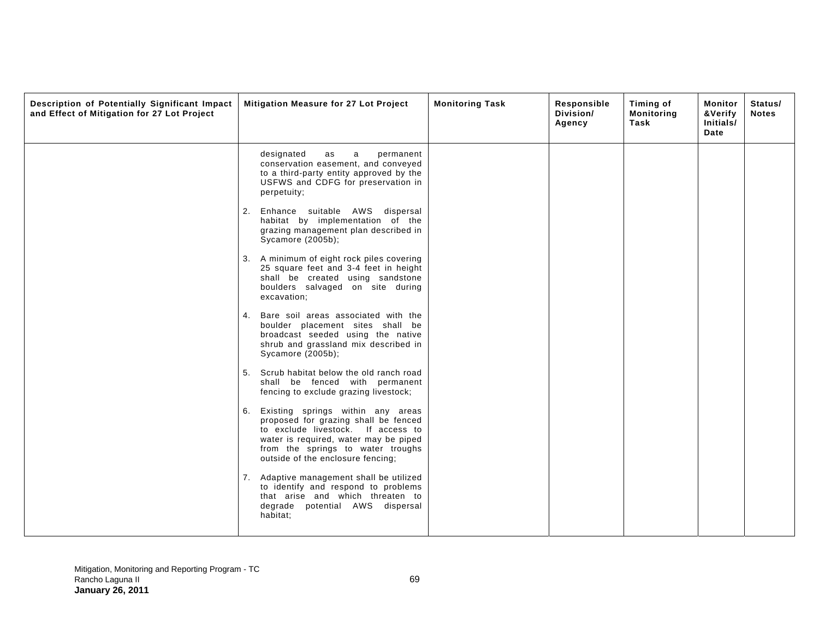| Description of Potentially Significant Impact<br>and Effect of Mitigation for 27 Lot Project | Mitigation Measure for 27 Lot Project                                                                                                                                                                                                    | <b>Monitoring Task</b> | Responsible<br>Division/<br>Agency | Timing of<br><b>Monitoring</b><br>Task | Monitor<br>&Verify<br>Initials/<br>Date | Status/<br><b>Notes</b> |
|----------------------------------------------------------------------------------------------|------------------------------------------------------------------------------------------------------------------------------------------------------------------------------------------------------------------------------------------|------------------------|------------------------------------|----------------------------------------|-----------------------------------------|-------------------------|
|                                                                                              | designated<br>as<br>a<br>permanent<br>conservation easement, and conveyed<br>to a third-party entity approved by the<br>USFWS and CDFG for preservation in<br>perpetuity;                                                                |                        |                                    |                                        |                                         |                         |
|                                                                                              | 2. Enhance suitable AWS dispersal<br>habitat by implementation of the<br>grazing management plan described in<br>Sycamore (2005b);                                                                                                       |                        |                                    |                                        |                                         |                         |
|                                                                                              | 3. A minimum of eight rock piles covering<br>25 square feet and 3-4 feet in height<br>shall be created using sandstone<br>boulders salvaged on site during<br>excavation;                                                                |                        |                                    |                                        |                                         |                         |
|                                                                                              | Bare soil areas associated with the<br>4.<br>boulder placement sites shall be<br>broadcast seeded using the native<br>shrub and grassland mix described in<br>Sycamore (2005b);                                                          |                        |                                    |                                        |                                         |                         |
|                                                                                              | 5. Scrub habitat below the old ranch road<br>shall be fenced with permanent<br>fencing to exclude grazing livestock;                                                                                                                     |                        |                                    |                                        |                                         |                         |
|                                                                                              | Existing springs within any areas<br>6.<br>proposed for grazing shall be fenced<br>to exclude livestock. If access to<br>water is required, water may be piped<br>from the springs to water troughs<br>outside of the enclosure fencing; |                        |                                    |                                        |                                         |                         |
|                                                                                              | Adaptive management shall be utilized<br>7.<br>to identify and respond to problems<br>that arise and which threaten to<br>degrade potential AWS dispersal<br>habitat;                                                                    |                        |                                    |                                        |                                         |                         |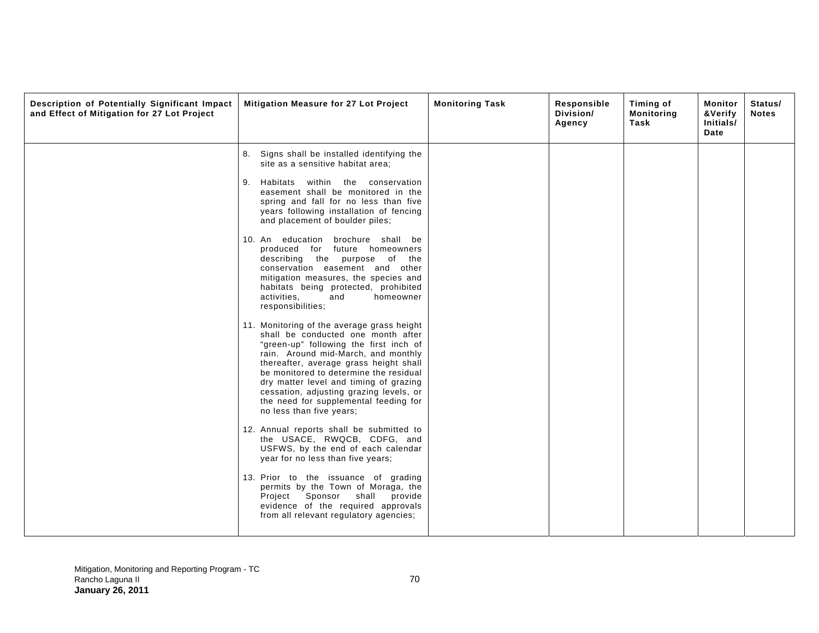| Description of Potentially Significant Impact<br>and Effect of Mitigation for 27 Lot Project | Mitigation Measure for 27 Lot Project                                                                                                                                                                                                                                                                                                                                                                                                                                                                                                                                                                                                                                                                                                                                                                                                                                                                                                                                                                                                                                                                                                                                                                                                                                                                                                               | <b>Monitoring Task</b> | Responsible<br>Division/<br>Agency | Timing of<br><b>Monitoring</b><br>Task | Monitor<br>&Verify<br>Initials/<br>Date | Status/<br><b>Notes</b> |
|----------------------------------------------------------------------------------------------|-----------------------------------------------------------------------------------------------------------------------------------------------------------------------------------------------------------------------------------------------------------------------------------------------------------------------------------------------------------------------------------------------------------------------------------------------------------------------------------------------------------------------------------------------------------------------------------------------------------------------------------------------------------------------------------------------------------------------------------------------------------------------------------------------------------------------------------------------------------------------------------------------------------------------------------------------------------------------------------------------------------------------------------------------------------------------------------------------------------------------------------------------------------------------------------------------------------------------------------------------------------------------------------------------------------------------------------------------------|------------------------|------------------------------------|----------------------------------------|-----------------------------------------|-------------------------|
|                                                                                              | 8. Signs shall be installed identifying the<br>site as a sensitive habitat area;<br>9. Habitats within the conservation<br>easement shall be monitored in the<br>spring and fall for no less than five<br>years following installation of fencing<br>and placement of boulder piles;<br>10. An education brochure shall be<br>produced for future homeowners<br>describing the purpose of the<br>conservation easement and other<br>mitigation measures, the species and<br>habitats being protected, prohibited<br>activities.<br>homeowner<br>and<br>responsibilities;<br>11. Monitoring of the average grass height<br>shall be conducted one month after<br>"green-up" following the first inch of<br>rain. Around mid-March, and monthly<br>thereafter, average grass height shall<br>be monitored to determine the residual<br>dry matter level and timing of grazing<br>cessation, adjusting grazing levels, or<br>the need for supplemental feeding for<br>no less than five years;<br>12. Annual reports shall be submitted to<br>the USACE, RWQCB, CDFG, and<br>USFWS, by the end of each calendar<br>year for no less than five years;<br>13. Prior to the issuance of grading<br>permits by the Town of Moraga, the<br>Project Sponsor shall<br>provide<br>evidence of the required approvals<br>from all relevant regulatory agencies; |                        |                                    |                                        |                                         |                         |
|                                                                                              |                                                                                                                                                                                                                                                                                                                                                                                                                                                                                                                                                                                                                                                                                                                                                                                                                                                                                                                                                                                                                                                                                                                                                                                                                                                                                                                                                     |                        |                                    |                                        |                                         |                         |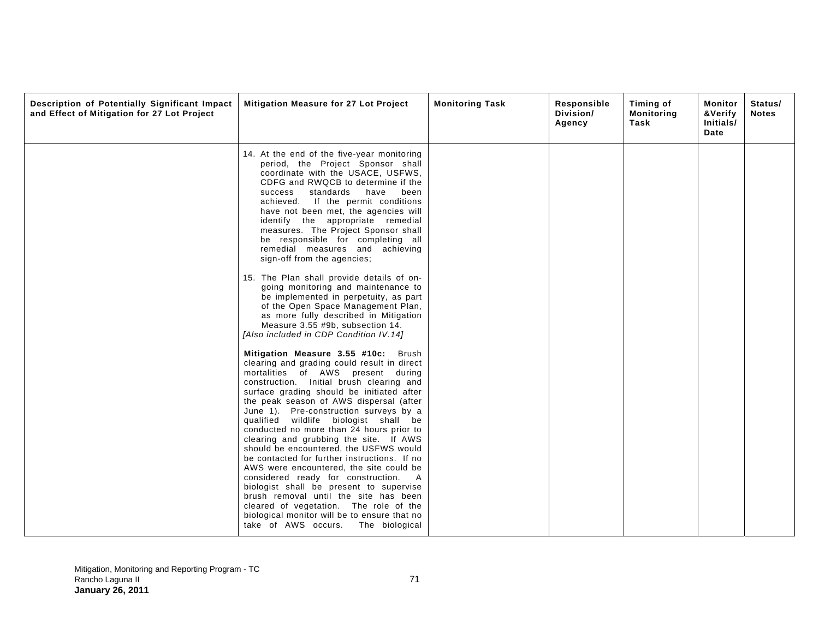| Description of Potentially Significant Impact<br>and Effect of Mitigation for 27 Lot Project | Mitigation Measure for 27 Lot Project                                                                                                                                                                                                                                                                                                                                                                                                                                                                                                                                                                                                                                                                                                                                                                                                    | <b>Monitoring Task</b> | Responsible<br>Division/<br>Agency | Timing of<br><b>Monitoring</b><br>Task | Monitor<br>&Verify<br>Initials/<br>Date | Status/<br><b>Notes</b> |
|----------------------------------------------------------------------------------------------|------------------------------------------------------------------------------------------------------------------------------------------------------------------------------------------------------------------------------------------------------------------------------------------------------------------------------------------------------------------------------------------------------------------------------------------------------------------------------------------------------------------------------------------------------------------------------------------------------------------------------------------------------------------------------------------------------------------------------------------------------------------------------------------------------------------------------------------|------------------------|------------------------------------|----------------------------------------|-----------------------------------------|-------------------------|
|                                                                                              | 14. At the end of the five-year monitoring<br>period, the Project Sponsor shall<br>coordinate with the USACE, USFWS,<br>CDFG and RWQCB to determine if the<br>standards have<br>been<br>success<br>achieved. If the permit conditions<br>have not been met, the agencies will<br>identify the appropriate remedial<br>measures. The Project Sponsor shall<br>be responsible for completing all<br>remedial measures and achieving<br>sign-off from the agencies;                                                                                                                                                                                                                                                                                                                                                                         |                        |                                    |                                        |                                         |                         |
|                                                                                              | 15. The Plan shall provide details of on-<br>going monitoring and maintenance to<br>be implemented in perpetuity, as part<br>of the Open Space Management Plan,<br>as more fully described in Mitigation<br>Measure 3.55 #9b, subsection 14.<br>[Also included in CDP Condition IV.14]                                                                                                                                                                                                                                                                                                                                                                                                                                                                                                                                                   |                        |                                    |                                        |                                         |                         |
|                                                                                              | Mitigation Measure 3.55 #10c:<br>Brush<br>clearing and grading could result in direct<br>mortalities of AWS present during<br>construction. Initial brush clearing and<br>surface grading should be initiated after<br>the peak season of AWS dispersal (after<br>June 1). Pre-construction surveys by a<br>qualified wildlife biologist shall be<br>conducted no more than 24 hours prior to<br>clearing and grubbing the site. If AWS<br>should be encountered, the USFWS would<br>be contacted for further instructions. If no<br>AWS were encountered, the site could be<br>considered ready for construction. A<br>biologist shall be present to supervise<br>brush removal until the site has been<br>cleared of vegetation. The role of the<br>biological monitor will be to ensure that no<br>take of AWS occurs. The biological |                        |                                    |                                        |                                         |                         |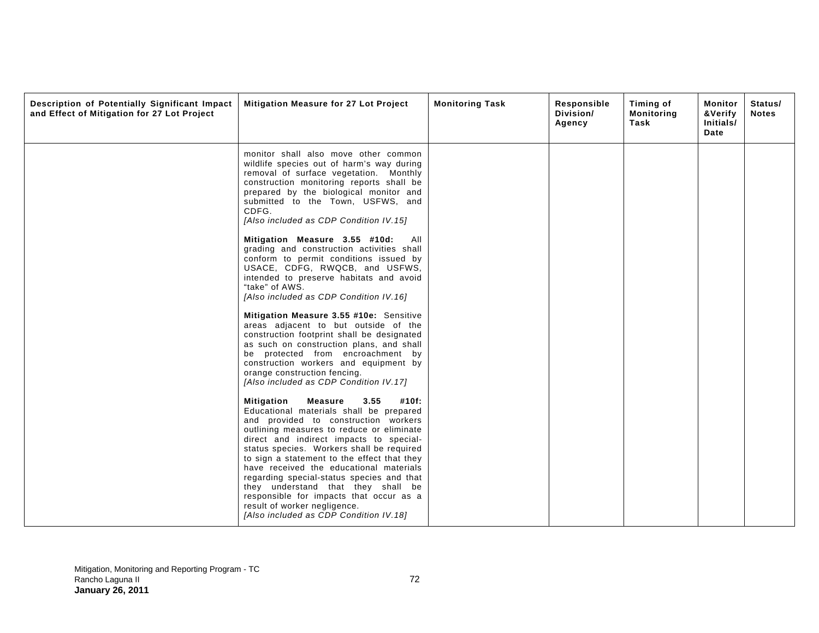| Description of Potentially Significant Impact<br>and Effect of Mitigation for 27 Lot Project | <b>Mitigation Measure for 27 Lot Project</b>                                                                                                                                                                                                                                                                                                                                                                                                                                                                                                                            | <b>Monitoring Task</b> | Responsible<br>Division/<br>Agency | Timing of<br><b>Monitoring</b><br>Task | Monitor<br>&Verify<br>Initials/<br>Date | Status/<br><b>Notes</b> |
|----------------------------------------------------------------------------------------------|-------------------------------------------------------------------------------------------------------------------------------------------------------------------------------------------------------------------------------------------------------------------------------------------------------------------------------------------------------------------------------------------------------------------------------------------------------------------------------------------------------------------------------------------------------------------------|------------------------|------------------------------------|----------------------------------------|-----------------------------------------|-------------------------|
|                                                                                              | monitor shall also move other common<br>wildlife species out of harm's way during<br>removal of surface vegetation. Monthly<br>construction monitoring reports shall be<br>prepared by the biological monitor and<br>submitted to the Town, USFWS, and<br>CDFG.<br>[Also included as CDP Condition IV.15]                                                                                                                                                                                                                                                               |                        |                                    |                                        |                                         |                         |
|                                                                                              | Mitigation Measure 3.55 #10d:<br>AII<br>grading and construction activities shall<br>conform to permit conditions issued by<br>USACE, CDFG, RWQCB, and USFWS,<br>intended to preserve habitats and avoid<br>"take" of AWS.<br>[Also included as CDP Condition IV.16]                                                                                                                                                                                                                                                                                                    |                        |                                    |                                        |                                         |                         |
|                                                                                              | Mitigation Measure 3.55 #10e: Sensitive<br>areas adjacent to but outside of the<br>construction footprint shall be designated<br>as such on construction plans, and shall<br>be protected from encroachment by<br>construction workers and equipment by<br>orange construction fencing.<br>[Also included as CDP Condition IV.17]                                                                                                                                                                                                                                       |                        |                                    |                                        |                                         |                         |
|                                                                                              | <b>Measure</b><br>3.55<br>Mitigation<br>#10f:<br>Educational materials shall be prepared<br>and provided to construction workers<br>outlining measures to reduce or eliminate<br>direct and indirect impacts to special-<br>status species. Workers shall be required<br>to sign a statement to the effect that they<br>have received the educational materials<br>regarding special-status species and that<br>they understand that they shall be<br>responsible for impacts that occur as a<br>result of worker negligence.<br>[Also included as CDP Condition IV.18] |                        |                                    |                                        |                                         |                         |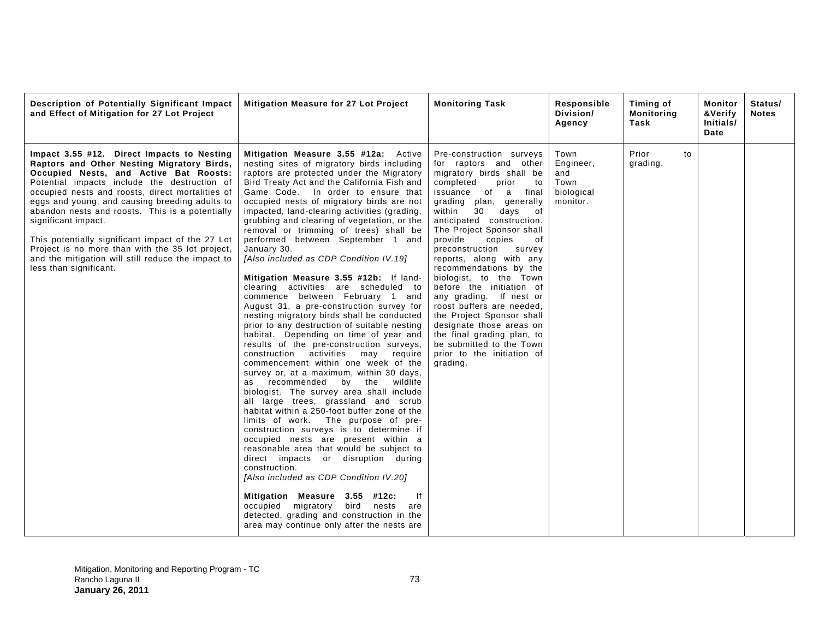| Description of Potentially Significant Impact<br>and Effect of Mitigation for 27 Lot Project                                                                                                                                                                                                                                                                                                                                                                                                                                                                | Mitigation Measure for 27 Lot Project                                                                                                                                                                                                                                                                                                                                                                                                                                                                                                                                                                                                                                                                                                                                                                                                                                                                                                                                                                                                                                                                                                                                                                                                                                                                                                                                                                                                                                                                                                                                                                                | <b>Monitoring Task</b>                                                                                                                                                                                                                                                                                                                                                                                                                                                                                                                                                                                                                            | Responsible<br>Division/<br>Agency                         | Timing of<br><b>Monitoring</b><br>Task | Monitor<br>&Verify<br>Initials/<br>Date | Status/<br><b>Notes</b> |
|-------------------------------------------------------------------------------------------------------------------------------------------------------------------------------------------------------------------------------------------------------------------------------------------------------------------------------------------------------------------------------------------------------------------------------------------------------------------------------------------------------------------------------------------------------------|----------------------------------------------------------------------------------------------------------------------------------------------------------------------------------------------------------------------------------------------------------------------------------------------------------------------------------------------------------------------------------------------------------------------------------------------------------------------------------------------------------------------------------------------------------------------------------------------------------------------------------------------------------------------------------------------------------------------------------------------------------------------------------------------------------------------------------------------------------------------------------------------------------------------------------------------------------------------------------------------------------------------------------------------------------------------------------------------------------------------------------------------------------------------------------------------------------------------------------------------------------------------------------------------------------------------------------------------------------------------------------------------------------------------------------------------------------------------------------------------------------------------------------------------------------------------------------------------------------------------|---------------------------------------------------------------------------------------------------------------------------------------------------------------------------------------------------------------------------------------------------------------------------------------------------------------------------------------------------------------------------------------------------------------------------------------------------------------------------------------------------------------------------------------------------------------------------------------------------------------------------------------------------|------------------------------------------------------------|----------------------------------------|-----------------------------------------|-------------------------|
| Impact 3.55 #12. Direct Impacts to Nesting<br>Raptors and Other Nesting Migratory Birds,<br>Occupied Nests, and Active Bat Roosts:<br>Potential impacts include the destruction of<br>occupied nests and roosts, direct mortalities of<br>eggs and young, and causing breeding adults to<br>abandon nests and roosts. This is a potentially<br>significant impact.<br>This potentially significant impact of the 27 Lot<br>Project is no more than with the 35 lot project,<br>and the mitigation will still reduce the impact to<br>less than significant. | Mitigation Measure 3.55 #12a: Active<br>nesting sites of migratory birds including<br>raptors are protected under the Migratory<br>Bird Treaty Act and the California Fish and<br>Game Code. In order to ensure that<br>occupied nests of migratory birds are not<br>impacted, land-clearing activities (grading,<br>grubbing and clearing of vegetation, or the<br>removal or trimming of trees) shall be<br>performed between September 1 and<br>January 30.<br>[Also included as CDP Condition IV.19]<br>Mitigation Measure 3.55 #12b: If land-<br>clearing activities are scheduled to<br>commence between February 1 and<br>August 31, a pre-construction survey for<br>nesting migratory birds shall be conducted<br>prior to any destruction of suitable nesting<br>habitat. Depending on time of year and<br>results of the pre-construction surveys,<br>construction activities may<br>require<br>commencement within one week of the<br>survey or, at a maximum, within 30 days,<br>as recommended by the<br>wildlife<br>biologist. The survey area shall include<br>all large trees, grassland and scrub<br>habitat within a 250-foot buffer zone of the<br>limits of work. The purpose of pre-<br>construction surveys is to determine if<br>occupied nests are present within a<br>reasonable area that would be subject to<br>direct impacts or disruption during<br>construction.<br>[Also included as CDP Condition IV.20]<br>lf<br>Mitigation Measure 3.55 #12c:<br>occupied migratory bird nests<br>are<br>detected, grading and construction in the<br>area may continue only after the nests are | Pre-construction surveys<br>for raptors and other<br>migratory birds shall be<br>completed<br>prior<br>to to<br>issuance of a<br>final<br>grading plan, generally<br>within<br>30<br>days<br>of<br>anticipated construction.<br>The Project Sponsor shall<br>provide<br>copies<br>of<br>preconstruction<br>survey<br>reports, along with any<br>recommendations by the<br>biologist, to the Town<br>before the initiation of<br>any grading. If nest or<br>roost buffers are needed.<br>the Project Sponsor shall<br>designate those areas on<br>the final grading plan, to<br>be submitted to the Town<br>prior to the initiation of<br>grading. | Town<br>Engineer,<br>and<br>Town<br>biological<br>monitor. | Prior<br>to<br>grading.                |                                         |                         |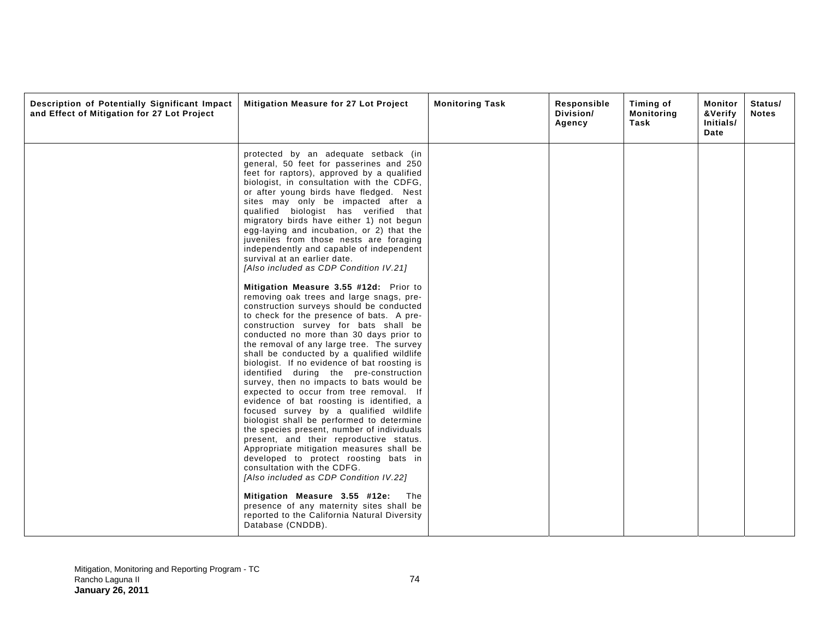| Description of Potentially Significant Impact<br>and Effect of Mitigation for 27 Lot Project | Mitigation Measure for 27 Lot Project                                                                                                                                                                                                                                                                                                                                                                                                                                                                                                                                                                                                                                                                                                                                                                                                                                                                                                                                                                                                                                                                                                                                                                                                                                                                                                                                                                                                                                                                                                                                                                                                                             | <b>Monitoring Task</b> | Responsible<br>Division/<br>Agency | Timing of<br><b>Monitoring</b><br>Task | Monitor<br>&Verify<br>Initials/<br>Date | Status/<br><b>Notes</b> |
|----------------------------------------------------------------------------------------------|-------------------------------------------------------------------------------------------------------------------------------------------------------------------------------------------------------------------------------------------------------------------------------------------------------------------------------------------------------------------------------------------------------------------------------------------------------------------------------------------------------------------------------------------------------------------------------------------------------------------------------------------------------------------------------------------------------------------------------------------------------------------------------------------------------------------------------------------------------------------------------------------------------------------------------------------------------------------------------------------------------------------------------------------------------------------------------------------------------------------------------------------------------------------------------------------------------------------------------------------------------------------------------------------------------------------------------------------------------------------------------------------------------------------------------------------------------------------------------------------------------------------------------------------------------------------------------------------------------------------------------------------------------------------|------------------------|------------------------------------|----------------------------------------|-----------------------------------------|-------------------------|
|                                                                                              | protected by an adequate setback (in<br>general, 50 feet for passerines and 250<br>feet for raptors), approved by a qualified<br>biologist, in consultation with the CDFG,<br>or after young birds have fledged. Nest<br>sites may only be impacted after a<br>qualified biologist has verified that<br>migratory birds have either 1) not begun<br>egg-laying and incubation, or 2) that the<br>juveniles from those nests are foraging<br>independently and capable of independent<br>survival at an earlier date.<br>[Also included as CDP Condition IV.21]<br>Mitigation Measure 3.55 #12d: Prior to<br>removing oak trees and large snags, pre-<br>construction surveys should be conducted<br>to check for the presence of bats. A pre-<br>construction survey for bats shall be<br>conducted no more than 30 days prior to<br>the removal of any large tree. The survey<br>shall be conducted by a qualified wildlife<br>biologist. If no evidence of bat roosting is<br>identified during the pre-construction<br>survey, then no impacts to bats would be<br>expected to occur from tree removal. If<br>evidence of bat roosting is identified, a<br>focused survey by a qualified wildlife<br>biologist shall be performed to determine<br>the species present, number of individuals<br>present, and their reproductive status.<br>Appropriate mitigation measures shall be<br>developed to protect roosting bats in<br>consultation with the CDFG.<br>[Also included as CDP Condition IV.22]<br>Mitigation Measure 3.55 #12e:<br>The<br>presence of any maternity sites shall be<br>reported to the California Natural Diversity<br>Database (CNDDB). |                        |                                    |                                        |                                         |                         |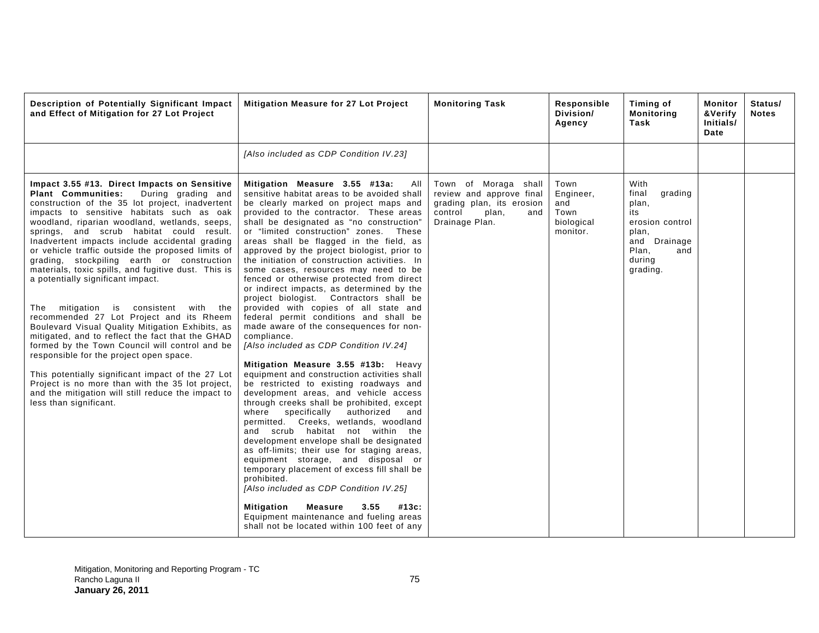| Description of Potentially Significant Impact<br>and Effect of Mitigation for 27 Lot Project                                                                                                                                                                                                                                                                                                                                                                                                                                                                                                                                                                                                                                                                                                                                                                                                                                                                                                                                              | Mitigation Measure for 27 Lot Project                                                                                                                                                                                                                                                                                                                                                                                                                                                                                                                                                                                                                                                                                                                                                                                                                                                                                                                                                                                                                                                                                                                                                                                                                                                                                                                                                                                                                                                                                 | <b>Monitoring Task</b>                                                                                                     | Responsible<br>Division/<br>Agency                         | Timing of<br><b>Monitoring</b><br>Task                                                                                     | Monitor<br>&Verify<br>Initials/<br>Date | Status/<br><b>Notes</b> |
|-------------------------------------------------------------------------------------------------------------------------------------------------------------------------------------------------------------------------------------------------------------------------------------------------------------------------------------------------------------------------------------------------------------------------------------------------------------------------------------------------------------------------------------------------------------------------------------------------------------------------------------------------------------------------------------------------------------------------------------------------------------------------------------------------------------------------------------------------------------------------------------------------------------------------------------------------------------------------------------------------------------------------------------------|-----------------------------------------------------------------------------------------------------------------------------------------------------------------------------------------------------------------------------------------------------------------------------------------------------------------------------------------------------------------------------------------------------------------------------------------------------------------------------------------------------------------------------------------------------------------------------------------------------------------------------------------------------------------------------------------------------------------------------------------------------------------------------------------------------------------------------------------------------------------------------------------------------------------------------------------------------------------------------------------------------------------------------------------------------------------------------------------------------------------------------------------------------------------------------------------------------------------------------------------------------------------------------------------------------------------------------------------------------------------------------------------------------------------------------------------------------------------------------------------------------------------------|----------------------------------------------------------------------------------------------------------------------------|------------------------------------------------------------|----------------------------------------------------------------------------------------------------------------------------|-----------------------------------------|-------------------------|
|                                                                                                                                                                                                                                                                                                                                                                                                                                                                                                                                                                                                                                                                                                                                                                                                                                                                                                                                                                                                                                           | [Also included as CDP Condition IV.23]                                                                                                                                                                                                                                                                                                                                                                                                                                                                                                                                                                                                                                                                                                                                                                                                                                                                                                                                                                                                                                                                                                                                                                                                                                                                                                                                                                                                                                                                                |                                                                                                                            |                                                            |                                                                                                                            |                                         |                         |
| Impact 3.55 #13. Direct Impacts on Sensitive<br><b>Plant Communities:</b><br>During grading and<br>construction of the 35 lot project, inadvertent<br>impacts to sensitive habitats such as oak<br>woodland, riparian woodland, wetlands, seeps,<br>springs, and scrub habitat could result.<br>Inadvertent impacts include accidental grading<br>or vehicle traffic outside the proposed limits of<br>grading, stockpiling earth or construction<br>materials, toxic spills, and fugitive dust. This is<br>a potentially significant impact.<br>The mitigation<br>is<br>consistent<br>with the<br>recommended 27 Lot Project and its Rheem<br>Boulevard Visual Quality Mitigation Exhibits, as<br>mitigated, and to reflect the fact that the GHAD<br>formed by the Town Council will control and be<br>responsible for the project open space.<br>This potentially significant impact of the 27 Lot<br>Project is no more than with the 35 lot project,<br>and the mitigation will still reduce the impact to<br>less than significant. | Mitigation Measure 3.55 #13a:<br>AII<br>sensitive habitat areas to be avoided shall<br>be clearly marked on project maps and<br>provided to the contractor. These areas<br>shall be designated as "no construction"<br>or "limited construction" zones.<br>These<br>areas shall be flagged in the field, as<br>approved by the project biologist, prior to<br>the initiation of construction activities. In<br>some cases, resources may need to be<br>fenced or otherwise protected from direct<br>or indirect impacts, as determined by the<br>project biologist. Contractors shall be<br>provided with copies of all state and<br>federal permit conditions and shall be<br>made aware of the consequences for non-<br>compliance.<br>[Also included as CDP Condition IV.24]<br>Mitigation Measure 3.55 #13b: Heavy<br>equipment and construction activities shall<br>be restricted to existing roadways and<br>development areas, and vehicle access<br>through creeks shall be prohibited, except<br>specifically<br>authorized<br>where<br>and<br>permitted. Creeks, wetlands, woodland<br>and scrub habitat not within the<br>development envelope shall be designated<br>as off-limits; their use for staging areas,<br>equipment storage, and disposal or<br>temporary placement of excess fill shall be<br>prohibited.<br>[Also included as CDP Condition IV.25]<br>Mitigation<br><b>Measure</b><br>3.55<br>#13c:<br>Equipment maintenance and fueling areas<br>shall not be located within 100 feet of any | Town of Moraga shall<br>review and approve final<br>grading plan, its erosion<br>control<br>plan,<br>and<br>Drainage Plan. | Town<br>Engineer,<br>and<br>Town<br>biological<br>monitor. | With<br>final<br>grading<br>plan,<br>its<br>erosion control<br>plan,<br>and Drainage<br>Plan,<br>and<br>during<br>grading. |                                         |                         |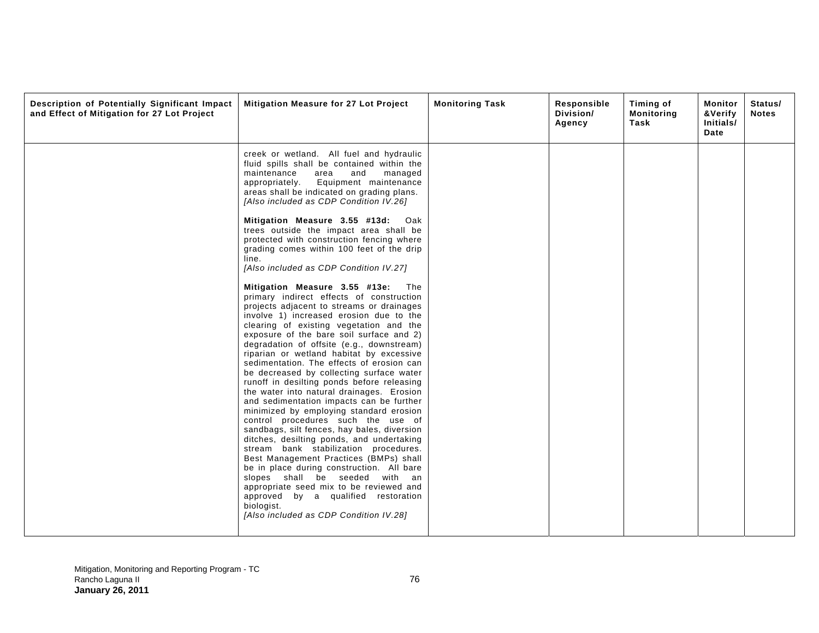| Description of Potentially Significant Impact<br>and Effect of Mitigation for 27 Lot Project | Mitigation Measure for 27 Lot Project                                                                                                                                                                                                                                                                                                       | <b>Monitoring Task</b> | Responsible<br>Division/<br>Agency | Timing of<br><b>Monitoring</b><br>Task | Monitor<br>&Verify<br>Initials/<br>Date | Status/<br><b>Notes</b> |
|----------------------------------------------------------------------------------------------|---------------------------------------------------------------------------------------------------------------------------------------------------------------------------------------------------------------------------------------------------------------------------------------------------------------------------------------------|------------------------|------------------------------------|----------------------------------------|-----------------------------------------|-------------------------|
|                                                                                              | creek or wetland. All fuel and hydraulic<br>fluid spills shall be contained within the<br>maintenance<br>area<br>and<br>managed<br>Equipment maintenance<br>appropriately.<br>areas shall be indicated on grading plans.<br>[Also included as CDP Condition IV.26]                                                                          |                        |                                    |                                        |                                         |                         |
|                                                                                              | Mitigation Measure 3.55 #13d: Oak<br>trees outside the impact area shall be<br>protected with construction fencing where<br>grading comes within 100 feet of the drip<br>line.<br>[Also included as CDP Condition IV.27]                                                                                                                    |                        |                                    |                                        |                                         |                         |
|                                                                                              | Mitigation Measure 3.55 #13e: The<br>primary indirect effects of construction<br>projects adjacent to streams or drainages<br>involve 1) increased erosion due to the<br>clearing of existing vegetation and the<br>exposure of the bare soil surface and 2)<br>degradation of offsite (e.g., downstream)                                   |                        |                                    |                                        |                                         |                         |
|                                                                                              | riparian or wetland habitat by excessive<br>sedimentation. The effects of erosion can<br>be decreased by collecting surface water<br>runoff in desilting ponds before releasing<br>the water into natural drainages. Erosion<br>and sedimentation impacts can be further<br>minimized by employing standard erosion                         |                        |                                    |                                        |                                         |                         |
|                                                                                              | control procedures such the use of<br>sandbags, silt fences, hay bales, diversion<br>ditches, desilting ponds, and undertaking<br>stream bank stabilization procedures.<br>Best Management Practices (BMPs) shall<br>be in place during construction. All bare<br>slopes shall be seeded with an<br>appropriate seed mix to be reviewed and |                        |                                    |                                        |                                         |                         |
|                                                                                              | approved by a qualified restoration<br>biologist.<br>[Also included as CDP Condition IV.28]                                                                                                                                                                                                                                                 |                        |                                    |                                        |                                         |                         |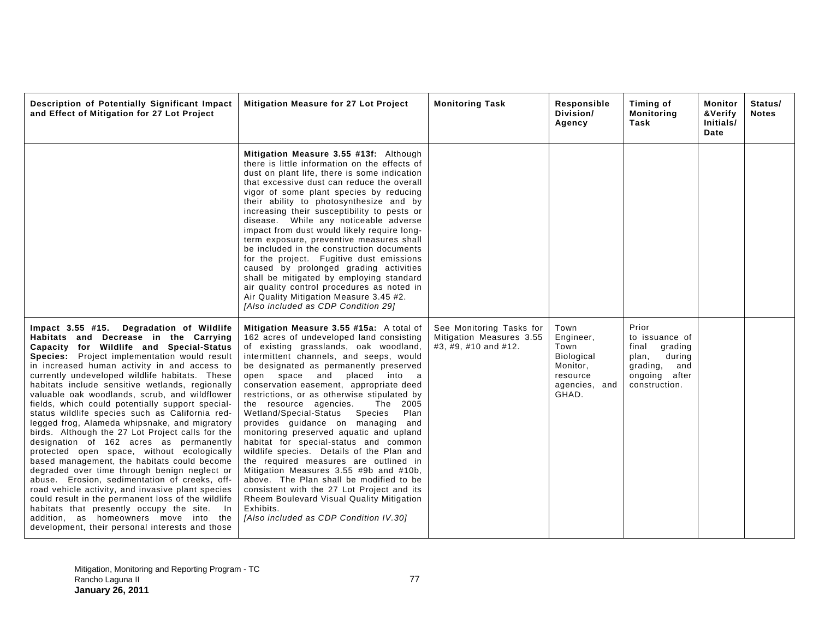| Description of Potentially Significant Impact<br>and Effect of Mitigation for 27 Lot Project                                                                                                                                                                                                                                                                                                                                                                                                                                                                                                                                                                                                                                                                                                                                                                                                                                                                                                                                                                                                   | Mitigation Measure for 27 Lot Project                                                                                                                                                                                                                                                                                                                                                                                                                                                                                                                                                                                                                                                                                                                                                                                                                                                 | <b>Monitoring Task</b>                                                       | Responsible<br>Division/<br>Agency                                                        | Timing of<br><b>Monitoring</b><br>Task                                                                              | Monitor<br>&Verify<br>Initials/<br>Date | Status/<br><b>Notes</b> |
|------------------------------------------------------------------------------------------------------------------------------------------------------------------------------------------------------------------------------------------------------------------------------------------------------------------------------------------------------------------------------------------------------------------------------------------------------------------------------------------------------------------------------------------------------------------------------------------------------------------------------------------------------------------------------------------------------------------------------------------------------------------------------------------------------------------------------------------------------------------------------------------------------------------------------------------------------------------------------------------------------------------------------------------------------------------------------------------------|---------------------------------------------------------------------------------------------------------------------------------------------------------------------------------------------------------------------------------------------------------------------------------------------------------------------------------------------------------------------------------------------------------------------------------------------------------------------------------------------------------------------------------------------------------------------------------------------------------------------------------------------------------------------------------------------------------------------------------------------------------------------------------------------------------------------------------------------------------------------------------------|------------------------------------------------------------------------------|-------------------------------------------------------------------------------------------|---------------------------------------------------------------------------------------------------------------------|-----------------------------------------|-------------------------|
|                                                                                                                                                                                                                                                                                                                                                                                                                                                                                                                                                                                                                                                                                                                                                                                                                                                                                                                                                                                                                                                                                                | Mitigation Measure 3.55 #13f: Although<br>there is little information on the effects of<br>dust on plant life, there is some indication<br>that excessive dust can reduce the overall<br>vigor of some plant species by reducing<br>their ability to photosynthesize and by<br>increasing their susceptibility to pests or<br>disease. While any noticeable adverse<br>impact from dust would likely require long-<br>term exposure, preventive measures shall<br>be included in the construction documents<br>for the project. Fugitive dust emissions<br>caused by prolonged grading activities<br>shall be mitigated by employing standard<br>air quality control procedures as noted in<br>Air Quality Mitigation Measure 3.45 #2.<br>[Also included as CDP Condition 29]                                                                                                         |                                                                              |                                                                                           |                                                                                                                     |                                         |                         |
| Impact 3.55 #15. Degradation of Wildlife<br>Habitats and Decrease in the Carrying<br>Capacity for Wildlife and Special-Status<br>Species: Project implementation would result<br>in increased human activity in and access to<br>currently undeveloped wildlife habitats. These<br>habitats include sensitive wetlands, regionally<br>valuable oak woodlands, scrub, and wildflower<br>fields, which could potentially support special-<br>status wildlife species such as California red-<br>legged frog, Alameda whipsnake, and migratory<br>birds. Although the 27 Lot Project calls for the<br>designation of 162 acres as permanently<br>protected open space, without ecologically<br>based management, the habitats could become<br>degraded over time through benign neglect or<br>abuse. Erosion, sedimentation of creeks, off-<br>road vehicle activity, and invasive plant species<br>could result in the permanent loss of the wildlife<br>habitats that presently occupy the site. In<br>addition, as homeowners move into the<br>development, their personal interests and those | Mitigation Measure 3.55 #15a: A total of<br>162 acres of undeveloped land consisting<br>of existing grasslands, oak woodland,<br>intermittent channels, and seeps, would<br>be designated as permanently preserved<br>open space and placed into a<br>conservation easement, appropriate deed<br>restrictions, or as otherwise stipulated by<br>the resource agencies.<br>The 2005<br>Wetland/Special-Status<br>Species<br>Plan<br>provides quidance on managing and<br>monitoring preserved aquatic and upland<br>habitat for special-status and common<br>wildlife species. Details of the Plan and<br>the required measures are outlined in<br>Mitigation Measures 3.55 #9b and #10b,<br>above. The Plan shall be modified to be<br>consistent with the 27 Lot Project and its<br>Rheem Boulevard Visual Quality Mitigation<br>Exhibits.<br>[Also included as CDP Condition IV.30] | See Monitoring Tasks for<br>Mitigation Measures 3.55<br>#3, #9, #10 and #12. | Town<br>Engineer,<br>Town<br>Biological<br>Monitor,<br>resource<br>agencies, and<br>GHAD. | Prior<br>to issuance of<br>final<br>grading<br>during<br>plan,<br>grading,<br>and<br>ongoing after<br>construction. |                                         |                         |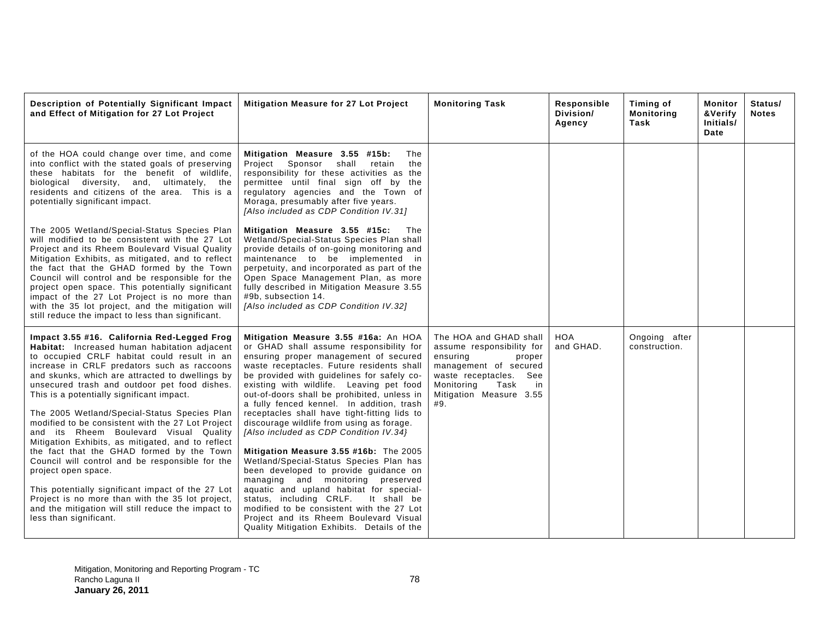| Description of Potentially Significant Impact<br>and Effect of Mitigation for 27 Lot Project                                                                                                                                                                                                                                                                                                                                                                                                                                                                                                                                                                                                                                                                                                                                                                  | <b>Mitigation Measure for 27 Lot Project</b>                                                                                                                                                                                                                                                                                                                                                                                                                                                                                                                                                                                                                                                                                                                                                                                                                                                     | <b>Monitoring Task</b>                                                                                                                                                                     | Responsible<br>Division/<br>Agency | Timing of<br><b>Monitoring</b><br>Task | Monitor<br>&Verify<br>Initials/<br>Date | Status/<br><b>Notes</b> |
|---------------------------------------------------------------------------------------------------------------------------------------------------------------------------------------------------------------------------------------------------------------------------------------------------------------------------------------------------------------------------------------------------------------------------------------------------------------------------------------------------------------------------------------------------------------------------------------------------------------------------------------------------------------------------------------------------------------------------------------------------------------------------------------------------------------------------------------------------------------|--------------------------------------------------------------------------------------------------------------------------------------------------------------------------------------------------------------------------------------------------------------------------------------------------------------------------------------------------------------------------------------------------------------------------------------------------------------------------------------------------------------------------------------------------------------------------------------------------------------------------------------------------------------------------------------------------------------------------------------------------------------------------------------------------------------------------------------------------------------------------------------------------|--------------------------------------------------------------------------------------------------------------------------------------------------------------------------------------------|------------------------------------|----------------------------------------|-----------------------------------------|-------------------------|
| of the HOA could change over time, and come<br>into conflict with the stated goals of preserving<br>these habitats for the benefit of wildlife,<br>biological diversity, and,<br>ultimately, the<br>residents and citizens of the area. This is a<br>potentially significant impact.                                                                                                                                                                                                                                                                                                                                                                                                                                                                                                                                                                          | Mitigation Measure 3.55 #15b:<br>The<br>Project Sponsor shall retain<br>the<br>responsibility for these activities as the<br>permittee until final sign off by the<br>regulatory agencies and the Town of<br>Moraga, presumably after five years.<br>[Also included as CDP Condition IV.31]                                                                                                                                                                                                                                                                                                                                                                                                                                                                                                                                                                                                      |                                                                                                                                                                                            |                                    |                                        |                                         |                         |
| The 2005 Wetland/Special-Status Species Plan<br>will modified to be consistent with the 27 Lot<br>Project and its Rheem Boulevard Visual Quality<br>Mitigation Exhibits, as mitigated, and to reflect<br>the fact that the GHAD formed by the Town<br>Council will control and be responsible for the<br>project open space. This potentially significant<br>impact of the 27 Lot Project is no more than<br>with the 35 lot project, and the mitigation will<br>still reduce the impact to less than significant.                                                                                                                                                                                                                                                                                                                                            | Mitigation Measure 3.55 #15c:<br>The<br>Wetland/Special-Status Species Plan shall<br>provide details of on-going monitoring and<br>maintenance to be implemented in<br>perpetuity, and incorporated as part of the<br>Open Space Management Plan, as more<br>fully described in Mitigation Measure 3.55<br>#9b, subsection 14.<br>[Also included as CDP Condition IV.32]                                                                                                                                                                                                                                                                                                                                                                                                                                                                                                                         |                                                                                                                                                                                            |                                    |                                        |                                         |                         |
| Impact 3.55 #16. California Red-Legged Frog<br>Habitat: Increased human habitation adjacent<br>to occupied CRLF habitat could result in an<br>increase in CRLF predators such as raccoons<br>and skunks, which are attracted to dwellings by<br>unsecured trash and outdoor pet food dishes.<br>This is a potentially significant impact.<br>The 2005 Wetland/Special-Status Species Plan<br>modified to be consistent with the 27 Lot Project<br>and its Rheem Boulevard Visual Quality<br>Mitigation Exhibits, as mitigated, and to reflect<br>the fact that the GHAD formed by the Town<br>Council will control and be responsible for the<br>project open space.<br>This potentially significant impact of the 27 Lot<br>Project is no more than with the 35 lot project,<br>and the mitigation will still reduce the impact to<br>less than significant. | Mitigation Measure 3.55 #16a: An HOA<br>or GHAD shall assume responsibility for<br>ensuring proper management of secured<br>waste receptacles. Future residents shall<br>be provided with guidelines for safely co-<br>existing with wildlife. Leaving pet food<br>out-of-doors shall be prohibited, unless in<br>a fully fenced kennel. In addition, trash<br>receptacles shall have tight-fitting lids to<br>discourage wildlife from using as forage.<br>[Also included as CDP Condition IV.34]<br>Mitigation Measure 3.55 #16b: The 2005<br>Wetland/Special-Status Species Plan has<br>been developed to provide guidance on<br>managing and monitoring preserved<br>aquatic and upland habitat for special-<br>status, including CRLF.<br>It shall be<br>modified to be consistent with the 27 Lot<br>Project and its Rheem Boulevard Visual<br>Quality Mitigation Exhibits. Details of the | The HOA and GHAD shall<br>assume responsibility for<br>ensuring<br>proper<br>management of secured<br>waste receptacles. See<br>Monitoring<br>Task<br>in<br>Mitigation Measure 3.55<br>#9. | <b>HOA</b><br>and GHAD.            | Ongoing after<br>construction.         |                                         |                         |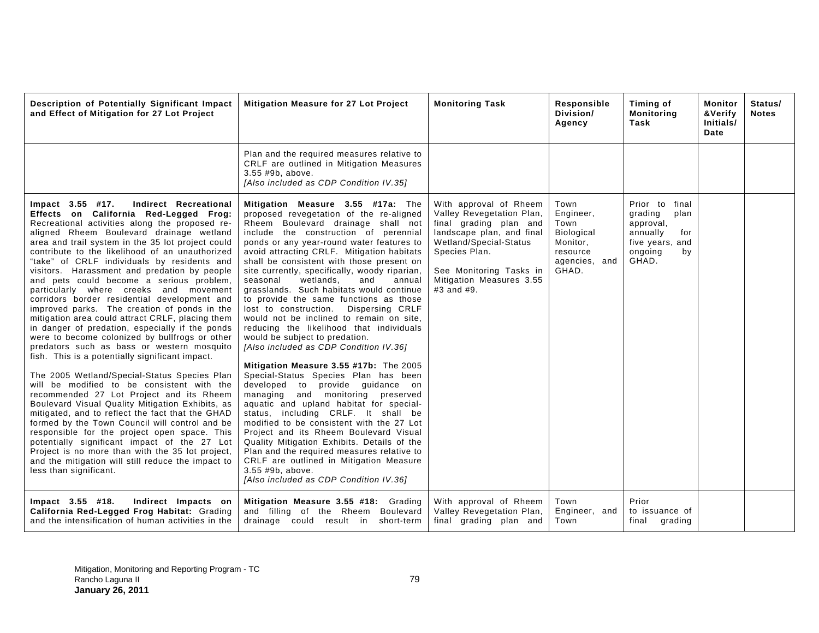| Description of Potentially Significant Impact<br>and Effect of Mitigation for 27 Lot Project                                                                                                                                                                                                                                                                                                                                                                                                                                                                                                                                                                                                                                                                                                                                                                                                                                                                                                                                                                                                                                                                                                                                                                                                                                                                                     | Mitigation Measure for 27 Lot Project                                                                                                                                                                                                                                                                                                                                                                                                                                                                                                                                                                                                                                                                                                                                                                                                                                                                                                                                                                                                                                                                                                                                                                                                          | <b>Monitoring Task</b>                                                                                                                                                                                                     | Responsible<br>Division/<br>Agency                                                               | Timing of<br><b>Monitoring</b><br>Task                                                                            | Monitor<br>&Verify<br>Initials/<br>Date | Status/<br><b>Notes</b> |
|----------------------------------------------------------------------------------------------------------------------------------------------------------------------------------------------------------------------------------------------------------------------------------------------------------------------------------------------------------------------------------------------------------------------------------------------------------------------------------------------------------------------------------------------------------------------------------------------------------------------------------------------------------------------------------------------------------------------------------------------------------------------------------------------------------------------------------------------------------------------------------------------------------------------------------------------------------------------------------------------------------------------------------------------------------------------------------------------------------------------------------------------------------------------------------------------------------------------------------------------------------------------------------------------------------------------------------------------------------------------------------|------------------------------------------------------------------------------------------------------------------------------------------------------------------------------------------------------------------------------------------------------------------------------------------------------------------------------------------------------------------------------------------------------------------------------------------------------------------------------------------------------------------------------------------------------------------------------------------------------------------------------------------------------------------------------------------------------------------------------------------------------------------------------------------------------------------------------------------------------------------------------------------------------------------------------------------------------------------------------------------------------------------------------------------------------------------------------------------------------------------------------------------------------------------------------------------------------------------------------------------------|----------------------------------------------------------------------------------------------------------------------------------------------------------------------------------------------------------------------------|--------------------------------------------------------------------------------------------------|-------------------------------------------------------------------------------------------------------------------|-----------------------------------------|-------------------------|
|                                                                                                                                                                                                                                                                                                                                                                                                                                                                                                                                                                                                                                                                                                                                                                                                                                                                                                                                                                                                                                                                                                                                                                                                                                                                                                                                                                                  | Plan and the required measures relative to<br>CRLF are outlined in Mitigation Measures<br>3.55 #9b, above.<br>[Also included as CDP Condition IV.35]                                                                                                                                                                                                                                                                                                                                                                                                                                                                                                                                                                                                                                                                                                                                                                                                                                                                                                                                                                                                                                                                                           |                                                                                                                                                                                                                            |                                                                                                  |                                                                                                                   |                                         |                         |
| Indirect Recreational<br>Impact 3.55 #17.<br>Effects on California Red-Legged Frog:<br>Recreational activities along the proposed re-<br>aligned Rheem Boulevard drainage wetland<br>area and trail system in the 35 lot project could<br>contribute to the likelihood of an unauthorized<br>"take" of CRLF individuals by residents and<br>visitors. Harassment and predation by people<br>and pets could become a serious problem,<br>particularly where creeks and movement<br>corridors border residential development and<br>improved parks. The creation of ponds in the<br>mitigation area could attract CRLF, placing them<br>in danger of predation, especially if the ponds<br>were to become colonized by bullfrogs or other<br>predators such as bass or western mosquito<br>fish. This is a potentially significant impact.<br>The 2005 Wetland/Special-Status Species Plan<br>will be modified to be consistent with the<br>recommended 27 Lot Project and its Rheem<br>Boulevard Visual Quality Mitigation Exhibits, as<br>mitigated, and to reflect the fact that the GHAD<br>formed by the Town Council will control and be<br>responsible for the project open space. This<br>potentially significant impact of the 27 Lot<br>Project is no more than with the 35 lot project,<br>and the mitigation will still reduce the impact to<br>less than significant. | Mitigation Measure 3.55 #17a: The<br>proposed revegetation of the re-aligned<br>Rheem Boulevard drainage shall not<br>include the construction of perennial<br>ponds or any year-round water features to<br>avoid attracting CRLF. Mitigation habitats<br>shall be consistent with those present on<br>site currently, specifically, woody riparian,<br>wetlands,<br>seasonal<br>and<br>annual<br>grasslands. Such habitats would continue<br>to provide the same functions as those<br>Dispersing CRLF<br>lost to construction.<br>would not be inclined to remain on site,<br>reducing the likelihood that individuals<br>would be subject to predation.<br>[Also included as CDP Condition IV.36]<br>Mitigation Measure 3.55 #17b: The 2005<br>Special-Status Species Plan has been<br>developed to provide guidance on<br>managing and monitoring preserved<br>aquatic and upland habitat for special-<br>status, including CRLF. It shall be<br>modified to be consistent with the 27 Lot<br>Project and its Rheem Boulevard Visual<br>Quality Mitigation Exhibits. Details of the<br>Plan and the required measures relative to<br>CRLF are outlined in Mitigation Measure<br>3.55 #9b, above.<br>[Also included as CDP Condition IV.36] | With approval of Rheem<br>Valley Revegetation Plan,<br>final grading plan and<br>landscape plan, and final<br>Wetland/Special-Status<br>Species Plan.<br>See Monitoring Tasks in<br>Mitigation Measures 3.55<br>#3 and #9. | Town<br>Engineer,<br>Town<br><b>Biological</b><br>Monitor,<br>resource<br>agencies, and<br>GHAD. | Prior to<br>final<br>grading<br>plan<br>approval,<br>annually<br>for<br>five years, and<br>ongoing<br>by<br>GHAD. |                                         |                         |
| Impact 3.55 #18.<br>Indirect Impacts on<br>California Red-Legged Frog Habitat: Grading<br>and the intensification of human activities in the                                                                                                                                                                                                                                                                                                                                                                                                                                                                                                                                                                                                                                                                                                                                                                                                                                                                                                                                                                                                                                                                                                                                                                                                                                     | Mitigation Measure 3.55 #18: Grading<br>and filling of the Rheem Boulevard<br>drainage could result in short-term                                                                                                                                                                                                                                                                                                                                                                                                                                                                                                                                                                                                                                                                                                                                                                                                                                                                                                                                                                                                                                                                                                                              | With approval of Rheem<br>Valley Revegetation Plan,<br>final grading plan and                                                                                                                                              | Town<br>Engineer, and<br>Town                                                                    | Prior<br>to issuance of<br>final<br>grading                                                                       |                                         |                         |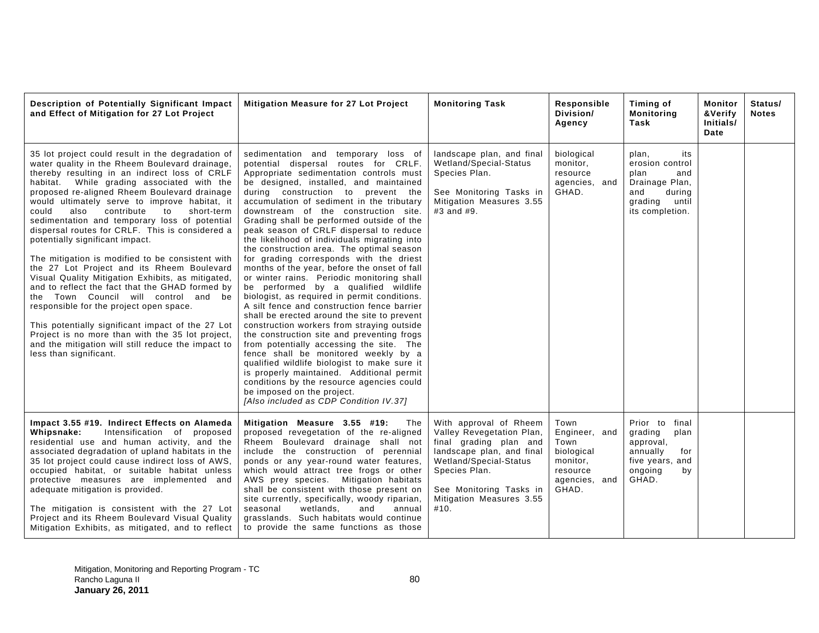| Description of Potentially Significant Impact<br>and Effect of Mitigation for 27 Lot Project                                                                                                                                                                                                                                                                                                                                                                                                                                                                                                                                                                                                                                                                                                                                                                                                                                                                                        | Mitigation Measure for 27 Lot Project                                                                                                                                                                                                                                                                                                                                                                                                                                                                                                                                                                                                                                                                                                                                                                                                                                                                                                                                                                                                                                                                                                                                                                             | <b>Monitoring Task</b>                                                                                                                                                                                               | Responsible<br>Division/<br>Agency                                                            | Timing of<br><b>Monitoring</b><br>Task                                                                                   | Monitor<br>&Verify<br>Initials/<br>Date | Status/<br><b>Notes</b> |
|-------------------------------------------------------------------------------------------------------------------------------------------------------------------------------------------------------------------------------------------------------------------------------------------------------------------------------------------------------------------------------------------------------------------------------------------------------------------------------------------------------------------------------------------------------------------------------------------------------------------------------------------------------------------------------------------------------------------------------------------------------------------------------------------------------------------------------------------------------------------------------------------------------------------------------------------------------------------------------------|-------------------------------------------------------------------------------------------------------------------------------------------------------------------------------------------------------------------------------------------------------------------------------------------------------------------------------------------------------------------------------------------------------------------------------------------------------------------------------------------------------------------------------------------------------------------------------------------------------------------------------------------------------------------------------------------------------------------------------------------------------------------------------------------------------------------------------------------------------------------------------------------------------------------------------------------------------------------------------------------------------------------------------------------------------------------------------------------------------------------------------------------------------------------------------------------------------------------|----------------------------------------------------------------------------------------------------------------------------------------------------------------------------------------------------------------------|-----------------------------------------------------------------------------------------------|--------------------------------------------------------------------------------------------------------------------------|-----------------------------------------|-------------------------|
| 35 lot project could result in the degradation of<br>water quality in the Rheem Boulevard drainage,<br>thereby resulting in an indirect loss of CRLF<br>habitat. While grading associated with the<br>proposed re-aligned Rheem Boulevard drainage<br>would ultimately serve to improve habitat, it<br>contribute<br>to<br>could<br>also<br>short-term<br>sedimentation and temporary loss of potential<br>dispersal routes for CRLF. This is considered a<br>potentially significant impact.<br>The mitigation is modified to be consistent with<br>the 27 Lot Project and its Rheem Boulevard<br>Visual Quality Mitigation Exhibits, as mitigated,<br>and to reflect the fact that the GHAD formed by<br>the Town Council will control and be<br>responsible for the project open space.<br>This potentially significant impact of the 27 Lot<br>Project is no more than with the 35 lot project,<br>and the mitigation will still reduce the impact to<br>less than significant. | sedimentation and temporary loss of<br>potential dispersal routes for CRLF.<br>Appropriate sedimentation controls must<br>be designed, installed, and maintained<br>during construction to prevent the<br>accumulation of sediment in the tributary<br>downstream of the construction site.<br>Grading shall be performed outside of the<br>peak season of CRLF dispersal to reduce<br>the likelihood of individuals migrating into<br>the construction area. The optimal season<br>for grading corresponds with the driest<br>months of the year, before the onset of fall<br>or winter rains. Periodic monitoring shall<br>be performed by a qualified wildlife<br>biologist, as required in permit conditions.<br>A silt fence and construction fence barrier<br>shall be erected around the site to prevent<br>construction workers from straying outside<br>the construction site and preventing frogs<br>from potentially accessing the site. The<br>fence shall be monitored weekly by a<br>qualified wildlife biologist to make sure it<br>is properly maintained. Additional permit<br>conditions by the resource agencies could<br>be imposed on the project.<br>[Also included as CDP Condition IV.37] | landscape plan, and final<br>Wetland/Special-Status<br>Species Plan.<br>See Monitoring Tasks in<br>Mitigation Measures 3.55<br>#3 and #9.                                                                            | biological<br>monitor,<br>resource<br>agencies, and<br>GHAD.                                  | plan,<br>its<br>erosion control<br>plan<br>and<br>Drainage Plan,<br>and<br>during<br>until<br>grading<br>its completion. |                                         |                         |
| Impact 3.55 #19. Indirect Effects on Alameda<br>Intensification of proposed<br>Whipsnake:<br>residential use and human activity, and the<br>associated degradation of upland habitats in the<br>35 lot project could cause indirect loss of AWS,<br>occupied habitat, or suitable habitat unless<br>protective measures are implemented and<br>adequate mitigation is provided.<br>The mitigation is consistent with the 27 Lot<br>Project and its Rheem Boulevard Visual Quality<br>Mitigation Exhibits, as mitigated, and to reflect                                                                                                                                                                                                                                                                                                                                                                                                                                              | Mitigation Measure 3.55 #19:<br>The<br>proposed revegetation of the re-aligned<br>Rheem Boulevard drainage shall not<br>include the construction of perennial<br>ponds or any year-round water features,<br>which would attract tree frogs or other<br>AWS prey species. Mitigation habitats<br>shall be consistent with those present on<br>site currently, specifically, woody riparian,<br>wetlands.<br>seasonal<br>and<br>annual<br>grasslands. Such habitats would continue<br>to provide the same functions as those                                                                                                                                                                                                                                                                                                                                                                                                                                                                                                                                                                                                                                                                                        | With approval of Rheem<br>Valley Revegetation Plan,<br>final grading plan and<br>landscape plan, and final<br>Wetland/Special-Status<br>Species Plan.<br>See Monitoring Tasks in<br>Mitigation Measures 3.55<br>#10. | Town<br>Engineer, and<br>Town<br>biological<br>monitor,<br>resource<br>agencies, and<br>GHAD. | Prior to<br>final<br>grading<br>plan<br>approval,<br>annually<br>for<br>five years, and<br>ongoing<br>by<br>GHAD.        |                                         |                         |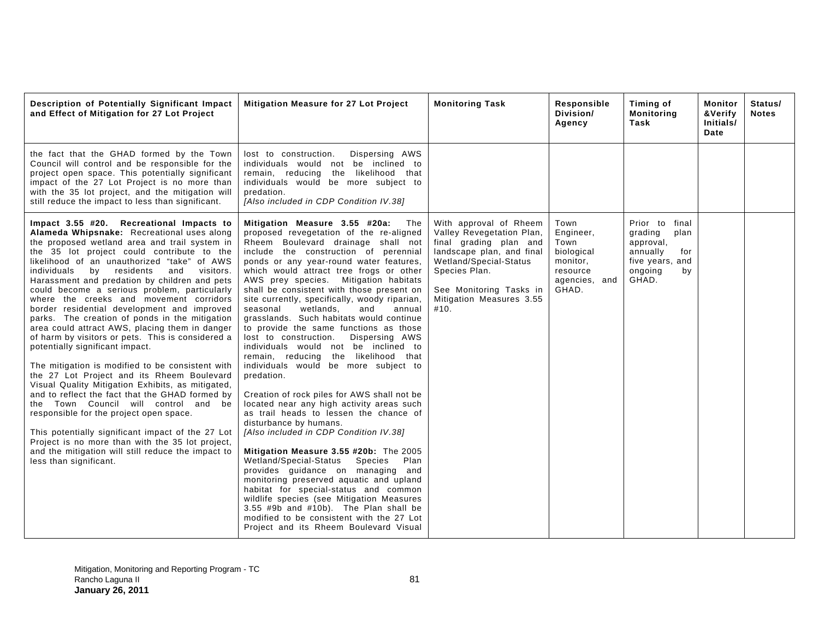| Description of Potentially Significant Impact<br>and Effect of Mitigation for 27 Lot Project                                                                                                                                                                                                                                                                                                                                                                                                                                                                                                                                                                                                                                                                                                                                                                                                                                                                                                                                                                                                                                                                            | <b>Mitigation Measure for 27 Lot Project</b>                                                                                                                                                                                                                                                                                                                                                                                                                                                                                                                                                                                                                                                                                                                                                                                                                                                                                                                                                                                                                                                                                                                                                                                                                                                                        | <b>Monitoring Task</b>                                                                                                                                                                                               | Responsible<br>Division/<br>Agency                                                        | Timing of<br>Monitoring<br>Task                                                                                | Monitor<br>&Verify<br>Initials/<br>Date | Status/<br><b>Notes</b> |
|-------------------------------------------------------------------------------------------------------------------------------------------------------------------------------------------------------------------------------------------------------------------------------------------------------------------------------------------------------------------------------------------------------------------------------------------------------------------------------------------------------------------------------------------------------------------------------------------------------------------------------------------------------------------------------------------------------------------------------------------------------------------------------------------------------------------------------------------------------------------------------------------------------------------------------------------------------------------------------------------------------------------------------------------------------------------------------------------------------------------------------------------------------------------------|---------------------------------------------------------------------------------------------------------------------------------------------------------------------------------------------------------------------------------------------------------------------------------------------------------------------------------------------------------------------------------------------------------------------------------------------------------------------------------------------------------------------------------------------------------------------------------------------------------------------------------------------------------------------------------------------------------------------------------------------------------------------------------------------------------------------------------------------------------------------------------------------------------------------------------------------------------------------------------------------------------------------------------------------------------------------------------------------------------------------------------------------------------------------------------------------------------------------------------------------------------------------------------------------------------------------|----------------------------------------------------------------------------------------------------------------------------------------------------------------------------------------------------------------------|-------------------------------------------------------------------------------------------|----------------------------------------------------------------------------------------------------------------|-----------------------------------------|-------------------------|
| the fact that the GHAD formed by the Town<br>Council will control and be responsible for the<br>project open space. This potentially significant<br>impact of the 27 Lot Project is no more than<br>with the 35 lot project, and the mitigation will<br>still reduce the impact to less than significant.                                                                                                                                                                                                                                                                                                                                                                                                                                                                                                                                                                                                                                                                                                                                                                                                                                                               | Dispersing AWS<br>lost to construction.<br>individuals would not be inclined to<br>likelihood that<br>remain, reducing the<br>individuals would be more subject to<br>predation.<br>[Also included in CDP Condition IV.38]                                                                                                                                                                                                                                                                                                                                                                                                                                                                                                                                                                                                                                                                                                                                                                                                                                                                                                                                                                                                                                                                                          |                                                                                                                                                                                                                      |                                                                                           |                                                                                                                |                                         |                         |
| Impact 3.55 #20. Recreational Impacts to<br>Alameda Whipsnake: Recreational uses along<br>the proposed wetland area and trail system in<br>the 35 lot project could contribute to the<br>likelihood of an unauthorized "take" of AWS<br>residents<br>visitors.<br>individuals<br>and<br>by<br>Harassment and predation by children and pets<br>could become a serious problem, particularly<br>where the creeks and movement corridors<br>border residential development and improved<br>parks. The creation of ponds in the mitigation<br>area could attract AWS, placing them in danger<br>of harm by visitors or pets. This is considered a<br>potentially significant impact.<br>The mitigation is modified to be consistent with<br>the 27 Lot Project and its Rheem Boulevard<br>Visual Quality Mitigation Exhibits, as mitigated,<br>and to reflect the fact that the GHAD formed by<br>the Town Council will control and be<br>responsible for the project open space.<br>This potentially significant impact of the 27 Lot<br>Project is no more than with the 35 lot project,<br>and the mitigation will still reduce the impact to<br>less than significant. | Mitigation Measure 3.55 #20a:<br>The<br>proposed revegetation of the re-aligned<br>Rheem Boulevard drainage shall not<br>include the construction of perennial<br>ponds or any year-round water features,<br>which would attract tree frogs or other<br>AWS prey species. Mitigation habitats<br>shall be consistent with those present on<br>site currently, specifically, woody riparian,<br>wetlands,<br>seasonal<br>annual<br>and<br>grasslands. Such habitats would continue<br>to provide the same functions as those<br>lost to construction.<br>Dispersing AWS<br>individuals would not be inclined to<br>remain, reducing the likelihood that<br>individuals would be more subject to<br>predation.<br>Creation of rock piles for AWS shall not be<br>located near any high activity areas such<br>as trail heads to lessen the chance of<br>disturbance by humans.<br>[Also included in CDP Condition IV.38]<br>Mitigation Measure 3.55 #20b: The 2005<br>Wetland/Special-Status<br>Species<br>Plan<br>provides guidance on managing and<br>monitoring preserved aquatic and upland<br>habitat for special-status and common<br>wildlife species (see Mitigation Measures<br>3.55 #9b and #10b). The Plan shall be<br>modified to be consistent with the 27 Lot<br>Project and its Rheem Boulevard Visual | With approval of Rheem<br>Valley Revegetation Plan,<br>final grading plan and<br>landscape plan, and final<br>Wetland/Special-Status<br>Species Plan.<br>See Monitoring Tasks in<br>Mitigation Measures 3.55<br>#10. | Town<br>Engineer,<br>Town<br>biological<br>monitor,<br>resource<br>agencies, and<br>GHAD. | Prior to final<br>grading<br>plan<br>approval,<br>annually<br>for<br>five years, and<br>ongoing<br>by<br>GHAD. |                                         |                         |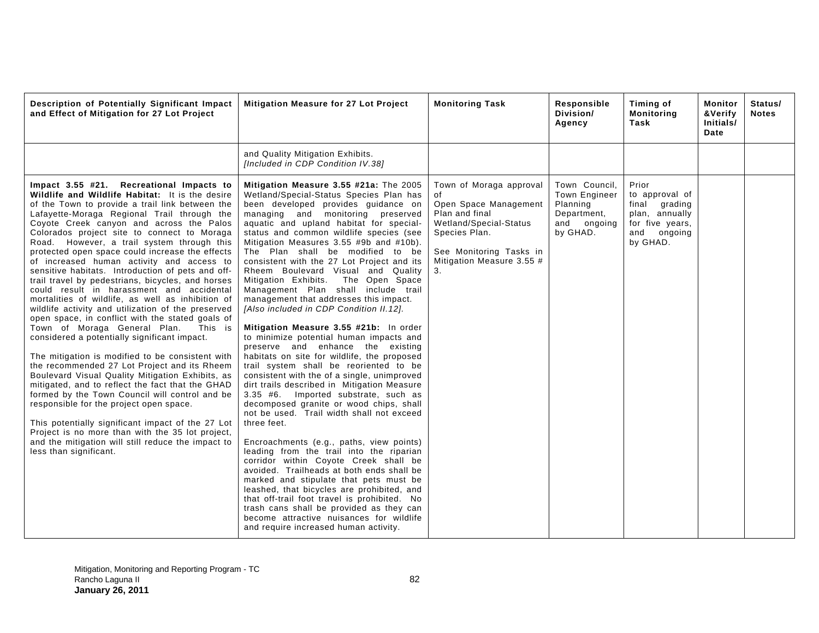| Description of Potentially Significant Impact<br>and Effect of Mitigation for 27 Lot Project                                                                                                                                                                                                                                                                                                                                                                                                                                                                                                                                                                                                                                                                                                                                                                                                                                                                                                                                                                                                                                                                                                                                                                                                                                                              | Mitigation Measure for 27 Lot Project                                                                                                                                                                                                                                                                                                                                                                                                                                                                                                                                                                                                                                                                                                                                                                                                                                                                                                                                                                                                                                                                                                                                                                                                                                                                                                                                                                                                                                                                            | <b>Monitoring Task</b>                                                                                                                                                            | Responsible<br>Division/<br>Agency                                                          | Timing of<br><b>Monitoring</b><br>Task                                                                      | Monitor<br>&Verify<br>Initials/<br>Date | Status/<br><b>Notes</b> |
|-----------------------------------------------------------------------------------------------------------------------------------------------------------------------------------------------------------------------------------------------------------------------------------------------------------------------------------------------------------------------------------------------------------------------------------------------------------------------------------------------------------------------------------------------------------------------------------------------------------------------------------------------------------------------------------------------------------------------------------------------------------------------------------------------------------------------------------------------------------------------------------------------------------------------------------------------------------------------------------------------------------------------------------------------------------------------------------------------------------------------------------------------------------------------------------------------------------------------------------------------------------------------------------------------------------------------------------------------------------|------------------------------------------------------------------------------------------------------------------------------------------------------------------------------------------------------------------------------------------------------------------------------------------------------------------------------------------------------------------------------------------------------------------------------------------------------------------------------------------------------------------------------------------------------------------------------------------------------------------------------------------------------------------------------------------------------------------------------------------------------------------------------------------------------------------------------------------------------------------------------------------------------------------------------------------------------------------------------------------------------------------------------------------------------------------------------------------------------------------------------------------------------------------------------------------------------------------------------------------------------------------------------------------------------------------------------------------------------------------------------------------------------------------------------------------------------------------------------------------------------------------|-----------------------------------------------------------------------------------------------------------------------------------------------------------------------------------|---------------------------------------------------------------------------------------------|-------------------------------------------------------------------------------------------------------------|-----------------------------------------|-------------------------|
|                                                                                                                                                                                                                                                                                                                                                                                                                                                                                                                                                                                                                                                                                                                                                                                                                                                                                                                                                                                                                                                                                                                                                                                                                                                                                                                                                           | and Quality Mitigation Exhibits.<br>[Included in CDP Condition IV.38]                                                                                                                                                                                                                                                                                                                                                                                                                                                                                                                                                                                                                                                                                                                                                                                                                                                                                                                                                                                                                                                                                                                                                                                                                                                                                                                                                                                                                                            |                                                                                                                                                                                   |                                                                                             |                                                                                                             |                                         |                         |
| Impact 3.55 #21. Recreational Impacts to<br>Wildlife and Wildlife Habitat: It is the desire<br>of the Town to provide a trail link between the<br>Lafayette-Moraga Regional Trail through the<br>Coyote Creek canyon and across the Palos<br>Colorados project site to connect to Moraga<br>Road. However, a trail system through this<br>protected open space could increase the effects<br>of increased human activity and access to<br>sensitive habitats. Introduction of pets and off-<br>trail travel by pedestrians, bicycles, and horses<br>could result in harassment and accidental<br>mortalities of wildlife, as well as inhibition of<br>wildlife activity and utilization of the preserved<br>open space, in conflict with the stated goals of<br>Town of Moraga General Plan.<br>This is<br>considered a potentially significant impact.<br>The mitigation is modified to be consistent with<br>the recommended 27 Lot Project and its Rheem<br>Boulevard Visual Quality Mitigation Exhibits, as<br>mitigated, and to reflect the fact that the GHAD<br>formed by the Town Council will control and be<br>responsible for the project open space.<br>This potentially significant impact of the 27 Lot<br>Project is no more than with the 35 lot project,<br>and the mitigation will still reduce the impact to<br>less than significant. | Mitigation Measure 3.55 #21a: The 2005<br>Wetland/Special-Status Species Plan has<br>been developed provides guidance on<br>managing and monitoring preserved<br>aquatic and upland habitat for special-<br>status and common wildlife species (see<br>Mitigation Measures 3.55 #9b and #10b).<br>The Plan shall be modified to be<br>consistent with the 27 Lot Project and its<br>Rheem Boulevard Visual and Quality<br>Mitigation Exhibits. The Open Space<br>Management Plan shall include trail<br>management that addresses this impact.<br>[Also included in CDP Condition II.12].<br>Mitigation Measure 3.55 #21b: In order<br>to minimize potential human impacts and<br>preserve and enhance the existing<br>habitats on site for wildlife, the proposed<br>trail system shall be reoriented to be<br>consistent with the of a single, unimproved<br>dirt trails described in Mitigation Measure<br>3.35 #6. Imported substrate, such as<br>decomposed granite or wood chips, shall<br>not be used. Trail width shall not exceed<br>three feet.<br>Encroachments (e.g., paths, view points)<br>leading from the trail into the riparian<br>corridor within Coyote Creek shall be<br>avoided. Trailheads at both ends shall be<br>marked and stipulate that pets must be<br>leashed, that bicycles are prohibited, and<br>that off-trail foot travel is prohibited. No<br>trash cans shall be provided as they can<br>become attractive nuisances for wildlife<br>and require increased human activity. | Town of Moraga approval<br>οf<br>Open Space Management<br>Plan and final<br>Wetland/Special-Status<br>Species Plan.<br>See Monitoring Tasks in<br>Mitigation Measure 3.55 #<br>3. | Town Council.<br><b>Town Engineer</b><br>Planning<br>Department,<br>and ongoing<br>by GHAD. | Prior<br>to approval of<br>final grading<br>plan, annually<br>for five years,<br>and<br>ongoing<br>by GHAD. |                                         |                         |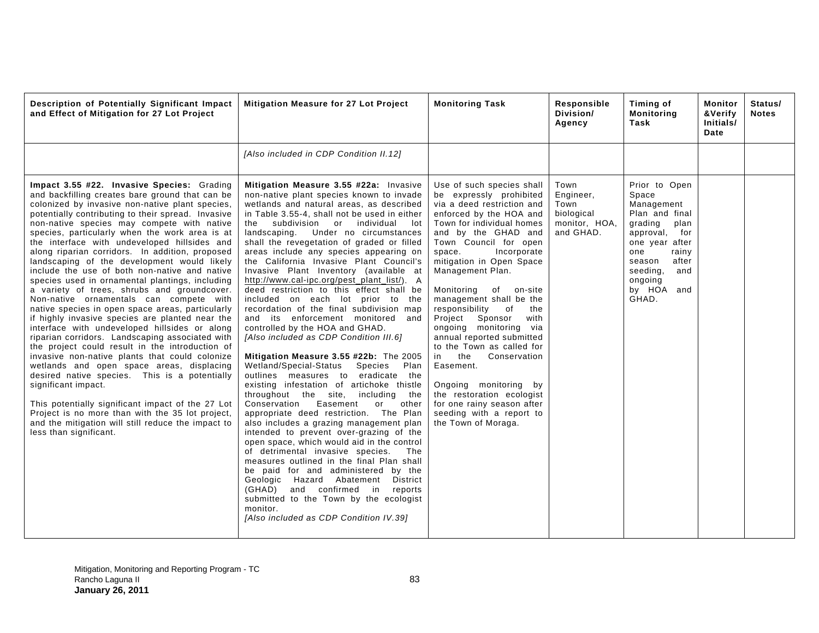| Description of Potentially Significant Impact<br>and Effect of Mitigation for 27 Lot Project                                                                                                                                                                                                                                                                                                                                                                                                                                                                                                                                                                                                                                                                                                                                                                                                                                                                                                                                                                                                                                                                                                                                                                                         | Mitigation Measure for 27 Lot Project                                                                                                                                                                                                                                                                                                                                                                                                                                                                                                                                                                                                                                                                                                                                                                                                                                                                                                                                                                                                                                                                                                                                                                                                                                                                                                                                                                                                                                                                       | <b>Monitoring Task</b>                                                                                                                                                                                                                                                                                                                                                                                                                                                                                                                                                                                                                                    | Responsible<br>Division/<br>Agency                                    | Timing of<br><b>Monitoring</b><br>Task                                                                                                                                                                  | Monitor<br><b>&amp;Verify</b><br>Initials/<br>Date | Status/<br><b>Notes</b> |
|--------------------------------------------------------------------------------------------------------------------------------------------------------------------------------------------------------------------------------------------------------------------------------------------------------------------------------------------------------------------------------------------------------------------------------------------------------------------------------------------------------------------------------------------------------------------------------------------------------------------------------------------------------------------------------------------------------------------------------------------------------------------------------------------------------------------------------------------------------------------------------------------------------------------------------------------------------------------------------------------------------------------------------------------------------------------------------------------------------------------------------------------------------------------------------------------------------------------------------------------------------------------------------------|-------------------------------------------------------------------------------------------------------------------------------------------------------------------------------------------------------------------------------------------------------------------------------------------------------------------------------------------------------------------------------------------------------------------------------------------------------------------------------------------------------------------------------------------------------------------------------------------------------------------------------------------------------------------------------------------------------------------------------------------------------------------------------------------------------------------------------------------------------------------------------------------------------------------------------------------------------------------------------------------------------------------------------------------------------------------------------------------------------------------------------------------------------------------------------------------------------------------------------------------------------------------------------------------------------------------------------------------------------------------------------------------------------------------------------------------------------------------------------------------------------------|-----------------------------------------------------------------------------------------------------------------------------------------------------------------------------------------------------------------------------------------------------------------------------------------------------------------------------------------------------------------------------------------------------------------------------------------------------------------------------------------------------------------------------------------------------------------------------------------------------------------------------------------------------------|-----------------------------------------------------------------------|---------------------------------------------------------------------------------------------------------------------------------------------------------------------------------------------------------|----------------------------------------------------|-------------------------|
|                                                                                                                                                                                                                                                                                                                                                                                                                                                                                                                                                                                                                                                                                                                                                                                                                                                                                                                                                                                                                                                                                                                                                                                                                                                                                      | [Also included in CDP Condition II.12]                                                                                                                                                                                                                                                                                                                                                                                                                                                                                                                                                                                                                                                                                                                                                                                                                                                                                                                                                                                                                                                                                                                                                                                                                                                                                                                                                                                                                                                                      |                                                                                                                                                                                                                                                                                                                                                                                                                                                                                                                                                                                                                                                           |                                                                       |                                                                                                                                                                                                         |                                                    |                         |
| Impact 3.55 #22. Invasive Species: Grading<br>and backfilling creates bare ground that can be<br>colonized by invasive non-native plant species,<br>potentially contributing to their spread. Invasive<br>non-native species may compete with native<br>species, particularly when the work area is at<br>the interface with undeveloped hillsides and<br>along riparian corridors. In addition, proposed<br>landscaping of the development would likely<br>include the use of both non-native and native<br>species used in ornamental plantings, including<br>a variety of trees, shrubs and groundcover.<br>Non-native ornamentals can compete with<br>native species in open space areas, particularly<br>if highly invasive species are planted near the<br>interface with undeveloped hillsides or along<br>riparian corridors. Landscaping associated with<br>the project could result in the introduction of<br>invasive non-native plants that could colonize<br>wetlands and open space areas, displacing<br>desired native species. This is a potentially<br>significant impact.<br>This potentially significant impact of the 27 Lot<br>Project is no more than with the 35 lot project,<br>and the mitigation will still reduce the impact to<br>less than significant. | Mitigation Measure 3.55 #22a: Invasive<br>non-native plant species known to invade<br>wetlands and natural areas, as described<br>in Table 3.55-4, shall not be used in either<br>subdivision or<br>individual<br>the<br>lot<br>landscaping. Under no circumstances<br>shall the revegetation of graded or filled<br>areas include any species appearing on<br>the California Invasive Plant Council's<br>Invasive Plant Inventory (available at<br>http://www.cal-ipc.org/pest plant list/). A<br>deed restriction to this effect shall be<br>included on each lot prior to the<br>recordation of the final subdivision map<br>and its enforcement monitored and<br>controlled by the HOA and GHAD.<br>[Also included as CDP Condition III.6]<br>Mitigation Measure 3.55 #22b: The 2005<br>Wetland/Special-Status<br>Species<br>Plan<br>outlines measures to eradicate the<br>existing infestation of artichoke thistle<br>throughout the site, including<br>the<br>Conservation<br>Easement<br>other<br>or<br>appropriate deed restriction. The Plan<br>also includes a grazing management plan<br>intended to prevent over-grazing of the<br>open space, which would aid in the control<br>of detrimental invasive species.<br>The<br>measures outlined in the final Plan shall<br>be paid for and administered by the<br>Geologic Hazard Abatement<br>District<br>and confirmed in<br>(GHAD)<br>reports<br>submitted to the Town by the ecologist<br>monitor.<br>[Also included as CDP Condition IV.39] | Use of such species shall<br>be expressly prohibited<br>via a deed restriction and<br>enforced by the HOA and<br>Town for individual homes<br>and by the GHAD and<br>Town Council for open<br>Incorporate<br>space.<br>mitigation in Open Space<br>Management Plan.<br>Monitoring<br>of on-site<br>management shall be the<br>responsibility of<br>the<br>Project<br>Sponsor<br>with<br>ongoing monitoring via<br>annual reported submitted<br>to the Town as called for<br>the<br>Conservation<br>in<br>Easement.<br>Ongoing monitoring by<br>the restoration ecologist<br>for one rainy season after<br>seeding with a report to<br>the Town of Moraga. | Town<br>Engineer,<br>Town<br>biological<br>monitor, HOA,<br>and GHAD. | Prior to Open<br>Space<br>Management<br>Plan and final<br>grading<br>plan<br>for<br>approval,<br>one year after<br>one<br>rainy<br>after<br>season<br>seeding,<br>and<br>ongoing<br>by HOA and<br>GHAD. |                                                    |                         |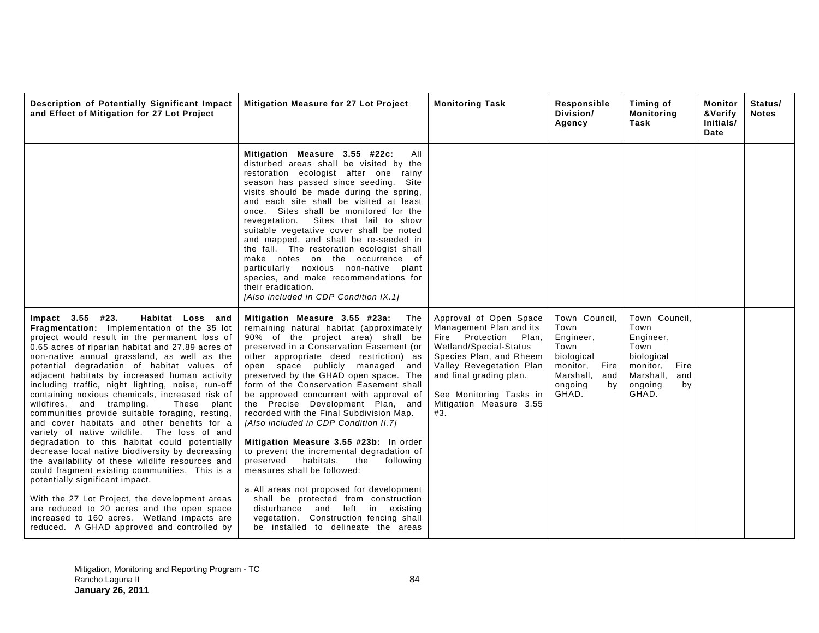| Description of Potentially Significant Impact<br>and Effect of Mitigation for 27 Lot Project                                                                                                                                                                                                                                                                                                                                                                                                                                                                                                                                                                                                                                                                                                                                                                                                                                                                                                                                                                                            | Mitigation Measure for 27 Lot Project                                                                                                                                                                                                                                                                                                                                                                                                                                                                                                                                                                                                                                                                                                                                                                                                                                                 | <b>Monitoring Task</b>                                                                                                                                                                                                                                 | Responsible<br>Division/<br>Agency                                                                                      | Timing of<br><b>Monitoring</b><br>Task                                                                                     | Monitor<br>&Verify<br>Initials/<br>Date | Status/<br><b>Notes</b> |
|-----------------------------------------------------------------------------------------------------------------------------------------------------------------------------------------------------------------------------------------------------------------------------------------------------------------------------------------------------------------------------------------------------------------------------------------------------------------------------------------------------------------------------------------------------------------------------------------------------------------------------------------------------------------------------------------------------------------------------------------------------------------------------------------------------------------------------------------------------------------------------------------------------------------------------------------------------------------------------------------------------------------------------------------------------------------------------------------|---------------------------------------------------------------------------------------------------------------------------------------------------------------------------------------------------------------------------------------------------------------------------------------------------------------------------------------------------------------------------------------------------------------------------------------------------------------------------------------------------------------------------------------------------------------------------------------------------------------------------------------------------------------------------------------------------------------------------------------------------------------------------------------------------------------------------------------------------------------------------------------|--------------------------------------------------------------------------------------------------------------------------------------------------------------------------------------------------------------------------------------------------------|-------------------------------------------------------------------------------------------------------------------------|----------------------------------------------------------------------------------------------------------------------------|-----------------------------------------|-------------------------|
|                                                                                                                                                                                                                                                                                                                                                                                                                                                                                                                                                                                                                                                                                                                                                                                                                                                                                                                                                                                                                                                                                         | Mitigation Measure 3.55 #22c:<br>All<br>disturbed areas shall be visited by the<br>restoration ecologist after one rainy<br>season has passed since seeding. Site<br>visits should be made during the spring,<br>and each site shall be visited at least<br>once. Sites shall be monitored for the<br>Sites that fail to show<br>revegetation.<br>suitable vegetative cover shall be noted<br>and mapped, and shall be re-seeded in<br>the fall. The restoration ecologist shall<br>make notes on the occurrence of<br>particularly noxious non-native plant<br>species, and make recommendations for<br>their eradication.<br>[Also included in CDP Condition IX.1]                                                                                                                                                                                                                  |                                                                                                                                                                                                                                                        |                                                                                                                         |                                                                                                                            |                                         |                         |
| Impact 3.55 #23.<br>Habitat Loss and<br>Fragmentation: Implementation of the 35 lot<br>project would result in the permanent loss of<br>0.65 acres of riparian habitat and 27.89 acres of<br>non-native annual grassland, as well as the<br>potential degradation of habitat values of<br>adjacent habitats by increased human activity<br>including traffic, night lighting, noise, run-off<br>containing noxious chemicals, increased risk of<br>wildfires, and trampling.<br>These plant<br>communities provide suitable foraging, resting,<br>and cover habitats and other benefits for a<br>variety of native wildlife. The loss of and<br>degradation to this habitat could potentially<br>decrease local native biodiversity by decreasing<br>the availability of these wildlife resources and<br>could fragment existing communities. This is a<br>potentially significant impact.<br>With the 27 Lot Project, the development areas<br>are reduced to 20 acres and the open space<br>increased to 160 acres. Wetland impacts are<br>reduced. A GHAD approved and controlled by | Mitigation Measure 3.55 #23a:<br>The<br>remaining natural habitat (approximately<br>90% of the project area) shall be<br>preserved in a Conservation Easement (or<br>other appropriate deed restriction) as<br>open space publicly managed and<br>preserved by the GHAD open space. The<br>form of the Conservation Easement shall<br>be approved concurrent with approval of<br>the Precise Development Plan, and<br>recorded with the Final Subdivision Map.<br>[Also included in CDP Condition II.7]<br>Mitigation Measure 3.55 #23b: In order<br>to prevent the incremental degradation of<br>preserved<br>habitats,<br>the<br>following<br>measures shall be followed:<br>a. All areas not proposed for development<br>shall be protected from construction<br>disturbance and left in existing<br>vegetation. Construction fencing shall<br>be installed to delineate the areas | Approval of Open Space<br>Management Plan and its<br>Fire Protection<br>Plan,<br>Wetland/Special-Status<br>Species Plan, and Rheem<br>Valley Revegetation Plan<br>and final grading plan.<br>See Monitoring Tasks in<br>Mitigation Measure 3.55<br>#3. | Town Council,<br>Town<br>Engineer,<br>Town<br>biological<br>monitor, Fire<br>Marshall,<br>and<br>ongoing<br>bv<br>GHAD. | Town Council,<br>Town<br>Engineer,<br>Town<br>biological<br>monitor,<br>Fire<br>Marshall,<br>and<br>ongoing<br>by<br>GHAD. |                                         |                         |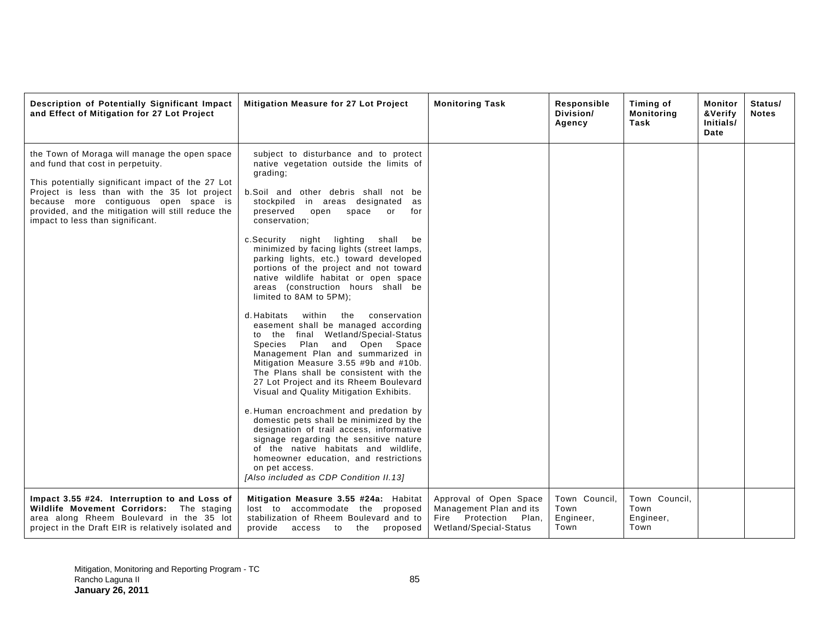| Description of Potentially Significant Impact<br>and Effect of Mitigation for 27 Lot Project                                                                                                                                                                                                                               | <b>Mitigation Measure for 27 Lot Project</b>                                                                                                                                                                                                                                                                                                                                                                                                                                                                                                                                                                                                                                                                                                                                                                                                                                                                                                                                                                                                                                                                                                                                                                                         | <b>Monitoring Task</b>                                                                                  | Responsible<br>Division/<br>Agency         | Timing of<br><b>Monitoring</b><br>Task     | Monitor<br>&Verify<br>Initials/<br>Date | Status/<br><b>Notes</b> |
|----------------------------------------------------------------------------------------------------------------------------------------------------------------------------------------------------------------------------------------------------------------------------------------------------------------------------|--------------------------------------------------------------------------------------------------------------------------------------------------------------------------------------------------------------------------------------------------------------------------------------------------------------------------------------------------------------------------------------------------------------------------------------------------------------------------------------------------------------------------------------------------------------------------------------------------------------------------------------------------------------------------------------------------------------------------------------------------------------------------------------------------------------------------------------------------------------------------------------------------------------------------------------------------------------------------------------------------------------------------------------------------------------------------------------------------------------------------------------------------------------------------------------------------------------------------------------|---------------------------------------------------------------------------------------------------------|--------------------------------------------|--------------------------------------------|-----------------------------------------|-------------------------|
| the Town of Moraga will manage the open space<br>and fund that cost in perpetuity.<br>This potentially significant impact of the 27 Lot<br>Project is less than with the 35 lot project<br>because more contiguous open space is<br>provided, and the mitigation will still reduce the<br>impact to less than significant. | subject to disturbance and to protect<br>native vegetation outside the limits of<br>grading;<br>b.Soil and other debris shall not be<br>stockpiled in areas designated<br>as<br>preserved<br>open<br>space<br>or<br>for<br>conservation;<br>night lighting shall<br>c.Security<br>be<br>minimized by facing lights (street lamps,<br>parking lights, etc.) toward developed<br>portions of the project and not toward<br>native wildlife habitat or open space<br>areas (construction hours shall be<br>limited to 8AM to 5PM);<br>d. Habitats<br>within<br>the<br>conservation<br>easement shall be managed according<br>to the final Wetland/Special-Status<br>Plan and Open Space<br>Species<br>Management Plan and summarized in<br>Mitigation Measure 3.55 #9b and #10b.<br>The Plans shall be consistent with the<br>27 Lot Project and its Rheem Boulevard<br>Visual and Quality Mitigation Exhibits.<br>e. Human encroachment and predation by<br>domestic pets shall be minimized by the<br>designation of trail access, informative<br>signage regarding the sensitive nature<br>of the native habitats and wildlife,<br>homeowner education, and restrictions<br>on pet access.<br>[Also included as CDP Condition II.13] |                                                                                                         |                                            |                                            |                                         |                         |
| Impact 3.55 #24. Interruption to and Loss of<br>Wildlife Movement Corridors: The staging<br>area along Rheem Boulevard in the 35 lot<br>project in the Draft EIR is relatively isolated and                                                                                                                                | Mitigation Measure 3.55 #24a: Habitat<br>lost to accommodate the proposed<br>stabilization of Rheem Boulevard and to<br>provide<br>access to<br>the proposed                                                                                                                                                                                                                                                                                                                                                                                                                                                                                                                                                                                                                                                                                                                                                                                                                                                                                                                                                                                                                                                                         | Approval of Open Space<br>Management Plan and its<br>Fire Protection<br>Plan.<br>Wetland/Special-Status | Town Council,<br>Town<br>Engineer,<br>Town | Town Council.<br>Town<br>Engineer,<br>Town |                                         |                         |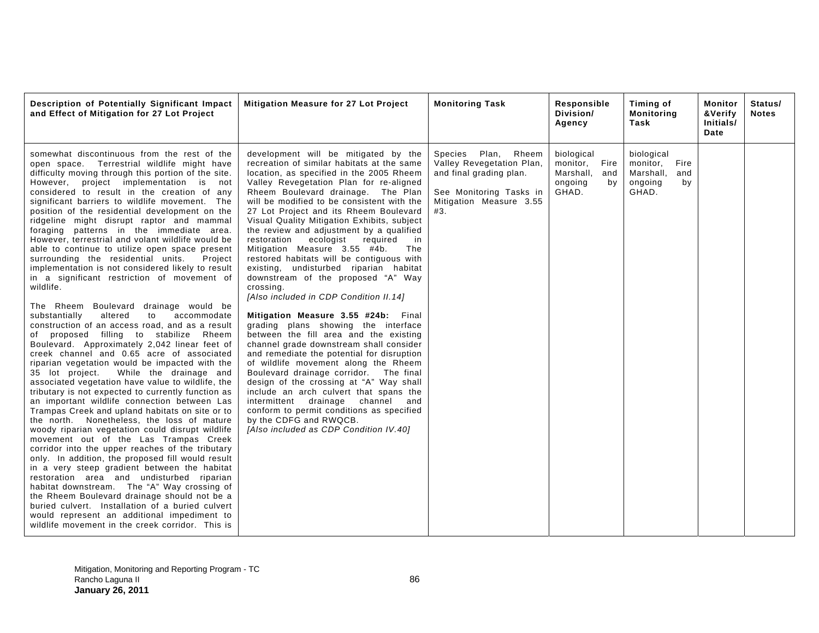| Description of Potentially Significant Impact<br>and Effect of Mitigation for 27 Lot Project                                                                                                                                                                                                                                                                                                                                                                                                                                                                                                                                                                                                                                                                                                                                                                                                                                                                                                                                                                                                                                                                                                                                                                                                                                                                                                                                                                                                                                                                                                                                                                                                                                                                                                                                                                                                                              | <b>Mitigation Measure for 27 Lot Project</b>                                                                                                                                                                                                                                                                                                                                                                                                                                                                                                                                                                                                                                                                                                                                                                                                                                                                                                                                                                                                                                                                                                                                                                              | <b>Monitoring Task</b>                                                                                                                      | Responsible<br>Division/<br>Agency                                        | Timing of<br><b>Monitoring</b><br>Task                                       | Monitor<br>&Verify<br>Initials/<br>Date | Status/<br><b>Notes</b> |
|---------------------------------------------------------------------------------------------------------------------------------------------------------------------------------------------------------------------------------------------------------------------------------------------------------------------------------------------------------------------------------------------------------------------------------------------------------------------------------------------------------------------------------------------------------------------------------------------------------------------------------------------------------------------------------------------------------------------------------------------------------------------------------------------------------------------------------------------------------------------------------------------------------------------------------------------------------------------------------------------------------------------------------------------------------------------------------------------------------------------------------------------------------------------------------------------------------------------------------------------------------------------------------------------------------------------------------------------------------------------------------------------------------------------------------------------------------------------------------------------------------------------------------------------------------------------------------------------------------------------------------------------------------------------------------------------------------------------------------------------------------------------------------------------------------------------------------------------------------------------------------------------------------------------------|---------------------------------------------------------------------------------------------------------------------------------------------------------------------------------------------------------------------------------------------------------------------------------------------------------------------------------------------------------------------------------------------------------------------------------------------------------------------------------------------------------------------------------------------------------------------------------------------------------------------------------------------------------------------------------------------------------------------------------------------------------------------------------------------------------------------------------------------------------------------------------------------------------------------------------------------------------------------------------------------------------------------------------------------------------------------------------------------------------------------------------------------------------------------------------------------------------------------------|---------------------------------------------------------------------------------------------------------------------------------------------|---------------------------------------------------------------------------|------------------------------------------------------------------------------|-----------------------------------------|-------------------------|
| somewhat discontinuous from the rest of the<br>open space. Terrestrial wildlife might have<br>difficulty moving through this portion of the site.<br>However, project implementation is not<br>considered to result in the creation of any<br>significant barriers to wildlife movement. The<br>position of the residential development on the<br>ridgeline might disrupt raptor and mammal<br>foraging patterns in the immediate area.<br>However, terrestrial and volant wildlife would be<br>able to continue to utilize open space present<br>surrounding the residential units.<br>Project<br>implementation is not considered likely to result<br>in a significant restriction of movement of<br>wildlife.<br>The Rheem Boulevard drainage would be<br>altered<br>to<br>accommodate<br>substantially<br>construction of an access road, and as a result<br>of proposed filling to stabilize Rheem<br>Boulevard. Approximately 2,042 linear feet of<br>creek channel and 0.65 acre of associated<br>riparian vegetation would be impacted with the<br>35 lot project.<br>While the drainage and<br>associated vegetation have value to wildlife, the<br>tributary is not expected to currently function as<br>an important wildlife connection between Las<br>Trampas Creek and upland habitats on site or to<br>the north. Nonetheless, the loss of mature<br>woody riparian vegetation could disrupt wildlife<br>movement out of the Las Trampas Creek<br>corridor into the upper reaches of the tributary<br>only. In addition, the proposed fill would result<br>in a very steep gradient between the habitat<br>restoration area and undisturbed riparian<br>habitat downstream. The "A" Way crossing of<br>the Rheem Boulevard drainage should not be a<br>buried culvert. Installation of a buried culvert<br>would represent an additional impediment to<br>wildlife movement in the creek corridor. This is | development will be mitigated by the<br>recreation of similar habitats at the same<br>location, as specified in the 2005 Rheem<br>Valley Revegetation Plan for re-aligned<br>Rheem Boulevard drainage. The Plan<br>will be modified to be consistent with the<br>27 Lot Project and its Rheem Boulevard<br>Visual Quality Mitigation Exhibits, subject<br>the review and adjustment by a qualified<br>restoration<br>ecologist<br>required<br>in<br>Mitigation Measure 3.55 #4b.<br>The<br>restored habitats will be contiguous with<br>existing, undisturbed riparian habitat<br>downstream of the proposed "A" Way<br>crossing.<br>[Also included in CDP Condition II.14]<br>Mitigation Measure 3.55 #24b: Final<br>grading plans showing the interface<br>between the fill area and the existing<br>channel grade downstream shall consider<br>and remediate the potential for disruption<br>of wildlife movement along the Rheem<br>Boulevard drainage corridor. The final<br>design of the crossing at "A" Way shall<br>include an arch culvert that spans the<br>intermittent drainage channel and<br>conform to permit conditions as specified<br>by the CDFG and RWQCB.<br>[Also included as CDP Condition IV.40] | Species Plan,<br>Rheem<br>Valley Revegetation Plan,<br>and final grading plan.<br>See Monitoring Tasks in<br>Mitigation Measure 3.55<br>#3. | biological<br>monitor, Fire<br>Marshall,<br>and<br>ongoing<br>bv<br>GHAD. | biological<br>monitor,<br>Fire<br>Marshall,<br>and<br>ongoing<br>by<br>GHAD. |                                         |                         |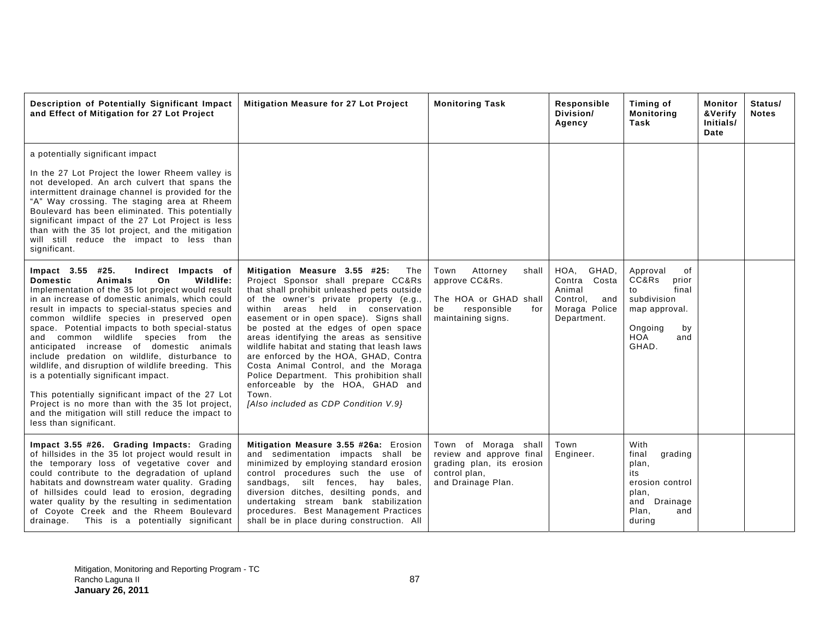| Description of Potentially Significant Impact<br>and Effect of Mitigation for 27 Lot Project                                                                                                                                                                                                                                                                                                                                                                                                                                                                                                                                                                                                                                                                                     | <b>Mitigation Measure for 27 Lot Project</b>                                                                                                                                                                                                                                                                                                                                                                                                                                                                                                                                                              | <b>Monitoring Task</b>                                                                                                 | Responsible<br>Division/<br>Agency                                                            | Timing of<br><b>Monitoring</b><br>Task                                                                                  | Monitor<br>&Verify<br>Initials/<br>Date | Status/<br><b>Notes</b> |
|----------------------------------------------------------------------------------------------------------------------------------------------------------------------------------------------------------------------------------------------------------------------------------------------------------------------------------------------------------------------------------------------------------------------------------------------------------------------------------------------------------------------------------------------------------------------------------------------------------------------------------------------------------------------------------------------------------------------------------------------------------------------------------|-----------------------------------------------------------------------------------------------------------------------------------------------------------------------------------------------------------------------------------------------------------------------------------------------------------------------------------------------------------------------------------------------------------------------------------------------------------------------------------------------------------------------------------------------------------------------------------------------------------|------------------------------------------------------------------------------------------------------------------------|-----------------------------------------------------------------------------------------------|-------------------------------------------------------------------------------------------------------------------------|-----------------------------------------|-------------------------|
| a potentially significant impact<br>In the 27 Lot Project the lower Rheem valley is<br>not developed. An arch culvert that spans the<br>intermittent drainage channel is provided for the<br>"A" Way crossing. The staging area at Rheem<br>Boulevard has been eliminated. This potentially<br>significant impact of the 27 Lot Project is less<br>than with the 35 lot project, and the mitigation<br>will still reduce the impact to less than<br>significant.                                                                                                                                                                                                                                                                                                                 |                                                                                                                                                                                                                                                                                                                                                                                                                                                                                                                                                                                                           |                                                                                                                        |                                                                                               |                                                                                                                         |                                         |                         |
| Impact 3.55 #25.<br>Indirect Impacts of<br><b>Domestic</b><br>Animals<br>On<br>Wildlife:<br>Implementation of the 35 lot project would result<br>in an increase of domestic animals, which could<br>result in impacts to special-status species and<br>common wildlife species in preserved open<br>space. Potential impacts to both special-status<br>and common wildlife species from the<br>anticipated increase of domestic animals<br>include predation on wildlife, disturbance to<br>wildlife, and disruption of wildlife breeding. This<br>is a potentially significant impact.<br>This potentially significant impact of the 27 Lot<br>Project is no more than with the 35 lot project,<br>and the mitigation will still reduce the impact to<br>less than significant. | Mitigation Measure 3.55 #25:<br>The<br>Project Sponsor shall prepare CC&Rs<br>that shall prohibit unleashed pets outside<br>of the owner's private property (e.g.,<br>within areas held in conservation<br>easement or in open space). Signs shall<br>be posted at the edges of open space<br>areas identifying the areas as sensitive<br>wildlife habitat and stating that leash laws<br>are enforced by the HOA, GHAD, Contra<br>Costa Animal Control, and the Moraga<br>Police Department. This prohibition shall<br>enforceable by the HOA, GHAD and<br>Town.<br>[Also included as CDP Condition V.9] | Attorney<br>Town<br>shall<br>approve CC&Rs.<br>The HOA or GHAD shall<br>responsible<br>for<br>be<br>maintaining signs. | HOA,<br>GHAD,<br>Costa<br>Contra<br>Animal<br>Control,<br>and<br>Moraga Police<br>Department. | Approval<br>οf<br>CC&Rs<br>prior<br>final<br>to<br>subdivision<br>map approval.<br>Ongoing<br>by<br>HOA<br>and<br>GHAD. |                                         |                         |
| Impact 3.55 #26. Grading Impacts: Grading<br>of hillsides in the 35 lot project would result in<br>the temporary loss of vegetative cover and<br>could contribute to the degradation of upland<br>habitats and downstream water quality. Grading<br>of hillsides could lead to erosion, degrading<br>water quality by the resulting in sedimentation<br>of Coyote Creek and the Rheem Boulevard<br>drainage. This is a potentially significant                                                                                                                                                                                                                                                                                                                                   | Mitigation Measure 3.55 #26a: Erosion<br>and sedimentation impacts shall be<br>minimized by employing standard erosion<br>control procedures such the use of<br>sandbags, silt fences, hay bales,<br>diversion ditches, desilting ponds, and<br>undertaking stream bank stabilization<br>procedures. Best Management Practices<br>shall be in place during construction. All                                                                                                                                                                                                                              | Town of Moraga shall<br>review and approve final<br>grading plan, its erosion<br>control plan,<br>and Drainage Plan.   | Town<br>Engineer.                                                                             | With<br>final<br>grading<br>plan,<br>its<br>erosion control<br>plan,<br>and<br>Drainage<br>Plan,<br>and<br>during       |                                         |                         |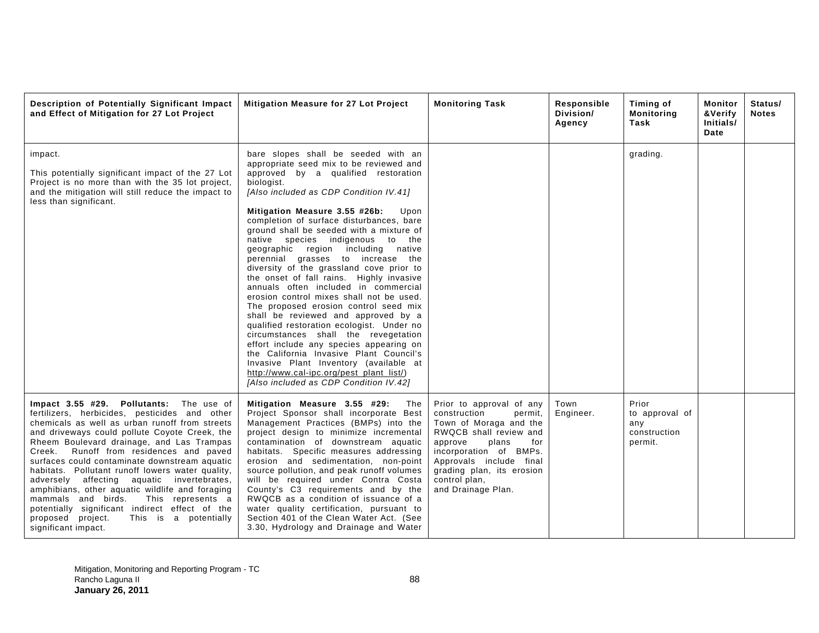| Description of Potentially Significant Impact<br>and Effect of Mitigation for 27 Lot Project                                                                                                                                                                                                                                                                                                                                                                                                                                                                                                                                                                   | Mitigation Measure for 27 Lot Project                                                                                                                                                                                                                                                                                                                                                                                                                                                                                                                                                                                                                                                                                                                                                                                                                                                                                                                                                                      | <b>Monitoring Task</b>                                                                                                                                                                                                                                      | Responsible<br>Division/<br>Agency | Timing of<br><b>Monitoring</b><br>Task                    | Monitor<br>&Verify<br>Initials/<br>Date | Status/<br><b>Notes</b> |
|----------------------------------------------------------------------------------------------------------------------------------------------------------------------------------------------------------------------------------------------------------------------------------------------------------------------------------------------------------------------------------------------------------------------------------------------------------------------------------------------------------------------------------------------------------------------------------------------------------------------------------------------------------------|------------------------------------------------------------------------------------------------------------------------------------------------------------------------------------------------------------------------------------------------------------------------------------------------------------------------------------------------------------------------------------------------------------------------------------------------------------------------------------------------------------------------------------------------------------------------------------------------------------------------------------------------------------------------------------------------------------------------------------------------------------------------------------------------------------------------------------------------------------------------------------------------------------------------------------------------------------------------------------------------------------|-------------------------------------------------------------------------------------------------------------------------------------------------------------------------------------------------------------------------------------------------------------|------------------------------------|-----------------------------------------------------------|-----------------------------------------|-------------------------|
| impact.<br>This potentially significant impact of the 27 Lot<br>Project is no more than with the 35 lot project,<br>and the mitigation will still reduce the impact to<br>less than significant.                                                                                                                                                                                                                                                                                                                                                                                                                                                               | bare slopes shall be seeded with an<br>appropriate seed mix to be reviewed and<br>approved by a qualified restoration<br>biologist.<br>[Also included as CDP Condition IV.41]<br>Mitigation Measure 3.55 #26b:<br>Upon<br>completion of surface disturbances, bare<br>ground shall be seeded with a mixture of<br>native species indigenous to<br>the<br>geographic region including<br>native<br>perennial grasses to increase the<br>diversity of the grassland cove prior to<br>the onset of fall rains. Highly invasive<br>annuals often included in commercial<br>erosion control mixes shall not be used.<br>The proposed erosion control seed mix<br>shall be reviewed and approved by a<br>qualified restoration ecologist. Under no<br>circumstances shall the revegetation<br>effort include any species appearing on<br>the California Invasive Plant Council's<br>Invasive Plant Inventory (available at<br>http://www.cal-ipc.org/pest_plant_list/)<br>[Also included as CDP Condition IV.42] |                                                                                                                                                                                                                                                             |                                    | grading.                                                  |                                         |                         |
| Impact 3.55 #29. Pollutants: The use of<br>fertilizers, herbicides, pesticides and other<br>chemicals as well as urban runoff from streets<br>and driveways could pollute Coyote Creek, the<br>Rheem Boulevard drainage, and Las Trampas<br>Runoff from residences and paved<br>Creek.<br>surfaces could contaminate downstream aquatic<br>habitats. Pollutant runoff lowers water quality,<br>adversely affecting aquatic invertebrates,<br>amphibians, other aquatic wildlife and foraging<br>mammals and birds.<br>This represents a<br>potentially significant indirect effect of the<br>This is a potentially<br>proposed project.<br>significant impact. | Mitigation Measure 3.55 #29:<br>The<br>Project Sponsor shall incorporate Best<br>Management Practices (BMPs) into the<br>project design to minimize incremental<br>contamination of downstream aquatic<br>habitats. Specific measures addressing<br>erosion and sedimentation, non-point<br>source pollution, and peak runoff volumes<br>will be required under Contra Costa<br>County's C3 requirements and by the<br>RWQCB as a condition of issuance of a<br>water quality certification, pursuant to<br>Section 401 of the Clean Water Act. (See<br>3.30, Hydrology and Drainage and Water                                                                                                                                                                                                                                                                                                                                                                                                             | Prior to approval of any<br>construction<br>permit,<br>Town of Moraga and the<br>RWQCB shall review and<br>approve<br>plans<br>for<br>incorporation of BMPs.<br>Approvals include final<br>grading plan, its erosion<br>control plan.<br>and Drainage Plan. | Town<br>Engineer.                  | Prior<br>to approval of<br>any<br>construction<br>permit. |                                         |                         |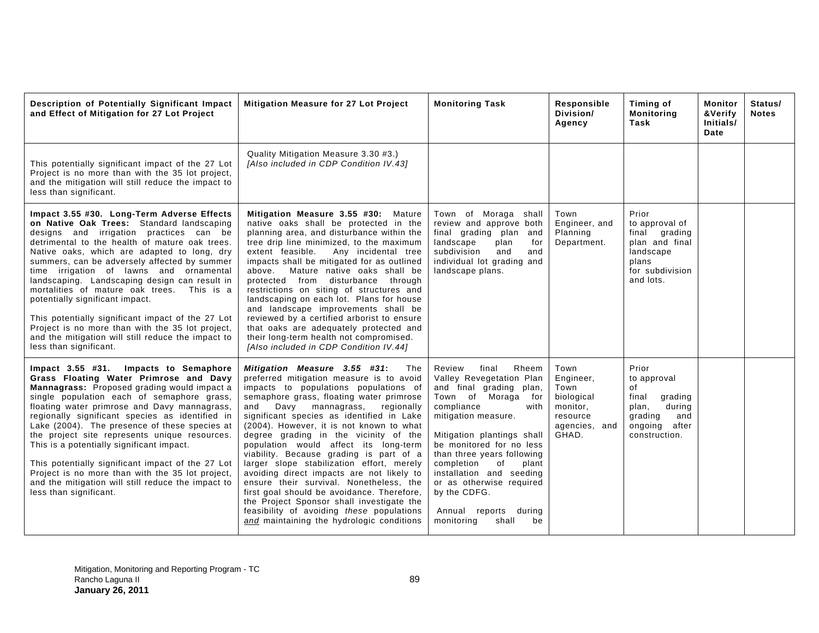| Description of Potentially Significant Impact<br>and Effect of Mitigation for 27 Lot Project                                                                                                                                                                                                                                                                                                                                                                                                                                                                                                                                                              | <b>Mitigation Measure for 27 Lot Project</b>                                                                                                                                                                                                                                                                                                                                                                                                                                                                                                                                                                                                                                                                                                                  | <b>Monitoring Task</b>                                                                                                                                                                                                                                                                                                                                                                                | Responsible<br>Division/<br>Agency                                                        | Timing of<br><b>Monitoring</b><br>Task                                                                                   | <b>Monitor</b><br>&Verify<br>Initials/<br>Date | Status/<br><b>Notes</b> |
|-----------------------------------------------------------------------------------------------------------------------------------------------------------------------------------------------------------------------------------------------------------------------------------------------------------------------------------------------------------------------------------------------------------------------------------------------------------------------------------------------------------------------------------------------------------------------------------------------------------------------------------------------------------|---------------------------------------------------------------------------------------------------------------------------------------------------------------------------------------------------------------------------------------------------------------------------------------------------------------------------------------------------------------------------------------------------------------------------------------------------------------------------------------------------------------------------------------------------------------------------------------------------------------------------------------------------------------------------------------------------------------------------------------------------------------|-------------------------------------------------------------------------------------------------------------------------------------------------------------------------------------------------------------------------------------------------------------------------------------------------------------------------------------------------------------------------------------------------------|-------------------------------------------------------------------------------------------|--------------------------------------------------------------------------------------------------------------------------|------------------------------------------------|-------------------------|
| This potentially significant impact of the 27 Lot<br>Project is no more than with the 35 lot project,<br>and the mitigation will still reduce the impact to<br>less than significant.                                                                                                                                                                                                                                                                                                                                                                                                                                                                     | Quality Mitigation Measure 3.30 #3.)<br>[Also included in CDP Condition IV.43]                                                                                                                                                                                                                                                                                                                                                                                                                                                                                                                                                                                                                                                                                |                                                                                                                                                                                                                                                                                                                                                                                                       |                                                                                           |                                                                                                                          |                                                |                         |
| Impact 3.55 #30. Long-Term Adverse Effects<br>on Native Oak Trees: Standard landscaping<br>designs and irrigation practices can be<br>detrimental to the health of mature oak trees.<br>Native oaks, which are adapted to long, dry<br>summers, can be adversely affected by summer<br>time irrigation of lawns and ornamental<br>landscaping. Landscaping design can result in<br>mortalities of mature oak trees. This is a<br>potentially significant impact.<br>This potentially significant impact of the 27 Lot<br>Project is no more than with the 35 lot project,<br>and the mitigation will still reduce the impact to<br>less than significant. | Mitigation Measure 3.55 #30: Mature<br>native oaks shall be protected in the<br>planning area, and disturbance within the<br>tree drip line minimized, to the maximum<br>extent feasible.<br>Any incidental tree<br>impacts shall be mitigated for as outlined<br>above.<br>Mature native oaks shall be<br>protected from disturbance through<br>restrictions on siting of structures and<br>landscaping on each lot. Plans for house<br>and landscape improvements shall be<br>reviewed by a certified arborist to ensure<br>that oaks are adequately protected and<br>their long-term health not compromised.<br>[Also included in CDP Condition IV.44]                                                                                                     | Town of Moraga shall<br>review and approve both<br>final grading plan<br>and<br>landscape<br>plan<br>for<br>subdivision<br>and<br>and<br>individual lot grading and<br>landscape plans.                                                                                                                                                                                                               | Town<br>Engineer, and<br>Planning<br>Department.                                          | Prior<br>to approval of<br>final grading<br>plan and final<br>landscape<br>plans<br>for subdivision<br>and lots.         |                                                |                         |
| Impact 3.55 #31. Impacts to Semaphore<br>Grass Floating Water Primrose and Davy<br>Mannagrass: Proposed grading would impact a<br>single population each of semaphore grass,<br>floating water primrose and Davy mannagrass,<br>regionally significant species as identified in<br>Lake (2004). The presence of these species at<br>the project site represents unique resources.<br>This is a potentially significant impact.<br>This potentially significant impact of the 27 Lot<br>Project is no more than with the 35 lot project,<br>and the mitigation will still reduce the impact to<br>less than significant.                                   | Mitigation Measure 3.55 #31:<br>The<br>preferred mitigation measure is to avoid<br>impacts to populations populations of<br>semaphore grass, floating water primrose<br>and<br>Davy mannagrass,<br>regionally<br>significant species as identified in Lake<br>(2004). However, it is not known to what<br>degree grading in the vicinity of the<br>population would affect its long-term<br>viability. Because grading is part of a<br>larger slope stabilization effort, merely<br>avoiding direct impacts are not likely to<br>ensure their survival. Nonetheless, the<br>first goal should be avoidance. Therefore,<br>the Project Sponsor shall investigate the<br>feasibility of avoiding these populations<br>and maintaining the hydrologic conditions | Review<br>final<br>Rheem<br>Valley Revegetation Plan<br>and final grading plan,<br>Town of Moraga for<br>compliance<br>with<br>mitigation measure.<br>Mitigation plantings shall<br>be monitored for no less<br>than three years following<br>completion<br>of<br>plant<br>installation and seeding<br>or as otherwise required<br>by the CDFG.<br>Annual reports during<br>monitoring<br>shall<br>be | Town<br>Engineer,<br>Town<br>biological<br>monitor.<br>resource<br>agencies, and<br>GHAD. | Prior<br>to approval<br>of<br>final<br>grading<br>during<br>plan,<br>grading<br>and<br>ongoing<br>after<br>construction. |                                                |                         |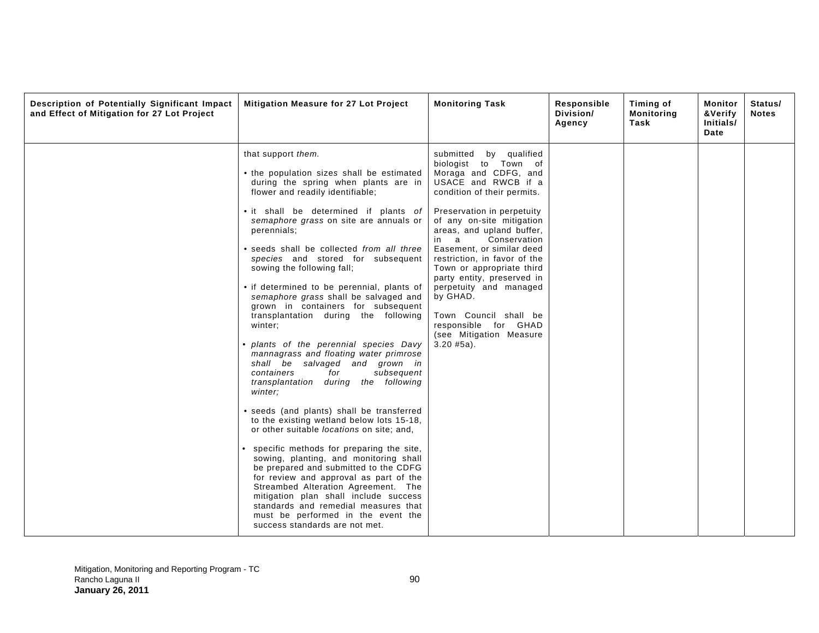| Description of Potentially Significant Impact<br>and Effect of Mitigation for 27 Lot Project | Mitigation Measure for 27 Lot Project                                                                                                                                                                                                                                                                                                                                                                                                                                                                                                                                                                                                                                                                                                                                                                                                                                                                                                                                                                                                                                                                                                                                                                                                                                     | <b>Monitoring Task</b>                                                                                                                                                                                                                                                                                                                                                                                                                                                                                 | Responsible<br>Division/<br>Agency | Timing of<br>Monitoring<br>Task | Monitor<br>&Verify<br>Initials/<br>Date | Status/<br><b>Notes</b> |
|----------------------------------------------------------------------------------------------|---------------------------------------------------------------------------------------------------------------------------------------------------------------------------------------------------------------------------------------------------------------------------------------------------------------------------------------------------------------------------------------------------------------------------------------------------------------------------------------------------------------------------------------------------------------------------------------------------------------------------------------------------------------------------------------------------------------------------------------------------------------------------------------------------------------------------------------------------------------------------------------------------------------------------------------------------------------------------------------------------------------------------------------------------------------------------------------------------------------------------------------------------------------------------------------------------------------------------------------------------------------------------|--------------------------------------------------------------------------------------------------------------------------------------------------------------------------------------------------------------------------------------------------------------------------------------------------------------------------------------------------------------------------------------------------------------------------------------------------------------------------------------------------------|------------------------------------|---------------------------------|-----------------------------------------|-------------------------|
|                                                                                              | that support them.<br>• the population sizes shall be estimated<br>during the spring when plants are in<br>flower and readily identifiable;<br>• it shall be determined if plants of<br>semaphore grass on site are annuals or<br>perennials;<br>• seeds shall be collected from all three<br>species and stored for subsequent<br>sowing the following fall;<br>• if determined to be perennial, plants of<br>semaphore grass shall be salvaged and<br>grown in containers for subsequent<br>transplantation during the following<br>winter;<br>· plants of the perennial species Davy<br>mannagrass and floating water primrose<br>shall be salvaged and grown in<br>containers<br>subsequent<br>for<br>transplantation during the following<br>winter:<br>• seeds (and plants) shall be transferred<br>to the existing wetland below lots 15-18,<br>or other suitable locations on site; and,<br>specific methods for preparing the site,<br>sowing, planting, and monitoring shall<br>be prepared and submitted to the CDFG<br>for review and approval as part of the<br>Streambed Alteration Agreement. The<br>mitigation plan shall include success<br>standards and remedial measures that<br>must be performed in the event the<br>success standards are not met. | submitted by qualified<br>biologist to Town of<br>Moraga and CDFG, and<br>USACE and RWCB if a<br>condition of their permits.<br>Preservation in perpetuity<br>of any on-site mitigation<br>areas, and upland buffer,<br>in a<br>Conservation<br>Easement, or similar deed<br>restriction, in favor of the<br>Town or appropriate third<br>party entity, preserved in<br>perpetuity and managed<br>by GHAD.<br>Town Council shall be<br>responsible for GHAD<br>(see Mitigation Measure<br>$3.20$ #5a). |                                    |                                 |                                         |                         |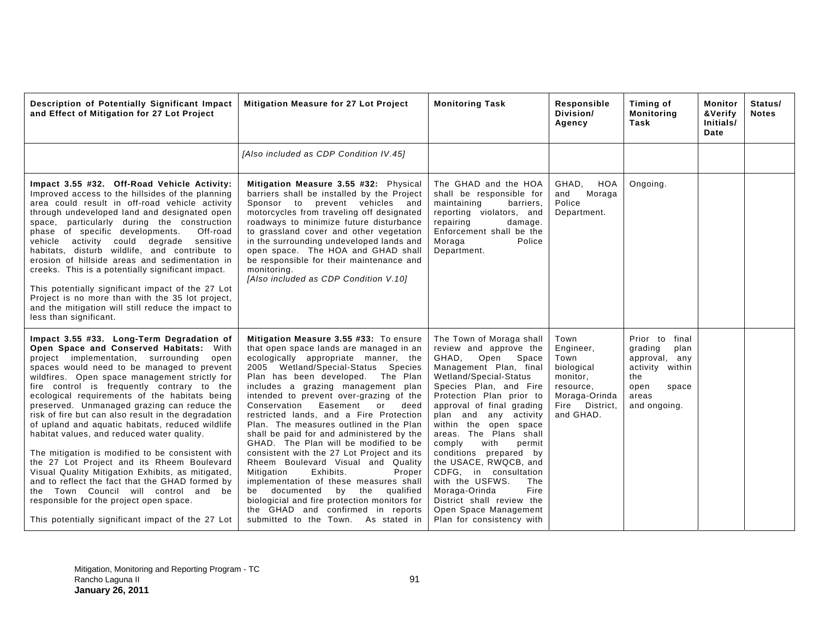| Description of Potentially Significant Impact<br>and Effect of Mitigation for 27 Lot Project                                                                                                                                                                                                                                                                                                                                                                                                                                                                                                                                                                                                                                                                                                                                                                                                | Mitigation Measure for 27 Lot Project                                                                                                                                                                                                                                                                                                                                                                                                                                                                                                                                                                                                                                                                                                                                                                                                                  | <b>Monitoring Task</b>                                                                                                                                                                                                                                                                                                                                                                                                                                                                                                                  | Responsible<br>Division/<br>Agency                                                                               | Timing of<br><b>Monitoring</b><br>Task                                                                                 | Monitor<br>&Verify<br>Initials/<br>Date | Status/<br><b>Notes</b> |
|---------------------------------------------------------------------------------------------------------------------------------------------------------------------------------------------------------------------------------------------------------------------------------------------------------------------------------------------------------------------------------------------------------------------------------------------------------------------------------------------------------------------------------------------------------------------------------------------------------------------------------------------------------------------------------------------------------------------------------------------------------------------------------------------------------------------------------------------------------------------------------------------|--------------------------------------------------------------------------------------------------------------------------------------------------------------------------------------------------------------------------------------------------------------------------------------------------------------------------------------------------------------------------------------------------------------------------------------------------------------------------------------------------------------------------------------------------------------------------------------------------------------------------------------------------------------------------------------------------------------------------------------------------------------------------------------------------------------------------------------------------------|-----------------------------------------------------------------------------------------------------------------------------------------------------------------------------------------------------------------------------------------------------------------------------------------------------------------------------------------------------------------------------------------------------------------------------------------------------------------------------------------------------------------------------------------|------------------------------------------------------------------------------------------------------------------|------------------------------------------------------------------------------------------------------------------------|-----------------------------------------|-------------------------|
|                                                                                                                                                                                                                                                                                                                                                                                                                                                                                                                                                                                                                                                                                                                                                                                                                                                                                             | [Also included as CDP Condition IV.45]                                                                                                                                                                                                                                                                                                                                                                                                                                                                                                                                                                                                                                                                                                                                                                                                                 |                                                                                                                                                                                                                                                                                                                                                                                                                                                                                                                                         |                                                                                                                  |                                                                                                                        |                                         |                         |
| Impact 3.55 #32. Off-Road Vehicle Activity:<br>Improved access to the hillsides of the planning<br>area could result in off-road vehicle activity<br>through undeveloped land and designated open<br>space, particularly during the construction<br>phase of specific developments.<br>Off-road<br>vehicle activity could degrade<br>sensitive<br>habitats, disturb wildlife, and contribute to<br>erosion of hillside areas and sedimentation in<br>creeks. This is a potentially significant impact.<br>This potentially significant impact of the 27 Lot<br>Project is no more than with the 35 lot project,<br>and the mitigation will still reduce the impact to<br>less than significant.                                                                                                                                                                                             | Mitigation Measure 3.55 #32: Physical<br>barriers shall be installed by the Project<br>Sponsor to<br>prevent vehicles and<br>motorcycles from traveling off designated<br>roadways to minimize future disturbance<br>to grassland cover and other vegetation<br>in the surrounding undeveloped lands and<br>open space. The HOA and GHAD shall<br>be responsible for their maintenance and<br>monitoring.<br>[Also included as CDP Condition V.10]                                                                                                                                                                                                                                                                                                                                                                                                     | The GHAD and the HOA<br>shall be responsible for<br>maintaining<br>barriers,<br>reporting violators, and<br>repairing<br>damage.<br>Enforcement shall be the<br>Moraga<br>Police<br>Department.                                                                                                                                                                                                                                                                                                                                         | GHAD,<br>HOA<br>Moraga<br>and<br>Police<br>Department.                                                           | Ongoing.                                                                                                               |                                         |                         |
| Impact 3.55 #33. Long-Term Degradation of<br>Open Space and Conserved Habitats: With<br>project implementation, surrounding<br>open<br>spaces would need to be managed to prevent<br>wildfires. Open space management strictly for<br>fire control is frequently contrary to the<br>ecological requirements of the habitats being<br>preserved. Unmanaged grazing can reduce the<br>risk of fire but can also result in the degradation<br>of upland and aquatic habitats, reduced wildlife<br>habitat values, and reduced water quality.<br>The mitigation is modified to be consistent with<br>the 27 Lot Project and its Rheem Boulevard<br>Visual Quality Mitigation Exhibits, as mitigated,<br>and to reflect the fact that the GHAD formed by<br>the Town Council will control and be<br>responsible for the project open space.<br>This potentially significant impact of the 27 Lot | Mitigation Measure 3.55 #33: To ensure<br>that open space lands are managed in an<br>ecologically appropriate manner, the<br>2005 Wetland/Special-Status Species<br>Plan has been developed. The Plan<br>includes a grazing management plan<br>intended to prevent over-grazing of the<br>Easement<br>Conservation<br>deed<br>or<br>restricted lands, and a Fire Protection<br>Plan. The measures outlined in the Plan<br>shall be paid for and administered by the<br>GHAD. The Plan will be modified to be<br>consistent with the 27 Lot Project and its<br>Rheem Boulevard Visual and Quality<br>Mitigation<br>Exhibits.<br>Proper<br>implementation of these measures shall<br>documented<br>by<br>the qualified<br>be<br>biologicial and fire protection monitors for<br>the GHAD and confirmed in reports<br>submitted to the Town. As stated in | The Town of Moraga shall<br>review and approve the<br>GHAD, Open Space<br>Management Plan, final<br>Wetland/Special-Status<br>Species Plan, and Fire<br>Protection Plan prior to<br>approval of final grading<br>plan and any activity<br>within the open space<br>areas. The Plans shall<br>comply<br>with<br>permit<br>conditions prepared by<br>the USACE, RWQCB, and<br>CDFG, in consultation<br>with the USFWS.<br>The<br>Fire<br>Moraga-Orinda<br>District shall review the<br>Open Space Management<br>Plan for consistency with | Town<br>Engineer,<br>Town<br>biological<br>monitor.<br>resource.<br>Moraga-Orinda<br>Fire District.<br>and GHAD. | Prior to final<br>grading<br>plan<br>approval, any<br>activity within<br>the<br>open<br>space<br>areas<br>and ongoing. |                                         |                         |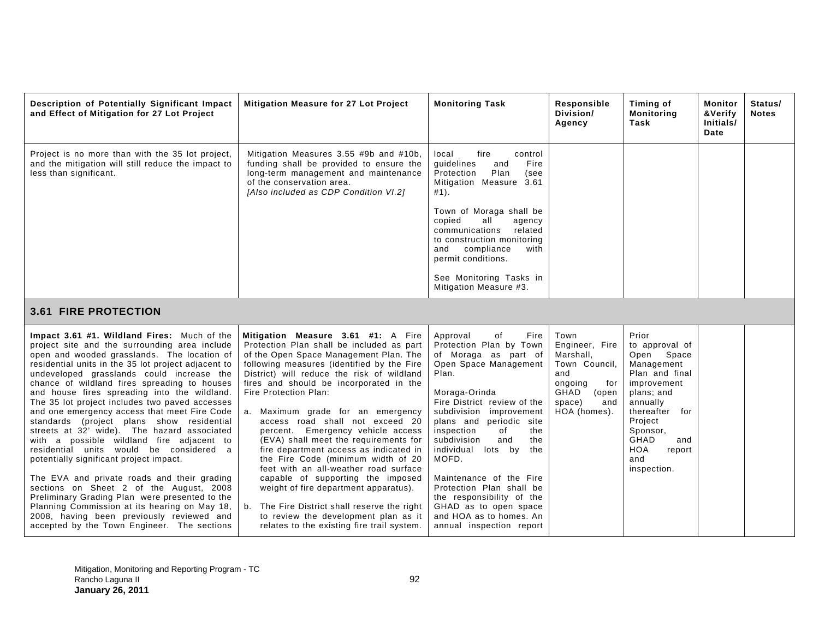| Description of Potentially Significant Impact<br>and Effect of Mitigation for 27 Lot Project                                                                                                                                                                                                                                                                                                                                                                                                                                                                                                                                                                                                                                                                                                                                                                                                                                                                              | Mitigation Measure for 27 Lot Project                                                                                                                                                                                                                                                                                                                                                                                                                                                                                                                                                                                                                                                                                                                                                           | <b>Monitoring Task</b>                                                                                                                                                                                                                                                                                                                                                                                                                                                                 | Responsible<br>Division/<br>Agency                                                                                              | Timing of<br><b>Monitoring</b><br>Task                                                                                                                                                                               | Monitor<br>&Verify<br>Initials/<br>Date | Status/<br><b>Notes</b> |
|---------------------------------------------------------------------------------------------------------------------------------------------------------------------------------------------------------------------------------------------------------------------------------------------------------------------------------------------------------------------------------------------------------------------------------------------------------------------------------------------------------------------------------------------------------------------------------------------------------------------------------------------------------------------------------------------------------------------------------------------------------------------------------------------------------------------------------------------------------------------------------------------------------------------------------------------------------------------------|-------------------------------------------------------------------------------------------------------------------------------------------------------------------------------------------------------------------------------------------------------------------------------------------------------------------------------------------------------------------------------------------------------------------------------------------------------------------------------------------------------------------------------------------------------------------------------------------------------------------------------------------------------------------------------------------------------------------------------------------------------------------------------------------------|----------------------------------------------------------------------------------------------------------------------------------------------------------------------------------------------------------------------------------------------------------------------------------------------------------------------------------------------------------------------------------------------------------------------------------------------------------------------------------------|---------------------------------------------------------------------------------------------------------------------------------|----------------------------------------------------------------------------------------------------------------------------------------------------------------------------------------------------------------------|-----------------------------------------|-------------------------|
| Project is no more than with the 35 lot project,<br>and the mitigation will still reduce the impact to<br>less than significant.                                                                                                                                                                                                                                                                                                                                                                                                                                                                                                                                                                                                                                                                                                                                                                                                                                          | Mitigation Measures 3.55 #9b and #10b,<br>funding shall be provided to ensure the<br>long-term management and maintenance<br>of the conservation area.<br>[Also included as CDP Condition VI.2]                                                                                                                                                                                                                                                                                                                                                                                                                                                                                                                                                                                                 | fire<br>local<br>control<br>quidelines<br>Fire<br>and<br>Plan<br>Protection<br>(see<br>Mitigation Measure 3.61<br>#1).                                                                                                                                                                                                                                                                                                                                                                 |                                                                                                                                 |                                                                                                                                                                                                                      |                                         |                         |
|                                                                                                                                                                                                                                                                                                                                                                                                                                                                                                                                                                                                                                                                                                                                                                                                                                                                                                                                                                           |                                                                                                                                                                                                                                                                                                                                                                                                                                                                                                                                                                                                                                                                                                                                                                                                 | Town of Moraga shall be<br>copied<br>all<br>agency<br>related<br>communications<br>to construction monitoring<br>and<br>compliance<br>with<br>permit conditions.                                                                                                                                                                                                                                                                                                                       |                                                                                                                                 |                                                                                                                                                                                                                      |                                         |                         |
|                                                                                                                                                                                                                                                                                                                                                                                                                                                                                                                                                                                                                                                                                                                                                                                                                                                                                                                                                                           |                                                                                                                                                                                                                                                                                                                                                                                                                                                                                                                                                                                                                                                                                                                                                                                                 | See Monitoring Tasks in<br>Mitigation Measure #3.                                                                                                                                                                                                                                                                                                                                                                                                                                      |                                                                                                                                 |                                                                                                                                                                                                                      |                                         |                         |
| <b>3.61 FIRE PROTECTION</b>                                                                                                                                                                                                                                                                                                                                                                                                                                                                                                                                                                                                                                                                                                                                                                                                                                                                                                                                               |                                                                                                                                                                                                                                                                                                                                                                                                                                                                                                                                                                                                                                                                                                                                                                                                 |                                                                                                                                                                                                                                                                                                                                                                                                                                                                                        |                                                                                                                                 |                                                                                                                                                                                                                      |                                         |                         |
| Impact 3.61 #1. Wildland Fires: Much of the<br>project site and the surrounding area include<br>open and wooded grasslands. The location of<br>residential units in the 35 lot project adjacent to<br>undeveloped grasslands could increase the<br>chance of wildland fires spreading to houses<br>and house fires spreading into the wildland.<br>The 35 lot project includes two paved accesses<br>and one emergency access that meet Fire Code<br>standards (project plans show residential<br>streets at 32' wide). The hazard associated<br>with a possible wildland fire adjacent to<br>residential units would be considered a<br>potentially significant project impact.<br>The EVA and private roads and their grading<br>sections on Sheet 2 of the August, 2008<br>Preliminary Grading Plan were presented to the<br>Planning Commission at its hearing on May 18,<br>2008, having been previously reviewed and<br>accepted by the Town Engineer. The sections | Mitigation Measure 3.61 #1: A Fire<br>Protection Plan shall be included as part<br>of the Open Space Management Plan. The<br>following measures (identified by the Fire<br>District) will reduce the risk of wildland<br>fires and should be incorporated in the<br>Fire Protection Plan:<br>a. Maximum grade for an emergency<br>access road shall not exceed 20<br>Emergency vehicle access<br>percent.<br>(EVA) shall meet the requirements for<br>fire department access as indicated in<br>the Fire Code (minimum width of 20<br>feet with an all-weather road surface<br>capable of supporting the imposed<br>weight of fire department apparatus).<br>b. The Fire District shall reserve the right<br>to review the development plan as it<br>relates to the existing fire trail system. | Fire<br>Approval<br>of<br>Protection Plan by Town<br>of Moraga as part of<br>Open Space Management<br>Plan.<br>Moraga-Orinda<br>Fire District review of the<br>subdivision improvement<br>plans and periodic site<br>of<br>inspection<br>the<br>subdivision<br>and<br>the<br>individual<br>lots by<br>the<br>MOFD.<br>Maintenance of the Fire<br>Protection Plan shall be<br>the responsibility of the<br>GHAD as to open space<br>and HOA as to homes. An<br>annual inspection report | Town<br>Engineer, Fire<br>Marshall,<br>Town Council,<br>and<br>ongoing<br>for<br>GHAD<br>(open<br>space)<br>and<br>HOA (homes). | Prior<br>to approval of<br>Open Space<br>Management<br>Plan and final<br>improvement<br>plans; and<br>annually<br>thereafter for<br>Project<br>Sponsor,<br>GHAD<br>and<br><b>HOA</b><br>report<br>and<br>inspection. |                                         |                         |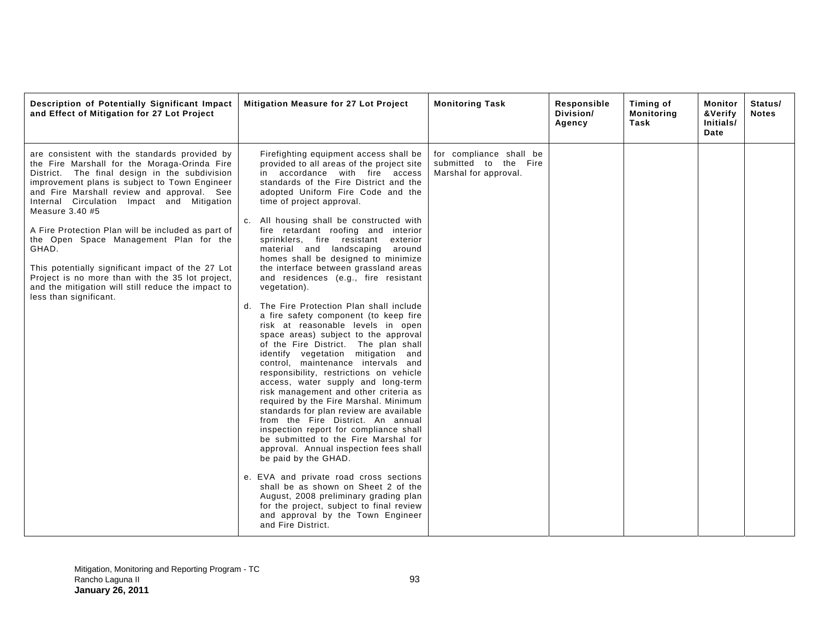| Description of Potentially Significant Impact<br>and Effect of Mitigation for 27 Lot Project                                                                                                                                                                                                                                                                                                                                                                                                                                                                                                                       | Mitigation Measure for 27 Lot Project                                                                                                                                                                                                                                                                                                                                                                                                                                                                                                                                                                                                                                                                                                                                                                                                                                                                                                                                                                                                                                                                                                                                                                                                                                                                                                                                                                                                                                    | <b>Monitoring Task</b>                                                    | Responsible<br>Division/<br>Agency | Timing of<br><b>Monitoring</b><br>Task | Monitor<br>Status/<br>&Verify<br><b>Notes</b><br>Initials/<br>Date |
|--------------------------------------------------------------------------------------------------------------------------------------------------------------------------------------------------------------------------------------------------------------------------------------------------------------------------------------------------------------------------------------------------------------------------------------------------------------------------------------------------------------------------------------------------------------------------------------------------------------------|--------------------------------------------------------------------------------------------------------------------------------------------------------------------------------------------------------------------------------------------------------------------------------------------------------------------------------------------------------------------------------------------------------------------------------------------------------------------------------------------------------------------------------------------------------------------------------------------------------------------------------------------------------------------------------------------------------------------------------------------------------------------------------------------------------------------------------------------------------------------------------------------------------------------------------------------------------------------------------------------------------------------------------------------------------------------------------------------------------------------------------------------------------------------------------------------------------------------------------------------------------------------------------------------------------------------------------------------------------------------------------------------------------------------------------------------------------------------------|---------------------------------------------------------------------------|------------------------------------|----------------------------------------|--------------------------------------------------------------------|
| are consistent with the standards provided by<br>the Fire Marshall for the Moraga-Orinda Fire<br>District. The final design in the subdivision<br>improvement plans is subject to Town Engineer<br>and Fire Marshall review and approval. See<br>Internal Circulation Impact and Mitigation<br>Measure $3.40$ #5<br>A Fire Protection Plan will be included as part of<br>the Open Space Management Plan for the<br>GHAD.<br>This potentially significant impact of the 27 Lot<br>Project is no more than with the 35 lot project,<br>and the mitigation will still reduce the impact to<br>less than significant. | Firefighting equipment access shall be<br>provided to all areas of the project site<br>in accordance with fire access<br>standards of the Fire District and the<br>adopted Uniform Fire Code and the<br>time of project approval.<br>All housing shall be constructed with<br>fire retardant roofing and interior<br>sprinklers, fire resistant<br>exterior<br>material and landscaping<br>around<br>homes shall be designed to minimize<br>the interface between grassland areas<br>and residences (e.g., fire resistant<br>vegetation).<br>d. The Fire Protection Plan shall include<br>a fire safety component (to keep fire<br>risk at reasonable levels in open<br>space areas) subject to the approval<br>of the Fire District. The plan shall<br>identify vegetation mitigation and<br>control, maintenance intervals and<br>responsibility, restrictions on vehicle<br>access, water supply and long-term<br>risk management and other criteria as<br>required by the Fire Marshal. Minimum<br>standards for plan review are available<br>from the Fire District. An annual<br>inspection report for compliance shall<br>be submitted to the Fire Marshal for<br>approval. Annual inspection fees shall<br>be paid by the GHAD.<br>e. EVA and private road cross sections<br>shall be as shown on Sheet 2 of the<br>August, 2008 preliminary grading plan<br>for the project, subject to final review<br>and approval by the Town Engineer<br>and Fire District. | for compliance shall be<br>submitted to the Fire<br>Marshal for approval. |                                    |                                        |                                                                    |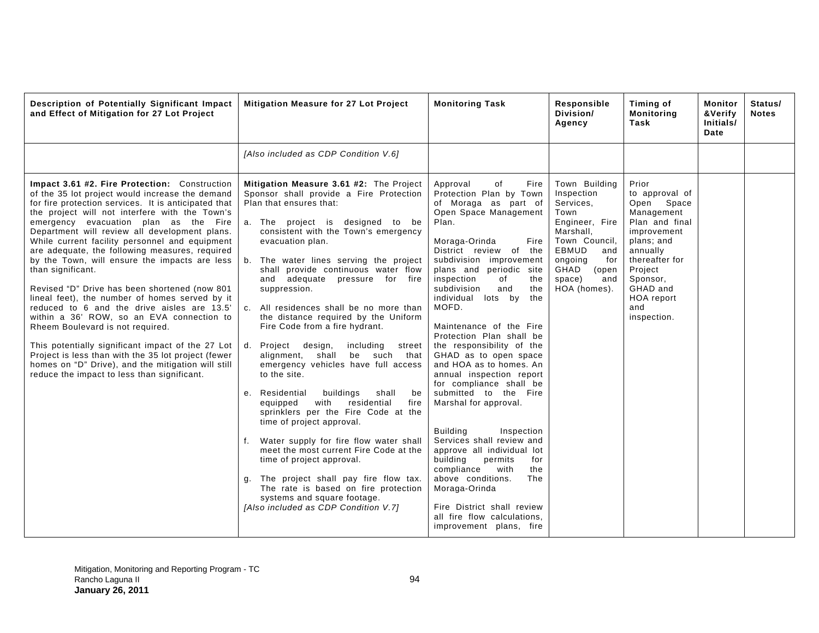| Description of Potentially Significant Impact<br>and Effect of Mitigation for 27 Lot Project                                                                                                                                                                                                                                                                                                                                                                                                                                                                                                                                                                                                                                                                                                                                                                                                                                        | Mitigation Measure for 27 Lot Project                                                                                                                                                                                                                                                                                                                                                                                                                                                                                                                                                                                                                                                                                                                                                                                                                                                                                                                                                                                                                                                     | <b>Monitoring Task</b>                                                                                                                                                                                                                                                                                                                                                                                                                                                                                                                                                                                                                                                                                                                                                                                                                                          | Responsible<br>Division/<br>Agency                                                                                                                                                   | Timing of<br>Monitoring<br>Task                                                                                                                                                                         | <b>Monitor</b><br>&Verify<br>Initials/<br>Date | Status/<br><b>Notes</b> |
|-------------------------------------------------------------------------------------------------------------------------------------------------------------------------------------------------------------------------------------------------------------------------------------------------------------------------------------------------------------------------------------------------------------------------------------------------------------------------------------------------------------------------------------------------------------------------------------------------------------------------------------------------------------------------------------------------------------------------------------------------------------------------------------------------------------------------------------------------------------------------------------------------------------------------------------|-------------------------------------------------------------------------------------------------------------------------------------------------------------------------------------------------------------------------------------------------------------------------------------------------------------------------------------------------------------------------------------------------------------------------------------------------------------------------------------------------------------------------------------------------------------------------------------------------------------------------------------------------------------------------------------------------------------------------------------------------------------------------------------------------------------------------------------------------------------------------------------------------------------------------------------------------------------------------------------------------------------------------------------------------------------------------------------------|-----------------------------------------------------------------------------------------------------------------------------------------------------------------------------------------------------------------------------------------------------------------------------------------------------------------------------------------------------------------------------------------------------------------------------------------------------------------------------------------------------------------------------------------------------------------------------------------------------------------------------------------------------------------------------------------------------------------------------------------------------------------------------------------------------------------------------------------------------------------|--------------------------------------------------------------------------------------------------------------------------------------------------------------------------------------|---------------------------------------------------------------------------------------------------------------------------------------------------------------------------------------------------------|------------------------------------------------|-------------------------|
|                                                                                                                                                                                                                                                                                                                                                                                                                                                                                                                                                                                                                                                                                                                                                                                                                                                                                                                                     | [Also included as CDP Condition V.6]                                                                                                                                                                                                                                                                                                                                                                                                                                                                                                                                                                                                                                                                                                                                                                                                                                                                                                                                                                                                                                                      |                                                                                                                                                                                                                                                                                                                                                                                                                                                                                                                                                                                                                                                                                                                                                                                                                                                                 |                                                                                                                                                                                      |                                                                                                                                                                                                         |                                                |                         |
| Impact 3.61 #2. Fire Protection: Construction<br>of the 35 lot project would increase the demand<br>for fire protection services. It is anticipated that<br>the project will not interfere with the Town's<br>emergency evacuation plan as the Fire<br>Department will review all development plans.<br>While current facility personnel and equipment<br>are adequate, the following measures, required<br>by the Town, will ensure the impacts are less<br>than significant.<br>Revised "D" Drive has been shortened (now 801)<br>lineal feet), the number of homes served by it<br>reduced to 6 and the drive aisles are 13.5'<br>within a 36' ROW, so an EVA connection to<br>Rheem Boulevard is not required.<br>This potentially significant impact of the 27 Lot<br>Project is less than with the 35 lot project (fewer<br>homes on "D" Drive), and the mitigation will still<br>reduce the impact to less than significant. | Mitigation Measure 3.61 #2: The Project<br>Sponsor shall provide a Fire Protection<br>Plan that ensures that:<br>a. The project is designed to be<br>consistent with the Town's emergency<br>evacuation plan.<br>b. The water lines serving the project<br>shall provide continuous water flow<br>and adequate pressure for fire<br>suppression.<br>All residences shall be no more than<br>C <sub>1</sub><br>the distance required by the Uniform<br>Fire Code from a fire hydrant.<br>including<br>Project design,<br>d.<br>street<br>alignment,<br>shall<br>be such<br>that<br>emergency vehicles have full access<br>to the site.<br>Residential<br>buildings<br>shall<br>e.<br>be<br>with<br>residential<br>fire<br>equipped<br>sprinklers per the Fire Code at the<br>time of project approval.<br>Water supply for fire flow water shall<br>f.<br>meet the most current Fire Code at the<br>time of project approval.<br>The project shall pay fire flow tax.<br>g.<br>The rate is based on fire protection<br>systems and square footage.<br>[Also included as CDP Condition V.7] | Approval<br>of<br>Fire<br>Protection Plan by Town<br>of Moraga as part of<br>Open Space Management<br>Plan.<br>Moraga-Orinda<br>Fire<br>District review of the<br>subdivision improvement<br>plans and periodic site<br>inspection<br>of<br>the<br>subdivision<br>the<br>and<br>individual lots by<br>the<br>MOFD.<br>Maintenance of the Fire<br>Protection Plan shall be<br>the responsibility of the<br>GHAD as to open space<br>and HOA as to homes. An<br>annual inspection report<br>for compliance shall be<br>submitted to the Fire<br>Marshal for approval.<br><b>Building</b><br>Inspection<br>Services shall review and<br>approve all individual lot<br>building<br>permits<br>for<br>compliance<br>with<br>the<br>above conditions.<br>The<br>Moraga-Orinda<br>Fire District shall review<br>all fire flow calculations.<br>improvement plans, fire | Town Building<br>Inspection<br>Services,<br>Town<br>Engineer, Fire<br>Marshall.<br>Town Council.<br>EBMUD<br>and<br>ongoing<br>for<br>GHAD<br>(open<br>space)<br>and<br>HOA (homes). | Prior<br>to approval of<br>Open Space<br>Management<br>Plan and final<br>improvement<br>plans; and<br>annually<br>thereafter for<br>Project<br>Sponsor,<br>GHAD and<br>HOA report<br>and<br>inspection. |                                                |                         |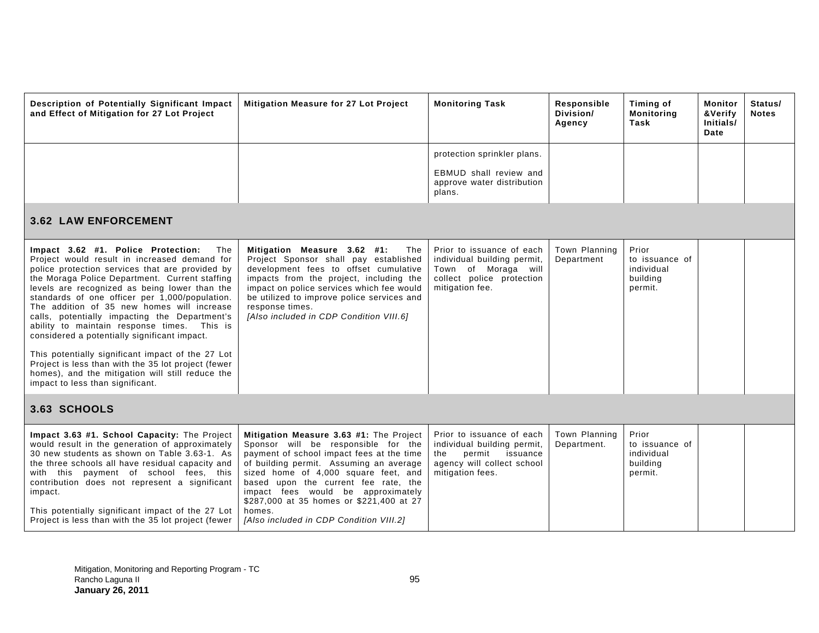| Description of Potentially Significant Impact<br>and Effect of Mitigation for 27 Lot Project                                                                                                                                                                                                                                                                                                                                                                                                                                                                                                                                                                                                        | <b>Mitigation Measure for 27 Lot Project</b>                                                                                                                                                                                                                                                                             | <b>Monitoring Task</b>                                                                                                          | Responsible<br>Division/<br>Agency | <b>Timing of</b><br><b>Monitoring</b><br>Task                | Monitor<br>&Verify<br>Initials/<br>Date | Status/<br><b>Notes</b> |
|-----------------------------------------------------------------------------------------------------------------------------------------------------------------------------------------------------------------------------------------------------------------------------------------------------------------------------------------------------------------------------------------------------------------------------------------------------------------------------------------------------------------------------------------------------------------------------------------------------------------------------------------------------------------------------------------------------|--------------------------------------------------------------------------------------------------------------------------------------------------------------------------------------------------------------------------------------------------------------------------------------------------------------------------|---------------------------------------------------------------------------------------------------------------------------------|------------------------------------|--------------------------------------------------------------|-----------------------------------------|-------------------------|
|                                                                                                                                                                                                                                                                                                                                                                                                                                                                                                                                                                                                                                                                                                     |                                                                                                                                                                                                                                                                                                                          | protection sprinkler plans.                                                                                                     |                                    |                                                              |                                         |                         |
|                                                                                                                                                                                                                                                                                                                                                                                                                                                                                                                                                                                                                                                                                                     |                                                                                                                                                                                                                                                                                                                          | <b>EBMUD</b> shall review and<br>approve water distribution<br>plans.                                                           |                                    |                                                              |                                         |                         |
| <b>3.62 LAW ENFORCEMENT</b>                                                                                                                                                                                                                                                                                                                                                                                                                                                                                                                                                                                                                                                                         |                                                                                                                                                                                                                                                                                                                          |                                                                                                                                 |                                    |                                                              |                                         |                         |
| Impact 3.62 #1. Police Protection:<br>The<br>Project would result in increased demand for<br>police protection services that are provided by<br>the Moraga Police Department. Current staffing<br>levels are recognized as being lower than the<br>standards of one officer per 1,000/population.<br>The addition of 35 new homes will increase<br>calls, potentially impacting the Department's<br>ability to maintain response times. This is<br>considered a potentially significant impact.<br>This potentially significant impact of the 27 Lot<br>Project is less than with the 35 lot project (fewer<br>homes), and the mitigation will still reduce the<br>impact to less than significant. | Mitigation Measure 3.62 #1:<br>The<br>Project Sponsor shall pay established<br>development fees to offset cumulative<br>impacts from the project, including the<br>impact on police services which fee would<br>be utilized to improve police services and<br>response times.<br>[Also included in CDP Condition VIII.6] | Prior to issuance of each<br>individual building permit,<br>Town of Moraga will<br>collect police protection<br>mitigation fee. | Town Planning<br>Department        | Prior<br>to issuance of<br>individual<br>building<br>permit. |                                         |                         |
| 3.63 SCHOOLS                                                                                                                                                                                                                                                                                                                                                                                                                                                                                                                                                                                                                                                                                        |                                                                                                                                                                                                                                                                                                                          |                                                                                                                                 |                                    |                                                              |                                         |                         |
| Impact 3.63 #1. School Capacity: The Project<br>would result in the generation of approximately<br>30 new students as shown on Table 3.63-1. As                                                                                                                                                                                                                                                                                                                                                                                                                                                                                                                                                     | Mitigation Measure 3.63 #1: The Project<br>Sponsor will be responsible for the<br>payment of school impact fees at the time                                                                                                                                                                                              | Prior to issuance of each<br>individual building permit,<br>the<br>permit<br>issuance                                           | Town Planning<br>Department.       | Prior<br>to issuance of<br>individual                        |                                         |                         |

| 30 new students as shown on Table 3.63-1. As   payment of school impact fees at the time   the                          |                                          | permit<br>issuance | individual |  |
|-------------------------------------------------------------------------------------------------------------------------|------------------------------------------|--------------------|------------|--|
| the three schools all have residual capacity and   of building permit. Assuming an average   agency will collect school |                                          |                    | building   |  |
| with this payment of school fees, this sized home of 4,000 square feet, and mitigation fees.                            |                                          |                    | permit.    |  |
| contribution does not represent a significant based upon the current fee rate, the                                      |                                          |                    |            |  |
| impact.                                                                                                                 | fees would be approximately<br>impact    |                    |            |  |
|                                                                                                                         | \$287,000 at 35 homes or \$221,400 at 27 |                    |            |  |
| This potentially significant impact of the 27 Lot                                                                       | homes.                                   |                    |            |  |
| Project is less than with the 35 lot project (fewer   [Also included in CDP Condition VIII.2]                           |                                          |                    |            |  |
|                                                                                                                         |                                          |                    |            |  |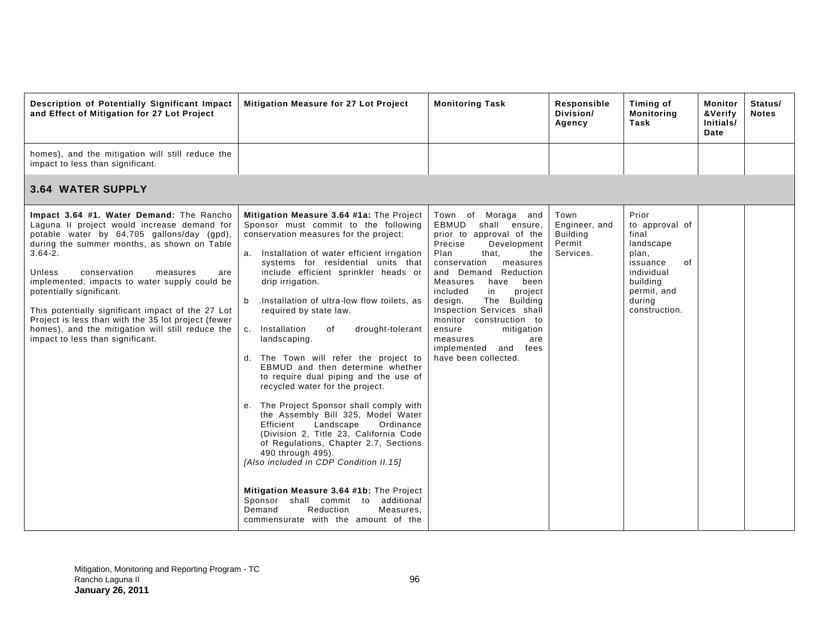| Description of Potentially Significant Impact<br>and Effect of Mitigation for 27 Lot Project                                                                                                                                                                                                                                                                                                                                                                                                                                      | Mitigation Measure for 27 Lot Project                                                                                                                                                                                                                                                                                                                                                                                                                                                                                                                                                                                                                                                                                                                                                                                                                                                                                                                                                                                           | <b>Monitoring Task</b>                                                                                                                                                                                                                                                                                                                                                                                                          | Responsible<br>Division/<br>Agency                              | Timing of<br><b>Monitoring</b><br>Task                                                                                                       | Monitor<br>&Verify<br>Initials/<br>Date | Status/<br><b>Notes</b> |
|-----------------------------------------------------------------------------------------------------------------------------------------------------------------------------------------------------------------------------------------------------------------------------------------------------------------------------------------------------------------------------------------------------------------------------------------------------------------------------------------------------------------------------------|---------------------------------------------------------------------------------------------------------------------------------------------------------------------------------------------------------------------------------------------------------------------------------------------------------------------------------------------------------------------------------------------------------------------------------------------------------------------------------------------------------------------------------------------------------------------------------------------------------------------------------------------------------------------------------------------------------------------------------------------------------------------------------------------------------------------------------------------------------------------------------------------------------------------------------------------------------------------------------------------------------------------------------|---------------------------------------------------------------------------------------------------------------------------------------------------------------------------------------------------------------------------------------------------------------------------------------------------------------------------------------------------------------------------------------------------------------------------------|-----------------------------------------------------------------|----------------------------------------------------------------------------------------------------------------------------------------------|-----------------------------------------|-------------------------|
| homes), and the mitigation will still reduce the<br>impact to less than significant.                                                                                                                                                                                                                                                                                                                                                                                                                                              |                                                                                                                                                                                                                                                                                                                                                                                                                                                                                                                                                                                                                                                                                                                                                                                                                                                                                                                                                                                                                                 |                                                                                                                                                                                                                                                                                                                                                                                                                                 |                                                                 |                                                                                                                                              |                                         |                         |
| <b>3.64 WATER SUPPLY</b>                                                                                                                                                                                                                                                                                                                                                                                                                                                                                                          |                                                                                                                                                                                                                                                                                                                                                                                                                                                                                                                                                                                                                                                                                                                                                                                                                                                                                                                                                                                                                                 |                                                                                                                                                                                                                                                                                                                                                                                                                                 |                                                                 |                                                                                                                                              |                                         |                         |
| Impact 3.64 #1. Water Demand: The Rancho<br>Laguna II project would increase demand for<br>potable water by 64,705 gallons/day (gpd),<br>during the summer months, as shown on Table<br>$3.64 - 2.$<br>Unless<br>conservation<br>measures<br>are<br>implemented, impacts to water supply could be<br>potentially significant.<br>This potentially significant impact of the 27 Lot<br>Project is less than with the 35 lot project (fewer<br>homes), and the mitigation will still reduce the<br>impact to less than significant. | Mitigation Measure 3.64 #1a: The Project<br>Sponsor must commit to the following<br>conservation measures for the project:<br>a. Installation of water efficient irrigation<br>systems for residential units that<br>include efficient sprinkler heads or<br>drip irrigation.<br>.Installation of ultra-low flow toilets, as<br>b<br>required by state law.<br>c. Installation<br>of<br>drought-tolerant<br>landscaping.<br>d. The Town will refer the project to<br>EBMUD and then determine whether<br>to require dual piping and the use of<br>recycled water for the project.<br>e. The Project Sponsor shall comply with<br>the Assembly Bill 325, Model Water<br>Landscape<br>Efficient<br>Ordinance<br>(Division 2, Title 23, California Code<br>of Regulations, Chapter 2.7, Sections<br>490 through 495).<br>[Also included in CDP Condition II.15]<br>Mitigation Measure 3.64 #1b: The Project<br>shall commit to<br>additional<br>Sponsor<br>Reduction<br>Demand<br>Measures.<br>commensurate with the amount of the | Town of Moraga and<br>EBMUD<br>shall ensure,<br>prior to approval of the<br>Precise<br>Development<br>Plan<br>that,<br>the<br>conservation<br>measures<br>and Demand Reduction<br><b>Measures</b><br>have<br>been<br>included<br>in<br>project<br>The Building<br>design.<br>Inspection Services shall<br>monitor construction to<br>ensure<br>mitigation<br>measures<br>are<br>implemented and<br>fees<br>have been collected. | Town<br>Engineer, and<br><b>Building</b><br>Permit<br>Services. | Prior<br>to approval of<br>final<br>landscape<br>plan,<br>issuance<br>of<br>individual<br>building<br>permit, and<br>during<br>construction. |                                         |                         |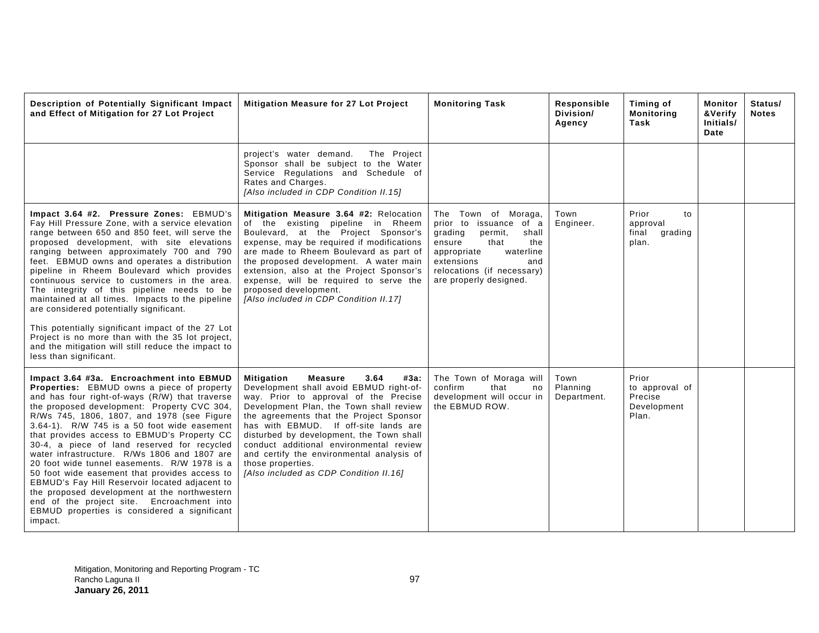| Description of Potentially Significant Impact<br>and Effect of Mitigation for 27 Lot Project                                                                                                                                                                                                                                                                                                                                                                                                                                                                                                                                                                                                                                                          | Mitigation Measure for 27 Lot Project                                                                                                                                                                                                                                                                                                                                                                                                                                     | <b>Monitoring Task</b>                                                                                                                                                                                         | Responsible<br>Division/<br>Agency | Timing of<br><b>Monitoring</b><br>Task                     | Monitor<br>&Verify<br>Initials/<br>Date | Status/<br><b>Notes</b> |
|-------------------------------------------------------------------------------------------------------------------------------------------------------------------------------------------------------------------------------------------------------------------------------------------------------------------------------------------------------------------------------------------------------------------------------------------------------------------------------------------------------------------------------------------------------------------------------------------------------------------------------------------------------------------------------------------------------------------------------------------------------|---------------------------------------------------------------------------------------------------------------------------------------------------------------------------------------------------------------------------------------------------------------------------------------------------------------------------------------------------------------------------------------------------------------------------------------------------------------------------|----------------------------------------------------------------------------------------------------------------------------------------------------------------------------------------------------------------|------------------------------------|------------------------------------------------------------|-----------------------------------------|-------------------------|
|                                                                                                                                                                                                                                                                                                                                                                                                                                                                                                                                                                                                                                                                                                                                                       | project's water demand.<br>The Project<br>Sponsor shall be subject to the Water<br>Service Regulations and Schedule of<br>Rates and Charges.<br>[Also included in CDP Condition II.15]                                                                                                                                                                                                                                                                                    |                                                                                                                                                                                                                |                                    |                                                            |                                         |                         |
| Impact 3.64 #2. Pressure Zones: EBMUD's<br>Fay Hill Pressure Zone, with a service elevation<br>range between 650 and 850 feet, will serve the<br>proposed development, with site elevations<br>ranging between approximately 700 and 790<br>feet. EBMUD owns and operates a distribution<br>pipeline in Rheem Boulevard which provides<br>continuous service to customers in the area.<br>The integrity of this pipeline needs to be<br>maintained at all times. Impacts to the pipeline<br>are considered potentially significant.<br>This potentially significant impact of the 27 Lot<br>Project is no more than with the 35 lot project,<br>and the mitigation will still reduce the impact to<br>less than significant.                          | Mitigation Measure 3.64 #2: Relocation<br>of the existing pipeline in Rheem<br>Boulevard, at the Project Sponsor's<br>expense, may be required if modifications<br>are made to Rheem Boulevard as part of<br>the proposed development. A water main<br>extension, also at the Project Sponsor's<br>expense, will be required to serve the<br>proposed development.<br>[Also included in CDP Condition II.17]                                                              | The Town of Moraga,<br>prior to issuance of a<br>grading<br>permit,<br>shall<br>the<br>ensure<br>that<br>appropriate<br>waterline<br>extensions<br>and<br>relocations (if necessary)<br>are properly designed. | Town<br>Engineer.                  | Prior<br>to<br>approval<br>final<br>grading<br>plan.       |                                         |                         |
| Impact 3.64 #3a. Encroachment into EBMUD<br><b>Properties:</b> EBMUD owns a piece of property<br>and has four right-of-ways (R/W) that traverse<br>the proposed development: Property CVC 304,<br>R/Ws 745, 1806, 1807, and 1978 (see Figure<br>3.64-1). R/W 745 is a 50 foot wide easement<br>that provides access to EBMUD's Property CC<br>30-4, a piece of land reserved for recycled<br>water infrastructure. R/Ws 1806 and 1807 are<br>20 foot wide tunnel easements. R/W 1978 is a<br>50 foot wide easement that provides access to<br>EBMUD's Fay Hill Reservoir located adjacent to<br>the proposed development at the northwestern<br>end of the project site. Encroachment into<br>EBMUD properties is considered a significant<br>impact. | <b>Mitigation</b><br><b>Measure</b><br>3.64<br>#3а:<br>Development shall avoid EBMUD right-of-<br>way. Prior to approval of the Precise<br>Development Plan, the Town shall review<br>the agreements that the Project Sponsor<br>has with EBMUD. If off-site lands are<br>disturbed by development, the Town shall<br>conduct additional environmental review<br>and certify the environmental analysis of<br>those properties.<br>[Also included as CDP Condition II.16] | The Town of Moraga will<br>confirm<br>that<br>no<br>development will occur in<br>the EBMUD ROW.                                                                                                                | Town<br>Planning<br>Department.    | Prior<br>to approval of<br>Precise<br>Development<br>Plan. |                                         |                         |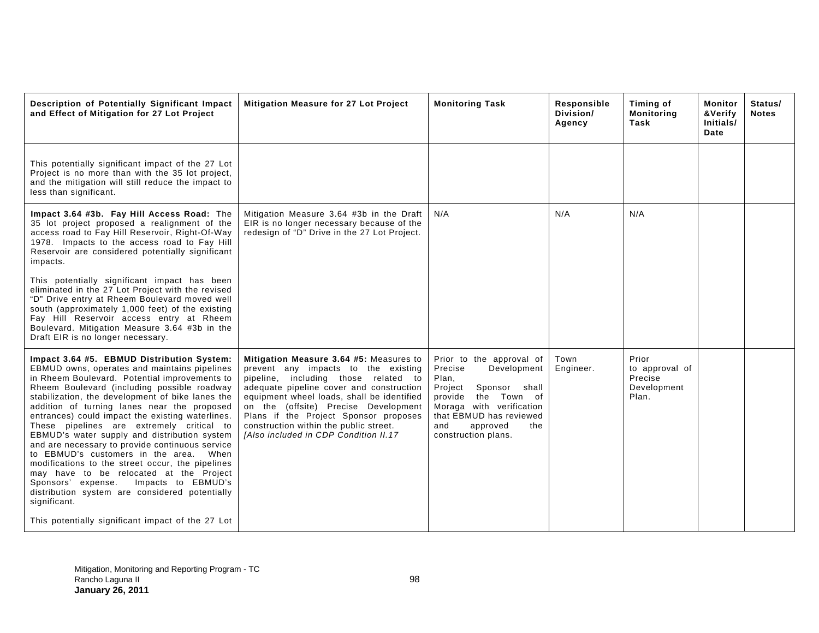| Description of Potentially Significant Impact<br>and Effect of Mitigation for 27 Lot Project                                                                                                                                                                                                                                                                                                                                                                                                                                                                                                                                                                                                                                                                                                                  | Mitigation Measure for 27 Lot Project                                                                                                                                                                                                                                                                                                                                                       | <b>Monitoring Task</b>                                                                                                                                                                                                       | Responsible<br>Division/<br>Agency | Timing of<br><b>Monitoring</b><br>Task                     | Monitor<br>&Verify<br>Initials/<br>Date | Status/<br><b>Notes</b> |
|---------------------------------------------------------------------------------------------------------------------------------------------------------------------------------------------------------------------------------------------------------------------------------------------------------------------------------------------------------------------------------------------------------------------------------------------------------------------------------------------------------------------------------------------------------------------------------------------------------------------------------------------------------------------------------------------------------------------------------------------------------------------------------------------------------------|---------------------------------------------------------------------------------------------------------------------------------------------------------------------------------------------------------------------------------------------------------------------------------------------------------------------------------------------------------------------------------------------|------------------------------------------------------------------------------------------------------------------------------------------------------------------------------------------------------------------------------|------------------------------------|------------------------------------------------------------|-----------------------------------------|-------------------------|
| This potentially significant impact of the 27 Lot<br>Project is no more than with the 35 lot project,<br>and the mitigation will still reduce the impact to<br>less than significant.                                                                                                                                                                                                                                                                                                                                                                                                                                                                                                                                                                                                                         |                                                                                                                                                                                                                                                                                                                                                                                             |                                                                                                                                                                                                                              |                                    |                                                            |                                         |                         |
| Impact 3.64 #3b. Fay Hill Access Road: The<br>35 lot project proposed a realignment of the<br>access road to Fay Hill Reservoir, Right-Of-Way<br>1978. Impacts to the access road to Fay Hill<br>Reservoir are considered potentially significant<br>impacts.                                                                                                                                                                                                                                                                                                                                                                                                                                                                                                                                                 | Mitigation Measure 3.64 #3b in the Draft<br>EIR is no longer necessary because of the<br>redesign of "D" Drive in the 27 Lot Project.                                                                                                                                                                                                                                                       | N/A                                                                                                                                                                                                                          | N/A                                | N/A                                                        |                                         |                         |
| This potentially significant impact has been<br>eliminated in the 27 Lot Project with the revised<br>"D" Drive entry at Rheem Boulevard moved well<br>south (approximately 1,000 feet) of the existing<br>Fay Hill Reservoir access entry at Rheem<br>Boulevard. Mitigation Measure 3.64 #3b in the<br>Draft EIR is no longer necessary.                                                                                                                                                                                                                                                                                                                                                                                                                                                                      |                                                                                                                                                                                                                                                                                                                                                                                             |                                                                                                                                                                                                                              |                                    |                                                            |                                         |                         |
| Impact 3.64 #5. EBMUD Distribution System:<br>EBMUD owns, operates and maintains pipelines<br>in Rheem Boulevard. Potential improvements to<br>Rheem Boulevard (including possible roadway<br>stabilization, the development of bike lanes the<br>addition of turning lanes near the proposed<br>entrances) could impact the existing waterlines.<br>These pipelines are extremely critical to<br>EBMUD's water supply and distribution system<br>and are necessary to provide continuous service<br>to EBMUD's customers in the area. When<br>modifications to the street occur, the pipelines<br>may have to be relocated at the Project<br>Sponsors' expense.<br>Impacts to EBMUD's<br>distribution system are considered potentially<br>significant.<br>This potentially significant impact of the 27 Lot | Mitigation Measure 3.64 #5: Measures to<br>prevent any impacts to the existing<br>pipeline, including those related to<br>adequate pipeline cover and construction<br>equipment wheel loads, shall be identified<br>on the (offsite) Precise Development<br>Plans if the Project Sponsor proposes<br>construction within the public street.<br><b>IAIso included in CDP Condition II.17</b> | Prior to the approval of<br>Development<br>Precise<br>Plan,<br>Sponsor<br>shall<br>Project<br>the Town of<br>provide<br>Moraga with verification<br>that EBMUD has reviewed<br>approved<br>and<br>the<br>construction plans. | Town<br>Engineer.                  | Prior<br>to approval of<br>Precise<br>Development<br>Plan. |                                         |                         |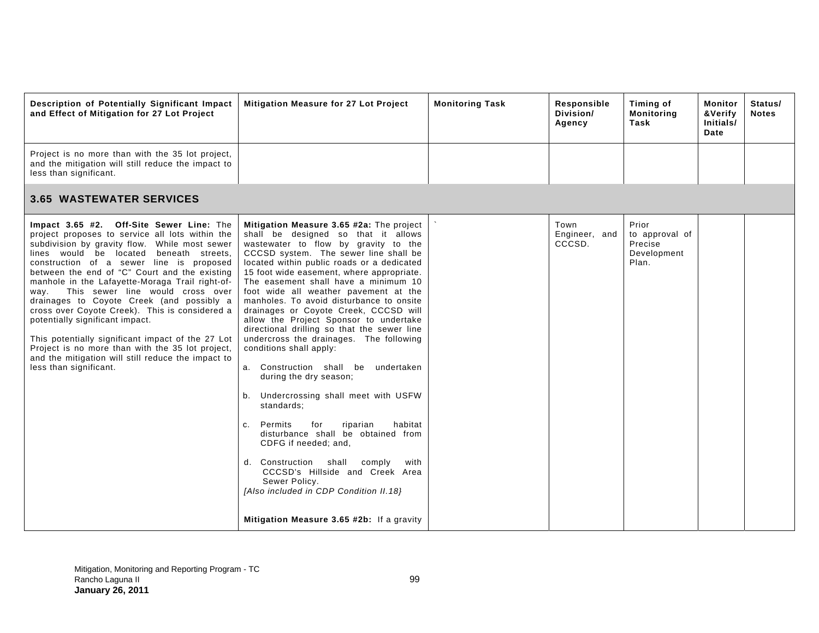| Description of Potentially Significant Impact<br>and Effect of Mitigation for 27 Lot Project                                                                                                                                                                                                                                                                                                                                                                                                                                                                                                                                                                                                                   | Mitigation Measure for 27 Lot Project                                                                                                                                                                                                                                                                                                                                                                                                                                                                                                                                                                                                                                                                                                                                                                                                                                                                                                                                                                                          | <b>Monitoring Task</b> | Responsible<br>Division/<br>Agency | Timing of<br>Monitoring<br>Task                            | Monitor<br>&Verify<br>Initials/<br>Date | Status/<br><b>Notes</b> |
|----------------------------------------------------------------------------------------------------------------------------------------------------------------------------------------------------------------------------------------------------------------------------------------------------------------------------------------------------------------------------------------------------------------------------------------------------------------------------------------------------------------------------------------------------------------------------------------------------------------------------------------------------------------------------------------------------------------|--------------------------------------------------------------------------------------------------------------------------------------------------------------------------------------------------------------------------------------------------------------------------------------------------------------------------------------------------------------------------------------------------------------------------------------------------------------------------------------------------------------------------------------------------------------------------------------------------------------------------------------------------------------------------------------------------------------------------------------------------------------------------------------------------------------------------------------------------------------------------------------------------------------------------------------------------------------------------------------------------------------------------------|------------------------|------------------------------------|------------------------------------------------------------|-----------------------------------------|-------------------------|
| Project is no more than with the 35 lot project,<br>and the mitigation will still reduce the impact to<br>less than significant.                                                                                                                                                                                                                                                                                                                                                                                                                                                                                                                                                                               |                                                                                                                                                                                                                                                                                                                                                                                                                                                                                                                                                                                                                                                                                                                                                                                                                                                                                                                                                                                                                                |                        |                                    |                                                            |                                         |                         |
| <b>3.65 WASTEWATER SERVICES</b>                                                                                                                                                                                                                                                                                                                                                                                                                                                                                                                                                                                                                                                                                |                                                                                                                                                                                                                                                                                                                                                                                                                                                                                                                                                                                                                                                                                                                                                                                                                                                                                                                                                                                                                                |                        |                                    |                                                            |                                         |                         |
| Impact 3.65 #2. Off-Site Sewer Line: The<br>project proposes to service all lots within the<br>subdivision by gravity flow. While most sewer<br>lines would be located beneath streets,<br>construction of a sewer line is proposed<br>between the end of "C" Court and the existing<br>manhole in the Lafayette-Moraga Trail right-of-<br>This sewer line would cross over<br>way.<br>drainages to Coyote Creek (and possibly a<br>cross over Coyote Creek). This is considered a<br>potentially significant impact.<br>This potentially significant impact of the 27 Lot<br>Project is no more than with the 35 lot project,<br>and the mitigation will still reduce the impact to<br>less than significant. | Mitigation Measure 3.65 #2a: The project<br>shall be designed so that it allows<br>wastewater to flow by gravity to the<br>CCCSD system. The sewer line shall be<br>located within public roads or a dedicated<br>15 foot wide easement, where appropriate.<br>The easement shall have a minimum 10<br>foot wide all weather pavement at the<br>manholes. To avoid disturbance to onsite<br>drainages or Coyote Creek, CCCSD will<br>allow the Project Sponsor to undertake<br>directional drilling so that the sewer line<br>undercross the drainages. The following<br>conditions shall apply:<br>a. Construction shall be<br>undertaken<br>during the dry season;<br>b. Undercrossing shall meet with USFW<br>standards;<br>for<br>habitat<br>c. Permits<br>riparian<br>disturbance shall be obtained from<br>CDFG if needed; and,<br>d. Construction<br>shall<br>comply<br>with<br>CCCSD's Hillside and Creek Area<br>Sewer Policy.<br>[Also included in CDP Condition II.18]<br>Mitigation Measure 3.65 #2b: If a gravity |                        | Town<br>Engineer, and<br>CCCSD.    | Prior<br>to approval of<br>Precise<br>Development<br>Plan. |                                         |                         |
|                                                                                                                                                                                                                                                                                                                                                                                                                                                                                                                                                                                                                                                                                                                |                                                                                                                                                                                                                                                                                                                                                                                                                                                                                                                                                                                                                                                                                                                                                                                                                                                                                                                                                                                                                                |                        |                                    |                                                            |                                         |                         |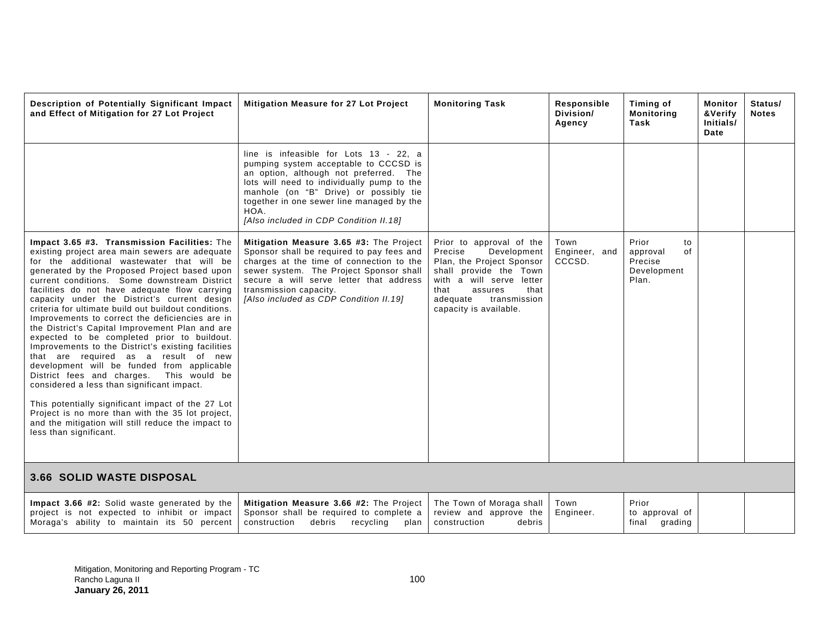| Description of Potentially Significant Impact<br>and Effect of Mitigation for 27 Lot Project                                                                                                                                                                                                                                                                                                                                                                                                                                                                                                                                                                                                                                                                                                                                                                                                                                                                                              | Mitigation Measure for 27 Lot Project                                                                                                                                                                                                                                                                            | <b>Monitoring Task</b>                                                                                                                                                                                                 | Responsible<br>Division/<br>Agency | Timing of<br><b>Monitoring</b><br>Task                           | Monitor<br>&Verify<br>Initials/<br>Date | Status/<br><b>Notes</b> |
|-------------------------------------------------------------------------------------------------------------------------------------------------------------------------------------------------------------------------------------------------------------------------------------------------------------------------------------------------------------------------------------------------------------------------------------------------------------------------------------------------------------------------------------------------------------------------------------------------------------------------------------------------------------------------------------------------------------------------------------------------------------------------------------------------------------------------------------------------------------------------------------------------------------------------------------------------------------------------------------------|------------------------------------------------------------------------------------------------------------------------------------------------------------------------------------------------------------------------------------------------------------------------------------------------------------------|------------------------------------------------------------------------------------------------------------------------------------------------------------------------------------------------------------------------|------------------------------------|------------------------------------------------------------------|-----------------------------------------|-------------------------|
|                                                                                                                                                                                                                                                                                                                                                                                                                                                                                                                                                                                                                                                                                                                                                                                                                                                                                                                                                                                           | line is infeasible for Lots 13 - 22, a<br>pumping system acceptable to CCCSD is<br>an option, although not preferred. The<br>lots will need to individually pump to the<br>manhole (on "B" Drive) or possibly tie<br>together in one sewer line managed by the<br>HOA.<br>[Also included in CDP Condition II.18] |                                                                                                                                                                                                                        |                                    |                                                                  |                                         |                         |
| Impact 3.65 #3. Transmission Facilities: The<br>existing project area main sewers are adequate<br>for the additional wastewater that will be<br>generated by the Proposed Project based upon<br>current conditions. Some downstream District<br>facilities do not have adequate flow carrying<br>capacity under the District's current design<br>criteria for ultimate build out buildout conditions.<br>Improvements to correct the deficiencies are in<br>the District's Capital Improvement Plan and are<br>expected to be completed prior to buildout.<br>Improvements to the District's existing facilities<br>that are required as a result of new<br>development will be funded from applicable<br>District fees and charges. This would be<br>considered a less than significant impact.<br>This potentially significant impact of the 27 Lot<br>Project is no more than with the 35 lot project,<br>and the mitigation will still reduce the impact to<br>less than significant. | Mitigation Measure 3.65 #3: The Project<br>Sponsor shall be required to pay fees and<br>charges at the time of connection to the<br>sewer system. The Project Sponsor shall<br>secure a will serve letter that address<br>transmission capacity.<br>[Also included as CDP Condition II.19]                       | Prior to approval of the<br>Precise<br>Development<br>Plan, the Project Sponsor<br>shall provide the Town<br>with a will serve letter<br>that<br>that<br>assures<br>adequate<br>transmission<br>capacity is available. | Town<br>Engineer, and<br>CCCSD.    | Prior<br>to<br>approval<br>οf<br>Precise<br>Development<br>Plan. |                                         |                         |
| <b>3.66 SOLID WASTE DISPOSAL</b>                                                                                                                                                                                                                                                                                                                                                                                                                                                                                                                                                                                                                                                                                                                                                                                                                                                                                                                                                          |                                                                                                                                                                                                                                                                                                                  |                                                                                                                                                                                                                        |                                    |                                                                  |                                         |                         |
| Impact 3.66 #2: Solid waste generated by the<br>project is not expected to inhibit or impact<br>Moraga's ability to maintain its 50 percent                                                                                                                                                                                                                                                                                                                                                                                                                                                                                                                                                                                                                                                                                                                                                                                                                                               | Mitigation Measure 3.66 #2: The Project<br>Sponsor shall be required to complete a<br>construction<br>debris<br>recycling<br>plan                                                                                                                                                                                | The Town of Moraga shall<br>review and approve the<br>debris<br>construction                                                                                                                                           | Town<br>Engineer.                  | Prior<br>to approval of<br>final grading                         |                                         |                         |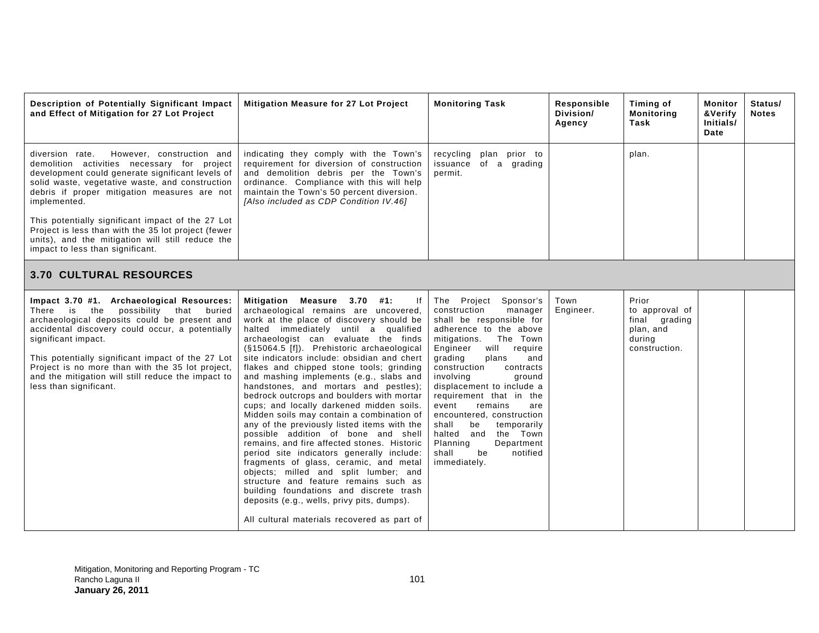| Description of Potentially Significant Impact<br>and Effect of Mitigation for 27 Lot Project                                                                                                                                                                                                                                                                                                               | Mitigation Measure for 27 Lot Project                                                                                                                                                                                                                                                                                                                                                                                                                                                                                                                                                                                                                                                                                                                                                                                                                                                                                                                                                                                           | <b>Monitoring Task</b>                                                                                                                                                                                                                                                                                                                                                                                                                                                                        | Responsible<br>Division/<br>Agency | Timing of<br><b>Monitoring</b><br>Task                                           | Monitor<br>&Verify<br>Initials/<br>Date | Status/<br><b>Notes</b> |
|------------------------------------------------------------------------------------------------------------------------------------------------------------------------------------------------------------------------------------------------------------------------------------------------------------------------------------------------------------------------------------------------------------|---------------------------------------------------------------------------------------------------------------------------------------------------------------------------------------------------------------------------------------------------------------------------------------------------------------------------------------------------------------------------------------------------------------------------------------------------------------------------------------------------------------------------------------------------------------------------------------------------------------------------------------------------------------------------------------------------------------------------------------------------------------------------------------------------------------------------------------------------------------------------------------------------------------------------------------------------------------------------------------------------------------------------------|-----------------------------------------------------------------------------------------------------------------------------------------------------------------------------------------------------------------------------------------------------------------------------------------------------------------------------------------------------------------------------------------------------------------------------------------------------------------------------------------------|------------------------------------|----------------------------------------------------------------------------------|-----------------------------------------|-------------------------|
| diversion rate.<br>However, construction and<br>demolition activities necessary for project<br>development could generate significant levels of<br>solid waste, vegetative waste, and construction<br>debris if proper mitigation measures are not<br>implemented.                                                                                                                                         | indicating they comply with the Town's<br>requirement for diversion of construction<br>and demolition debris per the Town's<br>ordinance. Compliance with this will help<br>maintain the Town's 50 percent diversion.<br>[Also included as CDP Condition IV.46]                                                                                                                                                                                                                                                                                                                                                                                                                                                                                                                                                                                                                                                                                                                                                                 | recycling<br>plan prior to<br>issuance<br>of a grading<br>permit.                                                                                                                                                                                                                                                                                                                                                                                                                             |                                    | plan.                                                                            |                                         |                         |
| This potentially significant impact of the 27 Lot<br>Project is less than with the 35 lot project (fewer<br>units), and the mitigation will still reduce the<br>impact to less than significant.                                                                                                                                                                                                           |                                                                                                                                                                                                                                                                                                                                                                                                                                                                                                                                                                                                                                                                                                                                                                                                                                                                                                                                                                                                                                 |                                                                                                                                                                                                                                                                                                                                                                                                                                                                                               |                                    |                                                                                  |                                         |                         |
| <b>3.70 CULTURAL RESOURCES</b>                                                                                                                                                                                                                                                                                                                                                                             |                                                                                                                                                                                                                                                                                                                                                                                                                                                                                                                                                                                                                                                                                                                                                                                                                                                                                                                                                                                                                                 |                                                                                                                                                                                                                                                                                                                                                                                                                                                                                               |                                    |                                                                                  |                                         |                         |
| Impact 3.70 #1. Archaeological Resources:<br>There is<br>the<br>possibility that buried<br>archaeological deposits could be present and<br>accidental discovery could occur, a potentially<br>significant impact.<br>This potentially significant impact of the 27 Lot<br>Project is no more than with the 35 lot project,<br>and the mitigation will still reduce the impact to<br>less than significant. | Mitigation Measure 3.70 #1:<br>lf<br>archaeological remains are uncovered,<br>work at the place of discovery should be<br>halted immediately until a qualified<br>archaeologist can evaluate the finds<br>(§15064.5 [f]). Prehistoric archaeological<br>site indicators include: obsidian and chert<br>flakes and chipped stone tools; grinding<br>and mashing implements (e.g., slabs and<br>handstones, and mortars and pestles);<br>bedrock outcrops and boulders with mortar<br>cups; and locally darkened midden soils.<br>Midden soils may contain a combination of<br>any of the previously listed items with the<br>possible addition of bone and shell<br>remains, and fire affected stones. Historic<br>period site indicators generally include:<br>fragments of glass, ceramic, and metal<br>objects; milled and split lumber; and<br>structure and feature remains such as<br>building foundations and discrete trash<br>deposits (e.g., wells, privy pits, dumps).<br>All cultural materials recovered as part of | The Project Sponsor's<br>construction<br>manager<br>shall be responsible for<br>adherence to the above<br>mitigations.<br>The Town<br>will<br>Engineer<br>require<br>grading<br>plans<br>and<br>construction<br>contracts<br>involvina<br>ground<br>displacement to include a<br>requirement that in the<br>event<br>remains<br>are<br>encountered, construction<br>shall<br>be<br>temporarily<br>halted and<br>the Town<br>Planning<br>Department<br>shall<br>notified<br>be<br>immediately. | Town<br>Engineer.                  | Prior<br>to approval of<br>final grading<br>plan, and<br>during<br>construction. |                                         |                         |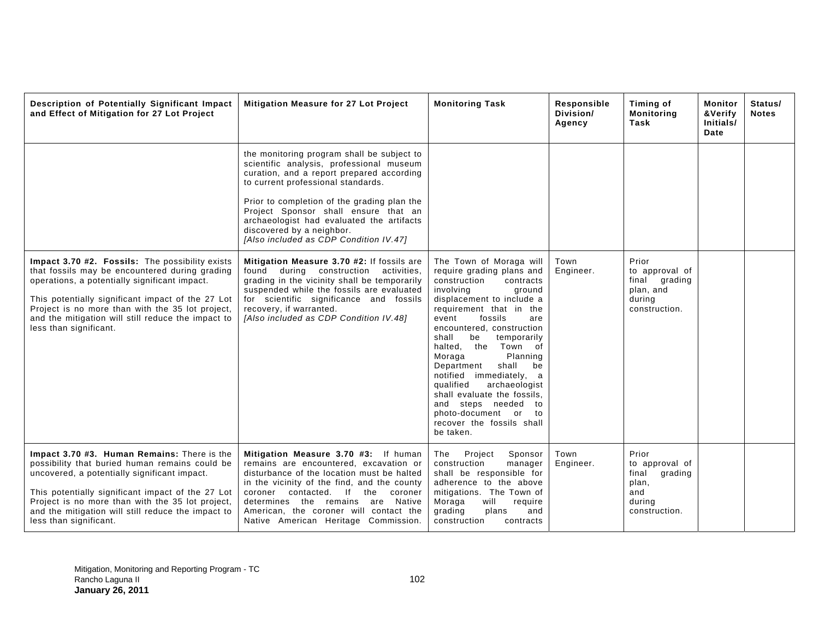| Description of Potentially Significant Impact<br>and Effect of Mitigation for 27 Lot Project                                                                                                                                                                                                                                                | Mitigation Measure for 27 Lot Project                                                                                                                                                                                                                                                                                                                                                | <b>Monitoring Task</b>                                                                                                                                                                                                                                                                                                                                                                                                                                                                                               | Responsible<br>Division/<br>Agency | Timing of<br><b>Monitoring</b><br>Task                                                 | Monitor<br>&Verify<br>Initials/<br>Date | Status/<br><b>Notes</b> |
|---------------------------------------------------------------------------------------------------------------------------------------------------------------------------------------------------------------------------------------------------------------------------------------------------------------------------------------------|--------------------------------------------------------------------------------------------------------------------------------------------------------------------------------------------------------------------------------------------------------------------------------------------------------------------------------------------------------------------------------------|----------------------------------------------------------------------------------------------------------------------------------------------------------------------------------------------------------------------------------------------------------------------------------------------------------------------------------------------------------------------------------------------------------------------------------------------------------------------------------------------------------------------|------------------------------------|----------------------------------------------------------------------------------------|-----------------------------------------|-------------------------|
|                                                                                                                                                                                                                                                                                                                                             | the monitoring program shall be subject to<br>scientific analysis, professional museum<br>curation, and a report prepared according<br>to current professional standards.<br>Prior to completion of the grading plan the<br>Project Sponsor shall ensure that an<br>archaeologist had evaluated the artifacts<br>discovered by a neighbor.<br>[Also included as CDP Condition IV.47] |                                                                                                                                                                                                                                                                                                                                                                                                                                                                                                                      |                                    |                                                                                        |                                         |                         |
| Impact 3.70 #2. Fossils: The possibility exists<br>that fossils may be encountered during grading<br>operations, a potentially significant impact.<br>This potentially significant impact of the 27 Lot<br>Project is no more than with the 35 lot project,<br>and the mitigation will still reduce the impact to<br>less than significant. | Mitigation Measure 3.70 #2: If fossils are<br>found during construction activities,<br>grading in the vicinity shall be temporarily<br>suspended while the fossils are evaluated<br>for scientific significance and fossils<br>recovery, if warranted.<br>[Also included as CDP Condition IV.48]                                                                                     | The Town of Moraga will<br>require grading plans and<br>construction<br>contracts<br>involving<br>ground<br>displacement to include a<br>requirement that in the<br>fossils<br>event<br>are<br>encountered, construction<br>shall<br>be<br>temporarily<br>Town of<br>halted, the<br>Moraga<br>Planning<br>Department<br>shall<br>be<br>notified immediately, a<br>archaeologist<br>qualified<br>shall evaluate the fossils,<br>and steps needed to<br>photo-document or to<br>recover the fossils shall<br>be taken. | Town<br>Engineer.                  | Prior<br>to approval of<br>final grading<br>plan, and<br>during<br>construction.       |                                         |                         |
| Impact 3.70 #3. Human Remains: There is the<br>possibility that buried human remains could be<br>uncovered, a potentially significant impact.<br>This potentially significant impact of the 27 Lot<br>Project is no more than with the 35 lot project,<br>and the mitigation will still reduce the impact to<br>less than significant.      | Mitigation Measure 3.70 #3: If human<br>remains are encountered, excavation or<br>disturbance of the location must be halted<br>in the vicinity of the find, and the county<br>contacted. If the coroner<br>coroner<br>determines the remains are Native<br>American, the coroner will contact the<br>Native American Heritage Commission.                                           | Project<br>The<br>Sponsor<br>construction<br>manager<br>shall be responsible for<br>adherence to the above<br>mitigations. The Town of<br>Moraga<br>will<br>require<br>grading<br>plans<br>and<br>construction<br>contracts                                                                                                                                                                                                                                                                                          | Town<br>Engineer.                  | Prior<br>to approval of<br>final<br>grading<br>plan,<br>and<br>during<br>construction. |                                         |                         |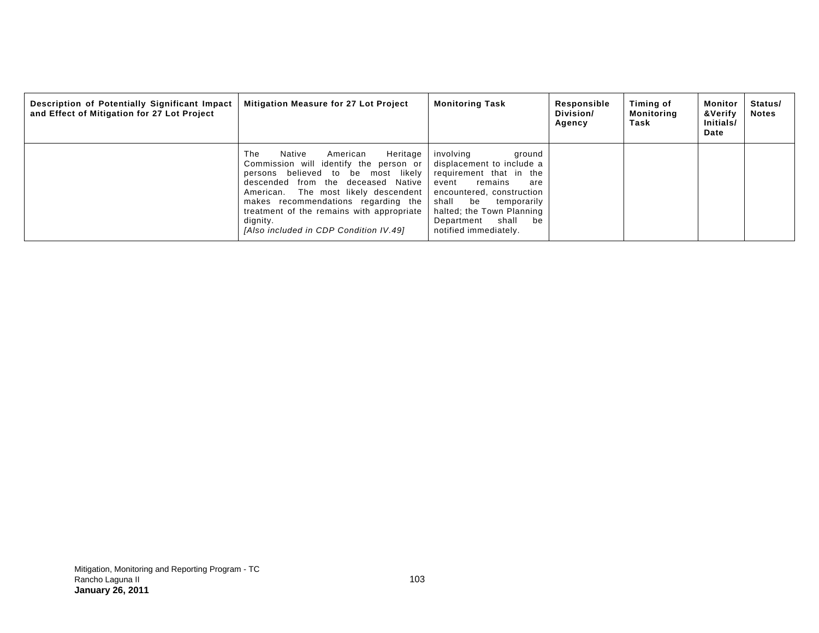| Description of Potentially Significant Impact<br>and Effect of Mitigation for 27 Lot Project | Mitigation Measure for 27 Lot Project                                                                                                                                                                                                                                                                                                         | <b>Monitoring Task</b>                                                                                                                                                                                                                               | Responsible<br>Division/<br>Agency | Timing of<br>Monitoring<br>Task | Monitor<br>&Verify<br>Initials/<br>Date | Status/<br><b>Notes</b> |
|----------------------------------------------------------------------------------------------|-----------------------------------------------------------------------------------------------------------------------------------------------------------------------------------------------------------------------------------------------------------------------------------------------------------------------------------------------|------------------------------------------------------------------------------------------------------------------------------------------------------------------------------------------------------------------------------------------------------|------------------------------------|---------------------------------|-----------------------------------------|-------------------------|
|                                                                                              | The<br>Heritage<br>American<br>Native<br>Commission will identify the person or<br>persons believed to be most likely<br>descended from the deceased Native<br>American. The most likely descendent<br>makes recommendations regarding the<br>treatment of the remains with appropriate<br>dignity.<br>[Also included in CDP Condition IV.49] | involving<br>ground<br>displacement to include a<br>requirement that in the<br>remains<br>event<br>are<br>encountered, construction<br>shall<br>temporarily<br>be<br>halted; the Town Planning<br>shall<br>Department<br>be<br>notified immediately. |                                    |                                 |                                         |                         |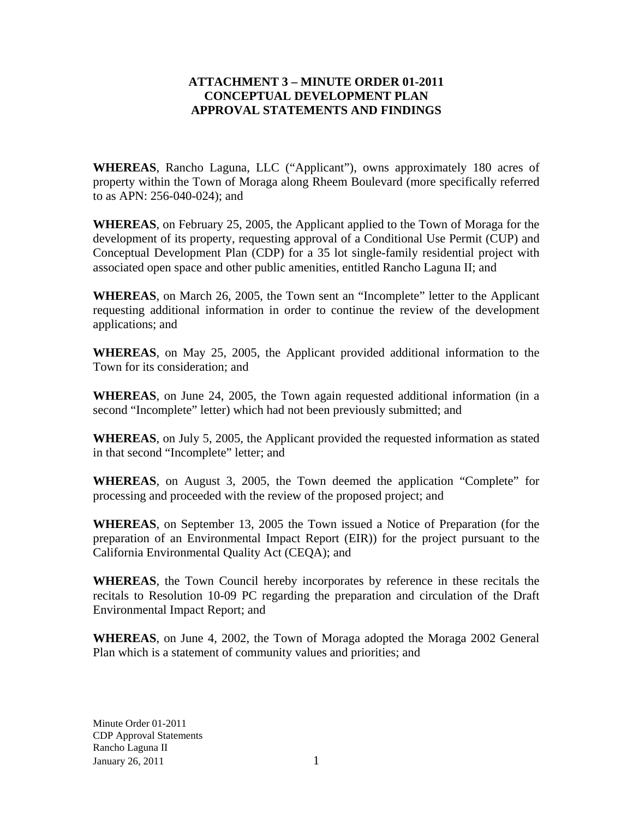#### **ATTACHMENT 3 – MINUTE ORDER 01-2011 CONCEPTUAL DEVELOPMENT PLAN APPROVAL STATEMENTS AND FINDINGS**

**WHEREAS**, Rancho Laguna, LLC ("Applicant"), owns approximately 180 acres of property within the Town of Moraga along Rheem Boulevard (more specifically referred to as APN: 256-040-024); and

**WHEREAS**, on February 25, 2005, the Applicant applied to the Town of Moraga for the development of its property, requesting approval of a Conditional Use Permit (CUP) and Conceptual Development Plan (CDP) for a 35 lot single-family residential project with associated open space and other public amenities, entitled Rancho Laguna II; and

**WHEREAS**, on March 26, 2005, the Town sent an "Incomplete" letter to the Applicant requesting additional information in order to continue the review of the development applications; and

**WHEREAS**, on May 25, 2005, the Applicant provided additional information to the Town for its consideration; and

**WHEREAS**, on June 24, 2005, the Town again requested additional information (in a second "Incomplete" letter) which had not been previously submitted; and

**WHEREAS**, on July 5, 2005, the Applicant provided the requested information as stated in that second "Incomplete" letter; and

**WHEREAS**, on August 3, 2005, the Town deemed the application "Complete" for processing and proceeded with the review of the proposed project; and

**WHEREAS**, on September 13, 2005 the Town issued a Notice of Preparation (for the preparation of an Environmental Impact Report (EIR)) for the project pursuant to the California Environmental Quality Act (CEQA); and

**WHEREAS**, the Town Council hereby incorporates by reference in these recitals the recitals to Resolution 10-09 PC regarding the preparation and circulation of the Draft Environmental Impact Report; and

**WHEREAS**, on June 4, 2002, the Town of Moraga adopted the Moraga 2002 General Plan which is a statement of community values and priorities; and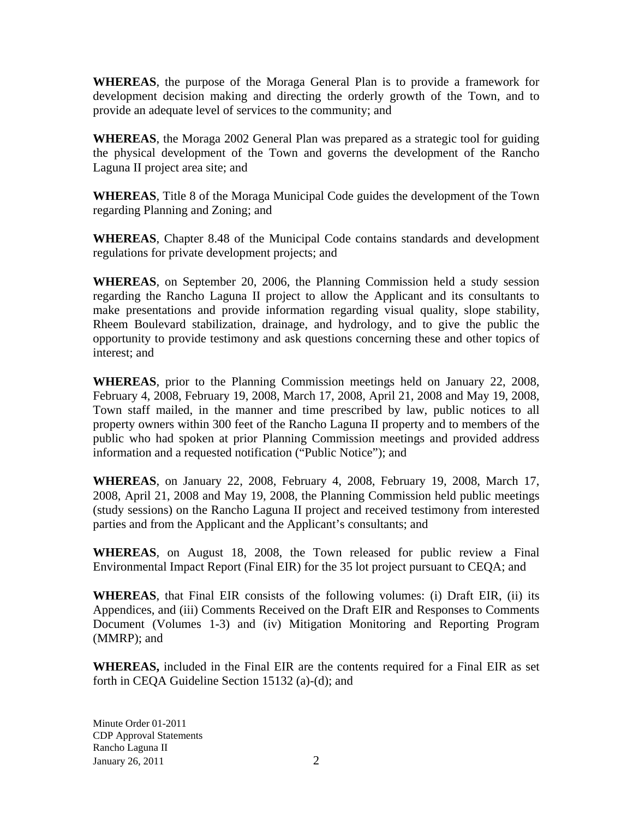**WHEREAS**, the purpose of the Moraga General Plan is to provide a framework for development decision making and directing the orderly growth of the Town, and to provide an adequate level of services to the community; and

**WHEREAS**, the Moraga 2002 General Plan was prepared as a strategic tool for guiding the physical development of the Town and governs the development of the Rancho Laguna II project area site; and

**WHEREAS**, Title 8 of the Moraga Municipal Code guides the development of the Town regarding Planning and Zoning; and

**WHEREAS**, Chapter 8.48 of the Municipal Code contains standards and development regulations for private development projects; and

**WHEREAS**, on September 20, 2006, the Planning Commission held a study session regarding the Rancho Laguna II project to allow the Applicant and its consultants to make presentations and provide information regarding visual quality, slope stability, Rheem Boulevard stabilization, drainage, and hydrology, and to give the public the opportunity to provide testimony and ask questions concerning these and other topics of interest; and

**WHEREAS**, prior to the Planning Commission meetings held on January 22, 2008, February 4, 2008, February 19, 2008, March 17, 2008, April 21, 2008 and May 19, 2008, Town staff mailed, in the manner and time prescribed by law, public notices to all property owners within 300 feet of the Rancho Laguna II property and to members of the public who had spoken at prior Planning Commission meetings and provided address information and a requested notification ("Public Notice"); and

**WHEREAS**, on January 22, 2008, February 4, 2008, February 19, 2008, March 17, 2008, April 21, 2008 and May 19, 2008, the Planning Commission held public meetings (study sessions) on the Rancho Laguna II project and received testimony from interested parties and from the Applicant and the Applicant's consultants; and

**WHEREAS**, on August 18, 2008, the Town released for public review a Final Environmental Impact Report (Final EIR) for the 35 lot project pursuant to CEQA; and

**WHEREAS**, that Final EIR consists of the following volumes: (i) Draft EIR, (ii) its Appendices, and (iii) Comments Received on the Draft EIR and Responses to Comments Document (Volumes 1-3) and (iv) Mitigation Monitoring and Reporting Program (MMRP); and

**WHEREAS,** included in the Final EIR are the contents required for a Final EIR as set forth in CEQA Guideline Section 15132 (a)-(d); and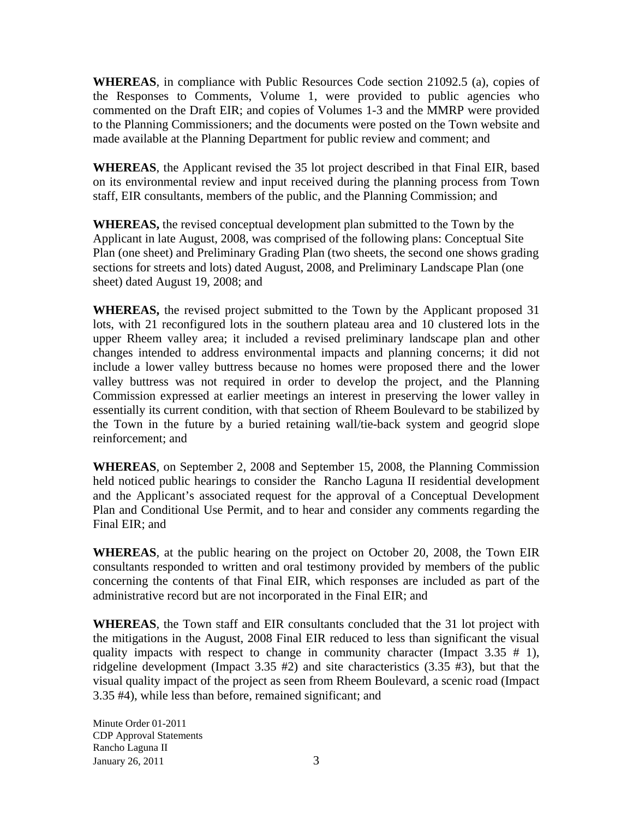**WHEREAS**, in compliance with Public Resources Code section 21092.5 (a), copies of the Responses to Comments, Volume 1, were provided to public agencies who commented on the Draft EIR; and copies of Volumes 1-3 and the MMRP were provided to the Planning Commissioners; and the documents were posted on the Town website and made available at the Planning Department for public review and comment; and

**WHEREAS**, the Applicant revised the 35 lot project described in that Final EIR, based on its environmental review and input received during the planning process from Town staff, EIR consultants, members of the public, and the Planning Commission; and

**WHEREAS,** the revised conceptual development plan submitted to the Town by the Applicant in late August, 2008, was comprised of the following plans: Conceptual Site Plan (one sheet) and Preliminary Grading Plan (two sheets, the second one shows grading sections for streets and lots) dated August, 2008, and Preliminary Landscape Plan (one sheet) dated August 19, 2008; and

**WHEREAS,** the revised project submitted to the Town by the Applicant proposed 31 lots, with 21 reconfigured lots in the southern plateau area and 10 clustered lots in the upper Rheem valley area; it included a revised preliminary landscape plan and other changes intended to address environmental impacts and planning concerns; it did not include a lower valley buttress because no homes were proposed there and the lower valley buttress was not required in order to develop the project, and the Planning Commission expressed at earlier meetings an interest in preserving the lower valley in essentially its current condition, with that section of Rheem Boulevard to be stabilized by the Town in the future by a buried retaining wall/tie-back system and geogrid slope reinforcement; and

**WHEREAS**, on September 2, 2008 and September 15, 2008, the Planning Commission held noticed public hearings to consider the Rancho Laguna II residential development and the Applicant's associated request for the approval of a Conceptual Development Plan and Conditional Use Permit, and to hear and consider any comments regarding the Final EIR; and

**WHEREAS**, at the public hearing on the project on October 20, 2008, the Town EIR consultants responded to written and oral testimony provided by members of the public concerning the contents of that Final EIR, which responses are included as part of the administrative record but are not incorporated in the Final EIR; and

**WHEREAS**, the Town staff and EIR consultants concluded that the 31 lot project with the mitigations in the August, 2008 Final EIR reduced to less than significant the visual quality impacts with respect to change in community character (Impact  $3.35 \# 1$ ), ridgeline development (Impact 3.35 #2) and site characteristics (3.35 #3), but that the visual quality impact of the project as seen from Rheem Boulevard, a scenic road (Impact 3.35 #4), while less than before, remained significant; and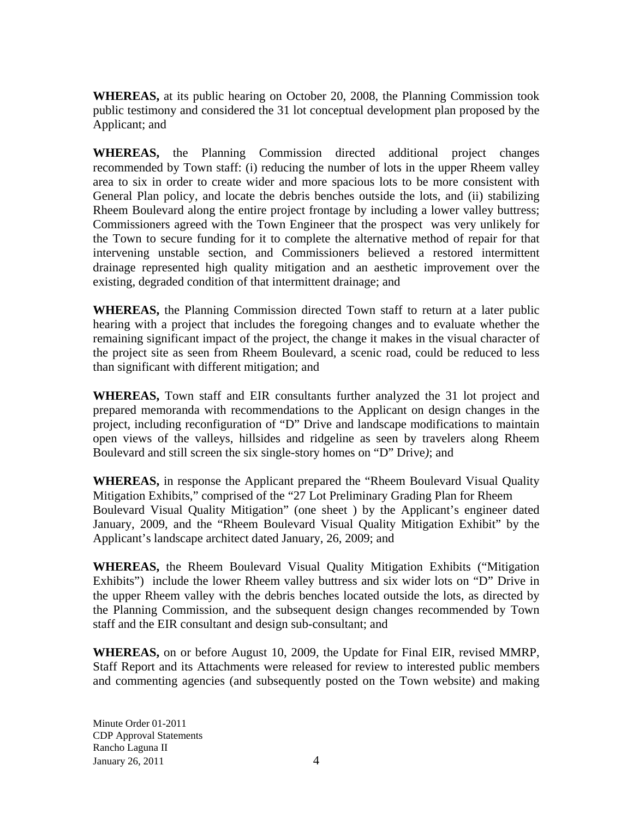**WHEREAS,** at its public hearing on October 20, 2008, the Planning Commission took public testimony and considered the 31 lot conceptual development plan proposed by the Applicant; and

**WHEREAS,** the Planning Commission directed additional project changes recommended by Town staff: (i) reducing the number of lots in the upper Rheem valley area to six in order to create wider and more spacious lots to be more consistent with General Plan policy, and locate the debris benches outside the lots, and (ii) stabilizing Rheem Boulevard along the entire project frontage by including a lower valley buttress; Commissioners agreed with the Town Engineer that the prospect was very unlikely for the Town to secure funding for it to complete the alternative method of repair for that intervening unstable section, and Commissioners believed a restored intermittent drainage represented high quality mitigation and an aesthetic improvement over the existing, degraded condition of that intermittent drainage; and

**WHEREAS,** the Planning Commission directed Town staff to return at a later public hearing with a project that includes the foregoing changes and to evaluate whether the remaining significant impact of the project, the change it makes in the visual character of the project site as seen from Rheem Boulevard, a scenic road, could be reduced to less than significant with different mitigation; and

**WHEREAS,** Town staff and EIR consultants further analyzed the 31 lot project and prepared memoranda with recommendations to the Applicant on design changes in the project, including reconfiguration of "D" Drive and landscape modifications to maintain open views of the valleys, hillsides and ridgeline as seen by travelers along Rheem Boulevard and still screen the six single-story homes on "D" Drive*)*; and

**WHEREAS,** in response the Applicant prepared the "Rheem Boulevard Visual Quality Mitigation Exhibits," comprised of the "27 Lot Preliminary Grading Plan for Rheem Boulevard Visual Quality Mitigation" (one sheet ) by the Applicant's engineer dated January, 2009, and the "Rheem Boulevard Visual Quality Mitigation Exhibit" by the Applicant's landscape architect dated January, 26, 2009; and

**WHEREAS,** the Rheem Boulevard Visual Quality Mitigation Exhibits ("Mitigation Exhibits") include the lower Rheem valley buttress and six wider lots on "D" Drive in the upper Rheem valley with the debris benches located outside the lots, as directed by the Planning Commission, and the subsequent design changes recommended by Town staff and the EIR consultant and design sub-consultant; and

**WHEREAS,** on or before August 10, 2009, the Update for Final EIR, revised MMRP, Staff Report and its Attachments were released for review to interested public members and commenting agencies (and subsequently posted on the Town website) and making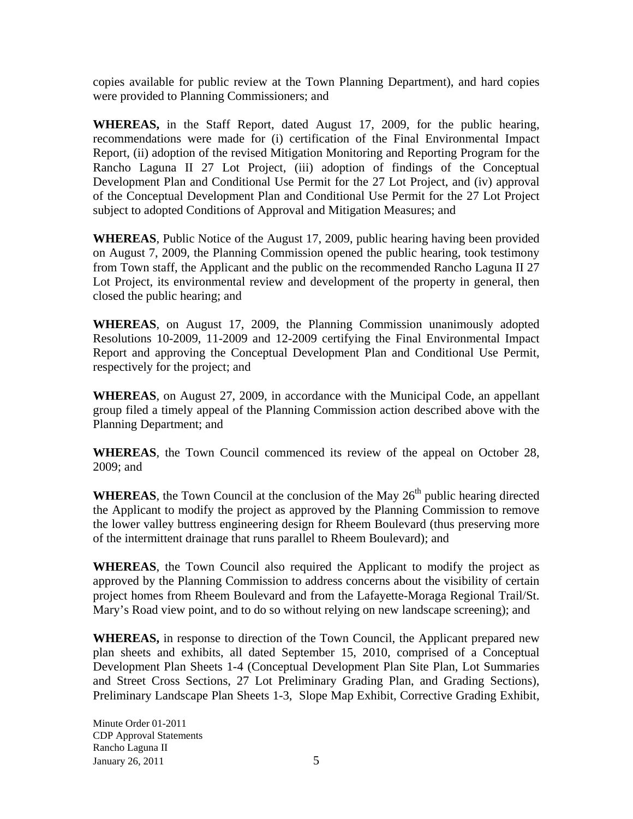copies available for public review at the Town Planning Department), and hard copies were provided to Planning Commissioners; and

**WHEREAS,** in the Staff Report, dated August 17, 2009, for the public hearing, recommendations were made for (i) certification of the Final Environmental Impact Report, (ii) adoption of the revised Mitigation Monitoring and Reporting Program for the Rancho Laguna II 27 Lot Project, (iii) adoption of findings of the Conceptual Development Plan and Conditional Use Permit for the 27 Lot Project, and (iv) approval of the Conceptual Development Plan and Conditional Use Permit for the 27 Lot Project subject to adopted Conditions of Approval and Mitigation Measures; and

**WHEREAS**, Public Notice of the August 17, 2009, public hearing having been provided on August 7, 2009, the Planning Commission opened the public hearing, took testimony from Town staff, the Applicant and the public on the recommended Rancho Laguna II 27 Lot Project, its environmental review and development of the property in general, then closed the public hearing; and

**WHEREAS**, on August 17, 2009, the Planning Commission unanimously adopted Resolutions 10-2009, 11-2009 and 12-2009 certifying the Final Environmental Impact Report and approving the Conceptual Development Plan and Conditional Use Permit, respectively for the project; and

**WHEREAS**, on August 27, 2009, in accordance with the Municipal Code, an appellant group filed a timely appeal of the Planning Commission action described above with the Planning Department; and

**WHEREAS**, the Town Council commenced its review of the appeal on October 28, 2009; and

**WHEREAS**, the Town Council at the conclusion of the May  $26<sup>th</sup>$  public hearing directed the Applicant to modify the project as approved by the Planning Commission to remove the lower valley buttress engineering design for Rheem Boulevard (thus preserving more of the intermittent drainage that runs parallel to Rheem Boulevard); and

**WHEREAS**, the Town Council also required the Applicant to modify the project as approved by the Planning Commission to address concerns about the visibility of certain project homes from Rheem Boulevard and from the Lafayette-Moraga Regional Trail/St. Mary's Road view point, and to do so without relying on new landscape screening); and

**WHEREAS,** in response to direction of the Town Council, the Applicant prepared new plan sheets and exhibits, all dated September 15, 2010, comprised of a Conceptual Development Plan Sheets 1-4 (Conceptual Development Plan Site Plan, Lot Summaries and Street Cross Sections, 27 Lot Preliminary Grading Plan, and Grading Sections), Preliminary Landscape Plan Sheets 1-3, Slope Map Exhibit, Corrective Grading Exhibit,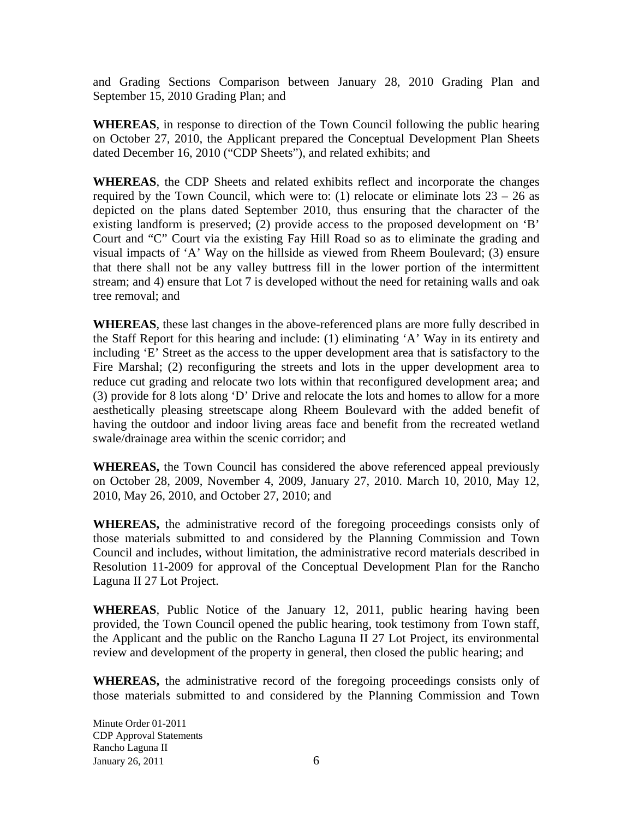and Grading Sections Comparison between January 28, 2010 Grading Plan and September 15, 2010 Grading Plan; and

**WHEREAS**, in response to direction of the Town Council following the public hearing on October 27, 2010, the Applicant prepared the Conceptual Development Plan Sheets dated December 16, 2010 ("CDP Sheets"), and related exhibits; and

**WHEREAS**, the CDP Sheets and related exhibits reflect and incorporate the changes required by the Town Council, which were to: (1) relocate or eliminate lots  $23 - 26$  as depicted on the plans dated September 2010, thus ensuring that the character of the existing landform is preserved; (2) provide access to the proposed development on 'B' Court and "C" Court via the existing Fay Hill Road so as to eliminate the grading and visual impacts of 'A' Way on the hillside as viewed from Rheem Boulevard; (3) ensure that there shall not be any valley buttress fill in the lower portion of the intermittent stream; and 4) ensure that Lot 7 is developed without the need for retaining walls and oak tree removal; and

**WHEREAS**, these last changes in the above-referenced plans are more fully described in the Staff Report for this hearing and include: (1) eliminating 'A' Way in its entirety and including 'E' Street as the access to the upper development area that is satisfactory to the Fire Marshal; (2) reconfiguring the streets and lots in the upper development area to reduce cut grading and relocate two lots within that reconfigured development area; and (3) provide for 8 lots along 'D' Drive and relocate the lots and homes to allow for a more aesthetically pleasing streetscape along Rheem Boulevard with the added benefit of having the outdoor and indoor living areas face and benefit from the recreated wetland swale/drainage area within the scenic corridor; and

**WHEREAS,** the Town Council has considered the above referenced appeal previously on October 28, 2009, November 4, 2009, January 27, 2010. March 10, 2010, May 12, 2010, May 26, 2010, and October 27, 2010; and

**WHEREAS,** the administrative record of the foregoing proceedings consists only of those materials submitted to and considered by the Planning Commission and Town Council and includes, without limitation, the administrative record materials described in Resolution 11-2009 for approval of the Conceptual Development Plan for the Rancho Laguna II 27 Lot Project.

**WHEREAS**, Public Notice of the January 12, 2011, public hearing having been provided, the Town Council opened the public hearing, took testimony from Town staff, the Applicant and the public on the Rancho Laguna II 27 Lot Project, its environmental review and development of the property in general, then closed the public hearing; and

**WHEREAS,** the administrative record of the foregoing proceedings consists only of those materials submitted to and considered by the Planning Commission and Town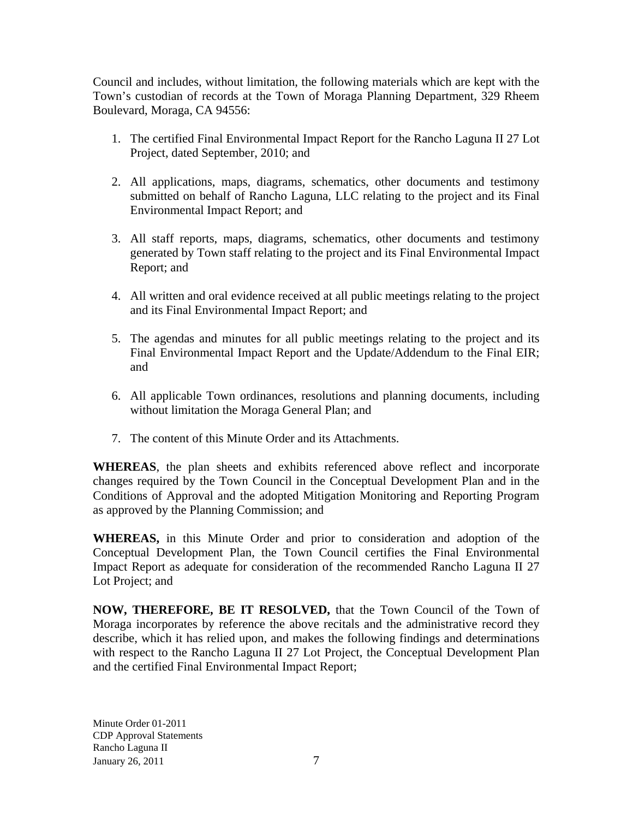Council and includes, without limitation, the following materials which are kept with the Town's custodian of records at the Town of Moraga Planning Department, 329 Rheem Boulevard, Moraga, CA 94556:

- 1. The certified Final Environmental Impact Report for the Rancho Laguna II 27 Lot Project, dated September, 2010; and
- 2. All applications, maps, diagrams, schematics, other documents and testimony submitted on behalf of Rancho Laguna, LLC relating to the project and its Final Environmental Impact Report; and
- 3. All staff reports, maps, diagrams, schematics, other documents and testimony generated by Town staff relating to the project and its Final Environmental Impact Report; and
- 4. All written and oral evidence received at all public meetings relating to the project and its Final Environmental Impact Report; and
- 5. The agendas and minutes for all public meetings relating to the project and its Final Environmental Impact Report and the Update/Addendum to the Final EIR; and
- 6. All applicable Town ordinances, resolutions and planning documents, including without limitation the Moraga General Plan; and
- 7. The content of this Minute Order and its Attachments.

**WHEREAS**, the plan sheets and exhibits referenced above reflect and incorporate changes required by the Town Council in the Conceptual Development Plan and in the Conditions of Approval and the adopted Mitigation Monitoring and Reporting Program as approved by the Planning Commission; and

**WHEREAS,** in this Minute Order and prior to consideration and adoption of the Conceptual Development Plan, the Town Council certifies the Final Environmental Impact Report as adequate for consideration of the recommended Rancho Laguna II 27 Lot Project; and

**NOW, THEREFORE, BE IT RESOLVED,** that the Town Council of the Town of Moraga incorporates by reference the above recitals and the administrative record they describe, which it has relied upon, and makes the following findings and determinations with respect to the Rancho Laguna II 27 Lot Project, the Conceptual Development Plan and the certified Final Environmental Impact Report;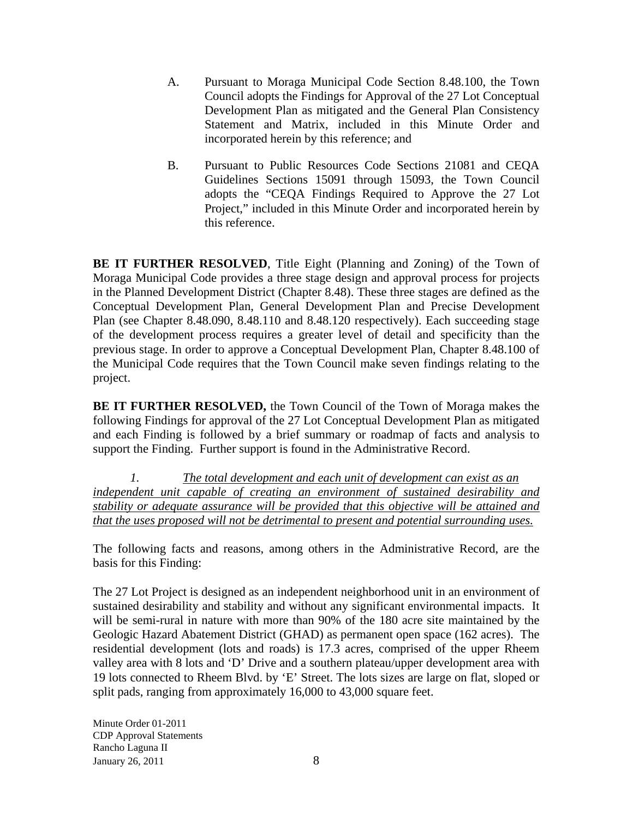- A. Pursuant to Moraga Municipal Code Section 8.48.100, the Town Council adopts the Findings for Approval of the 27 Lot Conceptual Development Plan as mitigated and the General Plan Consistency Statement and Matrix, included in this Minute Order and incorporated herein by this reference; and
- B. Pursuant to Public Resources Code Sections 21081 and CEQA Guidelines Sections 15091 through 15093, the Town Council adopts the "CEQA Findings Required to Approve the 27 Lot Project," included in this Minute Order and incorporated herein by this reference.

**BE IT FURTHER RESOLVED**, Title Eight (Planning and Zoning) of the Town of Moraga Municipal Code provides a three stage design and approval process for projects in the Planned Development District (Chapter 8.48). These three stages are defined as the Conceptual Development Plan, General Development Plan and Precise Development Plan (see Chapter 8.48.090, 8.48.110 and 8.48.120 respectively). Each succeeding stage of the development process requires a greater level of detail and specificity than the previous stage. In order to approve a Conceptual Development Plan, Chapter 8.48.100 of the Municipal Code requires that the Town Council make seven findings relating to the project.

**BE IT FURTHER RESOLVED,** the Town Council of the Town of Moraga makes the following Findings for approval of the 27 Lot Conceptual Development Plan as mitigated and each Finding is followed by a brief summary or roadmap of facts and analysis to support the Finding. Further support is found in the Administrative Record.

*1. The total development and each unit of development can exist as an independent unit capable of creating an environment of sustained desirability and stability or adequate assurance will be provided that this objective will be attained and that the uses proposed will not be detrimental to present and potential surrounding uses.*

The following facts and reasons, among others in the Administrative Record, are the basis for this Finding:

The 27 Lot Project is designed as an independent neighborhood unit in an environment of sustained desirability and stability and without any significant environmental impacts. It will be semi-rural in nature with more than 90% of the 180 acre site maintained by the Geologic Hazard Abatement District (GHAD) as permanent open space (162 acres). The residential development (lots and roads) is 17.3 acres, comprised of the upper Rheem valley area with 8 lots and 'D' Drive and a southern plateau/upper development area with 19 lots connected to Rheem Blvd. by 'E' Street. The lots sizes are large on flat, sloped or split pads, ranging from approximately 16,000 to 43,000 square feet.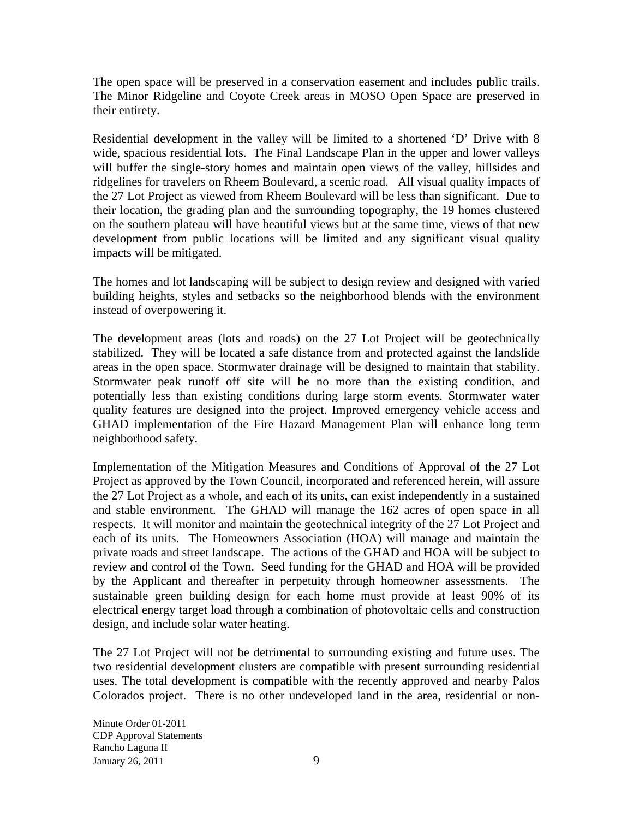The open space will be preserved in a conservation easement and includes public trails. The Minor Ridgeline and Coyote Creek areas in MOSO Open Space are preserved in their entirety.

Residential development in the valley will be limited to a shortened 'D' Drive with 8 wide, spacious residential lots. The Final Landscape Plan in the upper and lower valleys will buffer the single-story homes and maintain open views of the valley, hillsides and ridgelines for travelers on Rheem Boulevard, a scenic road. All visual quality impacts of the 27 Lot Project as viewed from Rheem Boulevard will be less than significant. Due to their location, the grading plan and the surrounding topography, the 19 homes clustered on the southern plateau will have beautiful views but at the same time, views of that new development from public locations will be limited and any significant visual quality impacts will be mitigated.

The homes and lot landscaping will be subject to design review and designed with varied building heights, styles and setbacks so the neighborhood blends with the environment instead of overpowering it.

The development areas (lots and roads) on the 27 Lot Project will be geotechnically stabilized. They will be located a safe distance from and protected against the landslide areas in the open space. Stormwater drainage will be designed to maintain that stability. Stormwater peak runoff off site will be no more than the existing condition, and potentially less than existing conditions during large storm events. Stormwater water quality features are designed into the project. Improved emergency vehicle access and GHAD implementation of the Fire Hazard Management Plan will enhance long term neighborhood safety.

Implementation of the Mitigation Measures and Conditions of Approval of the 27 Lot Project as approved by the Town Council, incorporated and referenced herein, will assure the 27 Lot Project as a whole, and each of its units, can exist independently in a sustained and stable environment. The GHAD will manage the 162 acres of open space in all respects. It will monitor and maintain the geotechnical integrity of the 27 Lot Project and each of its units. The Homeowners Association (HOA) will manage and maintain the private roads and street landscape. The actions of the GHAD and HOA will be subject to review and control of the Town. Seed funding for the GHAD and HOA will be provided by the Applicant and thereafter in perpetuity through homeowner assessments. The sustainable green building design for each home must provide at least 90% of its electrical energy target load through a combination of photovoltaic cells and construction design, and include solar water heating.

The 27 Lot Project will not be detrimental to surrounding existing and future uses. The two residential development clusters are compatible with present surrounding residential uses. The total development is compatible with the recently approved and nearby Palos Colorados project. There is no other undeveloped land in the area, residential or non-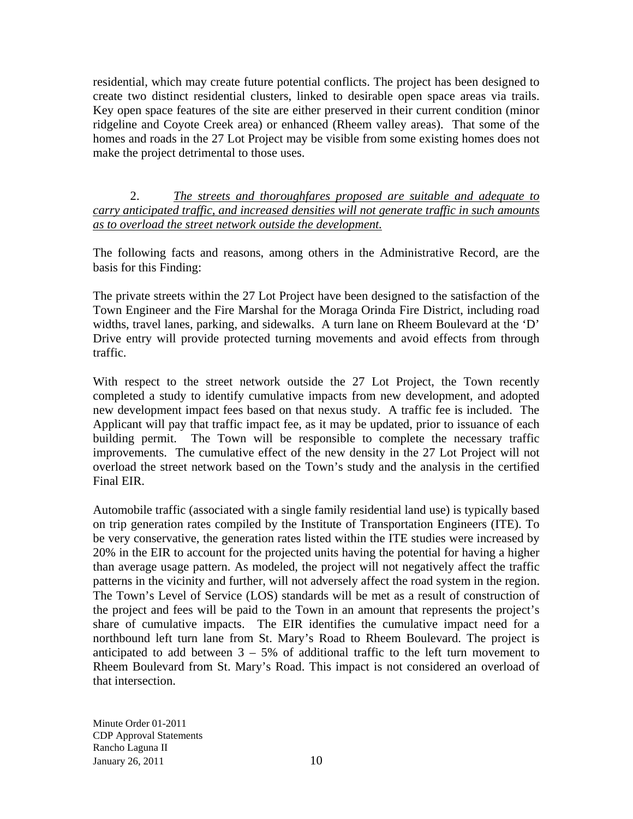residential, which may create future potential conflicts. The project has been designed to create two distinct residential clusters, linked to desirable open space areas via trails. Key open space features of the site are either preserved in their current condition (minor ridgeline and Coyote Creek area) or enhanced (Rheem valley areas). That some of the homes and roads in the 27 Lot Project may be visible from some existing homes does not make the project detrimental to those uses.

2. *The streets and thoroughfares proposed are suitable and adequate to carry anticipated traffic, and increased densities will not generate traffic in such amounts as to overload the street network outside the development.*

The following facts and reasons, among others in the Administrative Record, are the basis for this Finding:

The private streets within the 27 Lot Project have been designed to the satisfaction of the Town Engineer and the Fire Marshal for the Moraga Orinda Fire District, including road widths, travel lanes, parking, and sidewalks. A turn lane on Rheem Boulevard at the 'D' Drive entry will provide protected turning movements and avoid effects from through traffic.

With respect to the street network outside the 27 Lot Project, the Town recently completed a study to identify cumulative impacts from new development, and adopted new development impact fees based on that nexus study. A traffic fee is included. The Applicant will pay that traffic impact fee, as it may be updated, prior to issuance of each building permit. The Town will be responsible to complete the necessary traffic improvements. The cumulative effect of the new density in the 27 Lot Project will not overload the street network based on the Town's study and the analysis in the certified Final EIR.

Automobile traffic (associated with a single family residential land use) is typically based on trip generation rates compiled by the Institute of Transportation Engineers (ITE). To be very conservative, the generation rates listed within the ITE studies were increased by 20% in the EIR to account for the projected units having the potential for having a higher than average usage pattern. As modeled, the project will not negatively affect the traffic patterns in the vicinity and further, will not adversely affect the road system in the region. The Town's Level of Service (LOS) standards will be met as a result of construction of the project and fees will be paid to the Town in an amount that represents the project's share of cumulative impacts. The EIR identifies the cumulative impact need for a northbound left turn lane from St. Mary's Road to Rheem Boulevard. The project is anticipated to add between  $3 - 5%$  of additional traffic to the left turn movement to Rheem Boulevard from St. Mary's Road. This impact is not considered an overload of that intersection.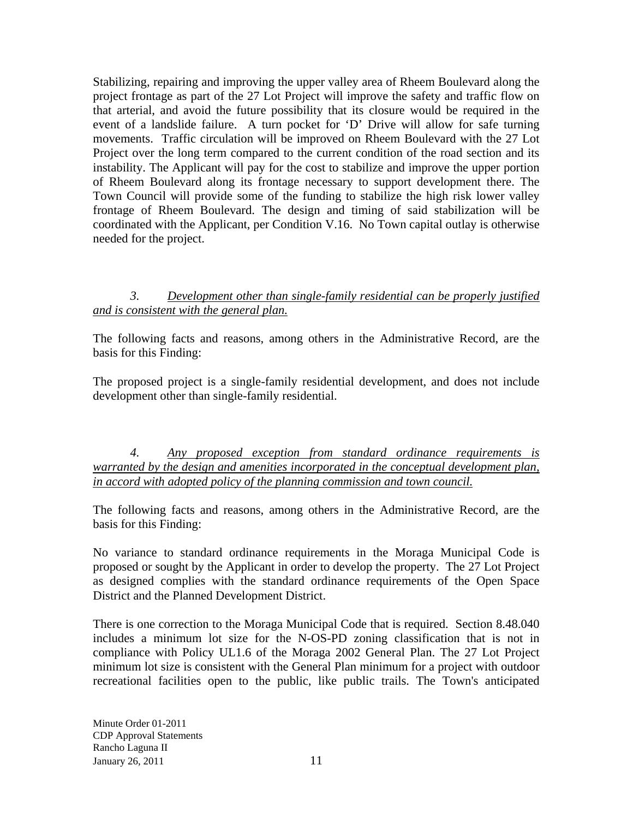Stabilizing, repairing and improving the upper valley area of Rheem Boulevard along the project frontage as part of the 27 Lot Project will improve the safety and traffic flow on that arterial, and avoid the future possibility that its closure would be required in the event of a landslide failure. A turn pocket for 'D' Drive will allow for safe turning movements. Traffic circulation will be improved on Rheem Boulevard with the 27 Lot Project over the long term compared to the current condition of the road section and its instability. The Applicant will pay for the cost to stabilize and improve the upper portion of Rheem Boulevard along its frontage necessary to support development there. The Town Council will provide some of the funding to stabilize the high risk lower valley frontage of Rheem Boulevard. The design and timing of said stabilization will be coordinated with the Applicant, per Condition V.16. No Town capital outlay is otherwise needed for the project.

### *3. Development other than single-family residential can be properly justified and is consistent with the general plan.*

The following facts and reasons, among others in the Administrative Record, are the basis for this Finding:

The proposed project is a single-family residential development, and does not include development other than single-family residential.

*4. Any proposed exception from standard ordinance requirements is warranted by the design and amenities incorporated in the conceptual development plan, in accord with adopted policy of the planning commission and town council.*

The following facts and reasons, among others in the Administrative Record, are the basis for this Finding:

No variance to standard ordinance requirements in the Moraga Municipal Code is proposed or sought by the Applicant in order to develop the property. The 27 Lot Project as designed complies with the standard ordinance requirements of the Open Space District and the Planned Development District.

There is one correction to the Moraga Municipal Code that is required. Section 8.48.040 includes a minimum lot size for the N-OS-PD zoning classification that is not in compliance with Policy UL1.6 of the Moraga 2002 General Plan. The 27 Lot Project minimum lot size is consistent with the General Plan minimum for a project with outdoor recreational facilities open to the public, like public trails. The Town's anticipated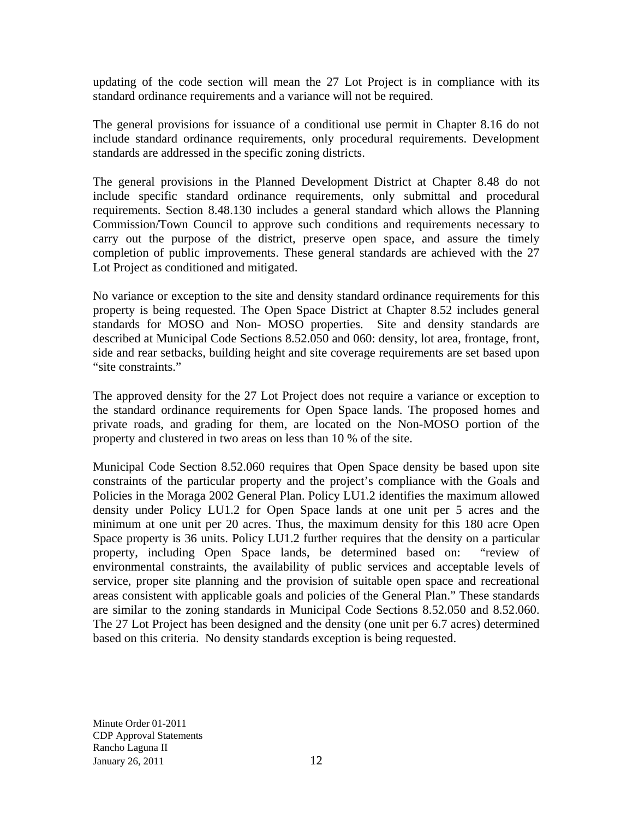updating of the code section will mean the 27 Lot Project is in compliance with its standard ordinance requirements and a variance will not be required.

The general provisions for issuance of a conditional use permit in Chapter 8.16 do not include standard ordinance requirements, only procedural requirements. Development standards are addressed in the specific zoning districts.

The general provisions in the Planned Development District at Chapter 8.48 do not include specific standard ordinance requirements, only submittal and procedural requirements. Section 8.48.130 includes a general standard which allows the Planning Commission/Town Council to approve such conditions and requirements necessary to carry out the purpose of the district, preserve open space, and assure the timely completion of public improvements. These general standards are achieved with the 27 Lot Project as conditioned and mitigated.

No variance or exception to the site and density standard ordinance requirements for this property is being requested. The Open Space District at Chapter 8.52 includes general standards for MOSO and Non- MOSO properties. Site and density standards are described at Municipal Code Sections 8.52.050 and 060: density, lot area, frontage, front, side and rear setbacks, building height and site coverage requirements are set based upon "site constraints."

The approved density for the 27 Lot Project does not require a variance or exception to the standard ordinance requirements for Open Space lands. The proposed homes and private roads, and grading for them, are located on the Non-MOSO portion of the property and clustered in two areas on less than 10 % of the site.

Municipal Code Section 8.52.060 requires that Open Space density be based upon site constraints of the particular property and the project's compliance with the Goals and Policies in the Moraga 2002 General Plan. Policy LU1.2 identifies the maximum allowed density under Policy LU1.2 for Open Space lands at one unit per 5 acres and the minimum at one unit per 20 acres. Thus, the maximum density for this 180 acre Open Space property is 36 units. Policy LU1.2 further requires that the density on a particular property, including Open Space lands, be determined based on: "review of environmental constraints, the availability of public services and acceptable levels of service, proper site planning and the provision of suitable open space and recreational areas consistent with applicable goals and policies of the General Plan." These standards are similar to the zoning standards in Municipal Code Sections 8.52.050 and 8.52.060. The 27 Lot Project has been designed and the density (one unit per 6.7 acres) determined based on this criteria. No density standards exception is being requested.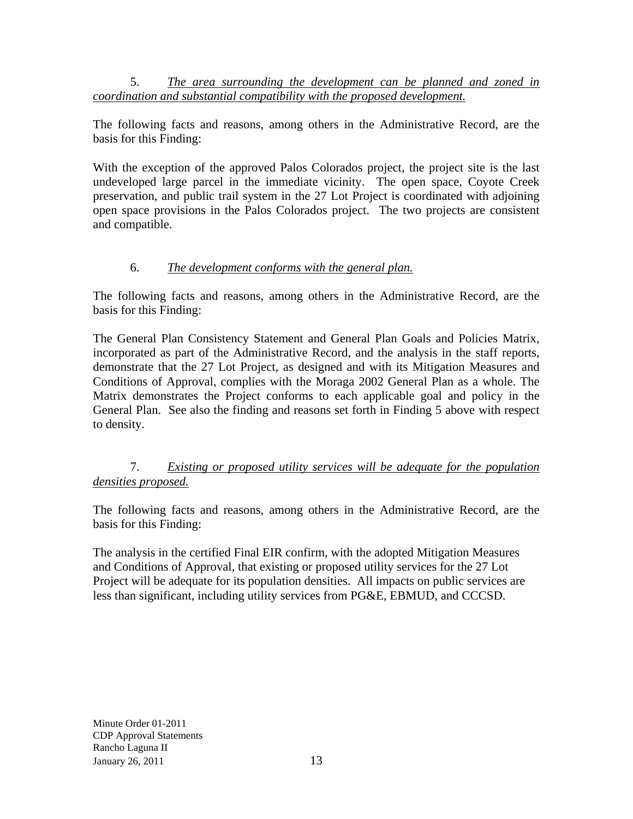5. *The area surrounding the development can be planned and zoned in coordination and substantial compatibility with the proposed development.*

The following facts and reasons, among others in the Administrative Record, are the basis for this Finding:

With the exception of the approved Palos Colorados project, the project site is the last undeveloped large parcel in the immediate vicinity. The open space, Coyote Creek preservation, and public trail system in the 27 Lot Project is coordinated with adjoining open space provisions in the Palos Colorados project. The two projects are consistent and compatible.

### 6. *The development conforms with the general plan.*

The following facts and reasons, among others in the Administrative Record, are the basis for this Finding:

The General Plan Consistency Statement and General Plan Goals and Policies Matrix, incorporated as part of the Administrative Record, and the analysis in the staff reports, demonstrate that the 27 Lot Project, as designed and with its Mitigation Measures and Conditions of Approval, complies with the Moraga 2002 General Plan as a whole. The Matrix demonstrates the Project conforms to each applicable goal and policy in the General Plan. See also the finding and reasons set forth in Finding 5 above with respect to density.

## 7. *Existing or proposed utility services will be adequate for the population densities proposed.*

The following facts and reasons, among others in the Administrative Record, are the basis for this Finding:

The analysis in the certified Final EIR confirm, with the adopted Mitigation Measures and Conditions of Approval, that existing or proposed utility services for the 27 Lot Project will be adequate for its population densities. All impacts on public services are less than significant, including utility services from PG&E, EBMUD, and CCCSD.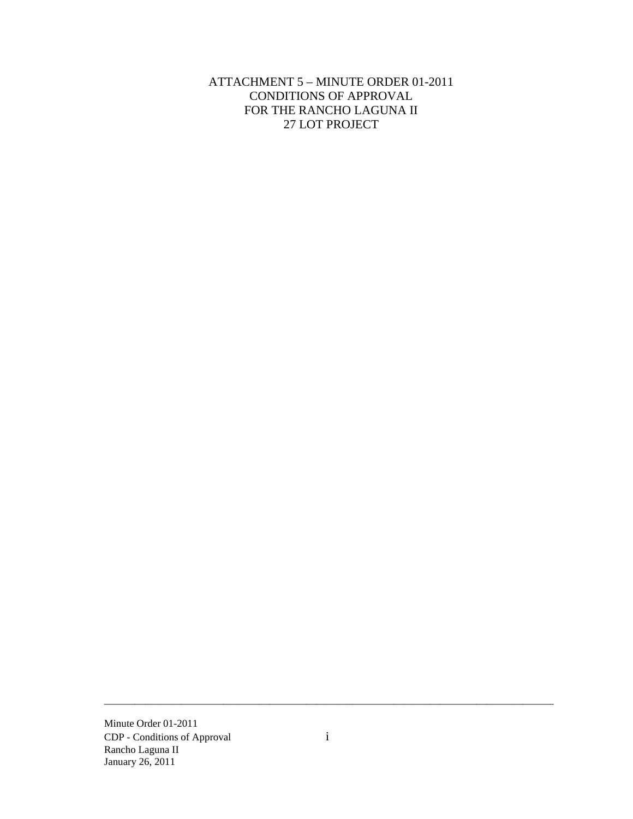ATTACHMENT 5 – MINUTE ORDER 01-2011 CONDITIONS OF APPROVAL FOR THE RANCHO LAGUNA II 27 LOT PROJECT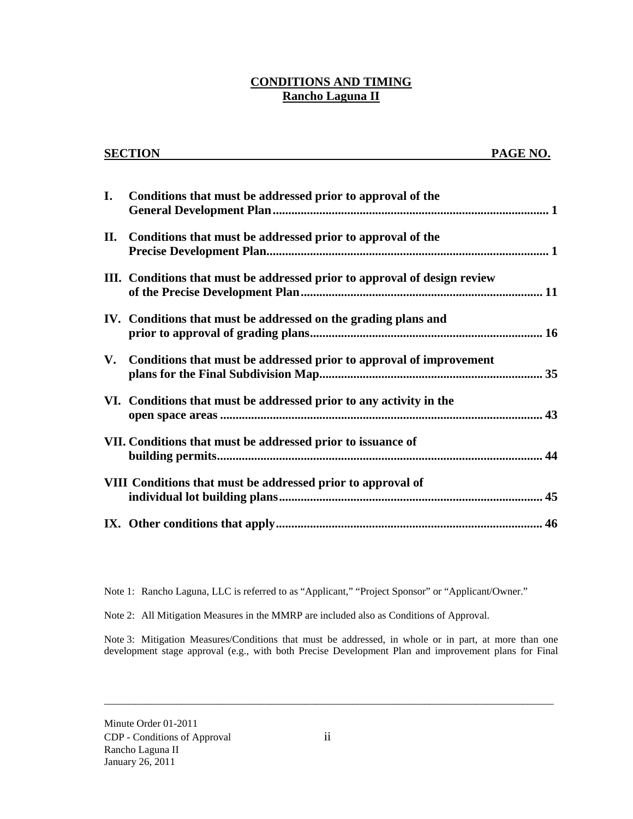### **CONDITIONS AND TIMING Rancho Laguna II**

|                        | <b>SECTION</b>                                                            | PAGE NO. |
|------------------------|---------------------------------------------------------------------------|----------|
|                        |                                                                           |          |
| Ι.                     | Conditions that must be addressed prior to approval of the                |          |
| П.                     | Conditions that must be addressed prior to approval of the                |          |
|                        | III. Conditions that must be addressed prior to approval of design review |          |
|                        | IV. Conditions that must be addressed on the grading plans and            |          |
| $\mathbf{V}_{\bullet}$ | Conditions that must be addressed prior to approval of improvement        |          |
|                        | VI. Conditions that must be addressed prior to any activity in the        |          |
|                        | VII. Conditions that must be addressed prior to issuance of               |          |
|                        | VIII Conditions that must be addressed prior to approval of               |          |
|                        |                                                                           |          |

Note 1: Rancho Laguna, LLC is referred to as "Applicant," "Project Sponsor" or "Applicant/Owner."

Note 2: All Mitigation Measures in the MMRP are included also as Conditions of Approval.

Note 3: Mitigation Measures/Conditions that must be addressed, in whole or in part, at more than one development stage approval (e.g., with both Precise Development Plan and improvement plans for Final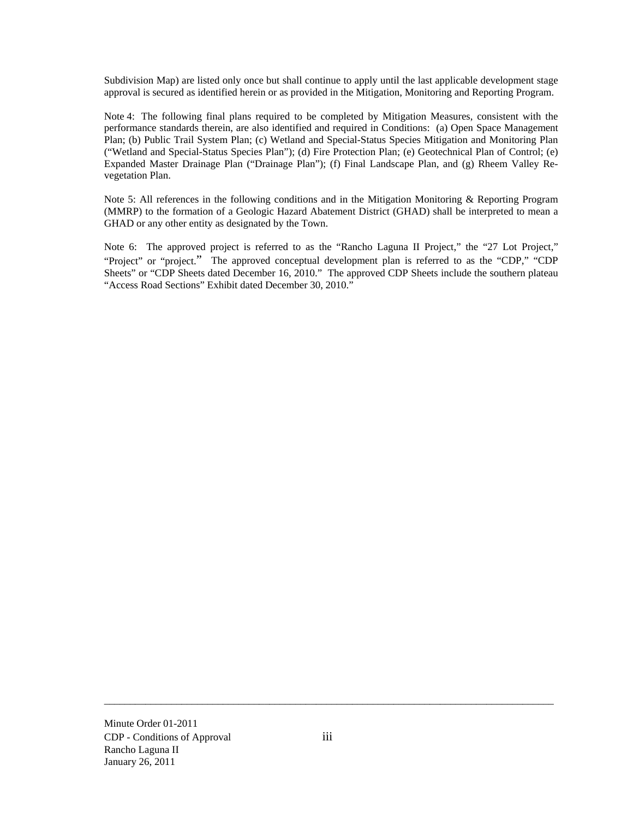Subdivision Map) are listed only once but shall continue to apply until the last applicable development stage approval is secured as identified herein or as provided in the Mitigation, Monitoring and Reporting Program.

Note 4: The following final plans required to be completed by Mitigation Measures, consistent with the performance standards therein, are also identified and required in Conditions: (a) Open Space Management Plan; (b) Public Trail System Plan; (c) Wetland and Special-Status Species Mitigation and Monitoring Plan ("Wetland and Special-Status Species Plan"); (d) Fire Protection Plan; (e) Geotechnical Plan of Control; (e) Expanded Master Drainage Plan ("Drainage Plan"); (f) Final Landscape Plan, and (g) Rheem Valley Revegetation Plan.

Note 5: All references in the following conditions and in the Mitigation Monitoring & Reporting Program (MMRP) to the formation of a Geologic Hazard Abatement District (GHAD) shall be interpreted to mean a GHAD or any other entity as designated by the Town.

Note 6: The approved project is referred to as the "Rancho Laguna II Project," the "27 Lot Project," "Project" or "project." The approved conceptual development plan is referred to as the "CDP," "CDP Sheets" or "CDP Sheets dated December 16, 2010." The approved CDP Sheets include the southern plateau "Access Road Sections" Exhibit dated December 30, 2010."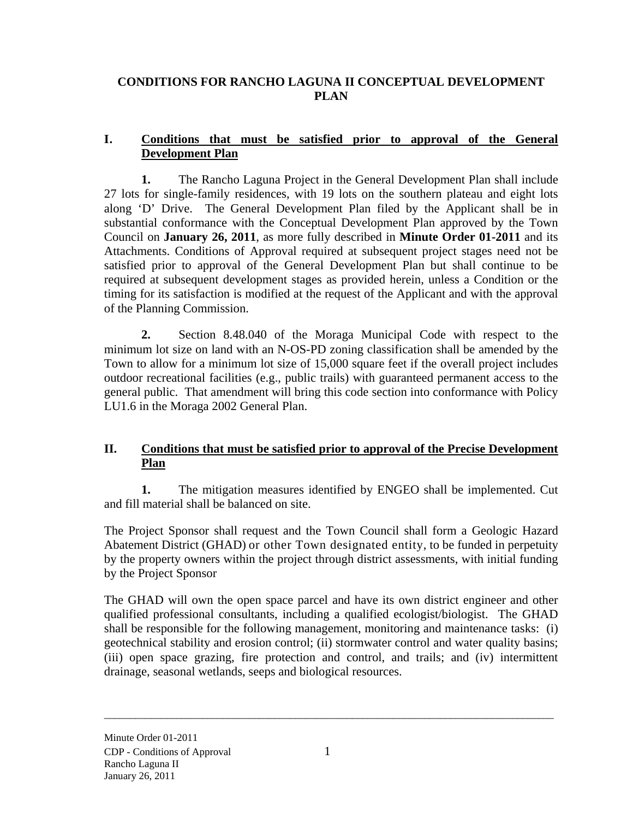## **CONDITIONS FOR RANCHO LAGUNA II CONCEPTUAL DEVELOPMENT PLAN**

### **I. Conditions that must be satisfied prior to approval of the General Development Plan**

**1.** The Rancho Laguna Project in the General Development Plan shall include 27 lots for single-family residences, with 19 lots on the southern plateau and eight lots along 'D' Drive. The General Development Plan filed by the Applicant shall be in substantial conformance with the Conceptual Development Plan approved by the Town Council on **January 26, 2011**, as more fully described in **Minute Order 01-2011** and its Attachments. Conditions of Approval required at subsequent project stages need not be satisfied prior to approval of the General Development Plan but shall continue to be required at subsequent development stages as provided herein, unless a Condition or the timing for its satisfaction is modified at the request of the Applicant and with the approval of the Planning Commission.

**2.** Section 8.48.040 of the Moraga Municipal Code with respect to the minimum lot size on land with an N-OS-PD zoning classification shall be amended by the Town to allow for a minimum lot size of 15,000 square feet if the overall project includes outdoor recreational facilities (e.g., public trails) with guaranteed permanent access to the general public. That amendment will bring this code section into conformance with Policy LU1.6 in the Moraga 2002 General Plan.

## **II. Conditions that must be satisfied prior to approval of the Precise Development Plan**

**1.** The mitigation measures identified by ENGEO shall be implemented. Cut and fill material shall be balanced on site.

The Project Sponsor shall request and the Town Council shall form a Geologic Hazard Abatement District (GHAD) or other Town designated entity, to be funded in perpetuity by the property owners within the project through district assessments, with initial funding by the Project Sponsor

The GHAD will own the open space parcel and have its own district engineer and other qualified professional consultants, including a qualified ecologist/biologist. The GHAD shall be responsible for the following management, monitoring and maintenance tasks: (i) geotechnical stability and erosion control; (ii) stormwater control and water quality basins; (iii) open space grazing, fire protection and control, and trails; and (iv) intermittent drainage, seasonal wetlands, seeps and biological resources.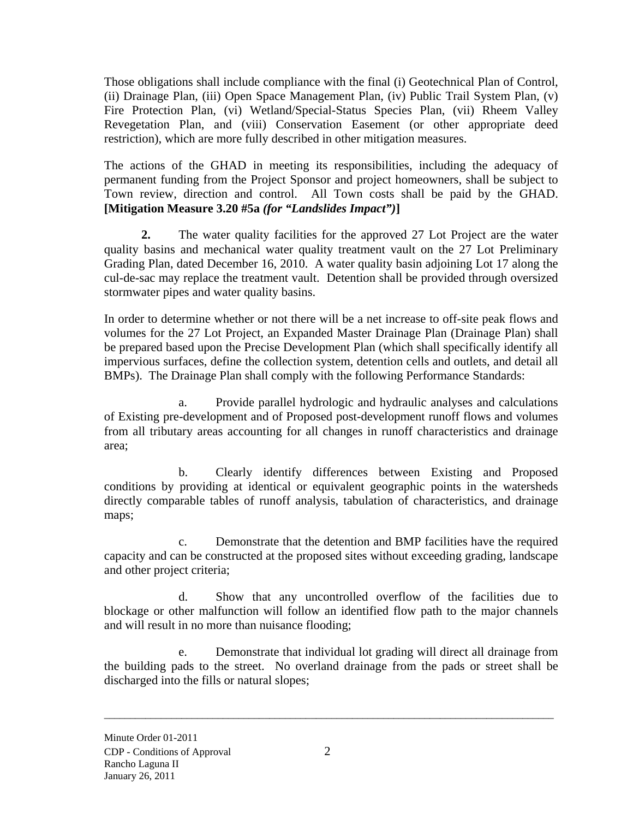Those obligations shall include compliance with the final (i) Geotechnical Plan of Control, (ii) Drainage Plan, (iii) Open Space Management Plan, (iv) Public Trail System Plan, (v) Fire Protection Plan, (vi) Wetland/Special-Status Species Plan, (vii) Rheem Valley Revegetation Plan, and (viii) Conservation Easement (or other appropriate deed restriction), which are more fully described in other mitigation measures.

The actions of the GHAD in meeting its responsibilities, including the adequacy of permanent funding from the Project Sponsor and project homeowners, shall be subject to Town review, direction and control. All Town costs shall be paid by the GHAD. **[Mitigation Measure 3.20 #5a** *(for "Landslides Impact")***]**

**2.** The water quality facilities for the approved 27 Lot Project are the water quality basins and mechanical water quality treatment vault on the 27 Lot Preliminary Grading Plan, dated December 16, 2010. A water quality basin adjoining Lot 17 along the cul-de-sac may replace the treatment vault. Detention shall be provided through oversized stormwater pipes and water quality basins.

In order to determine whether or not there will be a net increase to off-site peak flows and volumes for the 27 Lot Project, an Expanded Master Drainage Plan (Drainage Plan) shall be prepared based upon the Precise Development Plan (which shall specifically identify all impervious surfaces, define the collection system, detention cells and outlets, and detail all BMPs). The Drainage Plan shall comply with the following Performance Standards:

a. Provide parallel hydrologic and hydraulic analyses and calculations of Existing pre-development and of Proposed post-development runoff flows and volumes from all tributary areas accounting for all changes in runoff characteristics and drainage area;

b. Clearly identify differences between Existing and Proposed conditions by providing at identical or equivalent geographic points in the watersheds directly comparable tables of runoff analysis, tabulation of characteristics, and drainage maps;

c. Demonstrate that the detention and BMP facilities have the required capacity and can be constructed at the proposed sites without exceeding grading, landscape and other project criteria;

d. Show that any uncontrolled overflow of the facilities due to blockage or other malfunction will follow an identified flow path to the major channels and will result in no more than nuisance flooding;

e. Demonstrate that individual lot grading will direct all drainage from the building pads to the street. No overland drainage from the pads or street shall be discharged into the fills or natural slopes;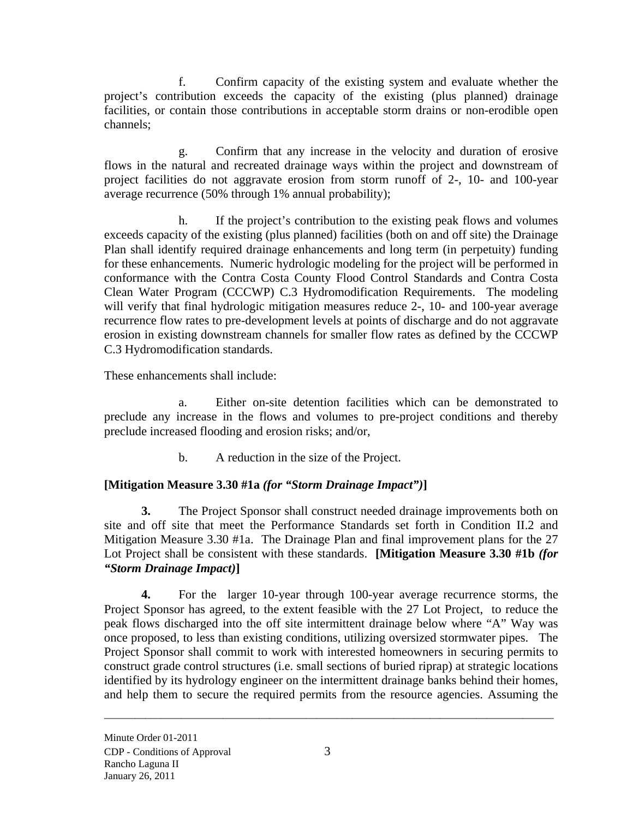f. Confirm capacity of the existing system and evaluate whether the project's contribution exceeds the capacity of the existing (plus planned) drainage facilities, or contain those contributions in acceptable storm drains or non-erodible open channels;

g. Confirm that any increase in the velocity and duration of erosive flows in the natural and recreated drainage ways within the project and downstream of project facilities do not aggravate erosion from storm runoff of 2-, 10- and 100-year average recurrence (50% through 1% annual probability);

h. If the project's contribution to the existing peak flows and volumes exceeds capacity of the existing (plus planned) facilities (both on and off site) the Drainage Plan shall identify required drainage enhancements and long term (in perpetuity) funding for these enhancements. Numeric hydrologic modeling for the project will be performed in conformance with the Contra Costa County Flood Control Standards and Contra Costa Clean Water Program (CCCWP) C.3 Hydromodification Requirements. The modeling will verify that final hydrologic mitigation measures reduce 2-, 10- and 100-year average recurrence flow rates to pre-development levels at points of discharge and do not aggravate erosion in existing downstream channels for smaller flow rates as defined by the CCCWP C.3 Hydromodification standards.

These enhancements shall include:

a. Either on-site detention facilities which can be demonstrated to preclude any increase in the flows and volumes to pre-project conditions and thereby preclude increased flooding and erosion risks; and/or,

b. A reduction in the size of the Project.

## **[Mitigation Measure 3.30 #1a** *(for "Storm Drainage Impact")***]**

**3.** The Project Sponsor shall construct needed drainage improvements both on site and off site that meet the Performance Standards set forth in Condition II.2 and Mitigation Measure 3.30 #1a. The Drainage Plan and final improvement plans for the 27 Lot Project shall be consistent with these standards. **[Mitigation Measure 3.30 #1b** *(for "Storm Drainage Impact)***]** 

**4.** For the larger 10-year through 100-year average recurrence storms, the Project Sponsor has agreed, to the extent feasible with the 27 Lot Project, to reduce the peak flows discharged into the off site intermittent drainage below where "A" Way was once proposed, to less than existing conditions, utilizing oversized stormwater pipes. The Project Sponsor shall commit to work with interested homeowners in securing permits to construct grade control structures (i.e. small sections of buried riprap) at strategic locations identified by its hydrology engineer on the intermittent drainage banks behind their homes, and help them to secure the required permits from the resource agencies. Assuming the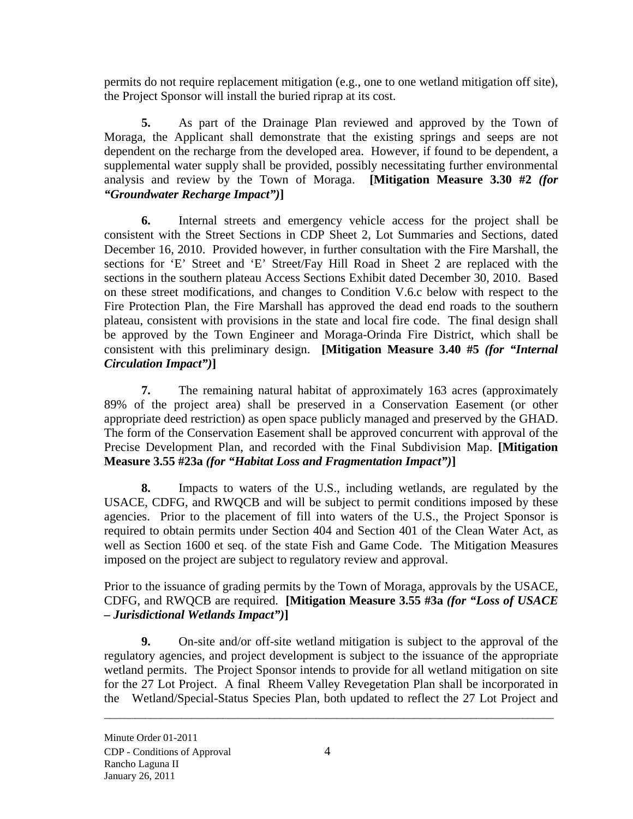permits do not require replacement mitigation (e.g., one to one wetland mitigation off site), the Project Sponsor will install the buried riprap at its cost.

**5.** As part of the Drainage Plan reviewed and approved by the Town of Moraga, the Applicant shall demonstrate that the existing springs and seeps are not dependent on the recharge from the developed area. However, if found to be dependent, a supplemental water supply shall be provided, possibly necessitating further environmental analysis and review by the Town of Moraga. **[Mitigation Measure 3.30 #2** *(for "Groundwater Recharge Impact")***]**

**6.** Internal streets and emergency vehicle access for the project shall be consistent with the Street Sections in CDP Sheet 2, Lot Summaries and Sections, dated December 16, 2010. Provided however, in further consultation with the Fire Marshall, the sections for 'E' Street and 'E' Street/Fay Hill Road in Sheet 2 are replaced with the sections in the southern plateau Access Sections Exhibit dated December 30, 2010. Based on these street modifications, and changes to Condition V.6.c below with respect to the Fire Protection Plan, the Fire Marshall has approved the dead end roads to the southern plateau, consistent with provisions in the state and local fire code. The final design shall be approved by the Town Engineer and Moraga-Orinda Fire District, which shall be consistent with this preliminary design. **[Mitigation Measure 3.40 #5** *(for "Internal Circulation Impact")***]**

**7.** The remaining natural habitat of approximately 163 acres (approximately 89% of the project area) shall be preserved in a Conservation Easement (or other appropriate deed restriction) as open space publicly managed and preserved by the GHAD. The form of the Conservation Easement shall be approved concurrent with approval of the Precise Development Plan, and recorded with the Final Subdivision Map. **[Mitigation Measure 3.55 #23a** *(for "Habitat Loss and Fragmentation Impact")***]** 

**8.** Impacts to waters of the U.S., including wetlands, are regulated by the USACE, CDFG, and RWQCB and will be subject to permit conditions imposed by these agencies. Prior to the placement of fill into waters of the U.S., the Project Sponsor is required to obtain permits under Section 404 and Section 401 of the Clean Water Act, as well as Section 1600 et seq. of the state Fish and Game Code. The Mitigation Measures imposed on the project are subject to regulatory review and approval.

Prior to the issuance of grading permits by the Town of Moraga, approvals by the USACE, CDFG, and RWQCB are required. **[Mitigation Measure 3.55 #3a** *(for "Loss of USACE – Jurisdictional Wetlands Impact")***]** 

**9.** On-site and/or off-site wetland mitigation is subject to the approval of the regulatory agencies, and project development is subject to the issuance of the appropriate wetland permits. The Project Sponsor intends to provide for all wetland mitigation on site for the 27 Lot Project. A final Rheem Valley Revegetation Plan shall be incorporated in the Wetland/Special-Status Species Plan, both updated to reflect the 27 Lot Project and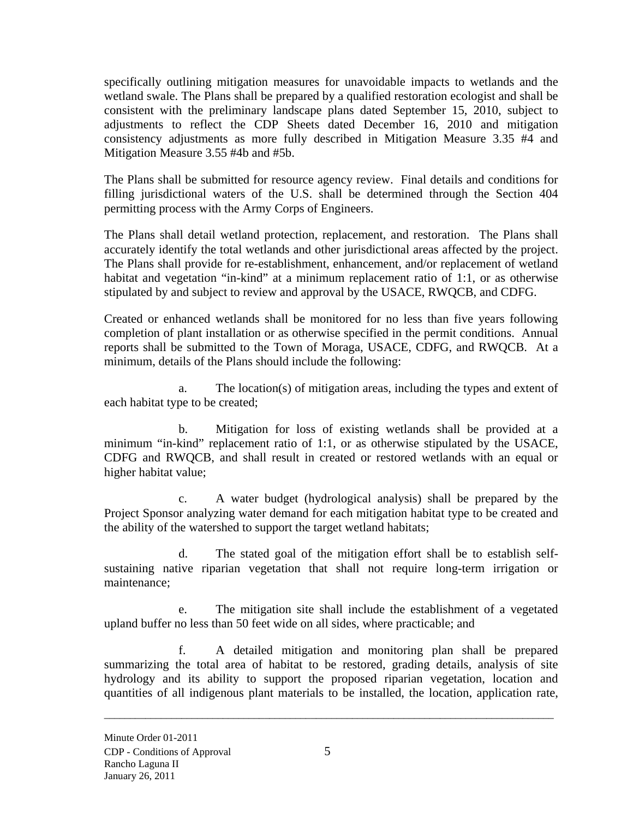specifically outlining mitigation measures for unavoidable impacts to wetlands and the wetland swale. The Plans shall be prepared by a qualified restoration ecologist and shall be consistent with the preliminary landscape plans dated September 15, 2010, subject to adjustments to reflect the CDP Sheets dated December 16, 2010 and mitigation consistency adjustments as more fully described in Mitigation Measure 3.35 #4 and Mitigation Measure 3.55 #4b and #5b.

The Plans shall be submitted for resource agency review. Final details and conditions for filling jurisdictional waters of the U.S. shall be determined through the Section 404 permitting process with the Army Corps of Engineers.

The Plans shall detail wetland protection, replacement, and restoration. The Plans shall accurately identify the total wetlands and other jurisdictional areas affected by the project. The Plans shall provide for re-establishment, enhancement, and/or replacement of wetland habitat and vegetation "in-kind" at a minimum replacement ratio of 1:1, or as otherwise stipulated by and subject to review and approval by the USACE, RWQCB, and CDFG.

Created or enhanced wetlands shall be monitored for no less than five years following completion of plant installation or as otherwise specified in the permit conditions. Annual reports shall be submitted to the Town of Moraga, USACE, CDFG, and RWQCB. At a minimum, details of the Plans should include the following:

a. The location(s) of mitigation areas, including the types and extent of each habitat type to be created;

b. Mitigation for loss of existing wetlands shall be provided at a minimum "in-kind" replacement ratio of 1:1, or as otherwise stipulated by the USACE, CDFG and RWQCB, and shall result in created or restored wetlands with an equal or higher habitat value;

c. A water budget (hydrological analysis) shall be prepared by the Project Sponsor analyzing water demand for each mitigation habitat type to be created and the ability of the watershed to support the target wetland habitats;

d. The stated goal of the mitigation effort shall be to establish selfsustaining native riparian vegetation that shall not require long-term irrigation or maintenance;

e. The mitigation site shall include the establishment of a vegetated upland buffer no less than 50 feet wide on all sides, where practicable; and

f. A detailed mitigation and monitoring plan shall be prepared summarizing the total area of habitat to be restored, grading details, analysis of site hydrology and its ability to support the proposed riparian vegetation, location and quantities of all indigenous plant materials to be installed, the location, application rate,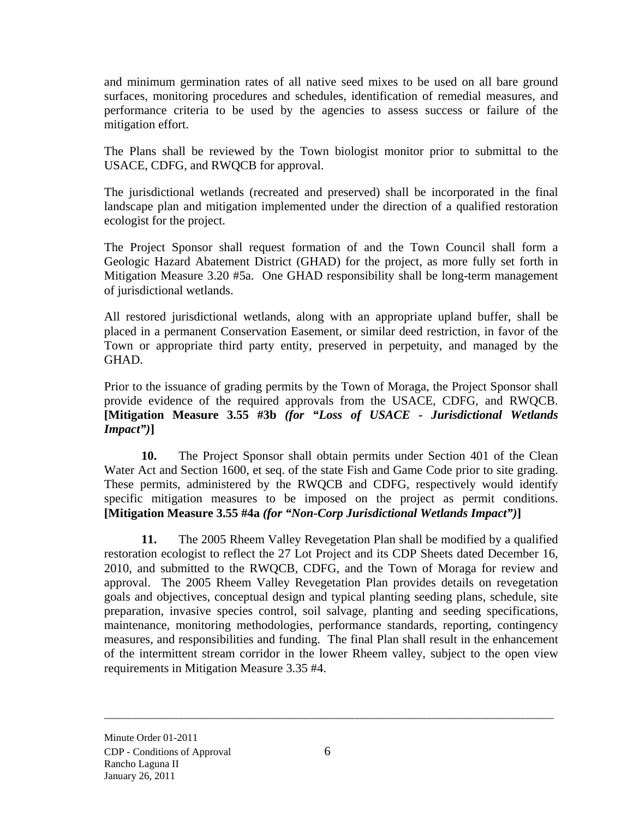and minimum germination rates of all native seed mixes to be used on all bare ground surfaces, monitoring procedures and schedules, identification of remedial measures, and performance criteria to be used by the agencies to assess success or failure of the mitigation effort.

The Plans shall be reviewed by the Town biologist monitor prior to submittal to the USACE, CDFG, and RWQCB for approval.

The jurisdictional wetlands (recreated and preserved) shall be incorporated in the final landscape plan and mitigation implemented under the direction of a qualified restoration ecologist for the project.

The Project Sponsor shall request formation of and the Town Council shall form a Geologic Hazard Abatement District (GHAD) for the project, as more fully set forth in Mitigation Measure 3.20 #5a. One GHAD responsibility shall be long-term management of jurisdictional wetlands.

All restored jurisdictional wetlands, along with an appropriate upland buffer, shall be placed in a permanent Conservation Easement, or similar deed restriction, in favor of the Town or appropriate third party entity, preserved in perpetuity, and managed by the GHAD.

Prior to the issuance of grading permits by the Town of Moraga, the Project Sponsor shall provide evidence of the required approvals from the USACE, CDFG, and RWQCB. **[Mitigation Measure 3.55 #3b** *(for "Loss of USACE - Jurisdictional Wetlands Impact")***]** 

**10.** The Project Sponsor shall obtain permits under Section 401 of the Clean Water Act and Section 1600, et seq. of the state Fish and Game Code prior to site grading. These permits, administered by the RWQCB and CDFG, respectively would identify specific mitigation measures to be imposed on the project as permit conditions. **[Mitigation Measure 3.55 #4a** *(for "Non-Corp Jurisdictional Wetlands Impact")***]** 

**11.** The 2005 Rheem Valley Revegetation Plan shall be modified by a qualified restoration ecologist to reflect the 27 Lot Project and its CDP Sheets dated December 16, 2010, and submitted to the RWQCB, CDFG, and the Town of Moraga for review and approval. The 2005 Rheem Valley Revegetation Plan provides details on revegetation goals and objectives, conceptual design and typical planting seeding plans, schedule, site preparation, invasive species control, soil salvage, planting and seeding specifications, maintenance, monitoring methodologies, performance standards, reporting, contingency measures, and responsibilities and funding. The final Plan shall result in the enhancement of the intermittent stream corridor in the lower Rheem valley, subject to the open view requirements in Mitigation Measure 3.35 #4.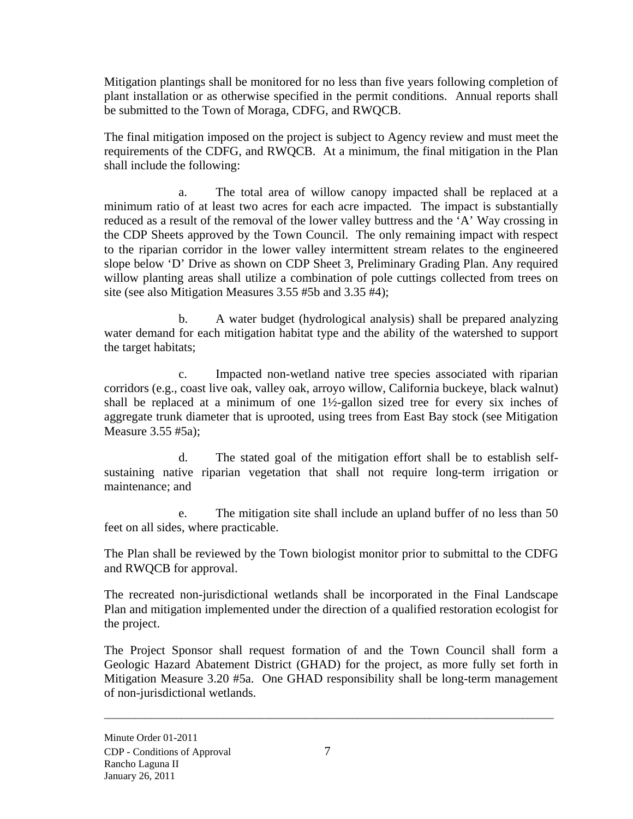Mitigation plantings shall be monitored for no less than five years following completion of plant installation or as otherwise specified in the permit conditions. Annual reports shall be submitted to the Town of Moraga, CDFG, and RWQCB.

The final mitigation imposed on the project is subject to Agency review and must meet the requirements of the CDFG, and RWQCB. At a minimum, the final mitigation in the Plan shall include the following:

a. The total area of willow canopy impacted shall be replaced at a minimum ratio of at least two acres for each acre impacted. The impact is substantially reduced as a result of the removal of the lower valley buttress and the 'A' Way crossing in the CDP Sheets approved by the Town Council. The only remaining impact with respect to the riparian corridor in the lower valley intermittent stream relates to the engineered slope below 'D' Drive as shown on CDP Sheet 3, Preliminary Grading Plan. Any required willow planting areas shall utilize a combination of pole cuttings collected from trees on site (see also Mitigation Measures 3.55 #5b and 3.35 #4);

b. A water budget (hydrological analysis) shall be prepared analyzing water demand for each mitigation habitat type and the ability of the watershed to support the target habitats;

c. Impacted non-wetland native tree species associated with riparian corridors (e.g., coast live oak, valley oak, arroyo willow, California buckeye, black walnut) shall be replaced at a minimum of one 1½-gallon sized tree for every six inches of aggregate trunk diameter that is uprooted, using trees from East Bay stock (see Mitigation Measure 3.55 #5a);

d. The stated goal of the mitigation effort shall be to establish selfsustaining native riparian vegetation that shall not require long-term irrigation or maintenance; and

e. The mitigation site shall include an upland buffer of no less than 50 feet on all sides, where practicable.

The Plan shall be reviewed by the Town biologist monitor prior to submittal to the CDFG and RWQCB for approval.

The recreated non-jurisdictional wetlands shall be incorporated in the Final Landscape Plan and mitigation implemented under the direction of a qualified restoration ecologist for the project.

The Project Sponsor shall request formation of and the Town Council shall form a Geologic Hazard Abatement District (GHAD) for the project, as more fully set forth in Mitigation Measure 3.20 #5a. One GHAD responsibility shall be long-term management of non-jurisdictional wetlands.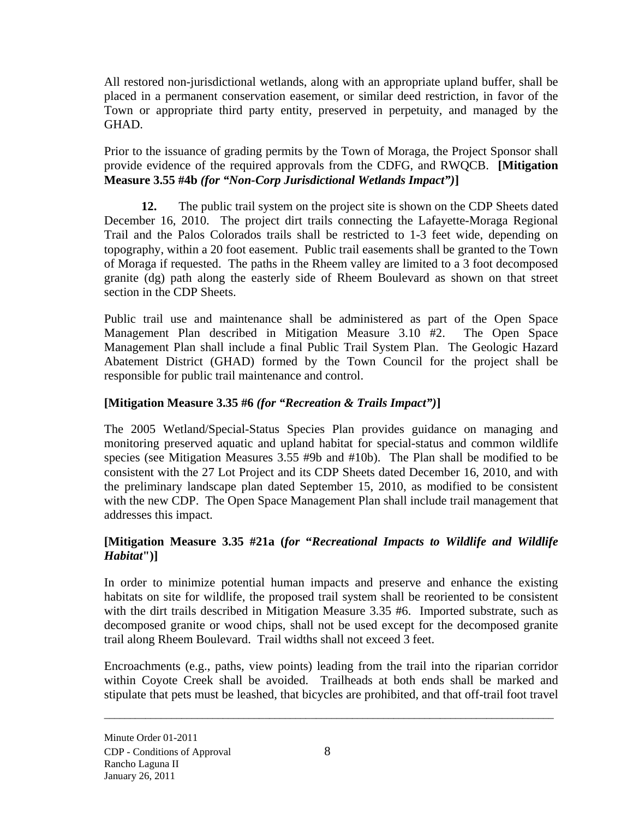All restored non-jurisdictional wetlands, along with an appropriate upland buffer, shall be placed in a permanent conservation easement, or similar deed restriction, in favor of the Town or appropriate third party entity, preserved in perpetuity, and managed by the GHAD.

Prior to the issuance of grading permits by the Town of Moraga, the Project Sponsor shall provide evidence of the required approvals from the CDFG, and RWQCB. **[Mitigation Measure 3.55 #4b** *(for "Non-Corp Jurisdictional Wetlands Impact")***]** 

**12.** The public trail system on the project site is shown on the CDP Sheets dated December 16, 2010. The project dirt trails connecting the Lafayette-Moraga Regional Trail and the Palos Colorados trails shall be restricted to 1-3 feet wide, depending on topography, within a 20 foot easement. Public trail easements shall be granted to the Town of Moraga if requested. The paths in the Rheem valley are limited to a 3 foot decomposed granite (dg) path along the easterly side of Rheem Boulevard as shown on that street section in the CDP Sheets.

Public trail use and maintenance shall be administered as part of the Open Space Management Plan described in Mitigation Measure 3.10 #2. The Open Space Management Plan shall include a final Public Trail System Plan. The Geologic Hazard Abatement District (GHAD) formed by the Town Council for the project shall be responsible for public trail maintenance and control.

# **[Mitigation Measure 3.35 #6** *(for "Recreation & Trails Impact")***]**

The 2005 Wetland/Special-Status Species Plan provides guidance on managing and monitoring preserved aquatic and upland habitat for special-status and common wildlife species (see Mitigation Measures 3.55 #9b and #10b). The Plan shall be modified to be consistent with the 27 Lot Project and its CDP Sheets dated December 16, 2010, and with the preliminary landscape plan dated September 15, 2010, as modified to be consistent with the new CDP. The Open Space Management Plan shall include trail management that addresses this impact.

## **[Mitigation Measure 3.35 #21a (***for* **"***Recreational Impacts to Wildlife and Wildlife Habitat***")]**

In order to minimize potential human impacts and preserve and enhance the existing habitats on site for wildlife, the proposed trail system shall be reoriented to be consistent with the dirt trails described in Mitigation Measure 3.35 #6. Imported substrate, such as decomposed granite or wood chips, shall not be used except for the decomposed granite trail along Rheem Boulevard. Trail widths shall not exceed 3 feet.

Encroachments (e.g., paths, view points) leading from the trail into the riparian corridor within Coyote Creek shall be avoided. Trailheads at both ends shall be marked and stipulate that pets must be leashed, that bicycles are prohibited, and that off-trail foot travel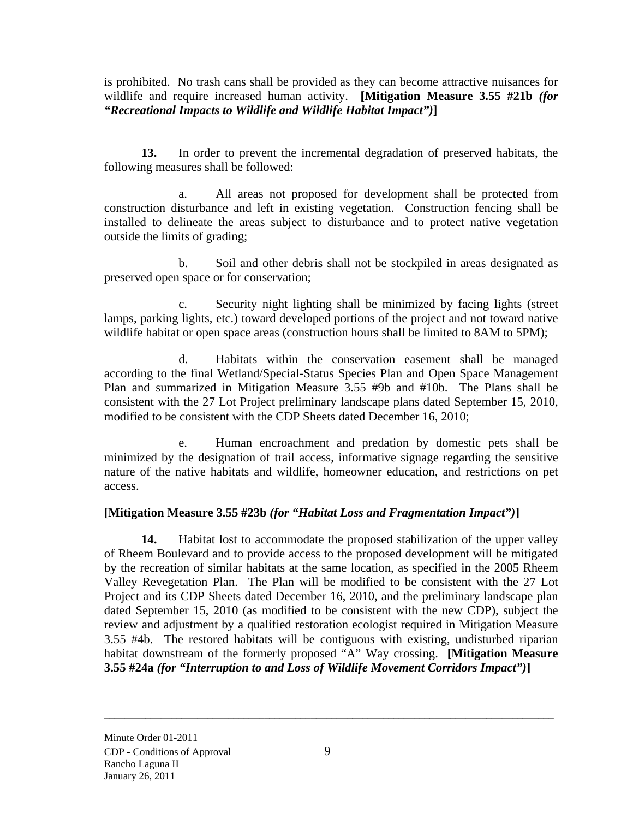is prohibited. No trash cans shall be provided as they can become attractive nuisances for wildlife and require increased human activity. **[Mitigation Measure 3.55 #21b** *(for "Recreational Impacts to Wildlife and Wildlife Habitat Impact")***]**

**13.** In order to prevent the incremental degradation of preserved habitats, the following measures shall be followed:

a. All areas not proposed for development shall be protected from construction disturbance and left in existing vegetation. Construction fencing shall be installed to delineate the areas subject to disturbance and to protect native vegetation outside the limits of grading;

b. Soil and other debris shall not be stockpiled in areas designated as preserved open space or for conservation;

c. Security night lighting shall be minimized by facing lights (street lamps, parking lights, etc.) toward developed portions of the project and not toward native wildlife habitat or open space areas (construction hours shall be limited to 8AM to 5PM);

d. Habitats within the conservation easement shall be managed according to the final Wetland/Special-Status Species Plan and Open Space Management Plan and summarized in Mitigation Measure 3.55 #9b and #10b. The Plans shall be consistent with the 27 Lot Project preliminary landscape plans dated September 15, 2010, modified to be consistent with the CDP Sheets dated December 16, 2010;

e. Human encroachment and predation by domestic pets shall be minimized by the designation of trail access, informative signage regarding the sensitive nature of the native habitats and wildlife, homeowner education, and restrictions on pet access.

## **[Mitigation Measure 3.55 #23b** *(for "Habitat Loss and Fragmentation Impact")***]**

**14.** Habitat lost to accommodate the proposed stabilization of the upper valley of Rheem Boulevard and to provide access to the proposed development will be mitigated by the recreation of similar habitats at the same location, as specified in the 2005 Rheem Valley Revegetation Plan. The Plan will be modified to be consistent with the 27 Lot Project and its CDP Sheets dated December 16, 2010, and the preliminary landscape plan dated September 15, 2010 (as modified to be consistent with the new CDP), subject the review and adjustment by a qualified restoration ecologist required in Mitigation Measure 3.55 #4b. The restored habitats will be contiguous with existing, undisturbed riparian habitat downstream of the formerly proposed "A" Way crossing. **[Mitigation Measure 3.55 #24a** *(for "Interruption to and Loss of Wildlife Movement Corridors Impact")***]**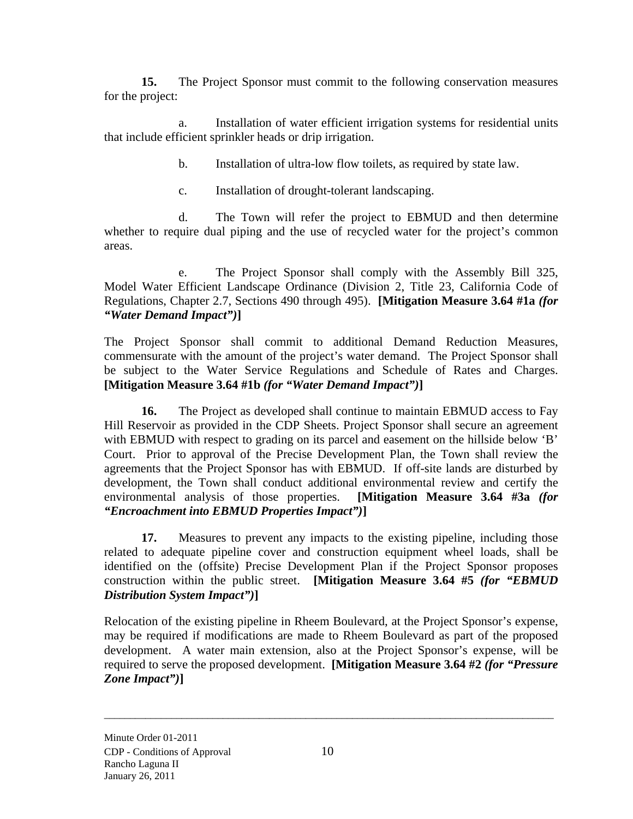**15.** The Project Sponsor must commit to the following conservation measures for the project:

a. Installation of water efficient irrigation systems for residential units that include efficient sprinkler heads or drip irrigation.

b. Installation of ultra-low flow toilets, as required by state law.

c. Installation of drought-tolerant landscaping.

d. The Town will refer the project to EBMUD and then determine whether to require dual piping and the use of recycled water for the project's common areas.

e. The Project Sponsor shall comply with the Assembly Bill 325, Model Water Efficient Landscape Ordinance (Division 2, Title 23, California Code of Regulations, Chapter 2.7, Sections 490 through 495). **[Mitigation Measure 3.64 #1a** *(for "Water Demand Impact")***]** 

The Project Sponsor shall commit to additional Demand Reduction Measures, commensurate with the amount of the project's water demand. The Project Sponsor shall be subject to the Water Service Regulations and Schedule of Rates and Charges. **[Mitigation Measure 3.64 #1b** *(for "Water Demand Impact")***]** 

**16.** The Project as developed shall continue to maintain EBMUD access to Fay Hill Reservoir as provided in the CDP Sheets. Project Sponsor shall secure an agreement with EBMUD with respect to grading on its parcel and easement on the hillside below 'B' Court. Prior to approval of the Precise Development Plan, the Town shall review the agreements that the Project Sponsor has with EBMUD. If off-site lands are disturbed by development, the Town shall conduct additional environmental review and certify the environmental analysis of those properties. **[Mitigation Measure 3.64 #3a** *(for "Encroachment into EBMUD Properties Impact")***]**

**17.** Measures to prevent any impacts to the existing pipeline, including those related to adequate pipeline cover and construction equipment wheel loads, shall be identified on the (offsite) Precise Development Plan if the Project Sponsor proposes construction within the public street. **[Mitigation Measure 3.64 #5** *(for "EBMUD Distribution System Impact")***]** 

Relocation of the existing pipeline in Rheem Boulevard, at the Project Sponsor's expense, may be required if modifications are made to Rheem Boulevard as part of the proposed development. A water main extension, also at the Project Sponsor's expense, will be required to serve the proposed development. **[Mitigation Measure 3.64 #2** *(for "Pressure Zone Impact")***]**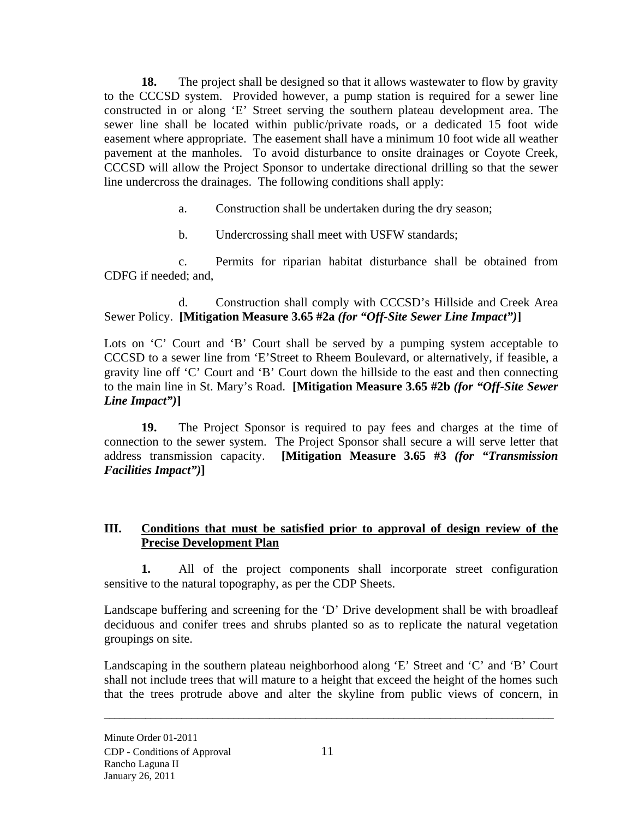**18.** The project shall be designed so that it allows wastewater to flow by gravity to the CCCSD system. Provided however, a pump station is required for a sewer line constructed in or along 'E' Street serving the southern plateau development area. The sewer line shall be located within public/private roads, or a dedicated 15 foot wide easement where appropriate. The easement shall have a minimum 10 foot wide all weather pavement at the manholes. To avoid disturbance to onsite drainages or Coyote Creek, CCCSD will allow the Project Sponsor to undertake directional drilling so that the sewer line undercross the drainages. The following conditions shall apply:

- a. Construction shall be undertaken during the dry season;
- b. Undercrossing shall meet with USFW standards;

c. Permits for riparian habitat disturbance shall be obtained from CDFG if needed; and,

d. Construction shall comply with CCCSD's Hillside and Creek Area Sewer Policy. **[Mitigation Measure 3.65 #2a** *(for "Off-Site Sewer Line Impact")***]** 

Lots on 'C' Court and 'B' Court shall be served by a pumping system acceptable to CCCSD to a sewer line from 'E'Street to Rheem Boulevard, or alternatively, if feasible, a gravity line off 'C' Court and 'B' Court down the hillside to the east and then connecting to the main line in St. Mary's Road. **[Mitigation Measure 3.65 #2b** *(for "Off-Site Sewer Line Impact")***]** 

**19.** The Project Sponsor is required to pay fees and charges at the time of connection to the sewer system. The Project Sponsor shall secure a will serve letter that address transmission capacity. **[Mitigation Measure 3.65 #3** *(for "Transmission Facilities Impact")***]** 

### **III. Conditions that must be satisfied prior to approval of design review of the Precise Development Plan**

**1.** All of the project components shall incorporate street configuration sensitive to the natural topography, as per the CDP Sheets.

Landscape buffering and screening for the 'D' Drive development shall be with broadleaf deciduous and conifer trees and shrubs planted so as to replicate the natural vegetation groupings on site.

Landscaping in the southern plateau neighborhood along 'E' Street and 'C' and 'B' Court shall not include trees that will mature to a height that exceed the height of the homes such that the trees protrude above and alter the skyline from public views of concern, in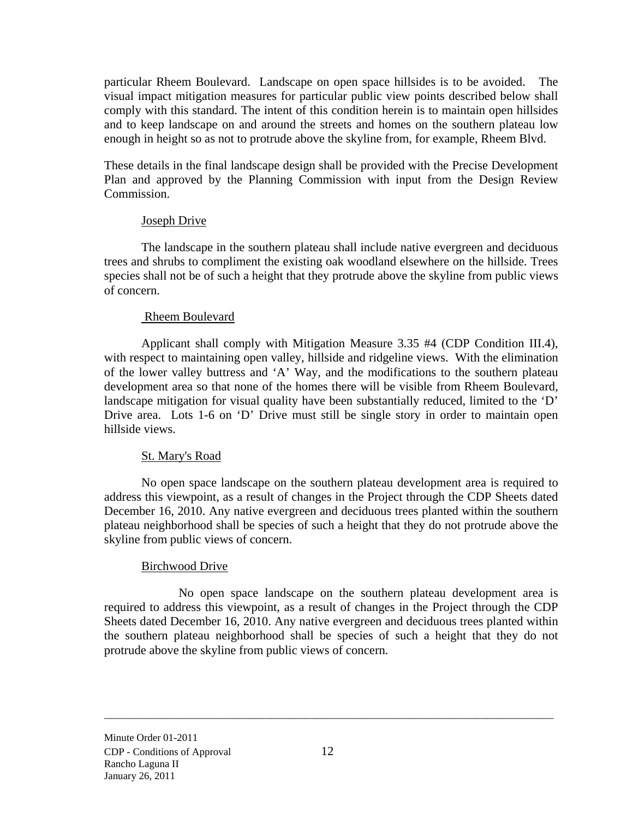particular Rheem Boulevard. Landscape on open space hillsides is to be avoided. The visual impact mitigation measures for particular public view points described below shall comply with this standard. The intent of this condition herein is to maintain open hillsides and to keep landscape on and around the streets and homes on the southern plateau low enough in height so as not to protrude above the skyline from, for example, Rheem Blvd.

These details in the final landscape design shall be provided with the Precise Development Plan and approved by the Planning Commission with input from the Design Review Commission.

### Joseph Drive

The landscape in the southern plateau shall include native evergreen and deciduous trees and shrubs to compliment the existing oak woodland elsewhere on the hillside. Trees species shall not be of such a height that they protrude above the skyline from public views of concern.

### Rheem Boulevard

 Applicant shall comply with Mitigation Measure 3.35 #4 (CDP Condition III.4), with respect to maintaining open valley, hillside and ridgeline views. With the elimination of the lower valley buttress and 'A' Way, and the modifications to the southern plateau development area so that none of the homes there will be visible from Rheem Boulevard, landscape mitigation for visual quality have been substantially reduced, limited to the 'D' Drive area. Lots 1-6 on 'D' Drive must still be single story in order to maintain open hillside views.

### St. Mary's Road

No open space landscape on the southern plateau development area is required to address this viewpoint, as a result of changes in the Project through the CDP Sheets dated December 16, 2010. Any native evergreen and deciduous trees planted within the southern plateau neighborhood shall be species of such a height that they do not protrude above the skyline from public views of concern.

### Birchwood Drive

No open space landscape on the southern plateau development area is required to address this viewpoint, as a result of changes in the Project through the CDP Sheets dated December 16, 2010. Any native evergreen and deciduous trees planted within the southern plateau neighborhood shall be species of such a height that they do not protrude above the skyline from public views of concern.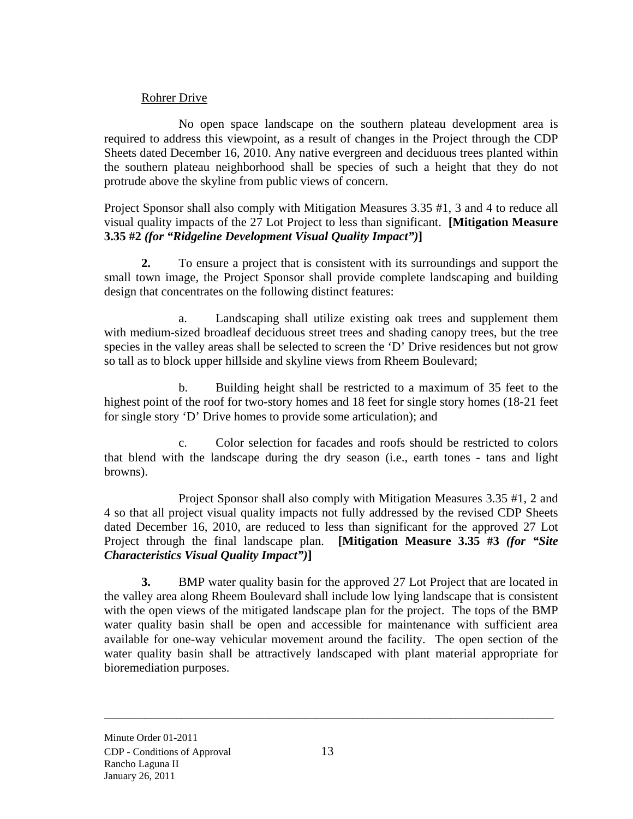### Rohrer Drive

No open space landscape on the southern plateau development area is required to address this viewpoint, as a result of changes in the Project through the CDP Sheets dated December 16, 2010. Any native evergreen and deciduous trees planted within the southern plateau neighborhood shall be species of such a height that they do not protrude above the skyline from public views of concern.

Project Sponsor shall also comply with Mitigation Measures 3.35 #1, 3 and 4 to reduce all visual quality impacts of the 27 Lot Project to less than significant. **[Mitigation Measure 3.35 #2** *(for "Ridgeline Development Visual Quality Impact")***]** 

**2.** To ensure a project that is consistent with its surroundings and support the small town image, the Project Sponsor shall provide complete landscaping and building design that concentrates on the following distinct features:

a. Landscaping shall utilize existing oak trees and supplement them with medium-sized broadleaf deciduous street trees and shading canopy trees, but the tree species in the valley areas shall be selected to screen the 'D' Drive residences but not grow so tall as to block upper hillside and skyline views from Rheem Boulevard;

b. Building height shall be restricted to a maximum of 35 feet to the highest point of the roof for two-story homes and 18 feet for single story homes (18-21 feet for single story 'D' Drive homes to provide some articulation); and

c. Color selection for facades and roofs should be restricted to colors that blend with the landscape during the dry season (i.e., earth tones - tans and light browns).

Project Sponsor shall also comply with Mitigation Measures 3.35 #1, 2 and 4 so that all project visual quality impacts not fully addressed by the revised CDP Sheets dated December 16, 2010, are reduced to less than significant for the approved 27 Lot Project through the final landscape plan. **[Mitigation Measure 3.35 #3** *(for "Site Characteristics Visual Quality Impact")***]**

**3.** BMP water quality basin for the approved 27 Lot Project that are located in the valley area along Rheem Boulevard shall include low lying landscape that is consistent with the open views of the mitigated landscape plan for the project. The tops of the BMP water quality basin shall be open and accessible for maintenance with sufficient area available for one-way vehicular movement around the facility. The open section of the water quality basin shall be attractively landscaped with plant material appropriate for bioremediation purposes.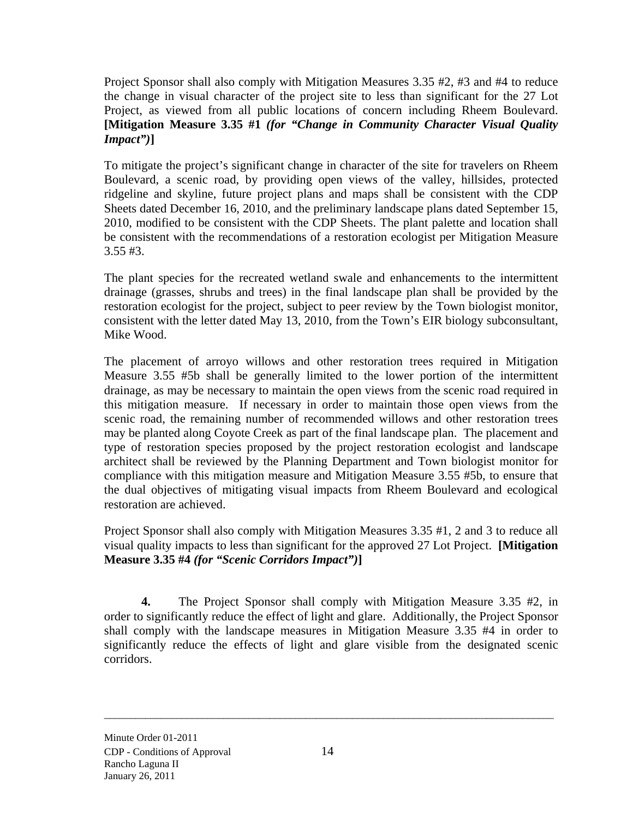Project Sponsor shall also comply with Mitigation Measures 3.35 #2, #3 and #4 to reduce the change in visual character of the project site to less than significant for the 27 Lot Project, as viewed from all public locations of concern including Rheem Boulevard. **[Mitigation Measure 3.35 #1** *(for "Change in Community Character Visual Quality Impact")***]**

To mitigate the project's significant change in character of the site for travelers on Rheem Boulevard, a scenic road, by providing open views of the valley, hillsides, protected ridgeline and skyline, future project plans and maps shall be consistent with the CDP Sheets dated December 16, 2010, and the preliminary landscape plans dated September 15, 2010, modified to be consistent with the CDP Sheets. The plant palette and location shall be consistent with the recommendations of a restoration ecologist per Mitigation Measure 3.55 #3.

The plant species for the recreated wetland swale and enhancements to the intermittent drainage (grasses, shrubs and trees) in the final landscape plan shall be provided by the restoration ecologist for the project, subject to peer review by the Town biologist monitor, consistent with the letter dated May 13, 2010, from the Town's EIR biology subconsultant, Mike Wood.

The placement of arroyo willows and other restoration trees required in Mitigation Measure 3.55 #5b shall be generally limited to the lower portion of the intermittent drainage, as may be necessary to maintain the open views from the scenic road required in this mitigation measure. If necessary in order to maintain those open views from the scenic road, the remaining number of recommended willows and other restoration trees may be planted along Coyote Creek as part of the final landscape plan. The placement and type of restoration species proposed by the project restoration ecologist and landscape architect shall be reviewed by the Planning Department and Town biologist monitor for compliance with this mitigation measure and Mitigation Measure 3.55 #5b, to ensure that the dual objectives of mitigating visual impacts from Rheem Boulevard and ecological restoration are achieved.

Project Sponsor shall also comply with Mitigation Measures 3.35 #1, 2 and 3 to reduce all visual quality impacts to less than significant for the approved 27 Lot Project. **[Mitigation Measure 3.35 #4** *(for "Scenic Corridors Impact")***]** 

**4.** The Project Sponsor shall comply with Mitigation Measure 3.35 #2, in order to significantly reduce the effect of light and glare. Additionally, the Project Sponsor shall comply with the landscape measures in Mitigation Measure 3.35 #4 in order to significantly reduce the effects of light and glare visible from the designated scenic corridors.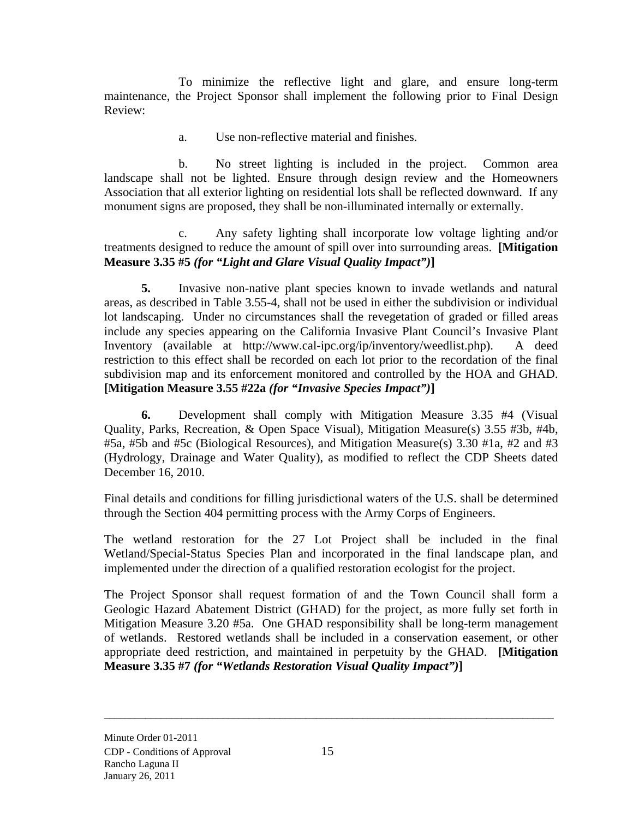To minimize the reflective light and glare, and ensure long-term maintenance, the Project Sponsor shall implement the following prior to Final Design Review:

a. Use non-reflective material and finishes.

b. No street lighting is included in the project. Common area landscape shall not be lighted. Ensure through design review and the Homeowners Association that all exterior lighting on residential lots shall be reflected downward. If any monument signs are proposed, they shall be non-illuminated internally or externally.

c. Any safety lighting shall incorporate low voltage lighting and/or treatments designed to reduce the amount of spill over into surrounding areas. **[Mitigation Measure 3.35 #5** *(for "Light and Glare Visual Quality Impact")***]**

**5.** Invasive non-native plant species known to invade wetlands and natural areas, as described in Table 3.55-4, shall not be used in either the subdivision or individual lot landscaping. Under no circumstances shall the revegetation of graded or filled areas include any species appearing on the California Invasive Plant Council's Invasive Plant Inventory (available at http://www.cal-ipc.org/ip/inventory/weedlist.php). A deed restriction to this effect shall be recorded on each lot prior to the recordation of the final subdivision map and its enforcement monitored and controlled by the HOA and GHAD. **[Mitigation Measure 3.55 #22a** *(for "Invasive Species Impact")***]** 

**6.** Development shall comply with Mitigation Measure 3.35 #4 (Visual Quality, Parks, Recreation, & Open Space Visual), Mitigation Measure(s) 3.55 #3b, #4b, #5a, #5b and #5c (Biological Resources), and Mitigation Measure(s) 3.30 #1a, #2 and #3 (Hydrology, Drainage and Water Quality), as modified to reflect the CDP Sheets dated December 16, 2010.

Final details and conditions for filling jurisdictional waters of the U.S. shall be determined through the Section 404 permitting process with the Army Corps of Engineers.

The wetland restoration for the 27 Lot Project shall be included in the final Wetland/Special-Status Species Plan and incorporated in the final landscape plan, and implemented under the direction of a qualified restoration ecologist for the project.

The Project Sponsor shall request formation of and the Town Council shall form a Geologic Hazard Abatement District (GHAD) for the project, as more fully set forth in Mitigation Measure 3.20 #5a. One GHAD responsibility shall be long-term management of wetlands. Restored wetlands shall be included in a conservation easement, or other appropriate deed restriction, and maintained in perpetuity by the GHAD. **[Mitigation Measure 3.35 #7** *(for "Wetlands Restoration Visual Quality Impact")***]**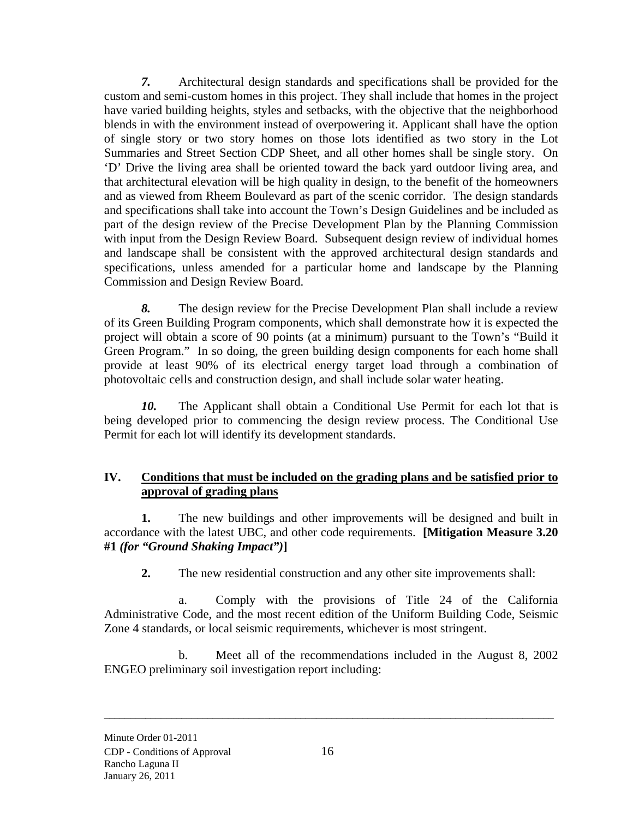*7.* Architectural design standards and specifications shall be provided for the custom and semi-custom homes in this project. They shall include that homes in the project have varied building heights, styles and setbacks, with the objective that the neighborhood blends in with the environment instead of overpowering it. Applicant shall have the option of single story or two story homes on those lots identified as two story in the Lot Summaries and Street Section CDP Sheet, and all other homes shall be single story. On 'D' Drive the living area shall be oriented toward the back yard outdoor living area, and that architectural elevation will be high quality in design, to the benefit of the homeowners and as viewed from Rheem Boulevard as part of the scenic corridor. The design standards and specifications shall take into account the Town's Design Guidelines and be included as part of the design review of the Precise Development Plan by the Planning Commission with input from the Design Review Board. Subsequent design review of individual homes and landscape shall be consistent with the approved architectural design standards and specifications, unless amended for a particular home and landscape by the Planning Commission and Design Review Board.

*8.* The design review for the Precise Development Plan shall include a review of its Green Building Program components, which shall demonstrate how it is expected the project will obtain a score of 90 points (at a minimum) pursuant to the Town's "Build it Green Program." In so doing, the green building design components for each home shall provide at least 90% of its electrical energy target load through a combination of photovoltaic cells and construction design, and shall include solar water heating.

*10.* The Applicant shall obtain a Conditional Use Permit for each lot that is being developed prior to commencing the design review process. The Conditional Use Permit for each lot will identify its development standards.

### **IV. Conditions that must be included on the grading plans and be satisfied prior to approval of grading plans**

**1.** The new buildings and other improvements will be designed and built in accordance with the latest UBC, and other code requirements. **[Mitigation Measure 3.20 #1** *(for "Ground Shaking Impact")***]** 

**2.** The new residential construction and any other site improvements shall:

a. Comply with the provisions of Title 24 of the California Administrative Code, and the most recent edition of the Uniform Building Code, Seismic Zone 4 standards, or local seismic requirements, whichever is most stringent.

b. Meet all of the recommendations included in the August 8, 2002 ENGEO preliminary soil investigation report including: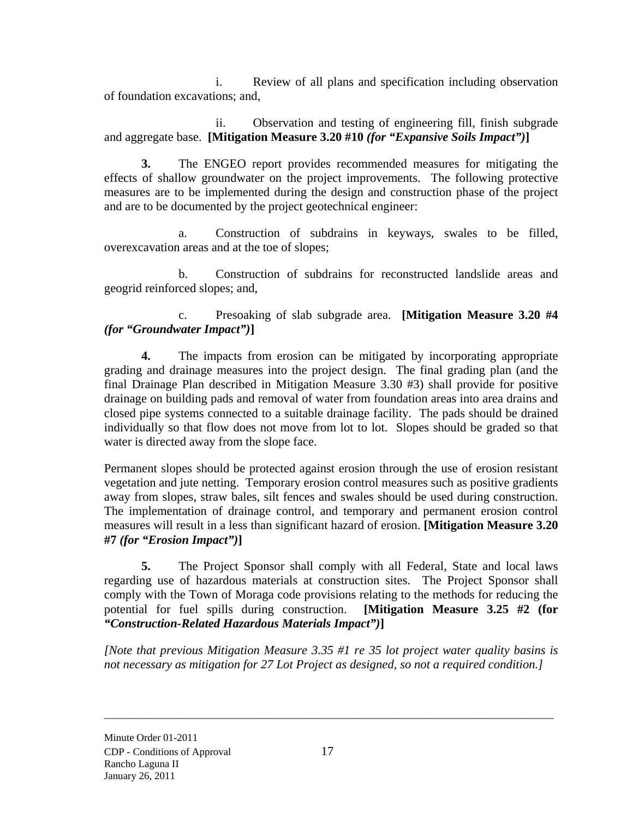i. Review of all plans and specification including observation of foundation excavations; and,

ii. Observation and testing of engineering fill, finish subgrade and aggregate base. **[Mitigation Measure 3.20 #10** *(for "Expansive Soils Impact")***]** 

**3.** The ENGEO report provides recommended measures for mitigating the effects of shallow groundwater on the project improvements. The following protective measures are to be implemented during the design and construction phase of the project and are to be documented by the project geotechnical engineer:

a. Construction of subdrains in keyways, swales to be filled, overexcavation areas and at the toe of slopes;

b. Construction of subdrains for reconstructed landslide areas and geogrid reinforced slopes; and,

c. Presoaking of slab subgrade area. **[Mitigation Measure 3.20 #4**  *(for "Groundwater Impact")***]** 

**4.** The impacts from erosion can be mitigated by incorporating appropriate grading and drainage measures into the project design. The final grading plan (and the final Drainage Plan described in Mitigation Measure 3.30 #3) shall provide for positive drainage on building pads and removal of water from foundation areas into area drains and closed pipe systems connected to a suitable drainage facility. The pads should be drained individually so that flow does not move from lot to lot. Slopes should be graded so that water is directed away from the slope face.

Permanent slopes should be protected against erosion through the use of erosion resistant vegetation and jute netting. Temporary erosion control measures such as positive gradients away from slopes, straw bales, silt fences and swales should be used during construction. The implementation of drainage control, and temporary and permanent erosion control measures will result in a less than significant hazard of erosion. **[Mitigation Measure 3.20 #7** *(for "Erosion Impact")***]** 

**5.** The Project Sponsor shall comply with all Federal, State and local laws regarding use of hazardous materials at construction sites. The Project Sponsor shall comply with the Town of Moraga code provisions relating to the methods for reducing the potential for fuel spills during construction. **[Mitigation Measure 3.25 #2 (for**  *"Construction-Related Hazardous Materials Impact")***]** 

*[Note that previous Mitigation Measure 3.35 #1 re 35 lot project water quality basins is not necessary as mitigation for 27 Lot Project as designed, so not a required condition.]*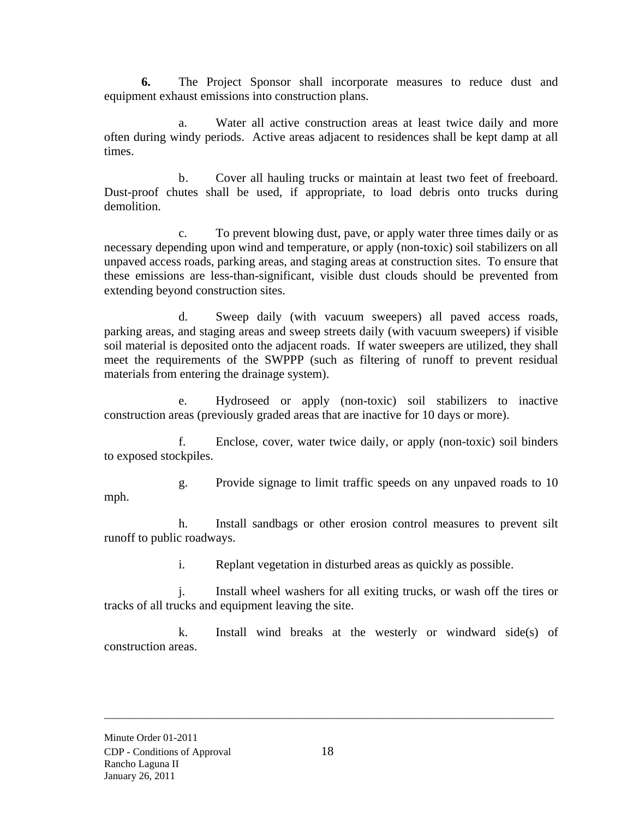**6.** The Project Sponsor shall incorporate measures to reduce dust and equipment exhaust emissions into construction plans.

a. Water all active construction areas at least twice daily and more often during windy periods. Active areas adjacent to residences shall be kept damp at all times.

b. Cover all hauling trucks or maintain at least two feet of freeboard. Dust-proof chutes shall be used, if appropriate, to load debris onto trucks during demolition.

c. To prevent blowing dust, pave, or apply water three times daily or as necessary depending upon wind and temperature, or apply (non-toxic) soil stabilizers on all unpaved access roads, parking areas, and staging areas at construction sites. To ensure that these emissions are less-than-significant, visible dust clouds should be prevented from extending beyond construction sites.

d. Sweep daily (with vacuum sweepers) all paved access roads, parking areas, and staging areas and sweep streets daily (with vacuum sweepers) if visible soil material is deposited onto the adjacent roads. If water sweepers are utilized, they shall meet the requirements of the SWPPP (such as filtering of runoff to prevent residual materials from entering the drainage system).

e. Hydroseed or apply (non-toxic) soil stabilizers to inactive construction areas (previously graded areas that are inactive for 10 days or more).

f. Enclose, cover, water twice daily, or apply (non-toxic) soil binders to exposed stockpiles.

g. Provide signage to limit traffic speeds on any unpaved roads to 10 mph.

h. Install sandbags or other erosion control measures to prevent silt runoff to public roadways.

i. Replant vegetation in disturbed areas as quickly as possible.

j. Install wheel washers for all exiting trucks, or wash off the tires or tracks of all trucks and equipment leaving the site.

k. Install wind breaks at the westerly or windward side(s) of construction areas.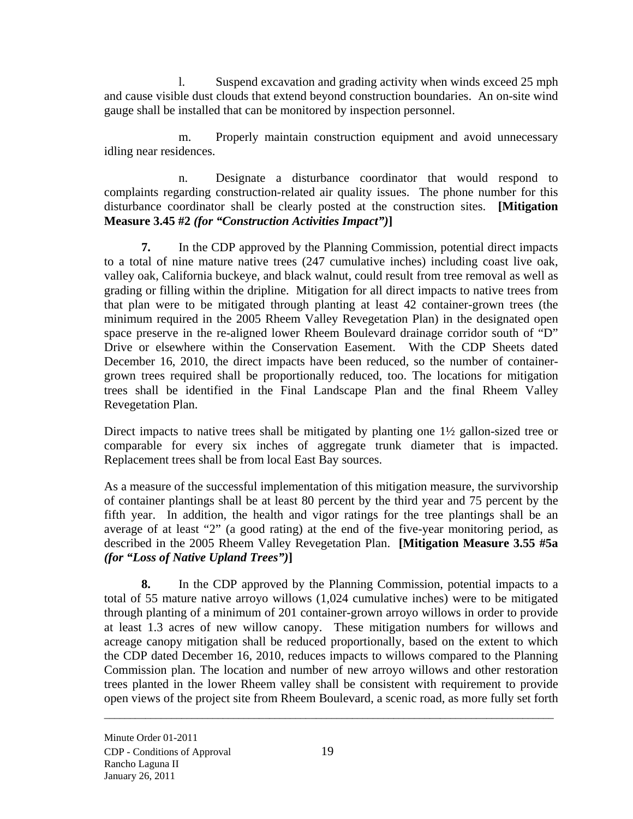l. Suspend excavation and grading activity when winds exceed 25 mph and cause visible dust clouds that extend beyond construction boundaries. An on-site wind gauge shall be installed that can be monitored by inspection personnel.

m. Properly maintain construction equipment and avoid unnecessary idling near residences.

n. Designate a disturbance coordinator that would respond to complaints regarding construction-related air quality issues. The phone number for this disturbance coordinator shall be clearly posted at the construction sites. **[Mitigation Measure 3.45 #2** *(for "Construction Activities Impact")***]** 

**7.** In the CDP approved by the Planning Commission, potential direct impacts to a total of nine mature native trees (247 cumulative inches) including coast live oak, valley oak, California buckeye, and black walnut, could result from tree removal as well as grading or filling within the dripline. Mitigation for all direct impacts to native trees from that plan were to be mitigated through planting at least 42 container-grown trees (the minimum required in the 2005 Rheem Valley Revegetation Plan) in the designated open space preserve in the re-aligned lower Rheem Boulevard drainage corridor south of "D" Drive or elsewhere within the Conservation Easement. With the CDP Sheets dated December 16, 2010, the direct impacts have been reduced, so the number of containergrown trees required shall be proportionally reduced, too. The locations for mitigation trees shall be identified in the Final Landscape Plan and the final Rheem Valley Revegetation Plan.

Direct impacts to native trees shall be mitigated by planting one 1½ gallon-sized tree or comparable for every six inches of aggregate trunk diameter that is impacted. Replacement trees shall be from local East Bay sources.

As a measure of the successful implementation of this mitigation measure, the survivorship of container plantings shall be at least 80 percent by the third year and 75 percent by the fifth year. In addition, the health and vigor ratings for the tree plantings shall be an average of at least "2" (a good rating) at the end of the five-year monitoring period, as described in the 2005 Rheem Valley Revegetation Plan. **[Mitigation Measure 3.55 #5a**  *(for "Loss of Native Upland Trees")***]** 

**8.** In the CDP approved by the Planning Commission, potential impacts to a total of 55 mature native arroyo willows (1,024 cumulative inches) were to be mitigated through planting of a minimum of 201 container-grown arroyo willows in order to provide at least 1.3 acres of new willow canopy. These mitigation numbers for willows and acreage canopy mitigation shall be reduced proportionally, based on the extent to which the CDP dated December 16, 2010, reduces impacts to willows compared to the Planning Commission plan. The location and number of new arroyo willows and other restoration trees planted in the lower Rheem valley shall be consistent with requirement to provide open views of the project site from Rheem Boulevard, a scenic road, as more fully set forth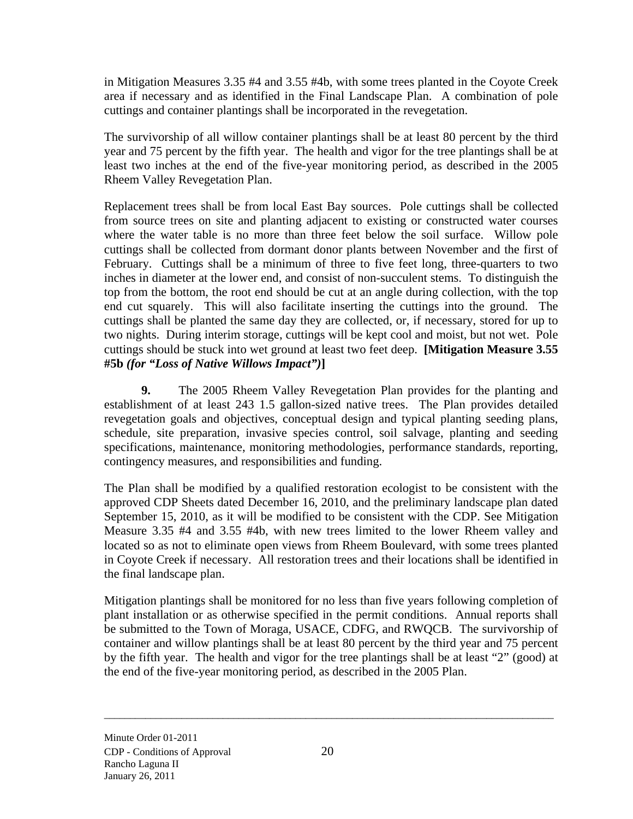in Mitigation Measures 3.35 #4 and 3.55 #4b, with some trees planted in the Coyote Creek area if necessary and as identified in the Final Landscape Plan. A combination of pole cuttings and container plantings shall be incorporated in the revegetation.

The survivorship of all willow container plantings shall be at least 80 percent by the third year and 75 percent by the fifth year. The health and vigor for the tree plantings shall be at least two inches at the end of the five-year monitoring period, as described in the 2005 Rheem Valley Revegetation Plan.

Replacement trees shall be from local East Bay sources. Pole cuttings shall be collected from source trees on site and planting adjacent to existing or constructed water courses where the water table is no more than three feet below the soil surface. Willow pole cuttings shall be collected from dormant donor plants between November and the first of February. Cuttings shall be a minimum of three to five feet long, three-quarters to two inches in diameter at the lower end, and consist of non-succulent stems. To distinguish the top from the bottom, the root end should be cut at an angle during collection, with the top end cut squarely. This will also facilitate inserting the cuttings into the ground. The cuttings shall be planted the same day they are collected, or, if necessary, stored for up to two nights. During interim storage, cuttings will be kept cool and moist, but not wet. Pole cuttings should be stuck into wet ground at least two feet deep. **[Mitigation Measure 3.55 #5b** *(for "Loss of Native Willows Impact")***]** 

**9.** The 2005 Rheem Valley Revegetation Plan provides for the planting and establishment of at least 243 1.5 gallon-sized native trees. The Plan provides detailed revegetation goals and objectives, conceptual design and typical planting seeding plans, schedule, site preparation, invasive species control, soil salvage, planting and seeding specifications, maintenance, monitoring methodologies, performance standards, reporting, contingency measures, and responsibilities and funding.

The Plan shall be modified by a qualified restoration ecologist to be consistent with the approved CDP Sheets dated December 16, 2010, and the preliminary landscape plan dated September 15, 2010, as it will be modified to be consistent with the CDP. See Mitigation Measure 3.35 #4 and 3.55 #4b, with new trees limited to the lower Rheem valley and located so as not to eliminate open views from Rheem Boulevard, with some trees planted in Coyote Creek if necessary. All restoration trees and their locations shall be identified in the final landscape plan.

Mitigation plantings shall be monitored for no less than five years following completion of plant installation or as otherwise specified in the permit conditions. Annual reports shall be submitted to the Town of Moraga, USACE, CDFG, and RWQCB. The survivorship of container and willow plantings shall be at least 80 percent by the third year and 75 percent by the fifth year. The health and vigor for the tree plantings shall be at least "2" (good) at the end of the five-year monitoring period, as described in the 2005 Plan.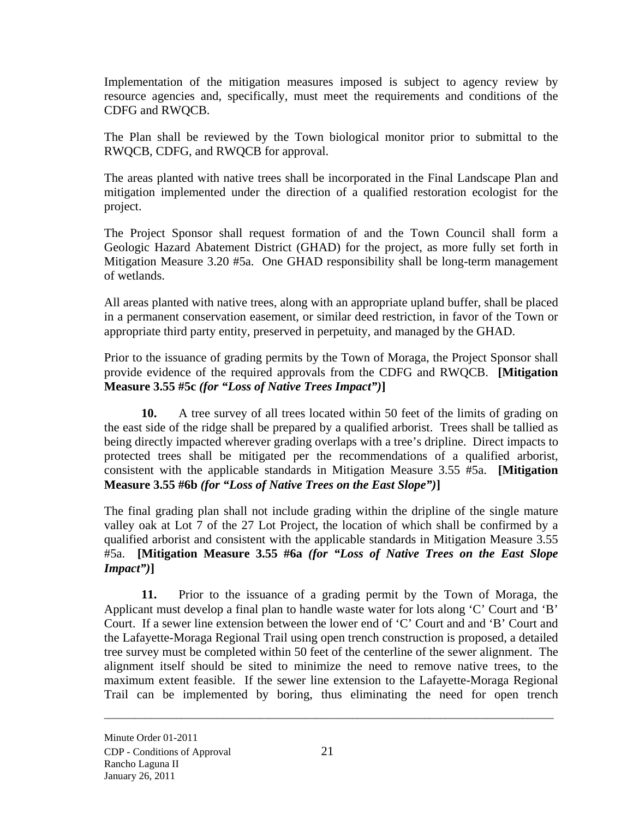Implementation of the mitigation measures imposed is subject to agency review by resource agencies and, specifically, must meet the requirements and conditions of the CDFG and RWQCB.

The Plan shall be reviewed by the Town biological monitor prior to submittal to the RWQCB, CDFG, and RWQCB for approval.

The areas planted with native trees shall be incorporated in the Final Landscape Plan and mitigation implemented under the direction of a qualified restoration ecologist for the project.

The Project Sponsor shall request formation of and the Town Council shall form a Geologic Hazard Abatement District (GHAD) for the project, as more fully set forth in Mitigation Measure 3.20 #5a. One GHAD responsibility shall be long-term management of wetlands.

All areas planted with native trees, along with an appropriate upland buffer, shall be placed in a permanent conservation easement, or similar deed restriction, in favor of the Town or appropriate third party entity, preserved in perpetuity, and managed by the GHAD.

Prior to the issuance of grading permits by the Town of Moraga, the Project Sponsor shall provide evidence of the required approvals from the CDFG and RWQCB. **[Mitigation Measure 3.55 #5c** *(for "Loss of Native Trees Impact")***]**

**10.** A tree survey of all trees located within 50 feet of the limits of grading on the east side of the ridge shall be prepared by a qualified arborist. Trees shall be tallied as being directly impacted wherever grading overlaps with a tree's dripline. Direct impacts to protected trees shall be mitigated per the recommendations of a qualified arborist, consistent with the applicable standards in Mitigation Measure 3.55 #5a. **[Mitigation Measure 3.55 #6b** *(for "Loss of Native Trees on the East Slope")***]** 

The final grading plan shall not include grading within the dripline of the single mature valley oak at Lot 7 of the 27 Lot Project, the location of which shall be confirmed by a qualified arborist and consistent with the applicable standards in Mitigation Measure 3.55 #5a. **[Mitigation Measure 3.55 #6a** *(for "Loss of Native Trees on the East Slope Impact")***]** 

**11.** Prior to the issuance of a grading permit by the Town of Moraga, the Applicant must develop a final plan to handle waste water for lots along 'C' Court and 'B' Court. If a sewer line extension between the lower end of 'C' Court and and 'B' Court and the Lafayette-Moraga Regional Trail using open trench construction is proposed, a detailed tree survey must be completed within 50 feet of the centerline of the sewer alignment. The alignment itself should be sited to minimize the need to remove native trees, to the maximum extent feasible. If the sewer line extension to the Lafayette-Moraga Regional Trail can be implemented by boring, thus eliminating the need for open trench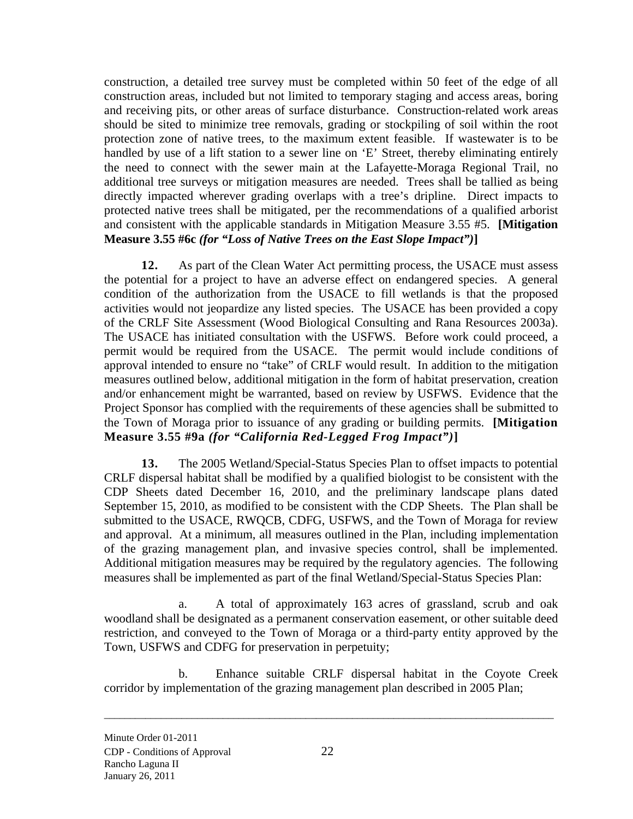construction, a detailed tree survey must be completed within 50 feet of the edge of all construction areas, included but not limited to temporary staging and access areas, boring and receiving pits, or other areas of surface disturbance. Construction-related work areas should be sited to minimize tree removals, grading or stockpiling of soil within the root protection zone of native trees, to the maximum extent feasible. If wastewater is to be handled by use of a lift station to a sewer line on 'E' Street, thereby eliminating entirely the need to connect with the sewer main at the Lafayette-Moraga Regional Trail, no additional tree surveys or mitigation measures are needed. Trees shall be tallied as being directly impacted wherever grading overlaps with a tree's dripline. Direct impacts to protected native trees shall be mitigated, per the recommendations of a qualified arborist and consistent with the applicable standards in Mitigation Measure 3.55 #5. **[Mitigation Measure 3.55 #6c** *(for "Loss of Native Trees on the East Slope Impact")***]** 

**12.** As part of the Clean Water Act permitting process, the USACE must assess the potential for a project to have an adverse effect on endangered species. A general condition of the authorization from the USACE to fill wetlands is that the proposed activities would not jeopardize any listed species. The USACE has been provided a copy of the CRLF Site Assessment (Wood Biological Consulting and Rana Resources 2003a). The USACE has initiated consultation with the USFWS. Before work could proceed, a permit would be required from the USACE. The permit would include conditions of approval intended to ensure no "take" of CRLF would result. In addition to the mitigation measures outlined below, additional mitigation in the form of habitat preservation, creation and/or enhancement might be warranted, based on review by USFWS. Evidence that the Project Sponsor has complied with the requirements of these agencies shall be submitted to the Town of Moraga prior to issuance of any grading or building permits. **[Mitigation Measure 3.55 #9a** *(for "California Red-Legged Frog Impact")***]** 

**13.** The 2005 Wetland/Special-Status Species Plan to offset impacts to potential CRLF dispersal habitat shall be modified by a qualified biologist to be consistent with the CDP Sheets dated December 16, 2010, and the preliminary landscape plans dated September 15, 2010, as modified to be consistent with the CDP Sheets. The Plan shall be submitted to the USACE, RWQCB, CDFG, USFWS, and the Town of Moraga for review and approval. At a minimum, all measures outlined in the Plan, including implementation of the grazing management plan, and invasive species control, shall be implemented. Additional mitigation measures may be required by the regulatory agencies. The following measures shall be implemented as part of the final Wetland/Special-Status Species Plan:

a. A total of approximately 163 acres of grassland, scrub and oak woodland shall be designated as a permanent conservation easement, or other suitable deed restriction, and conveyed to the Town of Moraga or a third-party entity approved by the Town, USFWS and CDFG for preservation in perpetuity;

b. Enhance suitable CRLF dispersal habitat in the Coyote Creek corridor by implementation of the grazing management plan described in 2005 Plan;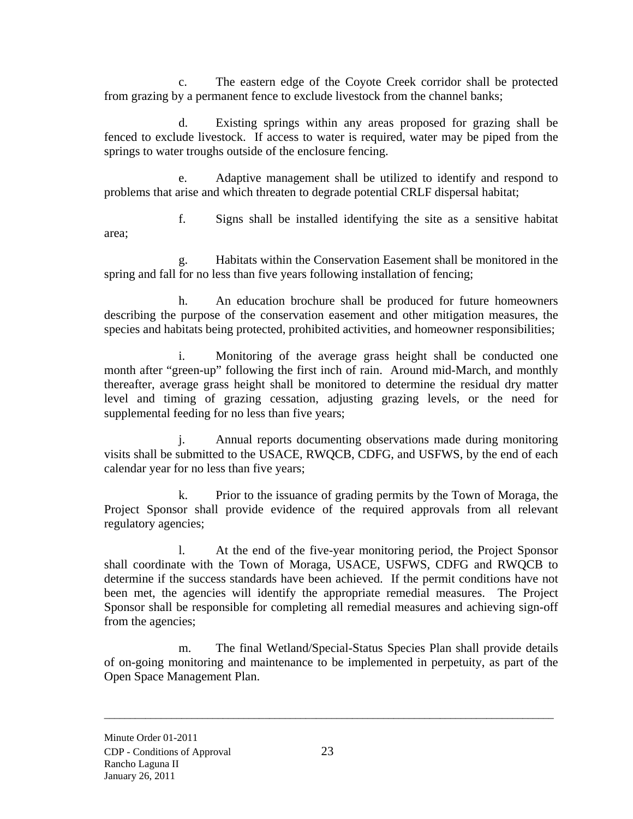c. The eastern edge of the Coyote Creek corridor shall be protected from grazing by a permanent fence to exclude livestock from the channel banks;

d. Existing springs within any areas proposed for grazing shall be fenced to exclude livestock. If access to water is required, water may be piped from the springs to water troughs outside of the enclosure fencing.

e. Adaptive management shall be utilized to identify and respond to problems that arise and which threaten to degrade potential CRLF dispersal habitat;

f. Signs shall be installed identifying the site as a sensitive habitat area;

g. Habitats within the Conservation Easement shall be monitored in the spring and fall for no less than five years following installation of fencing;

h. An education brochure shall be produced for future homeowners describing the purpose of the conservation easement and other mitigation measures, the species and habitats being protected, prohibited activities, and homeowner responsibilities;

i. Monitoring of the average grass height shall be conducted one month after "green-up" following the first inch of rain. Around mid-March, and monthly thereafter, average grass height shall be monitored to determine the residual dry matter level and timing of grazing cessation, adjusting grazing levels, or the need for supplemental feeding for no less than five years;

j. Annual reports documenting observations made during monitoring visits shall be submitted to the USACE, RWQCB, CDFG, and USFWS, by the end of each calendar year for no less than five years;

k. Prior to the issuance of grading permits by the Town of Moraga, the Project Sponsor shall provide evidence of the required approvals from all relevant regulatory agencies;

l. At the end of the five-year monitoring period, the Project Sponsor shall coordinate with the Town of Moraga, USACE, USFWS, CDFG and RWQCB to determine if the success standards have been achieved. If the permit conditions have not been met, the agencies will identify the appropriate remedial measures. The Project Sponsor shall be responsible for completing all remedial measures and achieving sign-off from the agencies;

m. The final Wetland/Special-Status Species Plan shall provide details of on-going monitoring and maintenance to be implemented in perpetuity, as part of the Open Space Management Plan.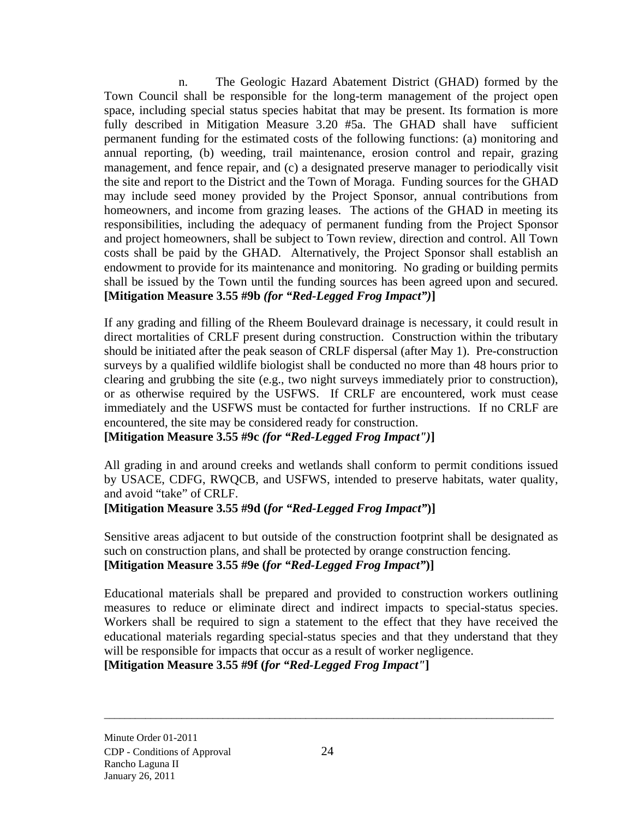n. The Geologic Hazard Abatement District (GHAD) formed by the Town Council shall be responsible for the long-term management of the project open space, including special status species habitat that may be present. Its formation is more fully described in Mitigation Measure 3.20 #5a. The GHAD shall have sufficient permanent funding for the estimated costs of the following functions: (a) monitoring and annual reporting, (b) weeding, trail maintenance, erosion control and repair, grazing management, and fence repair, and (c) a designated preserve manager to periodically visit the site and report to the District and the Town of Moraga. Funding sources for the GHAD may include seed money provided by the Project Sponsor, annual contributions from homeowners, and income from grazing leases. The actions of the GHAD in meeting its responsibilities, including the adequacy of permanent funding from the Project Sponsor and project homeowners, shall be subject to Town review, direction and control. All Town costs shall be paid by the GHAD. Alternatively, the Project Sponsor shall establish an endowment to provide for its maintenance and monitoring. No grading or building permits shall be issued by the Town until the funding sources has been agreed upon and secured. **[Mitigation Measure 3.55 #9b** *(for "Red-Legged Frog Impact")***]** 

If any grading and filling of the Rheem Boulevard drainage is necessary, it could result in direct mortalities of CRLF present during construction. Construction within the tributary should be initiated after the peak season of CRLF dispersal (after May 1). Pre-construction surveys by a qualified wildlife biologist shall be conducted no more than 48 hours prior to clearing and grubbing the site (e.g., two night surveys immediately prior to construction), or as otherwise required by the USFWS. If CRLF are encountered, work must cease immediately and the USFWS must be contacted for further instructions. If no CRLF are encountered, the site may be considered ready for construction.

**[Mitigation Measure 3.55 #9c** *(for "Red-Legged Frog Impact")***]** 

All grading in and around creeks and wetlands shall conform to permit conditions issued by USACE, CDFG, RWQCB, and USFWS, intended to preserve habitats, water quality, and avoid "take" of CRLF.

# **[Mitigation Measure 3.55 #9d (***for "Red-Legged Frog Impact"***)]**

Sensitive areas adjacent to but outside of the construction footprint shall be designated as such on construction plans, and shall be protected by orange construction fencing. **[Mitigation Measure 3.55 #9e (***for "Red-Legged Frog Impact"***)]** 

Educational materials shall be prepared and provided to construction workers outlining measures to reduce or eliminate direct and indirect impacts to special-status species. Workers shall be required to sign a statement to the effect that they have received the educational materials regarding special-status species and that they understand that they will be responsible for impacts that occur as a result of worker negligence.

**[Mitigation Measure 3.55 #9f (***for "Red-Legged Frog Impact"***]**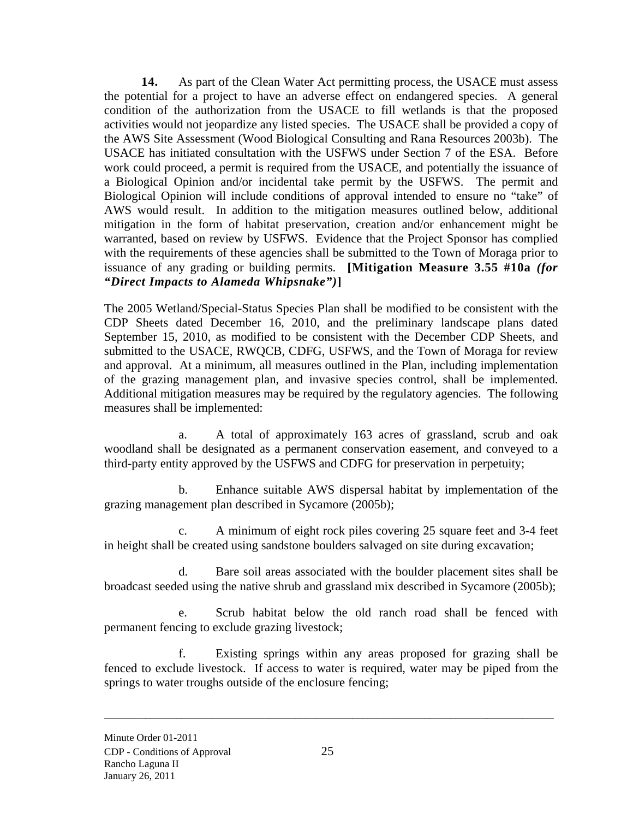**14.** As part of the Clean Water Act permitting process, the USACE must assess the potential for a project to have an adverse effect on endangered species. A general condition of the authorization from the USACE to fill wetlands is that the proposed activities would not jeopardize any listed species. The USACE shall be provided a copy of the AWS Site Assessment (Wood Biological Consulting and Rana Resources 2003b). The USACE has initiated consultation with the USFWS under Section 7 of the ESA. Before work could proceed, a permit is required from the USACE, and potentially the issuance of a Biological Opinion and/or incidental take permit by the USFWS. The permit and Biological Opinion will include conditions of approval intended to ensure no "take" of AWS would result. In addition to the mitigation measures outlined below, additional mitigation in the form of habitat preservation, creation and/or enhancement might be warranted, based on review by USFWS. Evidence that the Project Sponsor has complied with the requirements of these agencies shall be submitted to the Town of Moraga prior to issuance of any grading or building permits. **[Mitigation Measure 3.55 #10a** *(for "Direct Impacts to Alameda Whipsnake")***]** 

The 2005 Wetland/Special-Status Species Plan shall be modified to be consistent with the CDP Sheets dated December 16, 2010, and the preliminary landscape plans dated September 15, 2010, as modified to be consistent with the December CDP Sheets, and submitted to the USACE, RWQCB, CDFG, USFWS, and the Town of Moraga for review and approval. At a minimum, all measures outlined in the Plan, including implementation of the grazing management plan, and invasive species control, shall be implemented. Additional mitigation measures may be required by the regulatory agencies. The following measures shall be implemented:

a. A total of approximately 163 acres of grassland, scrub and oak woodland shall be designated as a permanent conservation easement, and conveyed to a third-party entity approved by the USFWS and CDFG for preservation in perpetuity;

b. Enhance suitable AWS dispersal habitat by implementation of the grazing management plan described in Sycamore (2005b);

c. A minimum of eight rock piles covering 25 square feet and 3-4 feet in height shall be created using sandstone boulders salvaged on site during excavation;

d. Bare soil areas associated with the boulder placement sites shall be broadcast seeded using the native shrub and grassland mix described in Sycamore (2005b);

e. Scrub habitat below the old ranch road shall be fenced with permanent fencing to exclude grazing livestock;

f. Existing springs within any areas proposed for grazing shall be fenced to exclude livestock. If access to water is required, water may be piped from the springs to water troughs outside of the enclosure fencing;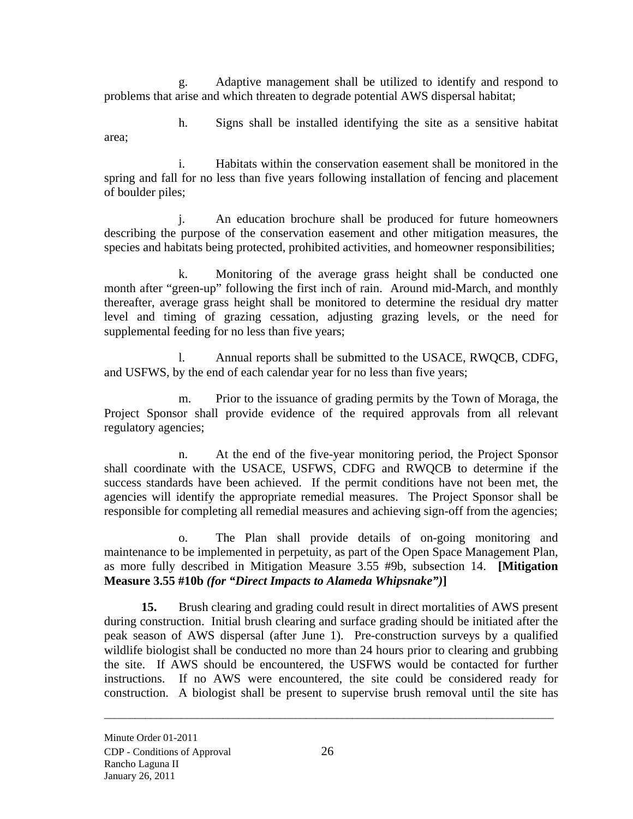g. Adaptive management shall be utilized to identify and respond to problems that arise and which threaten to degrade potential AWS dispersal habitat;

h. Signs shall be installed identifying the site as a sensitive habitat area;

i. Habitats within the conservation easement shall be monitored in the spring and fall for no less than five years following installation of fencing and placement of boulder piles;

j. An education brochure shall be produced for future homeowners describing the purpose of the conservation easement and other mitigation measures, the species and habitats being protected, prohibited activities, and homeowner responsibilities;

k. Monitoring of the average grass height shall be conducted one month after "green-up" following the first inch of rain. Around mid-March, and monthly thereafter, average grass height shall be monitored to determine the residual dry matter level and timing of grazing cessation, adjusting grazing levels, or the need for supplemental feeding for no less than five years;

l. Annual reports shall be submitted to the USACE, RWQCB, CDFG, and USFWS, by the end of each calendar year for no less than five years;

m. Prior to the issuance of grading permits by the Town of Moraga, the Project Sponsor shall provide evidence of the required approvals from all relevant regulatory agencies;

n. At the end of the five-year monitoring period, the Project Sponsor shall coordinate with the USACE, USFWS, CDFG and RWQCB to determine if the success standards have been achieved. If the permit conditions have not been met, the agencies will identify the appropriate remedial measures. The Project Sponsor shall be responsible for completing all remedial measures and achieving sign-off from the agencies;

o. The Plan shall provide details of on-going monitoring and maintenance to be implemented in perpetuity, as part of the Open Space Management Plan, as more fully described in Mitigation Measure 3.55 #9b, subsection 14. **[Mitigation Measure 3.55 #10b** *(for "Direct Impacts to Alameda Whipsnake")***]** 

**15.** Brush clearing and grading could result in direct mortalities of AWS present during construction. Initial brush clearing and surface grading should be initiated after the peak season of AWS dispersal (after June 1). Pre-construction surveys by a qualified wildlife biologist shall be conducted no more than 24 hours prior to clearing and grubbing the site. If AWS should be encountered, the USFWS would be contacted for further instructions. If no AWS were encountered, the site could be considered ready for construction. A biologist shall be present to supervise brush removal until the site has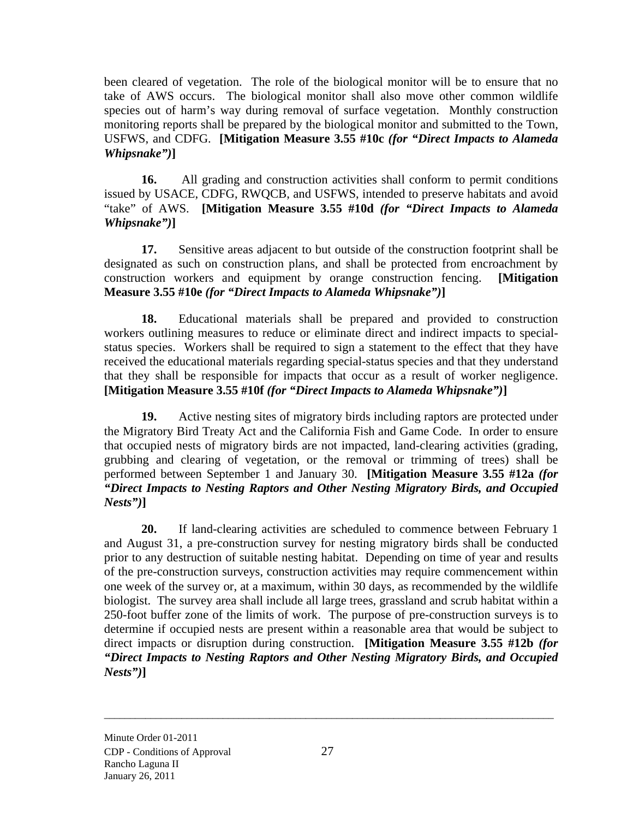been cleared of vegetation. The role of the biological monitor will be to ensure that no take of AWS occurs. The biological monitor shall also move other common wildlife species out of harm's way during removal of surface vegetation. Monthly construction monitoring reports shall be prepared by the biological monitor and submitted to the Town, USFWS, and CDFG. **[Mitigation Measure 3.55 #10c** *(for "Direct Impacts to Alameda Whipsnake")***]** 

**16.** All grading and construction activities shall conform to permit conditions issued by USACE, CDFG, RWQCB, and USFWS, intended to preserve habitats and avoid "take" of AWS. **[Mitigation Measure 3.55 #10d** *(for "Direct Impacts to Alameda Whipsnake")***]** 

**17.** Sensitive areas adjacent to but outside of the construction footprint shall be designated as such on construction plans, and shall be protected from encroachment by construction workers and equipment by orange construction fencing. **[Mitigation Measure 3.55 #10e** *(for "Direct Impacts to Alameda Whipsnake")***]** 

**18.** Educational materials shall be prepared and provided to construction workers outlining measures to reduce or eliminate direct and indirect impacts to specialstatus species. Workers shall be required to sign a statement to the effect that they have received the educational materials regarding special-status species and that they understand that they shall be responsible for impacts that occur as a result of worker negligence. **[Mitigation Measure 3.55 #10f** *(for "Direct Impacts to Alameda Whipsnake")***]** 

**19.** Active nesting sites of migratory birds including raptors are protected under the Migratory Bird Treaty Act and the California Fish and Game Code. In order to ensure that occupied nests of migratory birds are not impacted, land-clearing activities (grading, grubbing and clearing of vegetation, or the removal or trimming of trees) shall be performed between September 1 and January 30. **[Mitigation Measure 3.55 #12a** *(for "Direct Impacts to Nesting Raptors and Other Nesting Migratory Birds, and Occupied Nests")***]** 

**20.** If land-clearing activities are scheduled to commence between February 1 and August 31, a pre-construction survey for nesting migratory birds shall be conducted prior to any destruction of suitable nesting habitat. Depending on time of year and results of the pre-construction surveys, construction activities may require commencement within one week of the survey or, at a maximum, within 30 days, as recommended by the wildlife biologist. The survey area shall include all large trees, grassland and scrub habitat within a 250-foot buffer zone of the limits of work. The purpose of pre-construction surveys is to determine if occupied nests are present within a reasonable area that would be subject to direct impacts or disruption during construction. **[Mitigation Measure 3.55 #12b** *(for "Direct Impacts to Nesting Raptors and Other Nesting Migratory Birds, and Occupied Nests")***]**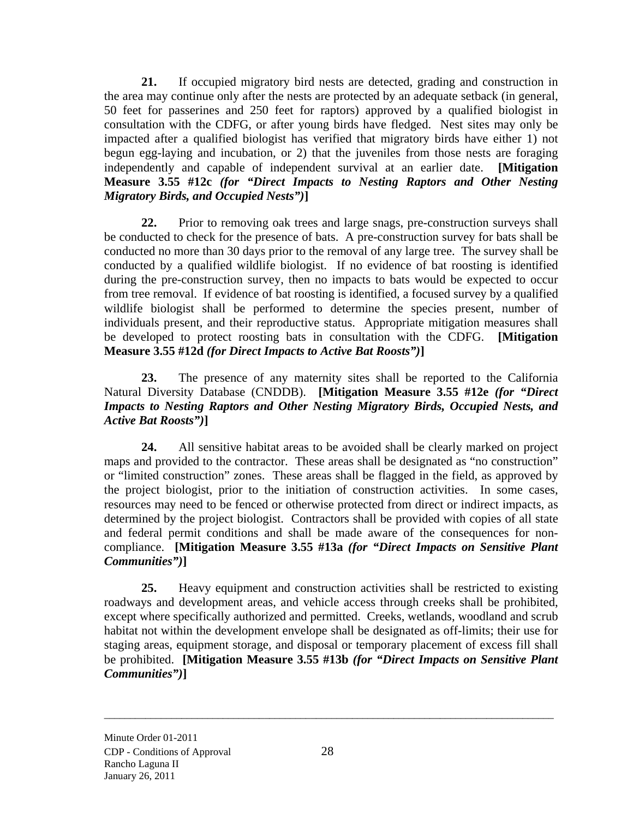**21.** If occupied migratory bird nests are detected, grading and construction in the area may continue only after the nests are protected by an adequate setback (in general, 50 feet for passerines and 250 feet for raptors) approved by a qualified biologist in consultation with the CDFG, or after young birds have fledged. Nest sites may only be impacted after a qualified biologist has verified that migratory birds have either 1) not begun egg-laying and incubation, or 2) that the juveniles from those nests are foraging independently and capable of independent survival at an earlier date. **[Mitigation Measure 3.55 #12c** *(for "Direct Impacts to Nesting Raptors and Other Nesting Migratory Birds, and Occupied Nests")***]** 

**22.** Prior to removing oak trees and large snags, pre-construction surveys shall be conducted to check for the presence of bats. A pre-construction survey for bats shall be conducted no more than 30 days prior to the removal of any large tree. The survey shall be conducted by a qualified wildlife biologist. If no evidence of bat roosting is identified during the pre-construction survey, then no impacts to bats would be expected to occur from tree removal. If evidence of bat roosting is identified, a focused survey by a qualified wildlife biologist shall be performed to determine the species present, number of individuals present, and their reproductive status. Appropriate mitigation measures shall be developed to protect roosting bats in consultation with the CDFG. **[Mitigation Measure 3.55 #12d** *(for Direct Impacts to Active Bat Roosts")***]** 

**23.** The presence of any maternity sites shall be reported to the California Natural Diversity Database (CNDDB). **[Mitigation Measure 3.55 #12e** *(for "Direct Impacts to Nesting Raptors and Other Nesting Migratory Birds, Occupied Nests, and Active Bat Roosts")***]** 

**24.** All sensitive habitat areas to be avoided shall be clearly marked on project maps and provided to the contractor. These areas shall be designated as "no construction" or "limited construction" zones. These areas shall be flagged in the field, as approved by the project biologist, prior to the initiation of construction activities. In some cases, resources may need to be fenced or otherwise protected from direct or indirect impacts, as determined by the project biologist. Contractors shall be provided with copies of all state and federal permit conditions and shall be made aware of the consequences for noncompliance. **[Mitigation Measure 3.55 #13a** *(for "Direct Impacts on Sensitive Plant Communities")***]** 

**25.** Heavy equipment and construction activities shall be restricted to existing roadways and development areas, and vehicle access through creeks shall be prohibited, except where specifically authorized and permitted. Creeks, wetlands, woodland and scrub habitat not within the development envelope shall be designated as off-limits; their use for staging areas, equipment storage, and disposal or temporary placement of excess fill shall be prohibited. **[Mitigation Measure 3.55 #13b** *(for "Direct Impacts on Sensitive Plant Communities")***]**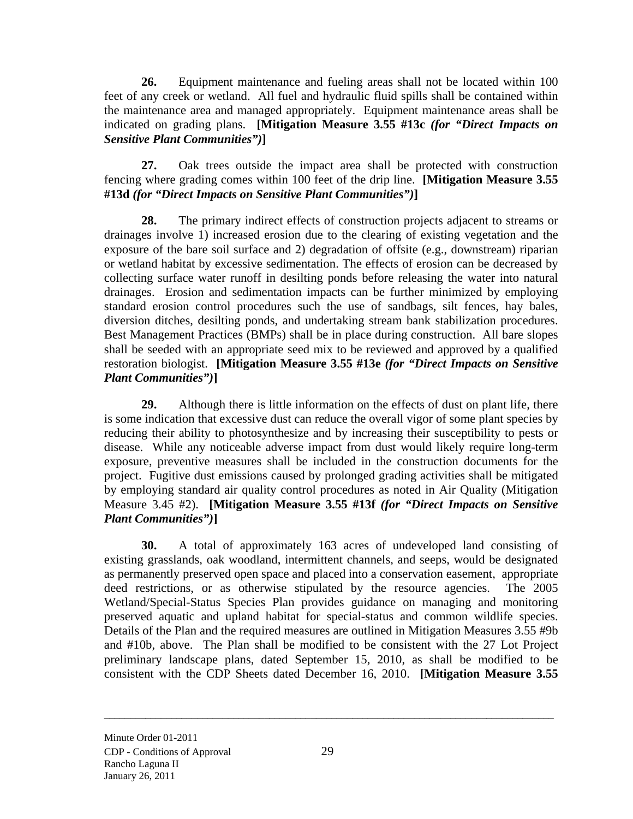**26.** Equipment maintenance and fueling areas shall not be located within 100 feet of any creek or wetland. All fuel and hydraulic fluid spills shall be contained within the maintenance area and managed appropriately. Equipment maintenance areas shall be indicated on grading plans. **[Mitigation Measure 3.55 #13c** *(for "Direct Impacts on Sensitive Plant Communities")***]** 

**27.** Oak trees outside the impact area shall be protected with construction fencing where grading comes within 100 feet of the drip line. **[Mitigation Measure 3.55 #13d** *(for "Direct Impacts on Sensitive Plant Communities")***]** 

**28.** The primary indirect effects of construction projects adjacent to streams or drainages involve 1) increased erosion due to the clearing of existing vegetation and the exposure of the bare soil surface and 2) degradation of offsite (e.g., downstream) riparian or wetland habitat by excessive sedimentation. The effects of erosion can be decreased by collecting surface water runoff in desilting ponds before releasing the water into natural drainages. Erosion and sedimentation impacts can be further minimized by employing standard erosion control procedures such the use of sandbags, silt fences, hay bales, diversion ditches, desilting ponds, and undertaking stream bank stabilization procedures. Best Management Practices (BMPs) shall be in place during construction. All bare slopes shall be seeded with an appropriate seed mix to be reviewed and approved by a qualified restoration biologist. **[Mitigation Measure 3.55 #13e** *(for "Direct Impacts on Sensitive Plant Communities")***]** 

**29.** Although there is little information on the effects of dust on plant life, there is some indication that excessive dust can reduce the overall vigor of some plant species by reducing their ability to photosynthesize and by increasing their susceptibility to pests or disease. While any noticeable adverse impact from dust would likely require long-term exposure, preventive measures shall be included in the construction documents for the project. Fugitive dust emissions caused by prolonged grading activities shall be mitigated by employing standard air quality control procedures as noted in Air Quality (Mitigation Measure 3.45 #2). **[Mitigation Measure 3.55 #13f** *(for "Direct Impacts on Sensitive Plant Communities")***]** 

**30.** A total of approximately 163 acres of undeveloped land consisting of existing grasslands, oak woodland, intermittent channels, and seeps, would be designated as permanently preserved open space and placed into a conservation easement, appropriate deed restrictions, or as otherwise stipulated by the resource agencies. The 2005 Wetland/Special-Status Species Plan provides guidance on managing and monitoring preserved aquatic and upland habitat for special-status and common wildlife species. Details of the Plan and the required measures are outlined in Mitigation Measures 3.55 #9b and #10b, above. The Plan shall be modified to be consistent with the 27 Lot Project preliminary landscape plans, dated September 15, 2010, as shall be modified to be consistent with the CDP Sheets dated December 16, 2010. **[Mitigation Measure 3.55**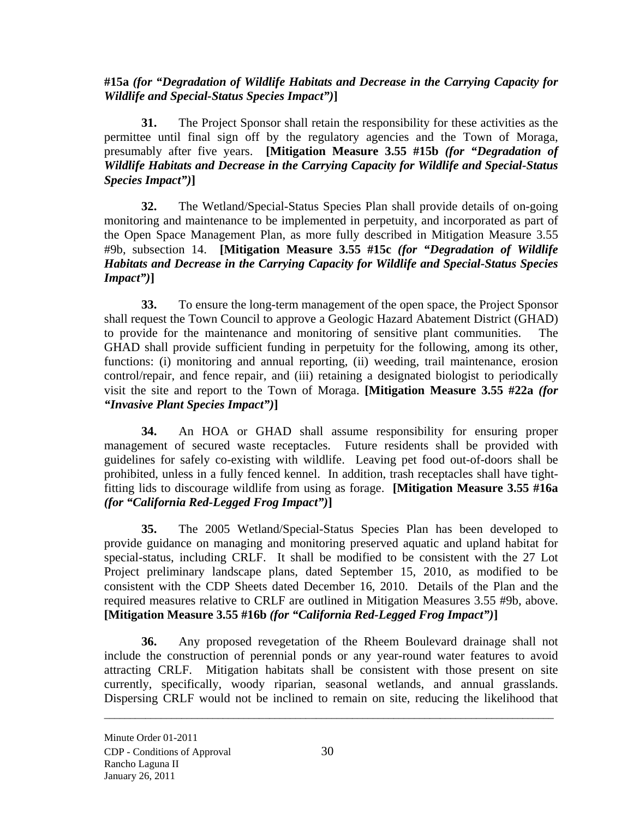**#15a** *(for "Degradation of Wildlife Habitats and Decrease in the Carrying Capacity for Wildlife and Special-Status Species Impact")***]** 

**31.** The Project Sponsor shall retain the responsibility for these activities as the permittee until final sign off by the regulatory agencies and the Town of Moraga, presumably after five years. **[Mitigation Measure 3.55 #15b** *(for "Degradation of Wildlife Habitats and Decrease in the Carrying Capacity for Wildlife and Special-Status Species Impact")***]** 

**32.** The Wetland/Special-Status Species Plan shall provide details of on-going monitoring and maintenance to be implemented in perpetuity, and incorporated as part of the Open Space Management Plan, as more fully described in Mitigation Measure 3.55 #9b, subsection 14. **[Mitigation Measure 3.55 #15c** *(for "Degradation of Wildlife Habitats and Decrease in the Carrying Capacity for Wildlife and Special-Status Species Impact")***]** 

**33.** To ensure the long-term management of the open space, the Project Sponsor shall request the Town Council to approve a Geologic Hazard Abatement District (GHAD) to provide for the maintenance and monitoring of sensitive plant communities. The GHAD shall provide sufficient funding in perpetuity for the following, among its other, functions: (i) monitoring and annual reporting, (ii) weeding, trail maintenance, erosion control/repair, and fence repair, and (iii) retaining a designated biologist to periodically visit the site and report to the Town of Moraga. **[Mitigation Measure 3.55 #22a** *(for "Invasive Plant Species Impact")***]** 

**34.** An HOA or GHAD shall assume responsibility for ensuring proper management of secured waste receptacles. Future residents shall be provided with guidelines for safely co-existing with wildlife. Leaving pet food out-of-doors shall be prohibited, unless in a fully fenced kennel. In addition, trash receptacles shall have tightfitting lids to discourage wildlife from using as forage. **[Mitigation Measure 3.55 #16a**  *(for "California Red-Legged Frog Impact")***]** 

**35.** The 2005 Wetland/Special-Status Species Plan has been developed to provide guidance on managing and monitoring preserved aquatic and upland habitat for special-status, including CRLF. It shall be modified to be consistent with the 27 Lot Project preliminary landscape plans, dated September 15, 2010, as modified to be consistent with the CDP Sheets dated December 16, 2010. Details of the Plan and the required measures relative to CRLF are outlined in Mitigation Measures 3.55 #9b, above. **[Mitigation Measure 3.55 #16b** *(for "California Red-Legged Frog Impact")***]** 

**36.** Any proposed revegetation of the Rheem Boulevard drainage shall not include the construction of perennial ponds or any year-round water features to avoid attracting CRLF. Mitigation habitats shall be consistent with those present on site currently, specifically, woody riparian, seasonal wetlands, and annual grasslands. Dispersing CRLF would not be inclined to remain on site, reducing the likelihood that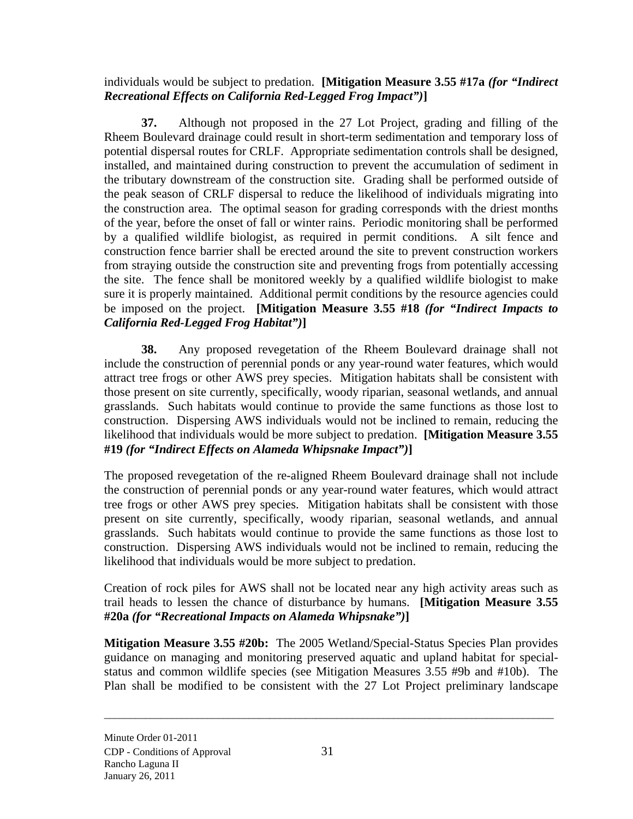individuals would be subject to predation. **[Mitigation Measure 3.55 #17a** *(for "Indirect Recreational Effects on California Red-Legged Frog Impact")***]** 

**37.** Although not proposed in the 27 Lot Project, grading and filling of the Rheem Boulevard drainage could result in short-term sedimentation and temporary loss of potential dispersal routes for CRLF. Appropriate sedimentation controls shall be designed, installed, and maintained during construction to prevent the accumulation of sediment in the tributary downstream of the construction site. Grading shall be performed outside of the peak season of CRLF dispersal to reduce the likelihood of individuals migrating into the construction area. The optimal season for grading corresponds with the driest months of the year, before the onset of fall or winter rains. Periodic monitoring shall be performed by a qualified wildlife biologist, as required in permit conditions. A silt fence and construction fence barrier shall be erected around the site to prevent construction workers from straying outside the construction site and preventing frogs from potentially accessing the site. The fence shall be monitored weekly by a qualified wildlife biologist to make sure it is properly maintained. Additional permit conditions by the resource agencies could be imposed on the project. **[Mitigation Measure 3.55 #18** *(for "Indirect Impacts to California Red-Legged Frog Habitat")***]** 

**38.** Any proposed revegetation of the Rheem Boulevard drainage shall not include the construction of perennial ponds or any year-round water features, which would attract tree frogs or other AWS prey species. Mitigation habitats shall be consistent with those present on site currently, specifically, woody riparian, seasonal wetlands, and annual grasslands. Such habitats would continue to provide the same functions as those lost to construction. Dispersing AWS individuals would not be inclined to remain, reducing the likelihood that individuals would be more subject to predation. **[Mitigation Measure 3.55 #19** *(for "Indirect Effects on Alameda Whipsnake Impact")***]** 

The proposed revegetation of the re-aligned Rheem Boulevard drainage shall not include the construction of perennial ponds or any year-round water features, which would attract tree frogs or other AWS prey species. Mitigation habitats shall be consistent with those present on site currently, specifically, woody riparian, seasonal wetlands, and annual grasslands. Such habitats would continue to provide the same functions as those lost to construction. Dispersing AWS individuals would not be inclined to remain, reducing the likelihood that individuals would be more subject to predation.

Creation of rock piles for AWS shall not be located near any high activity areas such as trail heads to lessen the chance of disturbance by humans. **[Mitigation Measure 3.55 #20a** *(for "Recreational Impacts on Alameda Whipsnake")***]** 

**Mitigation Measure 3.55 #20b:** The 2005 Wetland/Special-Status Species Plan provides guidance on managing and monitoring preserved aquatic and upland habitat for specialstatus and common wildlife species (see Mitigation Measures 3.55 #9b and #10b). The Plan shall be modified to be consistent with the 27 Lot Project preliminary landscape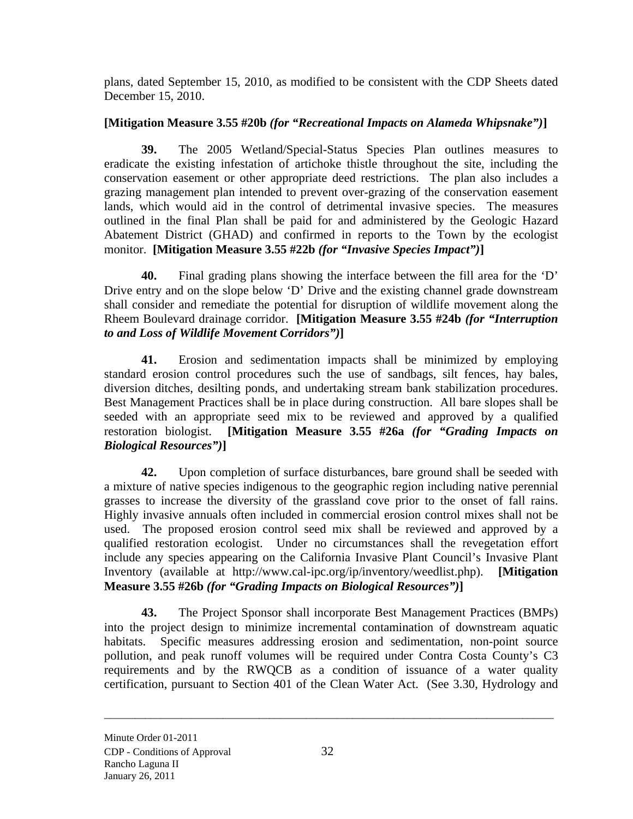plans, dated September 15, 2010, as modified to be consistent with the CDP Sheets dated December 15, 2010.

## **[Mitigation Measure 3.55 #20b** *(for "Recreational Impacts on Alameda Whipsnake")***]**

**39.** The 2005 Wetland/Special-Status Species Plan outlines measures to eradicate the existing infestation of artichoke thistle throughout the site, including the conservation easement or other appropriate deed restrictions. The plan also includes a grazing management plan intended to prevent over-grazing of the conservation easement lands, which would aid in the control of detrimental invasive species. The measures outlined in the final Plan shall be paid for and administered by the Geologic Hazard Abatement District (GHAD) and confirmed in reports to the Town by the ecologist monitor. **[Mitigation Measure 3.55 #22b** *(for "Invasive Species Impact")***]** 

**40.** Final grading plans showing the interface between the fill area for the 'D' Drive entry and on the slope below 'D' Drive and the existing channel grade downstream shall consider and remediate the potential for disruption of wildlife movement along the Rheem Boulevard drainage corridor. **[Mitigation Measure 3.55 #24b** *(for "Interruption to and Loss of Wildlife Movement Corridors")***]** 

**41.** Erosion and sedimentation impacts shall be minimized by employing standard erosion control procedures such the use of sandbags, silt fences, hay bales, diversion ditches, desilting ponds, and undertaking stream bank stabilization procedures. Best Management Practices shall be in place during construction. All bare slopes shall be seeded with an appropriate seed mix to be reviewed and approved by a qualified restoration biologist. **[Mitigation Measure 3.55 #26a** *(for "Grading Impacts on Biological Resources")***]** 

**42.** Upon completion of surface disturbances, bare ground shall be seeded with a mixture of native species indigenous to the geographic region including native perennial grasses to increase the diversity of the grassland cove prior to the onset of fall rains. Highly invasive annuals often included in commercial erosion control mixes shall not be used. The proposed erosion control seed mix shall be reviewed and approved by a qualified restoration ecologist. Under no circumstances shall the revegetation effort include any species appearing on the California Invasive Plant Council's Invasive Plant Inventory (available at http://www.cal-ipc.org/ip/inventory/weedlist.php). **[Mitigation Measure 3.55 #26b** *(for "Grading Impacts on Biological Resources")***]** 

**43.** The Project Sponsor shall incorporate Best Management Practices (BMPs) into the project design to minimize incremental contamination of downstream aquatic habitats. Specific measures addressing erosion and sedimentation, non-point source pollution, and peak runoff volumes will be required under Contra Costa County's C3 requirements and by the RWQCB as a condition of issuance of a water quality certification, pursuant to Section 401 of the Clean Water Act. (See 3.30, Hydrology and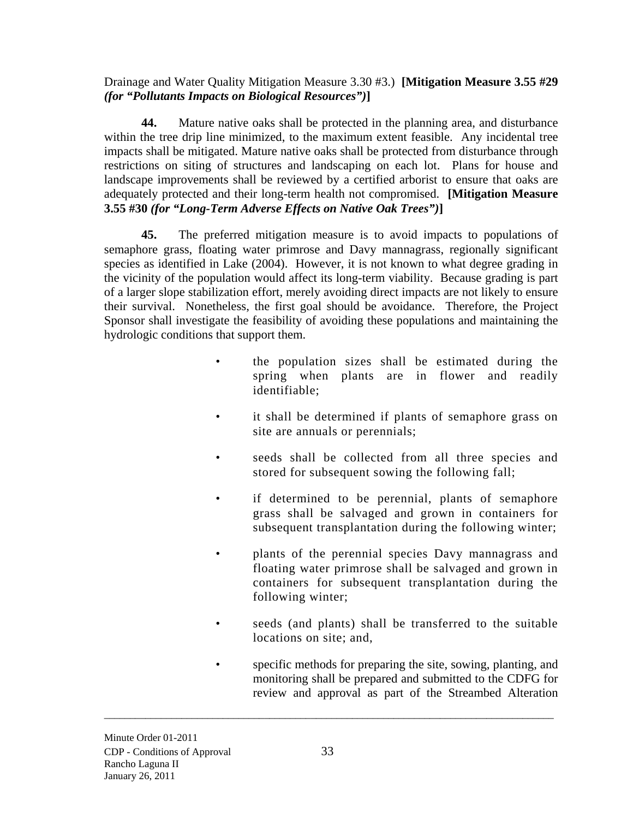Drainage and Water Quality Mitigation Measure 3.30 #3.) **[Mitigation Measure 3.55 #29**  *(for "Pollutants Impacts on Biological Resources")***]** 

**44.** Mature native oaks shall be protected in the planning area, and disturbance within the tree drip line minimized, to the maximum extent feasible. Any incidental tree impacts shall be mitigated. Mature native oaks shall be protected from disturbance through restrictions on siting of structures and landscaping on each lot. Plans for house and landscape improvements shall be reviewed by a certified arborist to ensure that oaks are adequately protected and their long-term health not compromised. **[Mitigation Measure 3.55 #30** *(for "Long-Term Adverse Effects on Native Oak Trees")***]** 

**45.** The preferred mitigation measure is to avoid impacts to populations of semaphore grass, floating water primrose and Davy mannagrass, regionally significant species as identified in Lake (2004). However, it is not known to what degree grading in the vicinity of the population would affect its long-term viability. Because grading is part of a larger slope stabilization effort, merely avoiding direct impacts are not likely to ensure their survival. Nonetheless, the first goal should be avoidance. Therefore, the Project Sponsor shall investigate the feasibility of avoiding these populations and maintaining the hydrologic conditions that support them.

- the population sizes shall be estimated during the spring when plants are in flower and readily identifiable;
- it shall be determined if plants of semaphore grass on site are annuals or perennials;
- seeds shall be collected from all three species and stored for subsequent sowing the following fall;
- if determined to be perennial, plants of semaphore grass shall be salvaged and grown in containers for subsequent transplantation during the following winter;
- plants of the perennial species Davy mannagrass and floating water primrose shall be salvaged and grown in containers for subsequent transplantation during the following winter;
- seeds (and plants) shall be transferred to the suitable locations on site; and,
- specific methods for preparing the site, sowing, planting, and monitoring shall be prepared and submitted to the CDFG for review and approval as part of the Streambed Alteration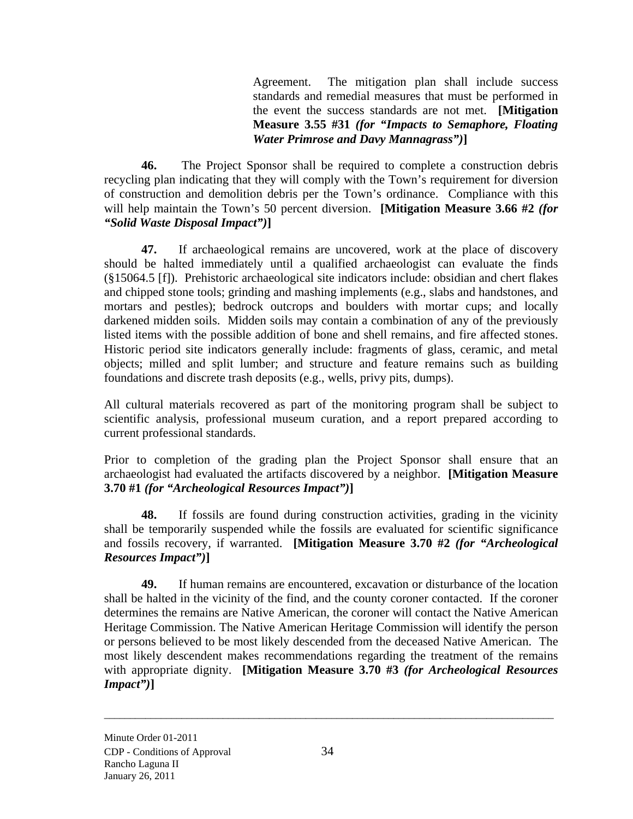Agreement. The mitigation plan shall include success standards and remedial measures that must be performed in the event the success standards are not met. **[Mitigation Measure 3.55 #31** *(for "Impacts to Semaphore, Floating Water Primrose and Davy Mannagrass")***]** 

**46.** The Project Sponsor shall be required to complete a construction debris recycling plan indicating that they will comply with the Town's requirement for diversion of construction and demolition debris per the Town's ordinance. Compliance with this will help maintain the Town's 50 percent diversion. **[Mitigation Measure 3.66 #2** *(for "Solid Waste Disposal Impact")***]** 

**47.** If archaeological remains are uncovered, work at the place of discovery should be halted immediately until a qualified archaeologist can evaluate the finds (§15064.5 [f]). Prehistoric archaeological site indicators include: obsidian and chert flakes and chipped stone tools; grinding and mashing implements (e.g., slabs and handstones, and mortars and pestles); bedrock outcrops and boulders with mortar cups; and locally darkened midden soils. Midden soils may contain a combination of any of the previously listed items with the possible addition of bone and shell remains, and fire affected stones. Historic period site indicators generally include: fragments of glass, ceramic, and metal objects; milled and split lumber; and structure and feature remains such as building foundations and discrete trash deposits (e.g., wells, privy pits, dumps).

All cultural materials recovered as part of the monitoring program shall be subject to scientific analysis, professional museum curation, and a report prepared according to current professional standards.

Prior to completion of the grading plan the Project Sponsor shall ensure that an archaeologist had evaluated the artifacts discovered by a neighbor. **[Mitigation Measure 3.70 #1** *(for "Archeological Resources Impact")***]** 

**48.** If fossils are found during construction activities, grading in the vicinity shall be temporarily suspended while the fossils are evaluated for scientific significance and fossils recovery, if warranted. **[Mitigation Measure 3.70 #2** *(for "Archeological Resources Impact")***]** 

**49.** If human remains are encountered, excavation or disturbance of the location shall be halted in the vicinity of the find, and the county coroner contacted. If the coroner determines the remains are Native American, the coroner will contact the Native American Heritage Commission. The Native American Heritage Commission will identify the person or persons believed to be most likely descended from the deceased Native American. The most likely descendent makes recommendations regarding the treatment of the remains with appropriate dignity. **[Mitigation Measure 3.70 #3** *(for Archeological Resources Impact")***]**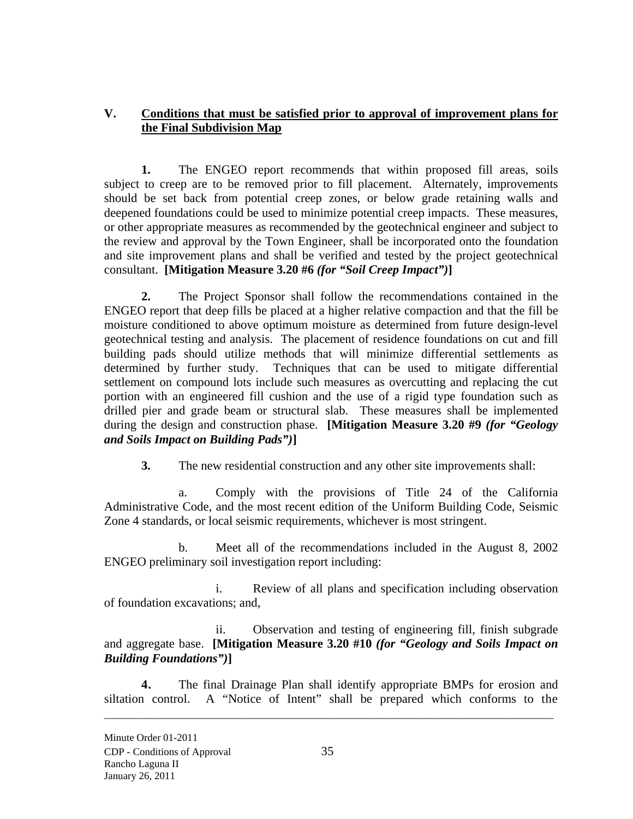# **V. Conditions that must be satisfied prior to approval of improvement plans for the Final Subdivision Map**

**1.** The ENGEO report recommends that within proposed fill areas, soils subject to creep are to be removed prior to fill placement. Alternately, improvements should be set back from potential creep zones, or below grade retaining walls and deepened foundations could be used to minimize potential creep impacts. These measures, or other appropriate measures as recommended by the geotechnical engineer and subject to the review and approval by the Town Engineer, shall be incorporated onto the foundation and site improvement plans and shall be verified and tested by the project geotechnical consultant. **[Mitigation Measure 3.20 #6** *(for "Soil Creep Impact")***]** 

**2.** The Project Sponsor shall follow the recommendations contained in the ENGEO report that deep fills be placed at a higher relative compaction and that the fill be moisture conditioned to above optimum moisture as determined from future design-level geotechnical testing and analysis. The placement of residence foundations on cut and fill building pads should utilize methods that will minimize differential settlements as determined by further study. Techniques that can be used to mitigate differential settlement on compound lots include such measures as overcutting and replacing the cut portion with an engineered fill cushion and the use of a rigid type foundation such as drilled pier and grade beam or structural slab. These measures shall be implemented during the design and construction phase. **[Mitigation Measure 3.20 #9** *(for "Geology and Soils Impact on Building Pads")***]** 

**3.** The new residential construction and any other site improvements shall:

a. Comply with the provisions of Title 24 of the California Administrative Code, and the most recent edition of the Uniform Building Code, Seismic Zone 4 standards, or local seismic requirements, whichever is most stringent.

b. Meet all of the recommendations included in the August 8, 2002 ENGEO preliminary soil investigation report including:

i. Review of all plans and specification including observation of foundation excavations; and,

ii. Observation and testing of engineering fill, finish subgrade and aggregate base. **[Mitigation Measure 3.20 #10** *(for "Geology and Soils Impact on Building Foundations")***]** 

**4.** The final Drainage Plan shall identify appropriate BMPs for erosion and siltation control. A "Notice of Intent" shall be prepared which conforms to the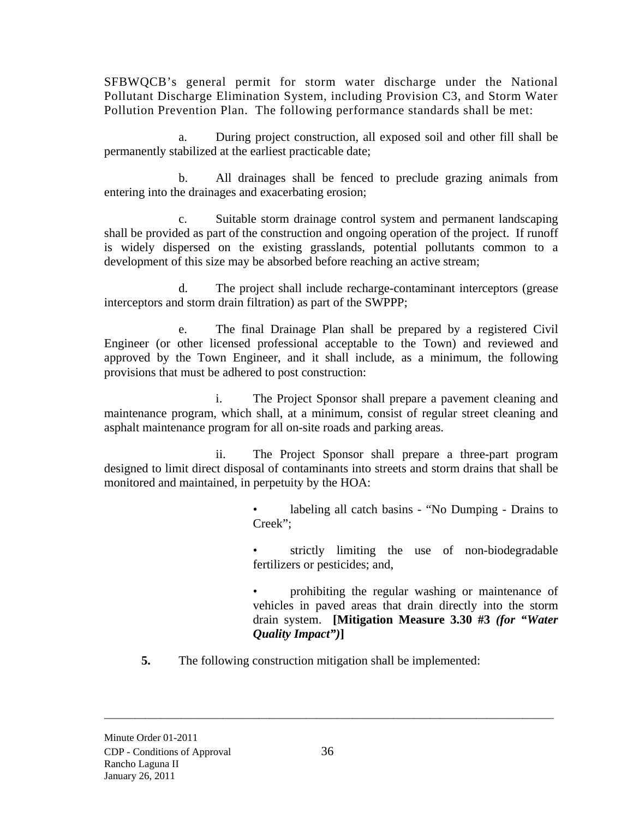SFBWQCB's general permit for storm water discharge under the National Pollutant Discharge Elimination System, including Provision C3, and Storm Water Pollution Prevention Plan. The following performance standards shall be met:

a. During project construction, all exposed soil and other fill shall be permanently stabilized at the earliest practicable date;

b. All drainages shall be fenced to preclude grazing animals from entering into the drainages and exacerbating erosion;

c. Suitable storm drainage control system and permanent landscaping shall be provided as part of the construction and ongoing operation of the project. If runoff is widely dispersed on the existing grasslands, potential pollutants common to a development of this size may be absorbed before reaching an active stream;

d. The project shall include recharge-contaminant interceptors (grease interceptors and storm drain filtration) as part of the SWPPP;

e. The final Drainage Plan shall be prepared by a registered Civil Engineer (or other licensed professional acceptable to the Town) and reviewed and approved by the Town Engineer, and it shall include, as a minimum, the following provisions that must be adhered to post construction:

i. The Project Sponsor shall prepare a pavement cleaning and maintenance program, which shall, at a minimum, consist of regular street cleaning and asphalt maintenance program for all on-site roads and parking areas.

ii. The Project Sponsor shall prepare a three-part program designed to limit direct disposal of contaminants into streets and storm drains that shall be monitored and maintained, in perpetuity by the HOA:

> labeling all catch basins - "No Dumping - Drains to Creek";

> strictly limiting the use of non-biodegradable fertilizers or pesticides; and,

> • prohibiting the regular washing or maintenance of vehicles in paved areas that drain directly into the storm drain system. **[Mitigation Measure 3.30 #3** *(for "Water Quality Impact")***]**

**5.** The following construction mitigation shall be implemented: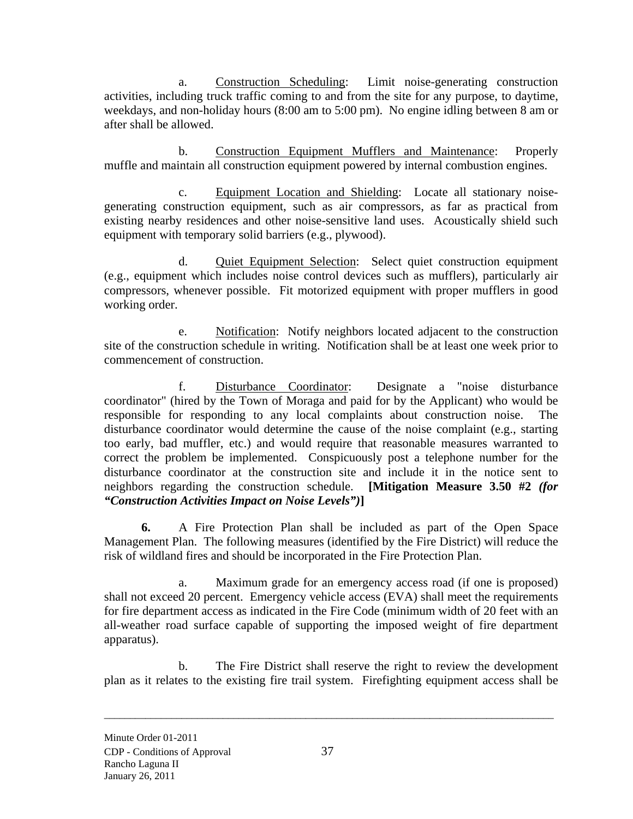a. Construction Scheduling: Limit noise-generating construction activities, including truck traffic coming to and from the site for any purpose, to daytime, weekdays, and non-holiday hours (8:00 am to 5:00 pm). No engine idling between 8 am or after shall be allowed.

b. Construction Equipment Mufflers and Maintenance: Properly muffle and maintain all construction equipment powered by internal combustion engines.

c. Equipment Location and Shielding: Locate all stationary noisegenerating construction equipment, such as air compressors, as far as practical from existing nearby residences and other noise-sensitive land uses. Acoustically shield such equipment with temporary solid barriers (e.g., plywood).

d. Quiet Equipment Selection: Select quiet construction equipment (e.g., equipment which includes noise control devices such as mufflers), particularly air compressors, whenever possible. Fit motorized equipment with proper mufflers in good working order.

e. Notification: Notify neighbors located adjacent to the construction site of the construction schedule in writing. Notification shall be at least one week prior to commencement of construction.

f. Disturbance Coordinator: Designate a "noise disturbance coordinator" (hired by the Town of Moraga and paid for by the Applicant) who would be responsible for responding to any local complaints about construction noise. The disturbance coordinator would determine the cause of the noise complaint (e.g., starting too early, bad muffler, etc.) and would require that reasonable measures warranted to correct the problem be implemented. Conspicuously post a telephone number for the disturbance coordinator at the construction site and include it in the notice sent to neighbors regarding the construction schedule. **[Mitigation Measure 3.50 #2** *(for "Construction Activities Impact on Noise Levels")***]** 

**6.** A Fire Protection Plan shall be included as part of the Open Space Management Plan. The following measures (identified by the Fire District) will reduce the risk of wildland fires and should be incorporated in the Fire Protection Plan.

a. Maximum grade for an emergency access road (if one is proposed) shall not exceed 20 percent. Emergency vehicle access (EVA) shall meet the requirements for fire department access as indicated in the Fire Code (minimum width of 20 feet with an all-weather road surface capable of supporting the imposed weight of fire department apparatus).

b. The Fire District shall reserve the right to review the development plan as it relates to the existing fire trail system. Firefighting equipment access shall be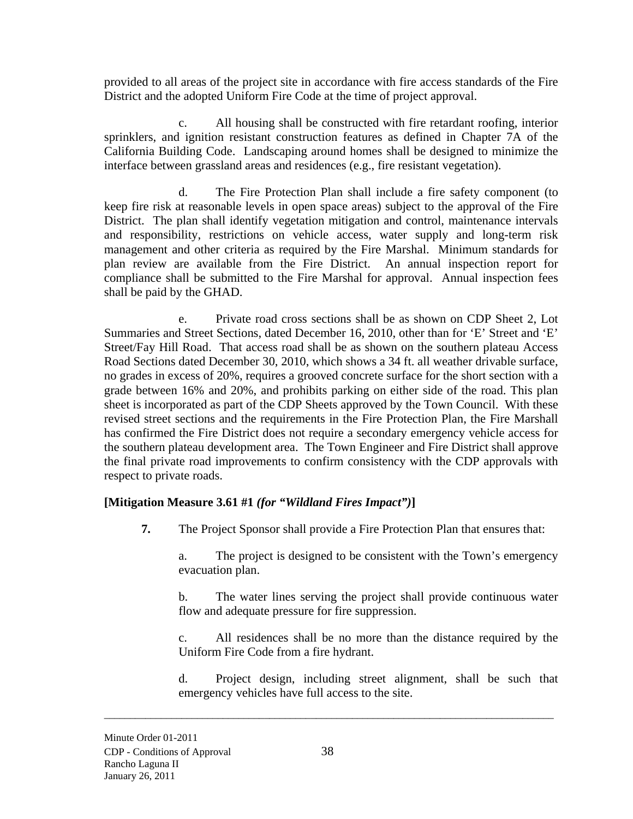provided to all areas of the project site in accordance with fire access standards of the Fire District and the adopted Uniform Fire Code at the time of project approval.

c. All housing shall be constructed with fire retardant roofing, interior sprinklers, and ignition resistant construction features as defined in Chapter 7A of the California Building Code. Landscaping around homes shall be designed to minimize the interface between grassland areas and residences (e.g., fire resistant vegetation).

d. The Fire Protection Plan shall include a fire safety component (to keep fire risk at reasonable levels in open space areas) subject to the approval of the Fire District. The plan shall identify vegetation mitigation and control, maintenance intervals and responsibility, restrictions on vehicle access, water supply and long-term risk management and other criteria as required by the Fire Marshal. Minimum standards for plan review are available from the Fire District. An annual inspection report for compliance shall be submitted to the Fire Marshal for approval. Annual inspection fees shall be paid by the GHAD.

e. Private road cross sections shall be as shown on CDP Sheet 2, Lot Summaries and Street Sections, dated December 16, 2010, other than for 'E' Street and 'E' Street/Fay Hill Road. That access road shall be as shown on the southern plateau Access Road Sections dated December 30, 2010, which shows a 34 ft. all weather drivable surface, no grades in excess of 20%, requires a grooved concrete surface for the short section with a grade between 16% and 20%, and prohibits parking on either side of the road. This plan sheet is incorporated as part of the CDP Sheets approved by the Town Council. With these revised street sections and the requirements in the Fire Protection Plan, the Fire Marshall has confirmed the Fire District does not require a secondary emergency vehicle access for the southern plateau development area. The Town Engineer and Fire District shall approve the final private road improvements to confirm consistency with the CDP approvals with respect to private roads.

## **[Mitigation Measure 3.61 #1** *(for "Wildland Fires Impact")***]**

**7.** The Project Sponsor shall provide a Fire Protection Plan that ensures that:

a. The project is designed to be consistent with the Town's emergency evacuation plan.

b. The water lines serving the project shall provide continuous water flow and adequate pressure for fire suppression.

c. All residences shall be no more than the distance required by the Uniform Fire Code from a fire hydrant.

d. Project design, including street alignment, shall be such that emergency vehicles have full access to the site.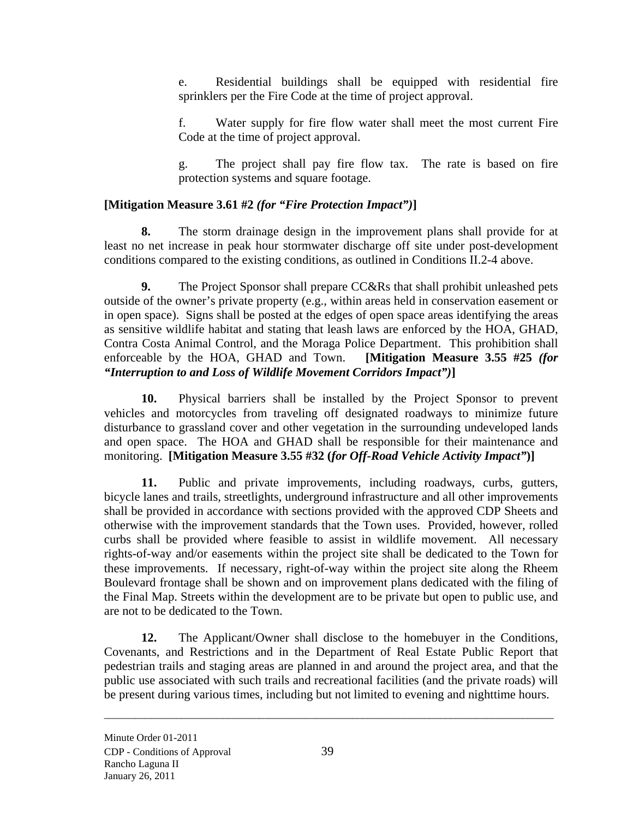e. Residential buildings shall be equipped with residential fire sprinklers per the Fire Code at the time of project approval.

f. Water supply for fire flow water shall meet the most current Fire Code at the time of project approval.

g. The project shall pay fire flow tax. The rate is based on fire protection systems and square footage.

## **[Mitigation Measure 3.61 #2** *(for "Fire Protection Impact")***]**

**8.** The storm drainage design in the improvement plans shall provide for at least no net increase in peak hour stormwater discharge off site under post-development conditions compared to the existing conditions, as outlined in Conditions II.2-4 above.

**9.** The Project Sponsor shall prepare CC&Rs that shall prohibit unleashed pets outside of the owner's private property (e.g., within areas held in conservation easement or in open space). Signs shall be posted at the edges of open space areas identifying the areas as sensitive wildlife habitat and stating that leash laws are enforced by the HOA, GHAD, Contra Costa Animal Control, and the Moraga Police Department. This prohibition shall enforceable by the HOA, GHAD and Town. **[Mitigation Measure 3.55 #25** *(for "Interruption to and Loss of Wildlife Movement Corridors Impact")***]**

**10.** Physical barriers shall be installed by the Project Sponsor to prevent vehicles and motorcycles from traveling off designated roadways to minimize future disturbance to grassland cover and other vegetation in the surrounding undeveloped lands and open space. The HOA and GHAD shall be responsible for their maintenance and monitoring. **[Mitigation Measure 3.55 #32 (***for Off-Road Vehicle Activity Impact"***)]** 

**11.** Public and private improvements, including roadways, curbs, gutters, bicycle lanes and trails, streetlights, underground infrastructure and all other improvements shall be provided in accordance with sections provided with the approved CDP Sheets and otherwise with the improvement standards that the Town uses. Provided, however, rolled curbs shall be provided where feasible to assist in wildlife movement. All necessary rights-of-way and/or easements within the project site shall be dedicated to the Town for these improvements. If necessary, right-of-way within the project site along the Rheem Boulevard frontage shall be shown and on improvement plans dedicated with the filing of the Final Map. Streets within the development are to be private but open to public use, and are not to be dedicated to the Town.

**12.** The Applicant/Owner shall disclose to the homebuyer in the Conditions, Covenants, and Restrictions and in the Department of Real Estate Public Report that pedestrian trails and staging areas are planned in and around the project area, and that the public use associated with such trails and recreational facilities (and the private roads) will be present during various times, including but not limited to evening and nighttime hours.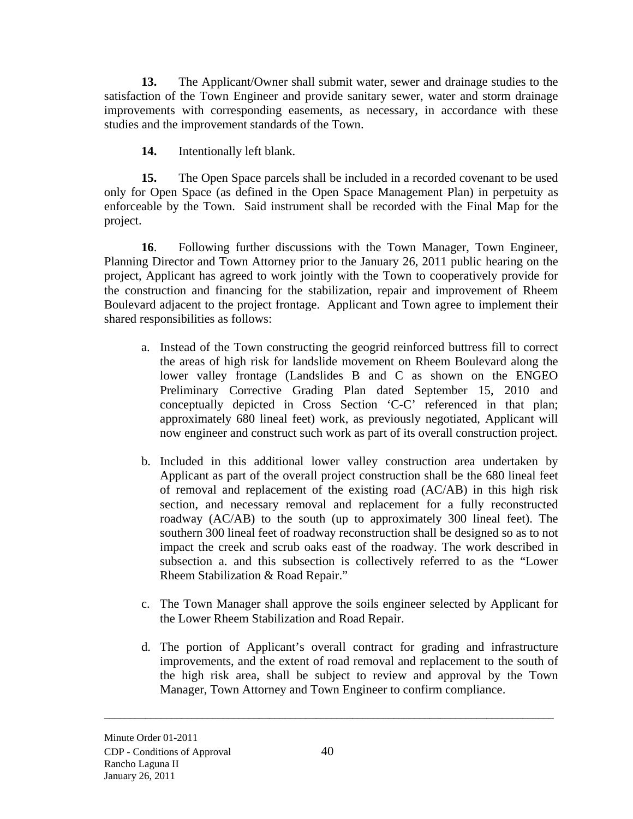**13.** The Applicant/Owner shall submit water, sewer and drainage studies to the satisfaction of the Town Engineer and provide sanitary sewer, water and storm drainage improvements with corresponding easements, as necessary, in accordance with these studies and the improvement standards of the Town.

**14.** Intentionally left blank.

**15.** The Open Space parcels shall be included in a recorded covenant to be used only for Open Space (as defined in the Open Space Management Plan) in perpetuity as enforceable by the Town. Said instrument shall be recorded with the Final Map for the project.

**16**. Following further discussions with the Town Manager, Town Engineer, Planning Director and Town Attorney prior to the January 26, 2011 public hearing on the project, Applicant has agreed to work jointly with the Town to cooperatively provide for the construction and financing for the stabilization, repair and improvement of Rheem Boulevard adjacent to the project frontage. Applicant and Town agree to implement their shared responsibilities as follows:

- a. Instead of the Town constructing the geogrid reinforced buttress fill to correct the areas of high risk for landslide movement on Rheem Boulevard along the lower valley frontage (Landslides B and C as shown on the ENGEO Preliminary Corrective Grading Plan dated September 15, 2010 and conceptually depicted in Cross Section 'C-C' referenced in that plan; approximately 680 lineal feet) work, as previously negotiated, Applicant will now engineer and construct such work as part of its overall construction project.
- b. Included in this additional lower valley construction area undertaken by Applicant as part of the overall project construction shall be the 680 lineal feet of removal and replacement of the existing road (AC/AB) in this high risk section, and necessary removal and replacement for a fully reconstructed roadway (AC/AB) to the south (up to approximately 300 lineal feet). The southern 300 lineal feet of roadway reconstruction shall be designed so as to not impact the creek and scrub oaks east of the roadway. The work described in subsection a. and this subsection is collectively referred to as the "Lower Rheem Stabilization & Road Repair."
- c. The Town Manager shall approve the soils engineer selected by Applicant for the Lower Rheem Stabilization and Road Repair.
- d. The portion of Applicant's overall contract for grading and infrastructure improvements, and the extent of road removal and replacement to the south of the high risk area, shall be subject to review and approval by the Town Manager, Town Attorney and Town Engineer to confirm compliance.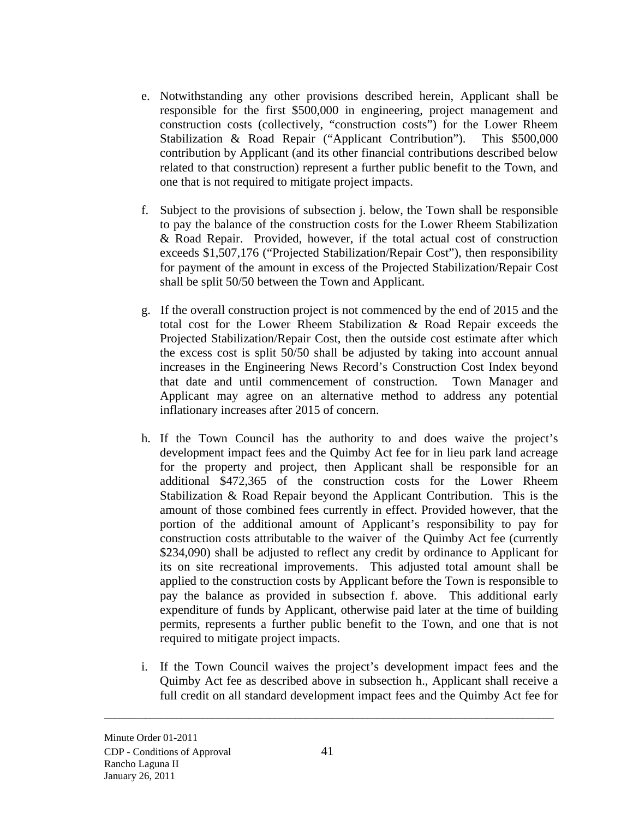- e. Notwithstanding any other provisions described herein, Applicant shall be responsible for the first \$500,000 in engineering, project management and construction costs (collectively, "construction costs") for the Lower Rheem Stabilization & Road Repair ("Applicant Contribution"). This \$500,000 contribution by Applicant (and its other financial contributions described below related to that construction) represent a further public benefit to the Town, and one that is not required to mitigate project impacts.
- f. Subject to the provisions of subsection j. below, the Town shall be responsible to pay the balance of the construction costs for the Lower Rheem Stabilization & Road Repair. Provided, however, if the total actual cost of construction exceeds \$1,507,176 ("Projected Stabilization/Repair Cost"), then responsibility for payment of the amount in excess of the Projected Stabilization/Repair Cost shall be split 50/50 between the Town and Applicant.
- g. If the overall construction project is not commenced by the end of 2015 and the total cost for the Lower Rheem Stabilization & Road Repair exceeds the Projected Stabilization/Repair Cost, then the outside cost estimate after which the excess cost is split 50/50 shall be adjusted by taking into account annual increases in the Engineering News Record's Construction Cost Index beyond that date and until commencement of construction. Town Manager and Applicant may agree on an alternative method to address any potential inflationary increases after 2015 of concern.
- h. If the Town Council has the authority to and does waive the project's development impact fees and the Quimby Act fee for in lieu park land acreage for the property and project, then Applicant shall be responsible for an additional \$472,365 of the construction costs for the Lower Rheem Stabilization & Road Repair beyond the Applicant Contribution. This is the amount of those combined fees currently in effect. Provided however, that the portion of the additional amount of Applicant's responsibility to pay for construction costs attributable to the waiver of the Quimby Act fee (currently \$234,090) shall be adjusted to reflect any credit by ordinance to Applicant for its on site recreational improvements. This adjusted total amount shall be applied to the construction costs by Applicant before the Town is responsible to pay the balance as provided in subsection f. above. This additional early expenditure of funds by Applicant, otherwise paid later at the time of building permits, represents a further public benefit to the Town, and one that is not required to mitigate project impacts.
- i. If the Town Council waives the project's development impact fees and the Quimby Act fee as described above in subsection h., Applicant shall receive a full credit on all standard development impact fees and the Quimby Act fee for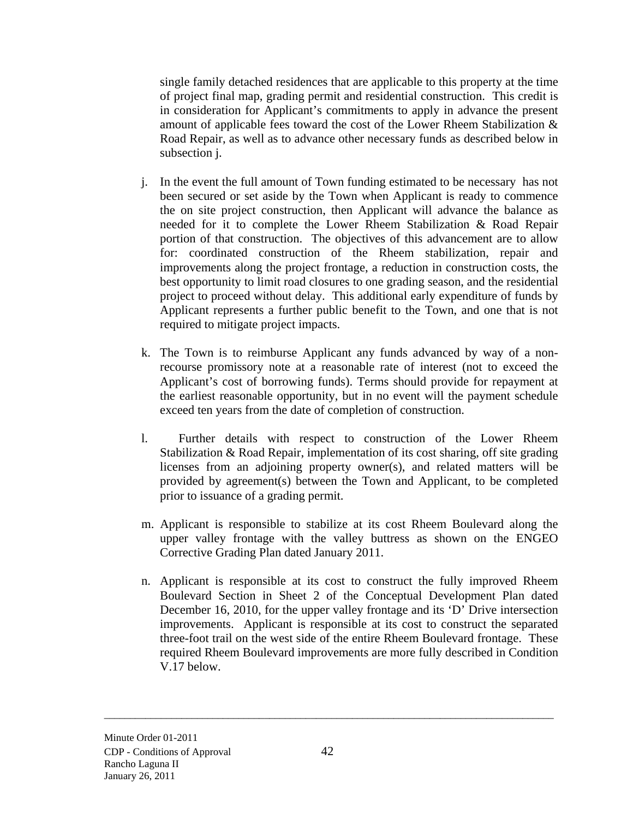single family detached residences that are applicable to this property at the time of project final map, grading permit and residential construction. This credit is in consideration for Applicant's commitments to apply in advance the present amount of applicable fees toward the cost of the Lower Rheem Stabilization & Road Repair, as well as to advance other necessary funds as described below in subsection j.

- j. In the event the full amount of Town funding estimated to be necessary has not been secured or set aside by the Town when Applicant is ready to commence the on site project construction, then Applicant will advance the balance as needed for it to complete the Lower Rheem Stabilization & Road Repair portion of that construction. The objectives of this advancement are to allow for: coordinated construction of the Rheem stabilization, repair and improvements along the project frontage, a reduction in construction costs, the best opportunity to limit road closures to one grading season, and the residential project to proceed without delay. This additional early expenditure of funds by Applicant represents a further public benefit to the Town, and one that is not required to mitigate project impacts.
- k. The Town is to reimburse Applicant any funds advanced by way of a nonrecourse promissory note at a reasonable rate of interest (not to exceed the Applicant's cost of borrowing funds). Terms should provide for repayment at the earliest reasonable opportunity, but in no event will the payment schedule exceed ten years from the date of completion of construction.
- l. Further details with respect to construction of the Lower Rheem Stabilization & Road Repair, implementation of its cost sharing, off site grading licenses from an adjoining property owner(s), and related matters will be provided by agreement(s) between the Town and Applicant, to be completed prior to issuance of a grading permit.
- m. Applicant is responsible to stabilize at its cost Rheem Boulevard along the upper valley frontage with the valley buttress as shown on the ENGEO Corrective Grading Plan dated January 2011.
- n. Applicant is responsible at its cost to construct the fully improved Rheem Boulevard Section in Sheet 2 of the Conceptual Development Plan dated December 16, 2010, for the upper valley frontage and its 'D' Drive intersection improvements. Applicant is responsible at its cost to construct the separated three-foot trail on the west side of the entire Rheem Boulevard frontage. These required Rheem Boulevard improvements are more fully described in Condition V.17 below.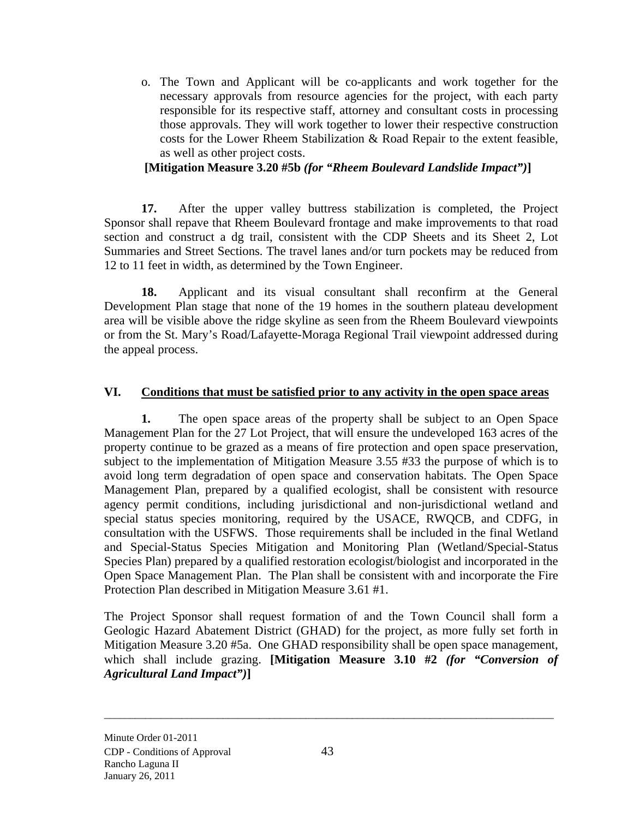o. The Town and Applicant will be co-applicants and work together for the necessary approvals from resource agencies for the project, with each party responsible for its respective staff, attorney and consultant costs in processing those approvals. They will work together to lower their respective construction costs for the Lower Rheem Stabilization & Road Repair to the extent feasible, as well as other project costs.

## **[Mitigation Measure 3.20 #5b** *(for "Rheem Boulevard Landslide Impact")***]**

**17.** After the upper valley buttress stabilization is completed, the Project Sponsor shall repave that Rheem Boulevard frontage and make improvements to that road section and construct a dg trail, consistent with the CDP Sheets and its Sheet 2, Lot Summaries and Street Sections. The travel lanes and/or turn pockets may be reduced from 12 to 11 feet in width, as determined by the Town Engineer.

**18.** Applicant and its visual consultant shall reconfirm at the General Development Plan stage that none of the 19 homes in the southern plateau development area will be visible above the ridge skyline as seen from the Rheem Boulevard viewpoints or from the St. Mary's Road/Lafayette-Moraga Regional Trail viewpoint addressed during the appeal process.

## **VI. Conditions that must be satisfied prior to any activity in the open space areas**

**1.** The open space areas of the property shall be subject to an Open Space Management Plan for the 27 Lot Project, that will ensure the undeveloped 163 acres of the property continue to be grazed as a means of fire protection and open space preservation, subject to the implementation of Mitigation Measure 3.55 #33 the purpose of which is to avoid long term degradation of open space and conservation habitats. The Open Space Management Plan, prepared by a qualified ecologist, shall be consistent with resource agency permit conditions, including jurisdictional and non-jurisdictional wetland and special status species monitoring, required by the USACE, RWQCB, and CDFG, in consultation with the USFWS. Those requirements shall be included in the final Wetland and Special-Status Species Mitigation and Monitoring Plan (Wetland/Special-Status Species Plan) prepared by a qualified restoration ecologist/biologist and incorporated in the Open Space Management Plan. The Plan shall be consistent with and incorporate the Fire Protection Plan described in Mitigation Measure 3.61 #1.

The Project Sponsor shall request formation of and the Town Council shall form a Geologic Hazard Abatement District (GHAD) for the project, as more fully set forth in Mitigation Measure 3.20 #5a. One GHAD responsibility shall be open space management, which shall include grazing. **[Mitigation Measure 3.10 #2** *(for "Conversion of Agricultural Land Impact")***]**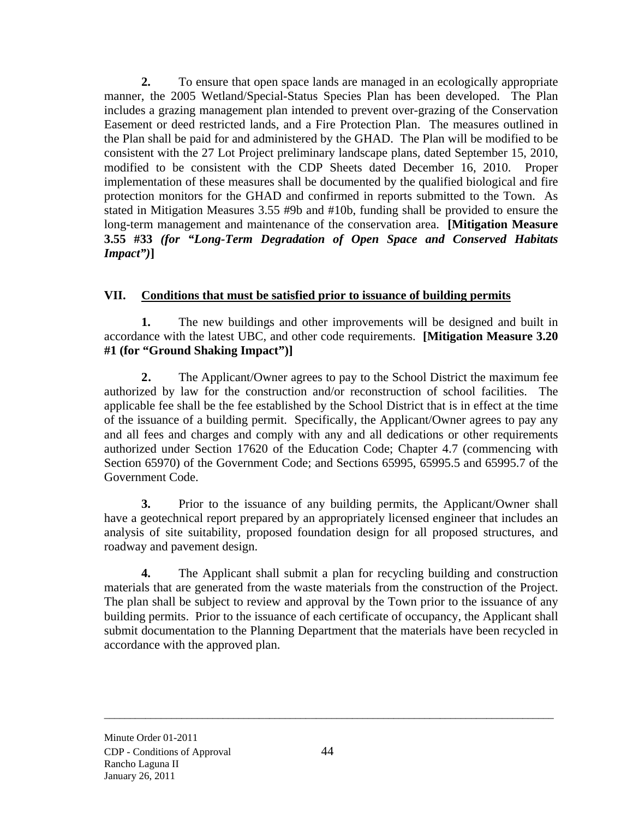**2.** To ensure that open space lands are managed in an ecologically appropriate manner, the 2005 Wetland/Special-Status Species Plan has been developed. The Plan includes a grazing management plan intended to prevent over-grazing of the Conservation Easement or deed restricted lands, and a Fire Protection Plan. The measures outlined in the Plan shall be paid for and administered by the GHAD. The Plan will be modified to be consistent with the 27 Lot Project preliminary landscape plans, dated September 15, 2010, modified to be consistent with the CDP Sheets dated December 16, 2010. Proper implementation of these measures shall be documented by the qualified biological and fire protection monitors for the GHAD and confirmed in reports submitted to the Town. As stated in Mitigation Measures 3.55 #9b and #10b, funding shall be provided to ensure the long-term management and maintenance of the conservation area. **[Mitigation Measure 3.55 #33** *(for "Long-Term Degradation of Open Space and Conserved Habitats Impact")***]** 

# **VII. Conditions that must be satisfied prior to issuance of building permits**

**1.** The new buildings and other improvements will be designed and built in accordance with the latest UBC, and other code requirements. **[Mitigation Measure 3.20 #1 (for "Ground Shaking Impact")]** 

**2.** The Applicant/Owner agrees to pay to the School District the maximum fee authorized by law for the construction and/or reconstruction of school facilities. The applicable fee shall be the fee established by the School District that is in effect at the time of the issuance of a building permit. Specifically, the Applicant/Owner agrees to pay any and all fees and charges and comply with any and all dedications or other requirements authorized under Section 17620 of the Education Code; Chapter 4.7 (commencing with Section 65970) of the Government Code; and Sections 65995, 65995.5 and 65995.7 of the Government Code.

**3.** Prior to the issuance of any building permits, the Applicant/Owner shall have a geotechnical report prepared by an appropriately licensed engineer that includes an analysis of site suitability, proposed foundation design for all proposed structures, and roadway and pavement design.

**4.** The Applicant shall submit a plan for recycling building and construction materials that are generated from the waste materials from the construction of the Project. The plan shall be subject to review and approval by the Town prior to the issuance of any building permits. Prior to the issuance of each certificate of occupancy, the Applicant shall submit documentation to the Planning Department that the materials have been recycled in accordance with the approved plan.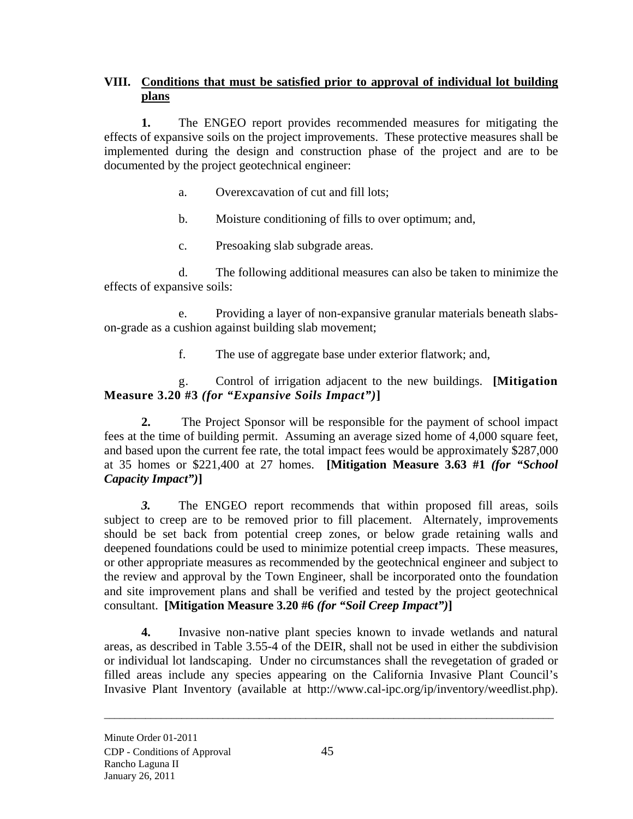# **VIII. Conditions that must be satisfied prior to approval of individual lot building plans**

**1.** The ENGEO report provides recommended measures for mitigating the effects of expansive soils on the project improvements. These protective measures shall be implemented during the design and construction phase of the project and are to be documented by the project geotechnical engineer:

- a. Overexcavation of cut and fill lots;
- b. Moisture conditioning of fills to over optimum; and,
- c. Presoaking slab subgrade areas.

d. The following additional measures can also be taken to minimize the effects of expansive soils:

e. Providing a layer of non-expansive granular materials beneath slabson-grade as a cushion against building slab movement;

f. The use of aggregate base under exterior flatwork; and,

# g. Control of irrigation adjacent to the new buildings. **[Mitigation Measure 3.20 #3** *(for "Expansive Soils Impact")***]**

**2.** The Project Sponsor will be responsible for the payment of school impact fees at the time of building permit. Assuming an average sized home of 4,000 square feet, and based upon the current fee rate, the total impact fees would be approximately \$287,000 at 35 homes or \$221,400 at 27 homes. **[Mitigation Measure 3.63 #1** *(for "School Capacity Impact")***]** 

*3.* The ENGEO report recommends that within proposed fill areas, soils subject to creep are to be removed prior to fill placement. Alternately, improvements should be set back from potential creep zones, or below grade retaining walls and deepened foundations could be used to minimize potential creep impacts. These measures, or other appropriate measures as recommended by the geotechnical engineer and subject to the review and approval by the Town Engineer, shall be incorporated onto the foundation and site improvement plans and shall be verified and tested by the project geotechnical consultant. **[Mitigation Measure 3.20 #6** *(for "Soil Creep Impact")***]**

**4.** Invasive non-native plant species known to invade wetlands and natural areas, as described in Table 3.55-4 of the DEIR, shall not be used in either the subdivision or individual lot landscaping. Under no circumstances shall the revegetation of graded or filled areas include any species appearing on the California Invasive Plant Council's Invasive Plant Inventory (available at http://www.cal-ipc.org/ip/inventory/weedlist.php).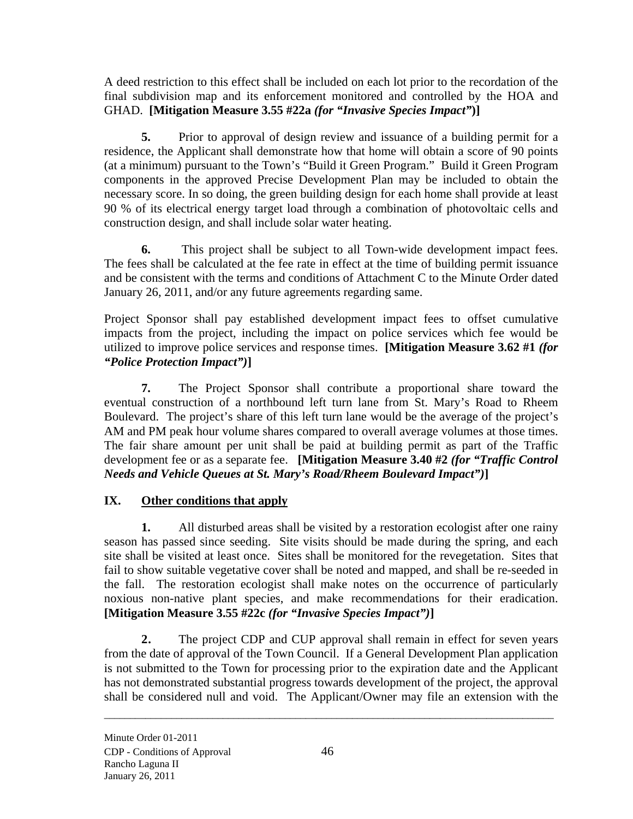A deed restriction to this effect shall be included on each lot prior to the recordation of the final subdivision map and its enforcement monitored and controlled by the HOA and GHAD. **[Mitigation Measure 3.55 #22a** *(for "Invasive Species Impact"***)]**

**5.** Prior to approval of design review and issuance of a building permit for a residence, the Applicant shall demonstrate how that home will obtain a score of 90 points (at a minimum) pursuant to the Town's "Build it Green Program." Build it Green Program components in the approved Precise Development Plan may be included to obtain the necessary score. In so doing, the green building design for each home shall provide at least 90 % of its electrical energy target load through a combination of photovoltaic cells and construction design, and shall include solar water heating.

**6.** This project shall be subject to all Town-wide development impact fees. The fees shall be calculated at the fee rate in effect at the time of building permit issuance and be consistent with the terms and conditions of Attachment C to the Minute Order dated January 26, 2011, and/or any future agreements regarding same.

Project Sponsor shall pay established development impact fees to offset cumulative impacts from the project, including the impact on police services which fee would be utilized to improve police services and response times. **[Mitigation Measure 3.62 #1** *(for "Police Protection Impact")***]**

**7.** The Project Sponsor shall contribute a proportional share toward the eventual construction of a northbound left turn lane from St. Mary's Road to Rheem Boulevard. The project's share of this left turn lane would be the average of the project's AM and PM peak hour volume shares compared to overall average volumes at those times. The fair share amount per unit shall be paid at building permit as part of the Traffic development fee or as a separate fee. **[Mitigation Measure 3.40 #2** *(for "Traffic Control Needs and Vehicle Queues at St. Mary's Road/Rheem Boulevard Impact")***]** 

# **IX. Other conditions that apply**

**1.** All disturbed areas shall be visited by a restoration ecologist after one rainy season has passed since seeding. Site visits should be made during the spring, and each site shall be visited at least once. Sites shall be monitored for the revegetation. Sites that fail to show suitable vegetative cover shall be noted and mapped, and shall be re-seeded in the fall. The restoration ecologist shall make notes on the occurrence of particularly noxious non-native plant species, and make recommendations for their eradication. **[Mitigation Measure 3.55 #22c** *(for "Invasive Species Impact")***]** 

**2.** The project CDP and CUP approval shall remain in effect for seven years from the date of approval of the Town Council. If a General Development Plan application is not submitted to the Town for processing prior to the expiration date and the Applicant has not demonstrated substantial progress towards development of the project, the approval shall be considered null and void. The Applicant/Owner may file an extension with the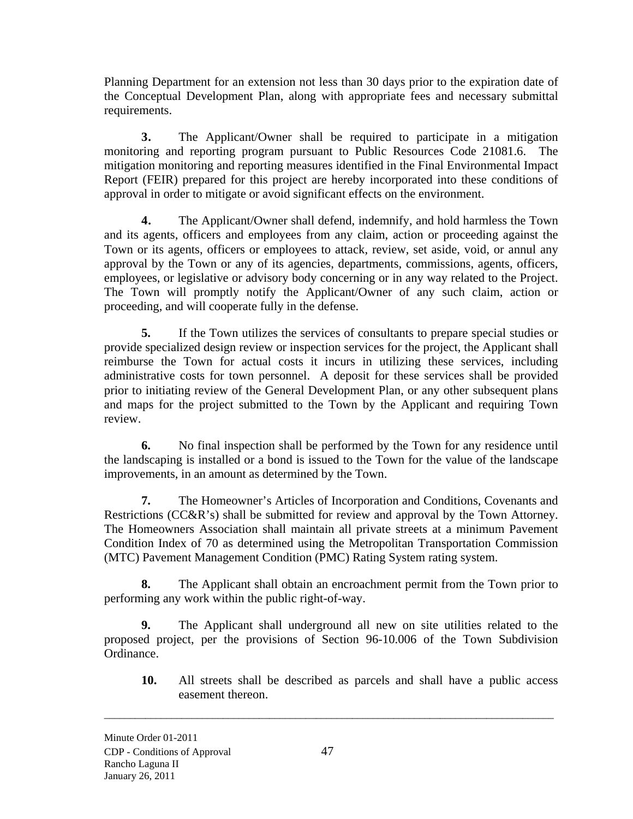Planning Department for an extension not less than 30 days prior to the expiration date of the Conceptual Development Plan, along with appropriate fees and necessary submittal requirements.

**3.** The Applicant/Owner shall be required to participate in a mitigation monitoring and reporting program pursuant to Public Resources Code 21081.6. The mitigation monitoring and reporting measures identified in the Final Environmental Impact Report (FEIR) prepared for this project are hereby incorporated into these conditions of approval in order to mitigate or avoid significant effects on the environment.

**4.** The Applicant/Owner shall defend, indemnify, and hold harmless the Town and its agents, officers and employees from any claim, action or proceeding against the Town or its agents, officers or employees to attack, review, set aside, void, or annul any approval by the Town or any of its agencies, departments, commissions, agents, officers, employees, or legislative or advisory body concerning or in any way related to the Project. The Town will promptly notify the Applicant/Owner of any such claim, action or proceeding, and will cooperate fully in the defense.

**5.** If the Town utilizes the services of consultants to prepare special studies or provide specialized design review or inspection services for the project, the Applicant shall reimburse the Town for actual costs it incurs in utilizing these services, including administrative costs for town personnel. A deposit for these services shall be provided prior to initiating review of the General Development Plan, or any other subsequent plans and maps for the project submitted to the Town by the Applicant and requiring Town review.

**6.** No final inspection shall be performed by the Town for any residence until the landscaping is installed or a bond is issued to the Town for the value of the landscape improvements, in an amount as determined by the Town.

**7.** The Homeowner's Articles of Incorporation and Conditions, Covenants and Restrictions (CC&R's) shall be submitted for review and approval by the Town Attorney. The Homeowners Association shall maintain all private streets at a minimum Pavement Condition Index of 70 as determined using the Metropolitan Transportation Commission (MTC) Pavement Management Condition (PMC) Rating System rating system.

**8.** The Applicant shall obtain an encroachment permit from the Town prior to performing any work within the public right-of-way.

**9.** The Applicant shall underground all new on site utilities related to the proposed project, per the provisions of Section 96-10.006 of the Town Subdivision Ordinance.

**10.** All streets shall be described as parcels and shall have a public access easement thereon.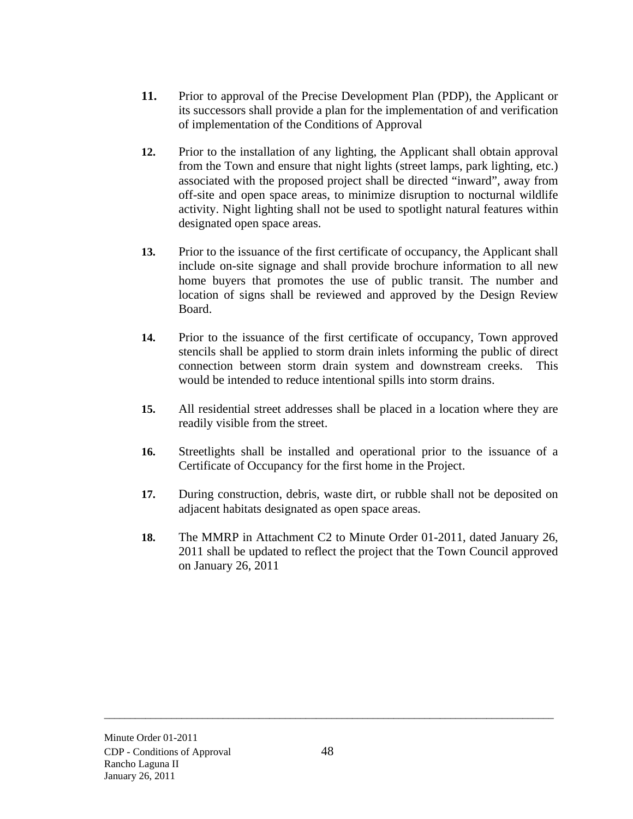- **11.** Prior to approval of the Precise Development Plan (PDP), the Applicant or its successors shall provide a plan for the implementation of and verification of implementation of the Conditions of Approval
- **12.** Prior to the installation of any lighting, the Applicant shall obtain approval from the Town and ensure that night lights (street lamps, park lighting, etc.) associated with the proposed project shall be directed "inward", away from off-site and open space areas, to minimize disruption to nocturnal wildlife activity. Night lighting shall not be used to spotlight natural features within designated open space areas.
- **13.** Prior to the issuance of the first certificate of occupancy, the Applicant shall include on-site signage and shall provide brochure information to all new home buyers that promotes the use of public transit. The number and location of signs shall be reviewed and approved by the Design Review Board.
- **14.** Prior to the issuance of the first certificate of occupancy, Town approved stencils shall be applied to storm drain inlets informing the public of direct connection between storm drain system and downstream creeks. This would be intended to reduce intentional spills into storm drains.
- **15.** All residential street addresses shall be placed in a location where they are readily visible from the street.
- **16.** Streetlights shall be installed and operational prior to the issuance of a Certificate of Occupancy for the first home in the Project.
- **17.** During construction, debris, waste dirt, or rubble shall not be deposited on adjacent habitats designated as open space areas.
- **18.** The MMRP in Attachment C2 to Minute Order 01-2011, dated January 26, 2011 shall be updated to reflect the project that the Town Council approved on January 26, 2011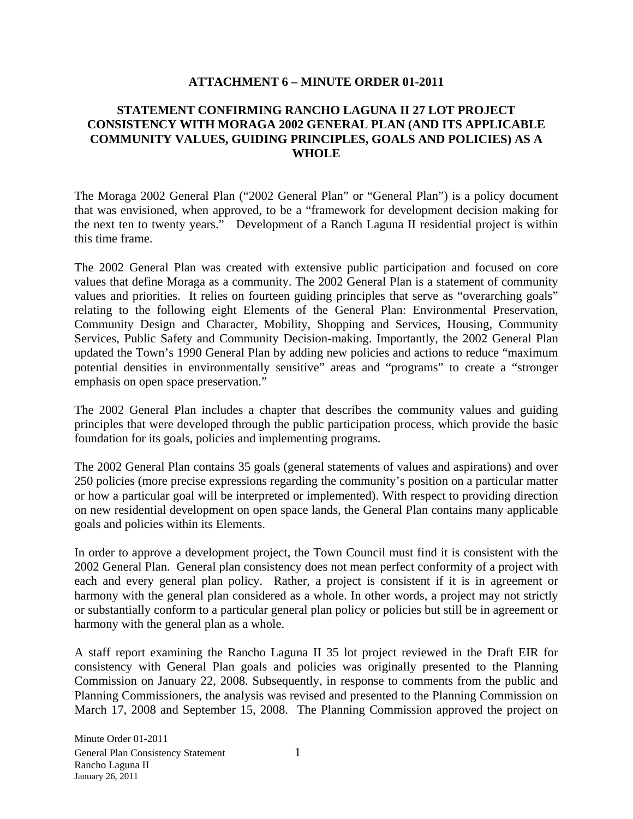#### **ATTACHMENT 6 – MINUTE ORDER 01-2011**

### **STATEMENT CONFIRMING RANCHO LAGUNA II 27 LOT PROJECT CONSISTENCY WITH MORAGA 2002 GENERAL PLAN (AND ITS APPLICABLE COMMUNITY VALUES, GUIDING PRINCIPLES, GOALS AND POLICIES) AS A WHOLE**

The Moraga 2002 General Plan ("2002 General Plan" or "General Plan") is a policy document that was envisioned, when approved, to be a "framework for development decision making for the next ten to twenty years." Development of a Ranch Laguna II residential project is within this time frame.

The 2002 General Plan was created with extensive public participation and focused on core values that define Moraga as a community. The 2002 General Plan is a statement of community values and priorities. It relies on fourteen guiding principles that serve as "overarching goals" relating to the following eight Elements of the General Plan: Environmental Preservation, Community Design and Character, Mobility, Shopping and Services, Housing, Community Services, Public Safety and Community Decision-making. Importantly, the 2002 General Plan updated the Town's 1990 General Plan by adding new policies and actions to reduce "maximum potential densities in environmentally sensitive" areas and "programs" to create a "stronger emphasis on open space preservation."

The 2002 General Plan includes a chapter that describes the community values and guiding principles that were developed through the public participation process, which provide the basic foundation for its goals, policies and implementing programs.

The 2002 General Plan contains 35 goals (general statements of values and aspirations) and over 250 policies (more precise expressions regarding the community's position on a particular matter or how a particular goal will be interpreted or implemented). With respect to providing direction on new residential development on open space lands, the General Plan contains many applicable goals and policies within its Elements.

In order to approve a development project, the Town Council must find it is consistent with the 2002 General Plan. General plan consistency does not mean perfect conformity of a project with each and every general plan policy. Rather, a project is consistent if it is in agreement or harmony with the general plan considered as a whole. In other words, a project may not strictly or substantially conform to a particular general plan policy or policies but still be in agreement or harmony with the general plan as a whole.

A staff report examining the Rancho Laguna II 35 lot project reviewed in the Draft EIR for consistency with General Plan goals and policies was originally presented to the Planning Commission on January 22, 2008. Subsequently, in response to comments from the public and Planning Commissioners, the analysis was revised and presented to the Planning Commission on March 17, 2008 and September 15, 2008. The Planning Commission approved the project on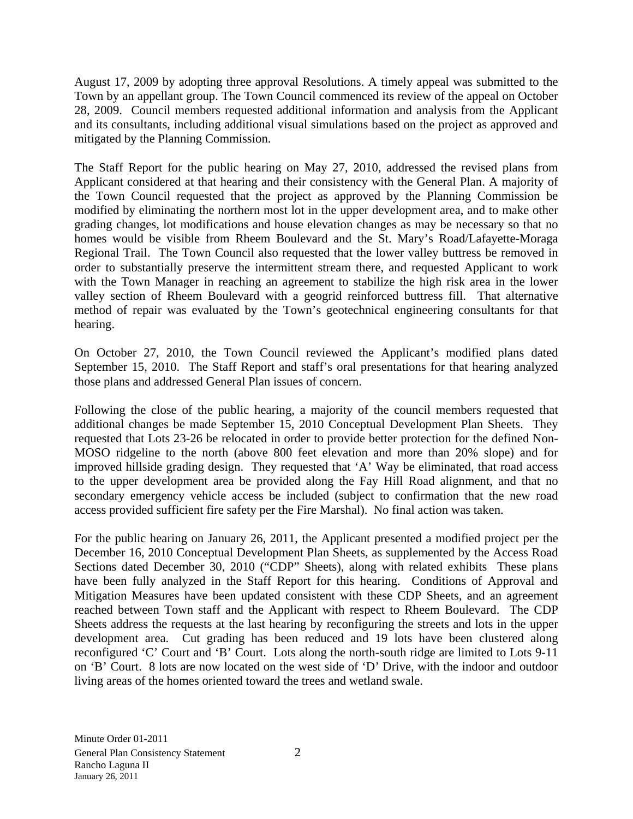August 17, 2009 by adopting three approval Resolutions. A timely appeal was submitted to the Town by an appellant group. The Town Council commenced its review of the appeal on October 28, 2009. Council members requested additional information and analysis from the Applicant and its consultants, including additional visual simulations based on the project as approved and mitigated by the Planning Commission.

The Staff Report for the public hearing on May 27, 2010, addressed the revised plans from Applicant considered at that hearing and their consistency with the General Plan. A majority of the Town Council requested that the project as approved by the Planning Commission be modified by eliminating the northern most lot in the upper development area, and to make other grading changes, lot modifications and house elevation changes as may be necessary so that no homes would be visible from Rheem Boulevard and the St. Mary's Road/Lafayette-Moraga Regional Trail. The Town Council also requested that the lower valley buttress be removed in order to substantially preserve the intermittent stream there, and requested Applicant to work with the Town Manager in reaching an agreement to stabilize the high risk area in the lower valley section of Rheem Boulevard with a geogrid reinforced buttress fill. That alternative method of repair was evaluated by the Town's geotechnical engineering consultants for that hearing.

On October 27, 2010, the Town Council reviewed the Applicant's modified plans dated September 15, 2010. The Staff Report and staff's oral presentations for that hearing analyzed those plans and addressed General Plan issues of concern.

Following the close of the public hearing, a majority of the council members requested that additional changes be made September 15, 2010 Conceptual Development Plan Sheets. They requested that Lots 23-26 be relocated in order to provide better protection for the defined Non-MOSO ridgeline to the north (above 800 feet elevation and more than 20% slope) and for improved hillside grading design. They requested that 'A' Way be eliminated, that road access to the upper development area be provided along the Fay Hill Road alignment, and that no secondary emergency vehicle access be included (subject to confirmation that the new road access provided sufficient fire safety per the Fire Marshal). No final action was taken.

For the public hearing on January 26, 2011, the Applicant presented a modified project per the December 16, 2010 Conceptual Development Plan Sheets, as supplemented by the Access Road Sections dated December 30, 2010 ("CDP" Sheets), along with related exhibits These plans have been fully analyzed in the Staff Report for this hearing. Conditions of Approval and Mitigation Measures have been updated consistent with these CDP Sheets, and an agreement reached between Town staff and the Applicant with respect to Rheem Boulevard. The CDP Sheets address the requests at the last hearing by reconfiguring the streets and lots in the upper development area. Cut grading has been reduced and 19 lots have been clustered along reconfigured 'C' Court and 'B' Court. Lots along the north-south ridge are limited to Lots 9-11 on 'B' Court. 8 lots are now located on the west side of 'D' Drive, with the indoor and outdoor living areas of the homes oriented toward the trees and wetland swale.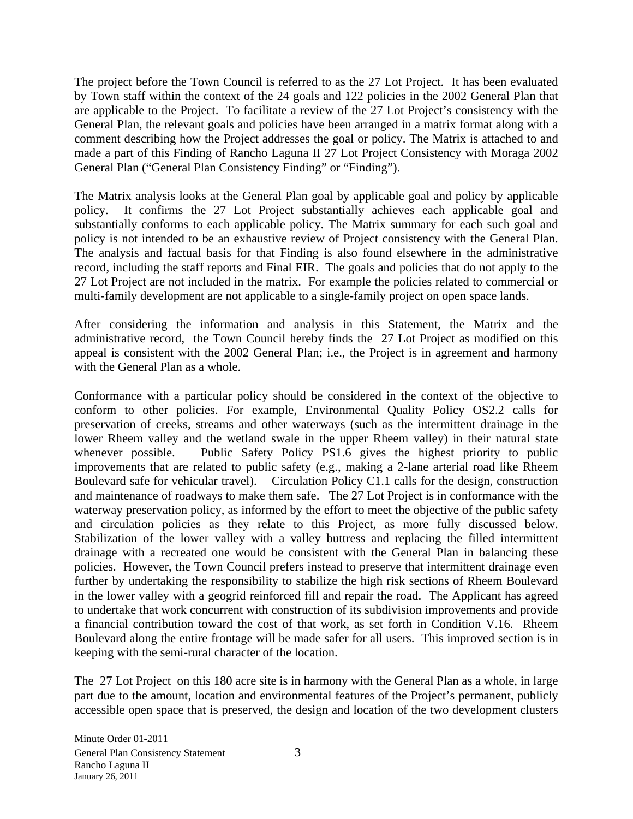The project before the Town Council is referred to as the 27 Lot Project. It has been evaluated by Town staff within the context of the 24 goals and 122 policies in the 2002 General Plan that are applicable to the Project. To facilitate a review of the 27 Lot Project's consistency with the General Plan, the relevant goals and policies have been arranged in a matrix format along with a comment describing how the Project addresses the goal or policy. The Matrix is attached to and made a part of this Finding of Rancho Laguna II 27 Lot Project Consistency with Moraga 2002 General Plan ("General Plan Consistency Finding" or "Finding").

The Matrix analysis looks at the General Plan goal by applicable goal and policy by applicable policy. It confirms the 27 Lot Project substantially achieves each applicable goal and substantially conforms to each applicable policy. The Matrix summary for each such goal and policy is not intended to be an exhaustive review of Project consistency with the General Plan. The analysis and factual basis for that Finding is also found elsewhere in the administrative record, including the staff reports and Final EIR. The goals and policies that do not apply to the 27 Lot Project are not included in the matrix. For example the policies related to commercial or multi-family development are not applicable to a single-family project on open space lands.

After considering the information and analysis in this Statement, the Matrix and the administrative record, the Town Council hereby finds the 27 Lot Project as modified on this appeal is consistent with the 2002 General Plan; i.e., the Project is in agreement and harmony with the General Plan as a whole.

Conformance with a particular policy should be considered in the context of the objective to conform to other policies. For example, Environmental Quality Policy OS2.2 calls for preservation of creeks, streams and other waterways (such as the intermittent drainage in the lower Rheem valley and the wetland swale in the upper Rheem valley) in their natural state whenever possible. Public Safety Policy PS1.6 gives the highest priority to public improvements that are related to public safety (e.g., making a 2-lane arterial road like Rheem Boulevard safe for vehicular travel). Circulation Policy C1.1 calls for the design, construction and maintenance of roadways to make them safe. The 27 Lot Project is in conformance with the waterway preservation policy, as informed by the effort to meet the objective of the public safety and circulation policies as they relate to this Project, as more fully discussed below. Stabilization of the lower valley with a valley buttress and replacing the filled intermittent drainage with a recreated one would be consistent with the General Plan in balancing these policies. However, the Town Council prefers instead to preserve that intermittent drainage even further by undertaking the responsibility to stabilize the high risk sections of Rheem Boulevard in the lower valley with a geogrid reinforced fill and repair the road. The Applicant has agreed to undertake that work concurrent with construction of its subdivision improvements and provide a financial contribution toward the cost of that work, as set forth in Condition V.16. Rheem Boulevard along the entire frontage will be made safer for all users. This improved section is in keeping with the semi-rural character of the location.

The 27 Lot Project on this 180 acre site is in harmony with the General Plan as a whole, in large part due to the amount, location and environmental features of the Project's permanent, publicly accessible open space that is preserved, the design and location of the two development clusters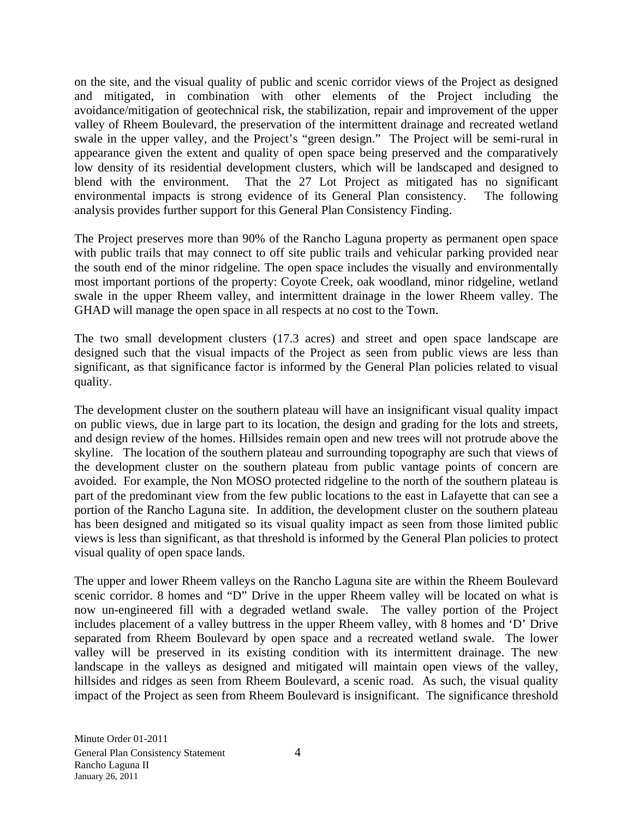on the site, and the visual quality of public and scenic corridor views of the Project as designed and mitigated, in combination with other elements of the Project including the avoidance/mitigation of geotechnical risk, the stabilization, repair and improvement of the upper valley of Rheem Boulevard, the preservation of the intermittent drainage and recreated wetland swale in the upper valley, and the Project's "green design." The Project will be semi-rural in appearance given the extent and quality of open space being preserved and the comparatively low density of its residential development clusters, which will be landscaped and designed to blend with the environment. That the 27 Lot Project as mitigated has no significant environmental impacts is strong evidence of its General Plan consistency. The following analysis provides further support for this General Plan Consistency Finding.

The Project preserves more than 90% of the Rancho Laguna property as permanent open space with public trails that may connect to off site public trails and vehicular parking provided near the south end of the minor ridgeline. The open space includes the visually and environmentally most important portions of the property: Coyote Creek, oak woodland, minor ridgeline, wetland swale in the upper Rheem valley, and intermittent drainage in the lower Rheem valley. The GHAD will manage the open space in all respects at no cost to the Town.

The two small development clusters (17.3 acres) and street and open space landscape are designed such that the visual impacts of the Project as seen from public views are less than significant, as that significance factor is informed by the General Plan policies related to visual quality.

The development cluster on the southern plateau will have an insignificant visual quality impact on public views, due in large part to its location, the design and grading for the lots and streets, and design review of the homes. Hillsides remain open and new trees will not protrude above the skyline. The location of the southern plateau and surrounding topography are such that views of the development cluster on the southern plateau from public vantage points of concern are avoided. For example, the Non MOSO protected ridgeline to the north of the southern plateau is part of the predominant view from the few public locations to the east in Lafayette that can see a portion of the Rancho Laguna site. In addition, the development cluster on the southern plateau has been designed and mitigated so its visual quality impact as seen from those limited public views is less than significant, as that threshold is informed by the General Plan policies to protect visual quality of open space lands.

The upper and lower Rheem valleys on the Rancho Laguna site are within the Rheem Boulevard scenic corridor. 8 homes and "D" Drive in the upper Rheem valley will be located on what is now un-engineered fill with a degraded wetland swale. The valley portion of the Project includes placement of a valley buttress in the upper Rheem valley, with 8 homes and 'D' Drive separated from Rheem Boulevard by open space and a recreated wetland swale. The lower valley will be preserved in its existing condition with its intermittent drainage. The new landscape in the valleys as designed and mitigated will maintain open views of the valley, hillsides and ridges as seen from Rheem Boulevard, a scenic road. As such, the visual quality impact of the Project as seen from Rheem Boulevard is insignificant. The significance threshold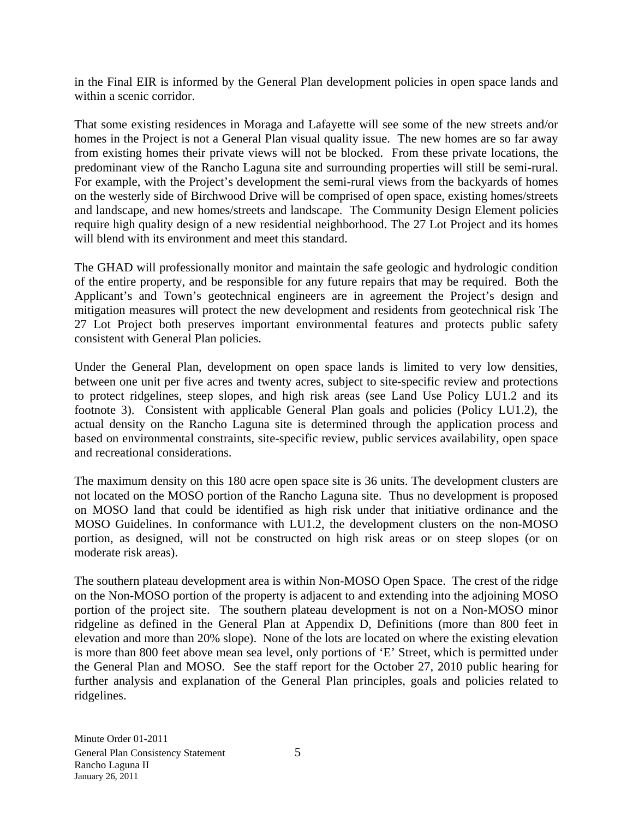in the Final EIR is informed by the General Plan development policies in open space lands and within a scenic corridor.

That some existing residences in Moraga and Lafayette will see some of the new streets and/or homes in the Project is not a General Plan visual quality issue. The new homes are so far away from existing homes their private views will not be blocked. From these private locations, the predominant view of the Rancho Laguna site and surrounding properties will still be semi-rural. For example, with the Project's development the semi-rural views from the backyards of homes on the westerly side of Birchwood Drive will be comprised of open space, existing homes/streets and landscape, and new homes/streets and landscape. The Community Design Element policies require high quality design of a new residential neighborhood. The 27 Lot Project and its homes will blend with its environment and meet this standard.

The GHAD will professionally monitor and maintain the safe geologic and hydrologic condition of the entire property, and be responsible for any future repairs that may be required. Both the Applicant's and Town's geotechnical engineers are in agreement the Project's design and mitigation measures will protect the new development and residents from geotechnical risk The 27 Lot Project both preserves important environmental features and protects public safety consistent with General Plan policies.

Under the General Plan, development on open space lands is limited to very low densities, between one unit per five acres and twenty acres, subject to site-specific review and protections to protect ridgelines, steep slopes, and high risk areas (see Land Use Policy LU1.2 and its footnote 3). Consistent with applicable General Plan goals and policies (Policy LU1.2), the actual density on the Rancho Laguna site is determined through the application process and based on environmental constraints, site-specific review, public services availability, open space and recreational considerations.

The maximum density on this 180 acre open space site is 36 units. The development clusters are not located on the MOSO portion of the Rancho Laguna site. Thus no development is proposed on MOSO land that could be identified as high risk under that initiative ordinance and the MOSO Guidelines. In conformance with LU1.2, the development clusters on the non-MOSO portion, as designed, will not be constructed on high risk areas or on steep slopes (or on moderate risk areas).

The southern plateau development area is within Non-MOSO Open Space. The crest of the ridge on the Non-MOSO portion of the property is adjacent to and extending into the adjoining MOSO portion of the project site. The southern plateau development is not on a Non-MOSO minor ridgeline as defined in the General Plan at Appendix D, Definitions (more than 800 feet in elevation and more than 20% slope). None of the lots are located on where the existing elevation is more than 800 feet above mean sea level, only portions of 'E' Street, which is permitted under the General Plan and MOSO. See the staff report for the October 27, 2010 public hearing for further analysis and explanation of the General Plan principles, goals and policies related to ridgelines.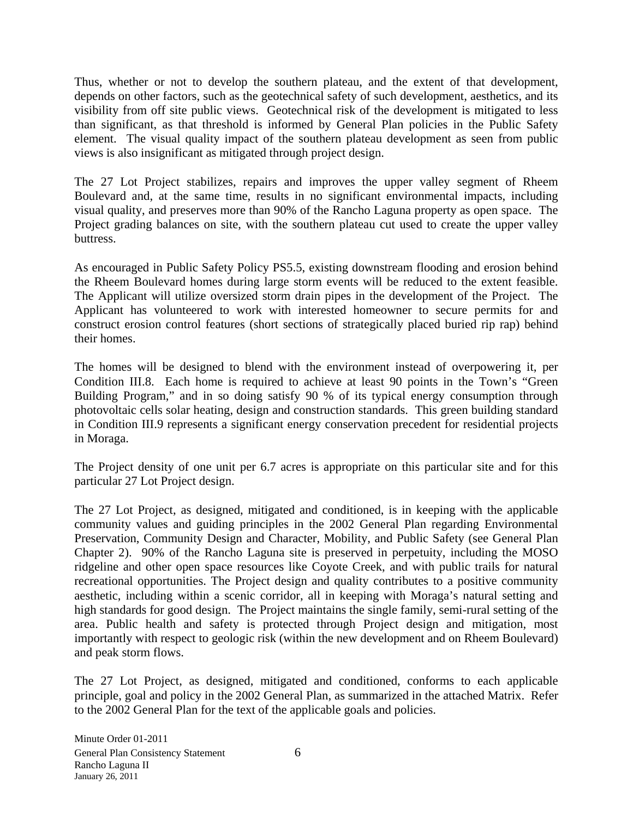Thus, whether or not to develop the southern plateau, and the extent of that development, depends on other factors, such as the geotechnical safety of such development, aesthetics, and its visibility from off site public views. Geotechnical risk of the development is mitigated to less than significant, as that threshold is informed by General Plan policies in the Public Safety element. The visual quality impact of the southern plateau development as seen from public views is also insignificant as mitigated through project design.

The 27 Lot Project stabilizes, repairs and improves the upper valley segment of Rheem Boulevard and, at the same time, results in no significant environmental impacts, including visual quality, and preserves more than 90% of the Rancho Laguna property as open space. The Project grading balances on site, with the southern plateau cut used to create the upper valley buttress.

As encouraged in Public Safety Policy PS5.5, existing downstream flooding and erosion behind the Rheem Boulevard homes during large storm events will be reduced to the extent feasible. The Applicant will utilize oversized storm drain pipes in the development of the Project. The Applicant has volunteered to work with interested homeowner to secure permits for and construct erosion control features (short sections of strategically placed buried rip rap) behind their homes.

The homes will be designed to blend with the environment instead of overpowering it, per Condition III.8. Each home is required to achieve at least 90 points in the Town's "Green Building Program," and in so doing satisfy 90 % of its typical energy consumption through photovoltaic cells solar heating, design and construction standards. This green building standard in Condition III.9 represents a significant energy conservation precedent for residential projects in Moraga.

The Project density of one unit per 6.7 acres is appropriate on this particular site and for this particular 27 Lot Project design.

The 27 Lot Project, as designed, mitigated and conditioned, is in keeping with the applicable community values and guiding principles in the 2002 General Plan regarding Environmental Preservation, Community Design and Character, Mobility, and Public Safety (see General Plan Chapter 2). 90% of the Rancho Laguna site is preserved in perpetuity, including the MOSO ridgeline and other open space resources like Coyote Creek, and with public trails for natural recreational opportunities. The Project design and quality contributes to a positive community aesthetic, including within a scenic corridor, all in keeping with Moraga's natural setting and high standards for good design. The Project maintains the single family, semi-rural setting of the area. Public health and safety is protected through Project design and mitigation, most importantly with respect to geologic risk (within the new development and on Rheem Boulevard) and peak storm flows.

The 27 Lot Project, as designed, mitigated and conditioned, conforms to each applicable principle, goal and policy in the 2002 General Plan, as summarized in the attached Matrix. Refer to the 2002 General Plan for the text of the applicable goals and policies.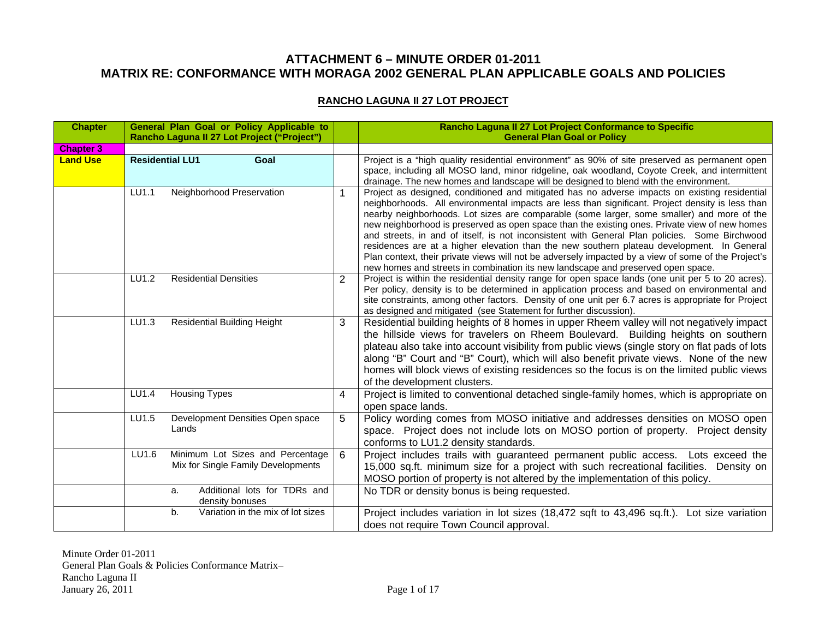#### **ATTACHMENT 6 – MINUTE ORDER 01-2011 MATRIX RE: CONFORMANCE WITH MORAGA 2002 GENERAL PLAN APPLICABLE GOALS AND POLICIES**

#### **RANCHO LAGUNA II 27 LOT PROJECT**

| <b>Chapter</b>   |       | General Plan Goal or Policy Applicable to<br>Rancho Laguna II 27 Lot Project ("Project") |                | Rancho Laguna II 27 Lot Project Conformance to Specific<br><b>General Plan Goal or Policy</b>                                                                                                                                                                                                                                                                                                                                                                                                                                                                                                                                                                                                                                                                                              |
|------------------|-------|------------------------------------------------------------------------------------------|----------------|--------------------------------------------------------------------------------------------------------------------------------------------------------------------------------------------------------------------------------------------------------------------------------------------------------------------------------------------------------------------------------------------------------------------------------------------------------------------------------------------------------------------------------------------------------------------------------------------------------------------------------------------------------------------------------------------------------------------------------------------------------------------------------------------|
| <b>Chapter 3</b> |       |                                                                                          |                |                                                                                                                                                                                                                                                                                                                                                                                                                                                                                                                                                                                                                                                                                                                                                                                            |
| <b>Land Use</b>  |       | <b>Residential LU1</b><br>Goal                                                           |                | Project is a "high quality residential environment" as 90% of site preserved as permanent open<br>space, including all MOSO land, minor ridgeline, oak woodland, Coyote Creek, and intermittent<br>drainage. The new homes and landscape will be designed to blend with the environment.                                                                                                                                                                                                                                                                                                                                                                                                                                                                                                   |
|                  | LU1.1 | Neighborhood Preservation                                                                |                | Project as designed, conditioned and mitigated has no adverse impacts on existing residential<br>neighborhoods. All environmental impacts are less than significant. Project density is less than<br>nearby neighborhoods. Lot sizes are comparable (some larger, some smaller) and more of the<br>new neighborhood is preserved as open space than the existing ones. Private view of new homes<br>and streets, in and of itself, is not inconsistent with General Plan policies. Some Birchwood<br>residences are at a higher elevation than the new southern plateau development. In General<br>Plan context, their private views will not be adversely impacted by a view of some of the Project's<br>new homes and streets in combination its new landscape and preserved open space. |
|                  | LU1.2 | <b>Residential Densities</b>                                                             | $\overline{2}$ | Project is within the residential density range for open space lands (one unit per 5 to 20 acres).<br>Per policy, density is to be determined in application process and based on environmental and<br>site constraints, among other factors. Density of one unit per 6.7 acres is appropriate for Project<br>as designed and mitigated (see Statement for further discussion)                                                                                                                                                                                                                                                                                                                                                                                                             |
|                  | LU1.3 | <b>Residential Building Height</b>                                                       | 3              | Residential building heights of 8 homes in upper Rheem valley will not negatively impact<br>the hillside views for travelers on Rheem Boulevard. Building heights on southern<br>plateau also take into account visibility from public views (single story on flat pads of lots<br>along "B" Court and "B" Court), which will also benefit private views. None of the new<br>homes will block views of existing residences so the focus is on the limited public views<br>of the development clusters.                                                                                                                                                                                                                                                                                     |
|                  | LU1.4 | <b>Housing Types</b>                                                                     | 4              | Project is limited to conventional detached single-family homes, which is appropriate on<br>open space lands.                                                                                                                                                                                                                                                                                                                                                                                                                                                                                                                                                                                                                                                                              |
|                  | LU1.5 | Development Densities Open space<br>Lands                                                | 5              | Policy wording comes from MOSO initiative and addresses densities on MOSO open<br>space. Project does not include lots on MOSO portion of property. Project density<br>conforms to LU1.2 density standards.                                                                                                                                                                                                                                                                                                                                                                                                                                                                                                                                                                                |
|                  | LU1.6 | Minimum Lot Sizes and Percentage<br>Mix for Single Family Developments                   | 6              | Project includes trails with guaranteed permanent public access. Lots exceed the<br>15,000 sq.ft. minimum size for a project with such recreational facilities. Density on<br>MOSO portion of property is not altered by the implementation of this policy.                                                                                                                                                                                                                                                                                                                                                                                                                                                                                                                                |
|                  |       | Additional lots for TDRs and<br>a.<br>density bonuses                                    |                | No TDR or density bonus is being requested.                                                                                                                                                                                                                                                                                                                                                                                                                                                                                                                                                                                                                                                                                                                                                |
|                  |       | Variation in the mix of lot sizes<br>b.                                                  |                | Project includes variation in lot sizes (18,472 sqft to 43,496 sq.ft.).<br>Lot size variation<br>does not require Town Council approval.                                                                                                                                                                                                                                                                                                                                                                                                                                                                                                                                                                                                                                                   |

 Minute Order 01-2011 General Plan Goals & Policies Conformance Matrix– Rancho Laguna II January 26, 2011 Page 1 of 17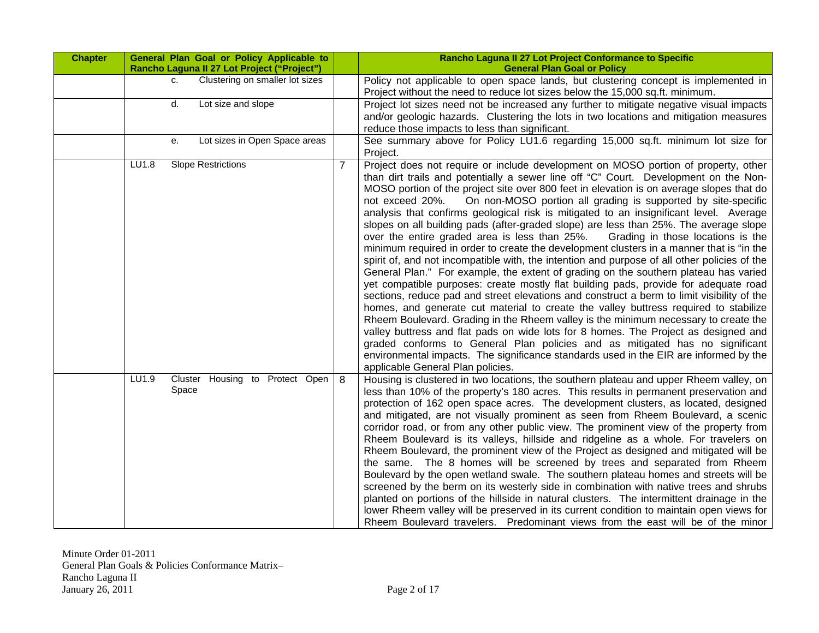| <b>Chapter</b> | General Plan Goal or Policy Applicable to<br>Rancho Laguna II 27 Lot Project ("Project") |                | Rancho Laguna II 27 Lot Project Conformance to Specific<br><b>General Plan Goal or Policy</b>                                                                                                                                                                                                                                                                                                                                                                                                                                                                                                                                                                                                                                                                                                                                                                                                                                                                                                                                                                                                                                                                                                                                                                                                                                                                                                                                                                                                                                                                                                     |
|----------------|------------------------------------------------------------------------------------------|----------------|---------------------------------------------------------------------------------------------------------------------------------------------------------------------------------------------------------------------------------------------------------------------------------------------------------------------------------------------------------------------------------------------------------------------------------------------------------------------------------------------------------------------------------------------------------------------------------------------------------------------------------------------------------------------------------------------------------------------------------------------------------------------------------------------------------------------------------------------------------------------------------------------------------------------------------------------------------------------------------------------------------------------------------------------------------------------------------------------------------------------------------------------------------------------------------------------------------------------------------------------------------------------------------------------------------------------------------------------------------------------------------------------------------------------------------------------------------------------------------------------------------------------------------------------------------------------------------------------------|
|                | Clustering on smaller lot sizes<br>C.                                                    |                | Policy not applicable to open space lands, but clustering concept is implemented in<br>Project without the need to reduce lot sizes below the 15,000 sq.ft. minimum.                                                                                                                                                                                                                                                                                                                                                                                                                                                                                                                                                                                                                                                                                                                                                                                                                                                                                                                                                                                                                                                                                                                                                                                                                                                                                                                                                                                                                              |
|                | Lot size and slope<br>d.                                                                 |                | Project lot sizes need not be increased any further to mitigate negative visual impacts<br>and/or geologic hazards. Clustering the lots in two locations and mitigation measures<br>reduce those impacts to less than significant.                                                                                                                                                                                                                                                                                                                                                                                                                                                                                                                                                                                                                                                                                                                                                                                                                                                                                                                                                                                                                                                                                                                                                                                                                                                                                                                                                                |
|                | Lot sizes in Open Space areas<br>е.                                                      |                | See summary above for Policy LU1.6 regarding 15,000 sq.ft. minimum lot size for<br>Project.                                                                                                                                                                                                                                                                                                                                                                                                                                                                                                                                                                                                                                                                                                                                                                                                                                                                                                                                                                                                                                                                                                                                                                                                                                                                                                                                                                                                                                                                                                       |
|                | LU1.8<br><b>Slope Restrictions</b>                                                       | $\overline{7}$ | Project does not require or include development on MOSO portion of property, other<br>than dirt trails and potentially a sewer line off "C" Court. Development on the Non-<br>MOSO portion of the project site over 800 feet in elevation is on average slopes that do<br>On non-MOSO portion all grading is supported by site-specific<br>not exceed 20%.<br>analysis that confirms geological risk is mitigated to an insignificant level. Average<br>slopes on all building pads (after-graded slope) are less than 25%. The average slope<br>over the entire graded area is less than 25%.<br>Grading in those locations is the<br>minimum required in order to create the development clusters in a manner that is "in the<br>spirit of, and not incompatible with, the intention and purpose of all other policies of the<br>General Plan." For example, the extent of grading on the southern plateau has varied<br>yet compatible purposes: create mostly flat building pads, provide for adequate road<br>sections, reduce pad and street elevations and construct a berm to limit visibility of the<br>homes, and generate cut material to create the valley buttress required to stabilize<br>Rheem Boulevard. Grading in the Rheem valley is the minimum necessary to create the<br>valley buttress and flat pads on wide lots for 8 homes. The Project as designed and<br>graded conforms to General Plan policies and as mitigated has no significant<br>environmental impacts. The significance standards used in the EIR are informed by the<br>applicable General Plan policies. |
|                | LU1.9<br>Housing to Protect Open<br>Cluster<br>Space                                     | 8              | Housing is clustered in two locations, the southern plateau and upper Rheem valley, on<br>less than 10% of the property's 180 acres. This results in permanent preservation and<br>protection of 162 open space acres. The development clusters, as located, designed<br>and mitigated, are not visually prominent as seen from Rheem Boulevard, a scenic<br>corridor road, or from any other public view. The prominent view of the property from<br>Rheem Boulevard is its valleys, hillside and ridgeline as a whole. For travelers on<br>Rheem Boulevard, the prominent view of the Project as designed and mitigated will be<br>the same. The 8 homes will be screened by trees and separated from Rheem<br>Boulevard by the open wetland swale. The southern plateau homes and streets will be<br>screened by the berm on its westerly side in combination with native trees and shrubs<br>planted on portions of the hillside in natural clusters. The intermittent drainage in the<br>lower Rheem valley will be preserved in its current condition to maintain open views for<br>Rheem Boulevard travelers. Predominant views from the east will be of the minor                                                                                                                                                                                                                                                                                                                                                                                                                         |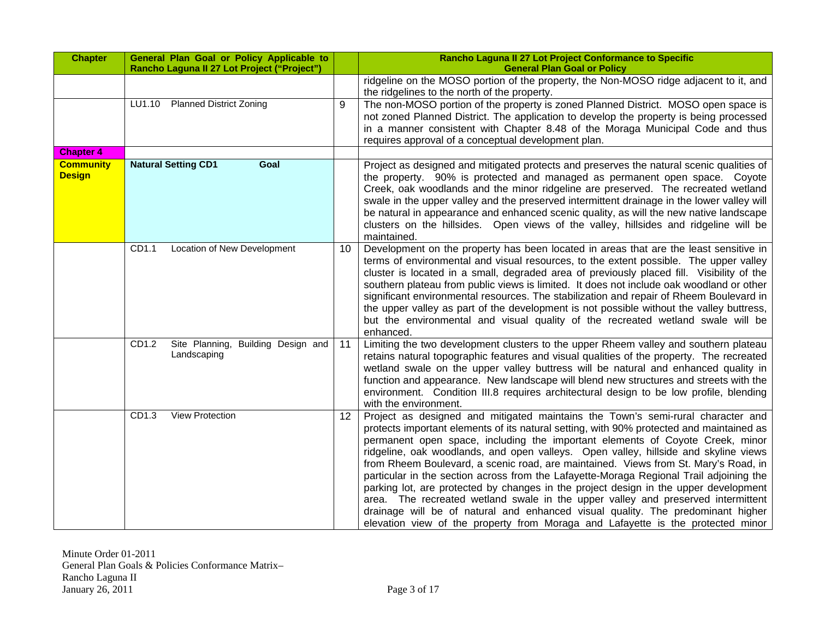| <b>Chapter</b>                    | General Plan Goal or Policy Applicable to<br>Rancho Laguna II 27 Lot Project ("Project") |    | Rancho Laguna II 27 Lot Project Conformance to Specific<br><b>General Plan Goal or Policy</b>                                                                                                                                                                                                                                                                                                                                                                                                                                                                                                                                                                                                                                                                                                                                                                                           |
|-----------------------------------|------------------------------------------------------------------------------------------|----|-----------------------------------------------------------------------------------------------------------------------------------------------------------------------------------------------------------------------------------------------------------------------------------------------------------------------------------------------------------------------------------------------------------------------------------------------------------------------------------------------------------------------------------------------------------------------------------------------------------------------------------------------------------------------------------------------------------------------------------------------------------------------------------------------------------------------------------------------------------------------------------------|
|                                   |                                                                                          |    | ridgeline on the MOSO portion of the property, the Non-MOSO ridge adjacent to it, and<br>the ridgelines to the north of the property.                                                                                                                                                                                                                                                                                                                                                                                                                                                                                                                                                                                                                                                                                                                                                   |
|                                   | <b>Planned District Zoning</b><br>LU1.10                                                 | 9  | The non-MOSO portion of the property is zoned Planned District. MOSO open space is<br>not zoned Planned District. The application to develop the property is being processed<br>in a manner consistent with Chapter 8.48 of the Moraga Municipal Code and thus<br>requires approval of a conceptual development plan.                                                                                                                                                                                                                                                                                                                                                                                                                                                                                                                                                                   |
| <b>Chapter 4</b>                  |                                                                                          |    |                                                                                                                                                                                                                                                                                                                                                                                                                                                                                                                                                                                                                                                                                                                                                                                                                                                                                         |
| <b>Community</b><br><b>Design</b> | <b>Natural Setting CD1</b><br>Goal                                                       |    | Project as designed and mitigated protects and preserves the natural scenic qualities of<br>the property. 90% is protected and managed as permanent open space. Coyote<br>Creek, oak woodlands and the minor ridgeline are preserved. The recreated wetland<br>swale in the upper valley and the preserved intermittent drainage in the lower valley will<br>be natural in appearance and enhanced scenic quality, as will the new native landscape<br>clusters on the hillsides. Open views of the valley, hillsides and ridgeline will be<br>maintained.                                                                                                                                                                                                                                                                                                                              |
|                                   | CD1.1<br>Location of New Development                                                     | 10 | Development on the property has been located in areas that are the least sensitive in<br>terms of environmental and visual resources, to the extent possible. The upper valley<br>cluster is located in a small, degraded area of previously placed fill. Visibility of the<br>southern plateau from public views is limited. It does not include oak woodland or other<br>significant environmental resources. The stabilization and repair of Rheem Boulevard in<br>the upper valley as part of the development is not possible without the valley buttress,<br>but the environmental and visual quality of the recreated wetland swale will be<br>enhanced.                                                                                                                                                                                                                          |
|                                   | Site Planning, Building Design and<br>CD1.2<br>Landscaping                               | 11 | Limiting the two development clusters to the upper Rheem valley and southern plateau<br>retains natural topographic features and visual qualities of the property. The recreated<br>wetland swale on the upper valley buttress will be natural and enhanced quality in<br>function and appearance. New landscape will blend new structures and streets with the<br>environment. Condition III.8 requires architectural design to be low profile, blending<br>with the environment.                                                                                                                                                                                                                                                                                                                                                                                                      |
|                                   | <b>View Protection</b><br>CD <sub>1.3</sub>                                              | 12 | Project as designed and mitigated maintains the Town's semi-rural character and<br>protects important elements of its natural setting, with 90% protected and maintained as<br>permanent open space, including the important elements of Coyote Creek, minor<br>ridgeline, oak woodlands, and open valleys. Open valley, hillside and skyline views<br>from Rheem Boulevard, a scenic road, are maintained. Views from St. Mary's Road, in<br>particular in the section across from the Lafayette-Moraga Regional Trail adjoining the<br>parking lot, are protected by changes in the project design in the upper development<br>area. The recreated wetland swale in the upper valley and preserved intermittent<br>drainage will be of natural and enhanced visual quality. The predominant higher<br>elevation view of the property from Moraga and Lafayette is the protected minor |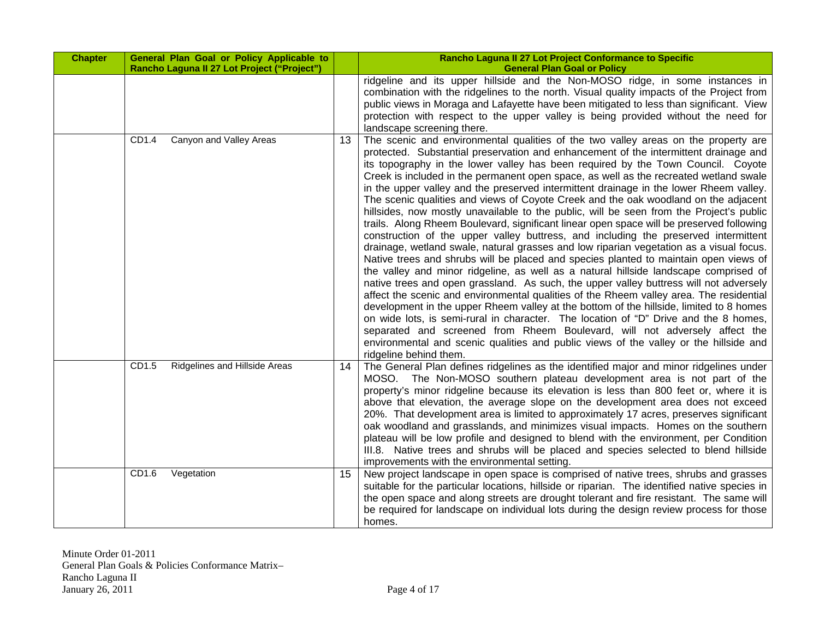| <b>Chapter</b> | General Plan Goal or Policy Applicable to<br>Rancho Laguna II 27 Lot Project ("Project") |    | Rancho Laguna II 27 Lot Project Conformance to Specific<br><b>General Plan Goal or Policy</b>                                                                                                                                                                                                                                                                                                                                                                                                                                                                                                                                                                                                                                                                                                                                                                                                                                                                                                                                                                                                                                                                                                                                                                                                                                                                                                                                                                                                                                                                                                                                                                              |
|----------------|------------------------------------------------------------------------------------------|----|----------------------------------------------------------------------------------------------------------------------------------------------------------------------------------------------------------------------------------------------------------------------------------------------------------------------------------------------------------------------------------------------------------------------------------------------------------------------------------------------------------------------------------------------------------------------------------------------------------------------------------------------------------------------------------------------------------------------------------------------------------------------------------------------------------------------------------------------------------------------------------------------------------------------------------------------------------------------------------------------------------------------------------------------------------------------------------------------------------------------------------------------------------------------------------------------------------------------------------------------------------------------------------------------------------------------------------------------------------------------------------------------------------------------------------------------------------------------------------------------------------------------------------------------------------------------------------------------------------------------------------------------------------------------------|
|                |                                                                                          |    | ridgeline and its upper hillside and the Non-MOSO ridge, in some instances in<br>combination with the ridgelines to the north. Visual quality impacts of the Project from<br>public views in Moraga and Lafayette have been mitigated to less than significant. View<br>protection with respect to the upper valley is being provided without the need for<br>landscape screening there.                                                                                                                                                                                                                                                                                                                                                                                                                                                                                                                                                                                                                                                                                                                                                                                                                                                                                                                                                                                                                                                                                                                                                                                                                                                                                   |
|                | Canyon and Valley Areas<br>CD1.4                                                         | 13 | The scenic and environmental qualities of the two valley areas on the property are<br>protected. Substantial preservation and enhancement of the intermittent drainage and<br>its topography in the lower valley has been required by the Town Council. Coyote<br>Creek is included in the permanent open space, as well as the recreated wetland swale<br>in the upper valley and the preserved intermittent drainage in the lower Rheem valley.<br>The scenic qualities and views of Coyote Creek and the oak woodland on the adjacent<br>hillsides, now mostly unavailable to the public, will be seen from the Project's public<br>trails. Along Rheem Boulevard, significant linear open space will be preserved following<br>construction of the upper valley buttress, and including the preserved intermittent<br>drainage, wetland swale, natural grasses and low riparian vegetation as a visual focus.<br>Native trees and shrubs will be placed and species planted to maintain open views of<br>the valley and minor ridgeline, as well as a natural hillside landscape comprised of<br>native trees and open grassland. As such, the upper valley buttress will not adversely<br>affect the scenic and environmental qualities of the Rheem valley area. The residential<br>development in the upper Rheem valley at the bottom of the hillside, limited to 8 homes<br>on wide lots, is semi-rural in character. The location of "D" Drive and the 8 homes,<br>separated and screened from Rheem Boulevard, will not adversely affect the<br>environmental and scenic qualities and public views of the valley or the hillside and<br>ridgeline behind them. |
|                | Ridgelines and Hillside Areas<br>CD1.5                                                   | 14 | The General Plan defines ridgelines as the identified major and minor ridgelines under<br>MOSO. The Non-MOSO southern plateau development area is not part of the<br>property's minor ridgeline because its elevation is less than 800 feet or, where it is<br>above that elevation, the average slope on the development area does not exceed<br>20%. That development area is limited to approximately 17 acres, preserves significant<br>oak woodland and grasslands, and minimizes visual impacts. Homes on the southern<br>plateau will be low profile and designed to blend with the environment, per Condition<br>III.8. Native trees and shrubs will be placed and species selected to blend hillside<br>improvements with the environmental setting.                                                                                                                                                                                                                                                                                                                                                                                                                                                                                                                                                                                                                                                                                                                                                                                                                                                                                                              |
|                | CD1.6<br>Vegetation                                                                      | 15 | New project landscape in open space is comprised of native trees, shrubs and grasses<br>suitable for the particular locations, hillside or riparian. The identified native species in<br>the open space and along streets are drought tolerant and fire resistant. The same will<br>be required for landscape on individual lots during the design review process for those<br>homes.                                                                                                                                                                                                                                                                                                                                                                                                                                                                                                                                                                                                                                                                                                                                                                                                                                                                                                                                                                                                                                                                                                                                                                                                                                                                                      |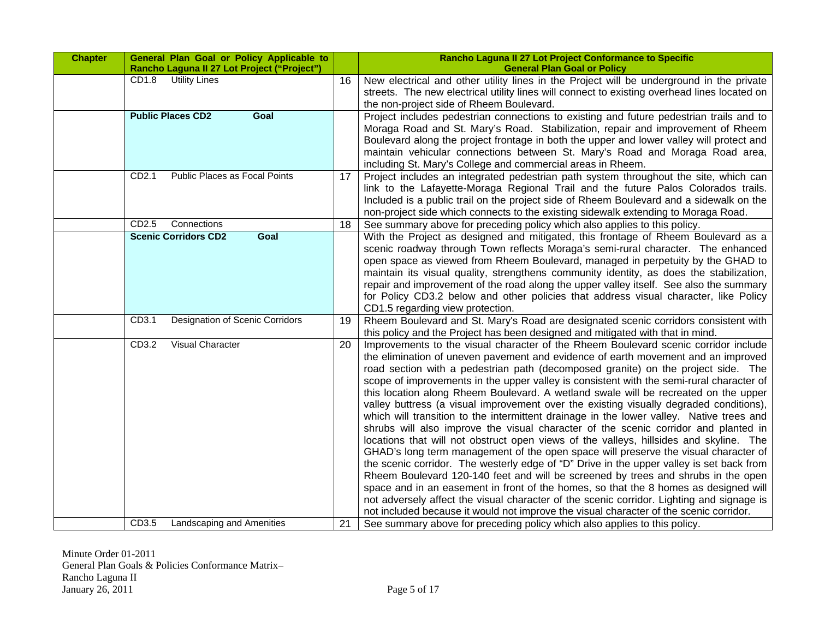| <b>Chapter</b> | General Plan Goal or Policy Applicable to<br>Rancho Laguna II 27 Lot Project ("Project") |    | Rancho Laguna II 27 Lot Project Conformance to Specific<br><b>General Plan Goal or Policy</b>                                                                                                                                                                                                                                                                                                                                                                                                                                                                                                                                                                                                                                                                                                                                                                                                                                                                                                                                                                                                                                                                                                                                                                                                                                                                                  |
|----------------|------------------------------------------------------------------------------------------|----|--------------------------------------------------------------------------------------------------------------------------------------------------------------------------------------------------------------------------------------------------------------------------------------------------------------------------------------------------------------------------------------------------------------------------------------------------------------------------------------------------------------------------------------------------------------------------------------------------------------------------------------------------------------------------------------------------------------------------------------------------------------------------------------------------------------------------------------------------------------------------------------------------------------------------------------------------------------------------------------------------------------------------------------------------------------------------------------------------------------------------------------------------------------------------------------------------------------------------------------------------------------------------------------------------------------------------------------------------------------------------------|
|                | CD1.8<br><b>Utility Lines</b>                                                            | 16 | New electrical and other utility lines in the Project will be underground in the private<br>streets. The new electrical utility lines will connect to existing overhead lines located on<br>the non-project side of Rheem Boulevard.                                                                                                                                                                                                                                                                                                                                                                                                                                                                                                                                                                                                                                                                                                                                                                                                                                                                                                                                                                                                                                                                                                                                           |
|                | <b>Public Places CD2</b><br>Goal                                                         |    | Project includes pedestrian connections to existing and future pedestrian trails and to<br>Moraga Road and St. Mary's Road. Stabilization, repair and improvement of Rheem<br>Boulevard along the project frontage in both the upper and lower valley will protect and<br>maintain vehicular connections between St. Mary's Road and Moraga Road area,<br>including St. Mary's College and commercial areas in Rheem.                                                                                                                                                                                                                                                                                                                                                                                                                                                                                                                                                                                                                                                                                                                                                                                                                                                                                                                                                          |
|                | Public Places as Focal Points<br>CD <sub>2.1</sub>                                       | 17 | Project includes an integrated pedestrian path system throughout the site, which can<br>link to the Lafayette-Moraga Regional Trail and the future Palos Colorados trails.<br>Included is a public trail on the project side of Rheem Boulevard and a sidewalk on the<br>non-project side which connects to the existing sidewalk extending to Moraga Road.                                                                                                                                                                                                                                                                                                                                                                                                                                                                                                                                                                                                                                                                                                                                                                                                                                                                                                                                                                                                                    |
|                | CD2.5<br>Connections                                                                     | 18 | See summary above for preceding policy which also applies to this policy.                                                                                                                                                                                                                                                                                                                                                                                                                                                                                                                                                                                                                                                                                                                                                                                                                                                                                                                                                                                                                                                                                                                                                                                                                                                                                                      |
|                | <b>Scenic Corridors CD2</b><br>Goal                                                      |    | With the Project as designed and mitigated, this frontage of Rheem Boulevard as a<br>scenic roadway through Town reflects Moraga's semi-rural character. The enhanced<br>open space as viewed from Rheem Boulevard, managed in perpetuity by the GHAD to<br>maintain its visual quality, strengthens community identity, as does the stabilization,<br>repair and improvement of the road along the upper valley itself. See also the summary<br>for Policy CD3.2 below and other policies that address visual character, like Policy<br>CD1.5 regarding view protection.                                                                                                                                                                                                                                                                                                                                                                                                                                                                                                                                                                                                                                                                                                                                                                                                      |
|                | <b>Designation of Scenic Corridors</b><br>CD3.1                                          | 19 | Rheem Boulevard and St. Mary's Road are designated scenic corridors consistent with<br>this policy and the Project has been designed and mitigated with that in mind.                                                                                                                                                                                                                                                                                                                                                                                                                                                                                                                                                                                                                                                                                                                                                                                                                                                                                                                                                                                                                                                                                                                                                                                                          |
|                | <b>Visual Character</b><br>CD3.2                                                         | 20 | Improvements to the visual character of the Rheem Boulevard scenic corridor include<br>the elimination of uneven pavement and evidence of earth movement and an improved<br>road section with a pedestrian path (decomposed granite) on the project side. The<br>scope of improvements in the upper valley is consistent with the semi-rural character of<br>this location along Rheem Boulevard. A wetland swale will be recreated on the upper<br>valley buttress (a visual improvement over the existing visually degraded conditions),<br>which will transition to the intermittent drainage in the lower valley. Native trees and<br>shrubs will also improve the visual character of the scenic corridor and planted in<br>locations that will not obstruct open views of the valleys, hillsides and skyline. The<br>GHAD's long term management of the open space will preserve the visual character of<br>the scenic corridor. The westerly edge of "D" Drive in the upper valley is set back from<br>Rheem Boulevard 120-140 feet and will be screened by trees and shrubs in the open<br>space and in an easement in front of the homes, so that the 8 homes as designed will<br>not adversely affect the visual character of the scenic corridor. Lighting and signage is<br>not included because it would not improve the visual character of the scenic corridor. |
|                | CD3.5<br>Landscaping and Amenities                                                       | 21 | See summary above for preceding policy which also applies to this policy.                                                                                                                                                                                                                                                                                                                                                                                                                                                                                                                                                                                                                                                                                                                                                                                                                                                                                                                                                                                                                                                                                                                                                                                                                                                                                                      |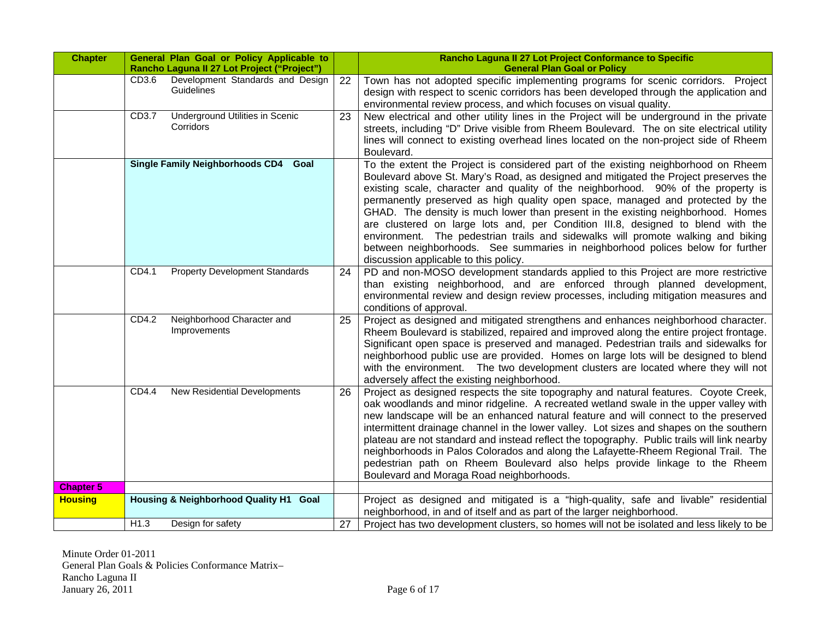| <b>Chapter</b>   | General Plan Goal or Policy Applicable to<br>Rancho Laguna II 27 Lot Project ("Project") |    | Rancho Laguna II 27 Lot Project Conformance to Specific<br><b>General Plan Goal or Policy</b>                                                                                                                                                                                                                                                                                                                                                                                                                                                                                                                                                                                                                                            |
|------------------|------------------------------------------------------------------------------------------|----|------------------------------------------------------------------------------------------------------------------------------------------------------------------------------------------------------------------------------------------------------------------------------------------------------------------------------------------------------------------------------------------------------------------------------------------------------------------------------------------------------------------------------------------------------------------------------------------------------------------------------------------------------------------------------------------------------------------------------------------|
|                  | Development Standards and Design<br>CD <sub>3.6</sub><br>Guidelines                      | 22 | Town has not adopted specific implementing programs for scenic corridors. Project<br>design with respect to scenic corridors has been developed through the application and<br>environmental review process, and which focuses on visual quality.                                                                                                                                                                                                                                                                                                                                                                                                                                                                                        |
|                  | <b>Underground Utilities in Scenic</b><br>CD3.7<br>Corridors                             | 23 | New electrical and other utility lines in the Project will be underground in the private<br>streets, including "D" Drive visible from Rheem Boulevard. The on site electrical utility<br>lines will connect to existing overhead lines located on the non-project side of Rheem<br>Boulevard.                                                                                                                                                                                                                                                                                                                                                                                                                                            |
|                  | Single Family Neighborhoods CD4 Goal                                                     |    | To the extent the Project is considered part of the existing neighborhood on Rheem<br>Boulevard above St. Mary's Road, as designed and mitigated the Project preserves the<br>existing scale, character and quality of the neighborhood. 90% of the property is<br>permanently preserved as high quality open space, managed and protected by the<br>GHAD. The density is much lower than present in the existing neighborhood. Homes<br>are clustered on large lots and, per Condition III.8, designed to blend with the<br>environment. The pedestrian trails and sidewalks will promote walking and biking<br>between neighborhoods. See summaries in neighborhood polices below for further<br>discussion applicable to this policy. |
|                  | CD4.1<br><b>Property Development Standards</b>                                           | 24 | PD and non-MOSO development standards applied to this Project are more restrictive<br>than existing neighborhood, and are enforced through planned development,<br>environmental review and design review processes, including mitigation measures and<br>conditions of approval.                                                                                                                                                                                                                                                                                                                                                                                                                                                        |
|                  | Neighborhood Character and<br>CD4.2<br>Improvements                                      | 25 | Project as designed and mitigated strengthens and enhances neighborhood character.<br>Rheem Boulevard is stabilized, repaired and improved along the entire project frontage.<br>Significant open space is preserved and managed. Pedestrian trails and sidewalks for<br>neighborhood public use are provided. Homes on large lots will be designed to blend<br>with the environment. The two development clusters are located where they will not<br>adversely affect the existing neighborhood.                                                                                                                                                                                                                                        |
|                  | <b>New Residential Developments</b><br>CD4.4                                             | 26 | Project as designed respects the site topography and natural features. Coyote Creek,<br>oak woodlands and minor ridgeline. A recreated wetland swale in the upper valley with<br>new landscape will be an enhanced natural feature and will connect to the preserved<br>intermittent drainage channel in the lower valley. Lot sizes and shapes on the southern<br>plateau are not standard and instead reflect the topography. Public trails will link nearby<br>neighborhoods in Palos Colorados and along the Lafayette-Rheem Regional Trail. The<br>pedestrian path on Rheem Boulevard also helps provide linkage to the Rheem<br>Boulevard and Moraga Road neighborhoods.                                                           |
| <b>Chapter 5</b> |                                                                                          |    |                                                                                                                                                                                                                                                                                                                                                                                                                                                                                                                                                                                                                                                                                                                                          |
| <b>Housing</b>   | Housing & Neighborhood Quality H1 Goal                                                   |    | Project as designed and mitigated is a "high-quality, safe and livable" residential<br>neighborhood, in and of itself and as part of the larger neighborhood.                                                                                                                                                                                                                                                                                                                                                                                                                                                                                                                                                                            |
|                  | H1.3<br>Design for safety                                                                | 27 | Project has two development clusters, so homes will not be isolated and less likely to be                                                                                                                                                                                                                                                                                                                                                                                                                                                                                                                                                                                                                                                |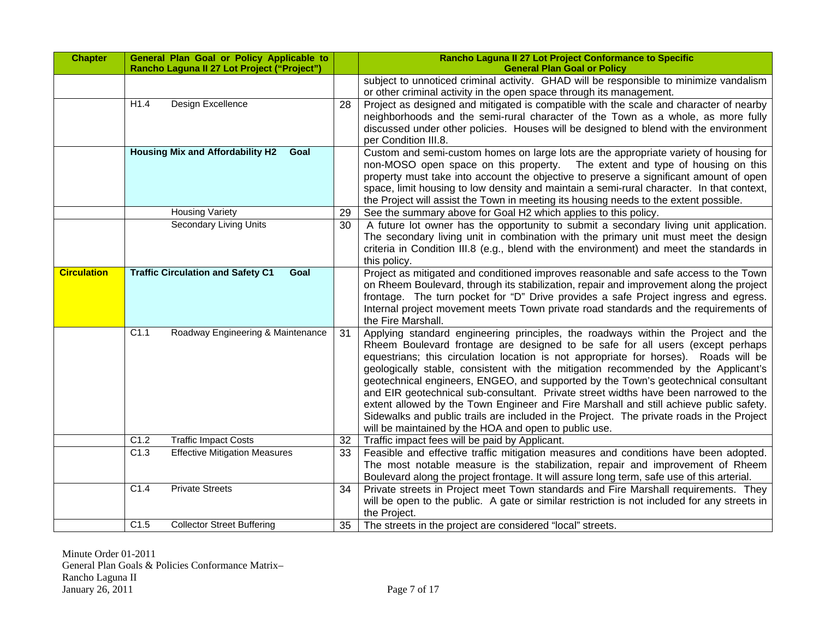| <b>Chapter</b>     | General Plan Goal or Policy Applicable to<br>Rancho Laguna II 27 Lot Project ("Project") |    | Rancho Laguna II 27 Lot Project Conformance to Specific<br><b>General Plan Goal or Policy</b>                                                                                                                                                                                                                                                                                                                                                                                                                                                                                                                                                                                                                                                                                   |
|--------------------|------------------------------------------------------------------------------------------|----|---------------------------------------------------------------------------------------------------------------------------------------------------------------------------------------------------------------------------------------------------------------------------------------------------------------------------------------------------------------------------------------------------------------------------------------------------------------------------------------------------------------------------------------------------------------------------------------------------------------------------------------------------------------------------------------------------------------------------------------------------------------------------------|
|                    |                                                                                          |    | subject to unnoticed criminal activity. GHAD will be responsible to minimize vandalism<br>or other criminal activity in the open space through its management.                                                                                                                                                                                                                                                                                                                                                                                                                                                                                                                                                                                                                  |
|                    | H1.4<br>Design Excellence                                                                | 28 | Project as designed and mitigated is compatible with the scale and character of nearby<br>neighborhoods and the semi-rural character of the Town as a whole, as more fully<br>discussed under other policies. Houses will be designed to blend with the environment<br>per Condition III.8.                                                                                                                                                                                                                                                                                                                                                                                                                                                                                     |
|                    | <b>Housing Mix and Affordability H2</b><br>Goal                                          |    | Custom and semi-custom homes on large lots are the appropriate variety of housing for<br>non-MOSO open space on this property. The extent and type of housing on this<br>property must take into account the objective to preserve a significant amount of open<br>space, limit housing to low density and maintain a semi-rural character. In that context,<br>the Project will assist the Town in meeting its housing needs to the extent possible.                                                                                                                                                                                                                                                                                                                           |
|                    | <b>Housing Variety</b>                                                                   | 29 | See the summary above for Goal H2 which applies to this policy.                                                                                                                                                                                                                                                                                                                                                                                                                                                                                                                                                                                                                                                                                                                 |
|                    | <b>Secondary Living Units</b>                                                            | 30 | A future lot owner has the opportunity to submit a secondary living unit application.<br>The secondary living unit in combination with the primary unit must meet the design<br>criteria in Condition III.8 (e.g., blend with the environment) and meet the standards in<br>this policy.                                                                                                                                                                                                                                                                                                                                                                                                                                                                                        |
| <b>Circulation</b> | <b>Traffic Circulation and Safety C1</b><br>Goal                                         |    | Project as mitigated and conditioned improves reasonable and safe access to the Town<br>on Rheem Boulevard, through its stabilization, repair and improvement along the project<br>frontage. The turn pocket for "D" Drive provides a safe Project ingress and egress.<br>Internal project movement meets Town private road standards and the requirements of<br>the Fire Marshall.                                                                                                                                                                                                                                                                                                                                                                                             |
|                    | Roadway Engineering & Maintenance<br>C1.1                                                | 31 | Applying standard engineering principles, the roadways within the Project and the<br>Rheem Boulevard frontage are designed to be safe for all users (except perhaps<br>equestrians; this circulation location is not appropriate for horses). Roads will be<br>geologically stable, consistent with the mitigation recommended by the Applicant's<br>geotechnical engineers, ENGEO, and supported by the Town's geotechnical consultant<br>and EIR geotechnical sub-consultant. Private street widths have been narrowed to the<br>extent allowed by the Town Engineer and Fire Marshall and still achieve public safety.<br>Sidewalks and public trails are included in the Project. The private roads in the Project<br>will be maintained by the HOA and open to public use. |
|                    | C1.2<br><b>Traffic Impact Costs</b>                                                      | 32 | Traffic impact fees will be paid by Applicant.                                                                                                                                                                                                                                                                                                                                                                                                                                                                                                                                                                                                                                                                                                                                  |
|                    | <b>Effective Mitigation Measures</b><br>C1.3                                             | 33 | Feasible and effective traffic mitigation measures and conditions have been adopted.<br>The most notable measure is the stabilization, repair and improvement of Rheem<br>Boulevard along the project frontage. It will assure long term, safe use of this arterial.                                                                                                                                                                                                                                                                                                                                                                                                                                                                                                            |
|                    | <b>Private Streets</b><br>C1.4                                                           | 34 | Private streets in Project meet Town standards and Fire Marshall requirements. They<br>will be open to the public. A gate or similar restriction is not included for any streets in<br>the Project.                                                                                                                                                                                                                                                                                                                                                                                                                                                                                                                                                                             |
|                    | <b>Collector Street Buffering</b><br>C1.5                                                | 35 | The streets in the project are considered "local" streets.                                                                                                                                                                                                                                                                                                                                                                                                                                                                                                                                                                                                                                                                                                                      |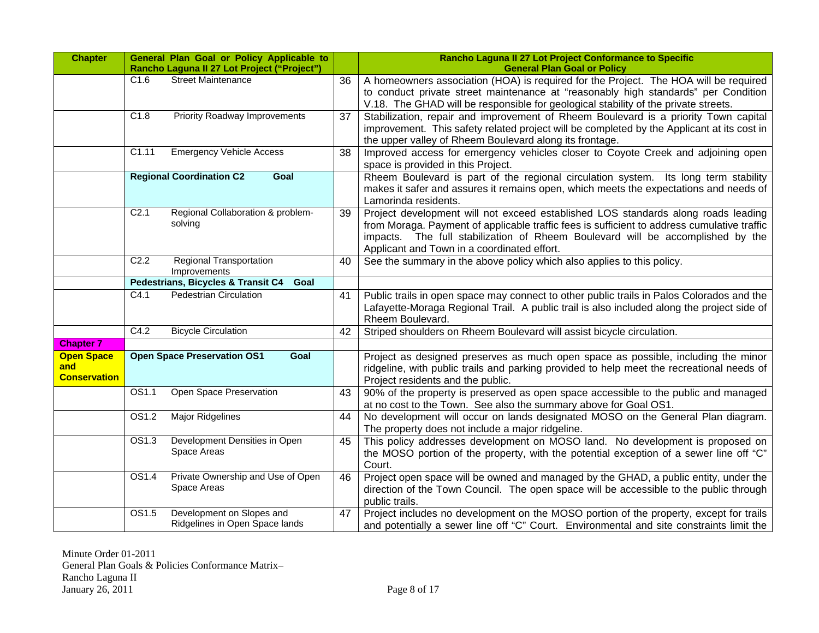| <b>Chapter</b>                                  |                   | General Plan Goal or Policy Applicable to<br>Rancho Laguna II 27 Lot Project ("Project") |    | Rancho Laguna II 27 Lot Project Conformance to Specific<br><b>General Plan Goal or Policy</b>                                                                                                                                                                                                                     |
|-------------------------------------------------|-------------------|------------------------------------------------------------------------------------------|----|-------------------------------------------------------------------------------------------------------------------------------------------------------------------------------------------------------------------------------------------------------------------------------------------------------------------|
|                                                 | C1.6              | <b>Street Maintenance</b>                                                                | 36 | A homeowners association (HOA) is required for the Project. The HOA will be required<br>to conduct private street maintenance at "reasonably high standards" per Condition<br>V.18. The GHAD will be responsible for geological stability of the private streets.                                                 |
|                                                 | C1.8              | <b>Priority Roadway Improvements</b>                                                     | 37 | Stabilization, repair and improvement of Rheem Boulevard is a priority Town capital<br>improvement. This safety related project will be completed by the Applicant at its cost in<br>the upper valley of Rheem Boulevard along its frontage.                                                                      |
|                                                 | C1.11             | <b>Emergency Vehicle Access</b>                                                          | 38 | Improved access for emergency vehicles closer to Coyote Creek and adjoining open<br>space is provided in this Project.                                                                                                                                                                                            |
|                                                 |                   | <b>Regional Coordination C2</b><br>Goal                                                  |    | Rheem Boulevard is part of the regional circulation system. Its long term stability<br>makes it safer and assures it remains open, which meets the expectations and needs of<br>Lamorinda residents.                                                                                                              |
|                                                 | C <sub>2.1</sub>  | Regional Collaboration & problem-<br>solving                                             | 39 | Project development will not exceed established LOS standards along roads leading<br>from Moraga. Payment of applicable traffic fees is sufficient to address cumulative traffic<br>impacts. The full stabilization of Rheem Boulevard will be accomplished by the<br>Applicant and Town in a coordinated effort. |
|                                                 | C2.2              | Regional Transportation<br>Improvements                                                  | 40 | See the summary in the above policy which also applies to this policy.                                                                                                                                                                                                                                            |
|                                                 |                   | Pedestrians, Bicycles & Transit C4<br>Goal                                               |    |                                                                                                                                                                                                                                                                                                                   |
|                                                 | C4.1              | <b>Pedestrian Circulation</b>                                                            | 41 | Public trails in open space may connect to other public trails in Palos Colorados and the<br>Lafayette-Moraga Regional Trail. A public trail is also included along the project side of<br>Rheem Boulevard.                                                                                                       |
|                                                 | C4.2              | <b>Bicycle Circulation</b>                                                               | 42 | Striped shoulders on Rheem Boulevard will assist bicycle circulation.                                                                                                                                                                                                                                             |
| <b>Chapter 7</b>                                |                   |                                                                                          |    |                                                                                                                                                                                                                                                                                                                   |
| <b>Open Space</b><br>and<br><b>Conservation</b> |                   | <b>Open Space Preservation OS1</b><br>Goal                                               |    | Project as designed preserves as much open space as possible, including the minor<br>ridgeline, with public trails and parking provided to help meet the recreational needs of<br>Project residents and the public.                                                                                               |
|                                                 | OS1.1             | Open Space Preservation                                                                  | 43 | 90% of the property is preserved as open space accessible to the public and managed<br>at no cost to the Town. See also the summary above for Goal OS1.                                                                                                                                                           |
|                                                 | OS1.2             | Major Ridgelines                                                                         | 44 | No development will occur on lands designated MOSO on the General Plan diagram.<br>The property does not include a major ridgeline.                                                                                                                                                                               |
|                                                 | OS <sub>1.3</sub> | Development Densities in Open<br>Space Areas                                             | 45 | This policy addresses development on MOSO land. No development is proposed on<br>the MOSO portion of the property, with the potential exception of a sewer line off "C"<br>Court.                                                                                                                                 |
|                                                 | OS1.4             | Private Ownership and Use of Open<br>Space Areas                                         | 46 | Project open space will be owned and managed by the GHAD, a public entity, under the<br>direction of the Town Council. The open space will be accessible to the public through<br>public trails.                                                                                                                  |
|                                                 | OS1.5             | Development on Slopes and<br>Ridgelines in Open Space lands                              | 47 | Project includes no development on the MOSO portion of the property, except for trails<br>and potentially a sewer line off "C" Court. Environmental and site constraints limit the                                                                                                                                |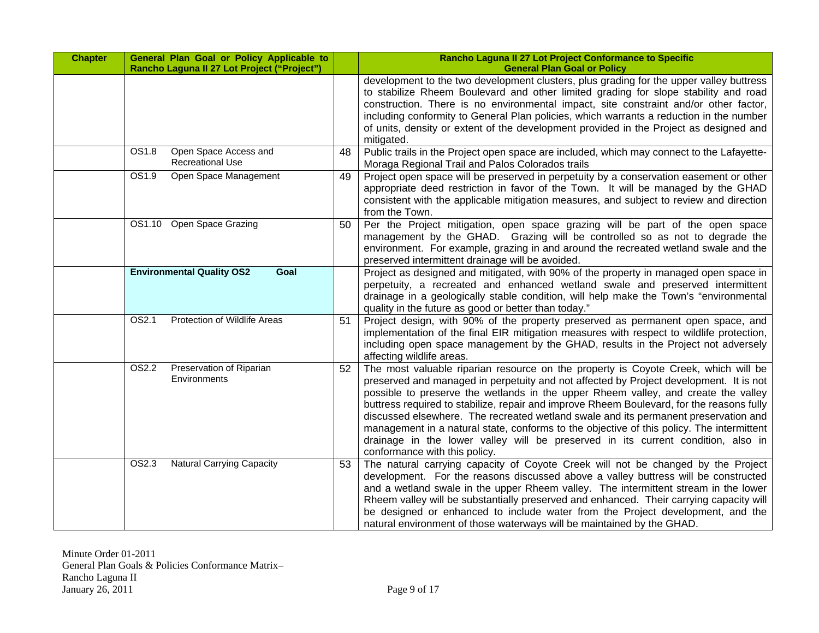| <b>Chapter</b> | General Plan Goal or Policy Applicable to<br>Rancho Laguna II 27 Lot Project ("Project") |    | Rancho Laguna II 27 Lot Project Conformance to Specific<br><b>General Plan Goal or Policy</b>                                                                                                                                                                                                                                                                                                                                                                                                                                                                                                                                                                            |
|----------------|------------------------------------------------------------------------------------------|----|--------------------------------------------------------------------------------------------------------------------------------------------------------------------------------------------------------------------------------------------------------------------------------------------------------------------------------------------------------------------------------------------------------------------------------------------------------------------------------------------------------------------------------------------------------------------------------------------------------------------------------------------------------------------------|
|                |                                                                                          |    | development to the two development clusters, plus grading for the upper valley buttress<br>to stabilize Rheem Boulevard and other limited grading for slope stability and road<br>construction. There is no environmental impact, site constraint and/or other factor,<br>including conformity to General Plan policies, which warrants a reduction in the number<br>of units, density or extent of the development provided in the Project as designed and<br>mitigated.                                                                                                                                                                                                |
|                | OS1.8<br>Open Space Access and<br><b>Recreational Use</b>                                | 48 | Public trails in the Project open space are included, which may connect to the Lafayette-<br>Moraga Regional Trail and Palos Colorados trails                                                                                                                                                                                                                                                                                                                                                                                                                                                                                                                            |
|                | OS1.9<br>Open Space Management                                                           | 49 | Project open space will be preserved in perpetuity by a conservation easement or other<br>appropriate deed restriction in favor of the Town. It will be managed by the GHAD<br>consistent with the applicable mitigation measures, and subject to review and direction<br>from the Town.                                                                                                                                                                                                                                                                                                                                                                                 |
|                | OS1.10 Open Space Grazing                                                                | 50 | Per the Project mitigation, open space grazing will be part of the open space<br>management by the GHAD. Grazing will be controlled so as not to degrade the<br>environment. For example, grazing in and around the recreated wetland swale and the<br>preserved intermittent drainage will be avoided.                                                                                                                                                                                                                                                                                                                                                                  |
|                | <b>Environmental Quality OS2</b><br>Goal                                                 |    | Project as designed and mitigated, with 90% of the property in managed open space in<br>perpetuity, a recreated and enhanced wetland swale and preserved intermittent<br>drainage in a geologically stable condition, will help make the Town's "environmental<br>quality in the future as good or better than today."                                                                                                                                                                                                                                                                                                                                                   |
|                | OS2.1<br>Protection of Wildlife Areas                                                    | 51 | Project design, with 90% of the property preserved as permanent open space, and<br>implementation of the final EIR mitigation measures with respect to wildlife protection,<br>including open space management by the GHAD, results in the Project not adversely<br>affecting wildlife areas.                                                                                                                                                                                                                                                                                                                                                                            |
|                | OS2.2<br>Preservation of Riparian<br>Environments                                        | 52 | The most valuable riparian resource on the property is Coyote Creek, which will be<br>preserved and managed in perpetuity and not affected by Project development. It is not<br>possible to preserve the wetlands in the upper Rheem valley, and create the valley<br>buttress required to stabilize, repair and improve Rheem Boulevard, for the reasons fully<br>discussed elsewhere. The recreated wetland swale and its permanent preservation and<br>management in a natural state, conforms to the objective of this policy. The intermittent<br>drainage in the lower valley will be preserved in its current condition, also in<br>conformance with this policy. |
|                | OS2.3<br><b>Natural Carrying Capacity</b>                                                | 53 | The natural carrying capacity of Coyote Creek will not be changed by the Project<br>development. For the reasons discussed above a valley buttress will be constructed<br>and a wetland swale in the upper Rheem valley. The intermittent stream in the lower<br>Rheem valley will be substantially preserved and enhanced. Their carrying capacity will<br>be designed or enhanced to include water from the Project development, and the<br>natural environment of those waterways will be maintained by the GHAD.                                                                                                                                                     |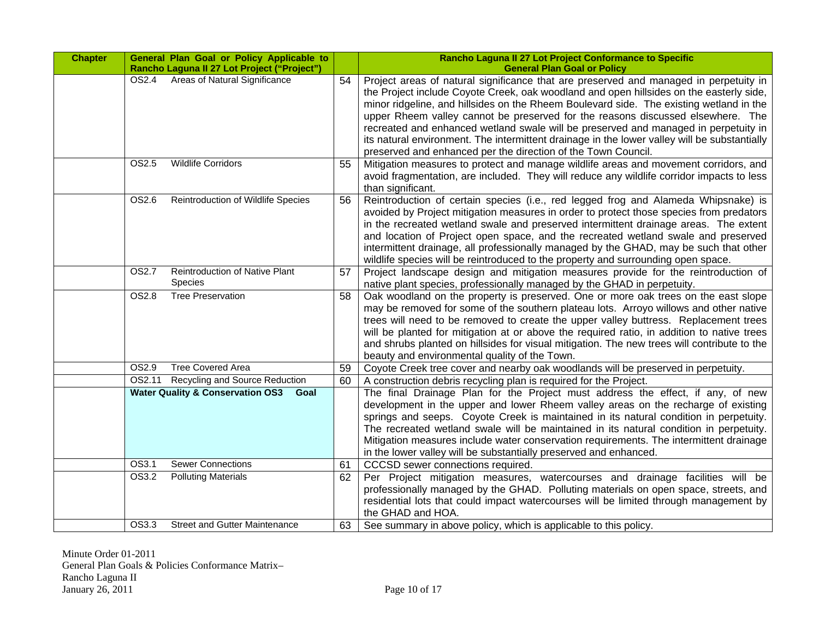| <b>Chapter</b> | General Plan Goal or Policy Applicable to<br>Rancho Laguna II 27 Lot Project ("Project") |    | Rancho Laguna II 27 Lot Project Conformance to Specific<br><b>General Plan Goal or Policy</b>                                                                                                                                                                                                                                                                                                                                                                                                                                                                                                                          |
|----------------|------------------------------------------------------------------------------------------|----|------------------------------------------------------------------------------------------------------------------------------------------------------------------------------------------------------------------------------------------------------------------------------------------------------------------------------------------------------------------------------------------------------------------------------------------------------------------------------------------------------------------------------------------------------------------------------------------------------------------------|
|                | Areas of Natural Significance<br>OS2.4                                                   | 54 | Project areas of natural significance that are preserved and managed in perpetuity in<br>the Project include Coyote Creek, oak woodland and open hillsides on the easterly side,<br>minor ridgeline, and hillsides on the Rheem Boulevard side. The existing wetland in the<br>upper Rheem valley cannot be preserved for the reasons discussed elsewhere. The<br>recreated and enhanced wetland swale will be preserved and managed in perpetuity in<br>its natural environment. The intermittent drainage in the lower valley will be substantially<br>preserved and enhanced per the direction of the Town Council. |
|                | OS2.5<br><b>Wildlife Corridors</b>                                                       | 55 | Mitigation measures to protect and manage wildlife areas and movement corridors, and<br>avoid fragmentation, are included. They will reduce any wildlife corridor impacts to less<br>than significant.                                                                                                                                                                                                                                                                                                                                                                                                                 |
|                | OS2.6<br>Reintroduction of Wildlife Species                                              | 56 | Reintroduction of certain species (i.e., red legged frog and Alameda Whipsnake) is<br>avoided by Project mitigation measures in order to protect those species from predators<br>in the recreated wetland swale and preserved intermittent drainage areas. The extent<br>and location of Project open space, and the recreated wetland swale and preserved<br>intermittent drainage, all professionally managed by the GHAD, may be such that other<br>wildlife species will be reintroduced to the property and surrounding open space.                                                                               |
|                | Reintroduction of Native Plant<br>OS2.7<br>Species                                       | 57 | Project landscape design and mitigation measures provide for the reintroduction of<br>native plant species, professionally managed by the GHAD in perpetuity.                                                                                                                                                                                                                                                                                                                                                                                                                                                          |
|                | <b>Tree Preservation</b><br>OS2.8                                                        | 58 | Oak woodland on the property is preserved. One or more oak trees on the east slope<br>may be removed for some of the southern plateau lots. Arroyo willows and other native<br>trees will need to be removed to create the upper valley buttress. Replacement trees<br>will be planted for mitigation at or above the required ratio, in addition to native trees<br>and shrubs planted on hillsides for visual mitigation. The new trees will contribute to the<br>beauty and environmental quality of the Town.                                                                                                      |
|                | <b>Tree Covered Area</b><br>OS2.9                                                        | 59 | Coyote Creek tree cover and nearby oak woodlands will be preserved in perpetuity.                                                                                                                                                                                                                                                                                                                                                                                                                                                                                                                                      |
|                | Recycling and Source Reduction<br>OS2.11                                                 | 60 | A construction debris recycling plan is required for the Project.                                                                                                                                                                                                                                                                                                                                                                                                                                                                                                                                                      |
|                | <b>Water Quality &amp; Conservation OS3 Goal</b>                                         |    | The final Drainage Plan for the Project must address the effect, if any, of new<br>development in the upper and lower Rheem valley areas on the recharge of existing<br>springs and seeps. Coyote Creek is maintained in its natural condition in perpetuity.<br>The recreated wetland swale will be maintained in its natural condition in perpetuity.<br>Mitigation measures include water conservation requirements. The intermittent drainage<br>in the lower valley will be substantially preserved and enhanced.                                                                                                 |
|                | <b>Sewer Connections</b><br>OS3.1                                                        | 61 | <b>CCCSD</b> sewer connections required.                                                                                                                                                                                                                                                                                                                                                                                                                                                                                                                                                                               |
|                | OS3.2<br><b>Polluting Materials</b>                                                      | 62 | Per Project mitigation measures, watercourses and drainage facilities will be<br>professionally managed by the GHAD. Polluting materials on open space, streets, and<br>residential lots that could impact watercourses will be limited through management by<br>the GHAD and HOA.                                                                                                                                                                                                                                                                                                                                     |
|                | OS3.3<br><b>Street and Gutter Maintenance</b>                                            | 63 | See summary in above policy, which is applicable to this policy.                                                                                                                                                                                                                                                                                                                                                                                                                                                                                                                                                       |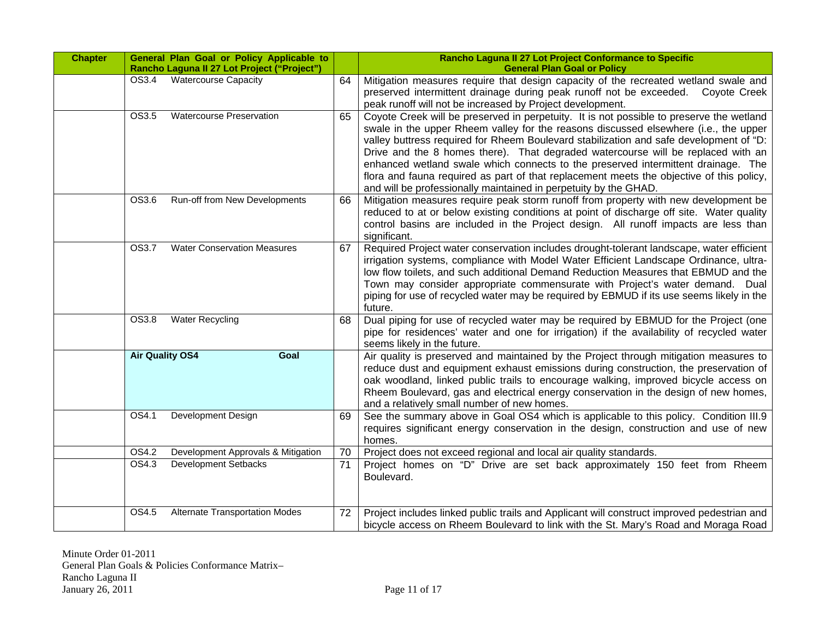| <b>Chapter</b> |                        | General Plan Goal or Policy Applicable to<br>Rancho Laguna II 27 Lot Project ("Project") |    | Rancho Laguna II 27 Lot Project Conformance to Specific<br><b>General Plan Goal or Policy</b>                                                                                                                                                                                                                                                                                                                                                                                                                                                                                                                       |
|----------------|------------------------|------------------------------------------------------------------------------------------|----|---------------------------------------------------------------------------------------------------------------------------------------------------------------------------------------------------------------------------------------------------------------------------------------------------------------------------------------------------------------------------------------------------------------------------------------------------------------------------------------------------------------------------------------------------------------------------------------------------------------------|
|                | OS3.4                  | <b>Watercourse Capacity</b>                                                              | 64 | Mitigation measures require that design capacity of the recreated wetland swale and<br>preserved intermittent drainage during peak runoff not be exceeded. Coyote Creek<br>peak runoff will not be increased by Project development.                                                                                                                                                                                                                                                                                                                                                                                |
|                | OS3.5                  | <b>Watercourse Preservation</b>                                                          | 65 | Coyote Creek will be preserved in perpetuity. It is not possible to preserve the wetland<br>swale in the upper Rheem valley for the reasons discussed elsewhere (i.e., the upper<br>valley buttress required for Rheem Boulevard stabilization and safe development of "D:<br>Drive and the 8 homes there). That degraded watercourse will be replaced with an<br>enhanced wetland swale which connects to the preserved intermittent drainage. The<br>flora and fauna required as part of that replacement meets the objective of this policy,<br>and will be professionally maintained in perpetuity by the GHAD. |
|                | OS3.6                  | Run-off from New Developments                                                            | 66 | Mitigation measures require peak storm runoff from property with new development be<br>reduced to at or below existing conditions at point of discharge off site. Water quality<br>control basins are included in the Project design. All runoff impacts are less than<br>significant.                                                                                                                                                                                                                                                                                                                              |
|                | OS3.7                  | <b>Water Conservation Measures</b>                                                       | 67 | Required Project water conservation includes drought-tolerant landscape, water efficient<br>irrigation systems, compliance with Model Water Efficient Landscape Ordinance, ultra-<br>low flow toilets, and such additional Demand Reduction Measures that EBMUD and the<br>Town may consider appropriate commensurate with Project's water demand. Dual<br>piping for use of recycled water may be required by EBMUD if its use seems likely in the<br>future.                                                                                                                                                      |
|                | OS3.8                  | <b>Water Recycling</b>                                                                   | 68 | Dual piping for use of recycled water may be required by EBMUD for the Project (one<br>pipe for residences' water and one for irrigation) if the availability of recycled water<br>seems likely in the future.                                                                                                                                                                                                                                                                                                                                                                                                      |
|                | <b>Air Quality OS4</b> | Goal                                                                                     |    | Air quality is preserved and maintained by the Project through mitigation measures to<br>reduce dust and equipment exhaust emissions during construction, the preservation of<br>oak woodland, linked public trails to encourage walking, improved bicycle access on<br>Rheem Boulevard, gas and electrical energy conservation in the design of new homes,<br>and a relatively small number of new homes.                                                                                                                                                                                                          |
|                | OS4.1                  | Development Design                                                                       | 69 | See the summary above in Goal OS4 which is applicable to this policy. Condition III.9<br>requires significant energy conservation in the design, construction and use of new<br>homes.                                                                                                                                                                                                                                                                                                                                                                                                                              |
|                | OS4.2                  | Development Approvals & Mitigation                                                       | 70 | Project does not exceed regional and local air quality standards.                                                                                                                                                                                                                                                                                                                                                                                                                                                                                                                                                   |
|                | OS4.3                  | <b>Development Setbacks</b>                                                              | 71 | Project homes on "D" Drive are set back approximately 150 feet from Rheem<br>Boulevard.                                                                                                                                                                                                                                                                                                                                                                                                                                                                                                                             |
|                | OS4.5                  | <b>Alternate Transportation Modes</b>                                                    | 72 | Project includes linked public trails and Applicant will construct improved pedestrian and<br>bicycle access on Rheem Boulevard to link with the St. Mary's Road and Moraga Road                                                                                                                                                                                                                                                                                                                                                                                                                                    |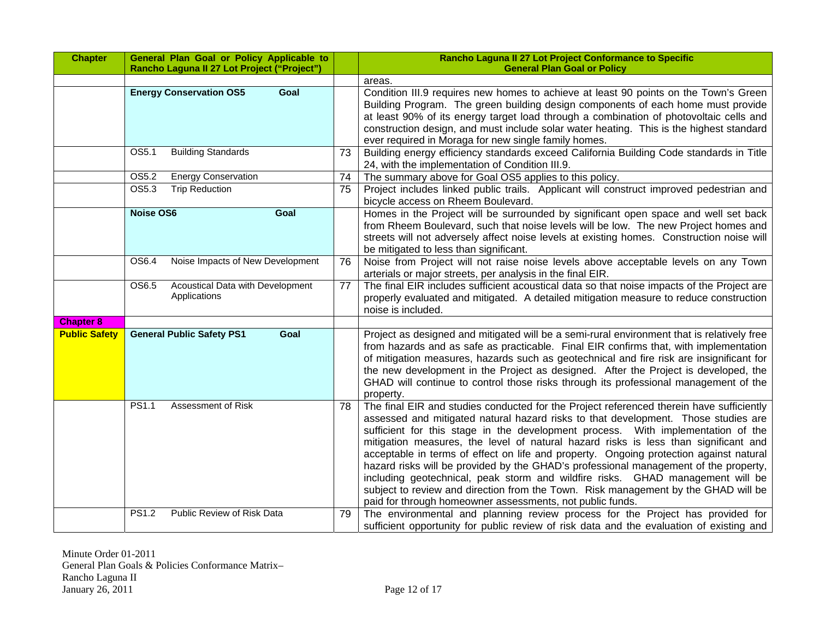| <b>Chapter</b>       | General Plan Goal or Policy Applicable to<br>Rancho Laguna II 27 Lot Project ("Project") |    | Rancho Laguna II 27 Lot Project Conformance to Specific<br><b>General Plan Goal or Policy</b>                                                                                                                                                                                                                                                                                                                                                                                                                                                                                                                                                                                                                                                                                    |
|----------------------|------------------------------------------------------------------------------------------|----|----------------------------------------------------------------------------------------------------------------------------------------------------------------------------------------------------------------------------------------------------------------------------------------------------------------------------------------------------------------------------------------------------------------------------------------------------------------------------------------------------------------------------------------------------------------------------------------------------------------------------------------------------------------------------------------------------------------------------------------------------------------------------------|
|                      |                                                                                          |    | areas.                                                                                                                                                                                                                                                                                                                                                                                                                                                                                                                                                                                                                                                                                                                                                                           |
|                      | <b>Energy Conservation OS5</b><br>Goal                                                   |    | Condition III.9 requires new homes to achieve at least 90 points on the Town's Green<br>Building Program. The green building design components of each home must provide<br>at least 90% of its energy target load through a combination of photovoltaic cells and<br>construction design, and must include solar water heating. This is the highest standard<br>ever required in Moraga for new single family homes.                                                                                                                                                                                                                                                                                                                                                            |
|                      | $\overline{OS5.1}$<br><b>Building Standards</b>                                          | 73 | Building energy efficiency standards exceed California Building Code standards in Title<br>24, with the implementation of Condition III.9.                                                                                                                                                                                                                                                                                                                                                                                                                                                                                                                                                                                                                                       |
|                      | <b>Energy Conservation</b><br>OS5.2                                                      | 74 | The summary above for Goal OS5 applies to this policy.                                                                                                                                                                                                                                                                                                                                                                                                                                                                                                                                                                                                                                                                                                                           |
|                      | OS5.3<br><b>Trip Reduction</b>                                                           | 75 | Project includes linked public trails. Applicant will construct improved pedestrian and<br>bicycle access on Rheem Boulevard.                                                                                                                                                                                                                                                                                                                                                                                                                                                                                                                                                                                                                                                    |
|                      | <b>Noise OS6</b><br>Goal                                                                 |    | Homes in the Project will be surrounded by significant open space and well set back<br>from Rheem Boulevard, such that noise levels will be low. The new Project homes and<br>streets will not adversely affect noise levels at existing homes. Construction noise will<br>be mitigated to less than significant.                                                                                                                                                                                                                                                                                                                                                                                                                                                                |
|                      | Noise Impacts of New Development<br>OS6.4                                                | 76 | Noise from Project will not raise noise levels above acceptable levels on any Town<br>arterials or major streets, per analysis in the final EIR.                                                                                                                                                                                                                                                                                                                                                                                                                                                                                                                                                                                                                                 |
|                      | Acoustical Data with Development<br>OS6.5<br>Applications                                | 77 | The final EIR includes sufficient acoustical data so that noise impacts of the Project are<br>properly evaluated and mitigated. A detailed mitigation measure to reduce construction<br>noise is included.                                                                                                                                                                                                                                                                                                                                                                                                                                                                                                                                                                       |
| <b>Chapter 8</b>     |                                                                                          |    |                                                                                                                                                                                                                                                                                                                                                                                                                                                                                                                                                                                                                                                                                                                                                                                  |
| <b>Public Safety</b> | <b>General Public Safety PS1</b><br>Goal                                                 |    | Project as designed and mitigated will be a semi-rural environment that is relatively free<br>from hazards and as safe as practicable. Final EIR confirms that, with implementation<br>of mitigation measures, hazards such as geotechnical and fire risk are insignificant for<br>the new development in the Project as designed. After the Project is developed, the<br>GHAD will continue to control those risks through its professional management of the<br>property.                                                                                                                                                                                                                                                                                                      |
|                      | Assessment of Risk<br>PS1.1                                                              | 78 | The final EIR and studies conducted for the Project referenced therein have sufficiently<br>assessed and mitigated natural hazard risks to that development. Those studies are<br>sufficient for this stage in the development process. With implementation of the<br>mitigation measures, the level of natural hazard risks is less than significant and<br>acceptable in terms of effect on life and property. Ongoing protection against natural<br>hazard risks will be provided by the GHAD's professional management of the property,<br>including geotechnical, peak storm and wildfire risks. GHAD management will be<br>subject to review and direction from the Town. Risk management by the GHAD will be<br>paid for through homeowner assessments, not public funds. |
|                      | Public Review of Risk Data<br><b>PS1.2</b>                                               | 79 | The environmental and planning review process for the Project has provided for<br>sufficient opportunity for public review of risk data and the evaluation of existing and                                                                                                                                                                                                                                                                                                                                                                                                                                                                                                                                                                                                       |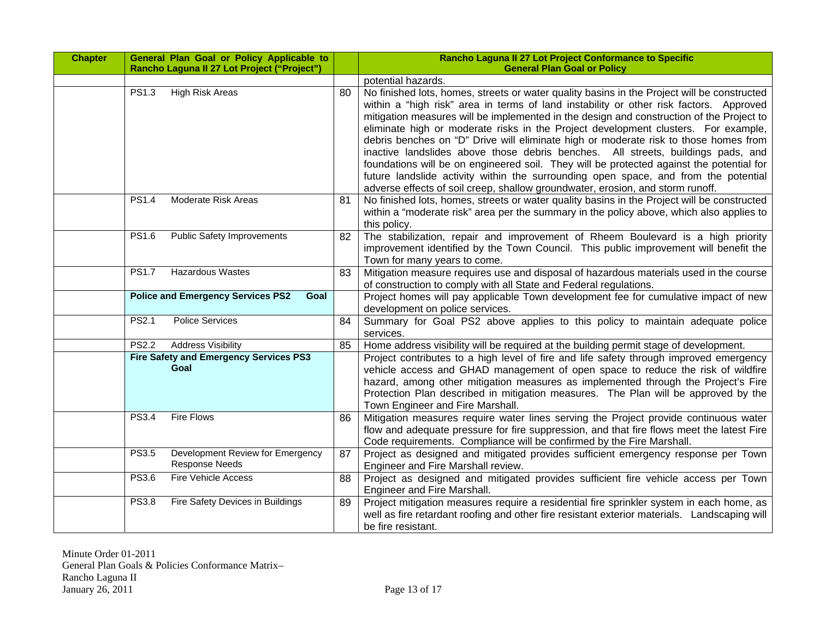| <b>Chapter</b> |                                                  | General Plan Goal or Policy Applicable to<br>Rancho Laguna II 27 Lot Project ("Project") |    | Rancho Laguna II 27 Lot Project Conformance to Specific<br><b>General Plan Goal or Policy</b>                                                                                                                                                                                                                                                                                                                                                                                                                                                                                                                                                                                                                                                                                                                            |
|----------------|--------------------------------------------------|------------------------------------------------------------------------------------------|----|--------------------------------------------------------------------------------------------------------------------------------------------------------------------------------------------------------------------------------------------------------------------------------------------------------------------------------------------------------------------------------------------------------------------------------------------------------------------------------------------------------------------------------------------------------------------------------------------------------------------------------------------------------------------------------------------------------------------------------------------------------------------------------------------------------------------------|
|                |                                                  |                                                                                          |    | potential hazards.                                                                                                                                                                                                                                                                                                                                                                                                                                                                                                                                                                                                                                                                                                                                                                                                       |
|                | <b>PS1.3</b>                                     | <b>High Risk Areas</b>                                                                   | 80 | No finished lots, homes, streets or water quality basins in the Project will be constructed<br>within a "high risk" area in terms of land instability or other risk factors. Approved<br>mitigation measures will be implemented in the design and construction of the Project to<br>eliminate high or moderate risks in the Project development clusters. For example,<br>debris benches on "D" Drive will eliminate high or moderate risk to those homes from<br>inactive landslides above those debris benches. All streets, buildings pads, and<br>foundations will be on engineered soil. They will be protected against the potential for<br>future landslide activity within the surrounding open space, and from the potential<br>adverse effects of soil creep, shallow groundwater, erosion, and storm runoff. |
|                | <b>PS1.4</b>                                     | Moderate Risk Areas                                                                      | 81 | No finished lots, homes, streets or water quality basins in the Project will be constructed<br>within a "moderate risk" area per the summary in the policy above, which also applies to<br>this policy.                                                                                                                                                                                                                                                                                                                                                                                                                                                                                                                                                                                                                  |
|                | PS1.6                                            | <b>Public Safety Improvements</b>                                                        | 82 | The stabilization, repair and improvement of Rheem Boulevard is a high priority<br>improvement identified by the Town Council. This public improvement will benefit the<br>Town for many years to come.                                                                                                                                                                                                                                                                                                                                                                                                                                                                                                                                                                                                                  |
|                | <b>PS1.7</b>                                     | <b>Hazardous Wastes</b>                                                                  | 83 | Mitigation measure requires use and disposal of hazardous materials used in the course<br>of construction to comply with all State and Federal regulations.                                                                                                                                                                                                                                                                                                                                                                                                                                                                                                                                                                                                                                                              |
|                | <b>Police and Emergency Services PS2</b><br>Goal |                                                                                          |    | Project homes will pay applicable Town development fee for cumulative impact of new<br>development on police services.                                                                                                                                                                                                                                                                                                                                                                                                                                                                                                                                                                                                                                                                                                   |
|                | PS2.1                                            | <b>Police Services</b>                                                                   | 84 | Summary for Goal PS2 above applies to this policy to maintain adequate police<br>services.                                                                                                                                                                                                                                                                                                                                                                                                                                                                                                                                                                                                                                                                                                                               |
|                | <b>PS2.2</b>                                     | <b>Address Visibility</b>                                                                | 85 | Home address visibility will be required at the building permit stage of development.                                                                                                                                                                                                                                                                                                                                                                                                                                                                                                                                                                                                                                                                                                                                    |
|                |                                                  | <b>Fire Safety and Emergency Services PS3</b><br>Goal                                    |    | Project contributes to a high level of fire and life safety through improved emergency<br>vehicle access and GHAD management of open space to reduce the risk of wildfire<br>hazard, among other mitigation measures as implemented through the Project's Fire<br>Protection Plan described in mitigation measures. The Plan will be approved by the<br>Town Engineer and Fire Marshall.                                                                                                                                                                                                                                                                                                                                                                                                                                 |
|                | <b>PS3.4</b>                                     | <b>Fire Flows</b>                                                                        | 86 | Mitigation measures require water lines serving the Project provide continuous water<br>flow and adequate pressure for fire suppression, and that fire flows meet the latest Fire<br>Code requirements. Compliance will be confirmed by the Fire Marshall.                                                                                                                                                                                                                                                                                                                                                                                                                                                                                                                                                               |
|                | <b>PS3.5</b>                                     | Development Review for Emergency<br><b>Response Needs</b>                                | 87 | Project as designed and mitigated provides sufficient emergency response per Town<br>Engineer and Fire Marshall review.                                                                                                                                                                                                                                                                                                                                                                                                                                                                                                                                                                                                                                                                                                  |
|                | <b>PS3.6</b>                                     | <b>Fire Vehicle Access</b>                                                               | 88 | Project as designed and mitigated provides sufficient fire vehicle access per Town<br>Engineer and Fire Marshall.                                                                                                                                                                                                                                                                                                                                                                                                                                                                                                                                                                                                                                                                                                        |
|                | <b>PS3.8</b>                                     | Fire Safety Devices in Buildings                                                         | 89 | Project mitigation measures require a residential fire sprinkler system in each home, as<br>well as fire retardant roofing and other fire resistant exterior materials. Landscaping will<br>be fire resistant.                                                                                                                                                                                                                                                                                                                                                                                                                                                                                                                                                                                                           |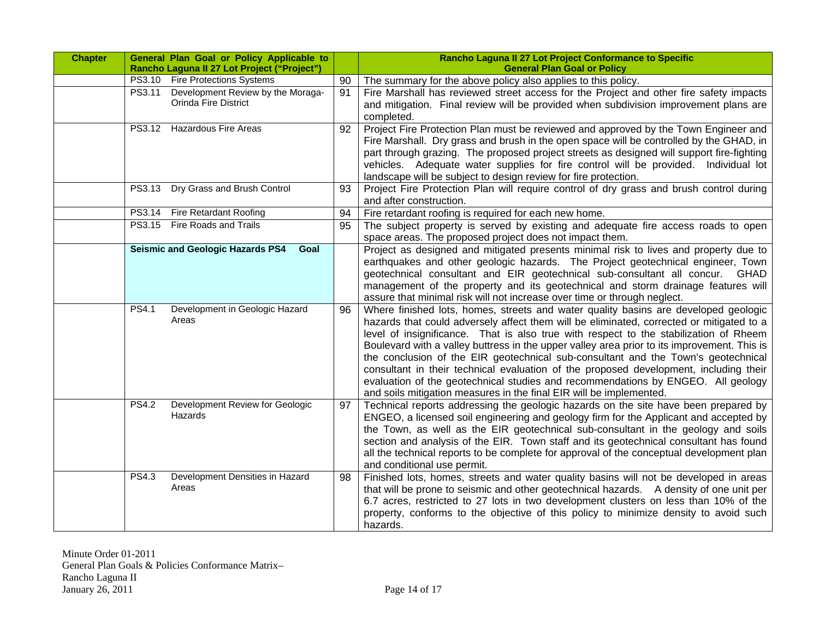| <b>Chapter</b> |                                                                            | General Plan Goal or Policy Applicable to<br>Rancho Laguna II 27 Lot Project ("Project") |    | Rancho Laguna II 27 Lot Project Conformance to Specific<br><b>General Plan Goal or Policy</b>                                                                                                                                                                                                                                                                                                                                                                                                                                                                                                                                                                                                                    |  |
|----------------|----------------------------------------------------------------------------|------------------------------------------------------------------------------------------|----|------------------------------------------------------------------------------------------------------------------------------------------------------------------------------------------------------------------------------------------------------------------------------------------------------------------------------------------------------------------------------------------------------------------------------------------------------------------------------------------------------------------------------------------------------------------------------------------------------------------------------------------------------------------------------------------------------------------|--|
|                |                                                                            | PS3.10 Fire Protections Systems                                                          | 90 | The summary for the above policy also applies to this policy.                                                                                                                                                                                                                                                                                                                                                                                                                                                                                                                                                                                                                                                    |  |
|                | PS3.11<br>Development Review by the Moraga-<br><b>Orinda Fire District</b> |                                                                                          | 91 | Fire Marshall has reviewed street access for the Project and other fire safety impacts<br>and mitigation. Final review will be provided when subdivision improvement plans are<br>completed.                                                                                                                                                                                                                                                                                                                                                                                                                                                                                                                     |  |
|                |                                                                            | PS3.12 Hazardous Fire Areas                                                              | 92 | Project Fire Protection Plan must be reviewed and approved by the Town Engineer and<br>Fire Marshall. Dry grass and brush in the open space will be controlled by the GHAD, in<br>part through grazing. The proposed project streets as designed will support fire-fighting<br>vehicles. Adequate water supplies for fire control will be provided. Individual lot<br>landscape will be subject to design review for fire protection.                                                                                                                                                                                                                                                                            |  |
|                | Dry Grass and Brush Control<br>PS3.13                                      |                                                                                          | 93 | Project Fire Protection Plan will require control of dry grass and brush control during<br>and after construction.                                                                                                                                                                                                                                                                                                                                                                                                                                                                                                                                                                                               |  |
|                |                                                                            | PS3.14 Fire Retardant Roofing                                                            | 94 | Fire retardant roofing is required for each new home.                                                                                                                                                                                                                                                                                                                                                                                                                                                                                                                                                                                                                                                            |  |
|                | PS3.15 Fire Roads and Trails                                               |                                                                                          | 95 | The subject property is served by existing and adequate fire access roads to open<br>space areas. The proposed project does not impact them.                                                                                                                                                                                                                                                                                                                                                                                                                                                                                                                                                                     |  |
|                |                                                                            | <b>Seismic and Geologic Hazards PS4</b><br>Goal                                          |    | Project as designed and mitigated presents minimal risk to lives and property due to<br>earthquakes and other geologic hazards. The Project geotechnical engineer, Town<br>geotechnical consultant and EIR geotechnical sub-consultant all concur. GHAD<br>management of the property and its geotechnical and storm drainage features will<br>assure that minimal risk will not increase over time or through neglect.                                                                                                                                                                                                                                                                                          |  |
|                | <b>PS4.1</b>                                                               | Development in Geologic Hazard<br>Areas                                                  | 96 | Where finished lots, homes, streets and water quality basins are developed geologic<br>hazards that could adversely affect them will be eliminated, corrected or mitigated to a<br>level of insignificance. That is also true with respect to the stabilization of Rheem<br>Boulevard with a valley buttress in the upper valley area prior to its improvement. This is<br>the conclusion of the EIR geotechnical sub-consultant and the Town's geotechnical<br>consultant in their technical evaluation of the proposed development, including their<br>evaluation of the geotechnical studies and recommendations by ENGEO. All geology<br>and soils mitigation measures in the final EIR will be implemented. |  |
|                | <b>PS4.2</b>                                                               | Development Review for Geologic<br>Hazards                                               | 97 | Technical reports addressing the geologic hazards on the site have been prepared by<br>ENGEO, a licensed soil engineering and geology firm for the Applicant and accepted by<br>the Town, as well as the EIR geotechnical sub-consultant in the geology and soils<br>section and analysis of the EIR. Town staff and its geotechnical consultant has found<br>all the technical reports to be complete for approval of the conceptual development plan<br>and conditional use permit.                                                                                                                                                                                                                            |  |
|                | <b>PS4.3</b>                                                               | Development Densities in Hazard<br>Areas                                                 | 98 | Finished lots, homes, streets and water quality basins will not be developed in areas<br>that will be prone to seismic and other geotechnical hazards. A density of one unit per<br>6.7 acres, restricted to 27 lots in two development clusters on less than 10% of the<br>property, conforms to the objective of this policy to minimize density to avoid such<br>hazards.                                                                                                                                                                                                                                                                                                                                     |  |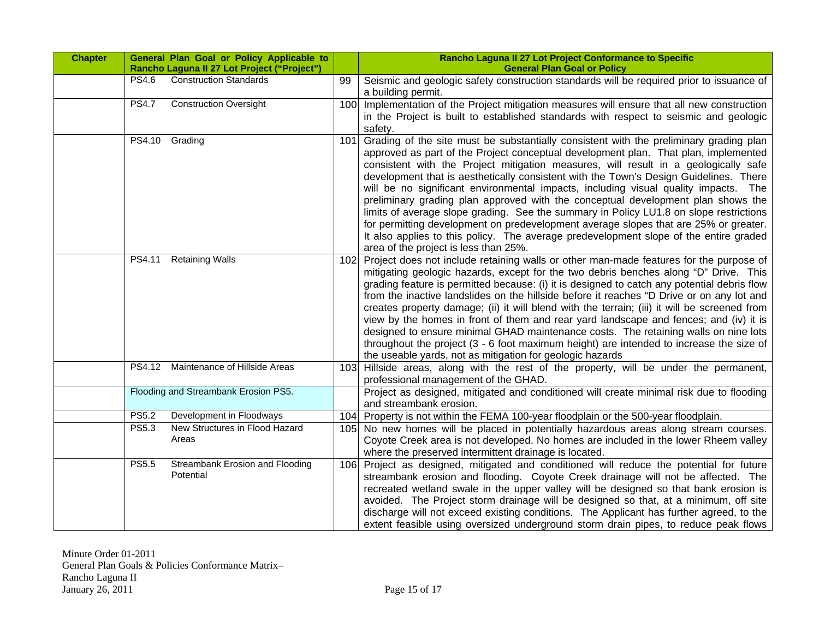| <b>Chapter</b> |                                                                              | General Plan Goal or Policy Applicable to<br>Rancho Laguna II 27 Lot Project ("Project") |            | Rancho Laguna II 27 Lot Project Conformance to Specific<br><b>General Plan Goal or Policy</b>                                                                                                                                                                                                                                                                                                                                                                                                                                                                                                                                                                                                                                                                                                                                                                                                                                                          |
|----------------|------------------------------------------------------------------------------|------------------------------------------------------------------------------------------|------------|--------------------------------------------------------------------------------------------------------------------------------------------------------------------------------------------------------------------------------------------------------------------------------------------------------------------------------------------------------------------------------------------------------------------------------------------------------------------------------------------------------------------------------------------------------------------------------------------------------------------------------------------------------------------------------------------------------------------------------------------------------------------------------------------------------------------------------------------------------------------------------------------------------------------------------------------------------|
|                | <b>PS4.6</b>                                                                 | <b>Construction Standards</b>                                                            | 99         | Seismic and geologic safety construction standards will be required prior to issuance of<br>a building permit.                                                                                                                                                                                                                                                                                                                                                                                                                                                                                                                                                                                                                                                                                                                                                                                                                                         |
|                | <b>PS4.7</b>                                                                 | <b>Construction Oversight</b>                                                            | 100        | Implementation of the Project mitigation measures will ensure that all new construction<br>in the Project is built to established standards with respect to seismic and geologic<br>safety.                                                                                                                                                                                                                                                                                                                                                                                                                                                                                                                                                                                                                                                                                                                                                            |
|                | PS4.10<br>PS4.11                                                             | Grading<br><b>Retaining Walls</b>                                                        | 101<br>102 | Grading of the site must be substantially consistent with the preliminary grading plan<br>approved as part of the Project conceptual development plan. That plan, implemented<br>consistent with the Project mitigation measures, will result in a geologically safe<br>development that is aesthetically consistent with the Town's Design Guidelines. There<br>will be no significant environmental impacts, including visual quality impacts. The<br>preliminary grading plan approved with the conceptual development plan shows the<br>limits of average slope grading. See the summary in Policy LU1.8 on slope restrictions<br>for permitting development on predevelopment average slopes that are 25% or greater.<br>It also applies to this policy. The average predevelopment slope of the entire graded<br>area of the project is less than 25%.<br>Project does not include retaining walls or other man-made features for the purpose of |
|                |                                                                              |                                                                                          |            | mitigating geologic hazards, except for the two debris benches along "D" Drive. This<br>grading feature is permitted because: (i) it is designed to catch any potential debris flow<br>from the inactive landslides on the hillside before it reaches "D Drive or on any lot and<br>creates property damage; (ii) it will blend with the terrain; (iii) it will be screened from<br>view by the homes in front of them and rear yard landscape and fences; and (iv) it is<br>designed to ensure minimal GHAD maintenance costs. The retaining walls on nine lots<br>throughout the project (3 - 6 foot maximum height) are intended to increase the size of<br>the useable yards, not as mitigation for geologic hazards                                                                                                                                                                                                                               |
|                | PS4.12 Maintenance of Hillside Areas<br>Flooding and Streambank Erosion PS5. |                                                                                          | 103        | Hillside areas, along with the rest of the property, will be under the permanent,<br>professional management of the GHAD.                                                                                                                                                                                                                                                                                                                                                                                                                                                                                                                                                                                                                                                                                                                                                                                                                              |
|                |                                                                              |                                                                                          |            | Project as designed, mitigated and conditioned will create minimal risk due to flooding<br>and streambank erosion.                                                                                                                                                                                                                                                                                                                                                                                                                                                                                                                                                                                                                                                                                                                                                                                                                                     |
|                | <b>PS5.2</b>                                                                 | Development in Floodways                                                                 | 104        | Property is not within the FEMA 100-year floodplain or the 500-year floodplain.                                                                                                                                                                                                                                                                                                                                                                                                                                                                                                                                                                                                                                                                                                                                                                                                                                                                        |
|                | PS5.3                                                                        | New Structures in Flood Hazard<br>Areas                                                  | 105        | No new homes will be placed in potentially hazardous areas along stream courses.<br>Coyote Creek area is not developed. No homes are included in the lower Rheem valley<br>where the preserved intermittent drainage is located.                                                                                                                                                                                                                                                                                                                                                                                                                                                                                                                                                                                                                                                                                                                       |
|                | <b>PS5.5</b>                                                                 | Streambank Erosion and Flooding<br>Potential                                             | 106        | Project as designed, mitigated and conditioned will reduce the potential for future<br>streambank erosion and flooding. Coyote Creek drainage will not be affected. The<br>recreated wetland swale in the upper valley will be designed so that bank erosion is<br>avoided. The Project storm drainage will be designed so that, at a minimum, off site<br>discharge will not exceed existing conditions. The Applicant has further agreed, to the<br>extent feasible using oversized underground storm drain pipes, to reduce peak flows                                                                                                                                                                                                                                                                                                                                                                                                              |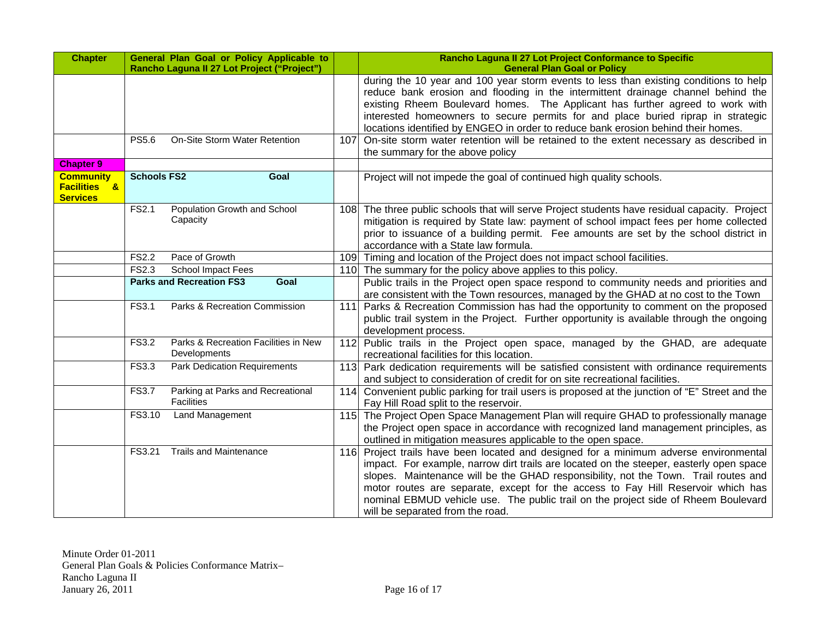| <b>Chapter</b>                                                 | General Plan Goal or Policy Applicable to<br>Rancho Laguna II 27 Lot Project ("Project") |     | Rancho Laguna II 27 Lot Project Conformance to Specific<br><b>General Plan Goal or Policy</b>                                                                                                                                                                                                                                                                                                                                                                                         |  |  |
|----------------------------------------------------------------|------------------------------------------------------------------------------------------|-----|---------------------------------------------------------------------------------------------------------------------------------------------------------------------------------------------------------------------------------------------------------------------------------------------------------------------------------------------------------------------------------------------------------------------------------------------------------------------------------------|--|--|
|                                                                |                                                                                          |     | during the 10 year and 100 year storm events to less than existing conditions to help<br>reduce bank erosion and flooding in the intermittent drainage channel behind the<br>existing Rheem Boulevard homes. The Applicant has further agreed to work with<br>interested homeowners to secure permits for and place buried riprap in strategic<br>locations identified by ENGEO in order to reduce bank erosion behind their homes.                                                   |  |  |
|                                                                | On-Site Storm Water Retention<br><b>PS5.6</b>                                            | 107 | On-site storm water retention will be retained to the extent necessary as described in<br>the summary for the above policy                                                                                                                                                                                                                                                                                                                                                            |  |  |
| <b>Chapter 9</b>                                               |                                                                                          |     |                                                                                                                                                                                                                                                                                                                                                                                                                                                                                       |  |  |
| <b>Community</b><br><b>Facilities &amp;</b><br><b>Services</b> | <b>Schools FS2</b><br>Goal                                                               |     | Project will not impede the goal of continued high quality schools.                                                                                                                                                                                                                                                                                                                                                                                                                   |  |  |
|                                                                | Population Growth and School<br>FS2.1<br>Capacity                                        |     | 108 The three public schools that will serve Project students have residual capacity. Project<br>mitigation is required by State law: payment of school impact fees per home collected<br>prior to issuance of a building permit. Fee amounts are set by the school district in<br>accordance with a State law formula.                                                                                                                                                               |  |  |
|                                                                | <b>FS2.2</b><br>Pace of Growth                                                           |     | 109 Timing and location of the Project does not impact school facilities.                                                                                                                                                                                                                                                                                                                                                                                                             |  |  |
|                                                                | <b>FS2.3</b><br>School Impact Fees                                                       |     | 110 The summary for the policy above applies to this policy.                                                                                                                                                                                                                                                                                                                                                                                                                          |  |  |
|                                                                | <b>Parks and Recreation FS3</b><br>Goal                                                  |     | Public trails in the Project open space respond to community needs and priorities and<br>are consistent with the Town resources, managed by the GHAD at no cost to the Town                                                                                                                                                                                                                                                                                                           |  |  |
|                                                                | FS3.1<br>Parks & Recreation Commission                                                   | 111 | Parks & Recreation Commission has had the opportunity to comment on the proposed<br>public trail system in the Project. Further opportunity is available through the ongoing<br>development process.                                                                                                                                                                                                                                                                                  |  |  |
|                                                                | Parks & Recreation Facilities in New<br>FS3.2<br>Developments                            |     | 112 Public trails in the Project open space, managed by the GHAD, are adequate<br>recreational facilities for this location.                                                                                                                                                                                                                                                                                                                                                          |  |  |
|                                                                | <b>Park Dedication Requirements</b><br>FS3.3                                             |     | 113 Park dedication requirements will be satisfied consistent with ordinance requirements<br>and subject to consideration of credit for on site recreational facilities.                                                                                                                                                                                                                                                                                                              |  |  |
|                                                                | <b>FS3.7</b><br>Parking at Parks and Recreational<br>Facilities                          |     | 114 Convenient public parking for trail users is proposed at the junction of "E" Street and the<br>Fay Hill Road split to the reservoir.                                                                                                                                                                                                                                                                                                                                              |  |  |
|                                                                | Land Management<br>FS3.10                                                                |     | 115 The Project Open Space Management Plan will require GHAD to professionally manage<br>the Project open space in accordance with recognized land management principles, as<br>outlined in mitigation measures applicable to the open space.                                                                                                                                                                                                                                         |  |  |
|                                                                | <b>Trails and Maintenance</b><br>FS3.21                                                  |     | 116 Project trails have been located and designed for a minimum adverse environmental<br>impact. For example, narrow dirt trails are located on the steeper, easterly open space<br>slopes. Maintenance will be the GHAD responsibility, not the Town. Trail routes and<br>motor routes are separate, except for the access to Fay Hill Reservoir which has<br>nominal EBMUD vehicle use. The public trail on the project side of Rheem Boulevard<br>will be separated from the road. |  |  |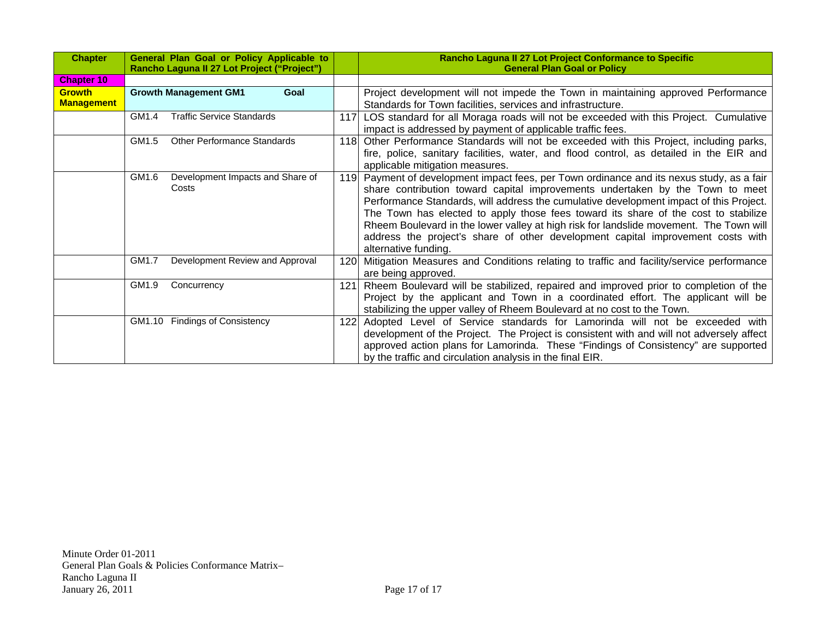| <b>Chapter</b>    | General Plan Goal or Policy Applicable to<br>Rancho Laguna II 27 Lot Project ("Project") |                                  |                     |      | Rancho Laguna II 27 Lot Project Conformance to Specific<br><b>General Plan Goal or Policy</b> |  |
|-------------------|------------------------------------------------------------------------------------------|----------------------------------|---------------------|------|-----------------------------------------------------------------------------------------------|--|
| <b>Chapter 10</b> |                                                                                          |                                  |                     |      |                                                                                               |  |
| <b>Growth</b>     | <b>Growth Management GM1</b><br>Goal                                                     |                                  |                     |      | Project development will not impede the Town in maintaining approved Performance              |  |
| <b>Management</b> |                                                                                          |                                  |                     |      | Standards for Town facilities, services and infrastructure.                                   |  |
|                   | GM1.4                                                                                    | <b>Traffic Service Standards</b> |                     | 117  | LOS standard for all Moraga roads will not be exceeded with this Project. Cumulative          |  |
|                   |                                                                                          |                                  |                     |      | impact is addressed by payment of applicable traffic fees.                                    |  |
|                   | GM1.5<br><b>Other Performance Standards</b>                                              |                                  |                     |      | 118 Other Performance Standards will not be exceeded with this Project, including parks,      |  |
|                   |                                                                                          |                                  |                     |      | fire, police, sanitary facilities, water, and flood control, as detailed in the EIR and       |  |
|                   |                                                                                          |                                  |                     |      | applicable mitigation measures.                                                               |  |
|                   | Development Impacts and Share of<br>GM1.6<br>Costs                                       |                                  |                     |      | 119 Payment of development impact fees, per Town ordinance and its nexus study, as a fair     |  |
|                   |                                                                                          |                                  |                     |      | share contribution toward capital improvements undertaken by the Town to meet                 |  |
|                   |                                                                                          |                                  |                     |      | Performance Standards, will address the cumulative development impact of this Project.        |  |
|                   |                                                                                          |                                  |                     |      | The Town has elected to apply those fees toward its share of the cost to stabilize            |  |
|                   |                                                                                          |                                  |                     |      | Rheem Boulevard in the lower valley at high risk for landslide movement. The Town will        |  |
|                   |                                                                                          |                                  |                     |      | address the project's share of other development capital improvement costs with               |  |
|                   |                                                                                          |                                  |                     |      | alternative funding.                                                                          |  |
|                   | Development Review and Approval<br>GM1.7                                                 |                                  |                     | 1201 | Mitigation Measures and Conditions relating to traffic and facility/service performance       |  |
|                   |                                                                                          |                                  | are being approved. |      |                                                                                               |  |
|                   | GM1.9                                                                                    | Concurrency                      | 121                 |      | Rheem Boulevard will be stabilized, repaired and improved prior to completion of the          |  |
|                   |                                                                                          |                                  |                     |      | Project by the applicant and Town in a coordinated effort. The applicant will be              |  |
|                   |                                                                                          |                                  |                     |      | stabilizing the upper valley of Rheem Boulevard at no cost to the Town.                       |  |
|                   |                                                                                          | GM1.10 Findings of Consistency   |                     | 122  | Adopted Level of Service standards for Lamorinda will not be exceeded with                    |  |
|                   |                                                                                          |                                  |                     |      | development of the Project. The Project is consistent with and will not adversely affect      |  |
|                   |                                                                                          |                                  |                     |      | approved action plans for Lamorinda. These "Findings of Consistency" are supported            |  |
|                   |                                                                                          |                                  |                     |      | by the traffic and circulation analysis in the final EIR.                                     |  |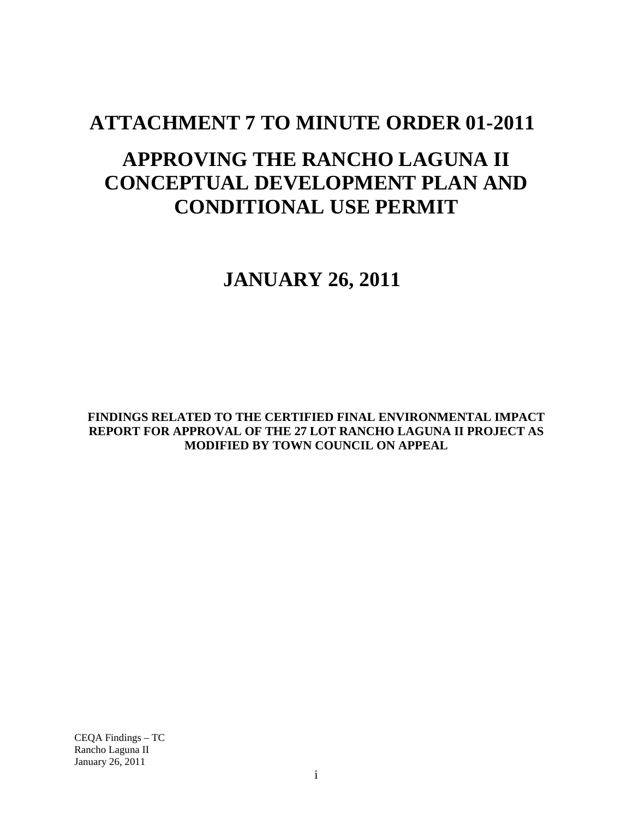# **ATTACHMENT 7 TO MINUTE ORDER 01-2011**

# **APPROVING THE RANCHO LAGUNA II CONCEPTUAL DEVELOPMENT PLAN AND CONDITIONAL USE PERMIT**

# **JANUARY 26, 2011**

**FINDINGS RELATED TO THE CERTIFIED FINAL ENVIRONMENTAL IMPACT REPORT FOR APPROVAL OF THE 27 LOT RANCHO LAGUNA II PROJECT AS MODIFIED BY TOWN COUNCIL ON APPEAL**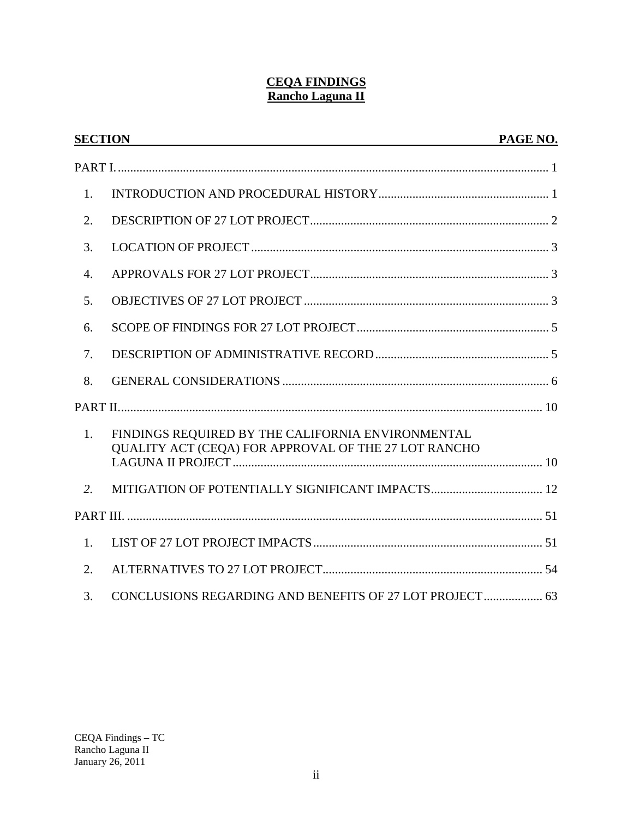## **CEQA FINDINGS Rancho Laguna II**

|                  | <b>SECTION</b><br>and the control of the control of the control of the control of the control of the control of the control of the | PAGE NO. |
|------------------|------------------------------------------------------------------------------------------------------------------------------------|----------|
|                  |                                                                                                                                    |          |
| 1.               |                                                                                                                                    |          |
| 2.               |                                                                                                                                    |          |
| 3.               |                                                                                                                                    |          |
| $\overline{4}$ . |                                                                                                                                    |          |
| 5.               |                                                                                                                                    |          |
| 6.               |                                                                                                                                    |          |
| 7.               |                                                                                                                                    |          |
| 8.               |                                                                                                                                    |          |
|                  |                                                                                                                                    |          |
| 1.               | FINDINGS REQUIRED BY THE CALIFORNIA ENVIRONMENTAL<br>QUALITY ACT (CEQA) FOR APPROVAL OF THE 27 LOT RANCHO                          |          |
| 2.               |                                                                                                                                    |          |
|                  |                                                                                                                                    |          |
| 1.               |                                                                                                                                    |          |
| 2.               |                                                                                                                                    |          |
| 3.               | CONCLUSIONS REGARDING AND BENEFITS OF 27 LOT PROJECT 63                                                                            |          |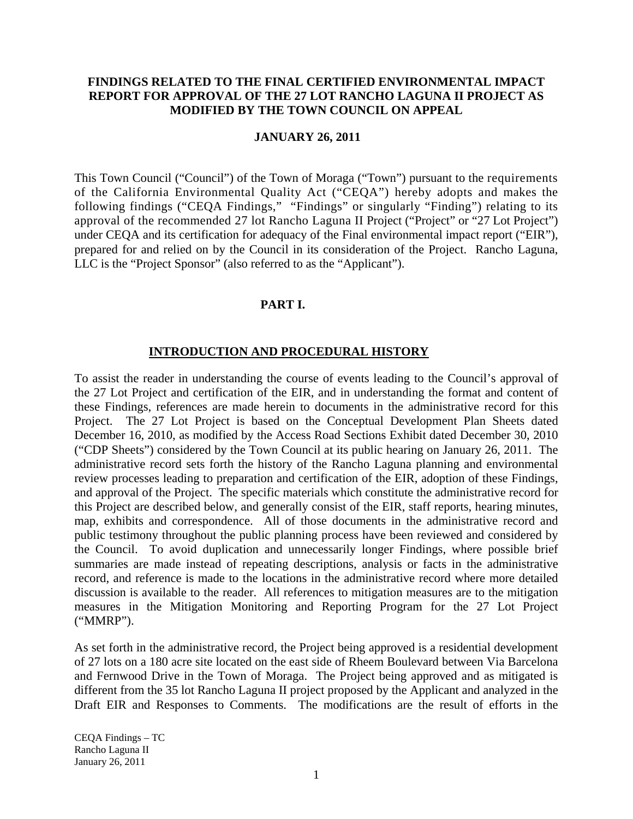#### **FINDINGS RELATED TO THE FINAL CERTIFIED ENVIRONMENTAL IMPACT REPORT FOR APPROVAL OF THE 27 LOT RANCHO LAGUNA II PROJECT AS MODIFIED BY THE TOWN COUNCIL ON APPEAL**

#### **JANUARY 26, 2011**

This Town Council ("Council") of the Town of Moraga ("Town") pursuant to the requirements of the California Environmental Quality Act ("CEQA") hereby adopts and makes the following findings ("CEQA Findings," "Findings" or singularly "Finding") relating to its approval of the recommended 27 lot Rancho Laguna II Project ("Project" or "27 Lot Project") under CEQA and its certification for adequacy of the Final environmental impact report ("EIR"), prepared for and relied on by the Council in its consideration of the Project. Rancho Laguna, LLC is the "Project Sponsor" (also referred to as the "Applicant").

#### **PART I.**

#### **INTRODUCTION AND PROCEDURAL HISTORY**

To assist the reader in understanding the course of events leading to the Council's approval of the 27 Lot Project and certification of the EIR, and in understanding the format and content of these Findings, references are made herein to documents in the administrative record for this Project. The 27 Lot Project is based on the Conceptual Development Plan Sheets dated December 16, 2010, as modified by the Access Road Sections Exhibit dated December 30, 2010 ("CDP Sheets") considered by the Town Council at its public hearing on January 26, 2011. The administrative record sets forth the history of the Rancho Laguna planning and environmental review processes leading to preparation and certification of the EIR, adoption of these Findings, and approval of the Project. The specific materials which constitute the administrative record for this Project are described below, and generally consist of the EIR, staff reports, hearing minutes, map, exhibits and correspondence. All of those documents in the administrative record and public testimony throughout the public planning process have been reviewed and considered by the Council. To avoid duplication and unnecessarily longer Findings, where possible brief summaries are made instead of repeating descriptions, analysis or facts in the administrative record, and reference is made to the locations in the administrative record where more detailed discussion is available to the reader. All references to mitigation measures are to the mitigation measures in the Mitigation Monitoring and Reporting Program for the 27 Lot Project ("MMRP").

As set forth in the administrative record, the Project being approved is a residential development of 27 lots on a 180 acre site located on the east side of Rheem Boulevard between Via Barcelona and Fernwood Drive in the Town of Moraga. The Project being approved and as mitigated is different from the 35 lot Rancho Laguna II project proposed by the Applicant and analyzed in the Draft EIR and Responses to Comments. The modifications are the result of efforts in the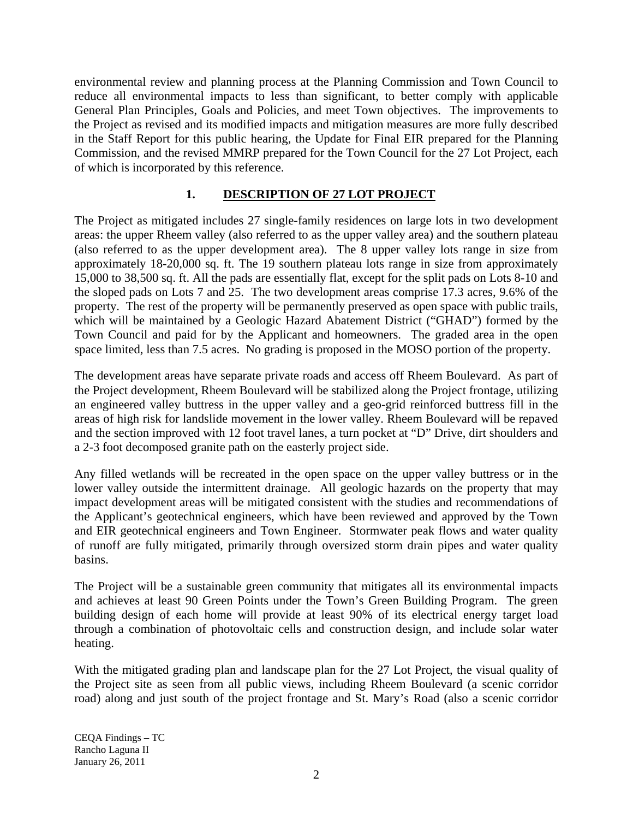environmental review and planning process at the Planning Commission and Town Council to reduce all environmental impacts to less than significant, to better comply with applicable General Plan Principles, Goals and Policies, and meet Town objectives. The improvements to the Project as revised and its modified impacts and mitigation measures are more fully described in the Staff Report for this public hearing, the Update for Final EIR prepared for the Planning Commission, and the revised MMRP prepared for the Town Council for the 27 Lot Project, each of which is incorporated by this reference.

## **1. DESCRIPTION OF 27 LOT PROJECT**

The Project as mitigated includes 27 single-family residences on large lots in two development areas: the upper Rheem valley (also referred to as the upper valley area) and the southern plateau (also referred to as the upper development area). The 8 upper valley lots range in size from approximately 18-20,000 sq. ft. The 19 southern plateau lots range in size from approximately 15,000 to 38,500 sq. ft. All the pads are essentially flat, except for the split pads on Lots 8-10 and the sloped pads on Lots 7 and 25. The two development areas comprise 17.3 acres, 9.6% of the property. The rest of the property will be permanently preserved as open space with public trails, which will be maintained by a Geologic Hazard Abatement District ("GHAD") formed by the Town Council and paid for by the Applicant and homeowners. The graded area in the open space limited, less than 7.5 acres. No grading is proposed in the MOSO portion of the property.

The development areas have separate private roads and access off Rheem Boulevard. As part of the Project development, Rheem Boulevard will be stabilized along the Project frontage, utilizing an engineered valley buttress in the upper valley and a geo-grid reinforced buttress fill in the areas of high risk for landslide movement in the lower valley. Rheem Boulevard will be repaved and the section improved with 12 foot travel lanes, a turn pocket at "D" Drive, dirt shoulders and a 2-3 foot decomposed granite path on the easterly project side.

Any filled wetlands will be recreated in the open space on the upper valley buttress or in the lower valley outside the intermittent drainage. All geologic hazards on the property that may impact development areas will be mitigated consistent with the studies and recommendations of the Applicant's geotechnical engineers, which have been reviewed and approved by the Town and EIR geotechnical engineers and Town Engineer. Stormwater peak flows and water quality of runoff are fully mitigated, primarily through oversized storm drain pipes and water quality basins.

The Project will be a sustainable green community that mitigates all its environmental impacts and achieves at least 90 Green Points under the Town's Green Building Program. The green building design of each home will provide at least 90% of its electrical energy target load through a combination of photovoltaic cells and construction design, and include solar water heating.

With the mitigated grading plan and landscape plan for the 27 Lot Project, the visual quality of the Project site as seen from all public views, including Rheem Boulevard (a scenic corridor road) along and just south of the project frontage and St. Mary's Road (also a scenic corridor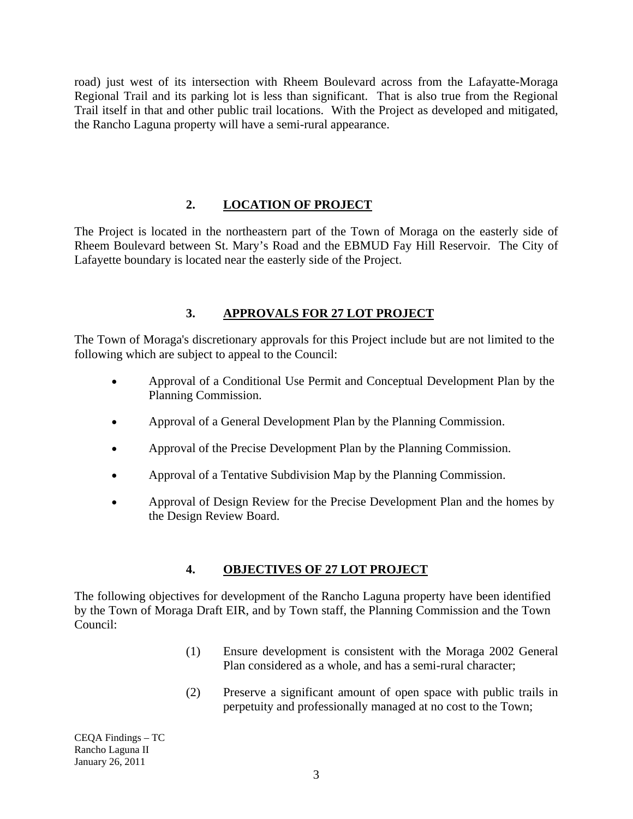road) just west of its intersection with Rheem Boulevard across from the Lafayatte-Moraga Regional Trail and its parking lot is less than significant. That is also true from the Regional Trail itself in that and other public trail locations. With the Project as developed and mitigated, the Rancho Laguna property will have a semi-rural appearance.

# **2. LOCATION OF PROJECT**

The Project is located in the northeastern part of the Town of Moraga on the easterly side of Rheem Boulevard between St. Mary's Road and the EBMUD Fay Hill Reservoir. The City of Lafayette boundary is located near the easterly side of the Project.

# **3. APPROVALS FOR 27 LOT PROJECT**

The Town of Moraga's discretionary approvals for this Project include but are not limited to the following which are subject to appeal to the Council:

- Approval of a Conditional Use Permit and Conceptual Development Plan by the Planning Commission.
- Approval of a General Development Plan by the Planning Commission.
- Approval of the Precise Development Plan by the Planning Commission.
- Approval of a Tentative Subdivision Map by the Planning Commission.
- Approval of Design Review for the Precise Development Plan and the homes by the Design Review Board.

## **4. OBJECTIVES OF 27 LOT PROJECT**

The following objectives for development of the Rancho Laguna property have been identified by the Town of Moraga Draft EIR, and by Town staff, the Planning Commission and the Town Council:

- (1) Ensure development is consistent with the Moraga 2002 General Plan considered as a whole, and has a semi-rural character;
- (2) Preserve a significant amount of open space with public trails in perpetuity and professionally managed at no cost to the Town;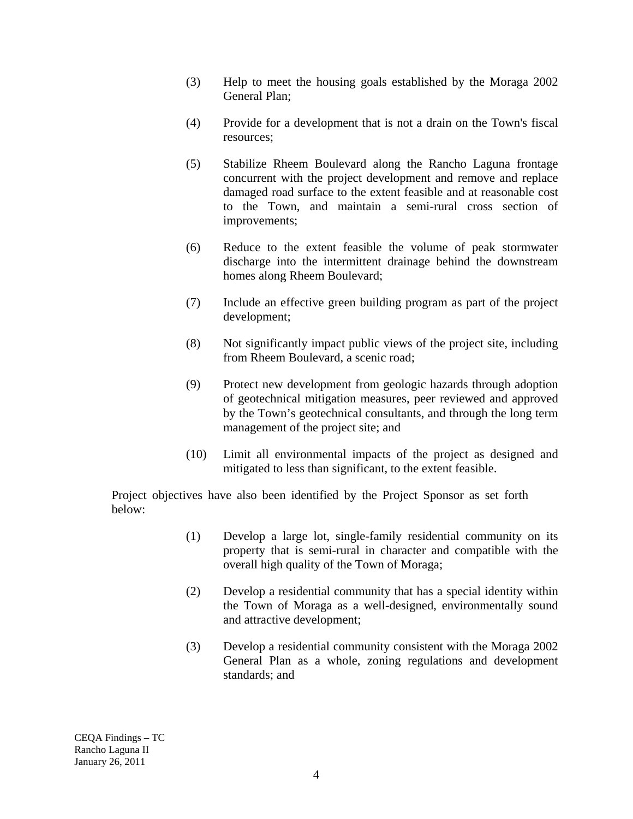- (3) Help to meet the housing goals established by the Moraga 2002 General Plan;
- (4) Provide for a development that is not a drain on the Town's fiscal resources;
- (5) Stabilize Rheem Boulevard along the Rancho Laguna frontage concurrent with the project development and remove and replace damaged road surface to the extent feasible and at reasonable cost to the Town, and maintain a semi-rural cross section of improvements;
- (6) Reduce to the extent feasible the volume of peak stormwater discharge into the intermittent drainage behind the downstream homes along Rheem Boulevard;
- (7) Include an effective green building program as part of the project development;
- (8) Not significantly impact public views of the project site, including from Rheem Boulevard, a scenic road;
- (9) Protect new development from geologic hazards through adoption of geotechnical mitigation measures, peer reviewed and approved by the Town's geotechnical consultants, and through the long term management of the project site; and
- (10) Limit all environmental impacts of the project as designed and mitigated to less than significant, to the extent feasible.

Project objectives have also been identified by the Project Sponsor as set forth below:

- (1) Develop a large lot, single-family residential community on its property that is semi-rural in character and compatible with the overall high quality of the Town of Moraga;
- (2) Develop a residential community that has a special identity within the Town of Moraga as a well-designed, environmentally sound and attractive development;
- (3) Develop a residential community consistent with the Moraga 2002 General Plan as a whole, zoning regulations and development standards; and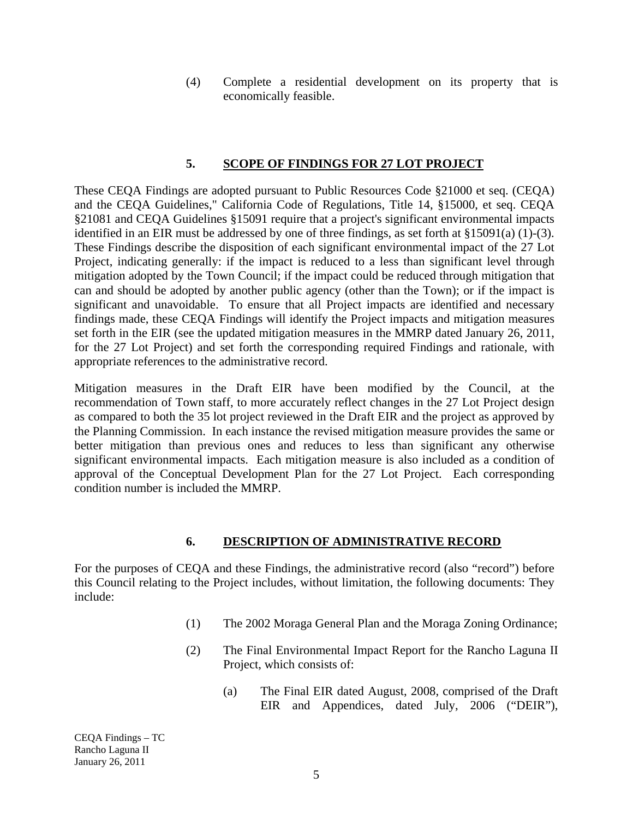(4) Complete a residential development on its property that is economically feasible.

## **5. SCOPE OF FINDINGS FOR 27 LOT PROJECT**

These CEQA Findings are adopted pursuant to Public Resources Code §21000 et seq. (CEQA) and the CEQA Guidelines," California Code of Regulations, Title 14, §15000, et seq. CEQA §21081 and CEQA Guidelines §15091 require that a project's significant environmental impacts identified in an EIR must be addressed by one of three findings, as set forth at §15091(a) (1)-(3). These Findings describe the disposition of each significant environmental impact of the 27 Lot Project, indicating generally: if the impact is reduced to a less than significant level through mitigation adopted by the Town Council; if the impact could be reduced through mitigation that can and should be adopted by another public agency (other than the Town); or if the impact is significant and unavoidable. To ensure that all Project impacts are identified and necessary findings made, these CEQA Findings will identify the Project impacts and mitigation measures set forth in the EIR (see the updated mitigation measures in the MMRP dated January 26, 2011, for the 27 Lot Project) and set forth the corresponding required Findings and rationale, with appropriate references to the administrative record.

Mitigation measures in the Draft EIR have been modified by the Council, at the recommendation of Town staff, to more accurately reflect changes in the 27 Lot Project design as compared to both the 35 lot project reviewed in the Draft EIR and the project as approved by the Planning Commission. In each instance the revised mitigation measure provides the same or better mitigation than previous ones and reduces to less than significant any otherwise significant environmental impacts. Each mitigation measure is also included as a condition of approval of the Conceptual Development Plan for the 27 Lot Project. Each corresponding condition number is included the MMRP.

## **6. DESCRIPTION OF ADMINISTRATIVE RECORD**

For the purposes of CEQA and these Findings, the administrative record (also "record") before this Council relating to the Project includes, without limitation, the following documents: They include:

- (1) The 2002 Moraga General Plan and the Moraga Zoning Ordinance;
- (2) The Final Environmental Impact Report for the Rancho Laguna II Project, which consists of:
	- (a) The Final EIR dated August, 2008, comprised of the Draft EIR and Appendices, dated July, 2006 ("DEIR"),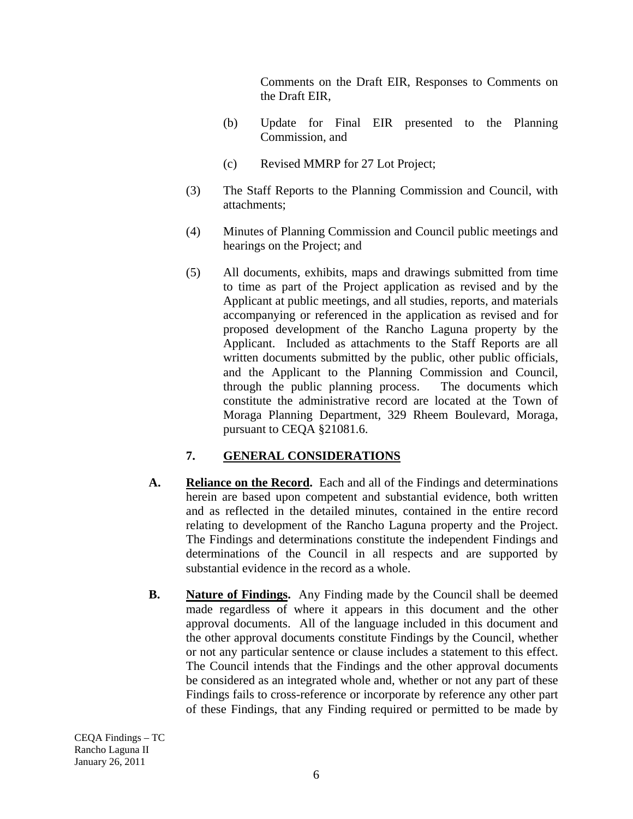Comments on the Draft EIR, Responses to Comments on the Draft EIR,

- (b) Update for Final EIR presented to the Planning Commission, and
- (c) Revised MMRP for 27 Lot Project;
- (3) The Staff Reports to the Planning Commission and Council, with attachments;
- (4) Minutes of Planning Commission and Council public meetings and hearings on the Project; and
- (5) All documents, exhibits, maps and drawings submitted from time to time as part of the Project application as revised and by the Applicant at public meetings, and all studies, reports, and materials accompanying or referenced in the application as revised and for proposed development of the Rancho Laguna property by the Applicant. Included as attachments to the Staff Reports are all written documents submitted by the public, other public officials, and the Applicant to the Planning Commission and Council, through the public planning process. The documents which constitute the administrative record are located at the Town of Moraga Planning Department, 329 Rheem Boulevard, Moraga, pursuant to CEQA §21081.6.

## **7. GENERAL CONSIDERATIONS**

- **A. Reliance on the Record.** Each and all of the Findings and determinations herein are based upon competent and substantial evidence, both written and as reflected in the detailed minutes, contained in the entire record relating to development of the Rancho Laguna property and the Project. The Findings and determinations constitute the independent Findings and determinations of the Council in all respects and are supported by substantial evidence in the record as a whole.
- **B. Nature of Findings.** Any Finding made by the Council shall be deemed made regardless of where it appears in this document and the other approval documents. All of the language included in this document and the other approval documents constitute Findings by the Council, whether or not any particular sentence or clause includes a statement to this effect. The Council intends that the Findings and the other approval documents be considered as an integrated whole and, whether or not any part of these Findings fails to cross-reference or incorporate by reference any other part of these Findings, that any Finding required or permitted to be made by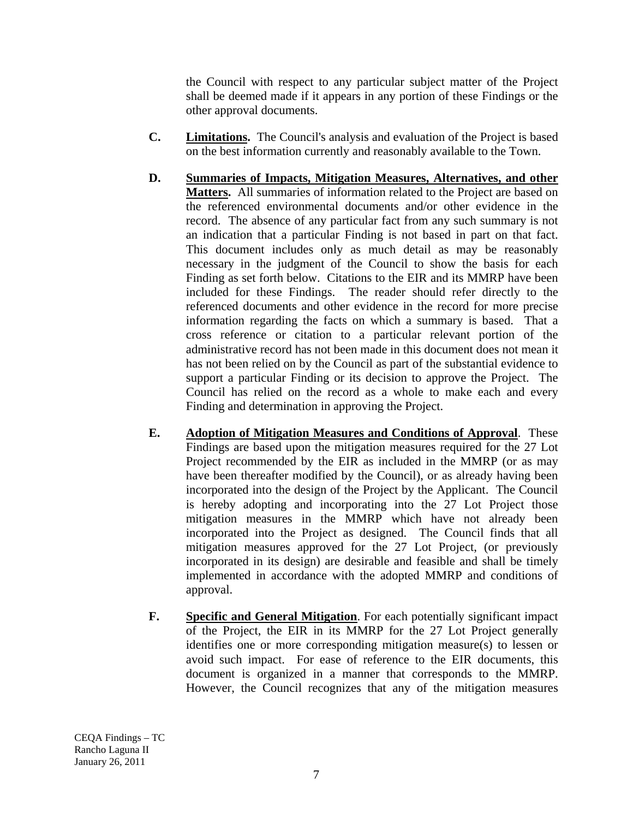the Council with respect to any particular subject matter of the Project shall be deemed made if it appears in any portion of these Findings or the other approval documents.

- **C. Limitations.** The Council's analysis and evaluation of the Project is based on the best information currently and reasonably available to the Town.
- **D. Summaries of Impacts, Mitigation Measures, Alternatives, and other Matters.** All summaries of information related to the Project are based on the referenced environmental documents and/or other evidence in the record. The absence of any particular fact from any such summary is not an indication that a particular Finding is not based in part on that fact. This document includes only as much detail as may be reasonably necessary in the judgment of the Council to show the basis for each Finding as set forth below. Citations to the EIR and its MMRP have been included for these Findings. The reader should refer directly to the referenced documents and other evidence in the record for more precise information regarding the facts on which a summary is based. That a cross reference or citation to a particular relevant portion of the administrative record has not been made in this document does not mean it has not been relied on by the Council as part of the substantial evidence to support a particular Finding or its decision to approve the Project. The Council has relied on the record as a whole to make each and every Finding and determination in approving the Project.
- **E. Adoption of Mitigation Measures and Conditions of Approval**. These Findings are based upon the mitigation measures required for the 27 Lot Project recommended by the EIR as included in the MMRP (or as may have been thereafter modified by the Council), or as already having been incorporated into the design of the Project by the Applicant. The Council is hereby adopting and incorporating into the 27 Lot Project those mitigation measures in the MMRP which have not already been incorporated into the Project as designed. The Council finds that all mitigation measures approved for the 27 Lot Project, (or previously incorporated in its design) are desirable and feasible and shall be timely implemented in accordance with the adopted MMRP and conditions of approval.
- **F. Specific and General Mitigation**. For each potentially significant impact of the Project, the EIR in its MMRP for the 27 Lot Project generally identifies one or more corresponding mitigation measure(s) to lessen or avoid such impact. For ease of reference to the EIR documents, this document is organized in a manner that corresponds to the MMRP. However, the Council recognizes that any of the mitigation measures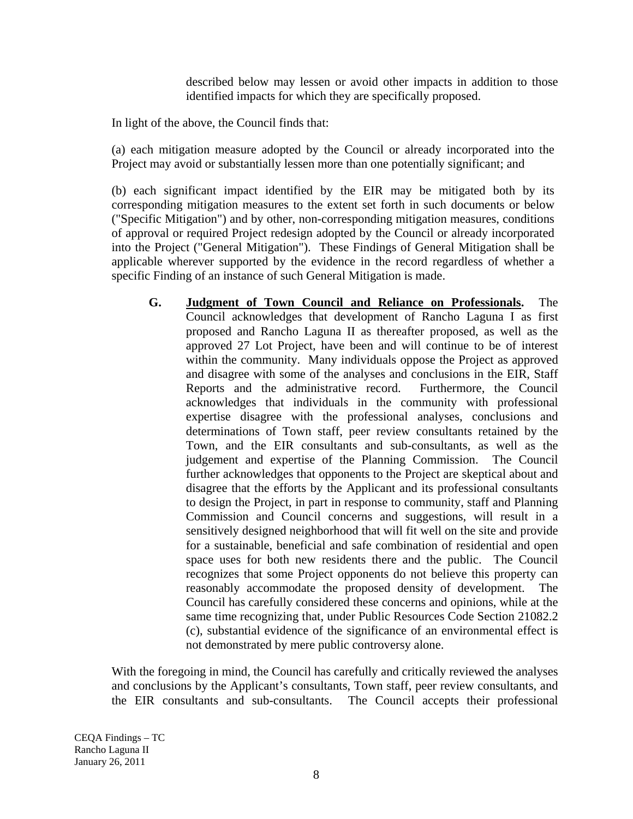described below may lessen or avoid other impacts in addition to those identified impacts for which they are specifically proposed.

In light of the above, the Council finds that:

(a) each mitigation measure adopted by the Council or already incorporated into the Project may avoid or substantially lessen more than one potentially significant; and

(b) each significant impact identified by the EIR may be mitigated both by its corresponding mitigation measures to the extent set forth in such documents or below ("Specific Mitigation") and by other, non-corresponding mitigation measures, conditions of approval or required Project redesign adopted by the Council or already incorporated into the Project ("General Mitigation"). These Findings of General Mitigation shall be applicable wherever supported by the evidence in the record regardless of whether a specific Finding of an instance of such General Mitigation is made.

**G. Judgment of Town Council and Reliance on Professionals.** The Council acknowledges that development of Rancho Laguna I as first proposed and Rancho Laguna II as thereafter proposed, as well as the approved 27 Lot Project, have been and will continue to be of interest within the community. Many individuals oppose the Project as approved and disagree with some of the analyses and conclusions in the EIR, Staff Reports and the administrative record. Furthermore, the Council acknowledges that individuals in the community with professional expertise disagree with the professional analyses, conclusions and determinations of Town staff, peer review consultants retained by the Town, and the EIR consultants and sub-consultants, as well as the judgement and expertise of the Planning Commission. The Council further acknowledges that opponents to the Project are skeptical about and disagree that the efforts by the Applicant and its professional consultants to design the Project, in part in response to community, staff and Planning Commission and Council concerns and suggestions, will result in a sensitively designed neighborhood that will fit well on the site and provide for a sustainable, beneficial and safe combination of residential and open space uses for both new residents there and the public. The Council recognizes that some Project opponents do not believe this property can reasonably accommodate the proposed density of development. The Council has carefully considered these concerns and opinions, while at the same time recognizing that, under Public Resources Code Section 21082.2 (c), substantial evidence of the significance of an environmental effect is not demonstrated by mere public controversy alone.

With the foregoing in mind, the Council has carefully and critically reviewed the analyses and conclusions by the Applicant's consultants, Town staff, peer review consultants, and the EIR consultants and sub-consultants. The Council accepts their professional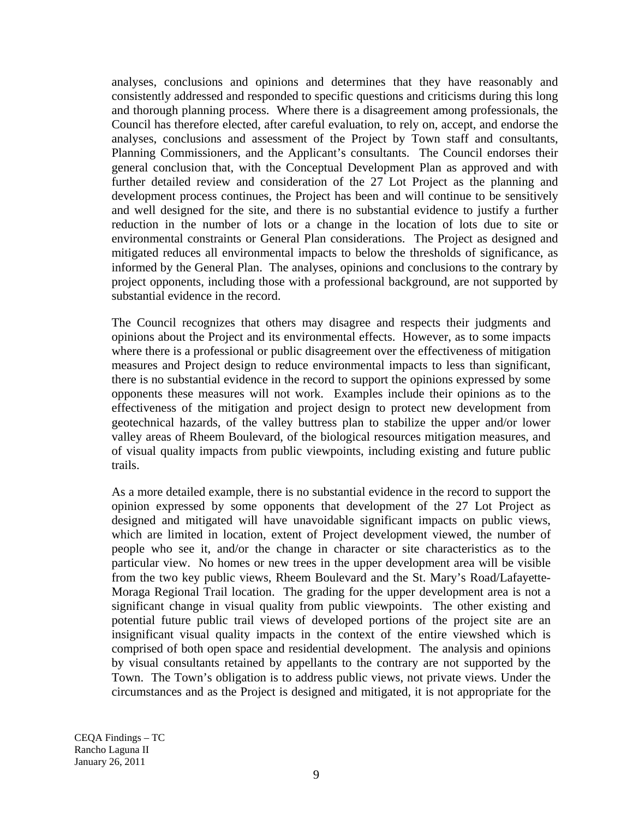analyses, conclusions and opinions and determines that they have reasonably and consistently addressed and responded to specific questions and criticisms during this long and thorough planning process. Where there is a disagreement among professionals, the Council has therefore elected, after careful evaluation, to rely on, accept, and endorse the analyses, conclusions and assessment of the Project by Town staff and consultants, Planning Commissioners, and the Applicant's consultants. The Council endorses their general conclusion that, with the Conceptual Development Plan as approved and with further detailed review and consideration of the 27 Lot Project as the planning and development process continues, the Project has been and will continue to be sensitively and well designed for the site, and there is no substantial evidence to justify a further reduction in the number of lots or a change in the location of lots due to site or environmental constraints or General Plan considerations. The Project as designed and mitigated reduces all environmental impacts to below the thresholds of significance, as informed by the General Plan. The analyses, opinions and conclusions to the contrary by project opponents, including those with a professional background, are not supported by substantial evidence in the record.

The Council recognizes that others may disagree and respects their judgments and opinions about the Project and its environmental effects. However, as to some impacts where there is a professional or public disagreement over the effectiveness of mitigation measures and Project design to reduce environmental impacts to less than significant, there is no substantial evidence in the record to support the opinions expressed by some opponents these measures will not work. Examples include their opinions as to the effectiveness of the mitigation and project design to protect new development from geotechnical hazards, of the valley buttress plan to stabilize the upper and/or lower valley areas of Rheem Boulevard, of the biological resources mitigation measures, and of visual quality impacts from public viewpoints, including existing and future public trails.

As a more detailed example, there is no substantial evidence in the record to support the opinion expressed by some opponents that development of the 27 Lot Project as designed and mitigated will have unavoidable significant impacts on public views, which are limited in location, extent of Project development viewed, the number of people who see it, and/or the change in character or site characteristics as to the particular view. No homes or new trees in the upper development area will be visible from the two key public views, Rheem Boulevard and the St. Mary's Road/Lafayette-Moraga Regional Trail location. The grading for the upper development area is not a significant change in visual quality from public viewpoints. The other existing and potential future public trail views of developed portions of the project site are an insignificant visual quality impacts in the context of the entire viewshed which is comprised of both open space and residential development. The analysis and opinions by visual consultants retained by appellants to the contrary are not supported by the Town. The Town's obligation is to address public views, not private views. Under the circumstances and as the Project is designed and mitigated, it is not appropriate for the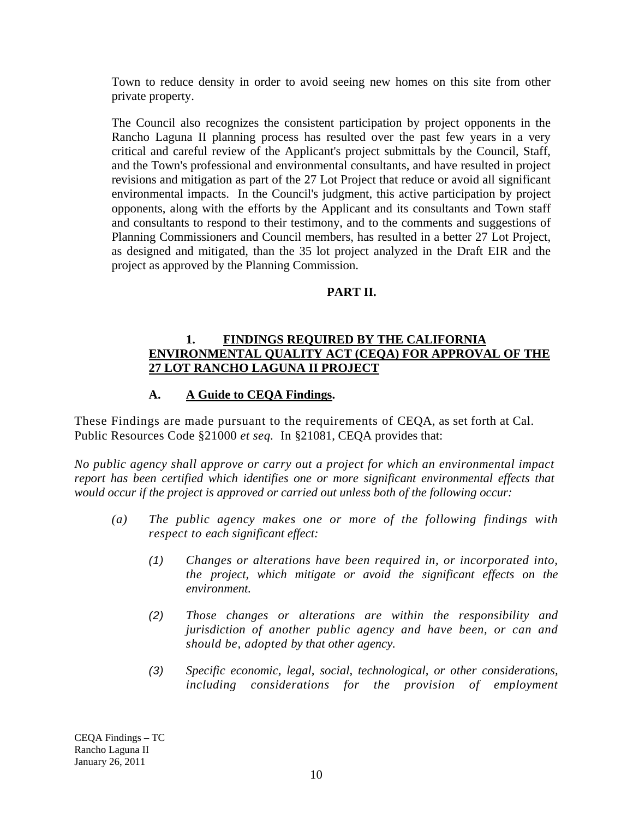Town to reduce density in order to avoid seeing new homes on this site from other private property.

The Council also recognizes the consistent participation by project opponents in the Rancho Laguna II planning process has resulted over the past few years in a very critical and careful review of the Applicant's project submittals by the Council, Staff, and the Town's professional and environmental consultants, and have resulted in project revisions and mitigation as part of the 27 Lot Project that reduce or avoid all significant environmental impacts. In the Council's judgment, this active participation by project opponents, along with the efforts by the Applicant and its consultants and Town staff and consultants to respond to their testimony, and to the comments and suggestions of Planning Commissioners and Council members, has resulted in a better 27 Lot Project, as designed and mitigated, than the 35 lot project analyzed in the Draft EIR and the project as approved by the Planning Commission.

#### **PART II.**

#### **1. FINDINGS REQUIRED BY THE CALIFORNIA ENVIRONMENTAL QUALITY ACT (CEQA) FOR APPROVAL OF THE 27 LOT RANCHO LAGUNA II PROJECT**

## **A. A Guide to CEQA Findings.**

These Findings are made pursuant to the requirements of CEQA, as set forth at Cal. Public Resources Code §21000 *et seq.* In §21081, CEQA provides that:

*No public agency shall approve or carry out a project for which an environmental impact report has been certified which identifies one or more significant environmental effects that would occur if the project is approved or carried out unless both of the following occur:* 

- *(a) The public agency makes one or more of the following findings with respect to each significant effect:* 
	- *(1) Changes or alterations have been required in, or incorporated into, the project, which mitigate or avoid the significant effects on the environment.*
	- *(2) Those changes or alterations are within the responsibility and jurisdiction of another public agency and have been, or can and should be, adopted by that other agency.*
	- *(3) Specific economic, legal, social, technological, or other considerations, including considerations for the provision of employment*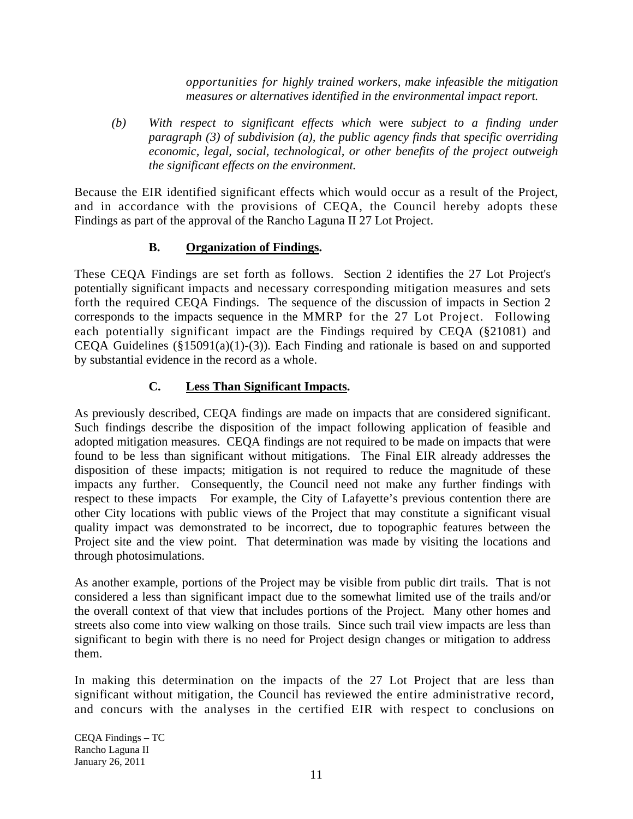*opportunities for highly trained workers, make infeasible the mitigation measures or alternatives identified in the environmental impact report.* 

*(b) With respect to significant effects which* were *subject to a finding under paragraph (3) of subdivision (a), the public agency finds that specific overriding economic, legal, social, technological, or other benefits of the project outweigh the significant effects on the environment.* 

Because the EIR identified significant effects which would occur as a result of the Project, and in accordance with the provisions of CEQA, the Council hereby adopts these Findings as part of the approval of the Rancho Laguna II 27 Lot Project.

## **B. Organization of Findings.**

These CEQA Findings are set forth as follows. Section 2 identifies the 27 Lot Project's potentially significant impacts and necessary corresponding mitigation measures and sets forth the required CEQA Findings. The sequence of the discussion of impacts in Section 2 corresponds to the impacts sequence in the MMRP for the 27 Lot Project. Following each potentially significant impact are the Findings required by CEQA (§21081) and CEQA Guidelines  $(\S15091(a)(1)-(3))$ . Each Finding and rationale is based on and supported by substantial evidence in the record as a whole.

# **C. Less Than Significant Impacts.**

As previously described, CEQA findings are made on impacts that are considered significant. Such findings describe the disposition of the impact following application of feasible and adopted mitigation measures. CEQA findings are not required to be made on impacts that were found to be less than significant without mitigations. The Final EIR already addresses the disposition of these impacts; mitigation is not required to reduce the magnitude of these impacts any further. Consequently, the Council need not make any further findings with respect to these impacts For example, the City of Lafayette's previous contention there are other City locations with public views of the Project that may constitute a significant visual quality impact was demonstrated to be incorrect, due to topographic features between the Project site and the view point. That determination was made by visiting the locations and through photosimulations.

As another example, portions of the Project may be visible from public dirt trails. That is not considered a less than significant impact due to the somewhat limited use of the trails and/or the overall context of that view that includes portions of the Project. Many other homes and streets also come into view walking on those trails. Since such trail view impacts are less than significant to begin with there is no need for Project design changes or mitigation to address them.

In making this determination on the impacts of the 27 Lot Project that are less than significant without mitigation, the Council has reviewed the entire administrative record, and concurs with the analyses in the certified EIR with respect to conclusions on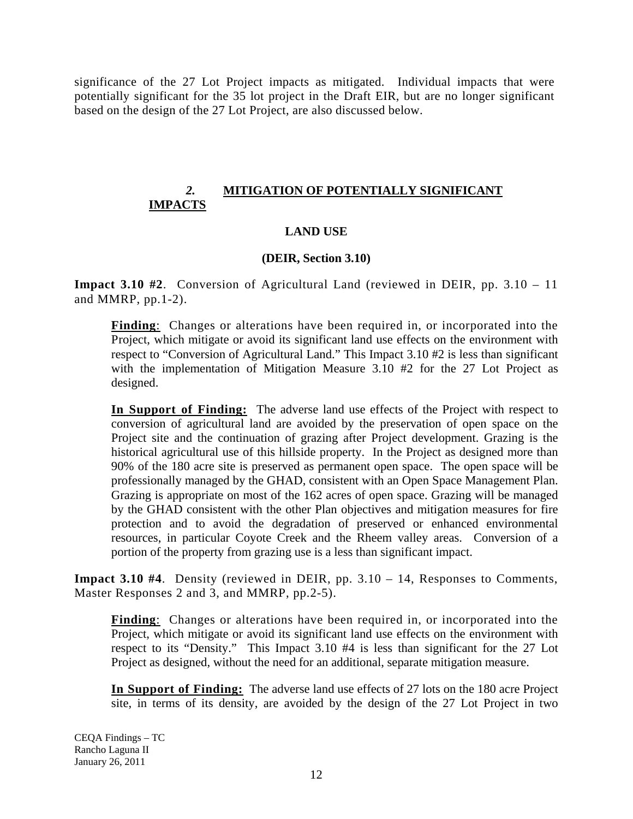significance of the 27 Lot Project impacts as mitigated. Individual impacts that were potentially significant for the 35 lot project in the Draft EIR, but are no longer significant based on the design of the 27 Lot Project, are also discussed below.

## *2.* **MITIGATION OF POTENTIALLY SIGNIFICANT IMPACTS**

## **LAND USE**

#### **(DEIR, Section 3.10)**

**Impact 3.10 #2**. Conversion of Agricultural Land (reviewed in DEIR, pp. 3.10 – 11 and MMRP, pp.1-2).

**Finding**: Changes or alterations have been required in, or incorporated into the Project, which mitigate or avoid its significant land use effects on the environment with respect to "Conversion of Agricultural Land." This Impact 3.10 #2 is less than significant with the implementation of Mitigation Measure 3.10 #2 for the 27 Lot Project as designed.

**In Support of Finding:** The adverse land use effects of the Project with respect to conversion of agricultural land are avoided by the preservation of open space on the Project site and the continuation of grazing after Project development. Grazing is the historical agricultural use of this hillside property. In the Project as designed more than 90% of the 180 acre site is preserved as permanent open space. The open space will be professionally managed by the GHAD, consistent with an Open Space Management Plan. Grazing is appropriate on most of the 162 acres of open space. Grazing will be managed by the GHAD consistent with the other Plan objectives and mitigation measures for fire protection and to avoid the degradation of preserved or enhanced environmental resources, in particular Coyote Creek and the Rheem valley areas. Conversion of a portion of the property from grazing use is a less than significant impact.

**Impact 3.10 #4**. Density (reviewed in DEIR, pp. 3.10 – 14, Responses to Comments, Master Responses 2 and 3, and MMRP, pp.2-5).

**Finding**: Changes or alterations have been required in, or incorporated into the Project, which mitigate or avoid its significant land use effects on the environment with respect to its "Density." This Impact 3.10 #4 is less than significant for the 27 Lot Project as designed, without the need for an additional, separate mitigation measure.

**In Support of Finding:** The adverse land use effects of 27 lots on the 180 acre Project site, in terms of its density, are avoided by the design of the 27 Lot Project in two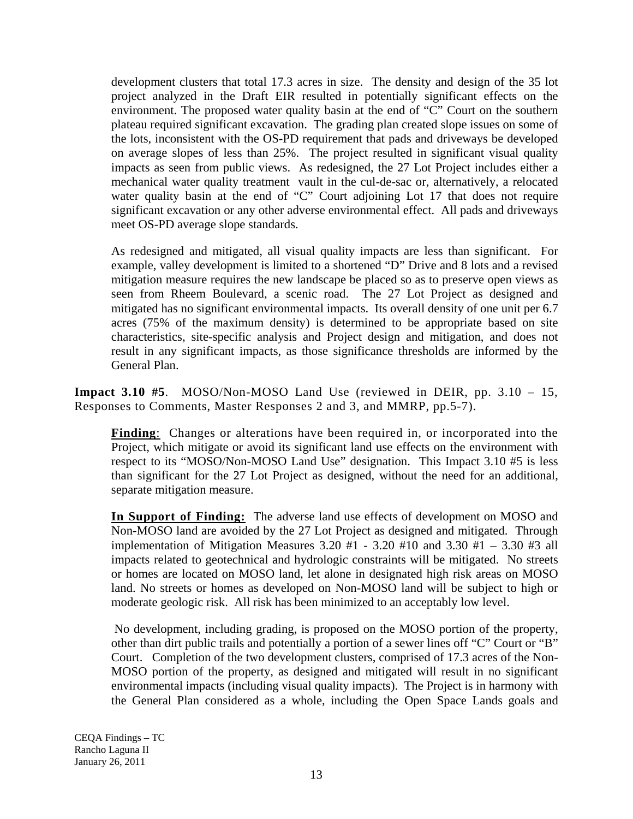development clusters that total 17.3 acres in size. The density and design of the 35 lot project analyzed in the Draft EIR resulted in potentially significant effects on the environment. The proposed water quality basin at the end of "C" Court on the southern plateau required significant excavation. The grading plan created slope issues on some of the lots, inconsistent with the OS-PD requirement that pads and driveways be developed on average slopes of less than 25%. The project resulted in significant visual quality impacts as seen from public views. As redesigned, the 27 Lot Project includes either a mechanical water quality treatment vault in the cul-de-sac or, alternatively, a relocated water quality basin at the end of "C" Court adjoining Lot 17 that does not require significant excavation or any other adverse environmental effect. All pads and driveways meet OS-PD average slope standards.

As redesigned and mitigated, all visual quality impacts are less than significant. For example, valley development is limited to a shortened "D" Drive and 8 lots and a revised mitigation measure requires the new landscape be placed so as to preserve open views as seen from Rheem Boulevard, a scenic road. The 27 Lot Project as designed and mitigated has no significant environmental impacts. Its overall density of one unit per 6.7 acres (75% of the maximum density) is determined to be appropriate based on site characteristics, site-specific analysis and Project design and mitigation, and does not result in any significant impacts, as those significance thresholds are informed by the General Plan.

**Impact 3.10 #5**. MOSO/Non-MOSO Land Use (reviewed in DEIR, pp. 3.10 – 15, Responses to Comments, Master Responses 2 and 3, and MMRP, pp.5-7).

**Finding**: Changes or alterations have been required in, or incorporated into the Project, which mitigate or avoid its significant land use effects on the environment with respect to its "MOSO/Non-MOSO Land Use" designation. This Impact 3.10 #5 is less than significant for the 27 Lot Project as designed, without the need for an additional, separate mitigation measure.

**In Support of Finding:** The adverse land use effects of development on MOSO and Non-MOSO land are avoided by the 27 Lot Project as designed and mitigated. Through implementation of Mitigation Measures  $3.20$  #1 -  $3.20$  #10 and  $3.30$  #1 -  $3.30$  #3 all impacts related to geotechnical and hydrologic constraints will be mitigated. No streets or homes are located on MOSO land, let alone in designated high risk areas on MOSO land. No streets or homes as developed on Non-MOSO land will be subject to high or moderate geologic risk. All risk has been minimized to an acceptably low level.

 No development, including grading, is proposed on the MOSO portion of the property, other than dirt public trails and potentially a portion of a sewer lines off "C" Court or "B" Court. Completion of the two development clusters, comprised of 17.3 acres of the Non-MOSO portion of the property, as designed and mitigated will result in no significant environmental impacts (including visual quality impacts). The Project is in harmony with the General Plan considered as a whole, including the Open Space Lands goals and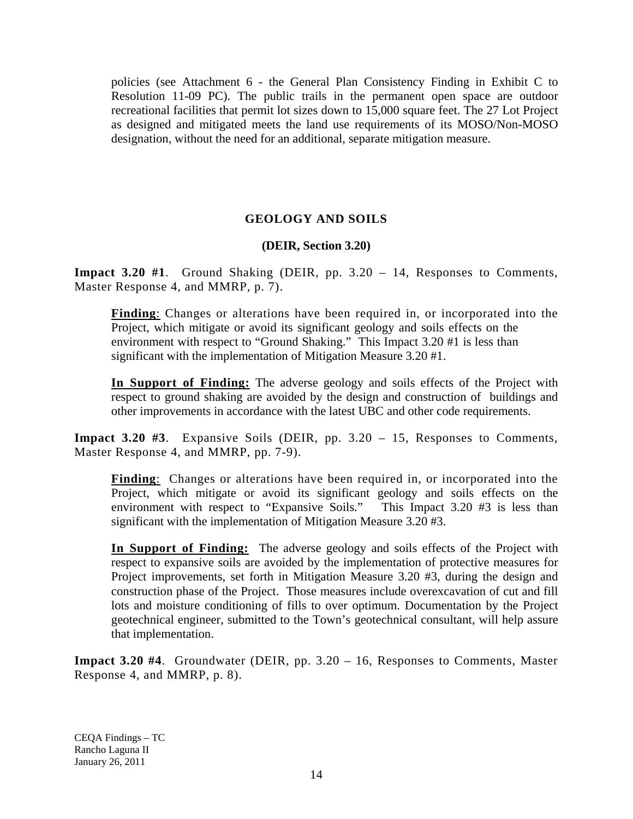policies (see Attachment 6 - the General Plan Consistency Finding in Exhibit C to Resolution 11-09 PC). The public trails in the permanent open space are outdoor recreational facilities that permit lot sizes down to 15,000 square feet. The 27 Lot Project as designed and mitigated meets the land use requirements of its MOSO/Non-MOSO designation, without the need for an additional, separate mitigation measure.

## **GEOLOGY AND SOILS**

#### **(DEIR, Section 3.20)**

**Impact 3.20 #1**. Ground Shaking (DEIR, pp. 3.20 – 14, Responses to Comments, Master Response 4, and MMRP, p. 7).

**Finding**: Changes or alterations have been required in, or incorporated into the Project, which mitigate or avoid its significant geology and soils effects on the environment with respect to "Ground Shaking." This Impact 3.20 #1 is less than significant with the implementation of Mitigation Measure 3.20 #1.

**In Support of Finding:** The adverse geology and soils effects of the Project with respect to ground shaking are avoided by the design and construction of buildings and other improvements in accordance with the latest UBC and other code requirements.

**Impact 3.20 #3**. Expansive Soils (DEIR, pp. 3.20 – 15, Responses to Comments, Master Response 4, and MMRP, pp. 7-9).

**Finding**: Changes or alterations have been required in, or incorporated into the Project, which mitigate or avoid its significant geology and soils effects on the environment with respect to "Expansive Soils." This Impact 3.20 #3 is less than significant with the implementation of Mitigation Measure 3.20 #3.

**In Support of Finding:** The adverse geology and soils effects of the Project with respect to expansive soils are avoided by the implementation of protective measures for Project improvements, set forth in Mitigation Measure 3.20 #3, during the design and construction phase of the Project. Those measures include overexcavation of cut and fill lots and moisture conditioning of fills to over optimum. Documentation by the Project geotechnical engineer, submitted to the Town's geotechnical consultant, will help assure that implementation.

**Impact 3.20 #4**. Groundwater (DEIR, pp. 3.20 – 16, Responses to Comments, Master Response 4, and MMRP, p. 8).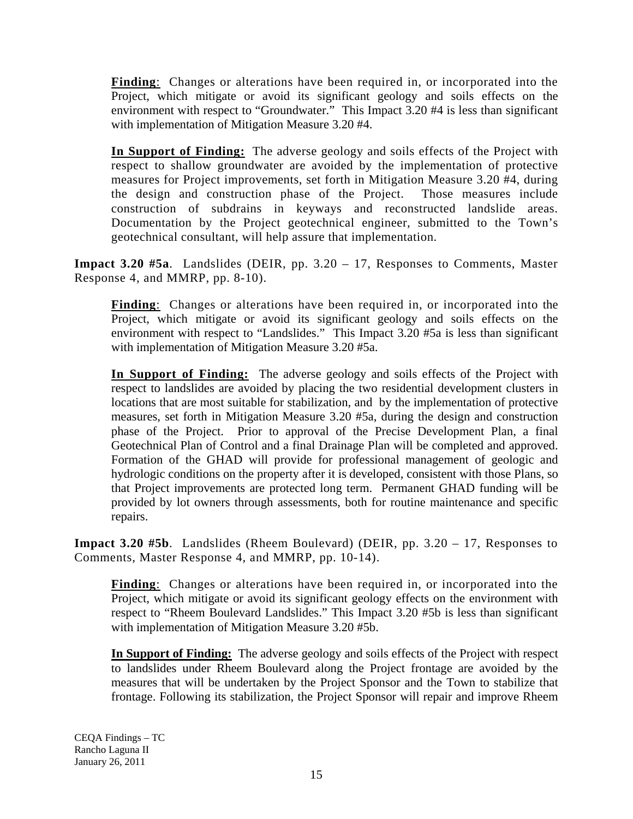**Finding**: Changes or alterations have been required in, or incorporated into the Project, which mitigate or avoid its significant geology and soils effects on the environment with respect to "Groundwater." This Impact 3.20 #4 is less than significant with implementation of Mitigation Measure 3.20 #4.

**In Support of Finding:** The adverse geology and soils effects of the Project with respect to shallow groundwater are avoided by the implementation of protective measures for Project improvements, set forth in Mitigation Measure 3.20 #4, during the design and construction phase of the Project. Those measures include construction of subdrains in keyways and reconstructed landslide areas. Documentation by the Project geotechnical engineer, submitted to the Town's geotechnical consultant, will help assure that implementation.

**Impact 3.20 #5a**. Landslides (DEIR, pp. 3.20 – 17, Responses to Comments, Master Response 4, and MMRP, pp. 8-10).

**Finding**: Changes or alterations have been required in, or incorporated into the Project, which mitigate or avoid its significant geology and soils effects on the environment with respect to "Landslides." This Impact 3.20 #5a is less than significant with implementation of Mitigation Measure 3.20 #5a.

**In Support of Finding:** The adverse geology and soils effects of the Project with respect to landslides are avoided by placing the two residential development clusters in locations that are most suitable for stabilization, and by the implementation of protective measures, set forth in Mitigation Measure 3.20 #5a, during the design and construction phase of the Project. Prior to approval of the Precise Development Plan, a final Geotechnical Plan of Control and a final Drainage Plan will be completed and approved. Formation of the GHAD will provide for professional management of geologic and hydrologic conditions on the property after it is developed, consistent with those Plans, so that Project improvements are protected long term. Permanent GHAD funding will be provided by lot owners through assessments, both for routine maintenance and specific repairs.

**Impact 3.20 #5b**. Landslides (Rheem Boulevard) (DEIR, pp. 3.20 – 17, Responses to Comments, Master Response 4, and MMRP, pp. 10-14).

**Finding**: Changes or alterations have been required in, or incorporated into the Project, which mitigate or avoid its significant geology effects on the environment with respect to "Rheem Boulevard Landslides." This Impact 3.20 #5b is less than significant with implementation of Mitigation Measure 3.20 #5b.

**In Support of Finding:** The adverse geology and soils effects of the Project with respect to landslides under Rheem Boulevard along the Project frontage are avoided by the measures that will be undertaken by the Project Sponsor and the Town to stabilize that frontage. Following its stabilization, the Project Sponsor will repair and improve Rheem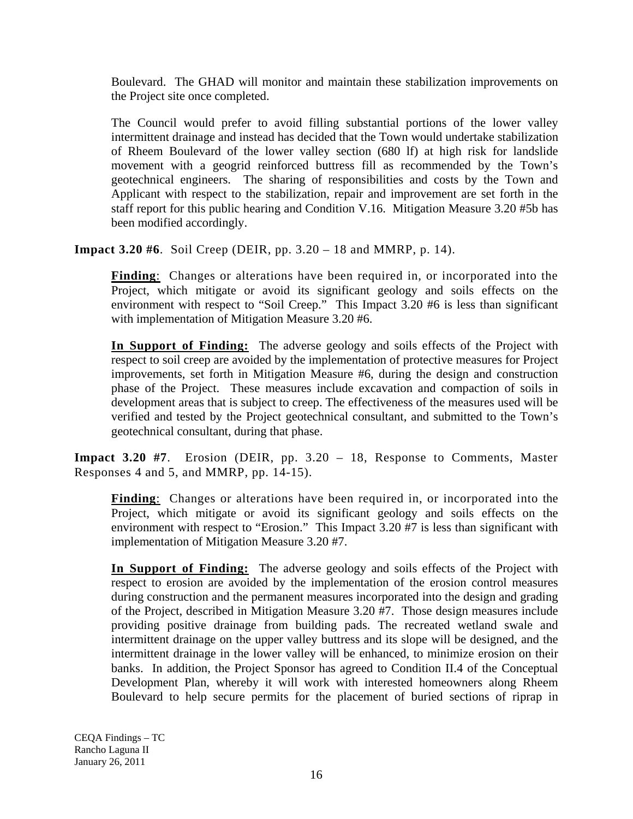Boulevard. The GHAD will monitor and maintain these stabilization improvements on the Project site once completed.

The Council would prefer to avoid filling substantial portions of the lower valley intermittent drainage and instead has decided that the Town would undertake stabilization of Rheem Boulevard of the lower valley section (680 lf) at high risk for landslide movement with a geogrid reinforced buttress fill as recommended by the Town's geotechnical engineers. The sharing of responsibilities and costs by the Town and Applicant with respect to the stabilization, repair and improvement are set forth in the staff report for this public hearing and Condition V.16. Mitigation Measure 3.20 #5b has been modified accordingly.

**Impact 3.20 #6**. Soil Creep (DEIR, pp. 3.20 – 18 and MMRP, p. 14).

**Finding**: Changes or alterations have been required in, or incorporated into the Project, which mitigate or avoid its significant geology and soils effects on the environment with respect to "Soil Creep." This Impact 3.20 #6 is less than significant with implementation of Mitigation Measure 3.20 #6.

**In Support of Finding:** The adverse geology and soils effects of the Project with respect to soil creep are avoided by the implementation of protective measures for Project improvements, set forth in Mitigation Measure #6, during the design and construction phase of the Project. These measures include excavation and compaction of soils in development areas that is subject to creep. The effectiveness of the measures used will be verified and tested by the Project geotechnical consultant, and submitted to the Town's geotechnical consultant, during that phase.

**Impact 3.20 #7**. Erosion (DEIR, pp. 3.20 – 18, Response to Comments, Master Responses 4 and 5, and MMRP, pp. 14-15).

**Finding**: Changes or alterations have been required in, or incorporated into the Project, which mitigate or avoid its significant geology and soils effects on the environment with respect to "Erosion." This Impact 3.20 #7 is less than significant with implementation of Mitigation Measure 3.20 #7.

**In Support of Finding:** The adverse geology and soils effects of the Project with respect to erosion are avoided by the implementation of the erosion control measures during construction and the permanent measures incorporated into the design and grading of the Project, described in Mitigation Measure 3.20 #7. Those design measures include providing positive drainage from building pads. The recreated wetland swale and intermittent drainage on the upper valley buttress and its slope will be designed, and the intermittent drainage in the lower valley will be enhanced, to minimize erosion on their banks. In addition, the Project Sponsor has agreed to Condition II.4 of the Conceptual Development Plan, whereby it will work with interested homeowners along Rheem Boulevard to help secure permits for the placement of buried sections of riprap in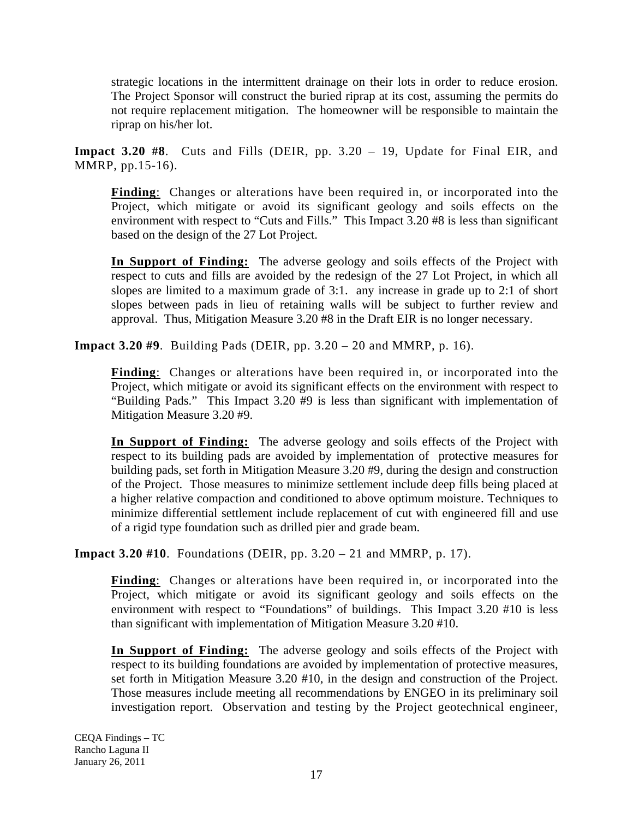strategic locations in the intermittent drainage on their lots in order to reduce erosion. The Project Sponsor will construct the buried riprap at its cost, assuming the permits do not require replacement mitigation. The homeowner will be responsible to maintain the riprap on his/her lot.

**Impact 3.20 #8**. Cuts and Fills (DEIR, pp. 3.20 – 19, Update for Final EIR, and MMRP, pp.15-16).

**Finding**: Changes or alterations have been required in, or incorporated into the Project, which mitigate or avoid its significant geology and soils effects on the environment with respect to "Cuts and Fills." This Impact 3.20 #8 is less than significant based on the design of the 27 Lot Project.

**In Support of Finding:** The adverse geology and soils effects of the Project with respect to cuts and fills are avoided by the redesign of the 27 Lot Project, in which all slopes are limited to a maximum grade of 3:1. any increase in grade up to 2:1 of short slopes between pads in lieu of retaining walls will be subject to further review and approval. Thus, Mitigation Measure 3.20 #8 in the Draft EIR is no longer necessary.

**Impact 3.20 #9**. Building Pads (DEIR, pp. 3.20 – 20 and MMRP, p. 16).

**Finding**: Changes or alterations have been required in, or incorporated into the Project, which mitigate or avoid its significant effects on the environment with respect to "Building Pads." This Impact 3.20 #9 is less than significant with implementation of Mitigation Measure 3.20 #9.

**In Support of Finding:** The adverse geology and soils effects of the Project with respect to its building pads are avoided by implementation of protective measures for building pads, set forth in Mitigation Measure 3.20 #9, during the design and construction of the Project. Those measures to minimize settlement include deep fills being placed at a higher relative compaction and conditioned to above optimum moisture. Techniques to minimize differential settlement include replacement of cut with engineered fill and use of a rigid type foundation such as drilled pier and grade beam.

**Impact 3.20 #10**. Foundations (DEIR, pp. 3.20 – 21 and MMRP, p. 17).

**Finding**: Changes or alterations have been required in, or incorporated into the Project, which mitigate or avoid its significant geology and soils effects on the environment with respect to "Foundations" of buildings. This Impact 3.20 #10 is less than significant with implementation of Mitigation Measure 3.20 #10.

**In Support of Finding:** The adverse geology and soils effects of the Project with respect to its building foundations are avoided by implementation of protective measures, set forth in Mitigation Measure 3.20 #10, in the design and construction of the Project. Those measures include meeting all recommendations by ENGEO in its preliminary soil investigation report. Observation and testing by the Project geotechnical engineer,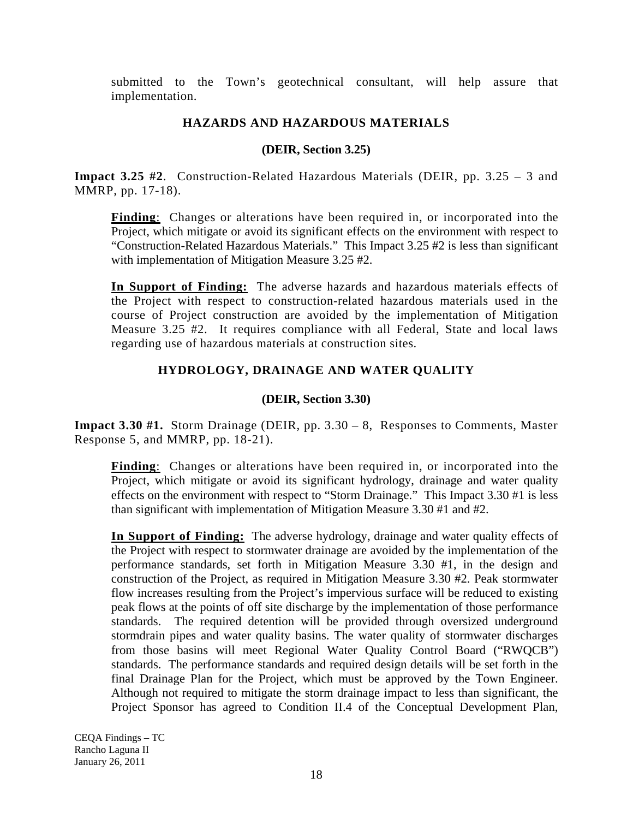submitted to the Town's geotechnical consultant, will help assure that implementation.

## **HAZARDS AND HAZARDOUS MATERIALS**

### **(DEIR, Section 3.25)**

**Impact 3.25 #2**. Construction-Related Hazardous Materials (DEIR, pp. 3.25 – 3 and MMRP, pp. 17-18).

**Finding**: Changes or alterations have been required in, or incorporated into the Project, which mitigate or avoid its significant effects on the environment with respect to "Construction-Related Hazardous Materials." This Impact 3.25 #2 is less than significant with implementation of Mitigation Measure 3.25 #2.

**In Support of Finding:** The adverse hazards and hazardous materials effects of the Project with respect to construction-related hazardous materials used in the course of Project construction are avoided by the implementation of Mitigation Measure 3.25 #2. It requires compliance with all Federal, State and local laws regarding use of hazardous materials at construction sites.

# **HYDROLOGY, DRAINAGE AND WATER QUALITY**

## **(DEIR, Section 3.30)**

**Impact 3.30 #1.** Storm Drainage (DEIR, pp. 3.30 – 8, Responses to Comments, Master Response 5, and MMRP, pp. 18-21).

**Finding**: Changes or alterations have been required in, or incorporated into the Project, which mitigate or avoid its significant hydrology, drainage and water quality effects on the environment with respect to "Storm Drainage." This Impact 3.30 #1 is less than significant with implementation of Mitigation Measure 3.30 #1 and #2.

**In Support of Finding:** The adverse hydrology, drainage and water quality effects of the Project with respect to stormwater drainage are avoided by the implementation of the performance standards, set forth in Mitigation Measure 3.30 #1, in the design and construction of the Project, as required in Mitigation Measure 3.30 #2. Peak stormwater flow increases resulting from the Project's impervious surface will be reduced to existing peak flows at the points of off site discharge by the implementation of those performance standards. The required detention will be provided through oversized underground stormdrain pipes and water quality basins. The water quality of stormwater discharges from those basins will meet Regional Water Quality Control Board ("RWQCB") standards. The performance standards and required design details will be set forth in the final Drainage Plan for the Project, which must be approved by the Town Engineer. Although not required to mitigate the storm drainage impact to less than significant, the Project Sponsor has agreed to Condition II.4 of the Conceptual Development Plan,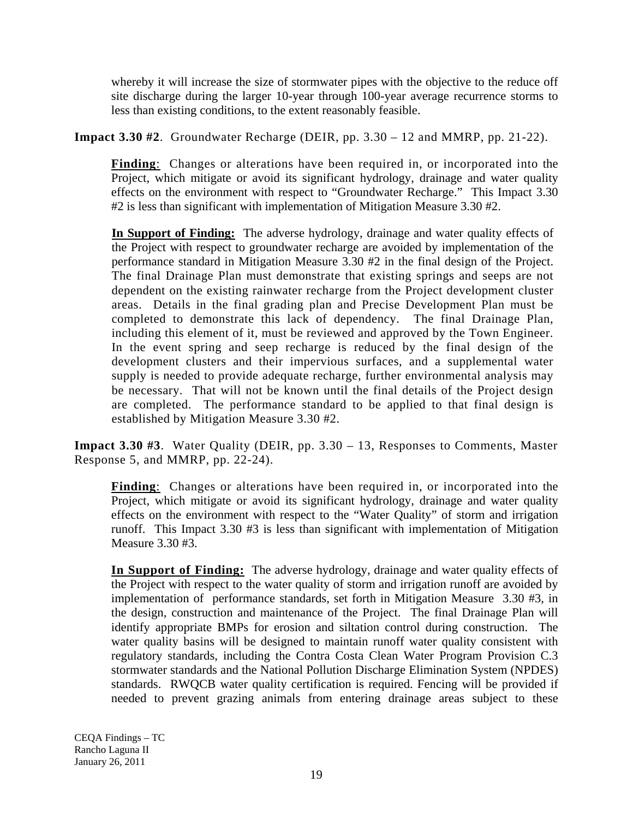whereby it will increase the size of stormwater pipes with the objective to the reduce off site discharge during the larger 10-year through 100-year average recurrence storms to less than existing conditions, to the extent reasonably feasible.

**Impact 3.30 #2**. Groundwater Recharge (DEIR, pp. 3.30 – 12 and MMRP, pp. 21-22).

**Finding**: Changes or alterations have been required in, or incorporated into the Project, which mitigate or avoid its significant hydrology, drainage and water quality effects on the environment with respect to "Groundwater Recharge." This Impact 3.30 #2 is less than significant with implementation of Mitigation Measure 3.30 #2.

**In Support of Finding:** The adverse hydrology, drainage and water quality effects of the Project with respect to groundwater recharge are avoided by implementation of the performance standard in Mitigation Measure 3.30 #2 in the final design of the Project. The final Drainage Plan must demonstrate that existing springs and seeps are not dependent on the existing rainwater recharge from the Project development cluster areas. Details in the final grading plan and Precise Development Plan must be completed to demonstrate this lack of dependency. The final Drainage Plan, including this element of it, must be reviewed and approved by the Town Engineer. In the event spring and seep recharge is reduced by the final design of the development clusters and their impervious surfaces, and a supplemental water supply is needed to provide adequate recharge, further environmental analysis may be necessary. That will not be known until the final details of the Project design are completed. The performance standard to be applied to that final design is established by Mitigation Measure 3.30 #2.

**Impact 3.30 #3**. Water Quality (DEIR, pp. 3.30 – 13, Responses to Comments, Master Response 5, and MMRP, pp. 22-24).

**Finding**: Changes or alterations have been required in, or incorporated into the Project, which mitigate or avoid its significant hydrology, drainage and water quality effects on the environment with respect to the "Water Quality" of storm and irrigation runoff. This Impact 3.30 #3 is less than significant with implementation of Mitigation Measure 3.30 #3.

**In Support of Finding:** The adverse hydrology, drainage and water quality effects of the Project with respect to the water quality of storm and irrigation runoff are avoided by implementation of performance standards, set forth in Mitigation Measure 3.30 #3, in the design, construction and maintenance of the Project. The final Drainage Plan will identify appropriate BMPs for erosion and siltation control during construction. The water quality basins will be designed to maintain runoff water quality consistent with regulatory standards, including the Contra Costa Clean Water Program Provision C.3 stormwater standards and the National Pollution Discharge Elimination System (NPDES) standards. RWQCB water quality certification is required. Fencing will be provided if needed to prevent grazing animals from entering drainage areas subject to these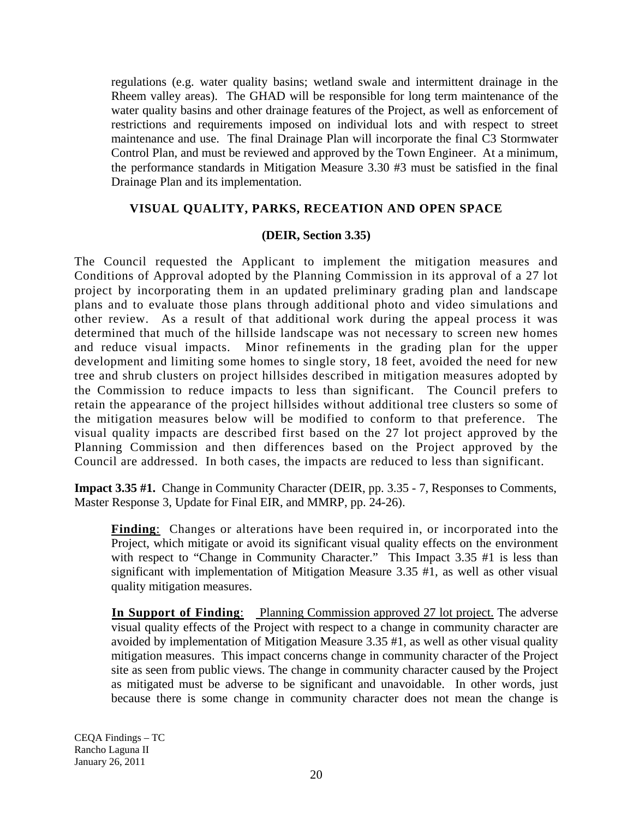regulations (e.g. water quality basins; wetland swale and intermittent drainage in the Rheem valley areas). The GHAD will be responsible for long term maintenance of the water quality basins and other drainage features of the Project, as well as enforcement of restrictions and requirements imposed on individual lots and with respect to street maintenance and use. The final Drainage Plan will incorporate the final C3 Stormwater Control Plan, and must be reviewed and approved by the Town Engineer. At a minimum, the performance standards in Mitigation Measure 3.30 #3 must be satisfied in the final Drainage Plan and its implementation.

## **VISUAL QUALITY, PARKS, RECEATION AND OPEN SPACE**

#### **(DEIR, Section 3.35)**

The Council requested the Applicant to implement the mitigation measures and Conditions of Approval adopted by the Planning Commission in its approval of a 27 lot project by incorporating them in an updated preliminary grading plan and landscape plans and to evaluate those plans through additional photo and video simulations and other review. As a result of that additional work during the appeal process it was determined that much of the hillside landscape was not necessary to screen new homes and reduce visual impacts. Minor refinements in the grading plan for the upper development and limiting some homes to single story, 18 feet, avoided the need for new tree and shrub clusters on project hillsides described in mitigation measures adopted by the Commission to reduce impacts to less than significant. The Council prefers to retain the appearance of the project hillsides without additional tree clusters so some of the mitigation measures below will be modified to conform to that preference. The visual quality impacts are described first based on the 27 lot project approved by the Planning Commission and then differences based on the Project approved by the Council are addressed. In both cases, the impacts are reduced to less than significant.

**Impact 3.35 #1.** Change in Community Character (DEIR, pp. 3.35 - 7, Responses to Comments, Master Response 3, Update for Final EIR, and MMRP, pp. 24-26).

**Finding**: Changes or alterations have been required in, or incorporated into the Project, which mitigate or avoid its significant visual quality effects on the environment with respect to "Change in Community Character." This Impact 3.35 #1 is less than significant with implementation of Mitigation Measure 3.35 #1, as well as other visual quality mitigation measures.

**In Support of Finding**: Planning Commission approved 27 lot project. The adverse visual quality effects of the Project with respect to a change in community character are avoided by implementation of Mitigation Measure 3.35 #1, as well as other visual quality mitigation measures. This impact concerns change in community character of the Project site as seen from public views. The change in community character caused by the Project as mitigated must be adverse to be significant and unavoidable. In other words, just because there is some change in community character does not mean the change is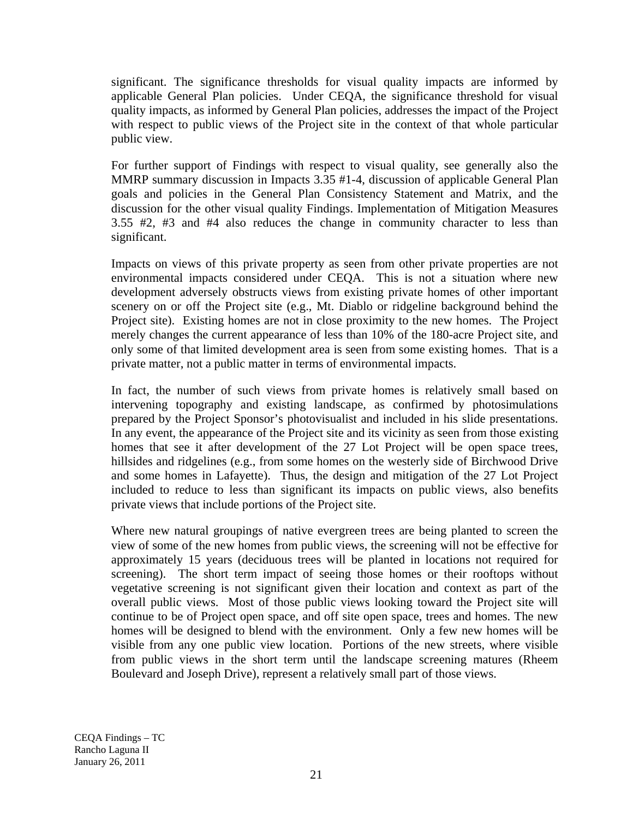significant. The significance thresholds for visual quality impacts are informed by applicable General Plan policies. Under CEQA, the significance threshold for visual quality impacts, as informed by General Plan policies, addresses the impact of the Project with respect to public views of the Project site in the context of that whole particular public view.

For further support of Findings with respect to visual quality, see generally also the MMRP summary discussion in Impacts 3.35 #1-4, discussion of applicable General Plan goals and policies in the General Plan Consistency Statement and Matrix, and the discussion for the other visual quality Findings. Implementation of Mitigation Measures 3.55 #2, #3 and #4 also reduces the change in community character to less than significant.

Impacts on views of this private property as seen from other private properties are not environmental impacts considered under CEQA. This is not a situation where new development adversely obstructs views from existing private homes of other important scenery on or off the Project site (e.g., Mt. Diablo or ridgeline background behind the Project site). Existing homes are not in close proximity to the new homes. The Project merely changes the current appearance of less than 10% of the 180-acre Project site, and only some of that limited development area is seen from some existing homes. That is a private matter, not a public matter in terms of environmental impacts.

In fact, the number of such views from private homes is relatively small based on intervening topography and existing landscape, as confirmed by photosimulations prepared by the Project Sponsor's photovisualist and included in his slide presentations. In any event, the appearance of the Project site and its vicinity as seen from those existing homes that see it after development of the 27 Lot Project will be open space trees, hillsides and ridgelines (e.g., from some homes on the westerly side of Birchwood Drive and some homes in Lafayette). Thus, the design and mitigation of the 27 Lot Project included to reduce to less than significant its impacts on public views, also benefits private views that include portions of the Project site.

Where new natural groupings of native evergreen trees are being planted to screen the view of some of the new homes from public views, the screening will not be effective for approximately 15 years (deciduous trees will be planted in locations not required for screening). The short term impact of seeing those homes or their rooftops without vegetative screening is not significant given their location and context as part of the overall public views. Most of those public views looking toward the Project site will continue to be of Project open space, and off site open space, trees and homes. The new homes will be designed to blend with the environment. Only a few new homes will be visible from any one public view location. Portions of the new streets, where visible from public views in the short term until the landscape screening matures (Rheem Boulevard and Joseph Drive), represent a relatively small part of those views.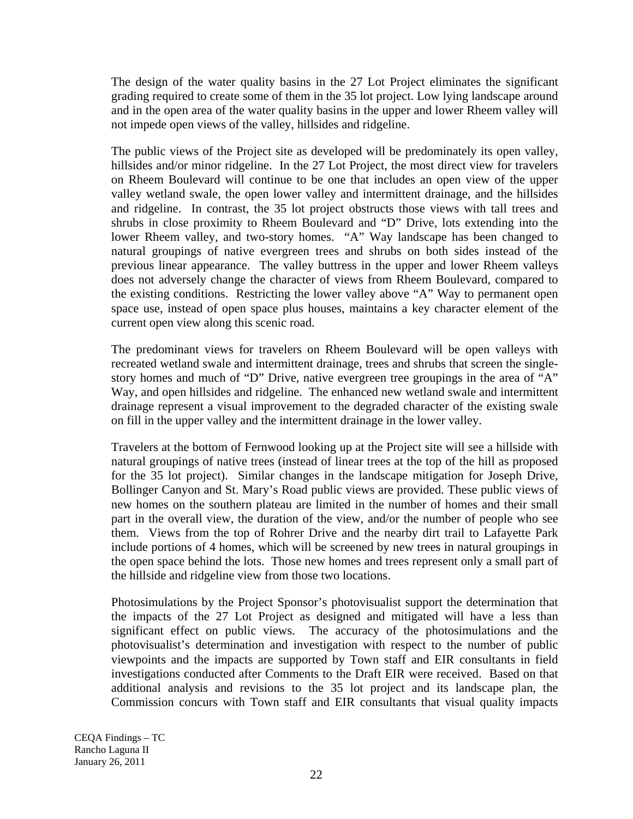The design of the water quality basins in the 27 Lot Project eliminates the significant grading required to create some of them in the 35 lot project. Low lying landscape around and in the open area of the water quality basins in the upper and lower Rheem valley will not impede open views of the valley, hillsides and ridgeline.

The public views of the Project site as developed will be predominately its open valley, hillsides and/or minor ridgeline. In the 27 Lot Project, the most direct view for travelers on Rheem Boulevard will continue to be one that includes an open view of the upper valley wetland swale, the open lower valley and intermittent drainage, and the hillsides and ridgeline. In contrast, the 35 lot project obstructs those views with tall trees and shrubs in close proximity to Rheem Boulevard and "D" Drive, lots extending into the lower Rheem valley, and two-story homes. "A" Way landscape has been changed to natural groupings of native evergreen trees and shrubs on both sides instead of the previous linear appearance. The valley buttress in the upper and lower Rheem valleys does not adversely change the character of views from Rheem Boulevard, compared to the existing conditions. Restricting the lower valley above "A" Way to permanent open space use, instead of open space plus houses, maintains a key character element of the current open view along this scenic road.

The predominant views for travelers on Rheem Boulevard will be open valleys with recreated wetland swale and intermittent drainage, trees and shrubs that screen the singlestory homes and much of "D" Drive, native evergreen tree groupings in the area of "A" Way, and open hillsides and ridgeline. The enhanced new wetland swale and intermittent drainage represent a visual improvement to the degraded character of the existing swale on fill in the upper valley and the intermittent drainage in the lower valley.

Travelers at the bottom of Fernwood looking up at the Project site will see a hillside with natural groupings of native trees (instead of linear trees at the top of the hill as proposed for the 35 lot project). Similar changes in the landscape mitigation for Joseph Drive, Bollinger Canyon and St. Mary's Road public views are provided. These public views of new homes on the southern plateau are limited in the number of homes and their small part in the overall view, the duration of the view, and/or the number of people who see them. Views from the top of Rohrer Drive and the nearby dirt trail to Lafayette Park include portions of 4 homes, which will be screened by new trees in natural groupings in the open space behind the lots. Those new homes and trees represent only a small part of the hillside and ridgeline view from those two locations.

Photosimulations by the Project Sponsor's photovisualist support the determination that the impacts of the 27 Lot Project as designed and mitigated will have a less than significant effect on public views. The accuracy of the photosimulations and the photovisualist's determination and investigation with respect to the number of public viewpoints and the impacts are supported by Town staff and EIR consultants in field investigations conducted after Comments to the Draft EIR were received. Based on that additional analysis and revisions to the 35 lot project and its landscape plan, the Commission concurs with Town staff and EIR consultants that visual quality impacts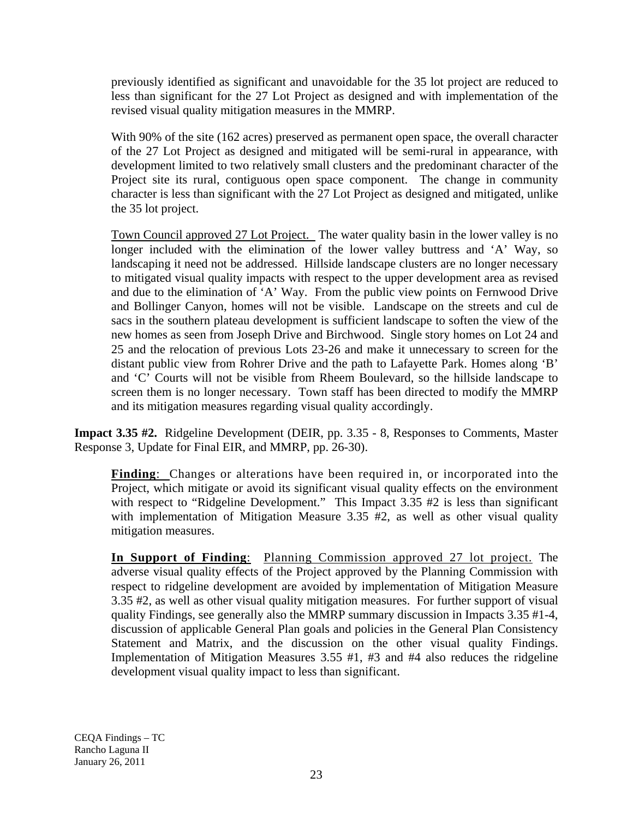previously identified as significant and unavoidable for the 35 lot project are reduced to less than significant for the 27 Lot Project as designed and with implementation of the revised visual quality mitigation measures in the MMRP.

With 90% of the site (162 acres) preserved as permanent open space, the overall character of the 27 Lot Project as designed and mitigated will be semi-rural in appearance, with development limited to two relatively small clusters and the predominant character of the Project site its rural, contiguous open space component. The change in community character is less than significant with the 27 Lot Project as designed and mitigated, unlike the 35 lot project.

Town Council approved 27 Lot Project. The water quality basin in the lower valley is no longer included with the elimination of the lower valley buttress and 'A' Way, so landscaping it need not be addressed. Hillside landscape clusters are no longer necessary to mitigated visual quality impacts with respect to the upper development area as revised and due to the elimination of 'A' Way. From the public view points on Fernwood Drive and Bollinger Canyon, homes will not be visible. Landscape on the streets and cul de sacs in the southern plateau development is sufficient landscape to soften the view of the new homes as seen from Joseph Drive and Birchwood. Single story homes on Lot 24 and 25 and the relocation of previous Lots 23-26 and make it unnecessary to screen for the distant public view from Rohrer Drive and the path to Lafayette Park. Homes along 'B' and 'C' Courts will not be visible from Rheem Boulevard, so the hillside landscape to screen them is no longer necessary. Town staff has been directed to modify the MMRP and its mitigation measures regarding visual quality accordingly.

**Impact 3.35 #2.** Ridgeline Development (DEIR, pp. 3.35 - 8, Responses to Comments, Master Response 3, Update for Final EIR, and MMRP, pp. 26-30).

**Finding**: Changes or alterations have been required in, or incorporated into the Project, which mitigate or avoid its significant visual quality effects on the environment with respect to "Ridgeline Development." This Impact 3.35 #2 is less than significant with implementation of Mitigation Measure 3.35 #2, as well as other visual quality mitigation measures.

**In Support of Finding**: Planning Commission approved 27 lot project. The adverse visual quality effects of the Project approved by the Planning Commission with respect to ridgeline development are avoided by implementation of Mitigation Measure 3.35 #2, as well as other visual quality mitigation measures. For further support of visual quality Findings, see generally also the MMRP summary discussion in Impacts 3.35 #1-4, discussion of applicable General Plan goals and policies in the General Plan Consistency Statement and Matrix, and the discussion on the other visual quality Findings. Implementation of Mitigation Measures 3.55 #1, #3 and #4 also reduces the ridgeline development visual quality impact to less than significant.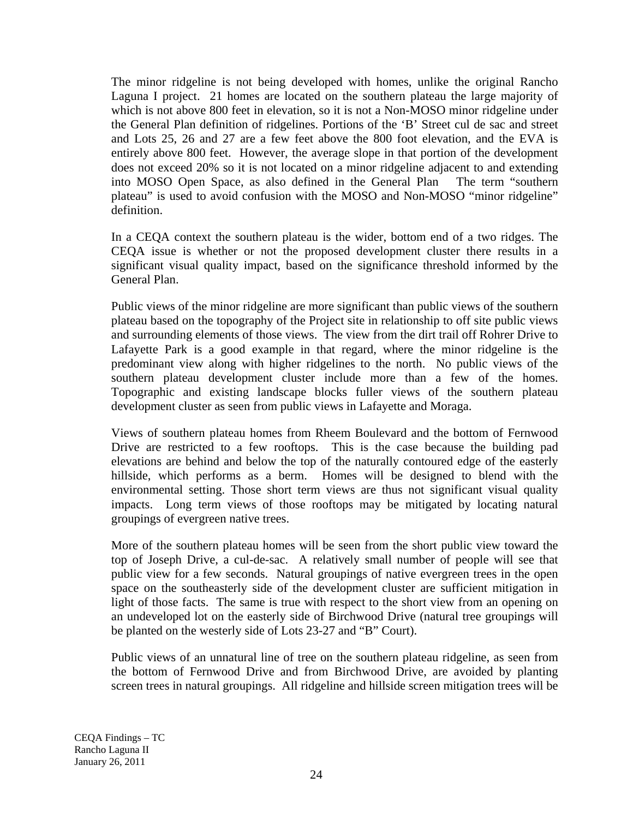The minor ridgeline is not being developed with homes, unlike the original Rancho Laguna I project. 21 homes are located on the southern plateau the large majority of which is not above 800 feet in elevation, so it is not a Non-MOSO minor ridgeline under the General Plan definition of ridgelines. Portions of the 'B' Street cul de sac and street and Lots 25, 26 and 27 are a few feet above the 800 foot elevation, and the EVA is entirely above 800 feet. However, the average slope in that portion of the development does not exceed 20% so it is not located on a minor ridgeline adjacent to and extending into MOSO Open Space, as also defined in the General Plan The term "southern plateau" is used to avoid confusion with the MOSO and Non-MOSO "minor ridgeline" definition.

In a CEQA context the southern plateau is the wider, bottom end of a two ridges. The CEQA issue is whether or not the proposed development cluster there results in a significant visual quality impact, based on the significance threshold informed by the General Plan.

Public views of the minor ridgeline are more significant than public views of the southern plateau based on the topography of the Project site in relationship to off site public views and surrounding elements of those views. The view from the dirt trail off Rohrer Drive to Lafayette Park is a good example in that regard, where the minor ridgeline is the predominant view along with higher ridgelines to the north. No public views of the southern plateau development cluster include more than a few of the homes. Topographic and existing landscape blocks fuller views of the southern plateau development cluster as seen from public views in Lafayette and Moraga.

Views of southern plateau homes from Rheem Boulevard and the bottom of Fernwood Drive are restricted to a few rooftops. This is the case because the building pad elevations are behind and below the top of the naturally contoured edge of the easterly hillside, which performs as a berm. Homes will be designed to blend with the environmental setting. Those short term views are thus not significant visual quality impacts. Long term views of those rooftops may be mitigated by locating natural groupings of evergreen native trees.

More of the southern plateau homes will be seen from the short public view toward the top of Joseph Drive, a cul-de-sac. A relatively small number of people will see that public view for a few seconds. Natural groupings of native evergreen trees in the open space on the southeasterly side of the development cluster are sufficient mitigation in light of those facts. The same is true with respect to the short view from an opening on an undeveloped lot on the easterly side of Birchwood Drive (natural tree groupings will be planted on the westerly side of Lots 23-27 and "B" Court).

Public views of an unnatural line of tree on the southern plateau ridgeline, as seen from the bottom of Fernwood Drive and from Birchwood Drive, are avoided by planting screen trees in natural groupings. All ridgeline and hillside screen mitigation trees will be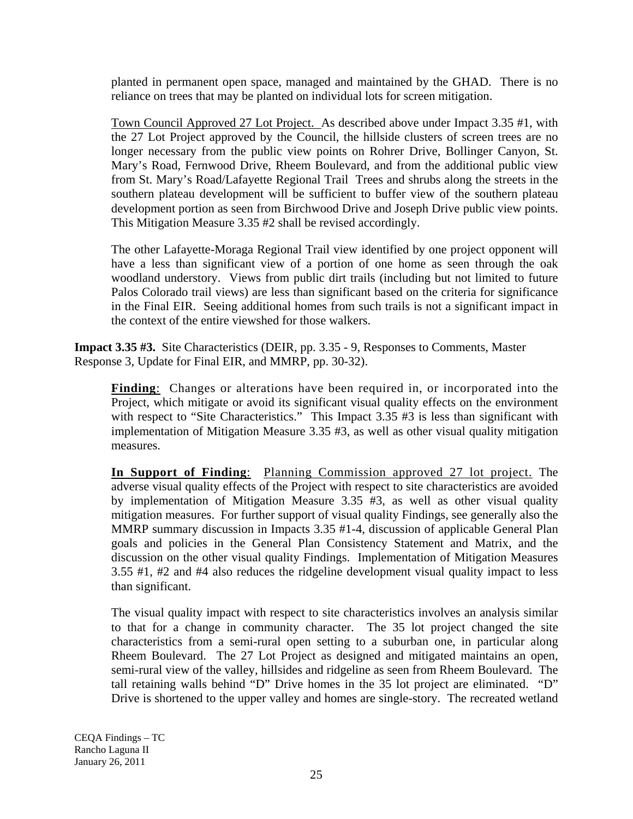planted in permanent open space, managed and maintained by the GHAD. There is no reliance on trees that may be planted on individual lots for screen mitigation.

Town Council Approved 27 Lot Project. As described above under Impact 3.35 #1, with the 27 Lot Project approved by the Council, the hillside clusters of screen trees are no longer necessary from the public view points on Rohrer Drive, Bollinger Canyon, St. Mary's Road, Fernwood Drive, Rheem Boulevard, and from the additional public view from St. Mary's Road/Lafayette Regional Trail Trees and shrubs along the streets in the southern plateau development will be sufficient to buffer view of the southern plateau development portion as seen from Birchwood Drive and Joseph Drive public view points. This Mitigation Measure 3.35 #2 shall be revised accordingly.

The other Lafayette-Moraga Regional Trail view identified by one project opponent will have a less than significant view of a portion of one home as seen through the oak woodland understory. Views from public dirt trails (including but not limited to future Palos Colorado trail views) are less than significant based on the criteria for significance in the Final EIR. Seeing additional homes from such trails is not a significant impact in the context of the entire viewshed for those walkers.

**Impact 3.35 #3.** Site Characteristics (DEIR, pp. 3.35 - 9, Responses to Comments, Master Response 3, Update for Final EIR, and MMRP, pp. 30-32).

**Finding**: Changes or alterations have been required in, or incorporated into the Project, which mitigate or avoid its significant visual quality effects on the environment with respect to "Site Characteristics." This Impact 3.35 #3 is less than significant with implementation of Mitigation Measure 3.35 #3, as well as other visual quality mitigation measures.

**In Support of Finding**: Planning Commission approved 27 lot project. The adverse visual quality effects of the Project with respect to site characteristics are avoided by implementation of Mitigation Measure 3.35 #3, as well as other visual quality mitigation measures. For further support of visual quality Findings, see generally also the MMRP summary discussion in Impacts 3.35 #1-4, discussion of applicable General Plan goals and policies in the General Plan Consistency Statement and Matrix, and the discussion on the other visual quality Findings. Implementation of Mitigation Measures 3.55 #1, #2 and #4 also reduces the ridgeline development visual quality impact to less than significant.

The visual quality impact with respect to site characteristics involves an analysis similar to that for a change in community character. The 35 lot project changed the site characteristics from a semi-rural open setting to a suburban one, in particular along Rheem Boulevard. The 27 Lot Project as designed and mitigated maintains an open, semi-rural view of the valley, hillsides and ridgeline as seen from Rheem Boulevard. The tall retaining walls behind "D" Drive homes in the 35 lot project are eliminated. "D" Drive is shortened to the upper valley and homes are single-story. The recreated wetland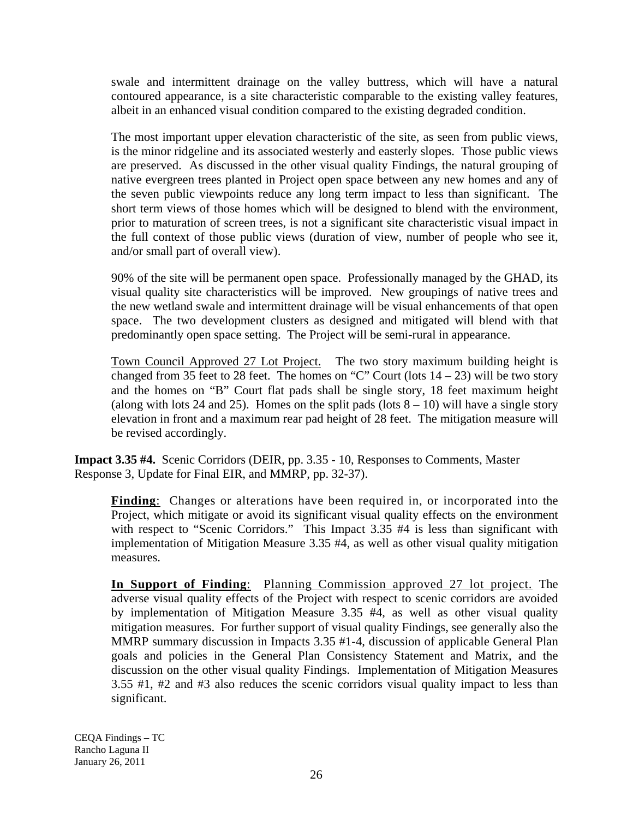swale and intermittent drainage on the valley buttress, which will have a natural contoured appearance, is a site characteristic comparable to the existing valley features, albeit in an enhanced visual condition compared to the existing degraded condition.

The most important upper elevation characteristic of the site, as seen from public views, is the minor ridgeline and its associated westerly and easterly slopes. Those public views are preserved. As discussed in the other visual quality Findings, the natural grouping of native evergreen trees planted in Project open space between any new homes and any of the seven public viewpoints reduce any long term impact to less than significant. The short term views of those homes which will be designed to blend with the environment, prior to maturation of screen trees, is not a significant site characteristic visual impact in the full context of those public views (duration of view, number of people who see it, and/or small part of overall view).

90% of the site will be permanent open space. Professionally managed by the GHAD, its visual quality site characteristics will be improved. New groupings of native trees and the new wetland swale and intermittent drainage will be visual enhancements of that open space. The two development clusters as designed and mitigated will blend with that predominantly open space setting. The Project will be semi-rural in appearance.

Town Council Approved 27 Lot Project. The two story maximum building height is changed from 35 feet to 28 feet. The homes on "C" Court (lots  $14 - 23$ ) will be two story and the homes on "B" Court flat pads shall be single story, 18 feet maximum height (along with lots 24 and 25). Homes on the split pads (lots  $8 - 10$ ) will have a single story elevation in front and a maximum rear pad height of 28 feet. The mitigation measure will be revised accordingly.

**Impact 3.35 #4.** Scenic Corridors (DEIR, pp. 3.35 - 10, Responses to Comments, Master Response 3, Update for Final EIR, and MMRP, pp. 32-37).

**Finding**: Changes or alterations have been required in, or incorporated into the Project, which mitigate or avoid its significant visual quality effects on the environment with respect to "Scenic Corridors." This Impact 3.35 #4 is less than significant with implementation of Mitigation Measure 3.35 #4, as well as other visual quality mitigation measures.

**In Support of Finding**: Planning Commission approved 27 lot project. The adverse visual quality effects of the Project with respect to scenic corridors are avoided by implementation of Mitigation Measure 3.35 #4, as well as other visual quality mitigation measures. For further support of visual quality Findings, see generally also the MMRP summary discussion in Impacts 3.35 #1-4, discussion of applicable General Plan goals and policies in the General Plan Consistency Statement and Matrix, and the discussion on the other visual quality Findings. Implementation of Mitigation Measures 3.55 #1, #2 and #3 also reduces the scenic corridors visual quality impact to less than significant.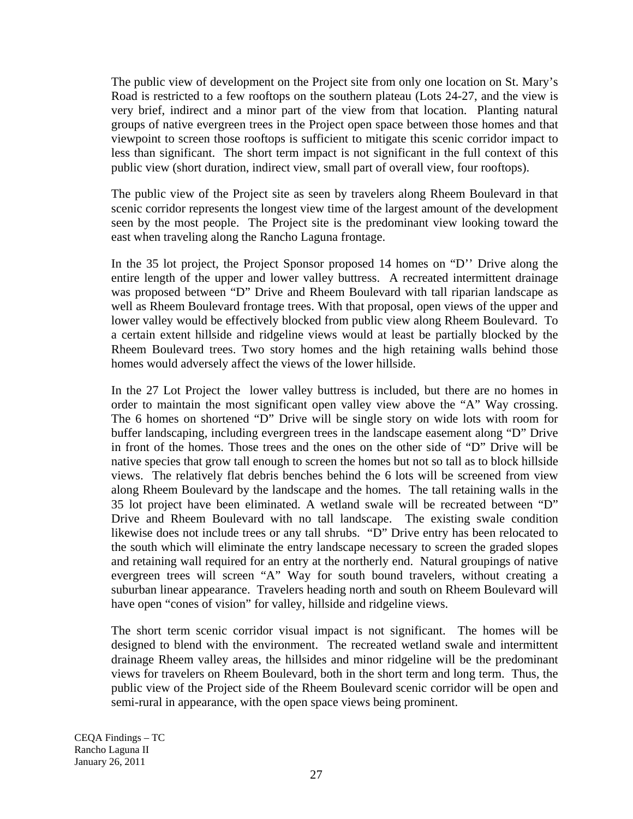The public view of development on the Project site from only one location on St. Mary's Road is restricted to a few rooftops on the southern plateau (Lots 24-27, and the view is very brief, indirect and a minor part of the view from that location. Planting natural groups of native evergreen trees in the Project open space between those homes and that viewpoint to screen those rooftops is sufficient to mitigate this scenic corridor impact to less than significant. The short term impact is not significant in the full context of this public view (short duration, indirect view, small part of overall view, four rooftops).

The public view of the Project site as seen by travelers along Rheem Boulevard in that scenic corridor represents the longest view time of the largest amount of the development seen by the most people. The Project site is the predominant view looking toward the east when traveling along the Rancho Laguna frontage.

In the 35 lot project, the Project Sponsor proposed 14 homes on "D'' Drive along the entire length of the upper and lower valley buttress. A recreated intermittent drainage was proposed between "D" Drive and Rheem Boulevard with tall riparian landscape as well as Rheem Boulevard frontage trees. With that proposal, open views of the upper and lower valley would be effectively blocked from public view along Rheem Boulevard. To a certain extent hillside and ridgeline views would at least be partially blocked by the Rheem Boulevard trees. Two story homes and the high retaining walls behind those homes would adversely affect the views of the lower hillside.

In the 27 Lot Project the lower valley buttress is included, but there are no homes in order to maintain the most significant open valley view above the "A" Way crossing. The 6 homes on shortened "D" Drive will be single story on wide lots with room for buffer landscaping, including evergreen trees in the landscape easement along "D" Drive in front of the homes. Those trees and the ones on the other side of "D" Drive will be native species that grow tall enough to screen the homes but not so tall as to block hillside views. The relatively flat debris benches behind the 6 lots will be screened from view along Rheem Boulevard by the landscape and the homes. The tall retaining walls in the 35 lot project have been eliminated. A wetland swale will be recreated between "D" Drive and Rheem Boulevard with no tall landscape. The existing swale condition likewise does not include trees or any tall shrubs. "D" Drive entry has been relocated to the south which will eliminate the entry landscape necessary to screen the graded slopes and retaining wall required for an entry at the northerly end. Natural groupings of native evergreen trees will screen "A" Way for south bound travelers, without creating a suburban linear appearance. Travelers heading north and south on Rheem Boulevard will have open "cones of vision" for valley, hillside and ridgeline views.

The short term scenic corridor visual impact is not significant. The homes will be designed to blend with the environment. The recreated wetland swale and intermittent drainage Rheem valley areas, the hillsides and minor ridgeline will be the predominant views for travelers on Rheem Boulevard, both in the short term and long term. Thus, the public view of the Project side of the Rheem Boulevard scenic corridor will be open and semi-rural in appearance, with the open space views being prominent.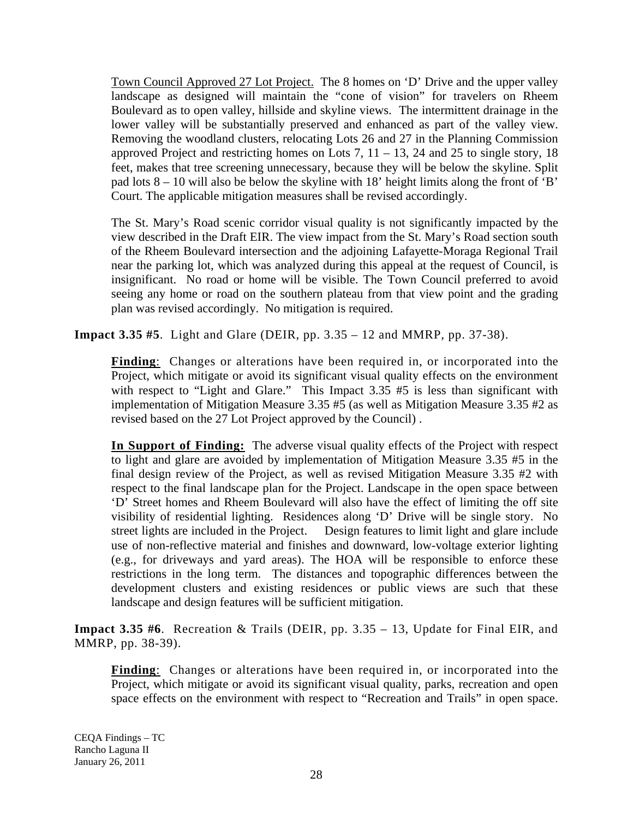Town Council Approved 27 Lot Project. The 8 homes on 'D' Drive and the upper valley landscape as designed will maintain the "cone of vision" for travelers on Rheem Boulevard as to open valley, hillside and skyline views. The intermittent drainage in the lower valley will be substantially preserved and enhanced as part of the valley view. Removing the woodland clusters, relocating Lots 26 and 27 in the Planning Commission approved Project and restricting homes on Lots 7,  $11 - 13$ , 24 and 25 to single story, 18 feet, makes that tree screening unnecessary, because they will be below the skyline. Split pad lots  $8 - 10$  will also be below the skyline with 18' height limits along the front of 'B' Court. The applicable mitigation measures shall be revised accordingly.

The St. Mary's Road scenic corridor visual quality is not significantly impacted by the view described in the Draft EIR. The view impact from the St. Mary's Road section south of the Rheem Boulevard intersection and the adjoining Lafayette-Moraga Regional Trail near the parking lot, which was analyzed during this appeal at the request of Council, is insignificant. No road or home will be visible. The Town Council preferred to avoid seeing any home or road on the southern plateau from that view point and the grading plan was revised accordingly. No mitigation is required.

**Impact 3.35 #5**. Light and Glare (DEIR, pp. 3.35 – 12 and MMRP, pp. 37-38).

**Finding**: Changes or alterations have been required in, or incorporated into the Project, which mitigate or avoid its significant visual quality effects on the environment with respect to "Light and Glare." This Impact  $3.35$  #5 is less than significant with implementation of Mitigation Measure 3.35 #5 (as well as Mitigation Measure 3.35 #2 as revised based on the 27 Lot Project approved by the Council) .

**In Support of Finding:** The adverse visual quality effects of the Project with respect to light and glare are avoided by implementation of Mitigation Measure 3.35 #5 in the final design review of the Project, as well as revised Mitigation Measure 3.35 #2 with respect to the final landscape plan for the Project. Landscape in the open space between 'D' Street homes and Rheem Boulevard will also have the effect of limiting the off site visibility of residential lighting. Residences along 'D' Drive will be single story. No street lights are included in the Project. Design features to limit light and glare include use of non-reflective material and finishes and downward, low-voltage exterior lighting (e.g., for driveways and yard areas). The HOA will be responsible to enforce these restrictions in the long term. The distances and topographic differences between the development clusters and existing residences or public views are such that these landscape and design features will be sufficient mitigation.

**Impact 3.35 #6**. Recreation & Trails (DEIR, pp. 3.35 – 13, Update for Final EIR, and MMRP, pp. 38-39).

**Finding**: Changes or alterations have been required in, or incorporated into the Project, which mitigate or avoid its significant visual quality, parks, recreation and open space effects on the environment with respect to "Recreation and Trails" in open space.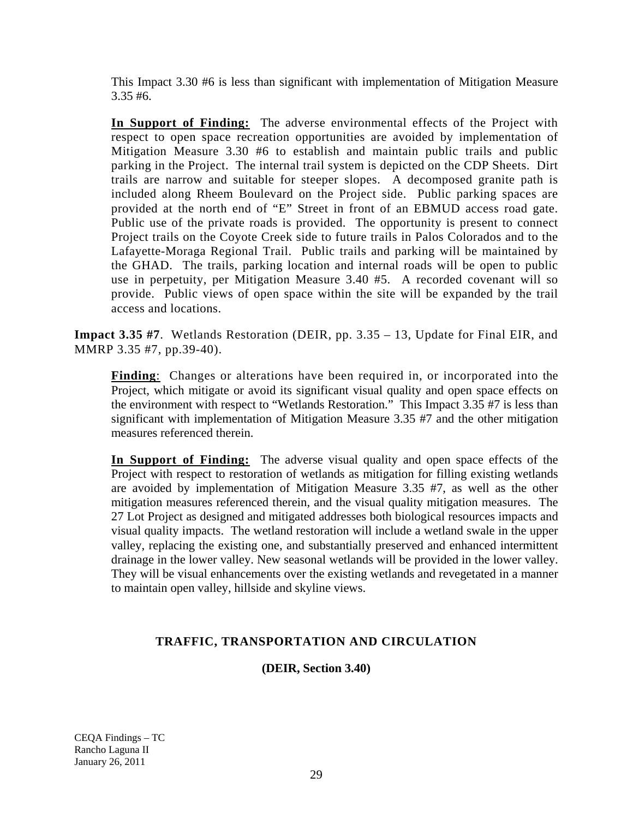This Impact 3.30 #6 is less than significant with implementation of Mitigation Measure 3.35 #6.

**In Support of Finding:** The adverse environmental effects of the Project with respect to open space recreation opportunities are avoided by implementation of Mitigation Measure 3.30 #6 to establish and maintain public trails and public parking in the Project. The internal trail system is depicted on the CDP Sheets. Dirt trails are narrow and suitable for steeper slopes. A decomposed granite path is included along Rheem Boulevard on the Project side. Public parking spaces are provided at the north end of "E" Street in front of an EBMUD access road gate. Public use of the private roads is provided. The opportunity is present to connect Project trails on the Coyote Creek side to future trails in Palos Colorados and to the Lafayette-Moraga Regional Trail. Public trails and parking will be maintained by the GHAD. The trails, parking location and internal roads will be open to public use in perpetuity, per Mitigation Measure 3.40 #5. A recorded covenant will so provide. Public views of open space within the site will be expanded by the trail access and locations.

**Impact 3.35 #7**. Wetlands Restoration (DEIR, pp. 3.35 – 13, Update for Final EIR, and MMRP 3.35 #7, pp.39-40).

**Finding**: Changes or alterations have been required in, or incorporated into the Project, which mitigate or avoid its significant visual quality and open space effects on the environment with respect to "Wetlands Restoration." This Impact 3.35 #7 is less than significant with implementation of Mitigation Measure 3.35 #7 and the other mitigation measures referenced therein.

**In Support of Finding:** The adverse visual quality and open space effects of the Project with respect to restoration of wetlands as mitigation for filling existing wetlands are avoided by implementation of Mitigation Measure 3.35 #7, as well as the other mitigation measures referenced therein, and the visual quality mitigation measures. The 27 Lot Project as designed and mitigated addresses both biological resources impacts and visual quality impacts. The wetland restoration will include a wetland swale in the upper valley, replacing the existing one, and substantially preserved and enhanced intermittent drainage in the lower valley. New seasonal wetlands will be provided in the lower valley. They will be visual enhancements over the existing wetlands and revegetated in a manner to maintain open valley, hillside and skyline views.

## **TRAFFIC, TRANSPORTATION AND CIRCULATION**

**(DEIR, Section 3.40)**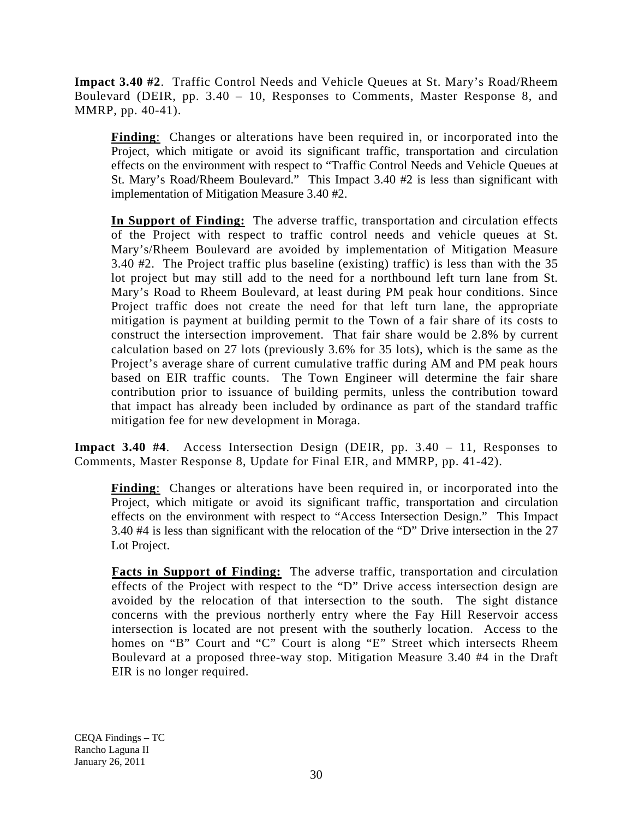**Impact 3.40 #2**. Traffic Control Needs and Vehicle Queues at St. Mary's Road/Rheem Boulevard (DEIR, pp. 3.40 – 10, Responses to Comments, Master Response 8, and MMRP, pp. 40-41).

**Finding**: Changes or alterations have been required in, or incorporated into the Project, which mitigate or avoid its significant traffic, transportation and circulation effects on the environment with respect to "Traffic Control Needs and Vehicle Queues at St. Mary's Road/Rheem Boulevard." This Impact 3.40 #2 is less than significant with implementation of Mitigation Measure 3.40 #2.

**In Support of Finding:** The adverse traffic, transportation and circulation effects of the Project with respect to traffic control needs and vehicle queues at St. Mary's/Rheem Boulevard are avoided by implementation of Mitigation Measure 3.40 #2. The Project traffic plus baseline (existing) traffic) is less than with the 35 lot project but may still add to the need for a northbound left turn lane from St. Mary's Road to Rheem Boulevard, at least during PM peak hour conditions. Since Project traffic does not create the need for that left turn lane, the appropriate mitigation is payment at building permit to the Town of a fair share of its costs to construct the intersection improvement. That fair share would be 2.8% by current calculation based on 27 lots (previously 3.6% for 35 lots), which is the same as the Project's average share of current cumulative traffic during AM and PM peak hours based on EIR traffic counts. The Town Engineer will determine the fair share contribution prior to issuance of building permits, unless the contribution toward that impact has already been included by ordinance as part of the standard traffic mitigation fee for new development in Moraga.

**Impact 3.40 #4**. Access Intersection Design (DEIR, pp. 3.40 – 11, Responses to Comments, Master Response 8, Update for Final EIR, and MMRP, pp. 41-42).

**Finding**: Changes or alterations have been required in, or incorporated into the Project, which mitigate or avoid its significant traffic, transportation and circulation effects on the environment with respect to "Access Intersection Design." This Impact 3.40 #4 is less than significant with the relocation of the "D" Drive intersection in the 27 Lot Project.

**Facts in Support of Finding:** The adverse traffic, transportation and circulation effects of the Project with respect to the "D" Drive access intersection design are avoided by the relocation of that intersection to the south. The sight distance concerns with the previous northerly entry where the Fay Hill Reservoir access intersection is located are not present with the southerly location. Access to the homes on "B" Court and "C" Court is along "E" Street which intersects Rheem Boulevard at a proposed three-way stop. Mitigation Measure 3.40 #4 in the Draft EIR is no longer required.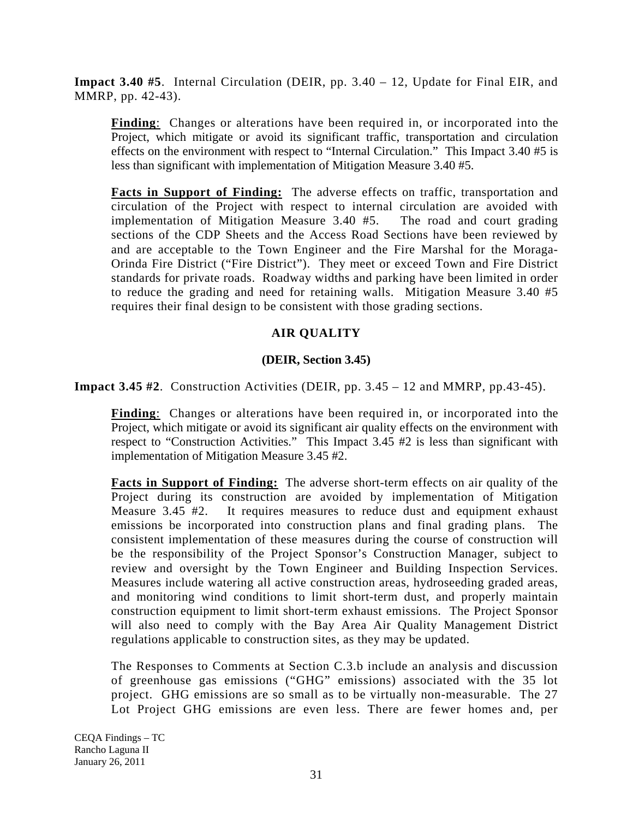**Impact 3.40 #5**. Internal Circulation (DEIR, pp. 3.40 – 12, Update for Final EIR, and MMRP, pp. 42-43).

**Finding**: Changes or alterations have been required in, or incorporated into the Project, which mitigate or avoid its significant traffic, transportation and circulation effects on the environment with respect to "Internal Circulation." This Impact 3.40 #5 is less than significant with implementation of Mitigation Measure 3.40 #5.

**Facts in Support of Finding:** The adverse effects on traffic, transportation and circulation of the Project with respect to internal circulation are avoided with implementation of Mitigation Measure 3.40 #5. The road and court grading sections of the CDP Sheets and the Access Road Sections have been reviewed by and are acceptable to the Town Engineer and the Fire Marshal for the Moraga-Orinda Fire District ("Fire District"). They meet or exceed Town and Fire District standards for private roads. Roadway widths and parking have been limited in order to reduce the grading and need for retaining walls. Mitigation Measure 3.40 #5 requires their final design to be consistent with those grading sections.

# **AIR QUALITY**

## **(DEIR, Section 3.45)**

**Impact 3.45 #2**. Construction Activities (DEIR, pp. 3.45 – 12 and MMRP, pp.43-45).

**Finding**: Changes or alterations have been required in, or incorporated into the Project, which mitigate or avoid its significant air quality effects on the environment with respect to "Construction Activities." This Impact 3.45 #2 is less than significant with implementation of Mitigation Measure 3.45 #2.

**Facts in Support of Finding:** The adverse short-term effects on air quality of the Project during its construction are avoided by implementation of Mitigation Measure 3.45 #2. It requires measures to reduce dust and equipment exhaust emissions be incorporated into construction plans and final grading plans. The consistent implementation of these measures during the course of construction will be the responsibility of the Project Sponsor's Construction Manager, subject to review and oversight by the Town Engineer and Building Inspection Services. Measures include watering all active construction areas, hydroseeding graded areas, and monitoring wind conditions to limit short-term dust, and properly maintain construction equipment to limit short-term exhaust emissions. The Project Sponsor will also need to comply with the Bay Area Air Quality Management District regulations applicable to construction sites, as they may be updated.

The Responses to Comments at Section C.3.b include an analysis and discussion of greenhouse gas emissions ("GHG" emissions) associated with the 35 lot project. GHG emissions are so small as to be virtually non-measurable. The 27 Lot Project GHG emissions are even less. There are fewer homes and, per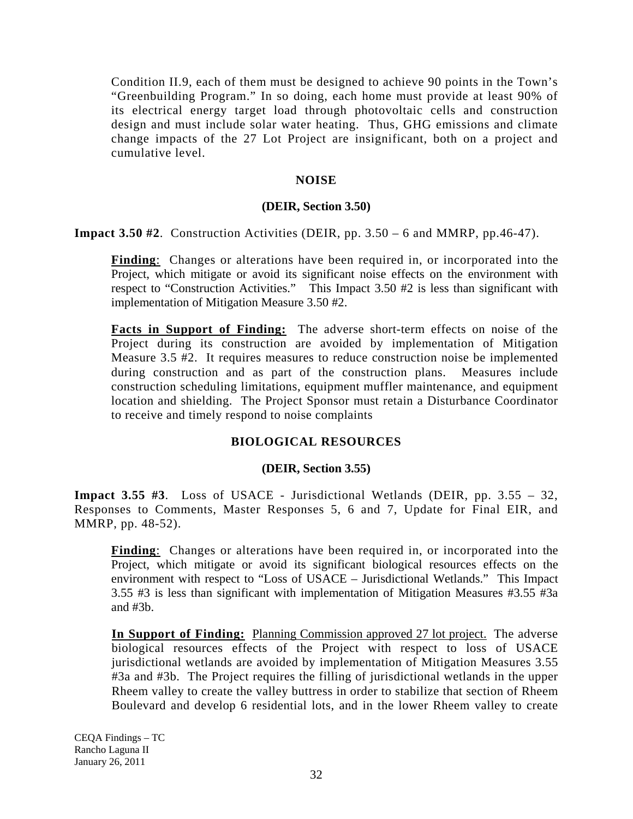Condition II.9, each of them must be designed to achieve 90 points in the Town's "Greenbuilding Program." In so doing, each home must provide at least 90% of its electrical energy target load through photovoltaic cells and construction design and must include solar water heating. Thus, GHG emissions and climate change impacts of the 27 Lot Project are insignificant, both on a project and cumulative level.

## **NOISE**

## **(DEIR, Section 3.50)**

**Impact 3.50 #2**. Construction Activities (DEIR, pp. 3.50 – 6 and MMRP, pp.46-47).

**Finding**: Changes or alterations have been required in, or incorporated into the Project, which mitigate or avoid its significant noise effects on the environment with respect to "Construction Activities." This Impact 3.50 #2 is less than significant with implementation of Mitigation Measure 3.50 #2.

**Facts in Support of Finding:** The adverse short-term effects on noise of the Project during its construction are avoided by implementation of Mitigation Measure 3.5 #2. It requires measures to reduce construction noise be implemented during construction and as part of the construction plans. Measures include construction scheduling limitations, equipment muffler maintenance, and equipment location and shielding. The Project Sponsor must retain a Disturbance Coordinator to receive and timely respond to noise complaints

## **BIOLOGICAL RESOURCES**

## **(DEIR, Section 3.55)**

**Impact 3.55 #3**. Loss of USACE - Jurisdictional Wetlands (DEIR, pp. 3.55 – 32, Responses to Comments, Master Responses 5, 6 and 7, Update for Final EIR, and MMRP, pp. 48-52).

**Finding**: Changes or alterations have been required in, or incorporated into the Project, which mitigate or avoid its significant biological resources effects on the environment with respect to "Loss of USACE – Jurisdictional Wetlands." This Impact 3.55 #3 is less than significant with implementation of Mitigation Measures #3.55 #3a and #3b.

**In Support of Finding:** Planning Commission approved 27 lot project. The adverse biological resources effects of the Project with respect to loss of USACE jurisdictional wetlands are avoided by implementation of Mitigation Measures 3.55 #3a and #3b. The Project requires the filling of jurisdictional wetlands in the upper Rheem valley to create the valley buttress in order to stabilize that section of Rheem Boulevard and develop 6 residential lots, and in the lower Rheem valley to create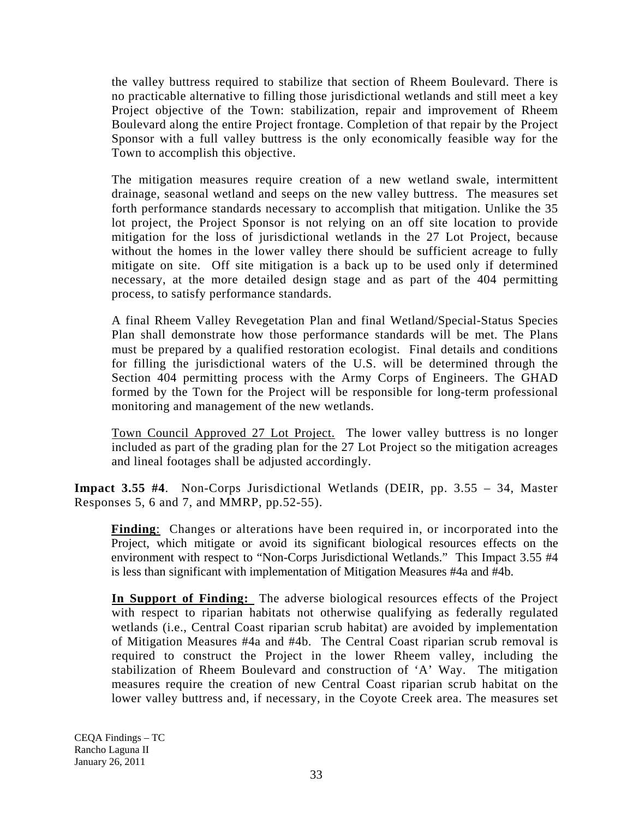the valley buttress required to stabilize that section of Rheem Boulevard. There is no practicable alternative to filling those jurisdictional wetlands and still meet a key Project objective of the Town: stabilization, repair and improvement of Rheem Boulevard along the entire Project frontage. Completion of that repair by the Project Sponsor with a full valley buttress is the only economically feasible way for the Town to accomplish this objective.

The mitigation measures require creation of a new wetland swale, intermittent drainage, seasonal wetland and seeps on the new valley buttress. The measures set forth performance standards necessary to accomplish that mitigation. Unlike the 35 lot project, the Project Sponsor is not relying on an off site location to provide mitigation for the loss of jurisdictional wetlands in the 27 Lot Project, because without the homes in the lower valley there should be sufficient acreage to fully mitigate on site. Off site mitigation is a back up to be used only if determined necessary, at the more detailed design stage and as part of the 404 permitting process, to satisfy performance standards.

A final Rheem Valley Revegetation Plan and final Wetland/Special-Status Species Plan shall demonstrate how those performance standards will be met. The Plans must be prepared by a qualified restoration ecologist. Final details and conditions for filling the jurisdictional waters of the U.S. will be determined through the Section 404 permitting process with the Army Corps of Engineers. The GHAD formed by the Town for the Project will be responsible for long-term professional monitoring and management of the new wetlands.

Town Council Approved 27 Lot Project. The lower valley buttress is no longer included as part of the grading plan for the 27 Lot Project so the mitigation acreages and lineal footages shall be adjusted accordingly.

**Impact 3.55 #4**. Non-Corps Jurisdictional Wetlands (DEIR, pp. 3.55 – 34, Master Responses 5, 6 and 7, and MMRP, pp.52-55).

**Finding**: Changes or alterations have been required in, or incorporated into the Project, which mitigate or avoid its significant biological resources effects on the environment with respect to "Non-Corps Jurisdictional Wetlands." This Impact 3.55 #4 is less than significant with implementation of Mitigation Measures #4a and #4b.

**In Support of Finding:** The adverse biological resources effects of the Project with respect to riparian habitats not otherwise qualifying as federally regulated wetlands (i.e., Central Coast riparian scrub habitat) are avoided by implementation of Mitigation Measures #4a and #4b. The Central Coast riparian scrub removal is required to construct the Project in the lower Rheem valley, including the stabilization of Rheem Boulevard and construction of 'A' Way. The mitigation measures require the creation of new Central Coast riparian scrub habitat on the lower valley buttress and, if necessary, in the Coyote Creek area. The measures set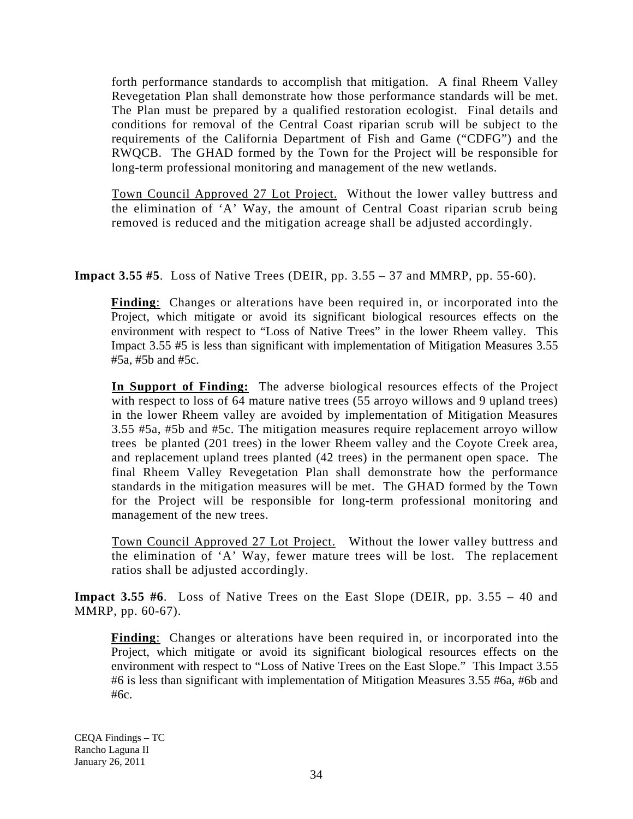forth performance standards to accomplish that mitigation. A final Rheem Valley Revegetation Plan shall demonstrate how those performance standards will be met. The Plan must be prepared by a qualified restoration ecologist. Final details and conditions for removal of the Central Coast riparian scrub will be subject to the requirements of the California Department of Fish and Game ("CDFG") and the RWQCB. The GHAD formed by the Town for the Project will be responsible for long-term professional monitoring and management of the new wetlands.

Town Council Approved 27 Lot Project. Without the lower valley buttress and the elimination of 'A' Way, the amount of Central Coast riparian scrub being removed is reduced and the mitigation acreage shall be adjusted accordingly.

**Impact 3.55 #5**. Loss of Native Trees (DEIR, pp. 3.55 – 37 and MMRP, pp. 55-60).

**Finding**: Changes or alterations have been required in, or incorporated into the Project, which mitigate or avoid its significant biological resources effects on the environment with respect to "Loss of Native Trees" in the lower Rheem valley. This Impact 3.55 #5 is less than significant with implementation of Mitigation Measures 3.55 #5a, #5b and #5c.

**In Support of Finding:** The adverse biological resources effects of the Project with respect to loss of 64 mature native trees (55 arroyo willows and 9 upland trees) in the lower Rheem valley are avoided by implementation of Mitigation Measures 3.55 #5a, #5b and #5c. The mitigation measures require replacement arroyo willow trees be planted (201 trees) in the lower Rheem valley and the Coyote Creek area, and replacement upland trees planted (42 trees) in the permanent open space. The final Rheem Valley Revegetation Plan shall demonstrate how the performance standards in the mitigation measures will be met. The GHAD formed by the Town for the Project will be responsible for long-term professional monitoring and management of the new trees.

Town Council Approved 27 Lot Project. Without the lower valley buttress and the elimination of 'A' Way, fewer mature trees will be lost. The replacement ratios shall be adjusted accordingly.

**Impact 3.55 #6**. Loss of Native Trees on the East Slope (DEIR, pp. 3.55 – 40 and MMRP, pp. 60-67).

**Finding**: Changes or alterations have been required in, or incorporated into the Project, which mitigate or avoid its significant biological resources effects on the environment with respect to "Loss of Native Trees on the East Slope." This Impact 3.55 #6 is less than significant with implementation of Mitigation Measures 3.55 #6a, #6b and #6c.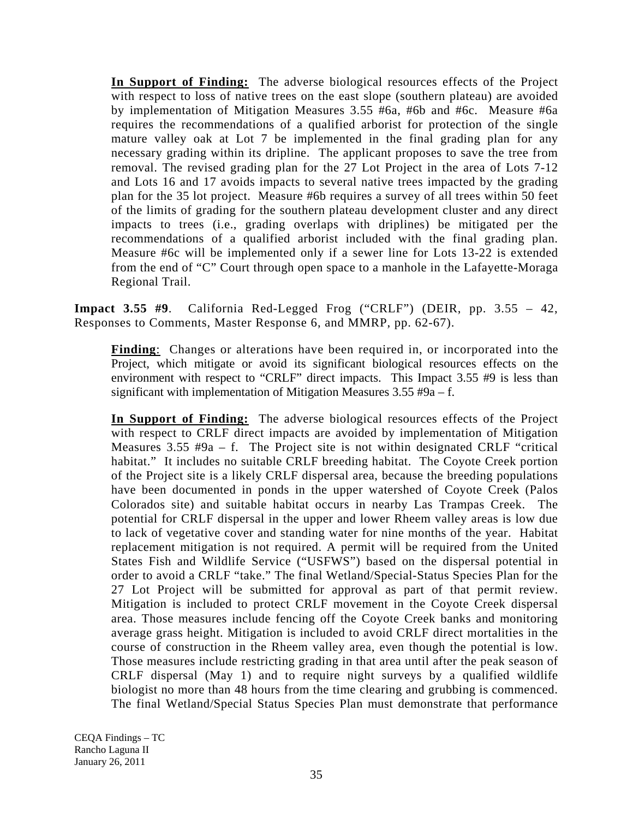**In Support of Finding:** The adverse biological resources effects of the Project with respect to loss of native trees on the east slope (southern plateau) are avoided by implementation of Mitigation Measures 3.55 #6a, #6b and #6c. Measure #6a requires the recommendations of a qualified arborist for protection of the single mature valley oak at Lot 7 be implemented in the final grading plan for any necessary grading within its dripline. The applicant proposes to save the tree from removal. The revised grading plan for the 27 Lot Project in the area of Lots 7-12 and Lots 16 and 17 avoids impacts to several native trees impacted by the grading plan for the 35 lot project. Measure #6b requires a survey of all trees within 50 feet of the limits of grading for the southern plateau development cluster and any direct impacts to trees (i.e., grading overlaps with driplines) be mitigated per the recommendations of a qualified arborist included with the final grading plan. Measure #6c will be implemented only if a sewer line for Lots 13-22 is extended from the end of "C" Court through open space to a manhole in the Lafayette-Moraga Regional Trail.

**Impact 3.55 #9**. California Red-Legged Frog ("CRLF") (DEIR, pp. 3.55 – 42, Responses to Comments, Master Response 6, and MMRP, pp. 62-67).

**Finding**: Changes or alterations have been required in, or incorporated into the Project, which mitigate or avoid its significant biological resources effects on the environment with respect to "CRLF" direct impacts. This Impact 3.55 #9 is less than significant with implementation of Mitigation Measures 3.55 #9a – f.

**In Support of Finding:** The adverse biological resources effects of the Project with respect to CRLF direct impacts are avoided by implementation of Mitigation Measures  $3.55 \#9a - f$ . The Project site is not within designated CRLF "critical habitat." It includes no suitable CRLF breeding habitat. The Coyote Creek portion of the Project site is a likely CRLF dispersal area, because the breeding populations have been documented in ponds in the upper watershed of Coyote Creek (Palos Colorados site) and suitable habitat occurs in nearby Las Trampas Creek. The potential for CRLF dispersal in the upper and lower Rheem valley areas is low due to lack of vegetative cover and standing water for nine months of the year. Habitat replacement mitigation is not required. A permit will be required from the United States Fish and Wildlife Service ("USFWS") based on the dispersal potential in order to avoid a CRLF "take." The final Wetland/Special-Status Species Plan for the 27 Lot Project will be submitted for approval as part of that permit review. Mitigation is included to protect CRLF movement in the Coyote Creek dispersal area. Those measures include fencing off the Coyote Creek banks and monitoring average grass height. Mitigation is included to avoid CRLF direct mortalities in the course of construction in the Rheem valley area, even though the potential is low. Those measures include restricting grading in that area until after the peak season of CRLF dispersal (May 1) and to require night surveys by a qualified wildlife biologist no more than 48 hours from the time clearing and grubbing is commenced. The final Wetland/Special Status Species Plan must demonstrate that performance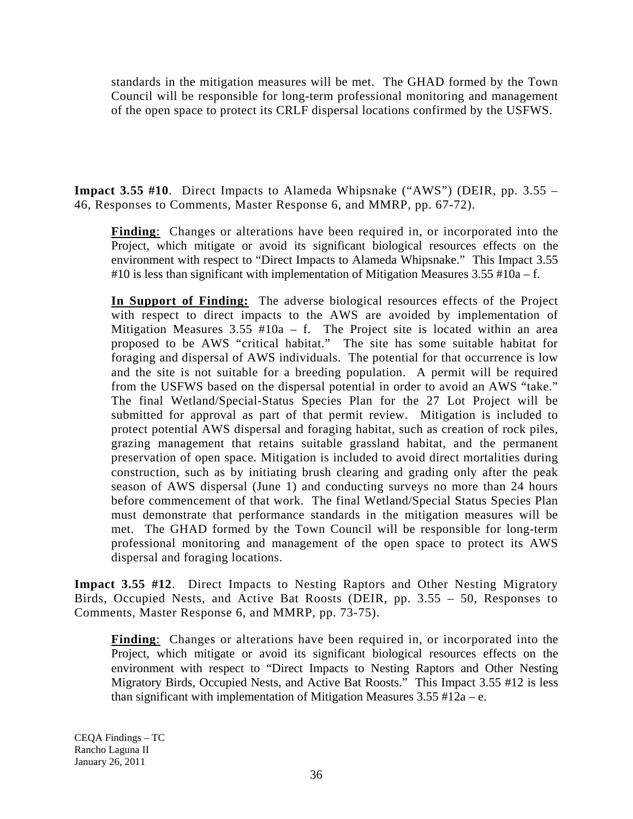standards in the mitigation measures will be met. The GHAD formed by the Town Council will be responsible for long-term professional monitoring and management of the open space to protect its CRLF dispersal locations confirmed by the USFWS.

**Impact 3.55 #10**. Direct Impacts to Alameda Whipsnake ("AWS") (DEIR, pp. 3.55 – 46, Responses to Comments, Master Response 6, and MMRP, pp. 67-72).

**Finding**: Changes or alterations have been required in, or incorporated into the Project, which mitigate or avoid its significant biological resources effects on the environment with respect to "Direct Impacts to Alameda Whipsnake." This Impact 3.55 #10 is less than significant with implementation of Mitigation Measures  $3.55 \text{ }^{\#}10a - f$ .

**In Support of Finding:** The adverse biological resources effects of the Project with respect to direct impacts to the AWS are avoided by implementation of Mitigation Measures  $3.55 \#10a - f$ . The Project site is located within an area proposed to be AWS "critical habitat." The site has some suitable habitat for foraging and dispersal of AWS individuals. The potential for that occurrence is low and the site is not suitable for a breeding population. A permit will be required from the USFWS based on the dispersal potential in order to avoid an AWS "take." The final Wetland/Special-Status Species Plan for the 27 Lot Project will be submitted for approval as part of that permit review. Mitigation is included to protect potential AWS dispersal and foraging habitat, such as creation of rock piles, grazing management that retains suitable grassland habitat, and the permanent preservation of open space. Mitigation is included to avoid direct mortalities during construction, such as by initiating brush clearing and grading only after the peak season of AWS dispersal (June 1) and conducting surveys no more than 24 hours before commencement of that work. The final Wetland/Special Status Species Plan must demonstrate that performance standards in the mitigation measures will be met. The GHAD formed by the Town Council will be responsible for long-term professional monitoring and management of the open space to protect its AWS dispersal and foraging locations.

**Impact 3.55 #12**. Direct Impacts to Nesting Raptors and Other Nesting Migratory Birds, Occupied Nests, and Active Bat Roosts (DEIR, pp. 3.55 – 50, Responses to Comments, Master Response 6, and MMRP, pp. 73-75).

**Finding:** Changes or alterations have been required in, or incorporated into the Project, which mitigate or avoid its significant biological resources effects on the environment with respect to "Direct Impacts to Nesting Raptors and Other Nesting Migratory Birds, Occupied Nests, and Active Bat Roosts." This Impact 3.55 #12 is less than significant with implementation of Mitigation Measures  $3.55 \text{ }^{\#}12a - e$ .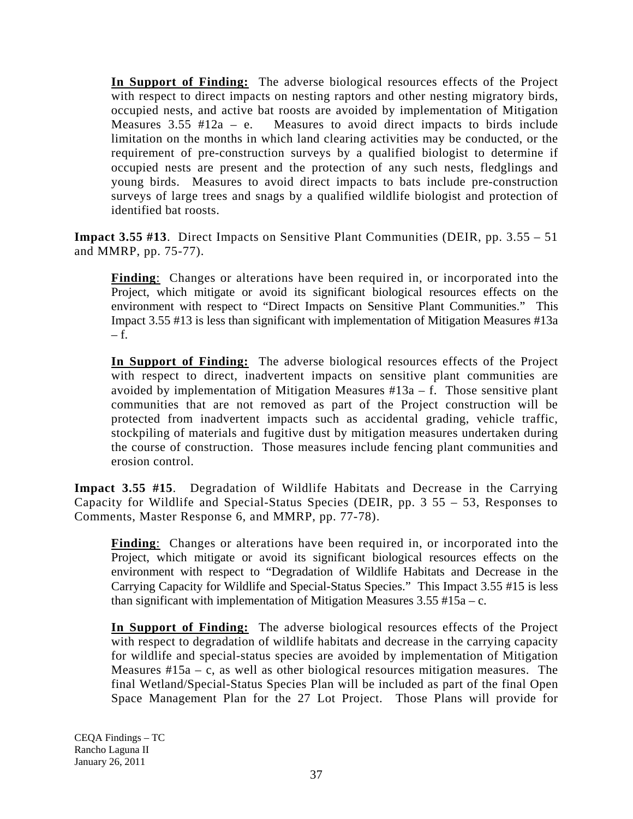**In Support of Finding:** The adverse biological resources effects of the Project with respect to direct impacts on nesting raptors and other nesting migratory birds, occupied nests, and active bat roosts are avoided by implementation of Mitigation Measures  $3.55$  #12a – e. Measures to avoid direct impacts to birds include limitation on the months in which land clearing activities may be conducted, or the requirement of pre-construction surveys by a qualified biologist to determine if occupied nests are present and the protection of any such nests, fledglings and young birds. Measures to avoid direct impacts to bats include pre-construction surveys of large trees and snags by a qualified wildlife biologist and protection of identified bat roosts.

**Impact 3.55 #13**. Direct Impacts on Sensitive Plant Communities (DEIR, pp. 3.55 – 51 and MMRP, pp. 75-77).

**Finding**: Changes or alterations have been required in, or incorporated into the Project, which mitigate or avoid its significant biological resources effects on the environment with respect to "Direct Impacts on Sensitive Plant Communities." This Impact 3.55 #13 is less than significant with implementation of Mitigation Measures #13a  $-$  f.

**In Support of Finding:** The adverse biological resources effects of the Project with respect to direct, inadvertent impacts on sensitive plant communities are avoided by implementation of Mitigation Measures  $#13a - f$ . Those sensitive plant communities that are not removed as part of the Project construction will be protected from inadvertent impacts such as accidental grading, vehicle traffic, stockpiling of materials and fugitive dust by mitigation measures undertaken during the course of construction. Those measures include fencing plant communities and erosion control.

**Impact 3.55 #15**. Degradation of Wildlife Habitats and Decrease in the Carrying Capacity for Wildlife and Special-Status Species (DEIR, pp. 3 55 – 53, Responses to Comments, Master Response 6, and MMRP, pp. 77-78).

**Finding:** Changes or alterations have been required in, or incorporated into the Project, which mitigate or avoid its significant biological resources effects on the environment with respect to "Degradation of Wildlife Habitats and Decrease in the Carrying Capacity for Wildlife and Special-Status Species." This Impact 3.55 #15 is less than significant with implementation of Mitigation Measures  $3.55 \text{ }^{\#}15a - c$ .

**In Support of Finding:** The adverse biological resources effects of the Project with respect to degradation of wildlife habitats and decrease in the carrying capacity for wildlife and special-status species are avoided by implementation of Mitigation Measures  $#15a - c$ , as well as other biological resources mitigation measures. The final Wetland/Special-Status Species Plan will be included as part of the final Open Space Management Plan for the 27 Lot Project. Those Plans will provide for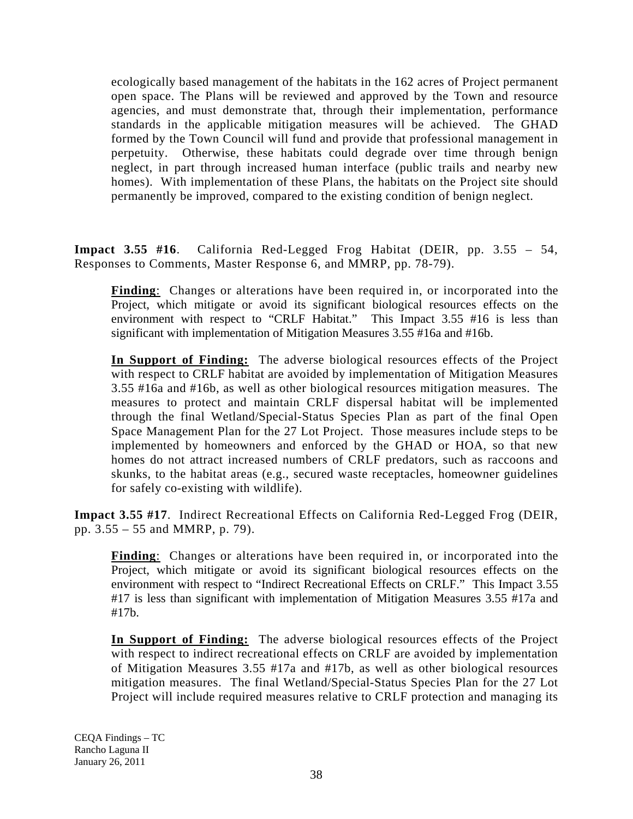ecologically based management of the habitats in the 162 acres of Project permanent open space. The Plans will be reviewed and approved by the Town and resource agencies, and must demonstrate that, through their implementation, performance standards in the applicable mitigation measures will be achieved. The GHAD formed by the Town Council will fund and provide that professional management in perpetuity. Otherwise, these habitats could degrade over time through benign neglect, in part through increased human interface (public trails and nearby new homes). With implementation of these Plans, the habitats on the Project site should permanently be improved, compared to the existing condition of benign neglect.

**Impact 3.55 #16**. California Red-Legged Frog Habitat (DEIR, pp. 3.55 – 54, Responses to Comments, Master Response 6, and MMRP, pp. 78-79).

**Finding**: Changes or alterations have been required in, or incorporated into the Project, which mitigate or avoid its significant biological resources effects on the environment with respect to "CRLF Habitat." This Impact 3.55 #16 is less than significant with implementation of Mitigation Measures 3.55 #16a and #16b.

**In Support of Finding:** The adverse biological resources effects of the Project with respect to CRLF habitat are avoided by implementation of Mitigation Measures 3.55 #16a and #16b, as well as other biological resources mitigation measures. The measures to protect and maintain CRLF dispersal habitat will be implemented through the final Wetland/Special-Status Species Plan as part of the final Open Space Management Plan for the 27 Lot Project. Those measures include steps to be implemented by homeowners and enforced by the GHAD or HOA, so that new homes do not attract increased numbers of CRLF predators, such as raccoons and skunks, to the habitat areas (e.g., secured waste receptacles, homeowner guidelines for safely co-existing with wildlife).

**Impact 3.55 #17**. Indirect Recreational Effects on California Red-Legged Frog (DEIR, pp. 3.55 – 55 and MMRP, p. 79).

**Finding**: Changes or alterations have been required in, or incorporated into the Project, which mitigate or avoid its significant biological resources effects on the environment with respect to "Indirect Recreational Effects on CRLF." This Impact 3.55 #17 is less than significant with implementation of Mitigation Measures 3.55 #17a and #17b.

**In Support of Finding:** The adverse biological resources effects of the Project with respect to indirect recreational effects on CRLF are avoided by implementation of Mitigation Measures 3.55 #17a and #17b, as well as other biological resources mitigation measures. The final Wetland/Special-Status Species Plan for the 27 Lot Project will include required measures relative to CRLF protection and managing its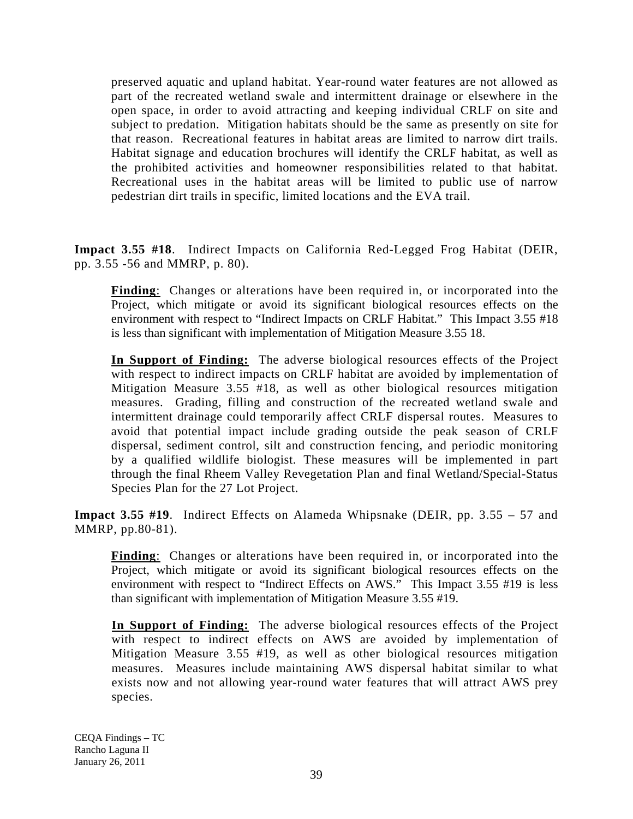preserved aquatic and upland habitat. Year-round water features are not allowed as part of the recreated wetland swale and intermittent drainage or elsewhere in the open space, in order to avoid attracting and keeping individual CRLF on site and subject to predation. Mitigation habitats should be the same as presently on site for that reason. Recreational features in habitat areas are limited to narrow dirt trails. Habitat signage and education brochures will identify the CRLF habitat, as well as the prohibited activities and homeowner responsibilities related to that habitat. Recreational uses in the habitat areas will be limited to public use of narrow pedestrian dirt trails in specific, limited locations and the EVA trail.

**Impact 3.55 #18**. Indirect Impacts on California Red-Legged Frog Habitat (DEIR, pp. 3.55 -56 and MMRP, p. 80).

**Finding**: Changes or alterations have been required in, or incorporated into the Project, which mitigate or avoid its significant biological resources effects on the environment with respect to "Indirect Impacts on CRLF Habitat." This Impact 3.55 #18 is less than significant with implementation of Mitigation Measure 3.55 18.

**In Support of Finding:** The adverse biological resources effects of the Project with respect to indirect impacts on CRLF habitat are avoided by implementation of Mitigation Measure 3.55 #18, as well as other biological resources mitigation measures. Grading, filling and construction of the recreated wetland swale and intermittent drainage could temporarily affect CRLF dispersal routes. Measures to avoid that potential impact include grading outside the peak season of CRLF dispersal, sediment control, silt and construction fencing, and periodic monitoring by a qualified wildlife biologist. These measures will be implemented in part through the final Rheem Valley Revegetation Plan and final Wetland/Special-Status Species Plan for the 27 Lot Project.

**Impact 3.55 #19**. Indirect Effects on Alameda Whipsnake (DEIR, pp. 3.55 – 57 and MMRP, pp.80-81).

**Finding**: Changes or alterations have been required in, or incorporated into the Project, which mitigate or avoid its significant biological resources effects on the environment with respect to "Indirect Effects on AWS." This Impact 3.55 #19 is less than significant with implementation of Mitigation Measure 3.55 #19.

**In Support of Finding:** The adverse biological resources effects of the Project with respect to indirect effects on AWS are avoided by implementation of Mitigation Measure 3.55 #19, as well as other biological resources mitigation measures. Measures include maintaining AWS dispersal habitat similar to what exists now and not allowing year-round water features that will attract AWS prey species.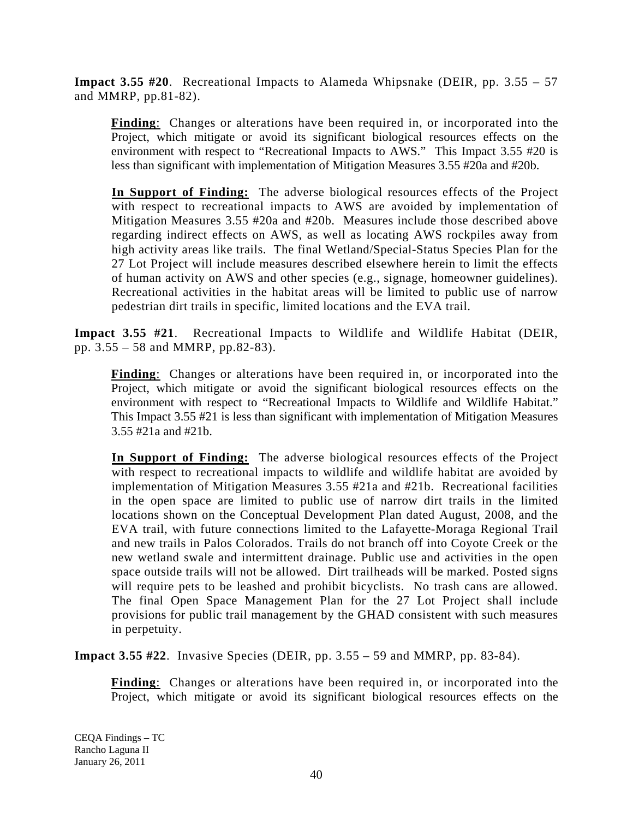**Impact 3.55 #20**. Recreational Impacts to Alameda Whipsnake (DEIR, pp. 3.55 – 57 and MMRP, pp.81-82).

**Finding**: Changes or alterations have been required in, or incorporated into the Project, which mitigate or avoid its significant biological resources effects on the environment with respect to "Recreational Impacts to AWS." This Impact 3.55 #20 is less than significant with implementation of Mitigation Measures 3.55 #20a and #20b.

**In Support of Finding:** The adverse biological resources effects of the Project with respect to recreational impacts to AWS are avoided by implementation of Mitigation Measures 3.55 #20a and #20b. Measures include those described above regarding indirect effects on AWS, as well as locating AWS rockpiles away from high activity areas like trails. The final Wetland/Special-Status Species Plan for the 27 Lot Project will include measures described elsewhere herein to limit the effects of human activity on AWS and other species (e.g., signage, homeowner guidelines). Recreational activities in the habitat areas will be limited to public use of narrow pedestrian dirt trails in specific, limited locations and the EVA trail.

**Impact 3.55 #21**. Recreational Impacts to Wildlife and Wildlife Habitat (DEIR, pp. 3.55 – 58 and MMRP, pp.82-83).

**Finding**: Changes or alterations have been required in, or incorporated into the Project, which mitigate or avoid the significant biological resources effects on the environment with respect to "Recreational Impacts to Wildlife and Wildlife Habitat." This Impact 3.55 #21 is less than significant with implementation of Mitigation Measures 3.55 #21a and #21b.

**In Support of Finding:** The adverse biological resources effects of the Project with respect to recreational impacts to wildlife and wildlife habitat are avoided by implementation of Mitigation Measures 3.55 #21a and #21b. Recreational facilities in the open space are limited to public use of narrow dirt trails in the limited locations shown on the Conceptual Development Plan dated August, 2008, and the EVA trail, with future connections limited to the Lafayette-Moraga Regional Trail and new trails in Palos Colorados. Trails do not branch off into Coyote Creek or the new wetland swale and intermittent drainage. Public use and activities in the open space outside trails will not be allowed. Dirt trailheads will be marked. Posted signs will require pets to be leashed and prohibit bicyclists. No trash cans are allowed. The final Open Space Management Plan for the 27 Lot Project shall include provisions for public trail management by the GHAD consistent with such measures in perpetuity.

**Impact 3.55 #22**. Invasive Species (DEIR, pp. 3.55 – 59 and MMRP, pp. 83-84).

**Finding**: Changes or alterations have been required in, or incorporated into the Project, which mitigate or avoid its significant biological resources effects on the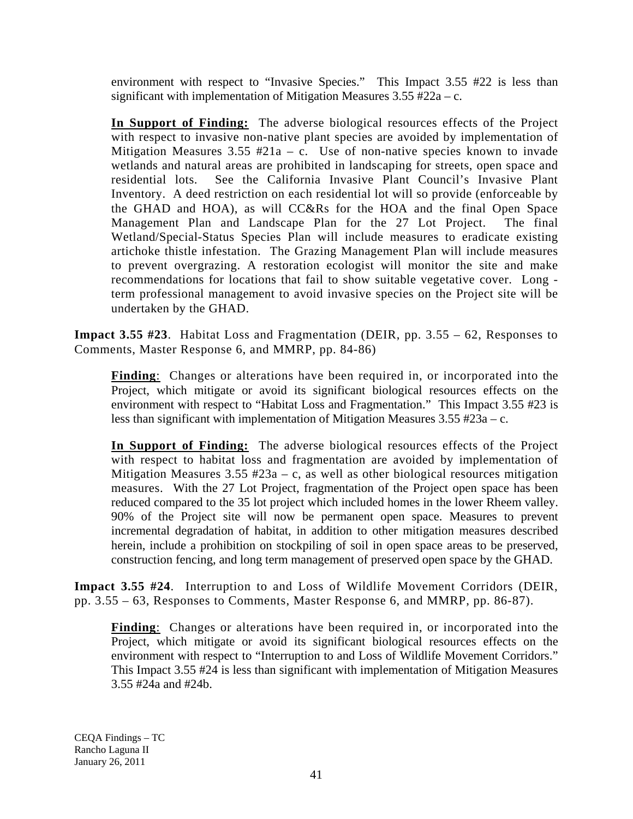environment with respect to "Invasive Species." This Impact 3.55 #22 is less than significant with implementation of Mitigation Measures  $3.55 \text{ } \#22a - c$ .

**In Support of Finding:** The adverse biological resources effects of the Project with respect to invasive non-native plant species are avoided by implementation of Mitigation Measures  $3.55 \text{ } \#21a - c$ . Use of non-native species known to invade wetlands and natural areas are prohibited in landscaping for streets, open space and residential lots. See the California Invasive Plant Council's Invasive Plant Inventory. A deed restriction on each residential lot will so provide (enforceable by the GHAD and HOA), as will CC&Rs for the HOA and the final Open Space Management Plan and Landscape Plan for the 27 Lot Project. The final Wetland/Special-Status Species Plan will include measures to eradicate existing artichoke thistle infestation. The Grazing Management Plan will include measures to prevent overgrazing. A restoration ecologist will monitor the site and make recommendations for locations that fail to show suitable vegetative cover. Long term professional management to avoid invasive species on the Project site will be undertaken by the GHAD.

**Impact 3.55 #23**. Habitat Loss and Fragmentation (DEIR, pp. 3.55 – 62, Responses to Comments, Master Response 6, and MMRP, pp. 84-86)

**Finding**: Changes or alterations have been required in, or incorporated into the Project, which mitigate or avoid its significant biological resources effects on the environment with respect to "Habitat Loss and Fragmentation." This Impact 3.55 #23 is less than significant with implementation of Mitigation Measures 3.55 #23a – c.

**In Support of Finding:** The adverse biological resources effects of the Project with respect to habitat loss and fragmentation are avoided by implementation of Mitigation Measures  $3.55 \#23a - c$ , as well as other biological resources mitigation measures. With the 27 Lot Project, fragmentation of the Project open space has been reduced compared to the 35 lot project which included homes in the lower Rheem valley. 90% of the Project site will now be permanent open space. Measures to prevent incremental degradation of habitat, in addition to other mitigation measures described herein, include a prohibition on stockpiling of soil in open space areas to be preserved, construction fencing, and long term management of preserved open space by the GHAD.

**Impact 3.55 #24**. Interruption to and Loss of Wildlife Movement Corridors (DEIR, pp. 3.55 – 63, Responses to Comments, Master Response 6, and MMRP, pp. 86-87).

**Finding**: Changes or alterations have been required in, or incorporated into the Project, which mitigate or avoid its significant biological resources effects on the environment with respect to "Interruption to and Loss of Wildlife Movement Corridors." This Impact 3.55 #24 is less than significant with implementation of Mitigation Measures 3.55 #24a and #24b.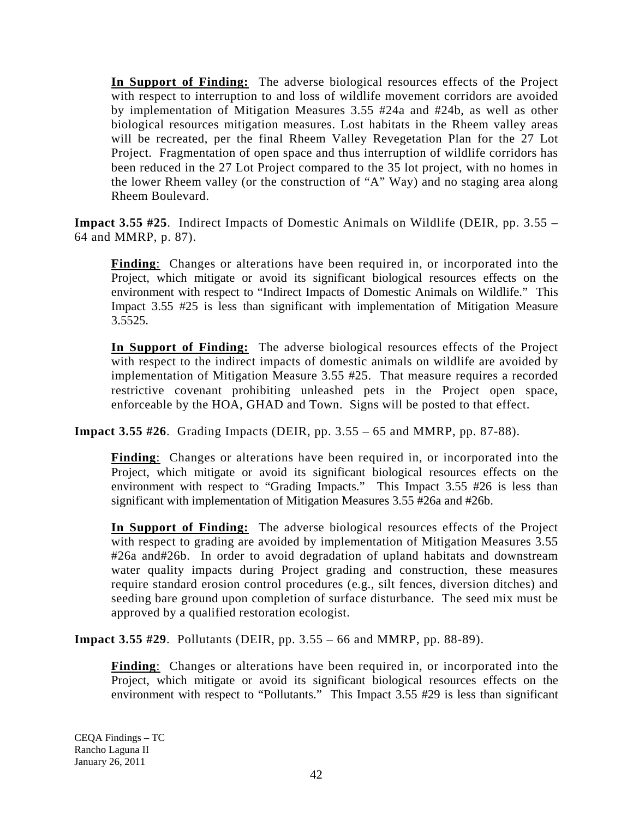**In Support of Finding:** The adverse biological resources effects of the Project with respect to interruption to and loss of wildlife movement corridors are avoided by implementation of Mitigation Measures 3.55 #24a and #24b, as well as other biological resources mitigation measures. Lost habitats in the Rheem valley areas will be recreated, per the final Rheem Valley Revegetation Plan for the 27 Lot Project. Fragmentation of open space and thus interruption of wildlife corridors has been reduced in the 27 Lot Project compared to the 35 lot project, with no homes in the lower Rheem valley (or the construction of "A" Way) and no staging area along Rheem Boulevard.

**Impact 3.55 #25**. Indirect Impacts of Domestic Animals on Wildlife (DEIR, pp. 3.55 – 64 and MMRP, p. 87).

**Finding**: Changes or alterations have been required in, or incorporated into the Project, which mitigate or avoid its significant biological resources effects on the environment with respect to "Indirect Impacts of Domestic Animals on Wildlife." This Impact 3.55 #25 is less than significant with implementation of Mitigation Measure 3.5525.

**In Support of Finding:** The adverse biological resources effects of the Project with respect to the indirect impacts of domestic animals on wildlife are avoided by implementation of Mitigation Measure 3.55 #25. That measure requires a recorded restrictive covenant prohibiting unleashed pets in the Project open space, enforceable by the HOA, GHAD and Town. Signs will be posted to that effect.

**Impact 3.55 #26**. Grading Impacts (DEIR, pp. 3.55 – 65 and MMRP, pp. 87-88).

**Finding**: Changes or alterations have been required in, or incorporated into the Project, which mitigate or avoid its significant biological resources effects on the environment with respect to "Grading Impacts." This Impact 3.55 #26 is less than significant with implementation of Mitigation Measures 3.55 #26a and #26b.

**In Support of Finding:** The adverse biological resources effects of the Project with respect to grading are avoided by implementation of Mitigation Measures 3.55 #26a and#26b. In order to avoid degradation of upland habitats and downstream water quality impacts during Project grading and construction, these measures require standard erosion control procedures (e.g., silt fences, diversion ditches) and seeding bare ground upon completion of surface disturbance. The seed mix must be approved by a qualified restoration ecologist.

**Impact 3.55 #29**. Pollutants (DEIR, pp. 3.55 – 66 and MMRP, pp. 88-89).

**Finding**: Changes or alterations have been required in, or incorporated into the Project, which mitigate or avoid its significant biological resources effects on the environment with respect to "Pollutants." This Impact 3.55 #29 is less than significant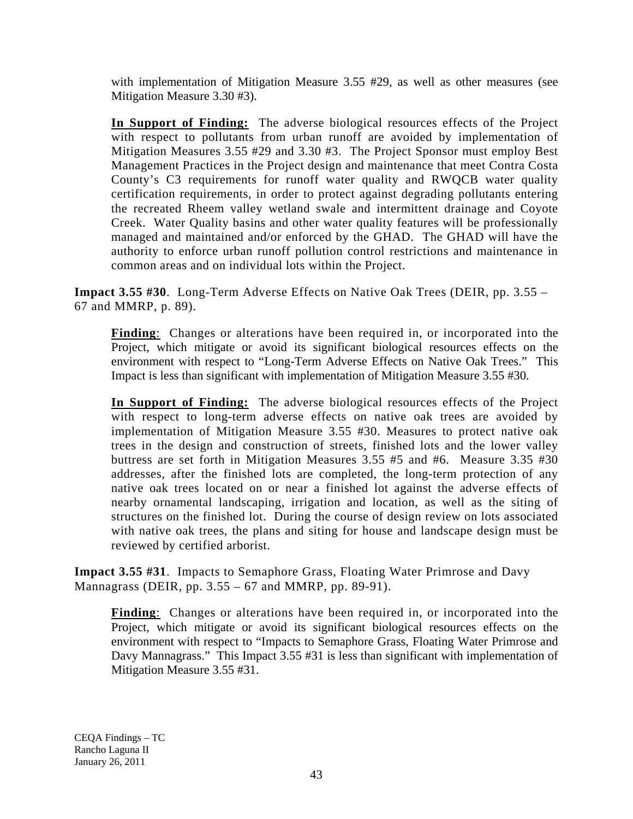with implementation of Mitigation Measure 3.55 #29, as well as other measures (see Mitigation Measure 3.30 #3).

**In Support of Finding:** The adverse biological resources effects of the Project with respect to pollutants from urban runoff are avoided by implementation of Mitigation Measures 3.55 #29 and 3.30 #3. The Project Sponsor must employ Best Management Practices in the Project design and maintenance that meet Contra Costa County's C3 requirements for runoff water quality and RWQCB water quality certification requirements, in order to protect against degrading pollutants entering the recreated Rheem valley wetland swale and intermittent drainage and Coyote Creek. Water Quality basins and other water quality features will be professionally managed and maintained and/or enforced by the GHAD. The GHAD will have the authority to enforce urban runoff pollution control restrictions and maintenance in common areas and on individual lots within the Project.

**Impact 3.55 #30**. Long-Term Adverse Effects on Native Oak Trees (DEIR, pp. 3.55 – 67 and MMRP, p. 89).

**Finding**: Changes or alterations have been required in, or incorporated into the Project, which mitigate or avoid its significant biological resources effects on the environment with respect to "Long-Term Adverse Effects on Native Oak Trees." This Impact is less than significant with implementation of Mitigation Measure 3.55 #30.

**In Support of Finding:** The adverse biological resources effects of the Project with respect to long-term adverse effects on native oak trees are avoided by implementation of Mitigation Measure 3.55 #30. Measures to protect native oak trees in the design and construction of streets, finished lots and the lower valley buttress are set forth in Mitigation Measures 3.55 #5 and #6. Measure 3.35 #30 addresses, after the finished lots are completed, the long-term protection of any native oak trees located on or near a finished lot against the adverse effects of nearby ornamental landscaping, irrigation and location, as well as the siting of structures on the finished lot. During the course of design review on lots associated with native oak trees, the plans and siting for house and landscape design must be reviewed by certified arborist.

**Impact 3.55 #31**. Impacts to Semaphore Grass, Floating Water Primrose and Davy Mannagrass (DEIR, pp.  $3.55 - 67$  and MMRP, pp. 89-91).

**Finding**: Changes or alterations have been required in, or incorporated into the Project, which mitigate or avoid its significant biological resources effects on the environment with respect to "Impacts to Semaphore Grass, Floating Water Primrose and Davy Mannagrass." This Impact 3.55 #31 is less than significant with implementation of Mitigation Measure 3.55 #31.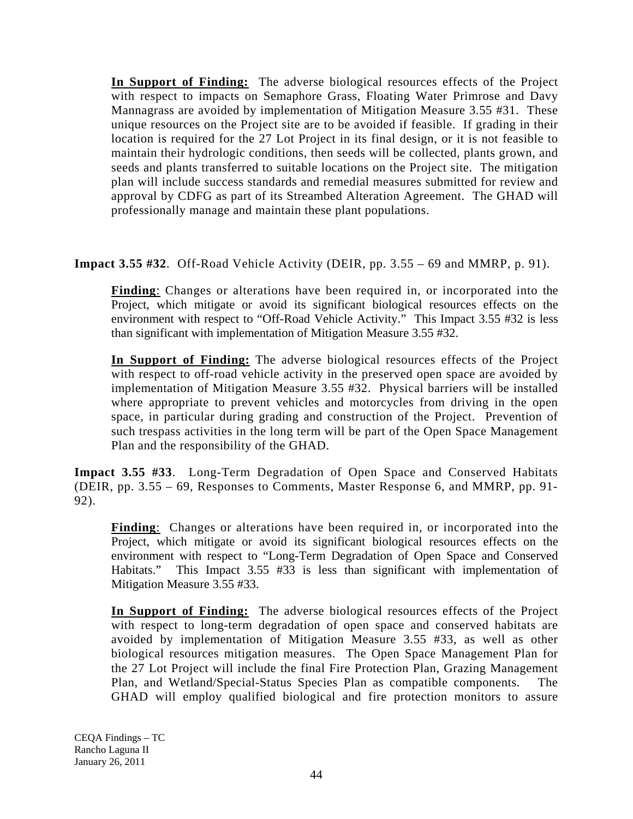**In Support of Finding:** The adverse biological resources effects of the Project with respect to impacts on Semaphore Grass, Floating Water Primrose and Davy Mannagrass are avoided by implementation of Mitigation Measure 3.55 #31. These unique resources on the Project site are to be avoided if feasible. If grading in their location is required for the 27 Lot Project in its final design, or it is not feasible to maintain their hydrologic conditions, then seeds will be collected, plants grown, and seeds and plants transferred to suitable locations on the Project site. The mitigation plan will include success standards and remedial measures submitted for review and approval by CDFG as part of its Streambed Alteration Agreement. The GHAD will professionally manage and maintain these plant populations.

**Impact 3.55 #32**. Off-Road Vehicle Activity (DEIR, pp. 3.55 – 69 and MMRP, p. 91).

**Finding**: Changes or alterations have been required in, or incorporated into the Project, which mitigate or avoid its significant biological resources effects on the environment with respect to "Off-Road Vehicle Activity." This Impact 3.55 #32 is less than significant with implementation of Mitigation Measure 3.55 #32.

**In Support of Finding:** The adverse biological resources effects of the Project with respect to off-road vehicle activity in the preserved open space are avoided by implementation of Mitigation Measure 3.55 #32. Physical barriers will be installed where appropriate to prevent vehicles and motorcycles from driving in the open space, in particular during grading and construction of the Project. Prevention of such trespass activities in the long term will be part of the Open Space Management Plan and the responsibility of the GHAD.

**Impact 3.55 #33**. Long-Term Degradation of Open Space and Conserved Habitats (DEIR, pp. 3.55 – 69, Responses to Comments, Master Response 6, and MMRP, pp. 91- 92).

**Finding**: Changes or alterations have been required in, or incorporated into the Project, which mitigate or avoid its significant biological resources effects on the environment with respect to "Long-Term Degradation of Open Space and Conserved Habitats." This Impact 3.55 #33 is less than significant with implementation of Mitigation Measure 3.55 #33.

**In Support of Finding:** The adverse biological resources effects of the Project with respect to long-term degradation of open space and conserved habitats are avoided by implementation of Mitigation Measure 3.55 #33, as well as other biological resources mitigation measures. The Open Space Management Plan for the 27 Lot Project will include the final Fire Protection Plan, Grazing Management Plan, and Wetland/Special-Status Species Plan as compatible components. The GHAD will employ qualified biological and fire protection monitors to assure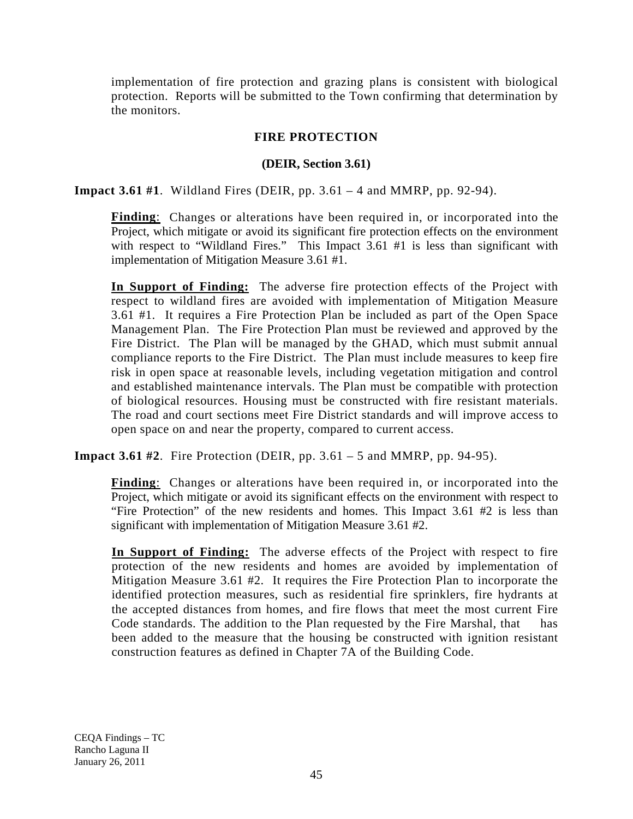implementation of fire protection and grazing plans is consistent with biological protection. Reports will be submitted to the Town confirming that determination by the monitors.

## **FIRE PROTECTION**

## **(DEIR, Section 3.61)**

**Impact 3.61 #1**. Wildland Fires (DEIR, pp. 3.61 – 4 and MMRP, pp. 92-94).

**Finding**: Changes or alterations have been required in, or incorporated into the Project, which mitigate or avoid its significant fire protection effects on the environment with respect to "Wildland Fires." This Impact 3.61 #1 is less than significant with implementation of Mitigation Measure 3.61 #1.

**In Support of Finding:** The adverse fire protection effects of the Project with respect to wildland fires are avoided with implementation of Mitigation Measure 3.61 #1. It requires a Fire Protection Plan be included as part of the Open Space Management Plan. The Fire Protection Plan must be reviewed and approved by the Fire District. The Plan will be managed by the GHAD, which must submit annual compliance reports to the Fire District. The Plan must include measures to keep fire risk in open space at reasonable levels, including vegetation mitigation and control and established maintenance intervals. The Plan must be compatible with protection of biological resources. Housing must be constructed with fire resistant materials. The road and court sections meet Fire District standards and will improve access to open space on and near the property, compared to current access.

**Impact 3.61 #2**. Fire Protection (DEIR, pp. 3.61 – 5 and MMRP, pp. 94-95).

**Finding**: Changes or alterations have been required in, or incorporated into the Project, which mitigate or avoid its significant effects on the environment with respect to "Fire Protection" of the new residents and homes. This Impact 3.61 #2 is less than significant with implementation of Mitigation Measure 3.61 #2.

**In Support of Finding:** The adverse effects of the Project with respect to fire protection of the new residents and homes are avoided by implementation of Mitigation Measure 3.61 #2. It requires the Fire Protection Plan to incorporate the identified protection measures, such as residential fire sprinklers, fire hydrants at the accepted distances from homes, and fire flows that meet the most current Fire Code standards. The addition to the Plan requested by the Fire Marshal, that has been added to the measure that the housing be constructed with ignition resistant construction features as defined in Chapter 7A of the Building Code.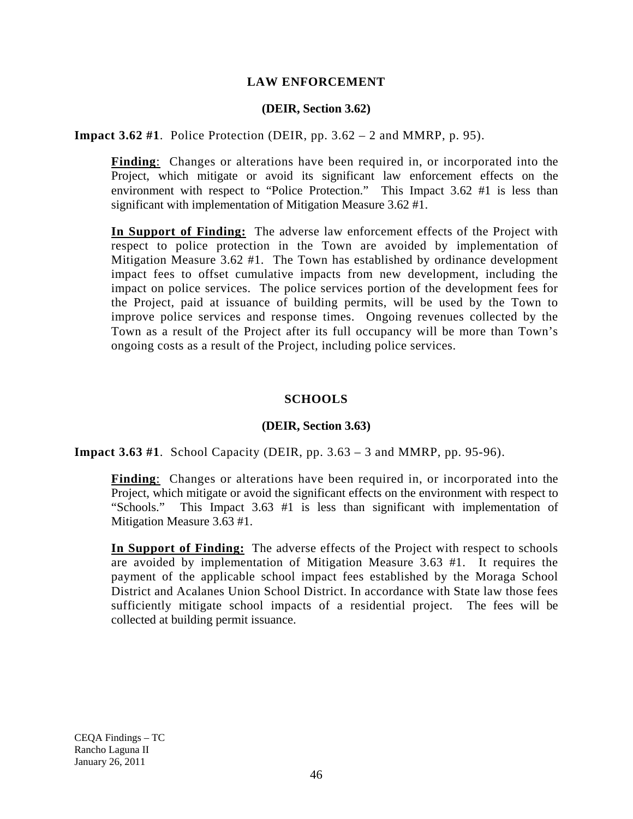### **LAW ENFORCEMENT**

#### **(DEIR, Section 3.62)**

**Impact 3.62 #1**. Police Protection (DEIR, pp. 3.62 – 2 and MMRP, p. 95).

**Finding**: Changes or alterations have been required in, or incorporated into the Project, which mitigate or avoid its significant law enforcement effects on the environment with respect to "Police Protection." This Impact 3.62 #1 is less than significant with implementation of Mitigation Measure 3.62 #1.

**In Support of Finding:** The adverse law enforcement effects of the Project with respect to police protection in the Town are avoided by implementation of Mitigation Measure 3.62 #1. The Town has established by ordinance development impact fees to offset cumulative impacts from new development, including the impact on police services. The police services portion of the development fees for the Project, paid at issuance of building permits, will be used by the Town to improve police services and response times. Ongoing revenues collected by the Town as a result of the Project after its full occupancy will be more than Town's ongoing costs as a result of the Project, including police services.

#### **SCHOOLS**

#### **(DEIR, Section 3.63)**

**Impact 3.63 #1**. School Capacity (DEIR, pp. 3.63 – 3 and MMRP, pp. 95-96).

**Finding**: Changes or alterations have been required in, or incorporated into the Project, which mitigate or avoid the significant effects on the environment with respect to "Schools." This Impact 3.63 #1 is less than significant with implementation of This Impact 3.63 #1 is less than significant with implementation of Mitigation Measure 3.63 #1.

**In Support of Finding:** The adverse effects of the Project with respect to schools are avoided by implementation of Mitigation Measure 3.63 #1. It requires the payment of the applicable school impact fees established by the Moraga School District and Acalanes Union School District. In accordance with State law those fees sufficiently mitigate school impacts of a residential project. The fees will be collected at building permit issuance.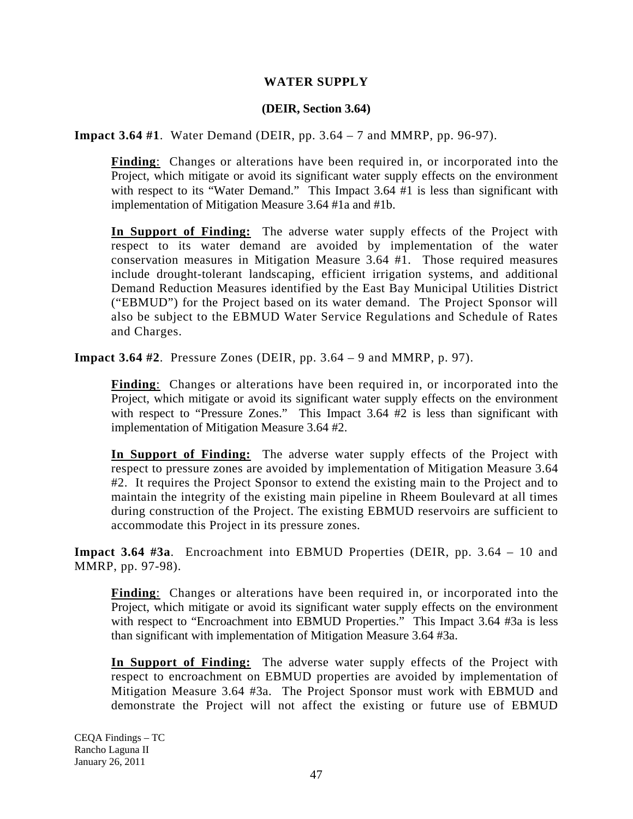## **WATER SUPPLY**

## **(DEIR, Section 3.64)**

**Impact 3.64 #1**. Water Demand (DEIR, pp. 3.64 – 7 and MMRP, pp. 96-97).

**Finding**: Changes or alterations have been required in, or incorporated into the Project, which mitigate or avoid its significant water supply effects on the environment with respect to its "Water Demand." This Impact 3.64 #1 is less than significant with implementation of Mitigation Measure 3.64 #1a and #1b.

**In Support of Finding:** The adverse water supply effects of the Project with respect to its water demand are avoided by implementation of the water conservation measures in Mitigation Measure 3.64 #1. Those required measures include drought-tolerant landscaping, efficient irrigation systems, and additional Demand Reduction Measures identified by the East Bay Municipal Utilities District ("EBMUD") for the Project based on its water demand. The Project Sponsor will also be subject to the EBMUD Water Service Regulations and Schedule of Rates and Charges.

**Impact 3.64 #2**. Pressure Zones (DEIR, pp. 3.64 – 9 and MMRP, p. 97).

**Finding**: Changes or alterations have been required in, or incorporated into the Project, which mitigate or avoid its significant water supply effects on the environment with respect to "Pressure Zones." This Impact 3.64 #2 is less than significant with implementation of Mitigation Measure 3.64 #2.

**In Support of Finding:** The adverse water supply effects of the Project with respect to pressure zones are avoided by implementation of Mitigation Measure 3.64 #2. It requires the Project Sponsor to extend the existing main to the Project and to maintain the integrity of the existing main pipeline in Rheem Boulevard at all times during construction of the Project. The existing EBMUD reservoirs are sufficient to accommodate this Project in its pressure zones.

**Impact 3.64 #3a**. Encroachment into EBMUD Properties (DEIR, pp. 3.64 – 10 and MMRP, pp. 97-98).

**Finding**: Changes or alterations have been required in, or incorporated into the Project, which mitigate or avoid its significant water supply effects on the environment with respect to "Encroachment into EBMUD Properties." This Impact 3.64 #3a is less than significant with implementation of Mitigation Measure 3.64 #3a.

**In Support of Finding:** The adverse water supply effects of the Project with respect to encroachment on EBMUD properties are avoided by implementation of Mitigation Measure 3.64 #3a. The Project Sponsor must work with EBMUD and demonstrate the Project will not affect the existing or future use of EBMUD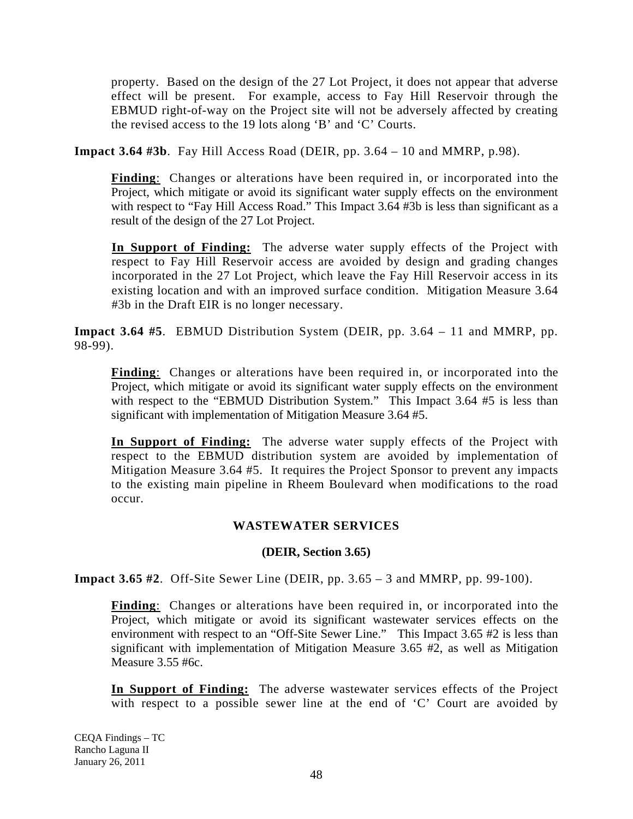property. Based on the design of the 27 Lot Project, it does not appear that adverse effect will be present. For example, access to Fay Hill Reservoir through the EBMUD right-of-way on the Project site will not be adversely affected by creating the revised access to the 19 lots along 'B' and 'C' Courts.

**Impact 3.64 #3b**. Fay Hill Access Road (DEIR, pp. 3.64 – 10 and MMRP, p.98).

**Finding**: Changes or alterations have been required in, or incorporated into the Project, which mitigate or avoid its significant water supply effects on the environment with respect to "Fay Hill Access Road." This Impact 3.64 #3b is less than significant as a result of the design of the 27 Lot Project.

**In Support of Finding:** The adverse water supply effects of the Project with respect to Fay Hill Reservoir access are avoided by design and grading changes incorporated in the 27 Lot Project, which leave the Fay Hill Reservoir access in its existing location and with an improved surface condition. Mitigation Measure 3.64 #3b in the Draft EIR is no longer necessary.

**Impact 3.64 #5**. EBMUD Distribution System (DEIR, pp. 3.64 – 11 and MMRP, pp. 98-99).

**Finding**: Changes or alterations have been required in, or incorporated into the Project, which mitigate or avoid its significant water supply effects on the environment with respect to the "EBMUD Distribution System." This Impact 3.64 #5 is less than significant with implementation of Mitigation Measure 3.64 #5.

**In Support of Finding:** The adverse water supply effects of the Project with respect to the EBMUD distribution system are avoided by implementation of Mitigation Measure 3.64 #5. It requires the Project Sponsor to prevent any impacts to the existing main pipeline in Rheem Boulevard when modifications to the road occur.

## **WASTEWATER SERVICES**

## **(DEIR, Section 3.65)**

**Impact 3.65 #2**. Off-Site Sewer Line (DEIR, pp. 3.65 – 3 and MMRP, pp. 99-100).

**Finding**: Changes or alterations have been required in, or incorporated into the Project, which mitigate or avoid its significant wastewater services effects on the environment with respect to an "Off-Site Sewer Line." This Impact 3.65 #2 is less than significant with implementation of Mitigation Measure 3.65 #2, as well as Mitigation Measure 3.55 #6c.

**In Support of Finding:** The adverse wastewater services effects of the Project with respect to a possible sewer line at the end of 'C' Court are avoided by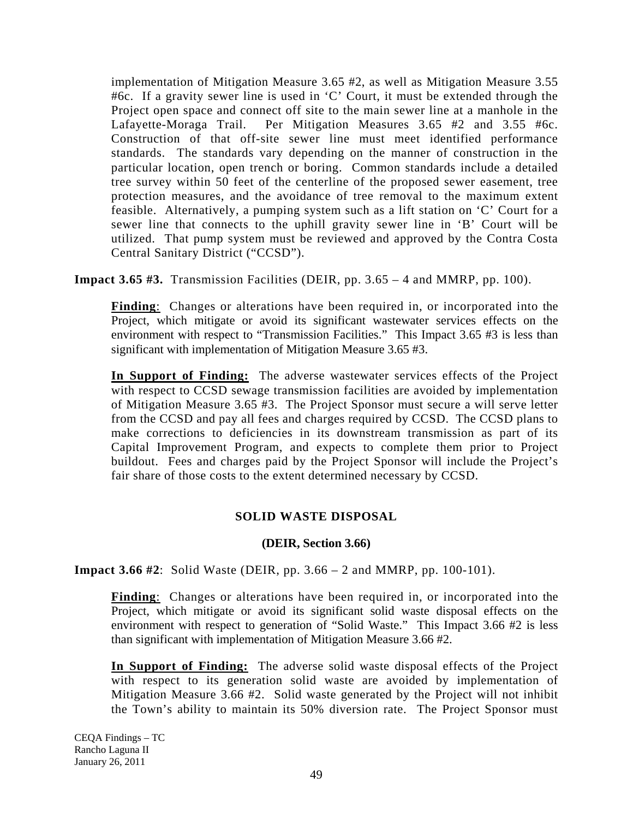implementation of Mitigation Measure 3.65 #2, as well as Mitigation Measure 3.55 #6c. If a gravity sewer line is used in 'C' Court, it must be extended through the Project open space and connect off site to the main sewer line at a manhole in the Lafayette-Moraga Trail. Per Mitigation Measures 3.65 #2 and 3.55 #6c. Construction of that off-site sewer line must meet identified performance standards. The standards vary depending on the manner of construction in the particular location, open trench or boring. Common standards include a detailed tree survey within 50 feet of the centerline of the proposed sewer easement, tree protection measures, and the avoidance of tree removal to the maximum extent feasible. Alternatively, a pumping system such as a lift station on 'C' Court for a sewer line that connects to the uphill gravity sewer line in 'B' Court will be utilized. That pump system must be reviewed and approved by the Contra Costa Central Sanitary District ("CCSD").

**Impact 3.65 #3.** Transmission Facilities (DEIR, pp.  $3.65 - 4$  and MMRP, pp. 100).

**Finding**: Changes or alterations have been required in, or incorporated into the Project, which mitigate or avoid its significant wastewater services effects on the environment with respect to "Transmission Facilities." This Impact 3.65 #3 is less than significant with implementation of Mitigation Measure 3.65 #3.

**In Support of Finding:** The adverse wastewater services effects of the Project with respect to CCSD sewage transmission facilities are avoided by implementation of Mitigation Measure 3.65 #3. The Project Sponsor must secure a will serve letter from the CCSD and pay all fees and charges required by CCSD. The CCSD plans to make corrections to deficiencies in its downstream transmission as part of its Capital Improvement Program, and expects to complete them prior to Project buildout. Fees and charges paid by the Project Sponsor will include the Project's fair share of those costs to the extent determined necessary by CCSD.

# **SOLID WASTE DISPOSAL**

## **(DEIR, Section 3.66)**

**Impact 3.66 #2**: Solid Waste (DEIR, pp. 3.66 – 2 and MMRP, pp. 100-101).

**Finding**: Changes or alterations have been required in, or incorporated into the Project, which mitigate or avoid its significant solid waste disposal effects on the environment with respect to generation of "Solid Waste." This Impact 3.66 #2 is less than significant with implementation of Mitigation Measure 3.66 #2.

**In Support of Finding:** The adverse solid waste disposal effects of the Project with respect to its generation solid waste are avoided by implementation of Mitigation Measure 3.66 #2. Solid waste generated by the Project will not inhibit the Town's ability to maintain its 50% diversion rate. The Project Sponsor must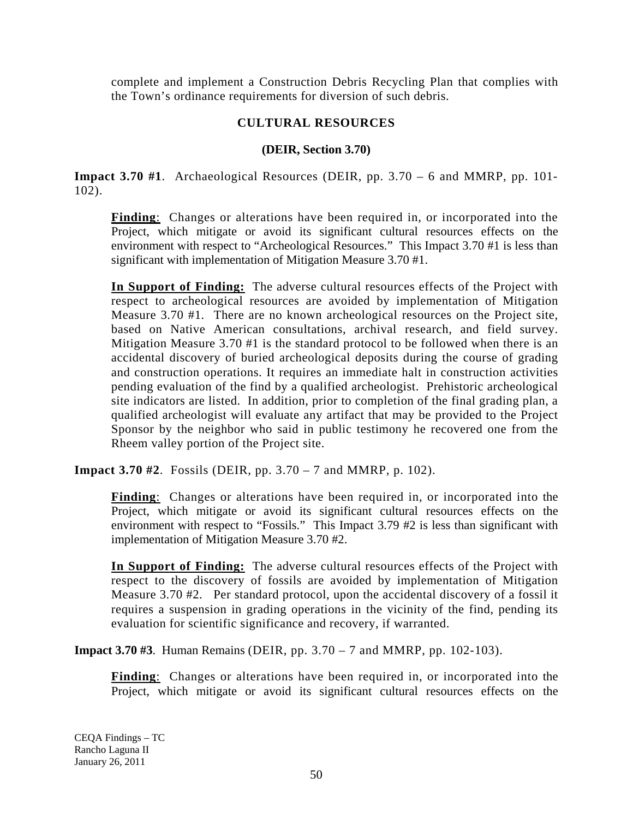complete and implement a Construction Debris Recycling Plan that complies with the Town's ordinance requirements for diversion of such debris.

# **CULTURAL RESOURCES**

## **(DEIR, Section 3.70)**

**Impact 3.70 #1**. Archaeological Resources (DEIR, pp. 3.70 – 6 and MMRP, pp. 101- 102).

**Finding**: Changes or alterations have been required in, or incorporated into the Project, which mitigate or avoid its significant cultural resources effects on the environment with respect to "Archeological Resources." This Impact 3.70 #1 is less than significant with implementation of Mitigation Measure 3.70 #1.

**In Support of Finding:** The adverse cultural resources effects of the Project with respect to archeological resources are avoided by implementation of Mitigation Measure 3.70 #1. There are no known archeological resources on the Project site, based on Native American consultations, archival research, and field survey. Mitigation Measure 3.70 #1 is the standard protocol to be followed when there is an accidental discovery of buried archeological deposits during the course of grading and construction operations. It requires an immediate halt in construction activities pending evaluation of the find by a qualified archeologist. Prehistoric archeological site indicators are listed. In addition, prior to completion of the final grading plan, a qualified archeologist will evaluate any artifact that may be provided to the Project Sponsor by the neighbor who said in public testimony he recovered one from the Rheem valley portion of the Project site.

**Impact 3.70 #2**. Fossils (DEIR, pp. 3.70 – 7 and MMRP, p. 102).

**Finding**: Changes or alterations have been required in, or incorporated into the Project, which mitigate or avoid its significant cultural resources effects on the environment with respect to "Fossils." This Impact 3.79 #2 is less than significant with implementation of Mitigation Measure 3.70 #2.

**In Support of Finding:** The adverse cultural resources effects of the Project with respect to the discovery of fossils are avoided by implementation of Mitigation Measure 3.70 #2. Per standard protocol, upon the accidental discovery of a fossil it requires a suspension in grading operations in the vicinity of the find, pending its evaluation for scientific significance and recovery, if warranted.

**Impact 3.70 #3**. Human Remains (DEIR, pp. 3.70 – 7 and MMRP, pp. 102-103).

**Finding**: Changes or alterations have been required in, or incorporated into the Project, which mitigate or avoid its significant cultural resources effects on the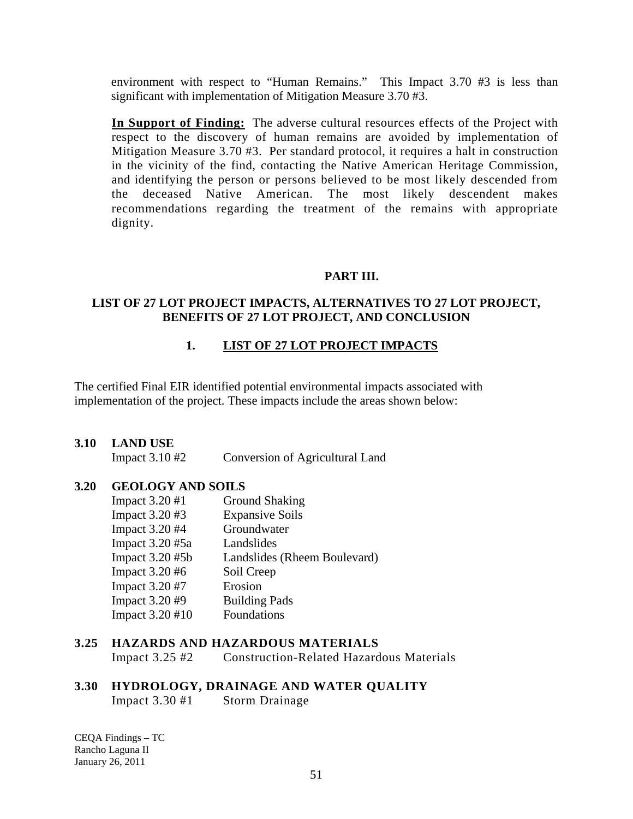environment with respect to "Human Remains." This Impact 3.70 #3 is less than significant with implementation of Mitigation Measure 3.70 #3.

**In Support of Finding:** The adverse cultural resources effects of the Project with respect to the discovery of human remains are avoided by implementation of Mitigation Measure 3.70 #3. Per standard protocol, it requires a halt in construction in the vicinity of the find, contacting the Native American Heritage Commission, and identifying the person or persons believed to be most likely descended from the deceased Native American. The most likely descendent makes recommendations regarding the treatment of the remains with appropriate dignity.

#### **PART III.**

#### **LIST OF 27 LOT PROJECT IMPACTS, ALTERNATIVES TO 27 LOT PROJECT, BENEFITS OF 27 LOT PROJECT, AND CONCLUSION**

## **1. LIST OF 27 LOT PROJECT IMPACTS**

The certified Final EIR identified potential environmental impacts associated with implementation of the project. These impacts include the areas shown below:

#### **3.10 LAND USE**

Impact 3.10 #2 Conversion of Agricultural Land

## **3.20 GEOLOGY AND SOILS**

| Impact 3.20 #1  | <b>Ground Shaking</b>        |
|-----------------|------------------------------|
| Impact 3.20 #3  | <b>Expansive Soils</b>       |
| Impact 3.20 #4  | Groundwater                  |
| Impact 3.20 #5a | Landslides                   |
| Impact 3.20 #5b | Landslides (Rheem Boulevard) |
| Impact 3.20 #6  | Soil Creep                   |
| Impact 3.20 #7  | Erosion                      |
| Impact 3.20 #9  | <b>Building Pads</b>         |
| Impact 3.20 #10 | Foundations                  |

# **3.25 HAZARDS AND HAZARDOUS MATERIALS**

Impact 3.25 #2 Construction-Related Hazardous Materials

#### **3.30 HYDROLOGY, DRAINAGE AND WATER QUALITY**

Impact 3.30 #1 Storm Drainage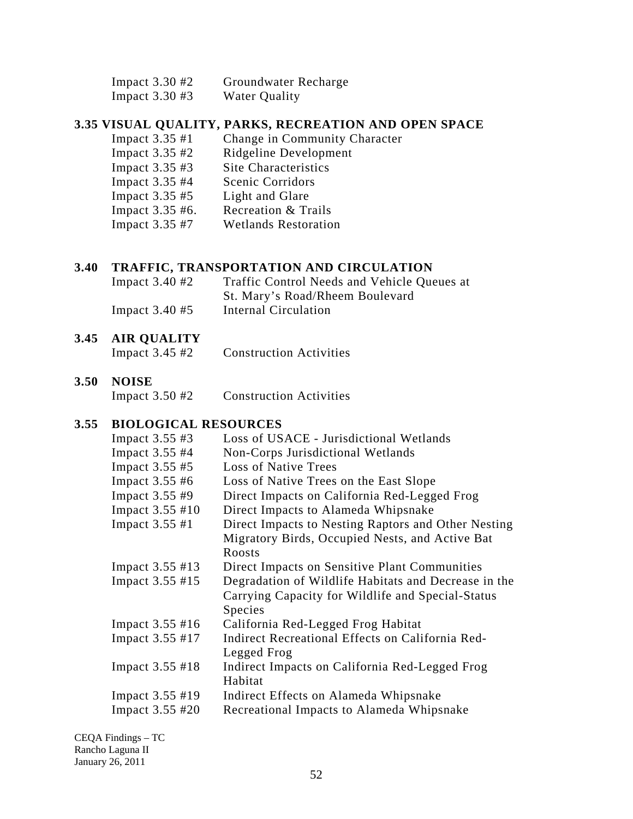| Impact $3.30 \text{ } \#2$ | Groundwater Recharge |
|----------------------------|----------------------|
|----------------------------|----------------------|

Impact 3.30 #3 Water Quality

## **3.35 VISUAL QUALITY, PARKS, RECREATION AND OPEN SPACE**

 Impact 3.35 #1 Change in Community Character Impact 3.35 #2 Ridgeline Development Impact 3.35 #3 Site Characteristics Impact 3.35 #4 Scenic Corridors Impact 3.35 #5 Light and Glare<br>Impact 3.35 #6. Recreation & Tr Recreation & Trails Impact 3.35 #7 Wetlands Restoration

#### **3.40 TRAFFIC, TRANSPORTATION AND CIRCULATION**

 Impact 3.40 #2 Traffic Control Needs and Vehicle Queues at St. Mary's Road/Rheem Boulevard Impact 3.40 #5 Internal Circulation

## **3.45 AIR QUALITY**

Impact 3.45 #2 Construction Activities

#### **3.50 NOISE**

Impact 3.50 #2 Construction Activities

### **3.55 BIOLOGICAL RESOURCES**

| Impact 3.55 #3            | Loss of USACE - Jurisdictional Wetlands              |
|---------------------------|------------------------------------------------------|
| Impact 3.55 #4            | Non-Corps Jurisdictional Wetlands                    |
| Impact 3.55 #5            | <b>Loss of Native Trees</b>                          |
| Impact 3.55 #6            | Loss of Native Trees on the East Slope               |
| Impact 3.55 #9            | Direct Impacts on California Red-Legged Frog         |
| Impact 3.55 #10           | Direct Impacts to Alameda Whipsnake                  |
| Impact 3.55 #1            | Direct Impacts to Nesting Raptors and Other Nesting  |
|                           | Migratory Birds, Occupied Nests, and Active Bat      |
|                           | Roosts                                               |
| Impact 3.55 #13           | Direct Impacts on Sensitive Plant Communities        |
| Impact 3.55 #15           | Degradation of Wildlife Habitats and Decrease in the |
|                           | Carrying Capacity for Wildlife and Special-Status    |
|                           | Species                                              |
| Impact $3.55 \text{ #}16$ | California Red-Legged Frog Habitat                   |
| Impact 3.55 #17           | Indirect Recreational Effects on California Red-     |
|                           | Legged Frog                                          |
| Impact 3.55 #18           | Indirect Impacts on California Red-Legged Frog       |
|                           | Habitat                                              |
| Impact 3.55 #19           | Indirect Effects on Alameda Whipsnake                |
| Impact $3.55 \#20$        | Recreational Impacts to Alameda Whipsnake            |
|                           |                                                      |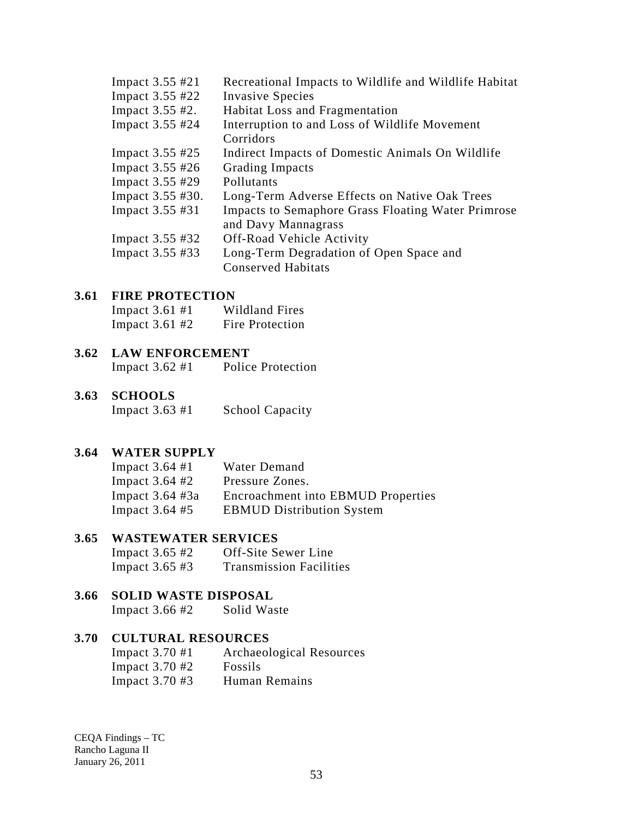| Impact 3.55 #21  | Recreational Impacts to Wildlife and Wildlife Habitat     |
|------------------|-----------------------------------------------------------|
| Impact 3.55 #22  | <b>Invasive Species</b>                                   |
| Impact 3.55 #2.  | <b>Habitat Loss and Fragmentation</b>                     |
| Impact 3.55 #24  | Interruption to and Loss of Wildlife Movement             |
|                  | Corridors                                                 |
| Impact 3.55 #25  | Indirect Impacts of Domestic Animals On Wildlife          |
| Impact 3.55 #26  | <b>Grading Impacts</b>                                    |
| Impact 3.55 #29  | Pollutants                                                |
| Impact 3.55 #30. | Long-Term Adverse Effects on Native Oak Trees             |
| Impact 3.55 #31  | <b>Impacts to Semaphore Grass Floating Water Primrose</b> |
|                  | and Davy Mannagrass                                       |
| Impact 3.55 #32  | Off-Road Vehicle Activity                                 |
| Impact 3.55 #33  | Long-Term Degradation of Open Space and                   |
|                  | <b>Conserved Habitats</b>                                 |
|                  |                                                           |

#### **3.61 FIRE PROTECTION**

| Impact $3.61 \text{ } \#1$ | <b>Wildland Fires</b> |
|----------------------------|-----------------------|
| Impact $3.61 \text{ } \#2$ | Fire Protection       |

#### **3.62 LAW ENFORCEMENT**

Impact 3.62 #1 Police Protection

# **3.63 SCHOOLS**

Impact 3.63 #1 School Capacity

#### **3.64 WATER SUPPLY**

| Impact $3.64$ #1   | Water Demand                              |
|--------------------|-------------------------------------------|
| Impact $3.64 \#2$  | Pressure Zones.                           |
| Impact $3.64 \#3a$ | <b>Encroachment into EBMUD Properties</b> |
| Impact $3.64 \#5$  | <b>EBMUD Distribution System</b>          |

### **3.65 WASTEWATER SERVICES**

| Impact $3.65 \text{ } \#2$ | Off-Site Sewer Line            |
|----------------------------|--------------------------------|
| Impact $3.65 \#3$          | <b>Transmission Facilities</b> |

# **3.66 SOLID WASTE DISPOSAL**

Impact 3.66 #2 Solid Waste

# **3.70 CULTURAL RESOURCES**

| Impact $3.70 \text{ } \#1$ | Archaeological Resources |
|----------------------------|--------------------------|
| Impact $3.70 \text{ } \#2$ | <b>Fossils</b>           |
| Impact $3.70 \text{ } \#3$ | Human Remains            |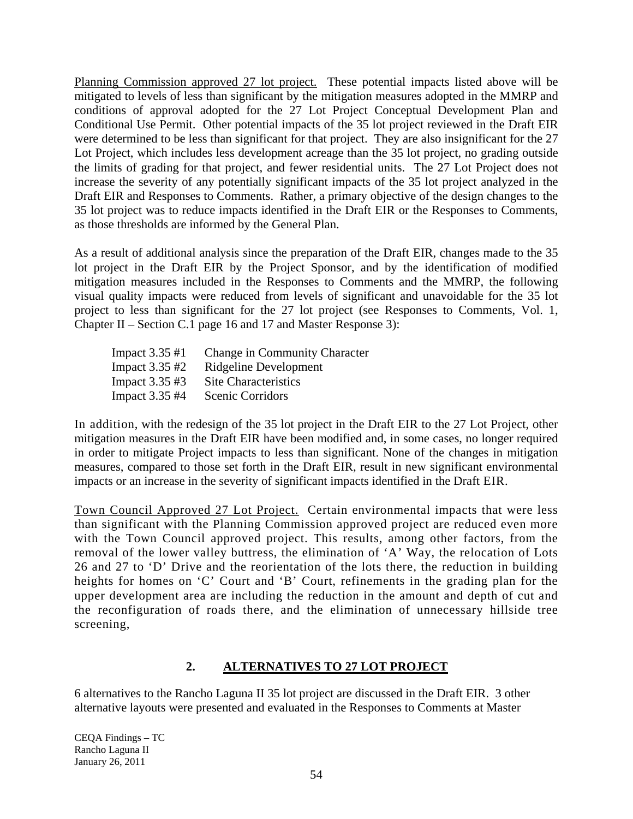Planning Commission approved 27 lot project. These potential impacts listed above will be mitigated to levels of less than significant by the mitigation measures adopted in the MMRP and conditions of approval adopted for the 27 Lot Project Conceptual Development Plan and Conditional Use Permit. Other potential impacts of the 35 lot project reviewed in the Draft EIR were determined to be less than significant for that project. They are also insignificant for the 27 Lot Project, which includes less development acreage than the 35 lot project, no grading outside the limits of grading for that project, and fewer residential units. The 27 Lot Project does not increase the severity of any potentially significant impacts of the 35 lot project analyzed in the Draft EIR and Responses to Comments. Rather, a primary objective of the design changes to the 35 lot project was to reduce impacts identified in the Draft EIR or the Responses to Comments, as those thresholds are informed by the General Plan.

As a result of additional analysis since the preparation of the Draft EIR, changes made to the 35 lot project in the Draft EIR by the Project Sponsor, and by the identification of modified mitigation measures included in the Responses to Comments and the MMRP, the following visual quality impacts were reduced from levels of significant and unavoidable for the 35 lot project to less than significant for the 27 lot project (see Responses to Comments, Vol. 1, Chapter II – Section C.1 page 16 and 17 and Master Response 3):

| <b>Change in Community Character</b> |
|--------------------------------------|
| Ridgeline Development                |
| <b>Site Characteristics</b>          |
| <b>Scenic Corridors</b>              |
|                                      |

In addition, with the redesign of the 35 lot project in the Draft EIR to the 27 Lot Project, other mitigation measures in the Draft EIR have been modified and, in some cases, no longer required in order to mitigate Project impacts to less than significant. None of the changes in mitigation measures, compared to those set forth in the Draft EIR, result in new significant environmental impacts or an increase in the severity of significant impacts identified in the Draft EIR.

Town Council Approved 27 Lot Project. Certain environmental impacts that were less than significant with the Planning Commission approved project are reduced even more with the Town Council approved project. This results, among other factors, from the removal of the lower valley buttress, the elimination of 'A' Way, the relocation of Lots 26 and 27 to 'D' Drive and the reorientation of the lots there, the reduction in building heights for homes on 'C' Court and 'B' Court, refinements in the grading plan for the upper development area are including the reduction in the amount and depth of cut and the reconfiguration of roads there, and the elimination of unnecessary hillside tree screening,

#### **2. ALTERNATIVES TO 27 LOT PROJECT**

6 alternatives to the Rancho Laguna II 35 lot project are discussed in the Draft EIR. 3 other alternative layouts were presented and evaluated in the Responses to Comments at Master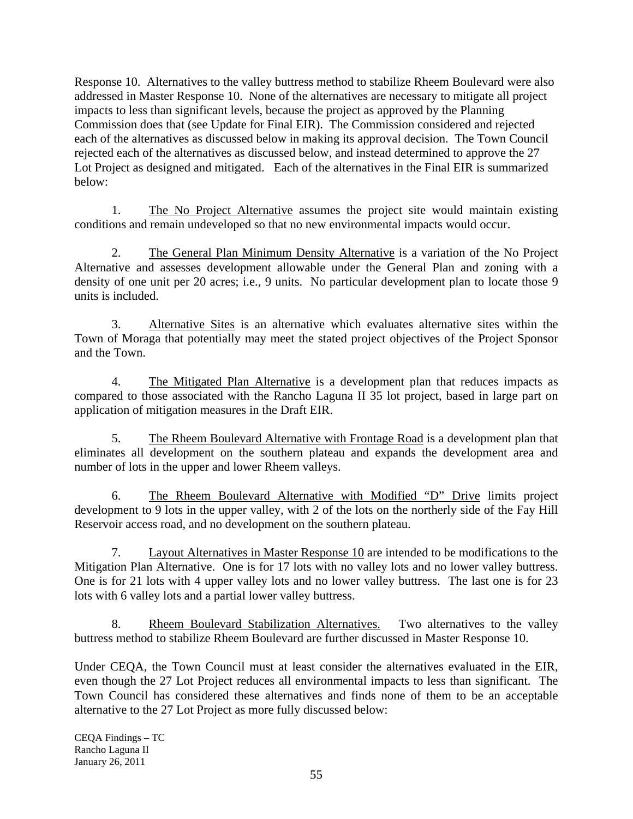Response 10. Alternatives to the valley buttress method to stabilize Rheem Boulevard were also addressed in Master Response 10. None of the alternatives are necessary to mitigate all project impacts to less than significant levels, because the project as approved by the Planning Commission does that (see Update for Final EIR). The Commission considered and rejected each of the alternatives as discussed below in making its approval decision. The Town Council rejected each of the alternatives as discussed below, and instead determined to approve the 27 Lot Project as designed and mitigated. Each of the alternatives in the Final EIR is summarized below:

1. The No Project Alternative assumes the project site would maintain existing conditions and remain undeveloped so that no new environmental impacts would occur.

2. The General Plan Minimum Density Alternative is a variation of the No Project Alternative and assesses development allowable under the General Plan and zoning with a density of one unit per 20 acres; i.e., 9 units. No particular development plan to locate those 9 units is included.

3. Alternative Sites is an alternative which evaluates alternative sites within the Town of Moraga that potentially may meet the stated project objectives of the Project Sponsor and the Town.

4. The Mitigated Plan Alternative is a development plan that reduces impacts as compared to those associated with the Rancho Laguna II 35 lot project, based in large part on application of mitigation measures in the Draft EIR.

5. The Rheem Boulevard Alternative with Frontage Road is a development plan that eliminates all development on the southern plateau and expands the development area and number of lots in the upper and lower Rheem valleys.

6. The Rheem Boulevard Alternative with Modified "D" Drive limits project development to 9 lots in the upper valley, with 2 of the lots on the northerly side of the Fay Hill Reservoir access road, and no development on the southern plateau.

7. Layout Alternatives in Master Response 10 are intended to be modifications to the Mitigation Plan Alternative. One is for 17 lots with no valley lots and no lower valley buttress. One is for 21 lots with 4 upper valley lots and no lower valley buttress. The last one is for 23 lots with 6 valley lots and a partial lower valley buttress.

8. Rheem Boulevard Stabilization Alternatives. Two alternatives to the valley buttress method to stabilize Rheem Boulevard are further discussed in Master Response 10.

Under CEQA, the Town Council must at least consider the alternatives evaluated in the EIR, even though the 27 Lot Project reduces all environmental impacts to less than significant. The Town Council has considered these alternatives and finds none of them to be an acceptable alternative to the 27 Lot Project as more fully discussed below: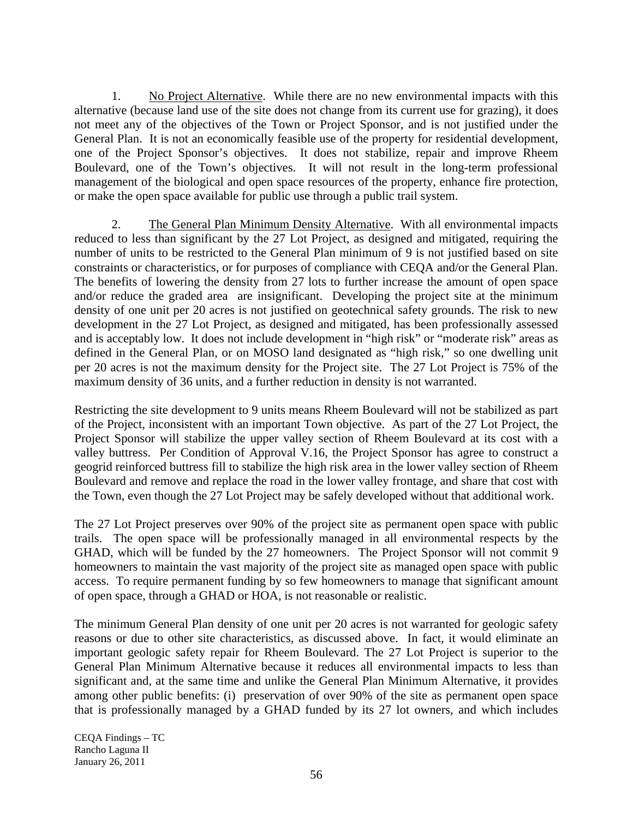1. No Project Alternative. While there are no new environmental impacts with this alternative (because land use of the site does not change from its current use for grazing), it does not meet any of the objectives of the Town or Project Sponsor, and is not justified under the General Plan. It is not an economically feasible use of the property for residential development, one of the Project Sponsor's objectives. It does not stabilize, repair and improve Rheem Boulevard, one of the Town's objectives. It will not result in the long-term professional management of the biological and open space resources of the property, enhance fire protection, or make the open space available for public use through a public trail system.

2. The General Plan Minimum Density Alternative. With all environmental impacts reduced to less than significant by the 27 Lot Project, as designed and mitigated, requiring the number of units to be restricted to the General Plan minimum of 9 is not justified based on site constraints or characteristics, or for purposes of compliance with CEQA and/or the General Plan. The benefits of lowering the density from 27 lots to further increase the amount of open space and/or reduce the graded area are insignificant. Developing the project site at the minimum density of one unit per 20 acres is not justified on geotechnical safety grounds. The risk to new development in the 27 Lot Project, as designed and mitigated, has been professionally assessed and is acceptably low. It does not include development in "high risk" or "moderate risk" areas as defined in the General Plan, or on MOSO land designated as "high risk," so one dwelling unit per 20 acres is not the maximum density for the Project site. The 27 Lot Project is 75% of the maximum density of 36 units, and a further reduction in density is not warranted.

Restricting the site development to 9 units means Rheem Boulevard will not be stabilized as part of the Project, inconsistent with an important Town objective. As part of the 27 Lot Project, the Project Sponsor will stabilize the upper valley section of Rheem Boulevard at its cost with a valley buttress. Per Condition of Approval V.16, the Project Sponsor has agree to construct a geogrid reinforced buttress fill to stabilize the high risk area in the lower valley section of Rheem Boulevard and remove and replace the road in the lower valley frontage, and share that cost with the Town, even though the 27 Lot Project may be safely developed without that additional work.

The 27 Lot Project preserves over 90% of the project site as permanent open space with public trails. The open space will be professionally managed in all environmental respects by the GHAD, which will be funded by the 27 homeowners. The Project Sponsor will not commit 9 homeowners to maintain the vast majority of the project site as managed open space with public access. To require permanent funding by so few homeowners to manage that significant amount of open space, through a GHAD or HOA, is not reasonable or realistic.

The minimum General Plan density of one unit per 20 acres is not warranted for geologic safety reasons or due to other site characteristics, as discussed above. In fact, it would eliminate an important geologic safety repair for Rheem Boulevard. The 27 Lot Project is superior to the General Plan Minimum Alternative because it reduces all environmental impacts to less than significant and, at the same time and unlike the General Plan Minimum Alternative, it provides among other public benefits: (i) preservation of over 90% of the site as permanent open space that is professionally managed by a GHAD funded by its 27 lot owners, and which includes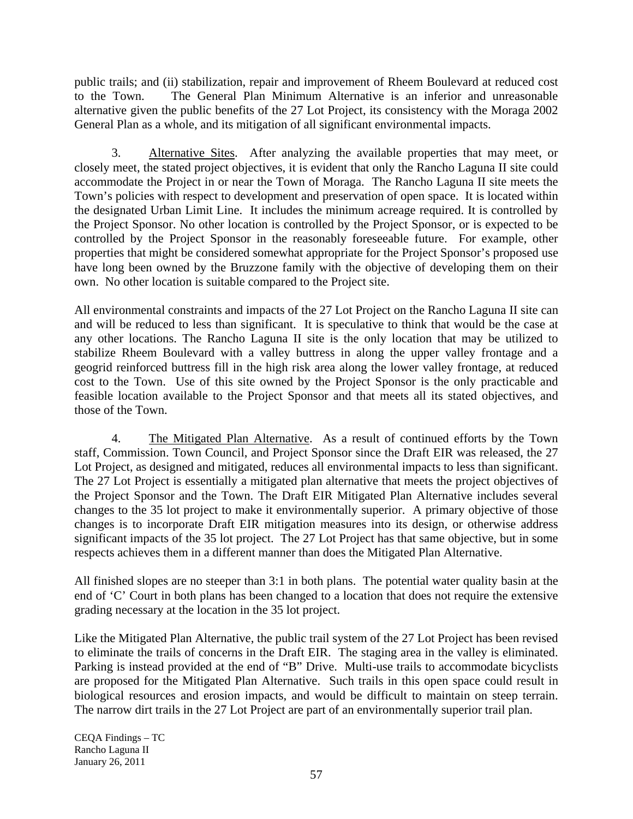public trails; and (ii) stabilization, repair and improvement of Rheem Boulevard at reduced cost to the Town. The General Plan Minimum Alternative is an inferior and unreasonable alternative given the public benefits of the 27 Lot Project, its consistency with the Moraga 2002 General Plan as a whole, and its mitigation of all significant environmental impacts.

3. Alternative Sites. After analyzing the available properties that may meet, or closely meet, the stated project objectives, it is evident that only the Rancho Laguna II site could accommodate the Project in or near the Town of Moraga. The Rancho Laguna II site meets the Town's policies with respect to development and preservation of open space. It is located within the designated Urban Limit Line. It includes the minimum acreage required. It is controlled by the Project Sponsor. No other location is controlled by the Project Sponsor, or is expected to be controlled by the Project Sponsor in the reasonably foreseeable future. For example, other properties that might be considered somewhat appropriate for the Project Sponsor's proposed use have long been owned by the Bruzzone family with the objective of developing them on their own. No other location is suitable compared to the Project site.

All environmental constraints and impacts of the 27 Lot Project on the Rancho Laguna II site can and will be reduced to less than significant. It is speculative to think that would be the case at any other locations. The Rancho Laguna II site is the only location that may be utilized to stabilize Rheem Boulevard with a valley buttress in along the upper valley frontage and a geogrid reinforced buttress fill in the high risk area along the lower valley frontage, at reduced cost to the Town. Use of this site owned by the Project Sponsor is the only practicable and feasible location available to the Project Sponsor and that meets all its stated objectives, and those of the Town.

4. The Mitigated Plan Alternative. As a result of continued efforts by the Town staff, Commission. Town Council, and Project Sponsor since the Draft EIR was released, the 27 Lot Project, as designed and mitigated, reduces all environmental impacts to less than significant. The 27 Lot Project is essentially a mitigated plan alternative that meets the project objectives of the Project Sponsor and the Town. The Draft EIR Mitigated Plan Alternative includes several changes to the 35 lot project to make it environmentally superior. A primary objective of those changes is to incorporate Draft EIR mitigation measures into its design, or otherwise address significant impacts of the 35 lot project. The 27 Lot Project has that same objective, but in some respects achieves them in a different manner than does the Mitigated Plan Alternative.

All finished slopes are no steeper than 3:1 in both plans. The potential water quality basin at the end of 'C' Court in both plans has been changed to a location that does not require the extensive grading necessary at the location in the 35 lot project.

Like the Mitigated Plan Alternative, the public trail system of the 27 Lot Project has been revised to eliminate the trails of concerns in the Draft EIR. The staging area in the valley is eliminated. Parking is instead provided at the end of "B" Drive. Multi-use trails to accommodate bicyclists are proposed for the Mitigated Plan Alternative. Such trails in this open space could result in biological resources and erosion impacts, and would be difficult to maintain on steep terrain. The narrow dirt trails in the 27 Lot Project are part of an environmentally superior trail plan.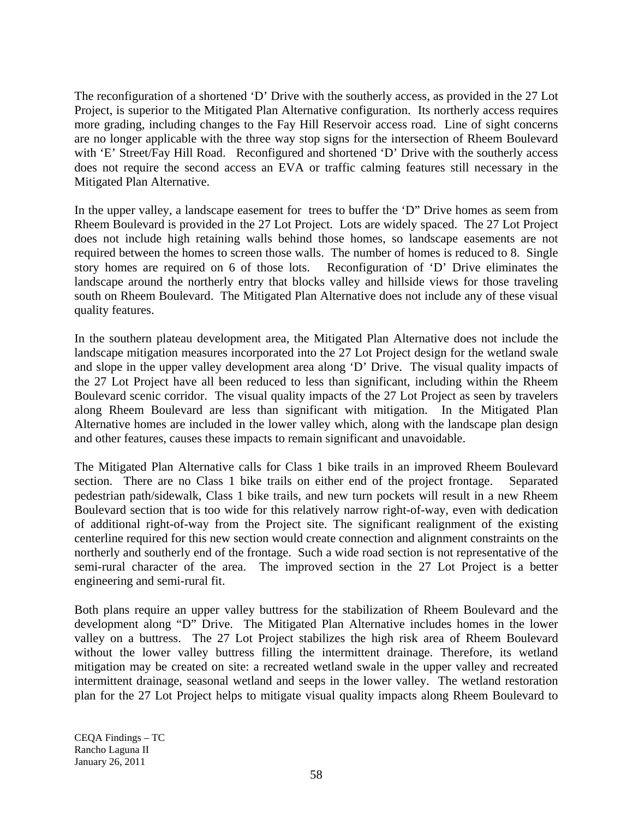The reconfiguration of a shortened 'D' Drive with the southerly access, as provided in the 27 Lot Project, is superior to the Mitigated Plan Alternative configuration. Its northerly access requires more grading, including changes to the Fay Hill Reservoir access road. Line of sight concerns are no longer applicable with the three way stop signs for the intersection of Rheem Boulevard with 'E' Street/Fay Hill Road. Reconfigured and shortened 'D' Drive with the southerly access does not require the second access an EVA or traffic calming features still necessary in the Mitigated Plan Alternative.

In the upper valley, a landscape easement for trees to buffer the 'D" Drive homes as seem from Rheem Boulevard is provided in the 27 Lot Project. Lots are widely spaced. The 27 Lot Project does not include high retaining walls behind those homes, so landscape easements are not required between the homes to screen those walls. The number of homes is reduced to 8. Single story homes are required on 6 of those lots. Reconfiguration of 'D' Drive eliminates the landscape around the northerly entry that blocks valley and hillside views for those traveling south on Rheem Boulevard. The Mitigated Plan Alternative does not include any of these visual quality features.

In the southern plateau development area, the Mitigated Plan Alternative does not include the landscape mitigation measures incorporated into the 27 Lot Project design for the wetland swale and slope in the upper valley development area along 'D' Drive. The visual quality impacts of the 27 Lot Project have all been reduced to less than significant, including within the Rheem Boulevard scenic corridor. The visual quality impacts of the 27 Lot Project as seen by travelers along Rheem Boulevard are less than significant with mitigation. In the Mitigated Plan Alternative homes are included in the lower valley which, along with the landscape plan design and other features, causes these impacts to remain significant and unavoidable.

The Mitigated Plan Alternative calls for Class 1 bike trails in an improved Rheem Boulevard section. There are no Class 1 bike trails on either end of the project frontage. Separated pedestrian path/sidewalk, Class 1 bike trails, and new turn pockets will result in a new Rheem Boulevard section that is too wide for this relatively narrow right-of-way, even with dedication of additional right-of-way from the Project site. The significant realignment of the existing centerline required for this new section would create connection and alignment constraints on the northerly and southerly end of the frontage. Such a wide road section is not representative of the semi-rural character of the area. The improved section in the 27 Lot Project is a better engineering and semi-rural fit.

Both plans require an upper valley buttress for the stabilization of Rheem Boulevard and the development along "D" Drive. The Mitigated Plan Alternative includes homes in the lower valley on a buttress. The 27 Lot Project stabilizes the high risk area of Rheem Boulevard without the lower valley buttress filling the intermittent drainage. Therefore, its wetland mitigation may be created on site: a recreated wetland swale in the upper valley and recreated intermittent drainage, seasonal wetland and seeps in the lower valley. The wetland restoration plan for the 27 Lot Project helps to mitigate visual quality impacts along Rheem Boulevard to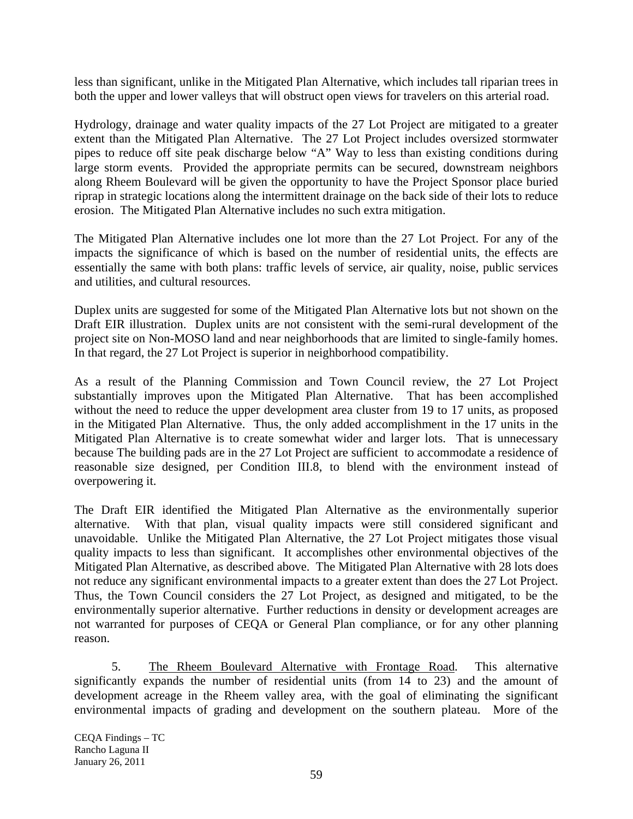less than significant, unlike in the Mitigated Plan Alternative, which includes tall riparian trees in both the upper and lower valleys that will obstruct open views for travelers on this arterial road.

Hydrology, drainage and water quality impacts of the 27 Lot Project are mitigated to a greater extent than the Mitigated Plan Alternative. The 27 Lot Project includes oversized stormwater pipes to reduce off site peak discharge below "A" Way to less than existing conditions during large storm events. Provided the appropriate permits can be secured, downstream neighbors along Rheem Boulevard will be given the opportunity to have the Project Sponsor place buried riprap in strategic locations along the intermittent drainage on the back side of their lots to reduce erosion. The Mitigated Plan Alternative includes no such extra mitigation.

The Mitigated Plan Alternative includes one lot more than the 27 Lot Project. For any of the impacts the significance of which is based on the number of residential units, the effects are essentially the same with both plans: traffic levels of service, air quality, noise, public services and utilities, and cultural resources.

Duplex units are suggested for some of the Mitigated Plan Alternative lots but not shown on the Draft EIR illustration. Duplex units are not consistent with the semi-rural development of the project site on Non-MOSO land and near neighborhoods that are limited to single-family homes. In that regard, the 27 Lot Project is superior in neighborhood compatibility.

As a result of the Planning Commission and Town Council review, the 27 Lot Project substantially improves upon the Mitigated Plan Alternative. That has been accomplished without the need to reduce the upper development area cluster from 19 to 17 units, as proposed in the Mitigated Plan Alternative. Thus, the only added accomplishment in the 17 units in the Mitigated Plan Alternative is to create somewhat wider and larger lots. That is unnecessary because The building pads are in the 27 Lot Project are sufficient to accommodate a residence of reasonable size designed, per Condition III.8, to blend with the environment instead of overpowering it.

The Draft EIR identified the Mitigated Plan Alternative as the environmentally superior alternative. With that plan, visual quality impacts were still considered significant and unavoidable. Unlike the Mitigated Plan Alternative, the 27 Lot Project mitigates those visual quality impacts to less than significant. It accomplishes other environmental objectives of the Mitigated Plan Alternative, as described above. The Mitigated Plan Alternative with 28 lots does not reduce any significant environmental impacts to a greater extent than does the 27 Lot Project. Thus, the Town Council considers the 27 Lot Project, as designed and mitigated, to be the environmentally superior alternative. Further reductions in density or development acreages are not warranted for purposes of CEQA or General Plan compliance, or for any other planning reason.

5. The Rheem Boulevard Alternative with Frontage Road. This alternative significantly expands the number of residential units (from 14 to 23) and the amount of development acreage in the Rheem valley area, with the goal of eliminating the significant environmental impacts of grading and development on the southern plateau. More of the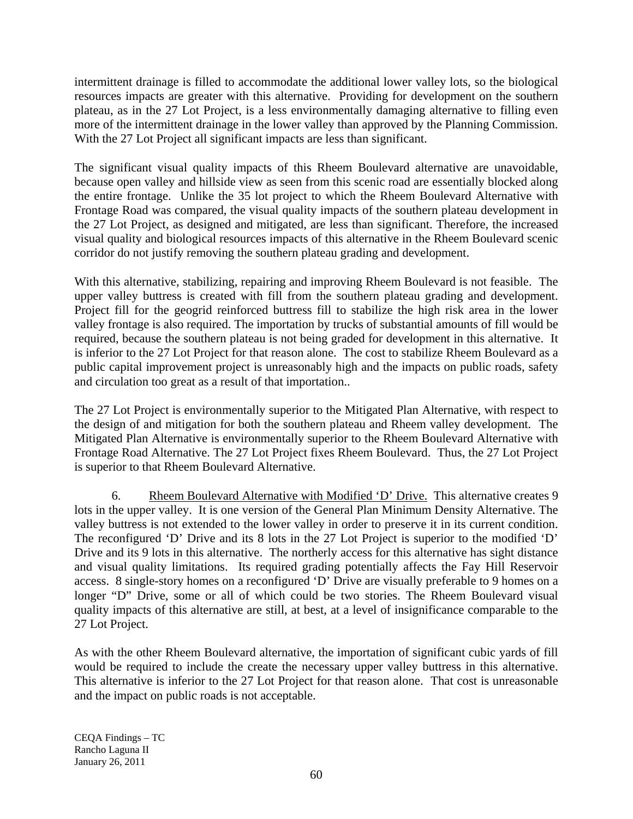intermittent drainage is filled to accommodate the additional lower valley lots, so the biological resources impacts are greater with this alternative. Providing for development on the southern plateau, as in the 27 Lot Project, is a less environmentally damaging alternative to filling even more of the intermittent drainage in the lower valley than approved by the Planning Commission. With the 27 Lot Project all significant impacts are less than significant.

The significant visual quality impacts of this Rheem Boulevard alternative are unavoidable, because open valley and hillside view as seen from this scenic road are essentially blocked along the entire frontage. Unlike the 35 lot project to which the Rheem Boulevard Alternative with Frontage Road was compared, the visual quality impacts of the southern plateau development in the 27 Lot Project, as designed and mitigated, are less than significant. Therefore, the increased visual quality and biological resources impacts of this alternative in the Rheem Boulevard scenic corridor do not justify removing the southern plateau grading and development.

With this alternative, stabilizing, repairing and improving Rheem Boulevard is not feasible. The upper valley buttress is created with fill from the southern plateau grading and development. Project fill for the geogrid reinforced buttress fill to stabilize the high risk area in the lower valley frontage is also required. The importation by trucks of substantial amounts of fill would be required, because the southern plateau is not being graded for development in this alternative. It is inferior to the 27 Lot Project for that reason alone. The cost to stabilize Rheem Boulevard as a public capital improvement project is unreasonably high and the impacts on public roads, safety and circulation too great as a result of that importation..

The 27 Lot Project is environmentally superior to the Mitigated Plan Alternative, with respect to the design of and mitigation for both the southern plateau and Rheem valley development. The Mitigated Plan Alternative is environmentally superior to the Rheem Boulevard Alternative with Frontage Road Alternative. The 27 Lot Project fixes Rheem Boulevard. Thus, the 27 Lot Project is superior to that Rheem Boulevard Alternative.

6. Rheem Boulevard Alternative with Modified 'D' Drive. This alternative creates 9 lots in the upper valley. It is one version of the General Plan Minimum Density Alternative. The valley buttress is not extended to the lower valley in order to preserve it in its current condition. The reconfigured 'D' Drive and its 8 lots in the 27 Lot Project is superior to the modified 'D' Drive and its 9 lots in this alternative. The northerly access for this alternative has sight distance and visual quality limitations. Its required grading potentially affects the Fay Hill Reservoir access. 8 single-story homes on a reconfigured 'D' Drive are visually preferable to 9 homes on a longer "D" Drive, some or all of which could be two stories. The Rheem Boulevard visual quality impacts of this alternative are still, at best, at a level of insignificance comparable to the 27 Lot Project.

As with the other Rheem Boulevard alternative, the importation of significant cubic yards of fill would be required to include the create the necessary upper valley buttress in this alternative. This alternative is inferior to the 27 Lot Project for that reason alone. That cost is unreasonable and the impact on public roads is not acceptable.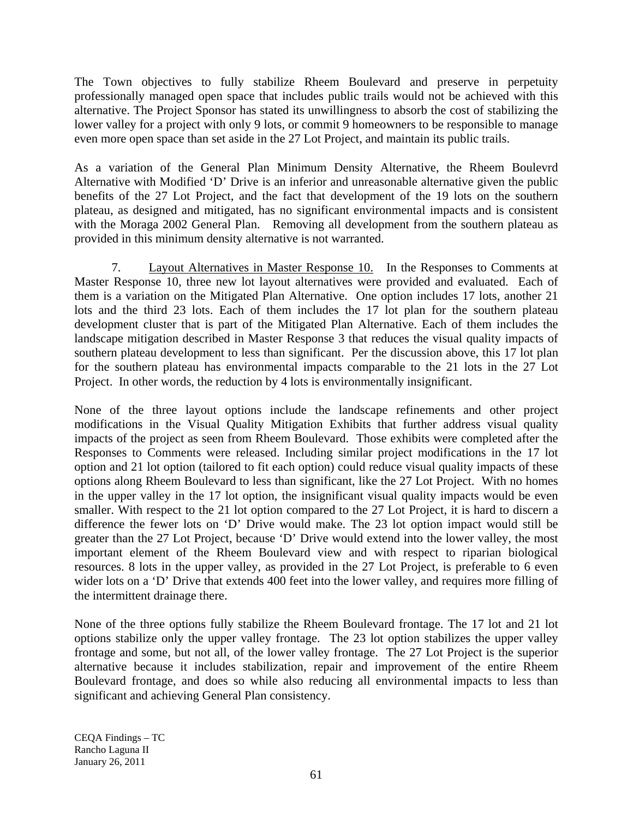The Town objectives to fully stabilize Rheem Boulevard and preserve in perpetuity professionally managed open space that includes public trails would not be achieved with this alternative. The Project Sponsor has stated its unwillingness to absorb the cost of stabilizing the lower valley for a project with only 9 lots, or commit 9 homeowners to be responsible to manage even more open space than set aside in the 27 Lot Project, and maintain its public trails.

As a variation of the General Plan Minimum Density Alternative, the Rheem Boulevrd Alternative with Modified 'D' Drive is an inferior and unreasonable alternative given the public benefits of the 27 Lot Project, and the fact that development of the 19 lots on the southern plateau, as designed and mitigated, has no significant environmental impacts and is consistent with the Moraga 2002 General Plan. Removing all development from the southern plateau as provided in this minimum density alternative is not warranted.

7. Layout Alternatives in Master Response 10. In the Responses to Comments at Master Response 10, three new lot layout alternatives were provided and evaluated. Each of them is a variation on the Mitigated Plan Alternative. One option includes 17 lots, another 21 lots and the third 23 lots. Each of them includes the 17 lot plan for the southern plateau development cluster that is part of the Mitigated Plan Alternative. Each of them includes the landscape mitigation described in Master Response 3 that reduces the visual quality impacts of southern plateau development to less than significant. Per the discussion above, this 17 lot plan for the southern plateau has environmental impacts comparable to the 21 lots in the 27 Lot Project. In other words, the reduction by 4 lots is environmentally insignificant.

None of the three layout options include the landscape refinements and other project modifications in the Visual Quality Mitigation Exhibits that further address visual quality impacts of the project as seen from Rheem Boulevard. Those exhibits were completed after the Responses to Comments were released. Including similar project modifications in the 17 lot option and 21 lot option (tailored to fit each option) could reduce visual quality impacts of these options along Rheem Boulevard to less than significant, like the 27 Lot Project. With no homes in the upper valley in the 17 lot option, the insignificant visual quality impacts would be even smaller. With respect to the 21 lot option compared to the 27 Lot Project, it is hard to discern a difference the fewer lots on 'D' Drive would make. The 23 lot option impact would still be greater than the 27 Lot Project, because 'D' Drive would extend into the lower valley, the most important element of the Rheem Boulevard view and with respect to riparian biological resources. 8 lots in the upper valley, as provided in the 27 Lot Project, is preferable to 6 even wider lots on a 'D' Drive that extends 400 feet into the lower valley, and requires more filling of the intermittent drainage there.

None of the three options fully stabilize the Rheem Boulevard frontage. The 17 lot and 21 lot options stabilize only the upper valley frontage. The 23 lot option stabilizes the upper valley frontage and some, but not all, of the lower valley frontage. The 27 Lot Project is the superior alternative because it includes stabilization, repair and improvement of the entire Rheem Boulevard frontage, and does so while also reducing all environmental impacts to less than significant and achieving General Plan consistency.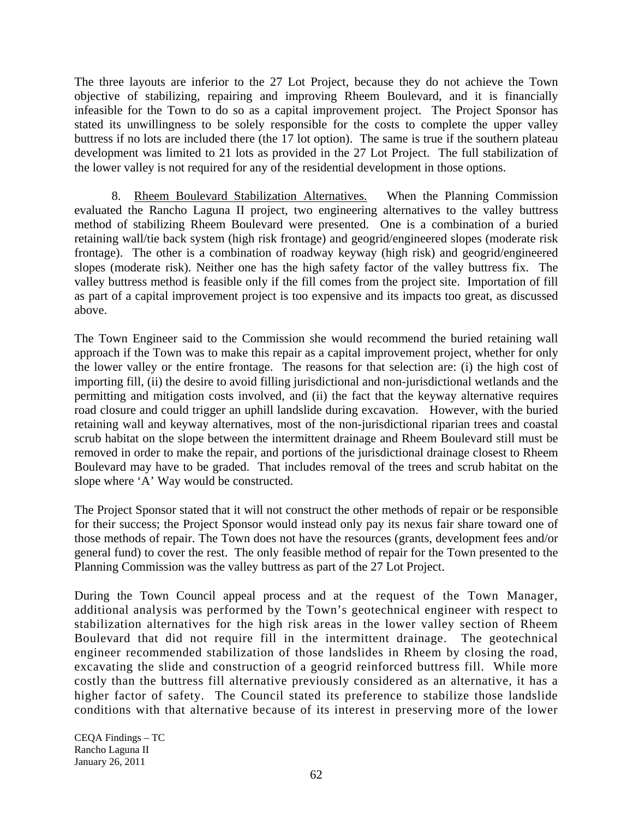The three layouts are inferior to the 27 Lot Project, because they do not achieve the Town objective of stabilizing, repairing and improving Rheem Boulevard, and it is financially infeasible for the Town to do so as a capital improvement project. The Project Sponsor has stated its unwillingness to be solely responsible for the costs to complete the upper valley buttress if no lots are included there (the 17 lot option). The same is true if the southern plateau development was limited to 21 lots as provided in the 27 Lot Project. The full stabilization of the lower valley is not required for any of the residential development in those options.

8. Rheem Boulevard Stabilization Alternatives. When the Planning Commission evaluated the Rancho Laguna II project, two engineering alternatives to the valley buttress method of stabilizing Rheem Boulevard were presented. One is a combination of a buried retaining wall/tie back system (high risk frontage) and geogrid/engineered slopes (moderate risk frontage). The other is a combination of roadway keyway (high risk) and geogrid/engineered slopes (moderate risk). Neither one has the high safety factor of the valley buttress fix. The valley buttress method is feasible only if the fill comes from the project site. Importation of fill as part of a capital improvement project is too expensive and its impacts too great, as discussed above.

The Town Engineer said to the Commission she would recommend the buried retaining wall approach if the Town was to make this repair as a capital improvement project, whether for only the lower valley or the entire frontage. The reasons for that selection are: (i) the high cost of importing fill, (ii) the desire to avoid filling jurisdictional and non-jurisdictional wetlands and the permitting and mitigation costs involved, and (ii) the fact that the keyway alternative requires road closure and could trigger an uphill landslide during excavation. However, with the buried retaining wall and keyway alternatives, most of the non-jurisdictional riparian trees and coastal scrub habitat on the slope between the intermittent drainage and Rheem Boulevard still must be removed in order to make the repair, and portions of the jurisdictional drainage closest to Rheem Boulevard may have to be graded. That includes removal of the trees and scrub habitat on the slope where 'A' Way would be constructed.

The Project Sponsor stated that it will not construct the other methods of repair or be responsible for their success; the Project Sponsor would instead only pay its nexus fair share toward one of those methods of repair. The Town does not have the resources (grants, development fees and/or general fund) to cover the rest. The only feasible method of repair for the Town presented to the Planning Commission was the valley buttress as part of the 27 Lot Project.

During the Town Council appeal process and at the request of the Town Manager, additional analysis was performed by the Town's geotechnical engineer with respect to stabilization alternatives for the high risk areas in the lower valley section of Rheem Boulevard that did not require fill in the intermittent drainage. The geotechnical engineer recommended stabilization of those landslides in Rheem by closing the road, excavating the slide and construction of a geogrid reinforced buttress fill. While more costly than the buttress fill alternative previously considered as an alternative, it has a higher factor of safety. The Council stated its preference to stabilize those landslide conditions with that alternative because of its interest in preserving more of the lower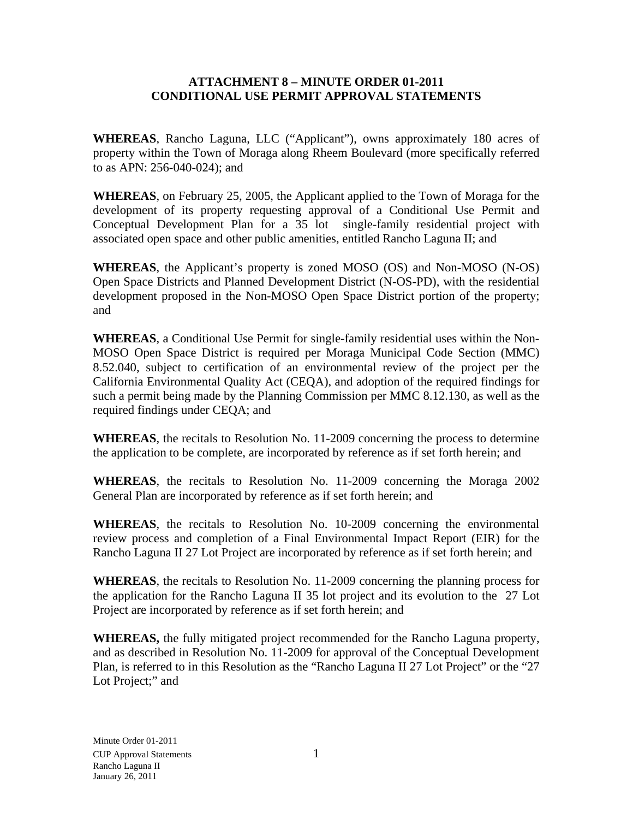#### **ATTACHMENT 8 – MINUTE ORDER 01-2011 CONDITIONAL USE PERMIT APPROVAL STATEMENTS**

**WHEREAS**, Rancho Laguna, LLC ("Applicant"), owns approximately 180 acres of property within the Town of Moraga along Rheem Boulevard (more specifically referred to as APN: 256-040-024); and

**WHEREAS**, on February 25, 2005, the Applicant applied to the Town of Moraga for the development of its property requesting approval of a Conditional Use Permit and Conceptual Development Plan for a 35 lot single-family residential project with associated open space and other public amenities, entitled Rancho Laguna II; and

**WHEREAS**, the Applicant's property is zoned MOSO (OS) and Non-MOSO (N-OS) Open Space Districts and Planned Development District (N-OS-PD), with the residential development proposed in the Non-MOSO Open Space District portion of the property; and

**WHEREAS**, a Conditional Use Permit for single-family residential uses within the Non-MOSO Open Space District is required per Moraga Municipal Code Section (MMC) 8.52.040, subject to certification of an environmental review of the project per the California Environmental Quality Act (CEQA), and adoption of the required findings for such a permit being made by the Planning Commission per MMC 8.12.130, as well as the required findings under CEQA; and

**WHEREAS**, the recitals to Resolution No. 11-2009 concerning the process to determine the application to be complete, are incorporated by reference as if set forth herein; and

**WHEREAS**, the recitals to Resolution No. 11-2009 concerning the Moraga 2002 General Plan are incorporated by reference as if set forth herein; and

**WHEREAS**, the recitals to Resolution No. 10-2009 concerning the environmental review process and completion of a Final Environmental Impact Report (EIR) for the Rancho Laguna II 27 Lot Project are incorporated by reference as if set forth herein; and

**WHEREAS**, the recitals to Resolution No. 11-2009 concerning the planning process for the application for the Rancho Laguna II 35 lot project and its evolution to the 27 Lot Project are incorporated by reference as if set forth herein; and

**WHEREAS,** the fully mitigated project recommended for the Rancho Laguna property, and as described in Resolution No. 11-2009 for approval of the Conceptual Development Plan, is referred to in this Resolution as the "Rancho Laguna II 27 Lot Project" or the "27 Lot Project;" and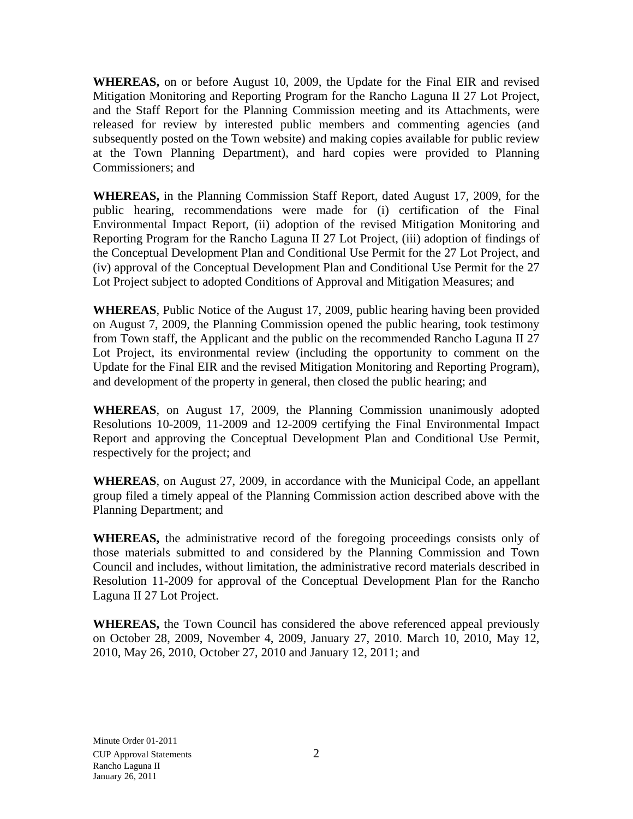**WHEREAS,** on or before August 10, 2009, the Update for the Final EIR and revised Mitigation Monitoring and Reporting Program for the Rancho Laguna II 27 Lot Project, and the Staff Report for the Planning Commission meeting and its Attachments, were released for review by interested public members and commenting agencies (and subsequently posted on the Town website) and making copies available for public review at the Town Planning Department), and hard copies were provided to Planning Commissioners; and

**WHEREAS,** in the Planning Commission Staff Report, dated August 17, 2009, for the public hearing, recommendations were made for (i) certification of the Final Environmental Impact Report, (ii) adoption of the revised Mitigation Monitoring and Reporting Program for the Rancho Laguna II 27 Lot Project, (iii) adoption of findings of the Conceptual Development Plan and Conditional Use Permit for the 27 Lot Project, and (iv) approval of the Conceptual Development Plan and Conditional Use Permit for the 27 Lot Project subject to adopted Conditions of Approval and Mitigation Measures; and

**WHEREAS**, Public Notice of the August 17, 2009, public hearing having been provided on August 7, 2009, the Planning Commission opened the public hearing, took testimony from Town staff, the Applicant and the public on the recommended Rancho Laguna II 27 Lot Project, its environmental review (including the opportunity to comment on the Update for the Final EIR and the revised Mitigation Monitoring and Reporting Program), and development of the property in general, then closed the public hearing; and

**WHEREAS**, on August 17, 2009, the Planning Commission unanimously adopted Resolutions 10-2009, 11-2009 and 12-2009 certifying the Final Environmental Impact Report and approving the Conceptual Development Plan and Conditional Use Permit, respectively for the project; and

**WHEREAS**, on August 27, 2009, in accordance with the Municipal Code, an appellant group filed a timely appeal of the Planning Commission action described above with the Planning Department; and

**WHEREAS,** the administrative record of the foregoing proceedings consists only of those materials submitted to and considered by the Planning Commission and Town Council and includes, without limitation, the administrative record materials described in Resolution 11-2009 for approval of the Conceptual Development Plan for the Rancho Laguna II 27 Lot Project.

**WHEREAS,** the Town Council has considered the above referenced appeal previously on October 28, 2009, November 4, 2009, January 27, 2010. March 10, 2010, May 12, 2010, May 26, 2010, October 27, 2010 and January 12, 2011; and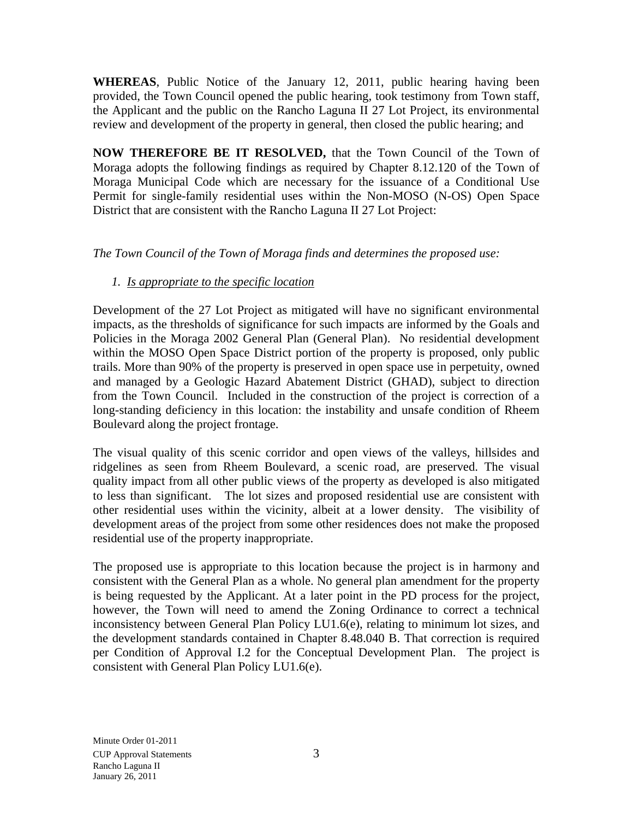**WHEREAS**, Public Notice of the January 12, 2011, public hearing having been provided, the Town Council opened the public hearing, took testimony from Town staff, the Applicant and the public on the Rancho Laguna II 27 Lot Project, its environmental review and development of the property in general, then closed the public hearing; and

**NOW THEREFORE BE IT RESOLVED,** that the Town Council of the Town of Moraga adopts the following findings as required by Chapter 8.12.120 of the Town of Moraga Municipal Code which are necessary for the issuance of a Conditional Use Permit for single-family residential uses within the Non-MOSO (N-OS) Open Space District that are consistent with the Rancho Laguna II 27 Lot Project:

## *The Town Council of the Town of Moraga finds and determines the proposed use:*

# *1. Is appropriate to the specific location*

Development of the 27 Lot Project as mitigated will have no significant environmental impacts, as the thresholds of significance for such impacts are informed by the Goals and Policies in the Moraga 2002 General Plan (General Plan). No residential development within the MOSO Open Space District portion of the property is proposed, only public trails. More than 90% of the property is preserved in open space use in perpetuity, owned and managed by a Geologic Hazard Abatement District (GHAD), subject to direction from the Town Council. Included in the construction of the project is correction of a long-standing deficiency in this location: the instability and unsafe condition of Rheem Boulevard along the project frontage.

The visual quality of this scenic corridor and open views of the valleys, hillsides and ridgelines as seen from Rheem Boulevard, a scenic road, are preserved. The visual quality impact from all other public views of the property as developed is also mitigated to less than significant. The lot sizes and proposed residential use are consistent with other residential uses within the vicinity, albeit at a lower density. The visibility of development areas of the project from some other residences does not make the proposed residential use of the property inappropriate.

The proposed use is appropriate to this location because the project is in harmony and consistent with the General Plan as a whole. No general plan amendment for the property is being requested by the Applicant. At a later point in the PD process for the project, however, the Town will need to amend the Zoning Ordinance to correct a technical inconsistency between General Plan Policy LU1.6(e), relating to minimum lot sizes, and the development standards contained in Chapter 8.48.040 B. That correction is required per Condition of Approval I.2 for the Conceptual Development Plan. The project is consistent with General Plan Policy LU1.6(e).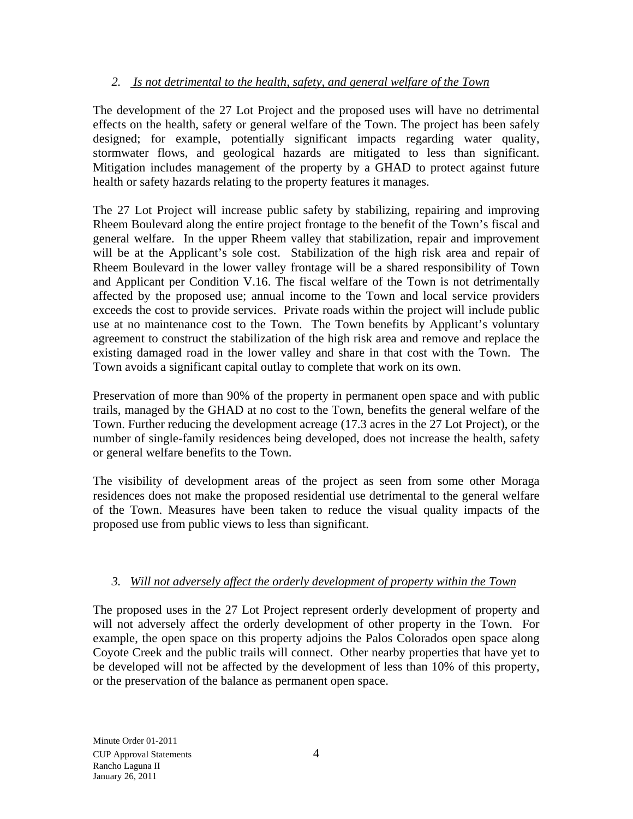## *2. Is not detrimental to the health, safety, and general welfare of the Town*

The development of the 27 Lot Project and the proposed uses will have no detrimental effects on the health, safety or general welfare of the Town. The project has been safely designed; for example, potentially significant impacts regarding water quality, stormwater flows, and geological hazards are mitigated to less than significant. Mitigation includes management of the property by a GHAD to protect against future health or safety hazards relating to the property features it manages.

The 27 Lot Project will increase public safety by stabilizing, repairing and improving Rheem Boulevard along the entire project frontage to the benefit of the Town's fiscal and general welfare. In the upper Rheem valley that stabilization, repair and improvement will be at the Applicant's sole cost. Stabilization of the high risk area and repair of Rheem Boulevard in the lower valley frontage will be a shared responsibility of Town and Applicant per Condition V.16. The fiscal welfare of the Town is not detrimentally affected by the proposed use; annual income to the Town and local service providers exceeds the cost to provide services. Private roads within the project will include public use at no maintenance cost to the Town. The Town benefits by Applicant's voluntary agreement to construct the stabilization of the high risk area and remove and replace the existing damaged road in the lower valley and share in that cost with the Town. The Town avoids a significant capital outlay to complete that work on its own.

Preservation of more than 90% of the property in permanent open space and with public trails, managed by the GHAD at no cost to the Town, benefits the general welfare of the Town. Further reducing the development acreage (17.3 acres in the 27 Lot Project), or the number of single-family residences being developed, does not increase the health, safety or general welfare benefits to the Town.

The visibility of development areas of the project as seen from some other Moraga residences does not make the proposed residential use detrimental to the general welfare of the Town. Measures have been taken to reduce the visual quality impacts of the proposed use from public views to less than significant.

## *3. Will not adversely affect the orderly development of property within the Town*

The proposed uses in the 27 Lot Project represent orderly development of property and will not adversely affect the orderly development of other property in the Town. For example, the open space on this property adjoins the Palos Colorados open space along Coyote Creek and the public trails will connect. Other nearby properties that have yet to be developed will not be affected by the development of less than 10% of this property, or the preservation of the balance as permanent open space.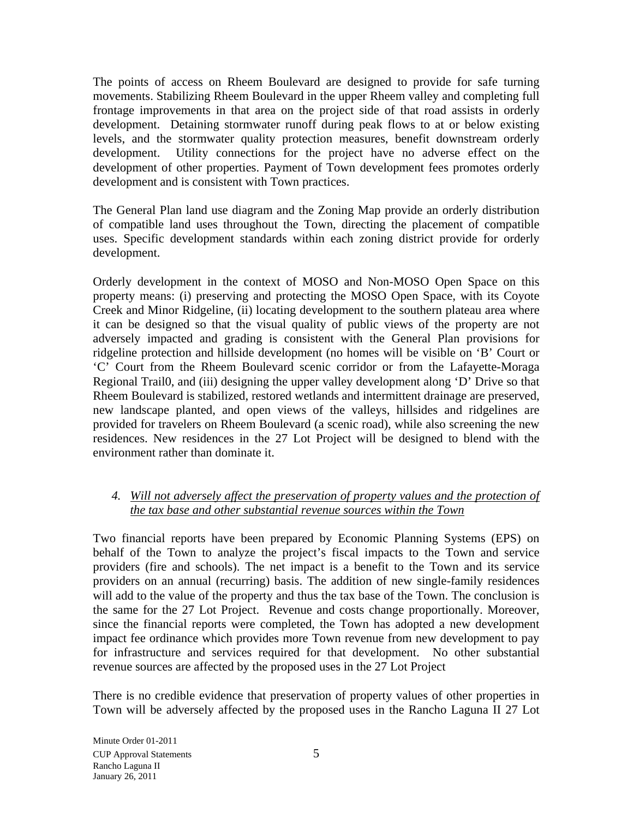The points of access on Rheem Boulevard are designed to provide for safe turning movements. Stabilizing Rheem Boulevard in the upper Rheem valley and completing full frontage improvements in that area on the project side of that road assists in orderly development. Detaining stormwater runoff during peak flows to at or below existing levels, and the stormwater quality protection measures, benefit downstream orderly development. Utility connections for the project have no adverse effect on the development of other properties. Payment of Town development fees promotes orderly development and is consistent with Town practices.

The General Plan land use diagram and the Zoning Map provide an orderly distribution of compatible land uses throughout the Town, directing the placement of compatible uses. Specific development standards within each zoning district provide for orderly development.

Orderly development in the context of MOSO and Non-MOSO Open Space on this property means: (i) preserving and protecting the MOSO Open Space, with its Coyote Creek and Minor Ridgeline, (ii) locating development to the southern plateau area where it can be designed so that the visual quality of public views of the property are not adversely impacted and grading is consistent with the General Plan provisions for ridgeline protection and hillside development (no homes will be visible on 'B' Court or 'C' Court from the Rheem Boulevard scenic corridor or from the Lafayette-Moraga Regional Trail0, and (iii) designing the upper valley development along 'D' Drive so that Rheem Boulevard is stabilized, restored wetlands and intermittent drainage are preserved, new landscape planted, and open views of the valleys, hillsides and ridgelines are provided for travelers on Rheem Boulevard (a scenic road), while also screening the new residences. New residences in the 27 Lot Project will be designed to blend with the environment rather than dominate it.

#### *4. Will not adversely affect the preservation of property values and the protection of the tax base and other substantial revenue sources within the Town*

Two financial reports have been prepared by Economic Planning Systems (EPS) on behalf of the Town to analyze the project's fiscal impacts to the Town and service providers (fire and schools). The net impact is a benefit to the Town and its service providers on an annual (recurring) basis. The addition of new single-family residences will add to the value of the property and thus the tax base of the Town. The conclusion is the same for the 27 Lot Project. Revenue and costs change proportionally. Moreover, since the financial reports were completed, the Town has adopted a new development impact fee ordinance which provides more Town revenue from new development to pay for infrastructure and services required for that development. No other substantial revenue sources are affected by the proposed uses in the 27 Lot Project

There is no credible evidence that preservation of property values of other properties in Town will be adversely affected by the proposed uses in the Rancho Laguna II 27 Lot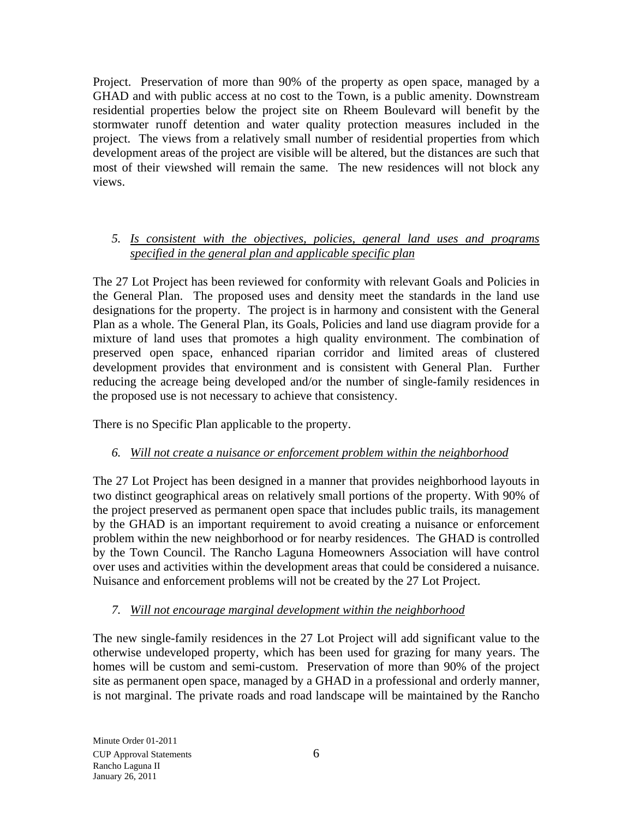Project. Preservation of more than 90% of the property as open space, managed by a GHAD and with public access at no cost to the Town, is a public amenity. Downstream residential properties below the project site on Rheem Boulevard will benefit by the stormwater runoff detention and water quality protection measures included in the project. The views from a relatively small number of residential properties from which development areas of the project are visible will be altered, but the distances are such that most of their viewshed will remain the same. The new residences will not block any views.

#### *5. Is consistent with the objectives, policies, general land uses and programs specified in the general plan and applicable specific plan*

The 27 Lot Project has been reviewed for conformity with relevant Goals and Policies in the General Plan. The proposed uses and density meet the standards in the land use designations for the property. The project is in harmony and consistent with the General Plan as a whole. The General Plan, its Goals, Policies and land use diagram provide for a mixture of land uses that promotes a high quality environment. The combination of preserved open space, enhanced riparian corridor and limited areas of clustered development provides that environment and is consistent with General Plan. Further reducing the acreage being developed and/or the number of single-family residences in the proposed use is not necessary to achieve that consistency.

There is no Specific Plan applicable to the property.

# *6. Will not create a nuisance or enforcement problem within the neighborhood*

The 27 Lot Project has been designed in a manner that provides neighborhood layouts in two distinct geographical areas on relatively small portions of the property. With 90% of the project preserved as permanent open space that includes public trails, its management by the GHAD is an important requirement to avoid creating a nuisance or enforcement problem within the new neighborhood or for nearby residences. The GHAD is controlled by the Town Council. The Rancho Laguna Homeowners Association will have control over uses and activities within the development areas that could be considered a nuisance. Nuisance and enforcement problems will not be created by the 27 Lot Project.

## *7. Will not encourage marginal development within the neighborhood*

The new single-family residences in the 27 Lot Project will add significant value to the otherwise undeveloped property, which has been used for grazing for many years. The homes will be custom and semi-custom. Preservation of more than 90% of the project site as permanent open space, managed by a GHAD in a professional and orderly manner, is not marginal. The private roads and road landscape will be maintained by the Rancho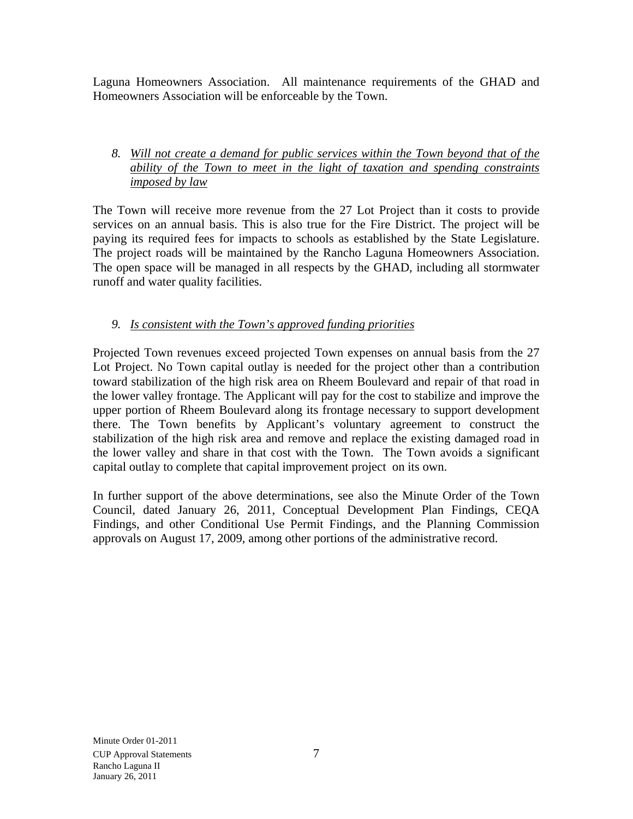Laguna Homeowners Association. All maintenance requirements of the GHAD and Homeowners Association will be enforceable by the Town.

#### *8. Will not create a demand for public services within the Town beyond that of the ability of the Town to meet in the light of taxation and spending constraints imposed by law*

The Town will receive more revenue from the 27 Lot Project than it costs to provide services on an annual basis. This is also true for the Fire District. The project will be paying its required fees for impacts to schools as established by the State Legislature. The project roads will be maintained by the Rancho Laguna Homeowners Association. The open space will be managed in all respects by the GHAD, including all stormwater runoff and water quality facilities.

# *9. Is consistent with the Town's approved funding priorities*

Projected Town revenues exceed projected Town expenses on annual basis from the 27 Lot Project. No Town capital outlay is needed for the project other than a contribution toward stabilization of the high risk area on Rheem Boulevard and repair of that road in the lower valley frontage. The Applicant will pay for the cost to stabilize and improve the upper portion of Rheem Boulevard along its frontage necessary to support development there. The Town benefits by Applicant's voluntary agreement to construct the stabilization of the high risk area and remove and replace the existing damaged road in the lower valley and share in that cost with the Town. The Town avoids a significant capital outlay to complete that capital improvement project on its own.

In further support of the above determinations, see also the Minute Order of the Town Council, dated January 26, 2011, Conceptual Development Plan Findings, CEQA Findings, and other Conditional Use Permit Findings, and the Planning Commission approvals on August 17, 2009, among other portions of the administrative record.